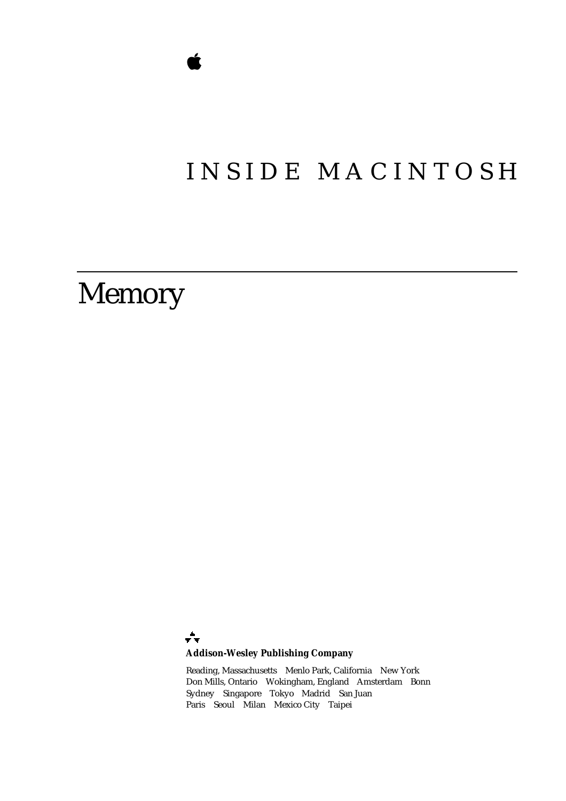# INSIDE MACINTOSH

# Memory

÷ **Addison-Wesley Publishing Company**

Reading, Massachusetts Menlo Park, California New York Don Mills, Ontario Wokingham, England Amsterdam Bonn Sydney Singapore Tokyo Madrid San Juan Paris Seoul Milan Mexico City Taipei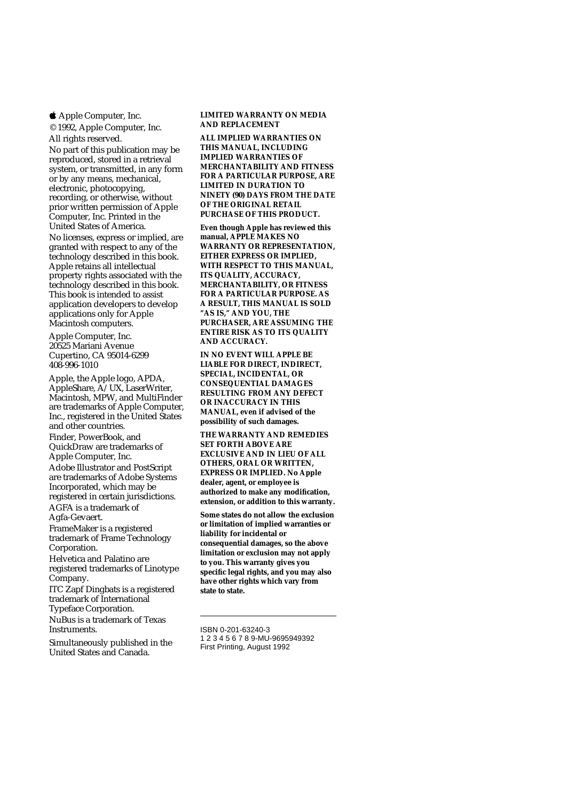Apple Computer, Inc.

© 1992, Apple Computer, Inc. All rights reserved.

No part of this publication may be reproduced, stored in a retrieval system, or transmitted, in any form or by any means, mechanical, electronic, photocopying, recording, or otherwise, without prior written permission of Apple Computer, Inc. Printed in the United States of America.

No licenses, express or implied, are granted with respect to any of the technology described in this book. Apple retains all intellectual property rights associated with the technology described in this book. This book is intended to assist application developers to develop applications only for Apple Macintosh computers.

Apple Computer, Inc. 20525 Mariani Avenue Cupertino, CA 95014-6299 408-996-1010

Apple, the Apple logo, APDA, AppleShare, A/UX, LaserWriter, Macintosh, MPW, and MultiFinder are trademarks of Apple Computer, Inc., registered in the United States and other countries.

Finder, PowerBook, and QuickDraw are trademarks of Apple Computer, Inc. Adobe Illustrator and PostScript are trademarks of Adobe Systems Incorporated, which may be registered in certain jurisdictions. AGFA is a trademark of Agfa-Gevaert.

FrameMaker is a registered trademark of Frame Technology Corporation.

Helvetica and Palatino are registered trademarks of Linotype Company.

ITC Zapf Dingbats is a registered trademark of International

Typeface Corporation.

NuBus is a trademark of Texas **Instruments** 

Simultaneously published in the United States and Canada.

#### **LIMITED WARRANTY ON MEDIA AND REPLACEMENT**

**ALL IMPLIED WARRANTIES ON THIS MANUAL, INCLUDING IMPLIED WARRANTIES OF MERCHANTABILITY AND FITNESS FOR A PARTICULAR PURPOSE, ARE LIMITED IN DURATION TO NINETY (90) DAYS FROM THE DATE OF THE ORIGINAL RETAIL PURCHASE OF THIS PRODUCT.**

**Even though Apple has reviewed this manual, APPLE MAKES NO WARRANTY OR REPRESENTATION, EITHER EXPRESS OR IMPLIED, WITH RESPECT TO THIS MANUAL, ITS QUALITY, ACCURACY, MERCHANTABILITY, OR FITNESS FOR A PARTICULAR PURPOSE. AS A RESULT, THIS MANUAL IS SOLD "AS IS," AND YOU, THE PURCHASER, ARE ASSUMING THE ENTIRE RISK AS TO ITS QUALITY AND ACCURACY.**

**IN NO EVENT WILL APPLE BE LIABLE FOR DIRECT, INDIRECT, SPECIAL, INCIDENTAL, OR CONSEQUENTIAL DAMAGES RESULTING FROM ANY DEFECT OR INACCURACY IN THIS MANUAL, even if advised of the possibility of such damages.**

**THE WARRANTY AND REMEDIES SET FORTH ABOVE ARE EXCLUSIVE AND IN LIEU OF ALL OTHERS, ORAL OR WRITTEN, EXPRESS OR IMPLIED. No Apple dealer, agent, or employee is authorized to make any modification, extension, or addition to this warranty.**

**Some states do not allow the exclusion or limitation of implied warranties or liability for incidental or consequential damages, so the above limitation or exclusion may not apply to you. This warranty gives you specific legal rights, and you may also have other rights which vary from state to state.**

1 2 3 4 5 6 7 8 9-MU-9695949392 First Printing, August 1992

ISBN 0-201-63240-3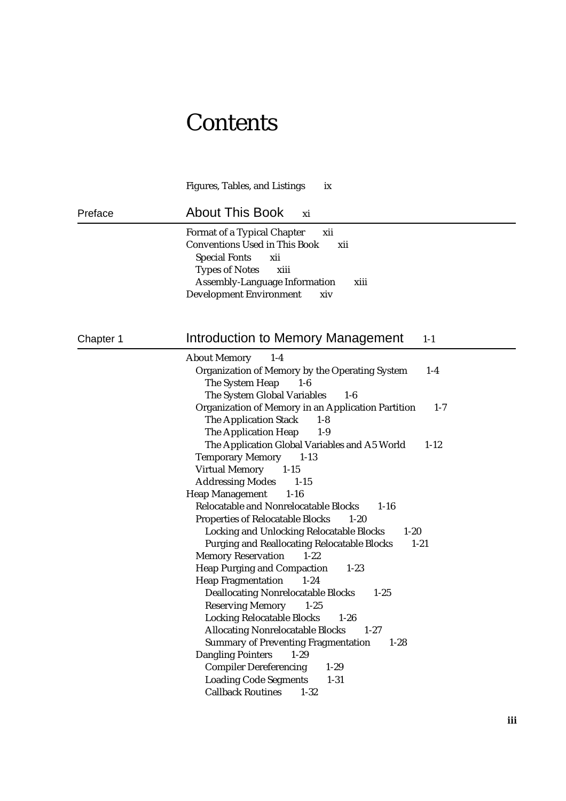# **Contents**

|           | <b>Figures, Tables, and Listings</b><br>ix                                                                                                                                                                                                                                                                                                                                                                                                                                                                                                                                                                                                                                                                                                                                                                                                                                                                                                                                                                                                                                                                                                                                                                                                                                                                                                              |
|-----------|---------------------------------------------------------------------------------------------------------------------------------------------------------------------------------------------------------------------------------------------------------------------------------------------------------------------------------------------------------------------------------------------------------------------------------------------------------------------------------------------------------------------------------------------------------------------------------------------------------------------------------------------------------------------------------------------------------------------------------------------------------------------------------------------------------------------------------------------------------------------------------------------------------------------------------------------------------------------------------------------------------------------------------------------------------------------------------------------------------------------------------------------------------------------------------------------------------------------------------------------------------------------------------------------------------------------------------------------------------|
| Preface   | <b>About This Book</b><br>xi                                                                                                                                                                                                                                                                                                                                                                                                                                                                                                                                                                                                                                                                                                                                                                                                                                                                                                                                                                                                                                                                                                                                                                                                                                                                                                                            |
|           | <b>Format of a Typical Chapter</b><br>xii<br><b>Conventions Used in This Book</b><br>xii<br><b>Special Fonts</b><br>xii<br><b>Types of Notes</b><br>xiii<br><b>Assembly-Language Information</b><br>xiii<br><b>Development Environment</b><br>xiv                                                                                                                                                                                                                                                                                                                                                                                                                                                                                                                                                                                                                                                                                                                                                                                                                                                                                                                                                                                                                                                                                                       |
| Chapter 1 | Introduction to Memory Management<br>$1-1$                                                                                                                                                                                                                                                                                                                                                                                                                                                                                                                                                                                                                                                                                                                                                                                                                                                                                                                                                                                                                                                                                                                                                                                                                                                                                                              |
|           | <b>About Memory</b><br>$1-4$<br><b>Organization of Memory by the Operating System</b><br>$1-4$<br>The System Heap<br>$1-6$<br>The System Global Variables<br>$1-6$<br>Organization of Memory in an Application Partition<br>$1 - 7$<br><b>The Application Stack</b><br>$1 - 8$<br>The Application Heap<br>$1-9$<br>The Application Global Variables and A5 World<br>$1 - 12$<br><b>Temporary Memory</b><br>$1 - 13$<br><b>Virtual Memory</b><br>$1-15$<br><b>Addressing Modes</b><br>$1 - 15$<br><b>Heap Management</b><br>$1-16$<br>Relocatable and Nonrelocatable Blocks<br>$1 - 16$<br><b>Properties of Relocatable Blocks</b><br>$1-20$<br><b>Locking and Unlocking Relocatable Blocks</b><br>$1 - 20$<br><b>Purging and Reallocating Relocatable Blocks</b><br>$1 - 21$<br><b>Memory Reservation</b><br>$1 - 22$<br><b>Heap Purging and Compaction</b><br>$1 - 23$<br><b>Heap Fragmentation</b><br>$1 - 24$<br><b>Deallocating Nonrelocatable Blocks</b><br>$1 - 25$<br>$1 - 25$<br><b>Reserving Memory</b><br><b>Locking Relocatable Blocks</b><br>$1-26$<br><b>Allocating Nonrelocatable Blocks</b><br>$1 - 27$<br><b>Summary of Preventing Fragmentation</b><br>$1-28$<br><b>Dangling Pointers</b><br>$1 - 29$<br><b>Compiler Dereferencing</b><br>$1 - 29$<br><b>Loading Code Segments</b><br>$1 - 31$<br><b>Callback Routines</b><br>$1 - 32$ |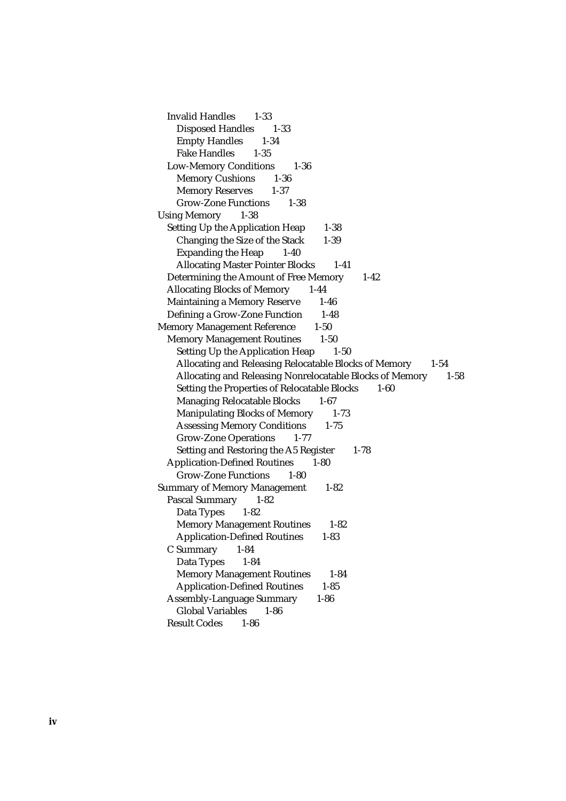Invalid Handles 1-33 Disposed Handles 1-33 Empty Handles 1-34 Fake Handles 1-35 Low-Memory Conditions 1-36 Memory Cushions 1-36 Memory Reserves 1-37 Grow-Zone Functions 1-38 Using Memory 1-38 Setting Up the Application Heap 1-38 Changing the Size of the Stack 1-39 Expanding the Heap 1-40 Allocating Master Pointer Blocks 1-41 Determining the Amount of Free Memory 1-42 Allocating Blocks of Memory 1-44 Maintaining a Memory Reserve 1-46 Defining a Grow-Zone Function 1-48 Memory Management Reference 1-50 Memory Management Routines 1-50 Setting Up the Application Heap 1-50 Allocating and Releasing Relocatable Blocks of Memory 1-54 Allocating and Releasing Nonrelocatable Blocks of Memory 1-58 Setting the Properties of Relocatable Blocks 1-60 Managing Relocatable Blocks 1-67 Manipulating Blocks of Memory 1-73 Assessing Memory Conditions 1-75 Grow-Zone Operations 1-77 Setting and Restoring the A5 Register 1-78 Application-Defined Routines 1-80 Grow-Zone Functions 1-80 Summary of Memory Management 1-82 Pascal Summary 1-82 Data Types 1-82 Memory Management Routines 1-82 Application-Defined Routines 1-83 C Summary 1-84 Data Types 1-84 Memory Management Routines 1-84 Application-Defined Routines 1-85 Assembly-Language Summary 1-86 Global Variables 1-86 Result Codes 1-86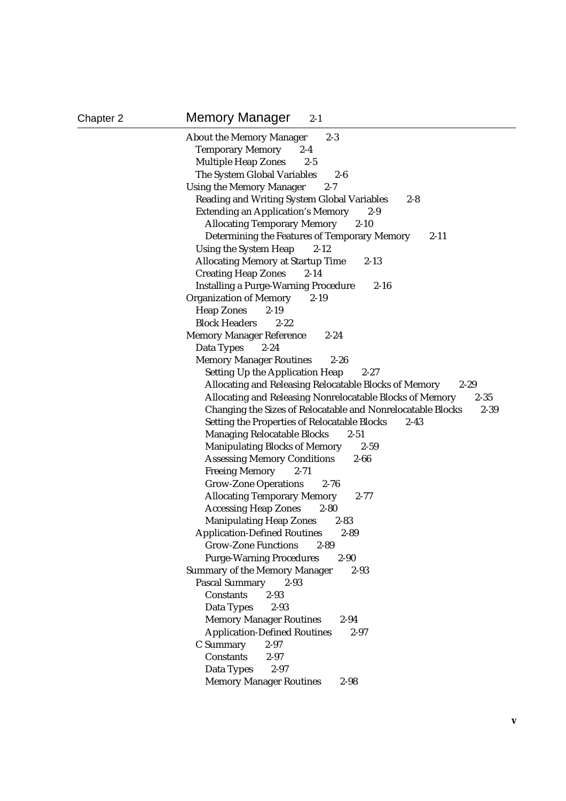Chapter 2 Memory Manager 2-1

| <b>About the Memory Manager</b><br>$2 - 3$                              |
|-------------------------------------------------------------------------|
| <b>Temporary Memory</b><br>$2 - 4$                                      |
| <b>Multiple Heap Zones</b><br>$2 - 5$                                   |
| The System Global Variables<br>$2-6$                                    |
| <b>Using the Memory Manager</b><br>$2 - 7$                              |
| <b>Reading and Writing System Global Variables</b><br>$2 - 8$           |
| <b>Extending an Application's Memory</b><br>$2 - 9$                     |
| <b>Allocating Temporary Memory</b><br>$2 - 10$                          |
| Determining the Features of Temporary Memory<br>$2 - 11$                |
| <b>Using the System Heap</b><br>$2 - 12$                                |
| <b>Allocating Memory at Startup Time</b><br>$2 - 13$                    |
| <b>Creating Heap Zones</b><br>$2 - 14$                                  |
| <b>Installing a Purge-Warning Procedure</b><br>$2 - 16$                 |
| <b>Organization of Memory</b><br>$2 - 19$                               |
| <b>Heap Zones</b><br>$2 - 19$                                           |
| <b>Block Headers</b><br>$2 - 22$                                        |
| <b>Memory Manager Reference</b><br>$2 - 24$                             |
| Data Types<br>$2 - 24$                                                  |
| <b>Memory Manager Routines</b><br>$2 - 26$                              |
| <b>Setting Up the Application Heap</b><br>$2 - 27$                      |
| Allocating and Releasing Relocatable Blocks of Memory<br>$2 - 29$       |
| Allocating and Releasing Nonrelocatable Blocks of Memory<br>$2 - 35$    |
| Changing the Sizes of Relocatable and Nonrelocatable Blocks<br>$2 - 39$ |
| <b>Setting the Properties of Relocatable Blocks</b><br>$2 - 43$         |
| <b>Managing Relocatable Blocks</b><br>$2 - 51$                          |
| <b>Manipulating Blocks of Memory</b><br>$2 - 59$                        |
| <b>Assessing Memory Conditions</b><br>$2 - 66$                          |
| <b>Freeing Memory</b><br>$2 - 71$                                       |
| <b>Grow-Zone Operations</b><br>$2 - 76$                                 |
| <b>Allocating Temporary Memory</b><br>$2 - 77$                          |
| <b>Accessing Heap Zones</b><br>$2 - 80$                                 |
| <b>Manipulating Heap Zones</b><br>$2 - 83$                              |
| <b>Application-Defined Routines</b><br>$2 - 89$                         |
| <b>Grow-Zone Functions</b><br>$2 - 89$                                  |
| $2 - 90$<br><b>Purge-Warning Procedures</b>                             |
| <b>Summary of the Memory Manager</b><br>$2 - 93$                        |
| <b>Pascal Summary</b><br>$2 - 93$                                       |
| <b>Constants</b><br>$2 - 93$                                            |
| Data Types<br>$2 - 93$                                                  |
| <b>Memory Manager Routines</b><br>$2 - 94$                              |
| <b>Application-Defined Routines</b><br>$2 - 97$                         |
| $2 - 97$<br>C Summary<br>Constants<br>$2 - 97$                          |
|                                                                         |
|                                                                         |
| $2 - 97$<br>Data Types<br><b>Memory Manager Routines</b><br>$2 - 98$    |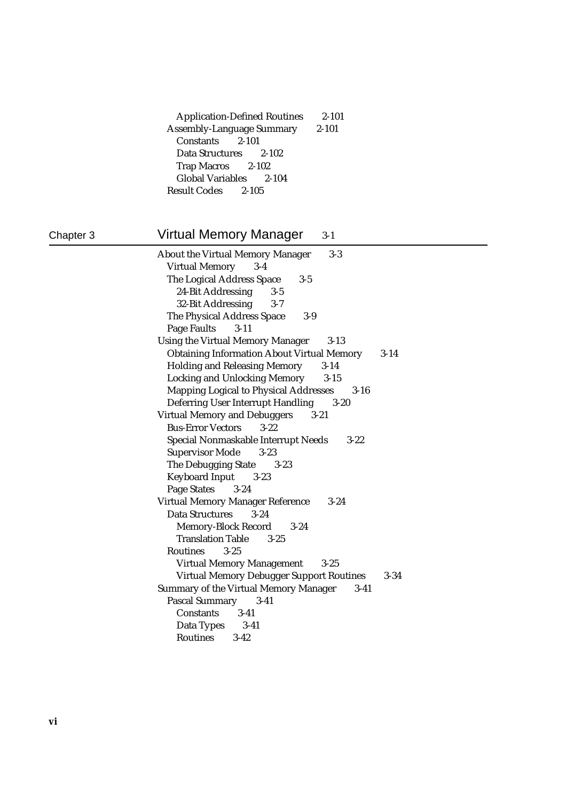| <b>Application-Defined Routines</b> | 2-101     |
|-------------------------------------|-----------|
| <b>Assembly-Language Summary</b>    | $2 - 101$ |
| Constants 2-101                     |           |
| Data Structures 2-102               |           |
| Trap Macros 2-102                   |           |
| Global Variables 2-104              |           |
| Result Codes 2-105                  |           |

# Chapter 3 **Virtual Memory Manager** 3-1

| <b>About the Virtual Memory Manager</b><br>$3-3$       |          |
|--------------------------------------------------------|----------|
| <b>Virtual Memory</b><br>$3 - 4$                       |          |
| The Logical Address Space<br>$3 - 5$                   |          |
| 24-Bit Addressing<br>$3 - 5$                           |          |
| 32-Bit Addressing<br>$3 - 7$                           |          |
| The Physical Address Space<br>$3-9$                    |          |
| <b>Page Faults</b><br>$3 - 11$                         |          |
| <b>Using the Virtual Memory Manager</b><br>$3 - 13$    |          |
| <b>Obtaining Information About Virtual Memory</b>      | $3-14$   |
| <b>Holding and Releasing Memory</b><br>$3 - 14$        |          |
| <b>Locking and Unlocking Memory</b><br>$3 - 15$        |          |
| Mapping Logical to Physical Addresses 3-16             |          |
| <b>Deferring User Interrupt Handling</b><br>$3 - 20$   |          |
| <b>Virtual Memory and Debuggers</b><br>$3 - 21$        |          |
| <b>Bus-Error Vectors</b><br>$3 - 22$                   |          |
| Special Nonmaskable Interrupt Needs<br>$3 - 22$        |          |
| <b>Supervisor Mode</b><br>$3 - 23$                     |          |
| The Debugging State<br>$3 - 23$                        |          |
| <b>Keyboard Input</b><br>$3 - 23$                      |          |
| <b>Page States</b><br>$3 - 24$                         |          |
| Virtual Memory Manager Reference<br>$3 - 24$           |          |
| <b>Data Structures</b><br>$3 - 24$                     |          |
| Memory-Block Record 3-24                               |          |
| <b>Translation Table</b><br>$3 - 2.5$                  |          |
| <b>Routines</b><br>$3 - 25$                            |          |
| <b>Virtual Memory Management</b><br>$3 - 25$           |          |
| <b>Virtual Memory Debugger Support Routines</b>        | $3 - 34$ |
| <b>Summary of the Virtual Memory Manager</b><br>$3-41$ |          |
| <b>Pascal Summary</b><br>$3 - 41$                      |          |
| <b>Constants</b><br>$3 - 41$                           |          |
| Data Types<br>$3-41$                                   |          |
| <b>Routines</b><br>$3 - 42$                            |          |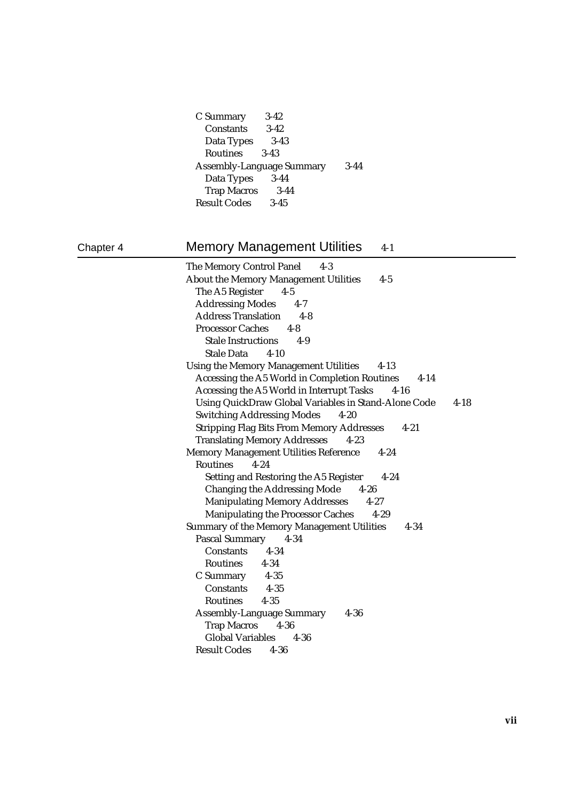| C Summary          | $3-42$                           |        |
|--------------------|----------------------------------|--------|
| Constants          | $3-42$                           |        |
| Data Types         | $3-43$                           |        |
| <b>Routines</b>    | $3-43$                           |        |
|                    | <b>Assembly-Language Summary</b> | $3-44$ |
|                    |                                  |        |
| Data Types         | $3-44$                           |        |
| <b>Trap Macros</b> | $3 - 44$                         |        |

# Chapter 4 Memory Management Utilities 4-1

The Memory Control Panel 4-3 About the Memory Management Utilities 4-5 The A5 Register 4-5 Addressing Modes 4-7 Address Translation 4-8 Processor Caches 4-8 Stale Instructions 4-9 Stale Data 4-10 Using the Memory Management Utilities 4-13 Accessing the A5 World in Completion Routines 4-14 Accessing the A5 World in Interrupt Tasks 4-16 Using QuickDraw Global Variables in Stand-Alone Code 4-18 Switching Addressing Modes 4-20 Stripping Flag Bits From Memory Addresses 4-21 Translating Memory Addresses 4-23 Memory Management Utilities Reference 4-24 Routines 4-24 Setting and Restoring the A5 Register 4-24 Changing the Addressing Mode 4-26 Manipulating Memory Addresses 4-27 Manipulating the Processor Caches 4-29 Summary of the Memory Management Utilities 4-34 Pascal Summary 4-34 Constants 4-34 Routines 4-34 C Summary 4-35 Constants 4-35 Routines 4-35 Assembly-Language Summary 4-36 Trap Macros 4-36 Global Variables 4-36 Result Codes 4-36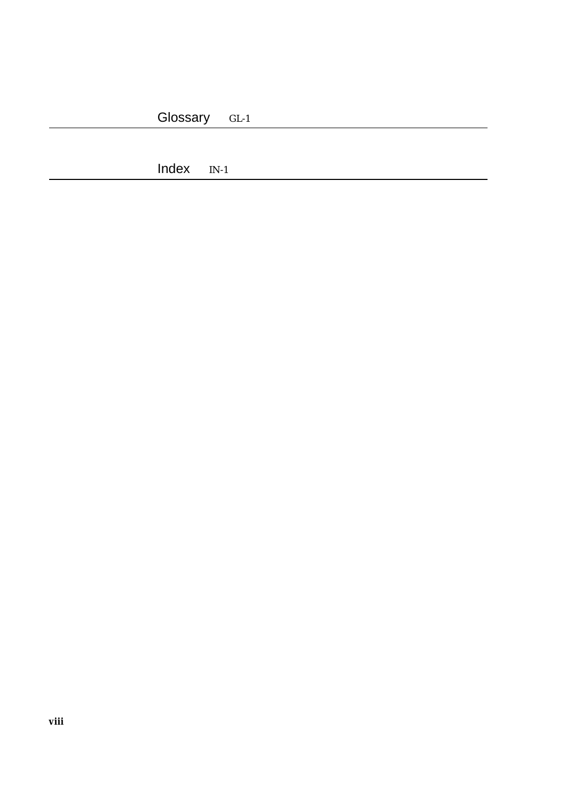Index IN-1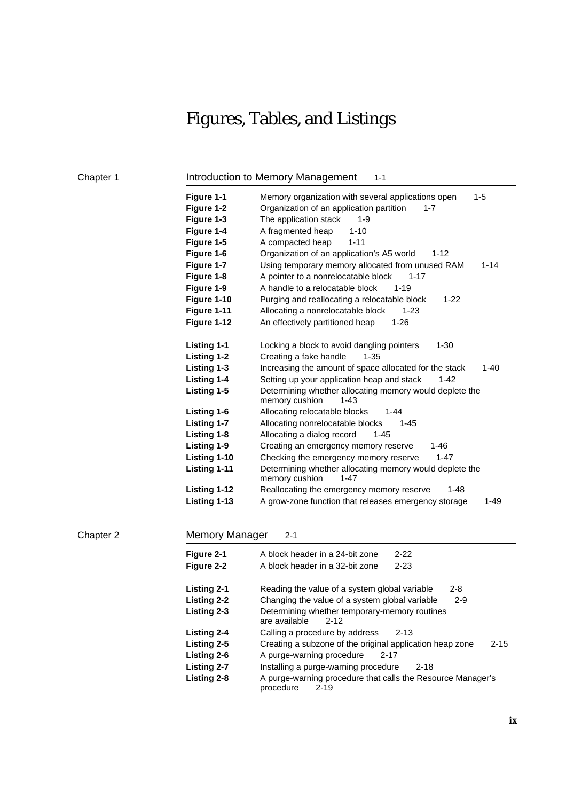# Figures, Tables, and Listings

# Chapter 1 **Introduction to Memory Management** 1-1

| Figure 1-1<br>Figure 1-2<br>Figure 1-3<br>Figure 1-4<br>Figure 1-5<br>Figure 1-6<br>Figure 1-7<br>Figure 1-8<br>Figure 1-9<br>Figure 1-10 | $1 - 5$<br>Memory organization with several applications open<br>Organization of an application partition<br>$1 - 7$<br>The application stack<br>$1 - 9$<br>A fragmented heap<br>$1 - 10$<br>A compacted heap<br>$1 - 11$<br>Organization of an application's A5 world<br>$1 - 12$<br>Using temporary memory allocated from unused RAM<br>$1 - 14$<br>A pointer to a nonrelocatable block<br>$1 - 17$<br>A handle to a relocatable block<br>$1 - 19$<br>Purging and reallocating a relocatable block<br>$1 - 22$ |
|-------------------------------------------------------------------------------------------------------------------------------------------|------------------------------------------------------------------------------------------------------------------------------------------------------------------------------------------------------------------------------------------------------------------------------------------------------------------------------------------------------------------------------------------------------------------------------------------------------------------------------------------------------------------|
| Figure 1-11                                                                                                                               | Allocating a nonrelocatable block<br>$1 - 23$                                                                                                                                                                                                                                                                                                                                                                                                                                                                    |
| Figure 1-12                                                                                                                               | An effectively partitioned heap<br>$1 - 26$                                                                                                                                                                                                                                                                                                                                                                                                                                                                      |
| Listing 1-1<br>Listing 1-2<br>Listing 1-3<br>Listing 1-4                                                                                  | $1 - 30$<br>Locking a block to avoid dangling pointers<br>Creating a fake handle<br>$1 - 35$<br>Increasing the amount of space allocated for the stack<br>$1 - 40$<br>Setting up your application heap and stack<br>$1 - 42$                                                                                                                                                                                                                                                                                     |
| Listing 1-5                                                                                                                               | Determining whether allocating memory would deplete the<br>memory cushion<br>$1 - 43$                                                                                                                                                                                                                                                                                                                                                                                                                            |
| Listing 1-6                                                                                                                               | Allocating relocatable blocks<br>$1 - 44$                                                                                                                                                                                                                                                                                                                                                                                                                                                                        |
| Listing 1-7                                                                                                                               | Allocating nonrelocatable blocks<br>$1 - 45$                                                                                                                                                                                                                                                                                                                                                                                                                                                                     |
| Listing 1-8                                                                                                                               | Allocating a dialog record<br>$1 - 45$                                                                                                                                                                                                                                                                                                                                                                                                                                                                           |
| Listing 1-9                                                                                                                               | Creating an emergency memory reserve<br>1-46                                                                                                                                                                                                                                                                                                                                                                                                                                                                     |
| Listing 1-10                                                                                                                              | Checking the emergency memory reserve<br>$1 - 47$                                                                                                                                                                                                                                                                                                                                                                                                                                                                |
| Listing 1-11                                                                                                                              | Determining whether allocating memory would deplete the<br>memory cushion<br>1-47                                                                                                                                                                                                                                                                                                                                                                                                                                |
| Listing 1-12                                                                                                                              | Reallocating the emergency memory reserve<br>$1 - 48$                                                                                                                                                                                                                                                                                                                                                                                                                                                            |
| Listing 1-13                                                                                                                              | A grow-zone function that releases emergency storage<br>$1 - 49$                                                                                                                                                                                                                                                                                                                                                                                                                                                 |

## Chapter 2 Memory Manager 2-1

| Figure 2-1<br>Figure 2-2 | A block header in a 24-bit zone<br>$2 - 22$<br>A block header in a 32-bit zone<br>$2 - 23$ |  |
|--------------------------|--------------------------------------------------------------------------------------------|--|
| Listing 2-1              | Reading the value of a system global variable<br>$2 - 8$                                   |  |
| Listing 2-2              | Changing the value of a system global variable<br>$2 - 9$                                  |  |
| Listing 2-3              | Determining whether temporary-memory routines<br>are available<br>$2 - 12$                 |  |
| Listing 2-4              | Calling a procedure by address<br>$2 - 13$                                                 |  |
| Listing 2-5              | Creating a subzone of the original application heap zone<br>$2 - 15$                       |  |
| Listing 2-6              | A purge-warning procedure<br>$2 - 17$                                                      |  |
| <b>Listing 2-7</b>       | Installing a purge-warning procedure<br>$2 - 18$                                           |  |
| Listing 2-8              | A purge-warning procedure that calls the Resource Manager's<br>procedure<br>$2 - 19$       |  |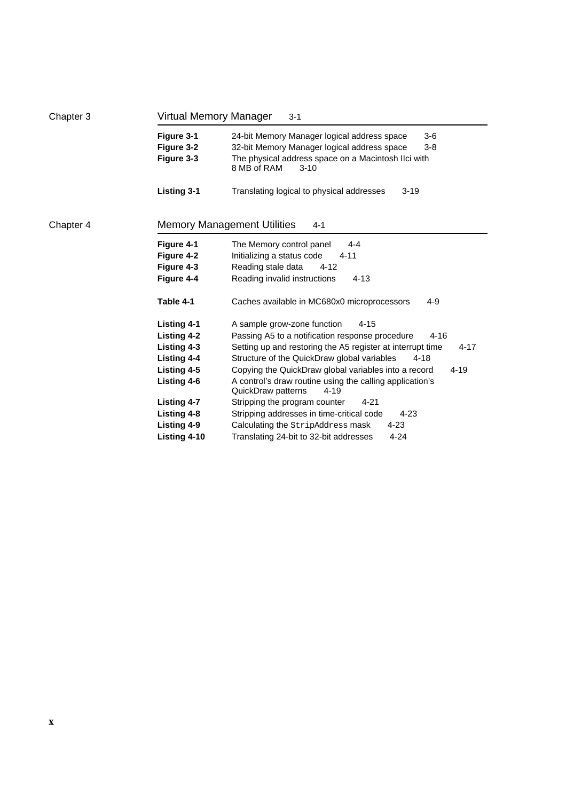| Chapter 3 | Virtual Memory Manager                                                                                                                                     | $3 - 1$                                                                                                                                                                                                                                                                                                                                                                                                                                                                                                                                                                                                                |  |
|-----------|------------------------------------------------------------------------------------------------------------------------------------------------------------|------------------------------------------------------------------------------------------------------------------------------------------------------------------------------------------------------------------------------------------------------------------------------------------------------------------------------------------------------------------------------------------------------------------------------------------------------------------------------------------------------------------------------------------------------------------------------------------------------------------------|--|
|           | Figure 3-1<br>Figure 3-2<br>Figure 3-3                                                                                                                     | 24-bit Memory Manager logical address space<br>$3-6$<br>32-bit Memory Manager logical address space<br>$3-8$<br>The physical address space on a Macintosh Ilci with<br>8 MB of RAM<br>$3 - 10$                                                                                                                                                                                                                                                                                                                                                                                                                         |  |
|           | <b>Listing 3-1</b>                                                                                                                                         | Translating logical to physical addresses<br>$3 - 19$                                                                                                                                                                                                                                                                                                                                                                                                                                                                                                                                                                  |  |
| Chapter 4 | <b>Memory Management Utilities</b><br>$4 - 1$                                                                                                              |                                                                                                                                                                                                                                                                                                                                                                                                                                                                                                                                                                                                                        |  |
|           | Figure 4-1<br>Figure 4-2<br>Figure 4-3<br>Figure 4-4<br>Table 4-1                                                                                          | The Memory control panel<br>$4 - 4$<br>Initializing a status code<br>$4 - 11$<br>Reading stale data<br>$4 - 12$<br>Reading invalid instructions<br>$4 - 13$<br>Caches available in MC680x0 microprocessors<br>$4 - 9$                                                                                                                                                                                                                                                                                                                                                                                                  |  |
|           | Listing 4-1<br>Listing 4-2<br>Listing 4-3<br>Listing 4-4<br>Listing 4-5<br>Listing 4-6<br><b>Listing 4-7</b><br>Listing 4-8<br>Listing 4-9<br>Listing 4-10 | A sample grow-zone function<br>$4 - 15$<br>Passing A5 to a notification response procedure<br>$4 - 16$<br>Setting up and restoring the A5 register at interrupt time<br>4-17<br>Structure of the QuickDraw global variables<br>$4 - 18$<br>Copying the QuickDraw global variables into a record<br>$4 - 19$<br>A control's draw routine using the calling application's<br>QuickDraw patterns<br>$4 - 19$<br>Stripping the program counter<br>$4 - 21$<br>Stripping addresses in time-critical code<br>$4 - 23$<br>Calculating the StripAddress mask<br>$4 - 23$<br>Translating 24-bit to 32-bit addresses<br>$4 - 24$ |  |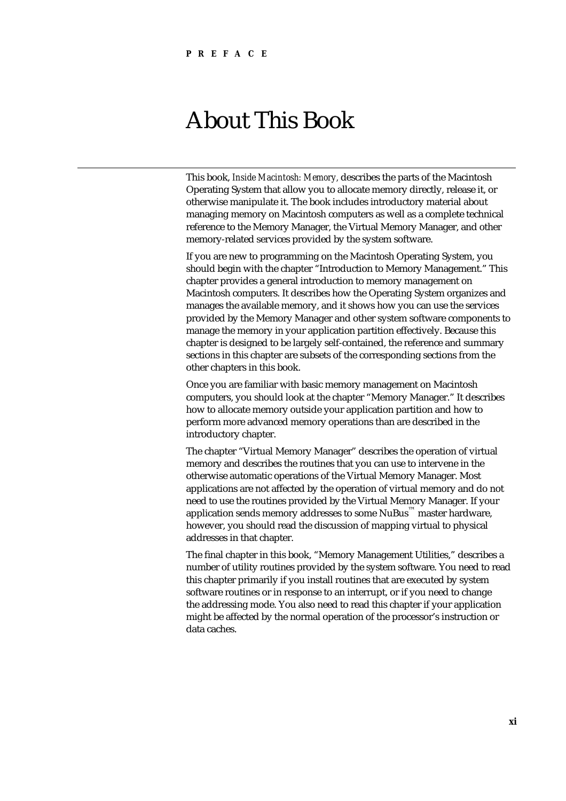# About This Book

This book, *Inside Macintosh: Memory,* describes the parts of the Macintosh Operating System that allow you to allocate memory directly, release it, or otherwise manipulate it. The book includes introductory material about managing memory on Macintosh computers as well as a complete technical reference to the Memory Manager, the Virtual Memory Manager, and other memory-related services provided by the system software.

If you are new to programming on the Macintosh Operating System, you should begin with the chapter "Introduction to Memory Management." This chapter provides a general introduction to memory management on Macintosh computers. It describes how the Operating System organizes and manages the available memory, and it shows how you can use the services provided by the Memory Manager and other system software components to manage the memory in your application partition effectively. Because this chapter is designed to be largely self-contained, the reference and summary sections in this chapter are subsets of the corresponding sections from the other chapters in this book.

Once you are familiar with basic memory management on Macintosh computers, you should look at the chapter "Memory Manager." It describes how to allocate memory outside your application partition and how to perform more advanced memory operations than are described in the introductory chapter.

The chapter "Virtual Memory Manager" describes the operation of virtual memory and describes the routines that you can use to intervene in the otherwise automatic operations of the Virtual Memory Manager. Most applications are not affected by the operation of virtual memory and do not need to use the routines provided by the Virtual Memory Manager. If your application sends memory addresses to some NuBus<sup>™</sup> master hardware, however, you should read the discussion of mapping virtual to physical addresses in that chapter.

The final chapter in this book, "Memory Management Utilities," describes a number of utility routines provided by the system software. You need to read this chapter primarily if you install routines that are executed by system software routines or in response to an interrupt, or if you need to change the addressing mode. You also need to read this chapter if your application might be affected by the normal operation of the processor's instruction or data caches.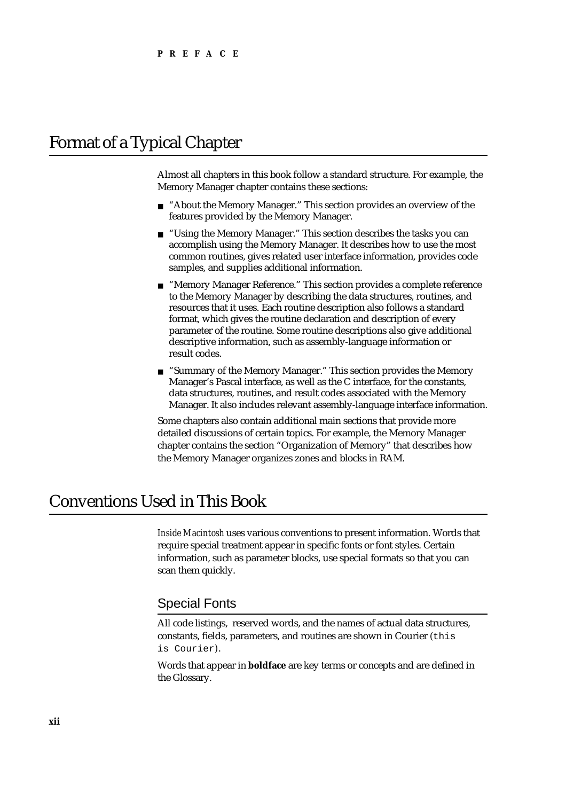# Format of a Typical Chapter

Almost all chapters in this book follow a standard structure. For example, the Memory Manager chapter contains these sections:

- "About the Memory Manager." This section provides an overview of the  $\overline{a}$ features provided by the Memory Manager.
- n "Using the Memory Manager." This section describes the tasks you can accomplish using the Memory Manager. It describes how to use the most common routines, gives related user interface information, provides code samples, and supplies additional information.
- n "Memory Manager Reference." This section provides a complete reference to the Memory Manager by describing the data structures, routines, and resources that it uses. Each routine description also follows a standard format, which gives the routine declaration and description of every parameter of the routine. Some routine descriptions also give additional descriptive information, such as assembly-language information or result codes.
- "Summary of the Memory Manager." This section provides the Memory Manager's Pascal interface, as well as the C interface, for the constants, data structures, routines, and result codes associated with the Memory Manager. It also includes relevant assembly-language interface information.

Some chapters also contain additional main sections that provide more detailed discussions of certain topics. For example, the Memory Manager chapter contains the section "Organization of Memory" that describes how the Memory Manager organizes zones and blocks in RAM.

# Conventions Used in This Book

*Inside Macintosh* uses various conventions to present information. Words that require special treatment appear in specific fonts or font styles. Certain information, such as parameter blocks, use special formats so that you can scan them quickly.

### Special Fonts

All code listings, reserved words, and the names of actual data structures, constants, fields, parameters, and routines are shown in Courier (this is Courier).

Words that appear in **boldface** are key terms or concepts and are defined in the Glossary.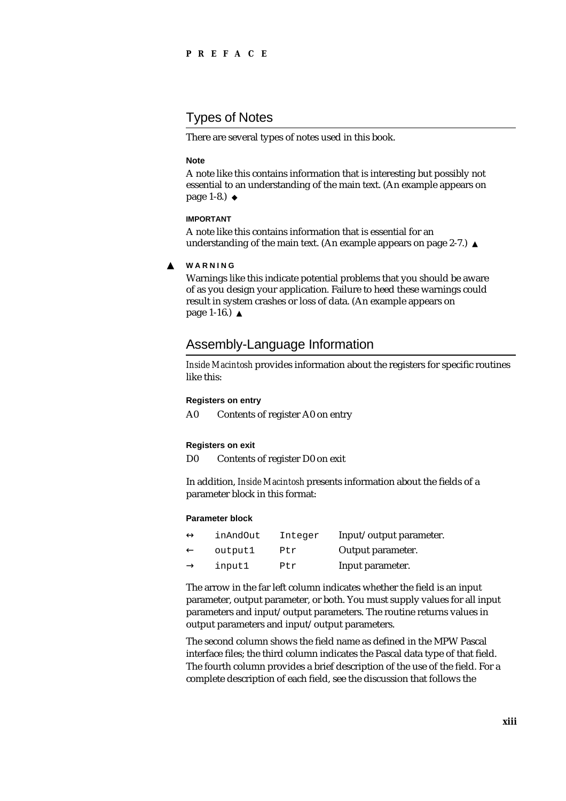# Types of Notes

There are several types of notes used in this book.

#### **Note**

A note like this contains information that is interesting but possibly not essential to an understanding of the main text. (An example appears on page 1-8.)

#### **IMPORTANT**

A note like this contains information that is essential for an understanding of the main text. (An example appears on page 2-7.)

**WARNING**  $\mathbf{s}$ 

> Warnings like this indicate potential problems that you should be aware of as you design your application. Failure to heed these warnings could result in system crashes or loss of data. (An example appears on page 1-16.)

### Assembly-Language Information

*Inside Macintosh* provides information about the registers for specific routines like this:

#### **Registers on entry**

A0 Contents of register A0 on entry

#### **Registers on exit**

D0 Contents of register D0 on exit

In addition, *Inside Macintosh* presents information about the fields of a parameter block in this format:

#### **Parameter block**

| inAndOut | Integer | Input/output parameter. |
|----------|---------|-------------------------|
| outputl  | Ptr     | Output parameter.       |
| input1   | Ptr     | Input parameter.        |

The arrow in the far left column indicates whether the field is an input parameter, output parameter, or both. You must supply values for all input parameters and input/output parameters. The routine returns values in output parameters and input/output parameters.

The second column shows the field name as defined in the MPW Pascal interface files; the third column indicates the Pascal data type of that field. The fourth column provides a brief description of the use of the field. For a complete description of each field, see the discussion that follows the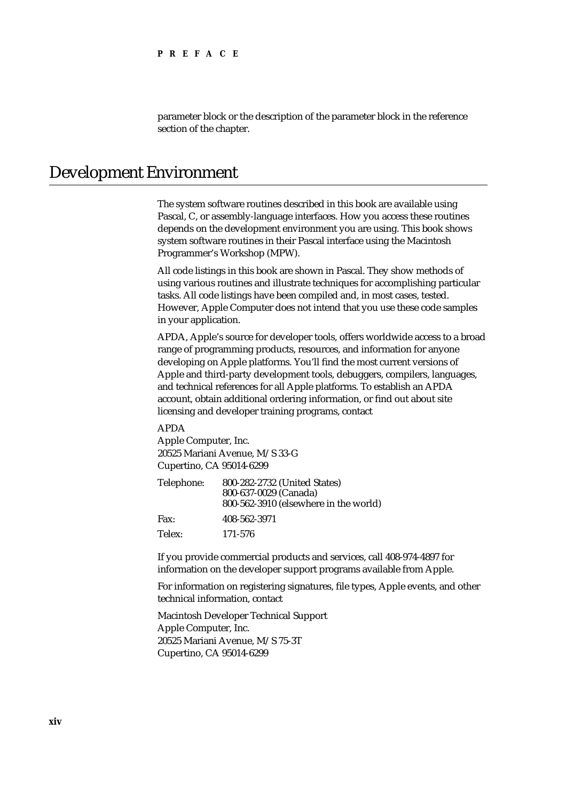parameter block or the description of the parameter block in the reference section of the chapter.

# Development Environment

The system software routines described in this book are available using Pascal, C, or assembly-language interfaces. How you access these routines depends on the development environment you are using. This book shows system software routines in their Pascal interface using the Macintosh Programmer's Workshop (MPW).

All code listings in this book are shown in Pascal. They show methods of using various routines and illustrate techniques for accomplishing particular tasks. All code listings have been compiled and, in most cases, tested. However, Apple Computer does not intend that you use these code samples in your application.

APDA, Apple's source for developer tools, offers worldwide access to a broad range of programming products, resources, and information for anyone developing on Apple platforms. You'll find the most current versions of Apple and third-party development tools, debuggers, compilers, languages, and technical references for all Apple platforms. To establish an APDA account, obtain additional ordering information, or find out about site licensing and developer training programs, contact

APDA Apple Computer, Inc. 20525 Mariani Avenue, M/S 33-G Cupertino, CA 95014-6299

| Telephone: | 800-282-2732 (United States)          |
|------------|---------------------------------------|
|            | 800-637-0029 (Canada)                 |
|            | 800-562-3910 (elsewhere in the world) |
| Fax:       | 408-562-3971                          |
| Telex:     | 171-576                               |

If you provide commercial products and services, call 408-974-4897 for information on the developer support programs available from Apple.

For information on registering signatures, file types, Apple events, and other technical information, contact

Macintosh Developer Technical Support Apple Computer, Inc. 20525 Mariani Avenue, M/S 75-3T Cupertino, CA 95014-6299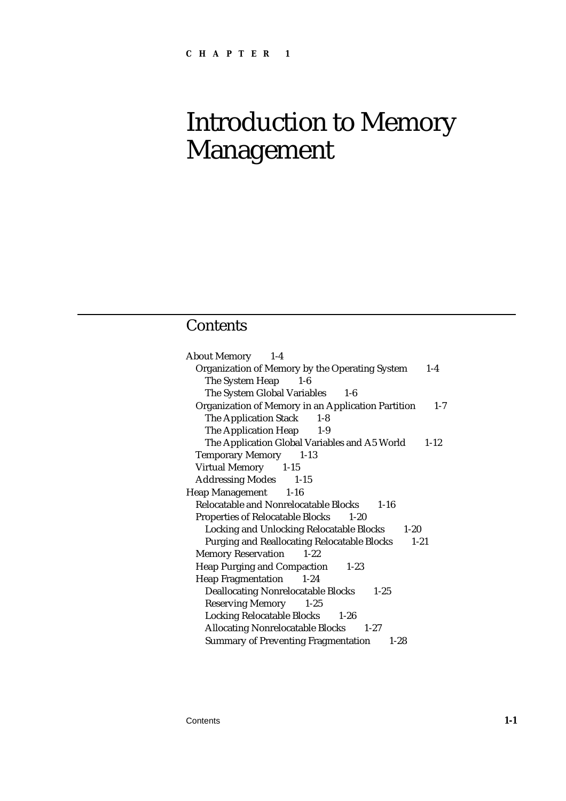# Introduction to Memory Management

# **Contents**

| <b>About Memory</b> 1-4                                        |          |
|----------------------------------------------------------------|----------|
| Organization of Memory by the Operating System                 | $1 - 4$  |
| The System Heap 1-6                                            |          |
| The System Global Variables 1-6                                |          |
| Organization of Memory in an Application Partition             | $1 - 7$  |
| <b>The Application Stack</b><br>$1 - 8$                        |          |
| The Application Heap<br>$1-9$                                  |          |
| The Application Global Variables and A5 World                  | $1 - 12$ |
| <b>Temporary Memory</b> 1-13                                   |          |
| Virtual Memory 1-15                                            |          |
| <b>Addressing Modes</b> 1-15                                   |          |
| Heap Management 1-16                                           |          |
| Relocatable and Nonrelocatable Blocks 1-16                     |          |
| <b>Properties of Relocatable Blocks 1-20</b>                   |          |
| Locking and Unlocking Relocatable Blocks 1-20                  |          |
| <b>Purging and Reallocating Relocatable Blocks</b><br>$1 - 21$ |          |
| <b>Memory Reservation</b><br>$1 - 22$                          |          |
| Heap Purging and Compaction 1-23                               |          |
| Heap Fragmentation 1-24                                        |          |
| <b>Deallocating Nonrelocatable Blocks</b><br>$1 - 25$          |          |
| <b>Reserving Memory</b><br>$1 - 25$                            |          |
| Locking Relocatable Blocks 1-26                                |          |
| <b>Allocating Nonrelocatable Blocks</b> 1-27                   |          |
| <b>Summary of Preventing Fragmentation</b><br>$1-28$           |          |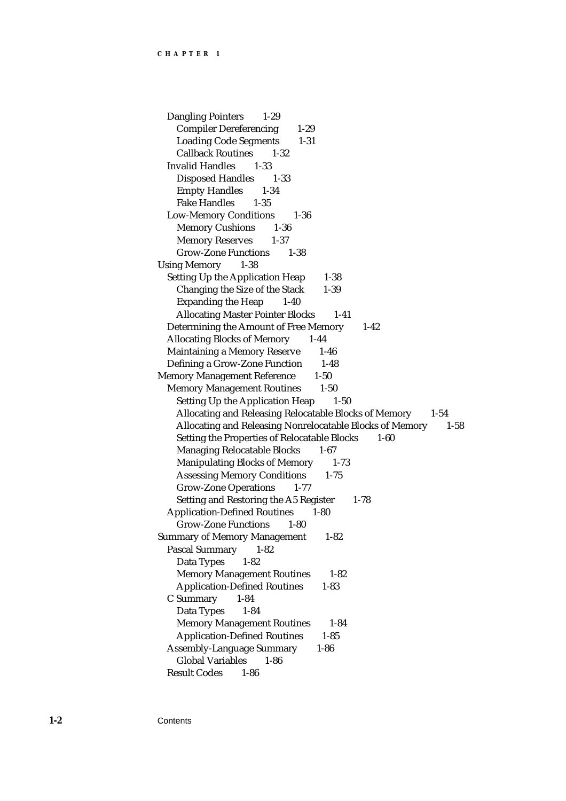Dangling Pointers 1-29 Compiler Dereferencing 1-29 Loading Code Segments 1-31 Callback Routines 1-32 Invalid Handles 1-33 Disposed Handles 1-33 Empty Handles 1-34 Fake Handles 1-35 Low-Memory Conditions 1-36 Memory Cushions 1-36 Memory Reserves 1-37 Grow-Zone Functions 1-38 Using Memory 1-38 Setting Up the Application Heap 1-38 Changing the Size of the Stack 1-39 Expanding the Heap 1-40 Allocating Master Pointer Blocks 1-41 Determining the Amount of Free Memory 1-42 Allocating Blocks of Memory 1-44 Maintaining a Memory Reserve 1-46 Defining a Grow-Zone Function 1-48 Memory Management Reference 1-50 Memory Management Routines 1-50 Setting Up the Application Heap 1-50 Allocating and Releasing Relocatable Blocks of Memory 1-54 Allocating and Releasing Nonrelocatable Blocks of Memory 1-58 Setting the Properties of Relocatable Blocks 1-60 Managing Relocatable Blocks 1-67 Manipulating Blocks of Memory 1-73 Assessing Memory Conditions 1-75 Grow-Zone Operations 1-77 Setting and Restoring the A5 Register 1-78 Application-Defined Routines 1-80 Grow-Zone Functions 1-80 Summary of Memory Management 1-82 Pascal Summary 1-82 Data Types 1-82 Memory Management Routines 1-82 Application-Defined Routines 1-83 C Summary 1-84 Data Types 1-84 Memory Management Routines 1-84 Application-Defined Routines 1-85 Assembly-Language Summary 1-86 Global Variables 1-86 Result Codes 1-86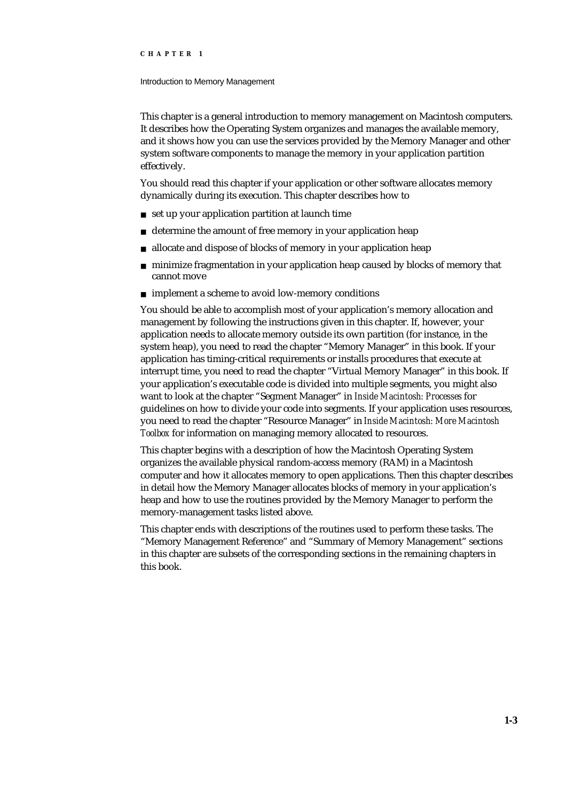#### Introduction to Memory Management

This chapter is a general introduction to memory management on Macintosh computers. It describes how the Operating System organizes and manages the available memory, and it shows how you can use the services provided by the Memory Manager and other system software components to manage the memory in your application partition effectively.

You should read this chapter if your application or other software allocates memory dynamically during its execution. This chapter describes how to

- set up your application partition at launch time
- n determine the amount of free memory in your application heap
- allocate and dispose of blocks of memory in your application heap  $\overline{p}$
- minimize fragmentation in your application heap caused by blocks of memory that cannot move
- $n$  implement a scheme to avoid low-memory conditions

You should be able to accomplish most of your application's memory allocation and management by following the instructions given in this chapter. If, however, your application needs to allocate memory outside its own partition (for instance, in the system heap), you need to read the chapter "Memory Manager" in this book. If your application has timing-critical requirements or installs procedures that execute at interrupt time, you need to read the chapter "Virtual Memory Manager" in this book. If your application's executable code is divided into multiple segments, you might also want to look at the chapter "Segment Manager" in *Inside Macintosh: Processes* for guidelines on how to divide your code into segments. If your application uses resources, you need to read the chapter "Resource Manager" in *Inside Macintosh: More Macintosh Toolbox* for information on managing memory allocated to resources.

This chapter begins with a description of how the Macintosh Operating System organizes the available physical random-access memory (RAM) in a Macintosh computer and how it allocates memory to open applications. Then this chapter describes in detail how the Memory Manager allocates blocks of memory in your application's heap and how to use the routines provided by the Memory Manager to perform the memory-management tasks listed above.

This chapter ends with descriptions of the routines used to perform these tasks. The "Memory Management Reference" and "Summary of Memory Management" sections in this chapter are subsets of the corresponding sections in the remaining chapters in this book.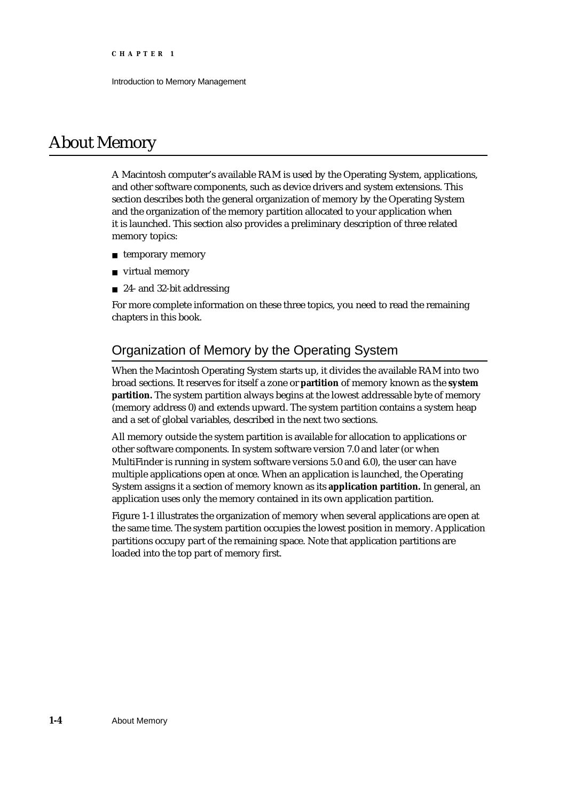Introduction to Memory Management

# About Memory

A Macintosh computer's available RAM is used by the Operating System, applications, and other software components, such as device drivers and system extensions. This section describes both the general organization of memory by the Operating System and the organization of the memory partition allocated to your application when it is launched. This section also provides a preliminary description of three related memory topics:

- n temporary memory
- virtual memory
- n 24- and 32-bit addressing

For more complete information on these three topics, you need to read the remaining chapters in this book.

# Organization of Memory by the Operating System

When the Macintosh Operating System starts up, it divides the available RAM into two broad sections. It reserves for itself a zone or **partition** of memory known as the **system partition.** The system partition always begins at the lowest addressable byte of memory (memory address 0) and extends upward. The system partition contains a system heap and a set of global variables, described in the next two sections.

All memory outside the system partition is available for allocation to applications or other software components. In system software version 7.0 and later (or when MultiFinder is running in system software versions 5.0 and 6.0), the user can have multiple applications open at once. When an application is launched, the Operating System assigns it a section of memory known as its **application partition.** In general, an application uses only the memory contained in its own application partition.

Figure 1-1 illustrates the organization of memory when several applications are open at the same time. The system partition occupies the lowest position in memory. Application partitions occupy part of the remaining space. Note that application partitions are loaded into the top part of memory first.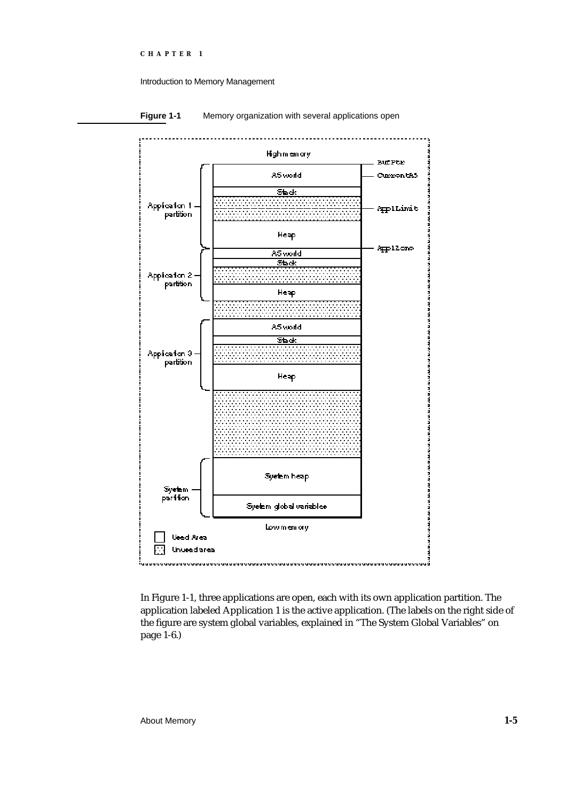#### Introduction to Memory Management



#### **Figure 1-1** Memory organization with several applications open

In Figure 1-1, three applications are open, each with its own application partition. The application labeled Application 1 is the active application. (The labels on the right side of the figure are system global variables, explained in "The System Global Variables" on page 1-6.)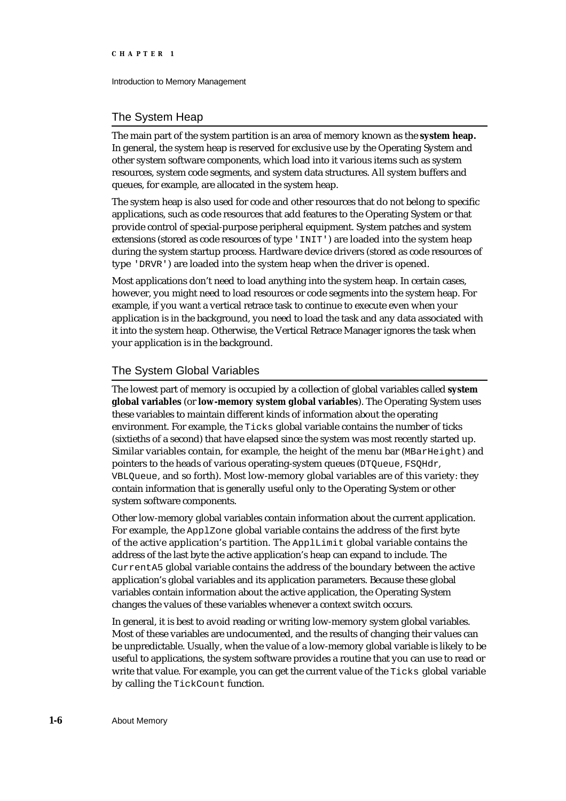Introduction to Memory Management

#### The System Heap

The main part of the system partition is an area of memory known as the **system heap.** In general, the system heap is reserved for exclusive use by the Operating System and other system software components, which load into it various items such as system resources, system code segments, and system data structures. All system buffers and queues, for example, are allocated in the system heap.

The system heap is also used for code and other resources that do not belong to specific applications, such as code resources that add features to the Operating System or that provide control of special-purpose peripheral equipment. System patches and system extensions (stored as code resources of type 'INIT') are loaded into the system heap during the system startup process. Hardware device drivers (stored as code resources of type 'DRVR') are loaded into the system heap when the driver is opened.

Most applications don't need to load anything into the system heap. In certain cases, however, you might need to load resources or code segments into the system heap. For example, if you want a vertical retrace task to continue to execute even when your application is in the background, you need to load the task and any data associated with it into the system heap. Otherwise, the Vertical Retrace Manager ignores the task when your application is in the background.

#### The System Global Variables

The lowest part of memory is occupied by a collection of global variables called **system global variables** (or **low-memory system global variables**). The Operating System uses these variables to maintain different kinds of information about the operating environment. For example, the Ticks global variable contains the number of ticks (sixtieths of a second) that have elapsed since the system was most recently started up. Similar variables contain, for example, the height of the menu bar ( $MBarHeiqht$ ) and pointers to the heads of various operating-system queues (DTQueue, FSQHdr, VBLQueue, and so forth). Most low-memory global variables are of this variety: they contain information that is generally useful only to the Operating System or other system software components.

Other low-memory global variables contain information about the current application. For example, the ApplZone global variable contains the address of the first byte of the active application's partition. The ApplLimit global variable contains the address of the last byte the active application's heap can expand to include. The CurrentA5 global variable contains the address of the boundary between the active application's global variables and its application parameters. Because these global variables contain information about the active application, the Operating System changes the values of these variables whenever a context switch occurs.

In general, it is best to avoid reading or writing low-memory system global variables. Most of these variables are undocumented, and the results of changing their values can be unpredictable. Usually, when the value of a low-memory global variable is likely to be useful to applications, the system software provides a routine that you can use to read or write that value. For example, you can get the current value of the Ticks global variable by calling the TickCount function.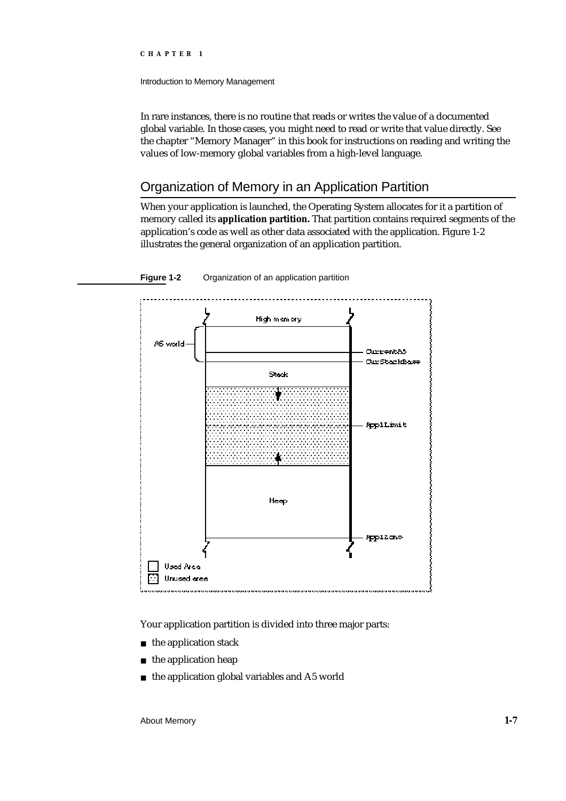Introduction to Memory Management

In rare instances, there is no routine that reads or writes the value of a documented global variable. In those cases, you might need to read or write that value directly. See the chapter "Memory Manager" in this book for instructions on reading and writing the values of low-memory global variables from a high-level language.

# Organization of Memory in an Application Partition

When your application is launched, the Operating System allocates for it a partition of memory called its **application partition.** That partition contains required segments of the application's code as well as other data associated with the application. Figure 1-2 illustrates the general organization of an application partition.





Your application partition is divided into three major parts:

- n the application stack
- n the application heap
- the application global variables and A5 world $\overline{p}$

About Memory **1-7**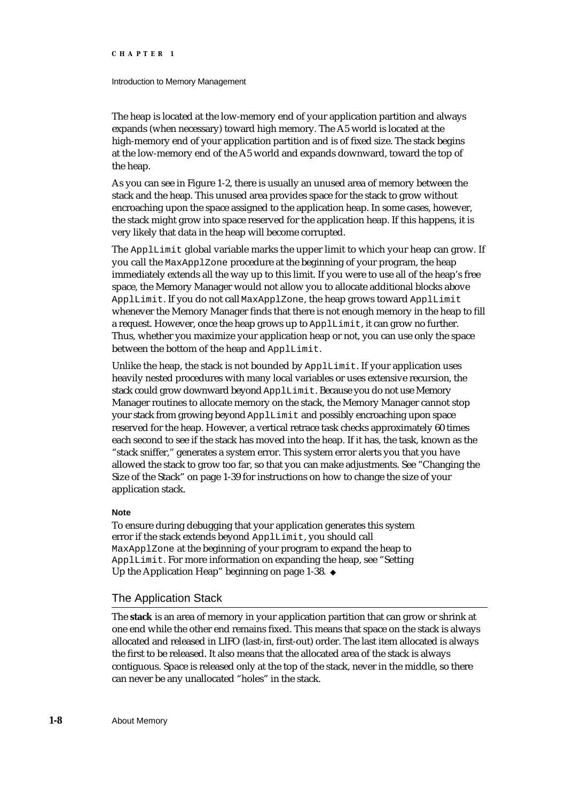#### Introduction to Memory Management

The heap is located at the low-memory end of your application partition and always expands (when necessary) toward high memory. The A5 world is located at the high-memory end of your application partition and is of fixed size. The stack begins at the low-memory end of the A5 world and expands downward, toward the top of the heap.

As you can see in Figure 1-2, there is usually an unused area of memory between the stack and the heap. This unused area provides space for the stack to grow without encroaching upon the space assigned to the application heap. In some cases, however, the stack might grow into space reserved for the application heap. If this happens, it is very likely that data in the heap will become corrupted.

The ApplLimit global variable marks the upper limit to which your heap can grow. If you call the MaxApplZone procedure at the beginning of your program, the heap immediately extends all the way up to this limit. If you were to use all of the heap's free space, the Memory Manager would not allow you to allocate additional blocks above ApplLimit. If you do not call MaxApplZone, the heap grows toward ApplLimit whenever the Memory Manager finds that there is not enough memory in the heap to fill a request. However, once the heap grows up to ApplLimit, it can grow no further. Thus, whether you maximize your application heap or not, you can use only the space between the bottom of the heap and ApplLimit.

Unlike the heap, the stack is not bounded by ApplLimit. If your application uses heavily nested procedures with many local variables or uses extensive recursion, the stack could grow downward beyond ApplLimit. Because you do not use Memory Manager routines to allocate memory on the stack, the Memory Manager cannot stop your stack from growing beyond ApplLimit and possibly encroaching upon space reserved for the heap. However, a vertical retrace task checks approximately 60 times each second to see if the stack has moved into the heap. If it has, the task, known as the "stack sniffer," generates a system error. This system error alerts you that you have allowed the stack to grow too far, so that you can make adjustments. See "Changing the Size of the Stack" on page 1-39 for instructions on how to change the size of your application stack.

#### **Note**

To ensure during debugging that your application generates this system error if the stack extends beyond ApplLimit, you should call MaxApplZone at the beginning of your program to expand the heap to ApplLimit. For more information on expanding the heap, see "Setting Up the Application Heap" beginning on page 1-38.

#### The Application Stack

The **stack** is an area of memory in your application partition that can grow or shrink at one end while the other end remains fixed. This means that space on the stack is always allocated and released in LIFO (last-in, first-out) order. The last item allocated is always the first to be released. It also means that the allocated area of the stack is always contiguous. Space is released only at the top of the stack, never in the middle, so there can never be any unallocated "holes" in the stack.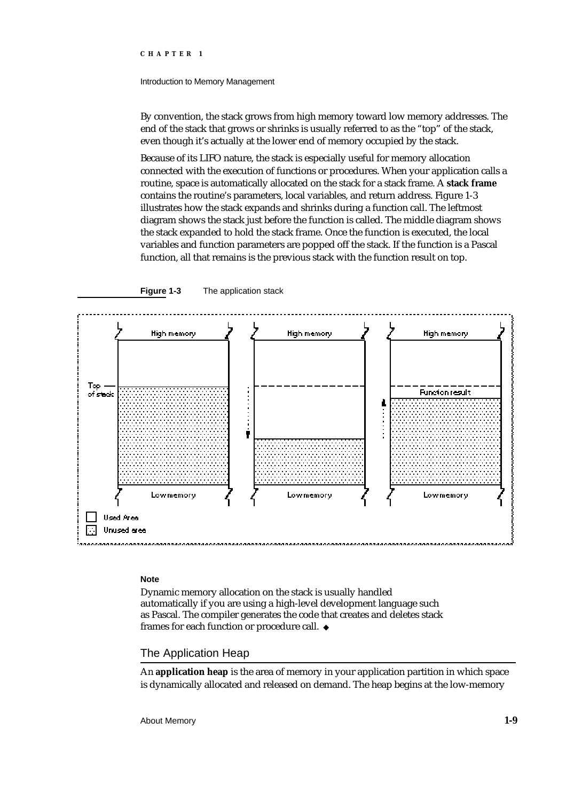#### Introduction to Memory Management

By convention, the stack grows from high memory toward low memory addresses. The end of the stack that grows or shrinks is usually referred to as the "top" of the stack, even though it's actually at the lower end of memory occupied by the stack.

Because of its LIFO nature, the stack is especially useful for memory allocation connected with the execution of functions or procedures. When your application calls a routine, space is automatically allocated on the stack for a stack frame. A **stack frame** contains the routine's parameters, local variables, and return address. Figure 1-3 illustrates how the stack expands and shrinks during a function call. The leftmost diagram shows the stack just before the function is called. The middle diagram shows the stack expanded to hold the stack frame. Once the function is executed, the local variables and function parameters are popped off the stack. If the function is a Pascal function, all that remains is the previous stack with the function result on top.





#### **Note**

Dynamic memory allocation on the stack is usually handled automatically if you are using a high-level development language such as Pascal. The compiler generates the code that creates and deletes stack frames for each function or procedure call.

#### The Application Heap

An **application heap** is the area of memory in your application partition in which space is dynamically allocated and released on demand. The heap begins at the low-memory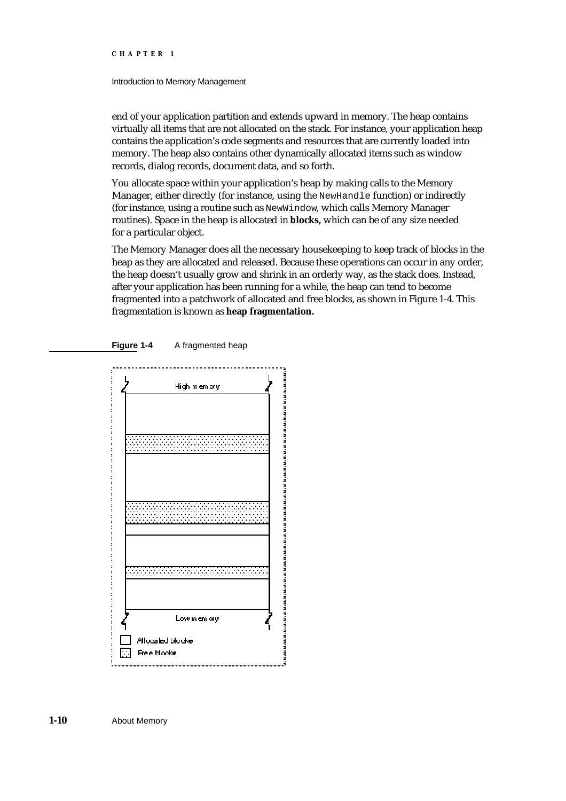#### Introduction to Memory Management

end of your application partition and extends upward in memory. The heap contains virtually all items that are not allocated on the stack. For instance, your application heap contains the application's code segments and resources that are currently loaded into memory. The heap also contains other dynamically allocated items such as window records, dialog records, document data, and so forth.

You allocate space within your application's heap by making calls to the Memory Manager, either directly (for instance, using the NewHandle function) or indirectly (for instance, using a routine such as NewWindow, which calls Memory Manager routines). Space in the heap is allocated in **blocks,** which can be of any size needed for a particular object.

The Memory Manager does all the necessary housekeeping to keep track of blocks in the heap as they are allocated and released. Because these operations can occur in any order, the heap doesn't usually grow and shrink in an orderly way, as the stack does. Instead, after your application has been running for a while, the heap can tend to become fragmented into a patchwork of allocated and free blocks, as shown in Figure 1-4. This fragmentation is known as **heap fragmentation.**





**1-10** About Memory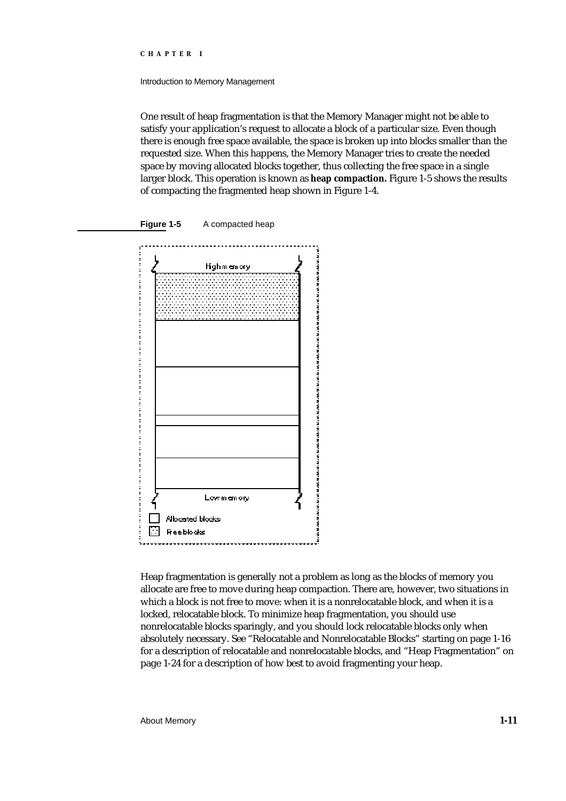Introduction to Memory Management

One result of heap fragmentation is that the Memory Manager might not be able to satisfy your application's request to allocate a block of a particular size. Even though there is enough free space available, the space is broken up into blocks smaller than the requested size. When this happens, the Memory Manager tries to create the needed space by moving allocated blocks together, thus collecting the free space in a single larger block. This operation is known as **heap compaction.** Figure 1-5 shows the results of compacting the fragmented heap shown in Figure 1-4.



Heap fragmentation is generally not a problem as long as the blocks of memory you allocate are free to move during heap compaction. There are, however, two situations in which a block is not free to move: when it is a nonrelocatable block, and when it is a locked, relocatable block. To minimize heap fragmentation, you should use nonrelocatable blocks sparingly, and you should lock relocatable blocks only when absolutely necessary. See "Relocatable and Nonrelocatable Blocks" starting on page 1-16 for a description of relocatable and nonrelocatable blocks, and "Heap Fragmentation" on page 1-24 for a description of how best to avoid fragmenting your heap.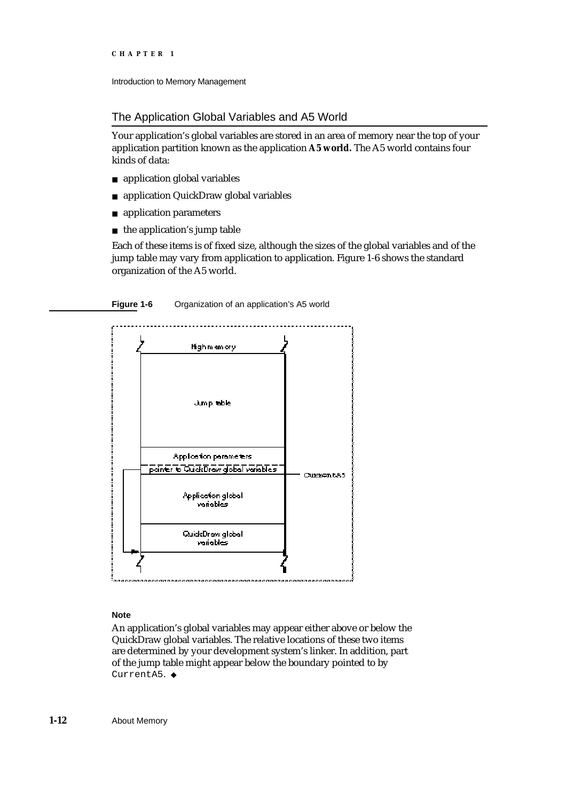```
CHAPTER 1
```
Introduction to Memory Management

The Application Global Variables and A5 World

Your application's global variables are stored in an area of memory near the top of your application partition known as the application **A5 world.** The A5 world contains four kinds of data:

- n application global variables
- n application QuickDraw global variables
- application parameters  $n$
- $n$  the application's jump table

Each of these items is of fixed size, although the sizes of the global variables and of the jump table may vary from application to application. Figure 1-6 shows the standard organization of the A5 world.

**Figure 1-6** Organization of an application's A5 world



#### **Note**

An application's global variables may appear either above or below the QuickDraw global variables. The relative locations of these two items are determined by your development system's linker. In addition, part of the jump table might appear below the boundary pointed to by CurrentA5. u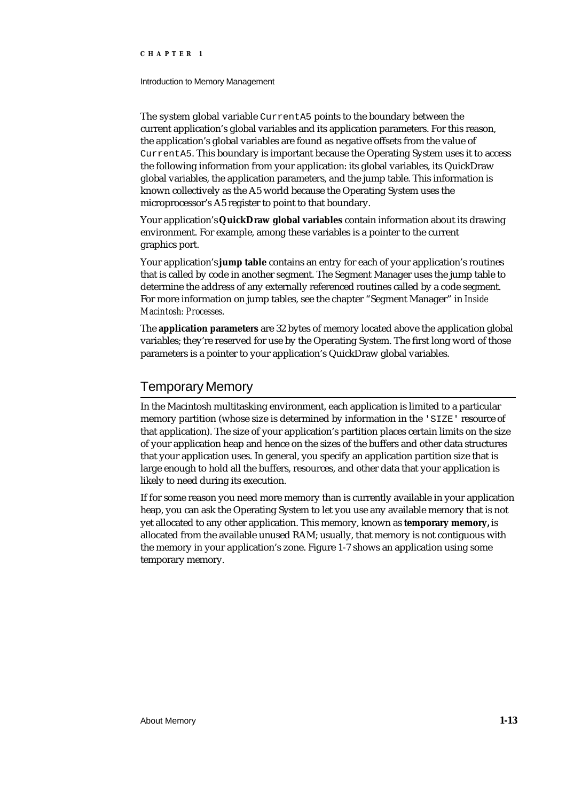#### Introduction to Memory Management

The system global variable CurrentA5 points to the boundary between the current application's global variables and its application parameters. For this reason, the application's global variables are found as negative offsets from the value of CurrentA5. This boundary is important because the Operating System uses it to access the following information from your application: its global variables, its QuickDraw global variables, the application parameters, and the jump table. This information is known collectively as the A5 world because the Operating System uses the microprocessor's A5 register to point to that boundary.

Your application's **QuickDraw global variables** contain information about its drawing environment. For example, among these variables is a pointer to the current graphics port.

Your application's **jump table** contains an entry for each of your application's routines that is called by code in another segment. The Segment Manager uses the jump table to determine the address of any externally referenced routines called by a code segment. For more information on jump tables, see the chapter "Segment Manager" in *Inside Macintosh: Processes*.

The **application parameters** are 32 bytes of memory located above the application global variables; they're reserved for use by the Operating System. The first long word of those parameters is a pointer to your application's QuickDraw global variables.

# Temporary Memory

In the Macintosh multitasking environment, each application is limited to a particular memory partition (whose size is determined by information in the 'SIZE' resource of that application). The size of your application's partition places certain limits on the size of your application heap and hence on the sizes of the buffers and other data structures that your application uses. In general, you specify an application partition size that is large enough to hold all the buffers, resources, and other data that your application is likely to need during its execution.

If for some reason you need more memory than is currently available in your application heap, you can ask the Operating System to let you use any available memory that is not yet allocated to any other application. This memory, known as **temporary memory,** is allocated from the available unused RAM; usually, that memory is not contiguous with the memory in your application's zone. Figure 1-7 shows an application using some temporary memory.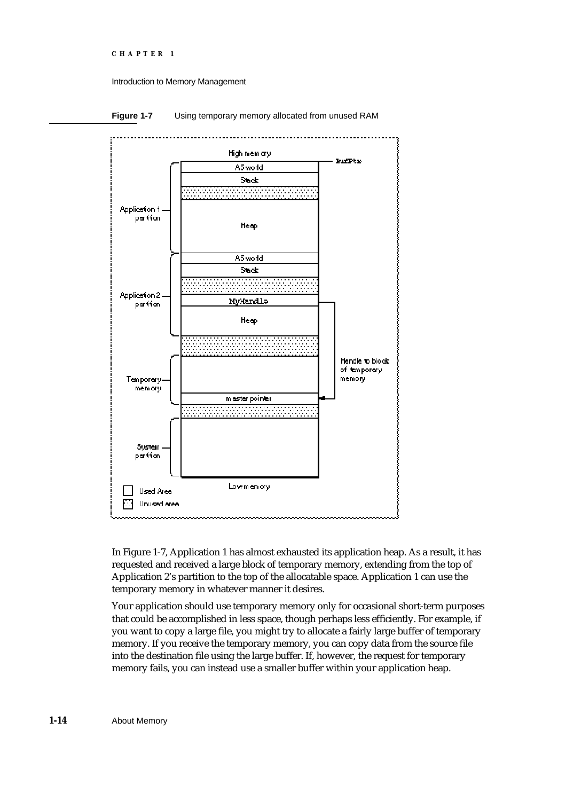#### Introduction to Memory Management



**Figure 1-7** Using temporary memory allocated from unused RAM

In Figure 1-7, Application 1 has almost exhausted its application heap. As a result, it has requested and received a large block of temporary memory, extending from the top of Application 2's partition to the top of the allocatable space. Application 1 can use the temporary memory in whatever manner it desires.

Your application should use temporary memory only for occasional short-term purposes that could be accomplished in less space, though perhaps less efficiently. For example, if you want to copy a large file, you might try to allocate a fairly large buffer of temporary memory. If you receive the temporary memory, you can copy data from the source file into the destination file using the large buffer. If, however, the request for temporary memory fails, you can instead use a smaller buffer within your application heap.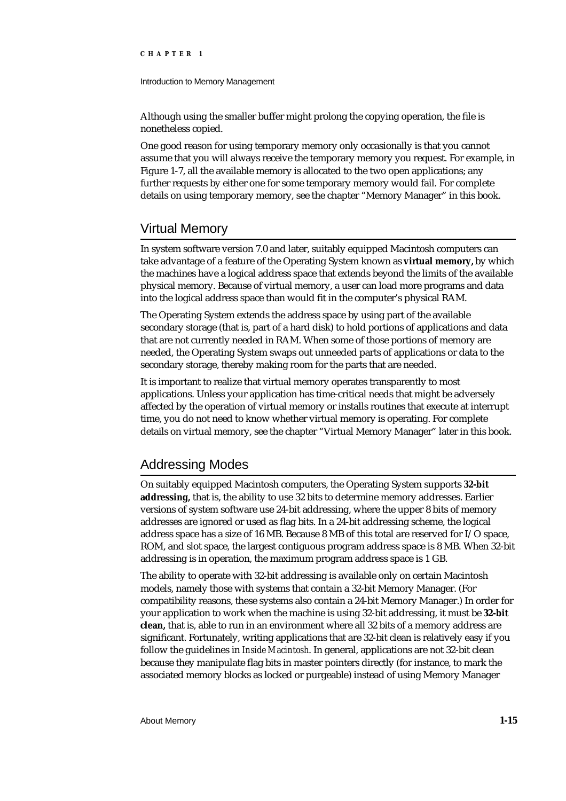#### Introduction to Memory Management

Although using the smaller buffer might prolong the copying operation, the file is nonetheless copied.

One good reason for using temporary memory only occasionally is that you cannot assume that you will always receive the temporary memory you request. For example, in Figure 1-7, all the available memory is allocated to the two open applications; any further requests by either one for some temporary memory would fail. For complete details on using temporary memory, see the chapter "Memory Manager" in this book.

## Virtual Memory

In system software version 7.0 and later, suitably equipped Macintosh computers can take advantage of a feature of the Operating System known as **virtual memory,** by which the machines have a logical address space that extends beyond the limits of the available physical memory. Because of virtual memory, a user can load more programs and data into the logical address space than would fit in the computer's physical RAM.

The Operating System extends the address space by using part of the available secondary storage (that is, part of a hard disk) to hold portions of applications and data that are not currently needed in RAM. When some of those portions of memory are needed, the Operating System swaps out unneeded parts of applications or data to the secondary storage, thereby making room for the parts that are needed.

It is important to realize that virtual memory operates transparently to most applications. Unless your application has time-critical needs that might be adversely affected by the operation of virtual memory or installs routines that execute at interrupt time, you do not need to know whether virtual memory is operating. For complete details on virtual memory, see the chapter "Virtual Memory Manager" later in this book.

### Addressing Modes

On suitably equipped Macintosh computers, the Operating System supports **32-bit addressing,** that is, the ability to use 32 bits to determine memory addresses. Earlier versions of system software use 24-bit addressing, where the upper 8 bits of memory addresses are ignored or used as flag bits. In a 24-bit addressing scheme, the logical address space has a size of 16 MB. Because 8 MB of this total are reserved for I/O space, ROM, and slot space, the largest contiguous program address space is 8 MB. When 32-bit addressing is in operation, the maximum program address space is 1 GB.

The ability to operate with 32-bit addressing is available only on certain Macintosh models, namely those with systems that contain a 32-bit Memory Manager. (For compatibility reasons, these systems also contain a 24-bit Memory Manager.) In order for your application to work when the machine is using 32-bit addressing, it must be **32-bit clean,** that is, able to run in an environment where all 32 bits of a memory address are significant. Fortunately, writing applications that are 32-bit clean is relatively easy if you follow the guidelines in *Inside Macintosh*. In general, applications are not 32-bit clean because they manipulate flag bits in master pointers directly (for instance, to mark the associated memory blocks as locked or purgeable) instead of using Memory Manager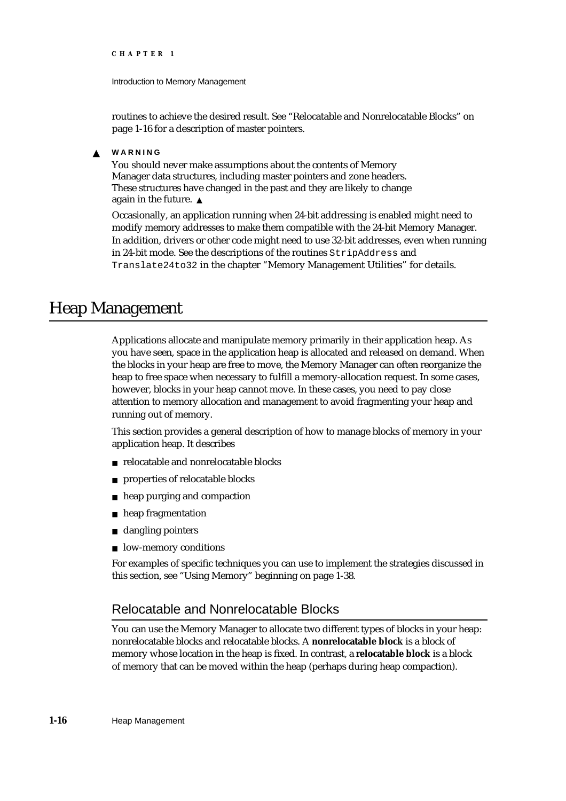Introduction to Memory Management

routines to achieve the desired result. See "Relocatable and Nonrelocatable Blocks" on page 1-16 for a description of master pointers.

#### **WARNING**  $\mathbf{S}$

You should never make assumptions about the contents of Memory Manager data structures, including master pointers and zone headers. These structures have changed in the past and they are likely to change again in the future.

Occasionally, an application running when 24-bit addressing is enabled might need to modify memory addresses to make them compatible with the 24-bit Memory Manager. In addition, drivers or other code might need to use 32-bit addresses, even when running in 24-bit mode. See the descriptions of the routines StripAddress and Translate24to32 in the chapter "Memory Management Utilities" for details.

# Heap Management

Applications allocate and manipulate memory primarily in their application heap. As you have seen, space in the application heap is allocated and released on demand. When the blocks in your heap are free to move, the Memory Manager can often reorganize the heap to free space when necessary to fulfill a memory-allocation request. In some cases, however, blocks in your heap cannot move. In these cases, you need to pay close attention to memory allocation and management to avoid fragmenting your heap and running out of memory.

This section provides a general description of how to manage blocks of memory in your application heap. It describes

- n relocatable and nonrelocatable blocks
- properties of relocatable blocks n.
- heap purging and compaction  $n$
- heap fragmentation  $n$
- dangling pointers  $\overline{p}$
- n low-memory conditions

For examples of specific techniques you can use to implement the strategies discussed in this section, see "Using Memory" beginning on page 1-38.

# Relocatable and Nonrelocatable Blocks

You can use the Memory Manager to allocate two different types of blocks in your heap: nonrelocatable blocks and relocatable blocks. A **nonrelocatable block** is a block of memory whose location in the heap is fixed. In contrast, a **relocatable block** is a block of memory that can be moved within the heap (perhaps during heap compaction).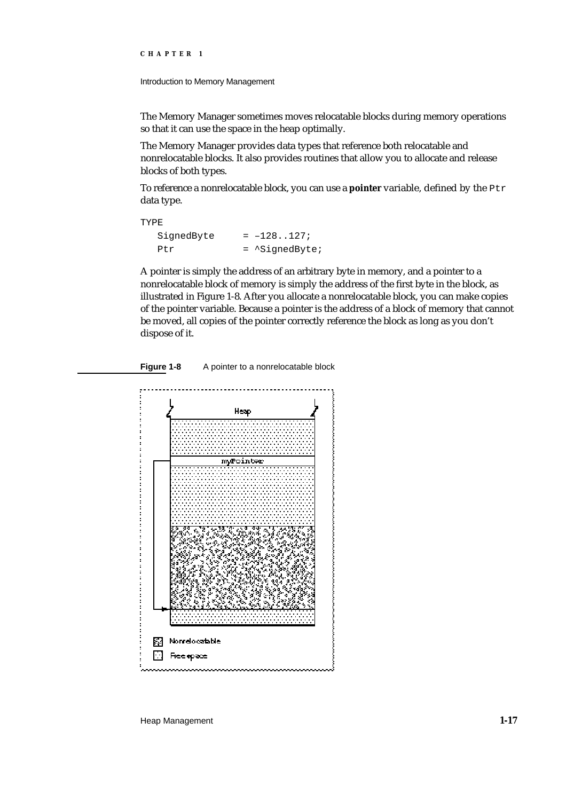Introduction to Memory Management

The Memory Manager sometimes moves relocatable blocks during memory operations so that it can use the space in the heap optimally.

The Memory Manager provides data types that reference both relocatable and nonrelocatable blocks. It also provides routines that allow you to allocate and release blocks of both types.

To reference a nonrelocatable block, you can use a **pointer** variable, defined by the Ptr data type.

TYPE SignedByte  $= -128...127$ ; Ptr = ^SignedByte;

A pointer is simply the address of an arbitrary byte in memory, and a pointer to a nonrelocatable block of memory is simply the address of the first byte in the block, as illustrated in Figure 1-8. After you allocate a nonrelocatable block, you can make copies of the pointer variable. Because a pointer is the address of a block of memory that cannot be moved, all copies of the pointer correctly reference the block as long as you don't dispose of it.

Figure 1-8 A pointer to a nonrelocatable block



Heap Management **1-17**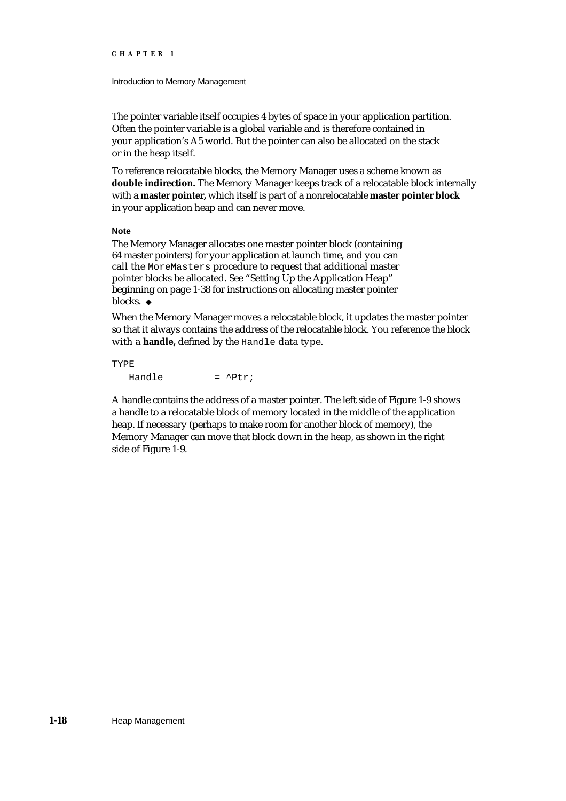#### Introduction to Memory Management

The pointer variable itself occupies 4 bytes of space in your application partition. Often the pointer variable is a global variable and is therefore contained in your application's A5 world. But the pointer can also be allocated on the stack or in the heap itself.

To reference relocatable blocks, the Memory Manager uses a scheme known as **double indirection.** The Memory Manager keeps track of a relocatable block internally with a **master pointer,** which itself is part of a nonrelocatable **master pointer block** in your application heap and can never move.

#### **Note**

The Memory Manager allocates one master pointer block (containing 64 master pointers) for your application at launch time, and you can call the MoreMasters procedure to request that additional master pointer blocks be allocated. See "Setting Up the Application Heap" beginning on page 1-38 for instructions on allocating master pointer blocks. u

When the Memory Manager moves a relocatable block, it updates the master pointer so that it always contains the address of the relocatable block. You reference the block with a **handle,** defined by the Handle data type.

#### TYPE  $Handle =  $^\wedge P \uparrow r$ ;$

A handle contains the address of a master pointer. The left side of Figure 1-9 shows a handle to a relocatable block of memory located in the middle of the application heap. If necessary (perhaps to make room for another block of memory), the Memory Manager can move that block down in the heap, as shown in the right side of Figure 1-9.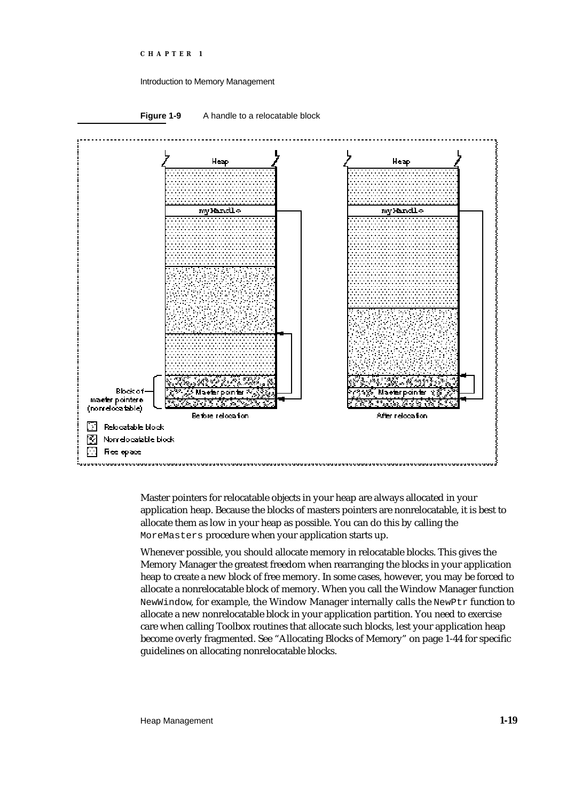#### Introduction to Memory Management



Master pointers for relocatable objects in your heap are always allocated in your application heap. Because the blocks of masters pointers are nonrelocatable, it is best to allocate them as low in your heap as possible. You can do this by calling the MoreMasters procedure when your application starts up.

Whenever possible, you should allocate memory in relocatable blocks. This gives the Memory Manager the greatest freedom when rearranging the blocks in your application heap to create a new block of free memory. In some cases, however, you may be forced to allocate a nonrelocatable block of memory. When you call the Window Manager function NewWindow, for example, the Window Manager internally calls the NewPtr function to allocate a new nonrelocatable block in your application partition. You need to exercise care when calling Toolbox routines that allocate such blocks, lest your application heap become overly fragmented. See "Allocating Blocks of Memory" on page 1-44 for specific guidelines on allocating nonrelocatable blocks.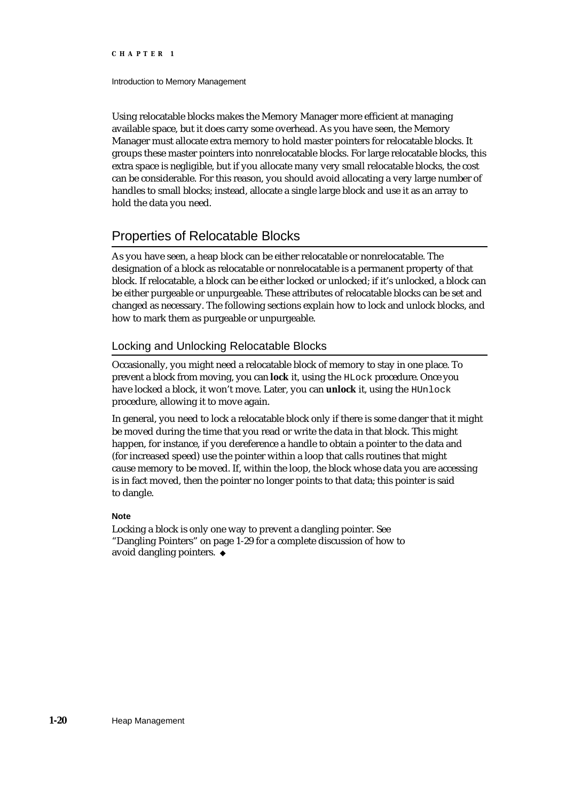#### Introduction to Memory Management

Using relocatable blocks makes the Memory Manager more efficient at managing available space, but it does carry some overhead. As you have seen, the Memory Manager must allocate extra memory to hold master pointers for relocatable blocks. It groups these master pointers into nonrelocatable blocks. For large relocatable blocks, this extra space is negligible, but if you allocate many very small relocatable blocks, the cost can be considerable. For this reason, you should avoid allocating a very large number of handles to small blocks; instead, allocate a single large block and use it as an array to hold the data you need.

# Properties of Relocatable Blocks

As you have seen, a heap block can be either relocatable or nonrelocatable. The designation of a block as relocatable or nonrelocatable is a permanent property of that block. If relocatable, a block can be either locked or unlocked; if it's unlocked, a block can be either purgeable or unpurgeable. These attributes of relocatable blocks can be set and changed as necessary. The following sections explain how to lock and unlock blocks, and how to mark them as purgeable or unpurgeable.

#### Locking and Unlocking Relocatable Blocks

Occasionally, you might need a relocatable block of memory to stay in one place. To prevent a block from moving, you can **lock** it, using the HLock procedure. Once you have locked a block, it won't move. Later, you can **unlock** it, using the HUnlock procedure, allowing it to move again.

In general, you need to lock a relocatable block only if there is some danger that it might be moved during the time that you read or write the data in that block. This might happen, for instance, if you dereference a handle to obtain a pointer to the data and (for increased speed) use the pointer within a loop that calls routines that might cause memory to be moved. If, within the loop, the block whose data you are accessing is in fact moved, then the pointer no longer points to that data; this pointer is said to dangle.

#### **Note**

Locking a block is only one way to prevent a dangling pointer. See "Dangling Pointers" on page 1-29 for a complete discussion of how to avoid dangling pointers.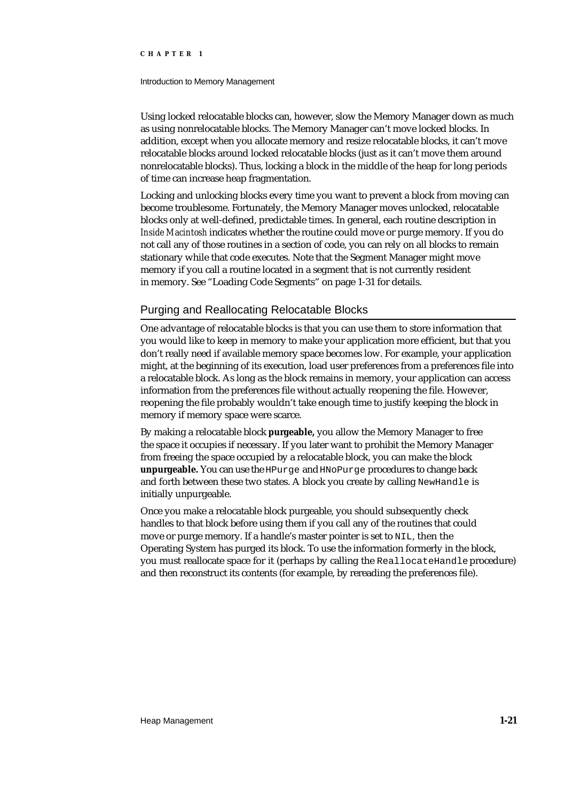#### Introduction to Memory Management

Using locked relocatable blocks can, however, slow the Memory Manager down as much as using nonrelocatable blocks. The Memory Manager can't move locked blocks. In addition, except when you allocate memory and resize relocatable blocks, it can't move relocatable blocks around locked relocatable blocks (just as it can't move them around nonrelocatable blocks). Thus, locking a block in the middle of the heap for long periods of time can increase heap fragmentation.

Locking and unlocking blocks every time you want to prevent a block from moving can become troublesome. Fortunately, the Memory Manager moves unlocked, relocatable blocks only at well-defined, predictable times. In general, each routine description in *Inside Macintosh* indicates whether the routine could move or purge memory. If you do not call any of those routines in a section of code, you can rely on all blocks to remain stationary while that code executes. Note that the Segment Manager might move memory if you call a routine located in a segment that is not currently resident in memory. See "Loading Code Segments" on page 1-31 for details.

#### Purging and Reallocating Relocatable Blocks

One advantage of relocatable blocks is that you can use them to store information that you would like to keep in memory to make your application more efficient, but that you don't really need if available memory space becomes low. For example, your application might, at the beginning of its execution, load user preferences from a preferences file into a relocatable block. As long as the block remains in memory, your application can access information from the preferences file without actually reopening the file. However, reopening the file probably wouldn't take enough time to justify keeping the block in memory if memory space were scarce.

By making a relocatable block **purgeable,** you allow the Memory Manager to free the space it occupies if necessary. If you later want to prohibit the Memory Manager from freeing the space occupied by a relocatable block, you can make the block **unpurgeable.** You can use the HPurge and HNoPurge procedures to change back and forth between these two states. A block you create by calling NewHandle is initially unpurgeable.

Once you make a relocatable block purgeable, you should subsequently check handles to that block before using them if you call any of the routines that could move or purge memory. If a handle's master pointer is set to NIL, then the Operating System has purged its block. To use the information formerly in the block, you must reallocate space for it (perhaps by calling the ReallocateHandle procedure) and then reconstruct its contents (for example, by rereading the preferences file).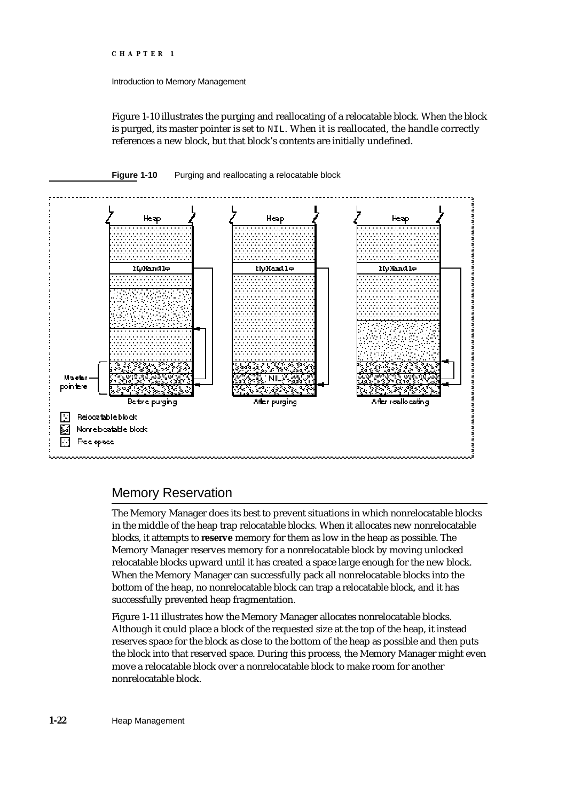#### Introduction to Memory Management

Figure 1-10 illustrates the purging and reallocating of a relocatable block. When the block is purged, its master pointer is set to NIL. When it is reallocated, the handle correctly references a new block, but that block's contents are initially undefined.

#### **Figure 1-10** Purging and reallocating a relocatable block



# Memory Reservation

The Memory Manager does its best to prevent situations in which nonrelocatable blocks in the middle of the heap trap relocatable blocks. When it allocates new nonrelocatable blocks, it attempts to **reserve** memory for them as low in the heap as possible. The Memory Manager reserves memory for a nonrelocatable block by moving unlocked relocatable blocks upward until it has created a space large enough for the new block. When the Memory Manager can successfully pack all nonrelocatable blocks into the bottom of the heap, no nonrelocatable block can trap a relocatable block, and it has successfully prevented heap fragmentation.

Figure 1-11 illustrates how the Memory Manager allocates nonrelocatable blocks. Although it could place a block of the requested size at the top of the heap, it instead reserves space for the block as close to the bottom of the heap as possible and then puts the block into that reserved space. During this process, the Memory Manager might even move a relocatable block over a nonrelocatable block to make room for another nonrelocatable block.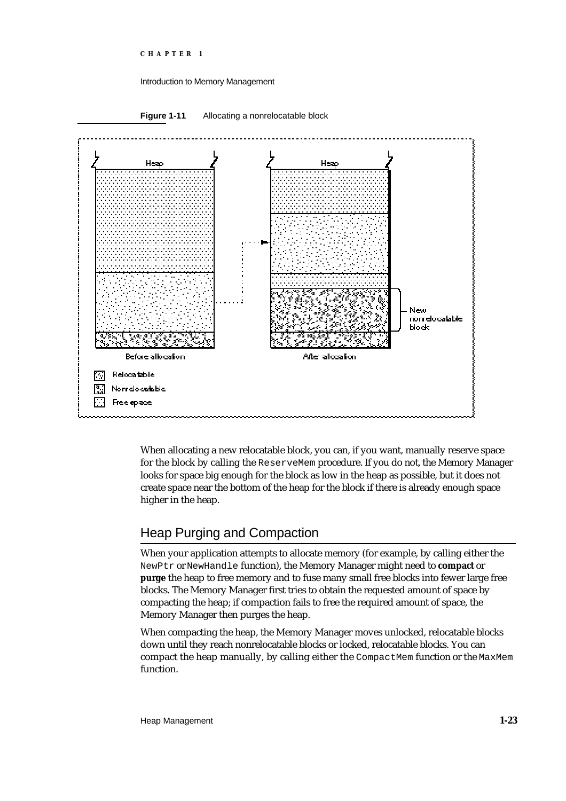### Introduction to Memory Management



When allocating a new relocatable block, you can, if you want, manually reserve space for the block by calling the ReserveMem procedure. If you do not, the Memory Manager looks for space big enough for the block as low in the heap as possible, but it does not create space near the bottom of the heap for the block if there is already enough space higher in the heap.

# Heap Purging and Compaction

When your application attempts to allocate memory (for example, by calling either the NewPtr or NewHandle function), the Memory Manager might need to **compact** or **purge** the heap to free memory and to fuse many small free blocks into fewer large free blocks. The Memory Manager first tries to obtain the requested amount of space by compacting the heap; if compaction fails to free the required amount of space, the Memory Manager then purges the heap.

When compacting the heap, the Memory Manager moves unlocked, relocatable blocks down until they reach nonrelocatable blocks or locked, relocatable blocks. You can compact the heap manually, by calling either the CompactMem function or the MaxMem function.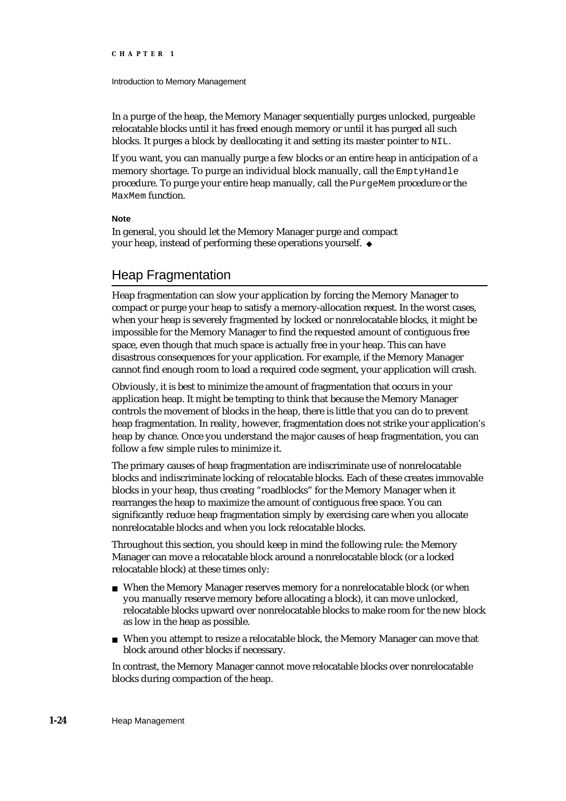### Introduction to Memory Management

In a purge of the heap, the Memory Manager sequentially purges unlocked, purgeable relocatable blocks until it has freed enough memory or until it has purged all such blocks. It purges a block by deallocating it and setting its master pointer to NIL.

If you want, you can manually purge a few blocks or an entire heap in anticipation of a memory shortage. To purge an individual block manually, call the EmptyHandle procedure. To purge your entire heap manually, call the PurgeMem procedure or the MaxMem function.

### **Note**

In general, you should let the Memory Manager purge and compact your heap, instead of performing these operations yourself.

# Heap Fragmentation

Heap fragmentation can slow your application by forcing the Memory Manager to compact or purge your heap to satisfy a memory-allocation request. In the worst cases, when your heap is severely fragmented by locked or nonrelocatable blocks, it might be impossible for the Memory Manager to find the requested amount of contiguous free space, even though that much space is actually free in your heap. This can have disastrous consequences for your application. For example, if the Memory Manager cannot find enough room to load a required code segment, your application will crash.

Obviously, it is best to minimize the amount of fragmentation that occurs in your application heap. It might be tempting to think that because the Memory Manager controls the movement of blocks in the heap, there is little that you can do to prevent heap fragmentation. In reality, however, fragmentation does not strike your application's heap by chance. Once you understand the major causes of heap fragmentation, you can follow a few simple rules to minimize it.

The primary causes of heap fragmentation are indiscriminate use of nonrelocatable blocks and indiscriminate locking of relocatable blocks. Each of these creates immovable blocks in your heap, thus creating "roadblocks" for the Memory Manager when it rearranges the heap to maximize the amount of contiguous free space. You can significantly reduce heap fragmentation simply by exercising care when you allocate nonrelocatable blocks and when you lock relocatable blocks.

Throughout this section, you should keep in mind the following rule: the Memory Manager can move a relocatable block around a nonrelocatable block (or a locked relocatable block) at these times only:

- When the Memory Manager reserves memory for a nonrelocatable block (or when you manually reserve memory before allocating a block), it can move unlocked, relocatable blocks upward over nonrelocatable blocks to make room for the new block as low in the heap as possible.
- When you attempt to resize a relocatable block, the Memory Manager can move that block around other blocks if necessary.

In contrast, the Memory Manager cannot move relocatable blocks over nonrelocatable blocks during compaction of the heap.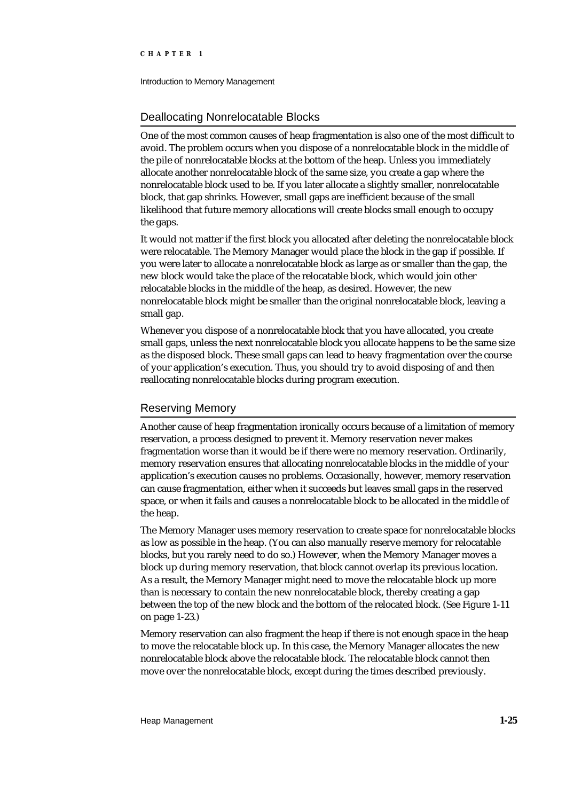Introduction to Memory Management

# Deallocating Nonrelocatable Blocks

One of the most common causes of heap fragmentation is also one of the most difficult to avoid. The problem occurs when you dispose of a nonrelocatable block in the middle of the pile of nonrelocatable blocks at the bottom of the heap. Unless you immediately allocate another nonrelocatable block of the same size, you create a gap where the nonrelocatable block used to be. If you later allocate a slightly smaller, nonrelocatable block, that gap shrinks. However, small gaps are inefficient because of the small likelihood that future memory allocations will create blocks small enough to occupy the gaps.

It would not matter if the first block you allocated after deleting the nonrelocatable block were relocatable. The Memory Manager would place the block in the gap if possible. If you were later to allocate a nonrelocatable block as large as or smaller than the gap, the new block would take the place of the relocatable block, which would join other relocatable blocks in the middle of the heap, as desired. However, the new nonrelocatable block might be smaller than the original nonrelocatable block, leaving a small gap.

Whenever you dispose of a nonrelocatable block that you have allocated, you create small gaps, unless the next nonrelocatable block you allocate happens to be the same size as the disposed block. These small gaps can lead to heavy fragmentation over the course of your application's execution. Thus, you should try to avoid disposing of and then reallocating nonrelocatable blocks during program execution.

# Reserving Memory

Another cause of heap fragmentation ironically occurs because of a limitation of memory reservation, a process designed to prevent it. Memory reservation never makes fragmentation worse than it would be if there were no memory reservation. Ordinarily, memory reservation ensures that allocating nonrelocatable blocks in the middle of your application's execution causes no problems. Occasionally, however, memory reservation can cause fragmentation, either when it succeeds but leaves small gaps in the reserved space, or when it fails and causes a nonrelocatable block to be allocated in the middle of the heap.

The Memory Manager uses memory reservation to create space for nonrelocatable blocks as low as possible in the heap. (You can also manually reserve memory for relocatable blocks, but you rarely need to do so.) However, when the Memory Manager moves a block up during memory reservation, that block cannot overlap its previous location. As a result, the Memory Manager might need to move the relocatable block up more than is necessary to contain the new nonrelocatable block, thereby creating a gap between the top of the new block and the bottom of the relocated block. (See Figure 1-11 on page 1-23.)

Memory reservation can also fragment the heap if there is not enough space in the heap to move the relocatable block up. In this case, the Memory Manager allocates the new nonrelocatable block above the relocatable block. The relocatable block cannot then move over the nonrelocatable block, except during the times described previously.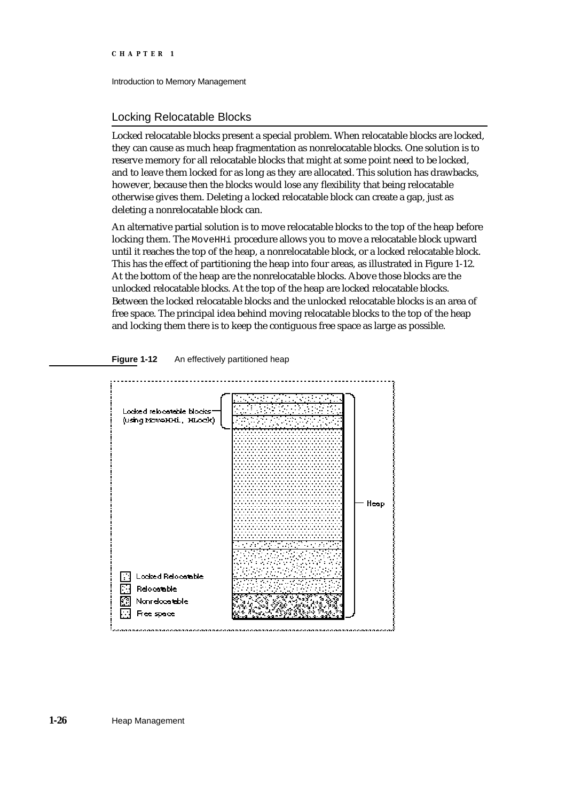Introduction to Memory Management

# Locking Relocatable Blocks

Locked relocatable blocks present a special problem. When relocatable blocks are locked, they can cause as much heap fragmentation as nonrelocatable blocks. One solution is to reserve memory for all relocatable blocks that might at some point need to be locked, and to leave them locked for as long as they are allocated. This solution has drawbacks, however, because then the blocks would lose any flexibility that being relocatable otherwise gives them. Deleting a locked relocatable block can create a gap, just as deleting a nonrelocatable block can.

An alternative partial solution is to move relocatable blocks to the top of the heap before locking them. The MoveHHi procedure allows you to move a relocatable block upward until it reaches the top of the heap, a nonrelocatable block, or a locked relocatable block. This has the effect of partitioning the heap into four areas, as illustrated in Figure 1-12. At the bottom of the heap are the nonrelocatable blocks. Above those blocks are the unlocked relocatable blocks. At the top of the heap are locked relocatable blocks. Between the locked relocatable blocks and the unlocked relocatable blocks is an area of free space. The principal idea behind moving relocatable blocks to the top of the heap and locking them there is to keep the contiguous free space as large as possible.



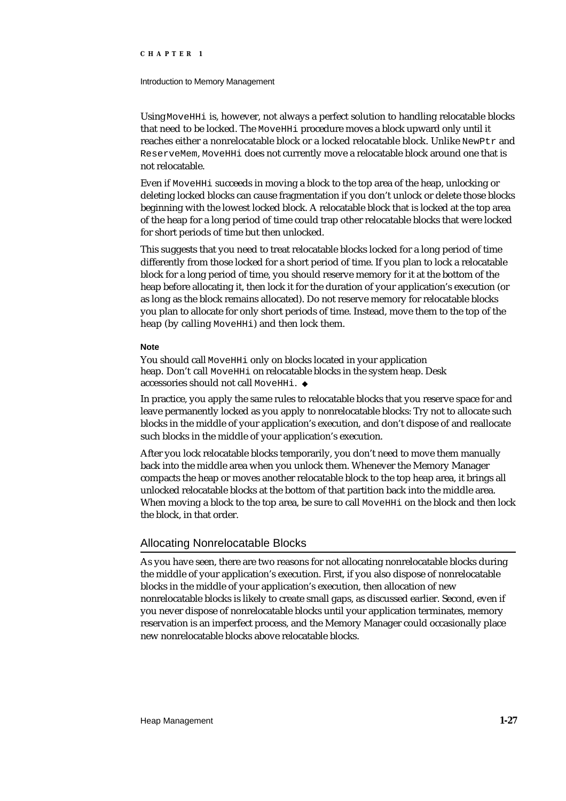### Introduction to Memory Management

Using MoveHHi is, however, not always a perfect solution to handling relocatable blocks that need to be locked. The MoveHHi procedure moves a block upward only until it reaches either a nonrelocatable block or a locked relocatable block. Unlike NewPtr and ReserveMem, MoveHHi does not currently move a relocatable block around one that is not relocatable.

Even if MoveHHi succeeds in moving a block to the top area of the heap, unlocking or deleting locked blocks can cause fragmentation if you don't unlock or delete those blocks beginning with the lowest locked block. A relocatable block that is locked at the top area of the heap for a long period of time could trap other relocatable blocks that were locked for short periods of time but then unlocked.

This suggests that you need to treat relocatable blocks locked for a long period of time differently from those locked for a short period of time. If you plan to lock a relocatable block for a long period of time, you should reserve memory for it at the bottom of the heap before allocating it, then lock it for the duration of your application's execution (or as long as the block remains allocated). Do not reserve memory for relocatable blocks you plan to allocate for only short periods of time. Instead, move them to the top of the heap (by calling MoveHH<sub>i</sub>) and then lock them.

### **Note**

You should call MoveHH<sub>i</sub> only on blocks located in your application heap. Don't call MoveHHi on relocatable blocks in the system heap. Desk accessories should not call MoveHHi.

In practice, you apply the same rules to relocatable blocks that you reserve space for and leave permanently locked as you apply to nonrelocatable blocks: Try not to allocate such blocks in the middle of your application's execution, and don't dispose of and reallocate such blocks in the middle of your application's execution.

After you lock relocatable blocks temporarily, you don't need to move them manually back into the middle area when you unlock them. Whenever the Memory Manager compacts the heap or moves another relocatable block to the top heap area, it brings all unlocked relocatable blocks at the bottom of that partition back into the middle area. When moving a block to the top area, be sure to call MoveHHi on the block and then lock the block, in that order.

# Allocating Nonrelocatable Blocks

As you have seen, there are two reasons for not allocating nonrelocatable blocks during the middle of your application's execution. First, if you also dispose of nonrelocatable blocks in the middle of your application's execution, then allocation of new nonrelocatable blocks is likely to create small gaps, as discussed earlier. Second, even if you never dispose of nonrelocatable blocks until your application terminates, memory reservation is an imperfect process, and the Memory Manager could occasionally place new nonrelocatable blocks above relocatable blocks.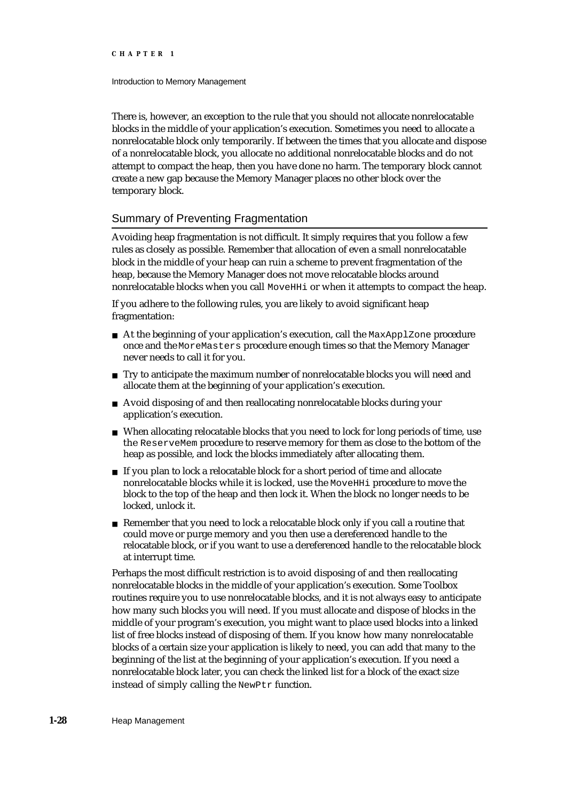### Introduction to Memory Management

There is, however, an exception to the rule that you should not allocate nonrelocatable blocks in the middle of your application's execution. Sometimes you need to allocate a nonrelocatable block only temporarily. If between the times that you allocate and dispose of a nonrelocatable block, you allocate no additional nonrelocatable blocks and do not attempt to compact the heap, then you have done no harm. The temporary block cannot create a new gap because the Memory Manager places no other block over the temporary block.

# Summary of Preventing Fragmentation

Avoiding heap fragmentation is not difficult. It simply requires that you follow a few rules as closely as possible. Remember that allocation of even a small nonrelocatable block in the middle of your heap can ruin a scheme to prevent fragmentation of the heap, because the Memory Manager does not move relocatable blocks around nonrelocatable blocks when you call MoveHHi or when it attempts to compact the heap.

If you adhere to the following rules, you are likely to avoid significant heap fragmentation:

- $n$  At the beginning of your application's execution, call the MaxApplZone procedure once and the MoreMasters procedure enough times so that the Memory Manager never needs to call it for you.
- n Try to anticipate the maximum number of nonrelocatable blocks you will need and allocate them at the beginning of your application's execution.
- Avoid disposing of and then reallocating nonrelocatable blocks during your application's execution.
- When allocating relocatable blocks that you need to lock for long periods of time, use the ReserveMem procedure to reserve memory for them as close to the bottom of the heap as possible, and lock the blocks immediately after allocating them.
- n If you plan to lock a relocatable block for a short period of time and allocate nonrelocatable blocks while it is locked, use the MoveHHi procedure to move the block to the top of the heap and then lock it. When the block no longer needs to be locked, unlock it.
- Remember that you need to lock a relocatable block only if you call a routine that  $n$ could move or purge memory and you then use a dereferenced handle to the relocatable block, or if you want to use a dereferenced handle to the relocatable block at interrupt time.

Perhaps the most difficult restriction is to avoid disposing of and then reallocating nonrelocatable blocks in the middle of your application's execution. Some Toolbox routines require you to use nonrelocatable blocks, and it is not always easy to anticipate how many such blocks you will need. If you must allocate and dispose of blocks in the middle of your program's execution, you might want to place used blocks into a linked list of free blocks instead of disposing of them. If you know how many nonrelocatable blocks of a certain size your application is likely to need, you can add that many to the beginning of the list at the beginning of your application's execution. If you need a nonrelocatable block later, you can check the linked list for a block of the exact size instead of simply calling the NewPtr function.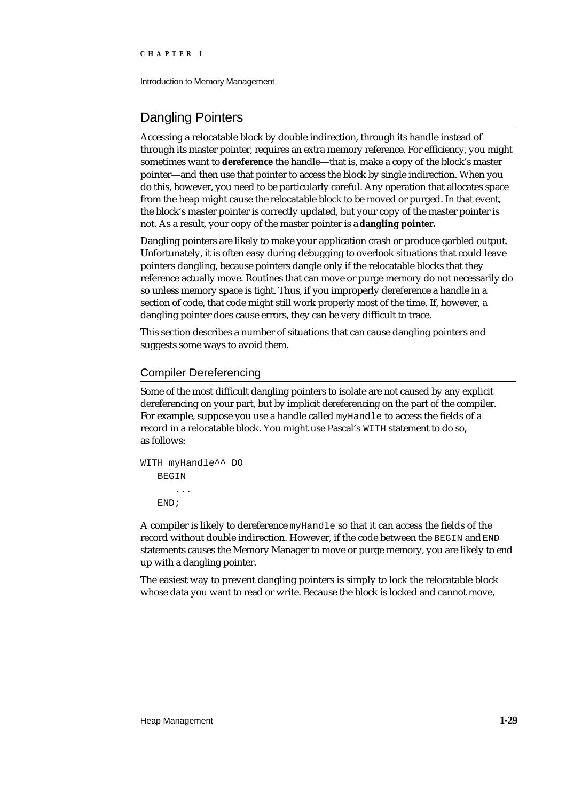Introduction to Memory Management

# Dangling Pointers

Accessing a relocatable block by double indirection, through its handle instead of through its master pointer, requires an extra memory reference. For efficiency, you might sometimes want to **dereference** the handle—that is, make a copy of the block's master pointer—and then use that pointer to access the block by single indirection. When you do this, however, you need to be particularly careful. Any operation that allocates space from the heap might cause the relocatable block to be moved or purged. In that event, the block's master pointer is correctly updated, but your copy of the master pointer is not. As a result, your copy of the master pointer is a **dangling pointer.**

Dangling pointers are likely to make your application crash or produce garbled output. Unfortunately, it is often easy during debugging to overlook situations that could leave pointers dangling, because pointers dangle only if the relocatable blocks that they reference actually move. Routines that can move or purge memory do not necessarily do so unless memory space is tight. Thus, if you improperly dereference a handle in a section of code, that code might still work properly most of the time. If, however, a dangling pointer does cause errors, they can be very difficult to trace.

This section describes a number of situations that can cause dangling pointers and suggests some ways to avoid them.

# Compiler Dereferencing

Some of the most difficult dangling pointers to isolate are not caused by any explicit dereferencing on your part, but by implicit dereferencing on the part of the compiler. For example, suppose you use a handle called myHandle to access the fields of a record in a relocatable block. You might use Pascal's WITH statement to do so, as follows:

```
WITH myHandle^^ DO
   BEGIN
       ...
   END;
```
A compiler is likely to dereference myHandle so that it can access the fields of the record without double indirection. However, if the code between the BEGIN and END statements causes the Memory Manager to move or purge memory, you are likely to end up with a dangling pointer.

The easiest way to prevent dangling pointers is simply to lock the relocatable block whose data you want to read or write. Because the block is locked and cannot move,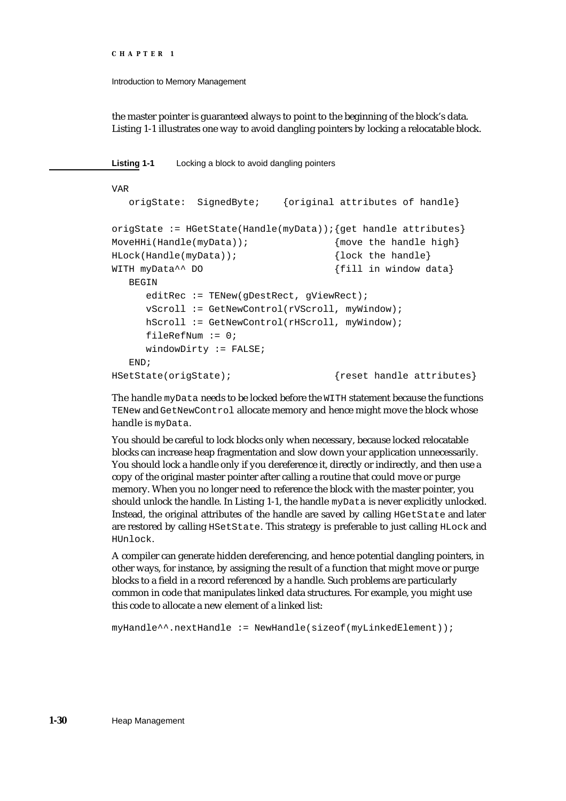Introduction to Memory Management

the master pointer is guaranteed always to point to the beginning of the block's data. Listing 1-1 illustrates one way to avoid dangling pointers by locking a relocatable block.

**Listing 1-1** Locking a block to avoid dangling pointers

```
VAR
  origState: SignedByte; {original attributes of handle}
origState := HGetState(Handle(myData)); {get handle attributes}
MoveHHi(Handle(myData)); {move} the handle high}
HLock(Handle(myData)); {lock the handle}
WITH myData<sup>^^</sup> DO {f} ill in window data}
  BEGIN
     editRec := TENew(gDestRect, gViewRect);
     vScroll := GetNewControl(rVScroll, myWindow);
     hScroll := GetNewControl(rHScroll, myWindow);
     fileRefNum := 0;
     windowDirty := FALSE;END;
HSetState(origState); {r} {reset handle attributes}
```
The handle myData needs to be locked before the WITH statement because the functions TENew and GetNewControl allocate memory and hence might move the block whose handle is myData.

You should be careful to lock blocks only when necessary, because locked relocatable blocks can increase heap fragmentation and slow down your application unnecessarily. You should lock a handle only if you dereference it, directly or indirectly, and then use a copy of the original master pointer after calling a routine that could move or purge memory. When you no longer need to reference the block with the master pointer, you should unlock the handle. In Listing 1-1, the handle myData is never explicitly unlocked. Instead, the original attributes of the handle are saved by calling HGetState and later are restored by calling HSetState. This strategy is preferable to just calling HLock and HUnlock.

A compiler can generate hidden dereferencing, and hence potential dangling pointers, in other ways, for instance, by assigning the result of a function that might move or purge blocks to a field in a record referenced by a handle. Such problems are particularly common in code that manipulates linked data structures. For example, you might use this code to allocate a new element of a linked list:

myHandle^^.nextHandle := NewHandle(sizeof(myLinkedElement));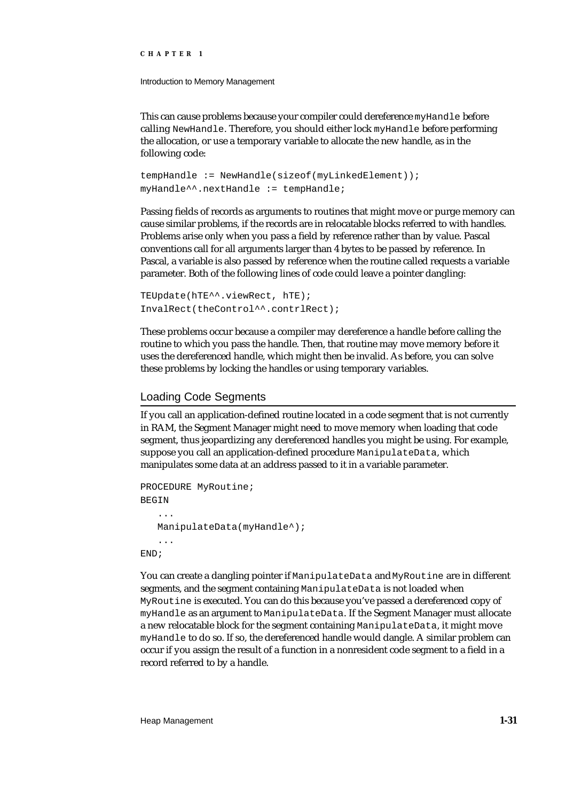Introduction to Memory Management

This can cause problems because your compiler could dereference myHandle before calling NewHandle. Therefore, you should either lock myHandle before performing the allocation, or use a temporary variable to allocate the new handle, as in the following code:

```
tempHandle := NewHandle(sizeof(myLinkedElement));
myHandle^^.nextHandle := tempHandle;
```
Passing fields of records as arguments to routines that might move or purge memory can cause similar problems, if the records are in relocatable blocks referred to with handles. Problems arise only when you pass a field by reference rather than by value. Pascal conventions call for all arguments larger than 4 bytes to be passed by reference. In Pascal, a variable is also passed by reference when the routine called requests a variable parameter. Both of the following lines of code could leave a pointer dangling:

```
TEUpdate(hTE^^.viewRect, hTE);
InvalRect(theControl^^.contrlRect);
```
These problems occur because a compiler may dereference a handle before calling the routine to which you pass the handle. Then, that routine may move memory before it uses the dereferenced handle, which might then be invalid. As before, you can solve these problems by locking the handles or using temporary variables.

### Loading Code Segments

If you call an application-defined routine located in a code segment that is not currently in RAM, the Segment Manager might need to move memory when loading that code segment, thus jeopardizing any dereferenced handles you might be using. For example, suppose you call an application-defined procedure ManipulateData, which manipulates some data at an address passed to it in a variable parameter.

```
PROCEDURE MyRoutine;
BEGIN
    ...
   ManipulateData(myHandle<sup>^</sup>);
    ...
END;
```
You can create a dangling pointer if ManipulateData and MyRoutine are in different segments, and the segment containing ManipulateData is not loaded when MyRoutine is executed. You can do this because you've passed a dereferenced copy of myHandle as an argument to ManipulateData. If the Segment Manager must allocate a new relocatable block for the segment containing ManipulateData, it might move myHandle to do so. If so, the dereferenced handle would dangle. A similar problem can occur if you assign the result of a function in a nonresident code segment to a field in a record referred to by a handle.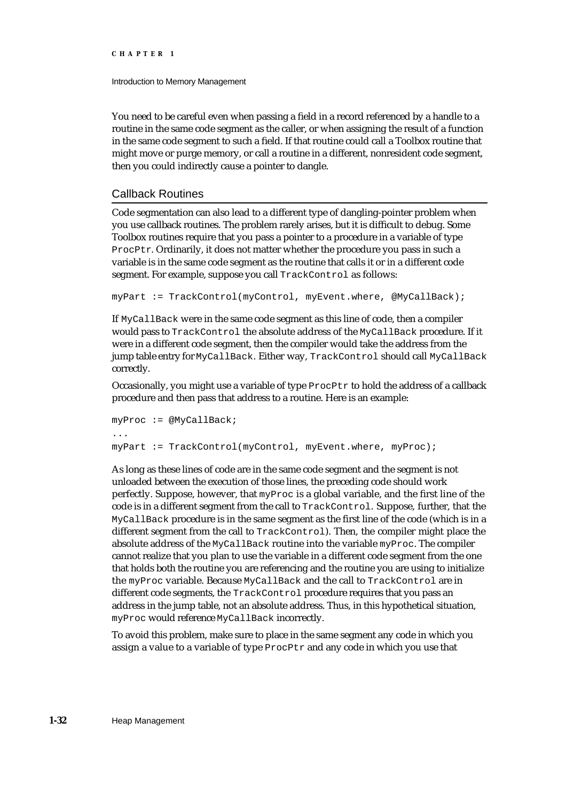Introduction to Memory Management

You need to be careful even when passing a field in a record referenced by a handle to a routine in the same code segment as the caller, or when assigning the result of a function in the same code segment to such a field. If that routine could call a Toolbox routine that might move or purge memory, or call a routine in a different, nonresident code segment, then you could indirectly cause a pointer to dangle.

# Callback Routines

Code segmentation can also lead to a different type of dangling-pointer problem when you use callback routines. The problem rarely arises, but it is difficult to debug. Some Toolbox routines require that you pass a pointer to a procedure in a variable of type ProcPtr. Ordinarily, it does not matter whether the procedure you pass in such a variable is in the same code segment as the routine that calls it or in a different code segment. For example, suppose you call TrackControl as follows:

```
myPart := TrackControl(myControl, myEvent.where, @MyCallBack);
```
If MyCallBack were in the same code segment as this line of code, then a compiler would pass to TrackControl the absolute address of the MyCallBack procedure. If it were in a different code segment, then the compiler would take the address from the jump table entry for MyCallBack. Either way, TrackControl should call MyCallBack correctly.

Occasionally, you might use a variable of type ProcPtr to hold the address of a callback procedure and then pass that address to a routine. Here is an example:

```
myProc := @MyCallBack;
...
myPart := TrackControl(myControl, myEvent.where, myProc);
```
As long as these lines of code are in the same code segment and the segment is not unloaded between the execution of those lines, the preceding code should work perfectly. Suppose, however, that myProc is a global variable, and the first line of the code is in a different segment from the call to TrackControl. Suppose, further, that the MyCallBack procedure is in the same segment as the first line of the code (which is in a different segment from the call to TrackControl). Then, the compiler might place the absolute address of the MyCallBack routine into the variable myProc. The compiler cannot realize that you plan to use the variable in a different code segment from the one that holds both the routine you are referencing and the routine you are using to initialize the myProc variable. Because MyCallBack and the call to TrackControl are in different code segments, the TrackControl procedure requires that you pass an address in the jump table, not an absolute address. Thus, in this hypothetical situation, myProc would reference MyCallBack incorrectly.

To avoid this problem, make sure to place in the same segment any code in which you assign a value to a variable of type ProcPtr and any code in which you use that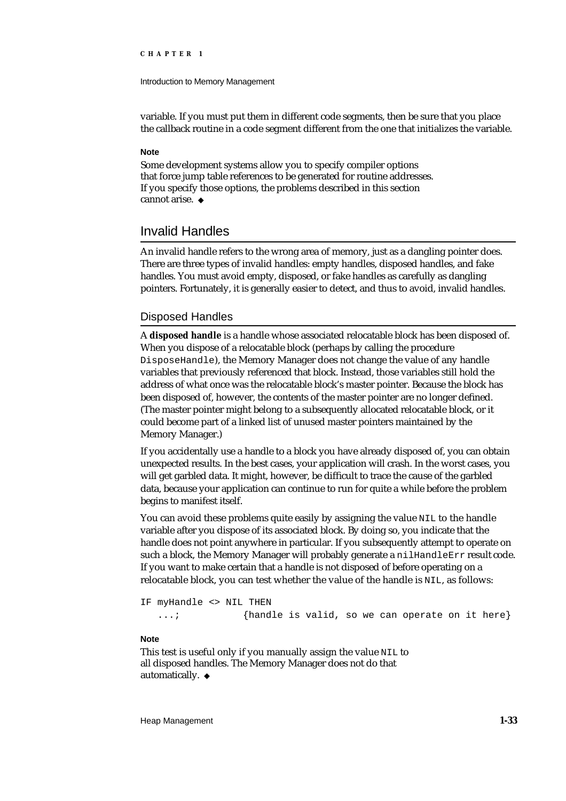### Introduction to Memory Management

variable. If you must put them in different code segments, then be sure that you place the callback routine in a code segment different from the one that initializes the variable.

# **Note**

Some development systems allow you to specify compiler options that force jump table references to be generated for routine addresses. If you specify those options, the problems described in this section cannot arise.

# Invalid Handles

An invalid handle refers to the wrong area of memory, just as a dangling pointer does. There are three types of invalid handles: empty handles, disposed handles, and fake handles. You must avoid empty, disposed, or fake handles as carefully as dangling pointers. Fortunately, it is generally easier to detect, and thus to avoid, invalid handles.

# Disposed Handles

A **disposed handle** is a handle whose associated relocatable block has been disposed of. When you dispose of a relocatable block (perhaps by calling the procedure DisposeHandle), the Memory Manager does not change the value of any handle variables that previously referenced that block. Instead, those variables still hold the address of what once was the relocatable block's master pointer. Because the block has been disposed of, however, the contents of the master pointer are no longer defined. (The master pointer might belong to a subsequently allocated relocatable block, or it could become part of a linked list of unused master pointers maintained by the Memory Manager.)

If you accidentally use a handle to a block you have already disposed of, you can obtain unexpected results. In the best cases, your application will crash. In the worst cases, you will get garbled data. It might, however, be difficult to trace the cause of the garbled data, because your application can continue to run for quite a while before the problem begins to manifest itself.

You can avoid these problems quite easily by assigning the value NIL to the handle variable after you dispose of its associated block. By doing so, you indicate that the handle does not point anywhere in particular. If you subsequently attempt to operate on such a block, the Memory Manager will probably generate a nilHandleErr result code. If you want to make certain that a handle is not disposed of before operating on a relocatable block, you can test whether the value of the handle is NIL, as follows:

IF myHandle <> NIL THEN

...; {handle is valid, so we can operate on it here}

## **Note**

This test is useful only if you manually assign the value NIL to all disposed handles. The Memory Manager does not do that automatically. u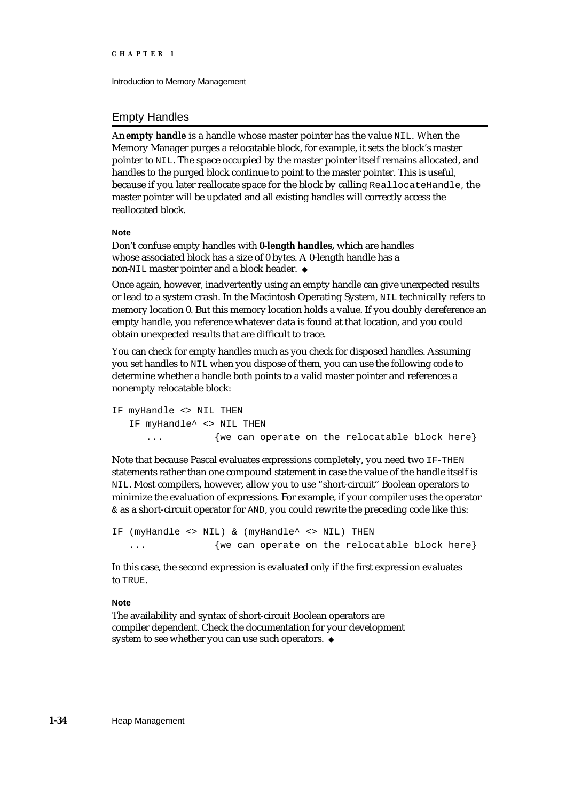Introduction to Memory Management

# Empty Handles

An **empty handle** is a handle whose master pointer has the value NIL. When the Memory Manager purges a relocatable block, for example, it sets the block's master pointer to NIL. The space occupied by the master pointer itself remains allocated, and handles to the purged block continue to point to the master pointer. This is useful, because if you later reallocate space for the block by calling ReallocateHandle, the master pointer will be updated and all existing handles will correctly access the reallocated block.

### **Note**

Don't confuse empty handles with **0-length handles,** which are handles whose associated block has a size of 0 bytes. A 0-length handle has a non-NIL master pointer and a block header.

Once again, however, inadvertently using an empty handle can give unexpected results or lead to a system crash. In the Macintosh Operating System, NIL technically refers to memory location 0. But this memory location holds a value. If you doubly dereference an empty handle, you reference whatever data is found at that location, and you could obtain unexpected results that are difficult to trace.

You can check for empty handles much as you check for disposed handles. Assuming you set handles to NIL when you dispose of them, you can use the following code to determine whether a handle both points to a valid master pointer and references a nonempty relocatable block:

```
IF myHandle <> NIL THEN
   IF myHandle<sup>^</sup> <> NIL THEN
      ... {we can operate on the relocatable block here}
```
Note that because Pascal evaluates expressions completely, you need two IF-THEN statements rather than one compound statement in case the value of the handle itself is NIL. Most compilers, however, allow you to use "short-circuit" Boolean operators to minimize the evaluation of expressions. For example, if your compiler uses the operator & as a short-circuit operator for AND, you could rewrite the preceding code like this:

```
IF (myHandle <> NIL) & (myHandle^ <> NIL) THEN
  ... {we can operate on the relocatable block here}
```
In this case, the second expression is evaluated only if the first expression evaluates to TRUE.

### **Note**

The availability and syntax of short-circuit Boolean operators are compiler dependent. Check the documentation for your development system to see whether you can use such operators. u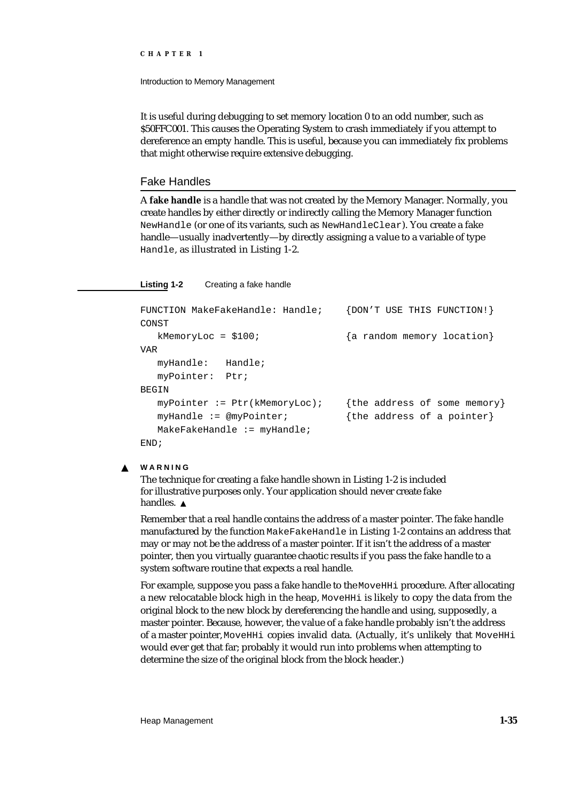Introduction to Memory Management

It is useful during debugging to set memory location 0 to an odd number, such as \$50FFC001. This causes the Operating System to crash immediately if you attempt to dereference an empty handle. This is useful, because you can immediately fix problems that might otherwise require extensive debugging.

# Fake Handles

A **fake handle** is a handle that was not created by the Memory Manager. Normally, you create handles by either directly or indirectly calling the Memory Manager function NewHandle (or one of its variants, such as NewHandleClear). You create a fake handle—usually inadvertently—by directly assigning a value to a variable of type Handle, as illustrated in Listing 1-2.

**Listing 1-2** Creating a fake handle

```
FUNCTION MakeFakeHandle: Handle; {DON'T USE THIS FUNCTION!}
CONST
  kMemoryLoc = $100; {a random memory location}
VAR
  myHandle: Handle;
  myPointer: Ptr;
BEGIN
  myPointer := Ptr(kMemoryLoc); {the address of some memory}
  myHandle := @myPointer; {the address of a pointer}
  MakeFakeHandle := myHandle;
END;
```
#### **WARNING**  $\mathbf{s}$

The technique for creating a fake handle shown in Listing 1-2 is included for illustrative purposes only. Your application should never create fake handles. s

Remember that a real handle contains the address of a master pointer. The fake handle manufactured by the function MakeFakeHandle in Listing 1-2 contains an address that may or may not be the address of a master pointer. If it isn't the address of a master pointer, then you virtually guarantee chaotic results if you pass the fake handle to a system software routine that expects a real handle.

For example, suppose you pass a fake handle to the MoveHHi procedure. After allocating a new relocatable block high in the heap, MoveHHi is likely to copy the data from the original block to the new block by dereferencing the handle and using, supposedly, a master pointer. Because, however, the value of a fake handle probably isn't the address of a master pointer, MoveHHi copies invalid data. (Actually, it's unlikely that MoveHHi would ever get that far; probably it would run into problems when attempting to determine the size of the original block from the block header.)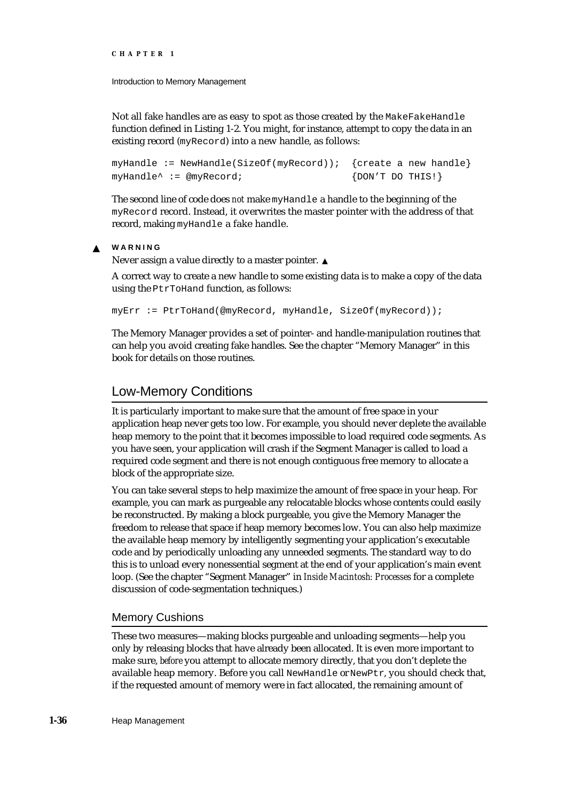Introduction to Memory Management

Not all fake handles are as easy to spot as those created by the MakeFakeHandle function defined in Listing 1-2. You might, for instance, attempt to copy the data in an existing record (myRecord) into a new handle, as follows:

myHandle := NewHandle(SizeOf(myRecord)); {create a new handle} myHandle<sup>^</sup> := @myRecord;  ${DON'T DO THIS!}$ 

The second line of code does *not* make myHandle a handle to the beginning of the myRecord record. Instead, it overwrites the master pointer with the address of that record, making myHandle a fake handle.

#### **WARNING**  $\mathbf{s}$

Never assign a value directly to a master pointer.

A correct way to create a new handle to some existing data is to make a copy of the data using the PtrToHand function, as follows:

myErr := PtrToHand(@myRecord, myHandle, SizeOf(myRecord));

The Memory Manager provides a set of pointer- and handle-manipulation routines that can help you avoid creating fake handles. See the chapter "Memory Manager" in this book for details on those routines.

# Low-Memory Conditions

It is particularly important to make sure that the amount of free space in your application heap never gets too low. For example, you should never deplete the available heap memory to the point that it becomes impossible to load required code segments. As you have seen, your application will crash if the Segment Manager is called to load a required code segment and there is not enough contiguous free memory to allocate a block of the appropriate size.

You can take several steps to help maximize the amount of free space in your heap. For example, you can mark as purgeable any relocatable blocks whose contents could easily be reconstructed. By making a block purgeable, you give the Memory Manager the freedom to release that space if heap memory becomes low. You can also help maximize the available heap memory by intelligently segmenting your application's executable code and by periodically unloading any unneeded segments. The standard way to do this is to unload every nonessential segment at the end of your application's main event loop. (See the chapter "Segment Manager" in *Inside Macintosh: Processes* for a complete discussion of code-segmentation techniques.)

# Memory Cushions

These two measures—making blocks purgeable and unloading segments—help you only by releasing blocks that have already been allocated. It is even more important to make sure, *before* you attempt to allocate memory directly, that you don't deplete the available heap memory. Before you call NewHandle or NewPtr, you should check that, if the requested amount of memory were in fact allocated, the remaining amount of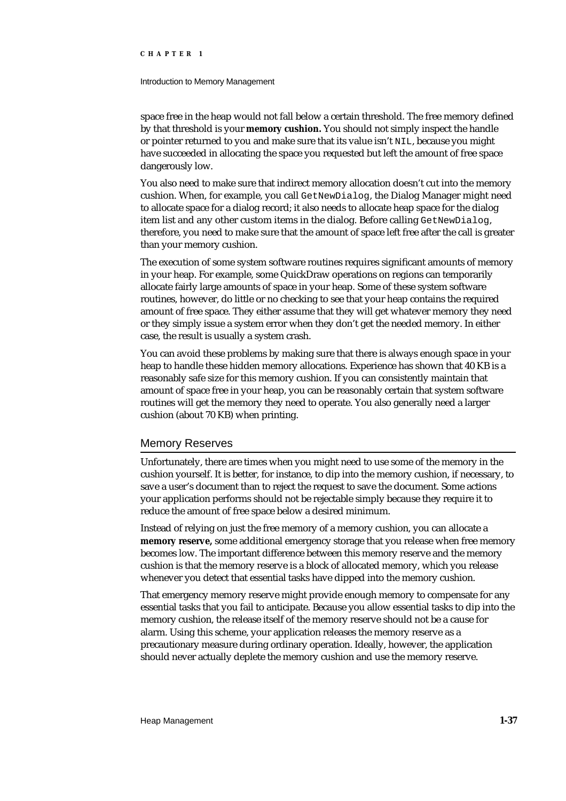### Introduction to Memory Management

space free in the heap would not fall below a certain threshold. The free memory defined by that threshold is your **memory cushion.** You should not simply inspect the handle or pointer returned to you and make sure that its value isn't NIL, because you might have succeeded in allocating the space you requested but left the amount of free space dangerously low.

You also need to make sure that indirect memory allocation doesn't cut into the memory cushion. When, for example, you call GetNewDialog, the Dialog Manager might need to allocate space for a dialog record; it also needs to allocate heap space for the dialog item list and any other custom items in the dialog. Before calling GetNewDialog, therefore, you need to make sure that the amount of space left free after the call is greater than your memory cushion.

The execution of some system software routines requires significant amounts of memory in your heap. For example, some QuickDraw operations on regions can temporarily allocate fairly large amounts of space in your heap. Some of these system software routines, however, do little or no checking to see that your heap contains the required amount of free space. They either assume that they will get whatever memory they need or they simply issue a system error when they don't get the needed memory. In either case, the result is usually a system crash.

You can avoid these problems by making sure that there is always enough space in your heap to handle these hidden memory allocations. Experience has shown that 40 KB is a reasonably safe size for this memory cushion. If you can consistently maintain that amount of space free in your heap, you can be reasonably certain that system software routines will get the memory they need to operate. You also generally need a larger cushion (about 70 KB) when printing.

### Memory Reserves

Unfortunately, there are times when you might need to use some of the memory in the cushion yourself. It is better, for instance, to dip into the memory cushion, if necessary, to save a user's document than to reject the request to save the document. Some actions your application performs should not be rejectable simply because they require it to reduce the amount of free space below a desired minimum.

Instead of relying on just the free memory of a memory cushion, you can allocate a **memory reserve,** some additional emergency storage that you release when free memory becomes low. The important difference between this memory reserve and the memory cushion is that the memory reserve is a block of allocated memory, which you release whenever you detect that essential tasks have dipped into the memory cushion.

That emergency memory reserve might provide enough memory to compensate for any essential tasks that you fail to anticipate. Because you allow essential tasks to dip into the memory cushion, the release itself of the memory reserve should not be a cause for alarm. Using this scheme, your application releases the memory reserve as a precautionary measure during ordinary operation. Ideally, however, the application should never actually deplete the memory cushion and use the memory reserve.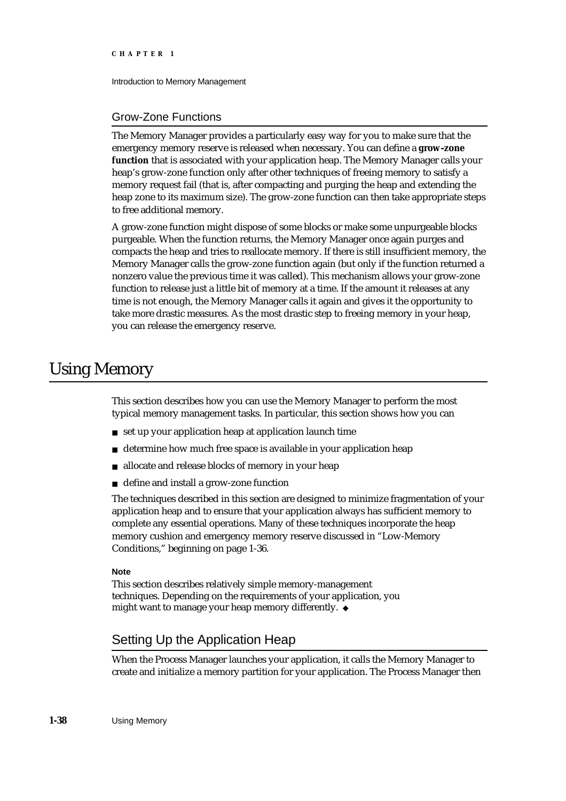Introduction to Memory Management

# Grow-Zone Functions

The Memory Manager provides a particularly easy way for you to make sure that the emergency memory reserve is released when necessary. You can define a **grow-zone function** that is associated with your application heap. The Memory Manager calls your heap's grow-zone function only after other techniques of freeing memory to satisfy a memory request fail (that is, after compacting and purging the heap and extending the heap zone to its maximum size). The grow-zone function can then take appropriate steps to free additional memory.

A grow-zone function might dispose of some blocks or make some unpurgeable blocks purgeable. When the function returns, the Memory Manager once again purges and compacts the heap and tries to reallocate memory. If there is still insufficient memory, the Memory Manager calls the grow-zone function again (but only if the function returned a nonzero value the previous time it was called). This mechanism allows your grow-zone function to release just a little bit of memory at a time. If the amount it releases at any time is not enough, the Memory Manager calls it again and gives it the opportunity to take more drastic measures. As the most drastic step to freeing memory in your heap, you can release the emergency reserve.

# Using Memory

This section describes how you can use the Memory Manager to perform the most typical memory management tasks. In particular, this section shows how you can

- set up your application heap at application launch time
- determine how much free space is available in your application heap  $n$
- allocate and release blocks of memory in your heap n.
- define and install a grow-zone function  $n$

The techniques described in this section are designed to minimize fragmentation of your application heap and to ensure that your application always has sufficient memory to complete any essential operations. Many of these techniques incorporate the heap memory cushion and emergency memory reserve discussed in "Low-Memory Conditions," beginning on page 1-36.

### **Note**

This section describes relatively simple memory-management techniques. Depending on the requirements of your application, you might want to manage your heap memory differently.

# Setting Up the Application Heap

When the Process Manager launches your application, it calls the Memory Manager to create and initialize a memory partition for your application. The Process Manager then

**1-38** Using Memory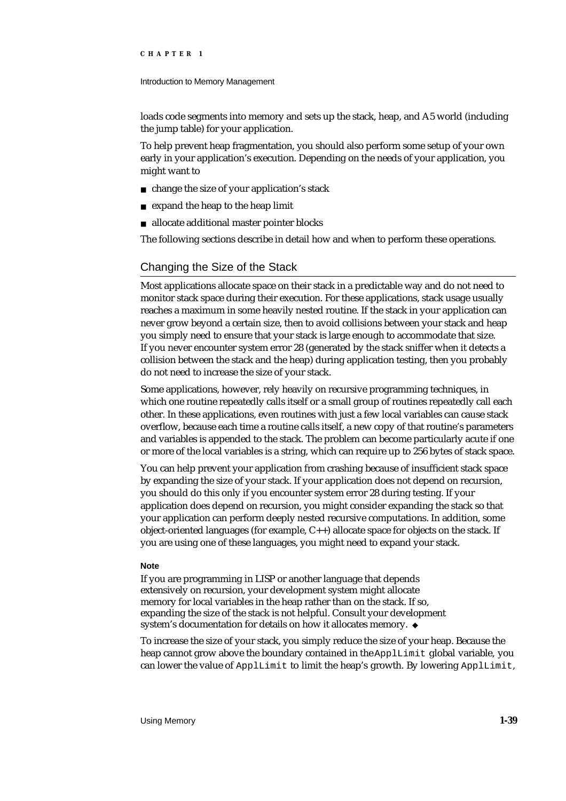### Introduction to Memory Management

loads code segments into memory and sets up the stack, heap, and A5 world (including the jump table) for your application.

To help prevent heap fragmentation, you should also perform some setup of your own early in your application's execution. Depending on the needs of your application, you might want to

- change the size of your application's stack
- expand the heap to the heap limit n.
- allocate additional master pointer blocks  $\overline{a}$

The following sections describe in detail how and when to perform these operations.

# Changing the Size of the Stack

Most applications allocate space on their stack in a predictable way and do not need to monitor stack space during their execution. For these applications, stack usage usually reaches a maximum in some heavily nested routine. If the stack in your application can never grow beyond a certain size, then to avoid collisions between your stack and heap you simply need to ensure that your stack is large enough to accommodate that size. If you never encounter system error 28 (generated by the stack sniffer when it detects a collision between the stack and the heap) during application testing, then you probably do not need to increase the size of your stack.

Some applications, however, rely heavily on recursive programming techniques, in which one routine repeatedly calls itself or a small group of routines repeatedly call each other. In these applications, even routines with just a few local variables can cause stack overflow, because each time a routine calls itself, a new copy of that routine's parameters and variables is appended to the stack. The problem can become particularly acute if one or more of the local variables is a string, which can require up to 256 bytes of stack space.

You can help prevent your application from crashing because of insufficient stack space by expanding the size of your stack. If your application does not depend on recursion, you should do this only if you encounter system error 28 during testing. If your application does depend on recursion, you might consider expanding the stack so that your application can perform deeply nested recursive computations. In addition, some object-oriented languages (for example,  $C_{++}$ ) allocate space for objects on the stack. If you are using one of these languages, you might need to expand your stack.

### **Note**

If you are programming in LISP or another language that depends extensively on recursion, your development system might allocate memory for local variables in the heap rather than on the stack. If so, expanding the size of the stack is not helpful. Consult your development system's documentation for details on how it allocates memory. u

To increase the size of your stack, you simply reduce the size of your heap. Because the heap cannot grow above the boundary contained in the ApplLimit global variable, you can lower the value of ApplLimit to limit the heap's growth. By lowering ApplLimit,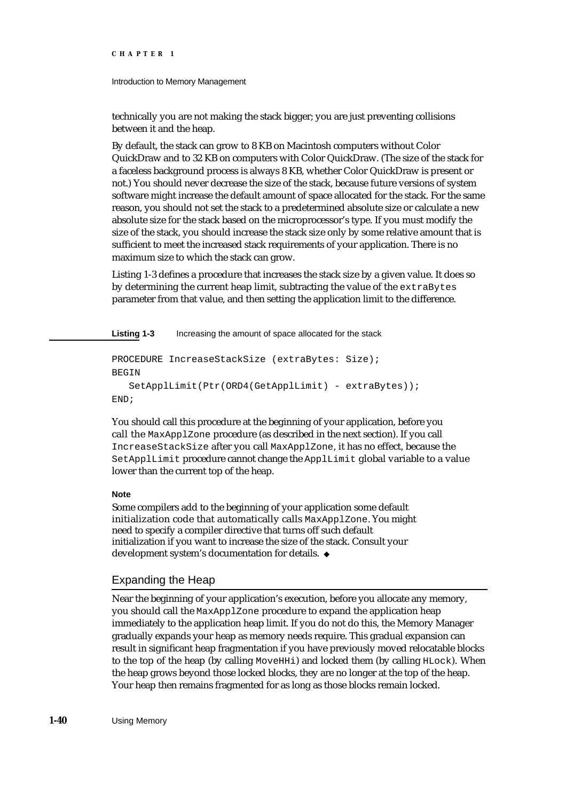Introduction to Memory Management

technically you are not making the stack bigger; you are just preventing collisions between it and the heap.

By default, the stack can grow to 8 KB on Macintosh computers without Color QuickDraw and to 32 KB on computers with Color QuickDraw. (The size of the stack for a faceless background process is always 8 KB, whether Color QuickDraw is present or not.) You should never decrease the size of the stack, because future versions of system software might increase the default amount of space allocated for the stack. For the same reason, you should not set the stack to a predetermined absolute size or calculate a new absolute size for the stack based on the microprocessor's type. If you must modify the size of the stack, you should increase the stack size only by some relative amount that is sufficient to meet the increased stack requirements of your application. There is no maximum size to which the stack can grow.

Listing 1-3 defines a procedure that increases the stack size by a given value. It does so by determining the current heap limit, subtracting the value of the extraBytes parameter from that value, and then setting the application limit to the difference.

Listing 1-3 Increasing the amount of space allocated for the stack

```
PROCEDURE IncreaseStackSize (extraBytes: Size);
BEGIN
   SetApplLimit(Ptr(ORD4(GetApplLimit) - extraBytes));
END;
```
You should call this procedure at the beginning of your application, before you call the MaxApplZone procedure (as described in the next section). If you call IncreaseStackSize after you call MaxApplZone, it has no effect, because the SetApplLimit procedure cannot change the ApplLimit global variable to a value lower than the current top of the heap.

### **Note**

Some compilers add to the beginning of your application some default initialization code that automatically calls MaxApplZone. You might need to specify a compiler directive that turns off such default initialization if you want to increase the size of the stack. Consult your development system's documentation for details.

# Expanding the Heap

Near the beginning of your application's execution, before you allocate any memory, you should call the MaxApplZone procedure to expand the application heap immediately to the application heap limit. If you do not do this, the Memory Manager gradually expands your heap as memory needs require. This gradual expansion can result in significant heap fragmentation if you have previously moved relocatable blocks to the top of the heap (by calling MoveHHi) and locked them (by calling HLock). When the heap grows beyond those locked blocks, they are no longer at the top of the heap. Your heap then remains fragmented for as long as those blocks remain locked.

**1-40** Using Memory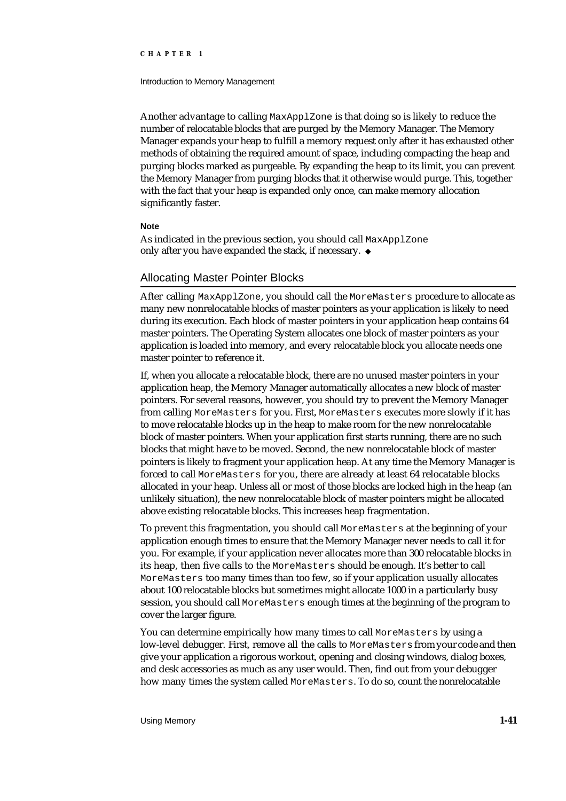#### Introduction to Memory Management

Another advantage to calling MaxApplZone is that doing so is likely to reduce the number of relocatable blocks that are purged by the Memory Manager. The Memory Manager expands your heap to fulfill a memory request only after it has exhausted other methods of obtaining the required amount of space, including compacting the heap and purging blocks marked as purgeable. By expanding the heap to its limit, you can prevent the Memory Manager from purging blocks that it otherwise would purge. This, together with the fact that your heap is expanded only once, can make memory allocation significantly faster.

### **Note**

As indicated in the previous section, you should call MaxApplZone only after you have expanded the stack, if necessary.

# Allocating Master Pointer Blocks

After calling MaxApplZone, you should call the MoreMasters procedure to allocate as many new nonrelocatable blocks of master pointers as your application is likely to need during its execution. Each block of master pointers in your application heap contains 64 master pointers. The Operating System allocates one block of master pointers as your application is loaded into memory, and every relocatable block you allocate needs one master pointer to reference it.

If, when you allocate a relocatable block, there are no unused master pointers in your application heap, the Memory Manager automatically allocates a new block of master pointers. For several reasons, however, you should try to prevent the Memory Manager from calling MoreMasters for you. First, MoreMasters executes more slowly if it has to move relocatable blocks up in the heap to make room for the new nonrelocatable block of master pointers. When your application first starts running, there are no such blocks that might have to be moved. Second, the new nonrelocatable block of master pointers is likely to fragment your application heap. At any time the Memory Manager is forced to call MoreMasters for you, there are already at least 64 relocatable blocks allocated in your heap. Unless all or most of those blocks are locked high in the heap (an unlikely situation), the new nonrelocatable block of master pointers might be allocated above existing relocatable blocks. This increases heap fragmentation.

To prevent this fragmentation, you should call MoreMasters at the beginning of your application enough times to ensure that the Memory Manager never needs to call it for you. For example, if your application never allocates more than 300 relocatable blocks in its heap, then five calls to the MoreMasters should be enough. It's better to call MoreMasters too many times than too few, so if your application usually allocates about 100 relocatable blocks but sometimes might allocate 1000 in a particularly busy session, you should call MoreMasters enough times at the beginning of the program to cover the larger figure.

You can determine empirically how many times to call MoreMasters by using a low-level debugger. First, remove all the calls to MoreMasters from your code and then give your application a rigorous workout, opening and closing windows, dialog boxes, and desk accessories as much as any user would. Then, find out from your debugger how many times the system called MoreMasters. To do so, count the nonrelocatable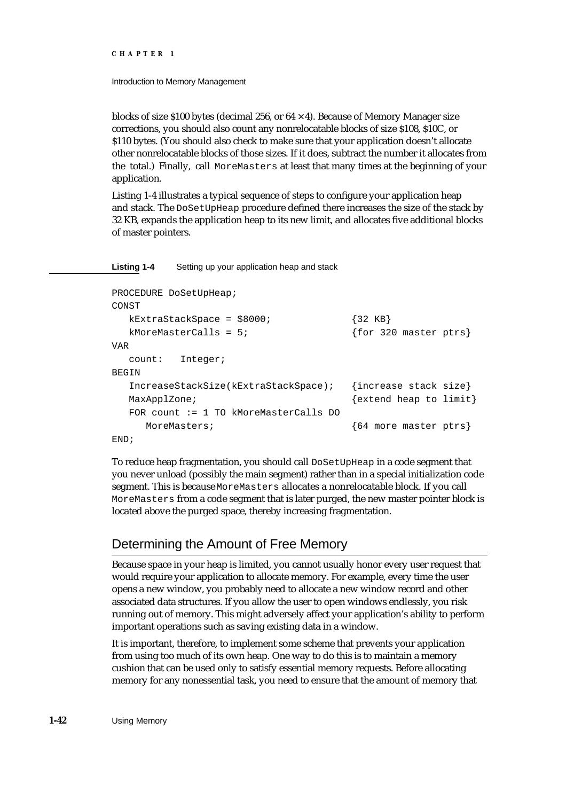### Introduction to Memory Management

blocks of size \$100 bytes (decimal 256, or  $64 \times 4$ ). Because of Memory Manager size corrections, you should also count any nonrelocatable blocks of size \$108, \$10C, or \$110 bytes. (You should also check to make sure that your application doesn't allocate other nonrelocatable blocks of those sizes. If it does, subtract the number it allocates from the total.) Finally, call MoreMasters at least that many times at the beginning of your application.

Listing 1-4 illustrates a typical sequence of steps to configure your application heap and stack. The DoSetUpHeap procedure defined there increases the size of the stack by 32 KB, expands the application heap to its new limit, and allocates five additional blocks of master pointers.

**Listing 1-4** Setting up your application heap and stack

```
PROCEDURE DoSetUpHeap;
CONST
  kExtraStackSpace = $8000; {32 KB}kMoreMasterCalls = 5; {for 320 master ptrs}
VAD
  count: Integer;
BEGIN
  IncreaseStackSize(kExtraStackSpace); {increase stack size}
  MaxApplZone; \{extend heap to limit\}FOR count := 1 TO kMoreMasterCalls DO
    MoreMasters; {64 \text{ more master prs}}END;
```
To reduce heap fragmentation, you should call DoSetUpHeap in a code segment that you never unload (possibly the main segment) rather than in a special initialization code segment. This is because MoreMasters allocates a nonrelocatable block. If you call MoreMasters from a code segment that is later purged, the new master pointer block is located above the purged space, thereby increasing fragmentation.

# Determining the Amount of Free Memory

Because space in your heap is limited, you cannot usually honor every user request that would require your application to allocate memory. For example, every time the user opens a new window, you probably need to allocate a new window record and other associated data structures. If you allow the user to open windows endlessly, you risk running out of memory. This might adversely affect your application's ability to perform important operations such as saving existing data in a window.

It is important, therefore, to implement some scheme that prevents your application from using too much of its own heap. One way to do this is to maintain a memory cushion that can be used only to satisfy essential memory requests. Before allocating memory for any nonessential task, you need to ensure that the amount of memory that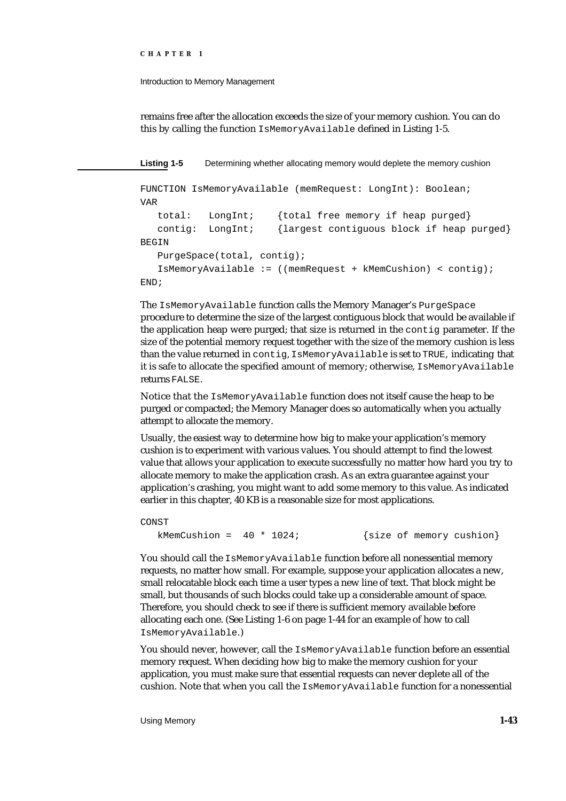Introduction to Memory Management

remains free after the allocation exceeds the size of your memory cushion. You can do this by calling the function IsMemoryAvailable defined in Listing 1-5.

**Listing 1-5** Determining whether allocating memory would deplete the memory cushion

```
FUNCTION IsMemoryAvailable (memRequest: LongInt): Boolean;
VAR
  total: LongInt; {total free memory if heap purged}
  contig: LongInt; {largest contiguous block if heap purged}
BEGIN
  PurgeSpace(total, contig);
  IsMemoryAvailable := ((memRequest + kMemCushion) < contig);
END;
```
The IsMemoryAvailable function calls the Memory Manager's PurgeSpace procedure to determine the size of the largest contiguous block that would be available if the application heap were purged; that size is returned in the contig parameter. If the size of the potential memory request together with the size of the memory cushion is less than the value returned in contig, IsMemoryAvailable is set to TRUE, indicating that it is safe to allocate the specified amount of memory; otherwise, IsMemoryAvailable returns FALSE.

Notice that the IsMemoryAvailable function does not itself cause the heap to be purged or compacted; the Memory Manager does so automatically when you actually attempt to allocate the memory.

Usually, the easiest way to determine how big to make your application's memory cushion is to experiment with various values. You should attempt to find the lowest value that allows your application to execute successfully no matter how hard you try to allocate memory to make the application crash. As an extra guarantee against your application's crashing, you might want to add some memory to this value. As indicated earlier in this chapter, 40 KB is a reasonable size for most applications.

CONST

```
kMemCushion = 40 * 1024; {size of memory culsion}
```
You should call the IsMemoryAvailable function before all nonessential memory requests, no matter how small. For example, suppose your application allocates a new, small relocatable block each time a user types a new line of text. That block might be small, but thousands of such blocks could take up a considerable amount of space. Therefore, you should check to see if there is sufficient memory available before allocating each one. (See Listing 1-6 on page 1-44 for an example of how to call IsMemoryAvailable.)

You should never, however, call the IsMemoryAvailable function before an essential memory request. When deciding how big to make the memory cushion for your application, you must make sure that essential requests can never deplete all of the cushion. Note that when you call the IsMemoryAvailable function for a nonessential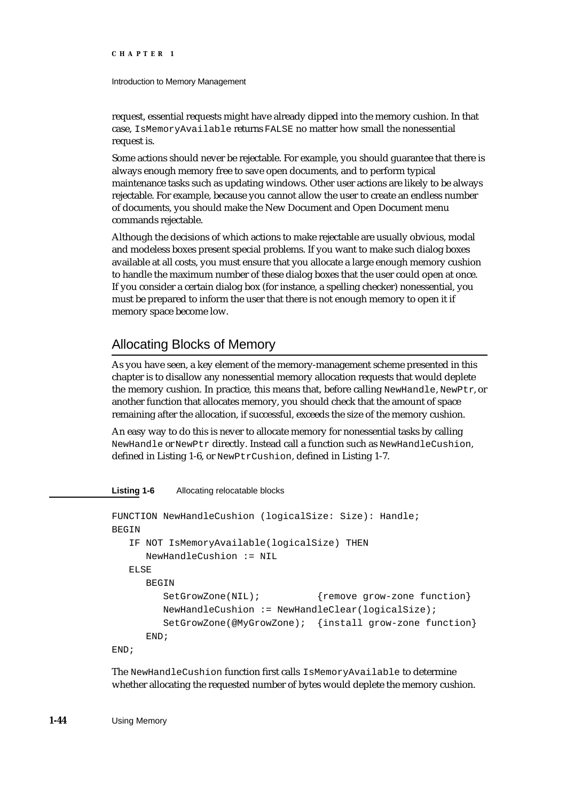### Introduction to Memory Management

request, essential requests might have already dipped into the memory cushion. In that case, IsMemoryAvailable returns FALSE no matter how small the nonessential request is.

Some actions should never be rejectable. For example, you should guarantee that there is always enough memory free to save open documents, and to perform typical maintenance tasks such as updating windows. Other user actions are likely to be always rejectable. For example, because you cannot allow the user to create an endless number of documents, you should make the New Document and Open Document menu commands rejectable.

Although the decisions of which actions to make rejectable are usually obvious, modal and modeless boxes present special problems. If you want to make such dialog boxes available at all costs, you must ensure that you allocate a large enough memory cushion to handle the maximum number of these dialog boxes that the user could open at once. If you consider a certain dialog box (for instance, a spelling checker) nonessential, you must be prepared to inform the user that there is not enough memory to open it if memory space become low.

# Allocating Blocks of Memory

As you have seen, a key element of the memory-management scheme presented in this chapter is to disallow any nonessential memory allocation requests that would deplete the memory cushion. In practice, this means that, before calling NewHandle, NewPtr, or another function that allocates memory, you should check that the amount of space remaining after the allocation, if successful, exceeds the size of the memory cushion.

An easy way to do this is never to allocate memory for nonessential tasks by calling NewHandle or NewPtr directly. Instead call a function such as NewHandleCushion, defined in Listing 1-6, or NewPtrCushion, defined in Listing 1-7.

### **Listing 1-6** Allocating relocatable blocks

```
FUNCTION NewHandleCushion (logicalSize: Size): Handle;
BEGIN
  IF NOT IsMemoryAvailable(logicalSize) THEN
     NewHandleCushion := NIL
  ELSE
     BEGIN
        SetGrowZone(NIL); {remove grow-zone function}
        NewHandleCushion := NewHandleClear(logicalSize);
        SetGrowZone(@MyGrowZone); {install grow-zone function}
     END;
END;
```
The NewHandleCushion function first calls IsMemoryAvailable to determine whether allocating the requested number of bytes would deplete the memory cushion.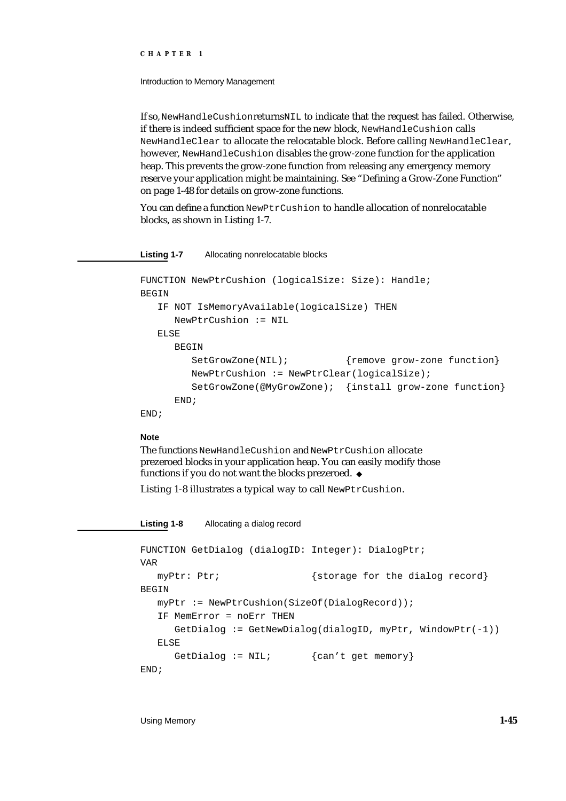Introduction to Memory Management

If so, NewHandleCushion returns NIL to indicate that the request has failed. Otherwise, if there is indeed sufficient space for the new block, NewHandleCushion calls NewHandleClear to allocate the relocatable block. Before calling NewHandleClear, however, NewHandleCushion disables the grow-zone function for the application heap. This prevents the grow-zone function from releasing any emergency memory reserve your application might be maintaining. See "Defining a Grow-Zone Function" on page 1-48 for details on grow-zone functions.

You can define a function NewPtrCushion to handle allocation of nonrelocatable blocks, as shown in Listing 1-7.

**Listing 1-7** Allocating nonrelocatable blocks

```
FUNCTION NewPtrCushion (logicalSize: Size): Handle;
BEGIN
  IF NOT IsMemoryAvailable(logicalSize) THEN
     NewPtrCushion := NIL
  ELSE
     BEGIN
        SetGrowZone(NIL); {remove grow-zone function}
        NewPtrCushion := NewPtrClear(logicalSize);
        SetGrowZone(@MyGrowZone); {install grow-zone function}
     END;
END;
```
# **Note**

The functions NewHandleCushion and NewPtrCushion allocate prezeroed blocks in your application heap. You can easily modify those functions if you do not want the blocks prezeroed.

Listing 1-8 illustrates a typical way to call NewPtrCushion.

**Listing 1-8** Allocating a dialog record

```
FUNCTION GetDialog (dialogID: Integer): DialogPtr;
VAR
   myPtr: Ptr; {s\times s} {storage for the dialog record}
BEGIN
  myPtr := NewPtrCushion(SizeOf(DialogRecord));
   IF MemError = noErr THEN
     GetDialog := GetNewDialog(dialogID, myPtr, WindowPtr(-1))
   ELSE
     GetDialog := \text{NIL}; {can't get memory}
END;
```
Using Memory **1-45**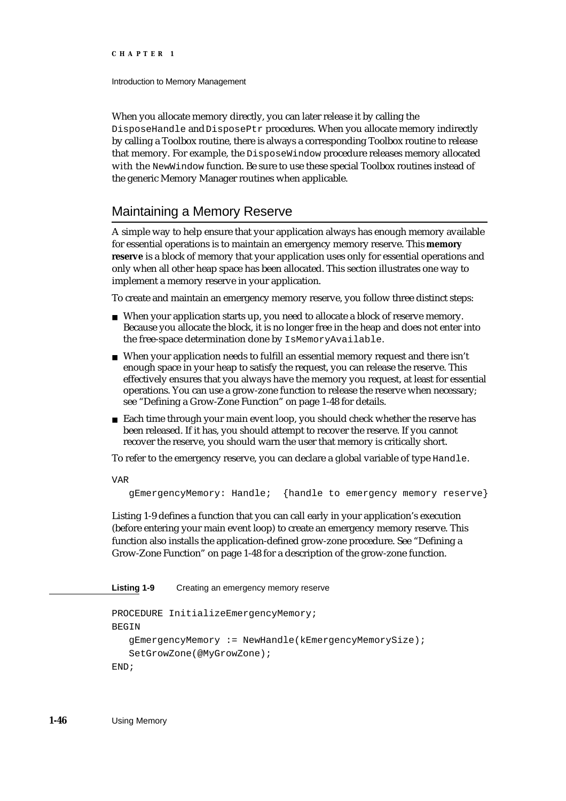Introduction to Memory Management

When you allocate memory directly, you can later release it by calling the DisposeHandle and DisposePtr procedures. When you allocate memory indirectly by calling a Toolbox routine, there is always a corresponding Toolbox routine to release that memory. For example, the DisposeWindow procedure releases memory allocated with the NewWindow function. Be sure to use these special Toolbox routines instead of the generic Memory Manager routines when applicable.

# Maintaining a Memory Reserve

A simple way to help ensure that your application always has enough memory available for essential operations is to maintain an emergency memory reserve. This **memory reserve** is a block of memory that your application uses only for essential operations and only when all other heap space has been allocated. This section illustrates one way to implement a memory reserve in your application.

To create and maintain an emergency memory reserve, you follow three distinct steps:

- n When your application starts up, you need to allocate a block of reserve memory. Because you allocate the block, it is no longer free in the heap and does not enter into the free-space determination done by IsMemoryAvailable.
- When your application needs to fulfill an essential memory request and there isn't enough space in your heap to satisfy the request, you can release the reserve. This effectively ensures that you always have the memory you request, at least for essential operations. You can use a grow-zone function to release the reserve when necessary; see "Defining a Grow-Zone Function" on page 1-48 for details.
- $n$  Each time through your main event loop, you should check whether the reserve has been released. If it has, you should attempt to recover the reserve. If you cannot recover the reserve, you should warn the user that memory is critically short.

To refer to the emergency reserve, you can declare a global variable of type Handle.

```
VAR
```
gEmergencyMemory: Handle; {handle to emergency memory reserve}

Listing 1-9 defines a function that you can call early in your application's execution (before entering your main event loop) to create an emergency memory reserve. This function also installs the application-defined grow-zone procedure. See "Defining a Grow-Zone Function" on page 1-48 for a description of the grow-zone function.

**Listing 1-9** Creating an emergency memory reserve

```
PROCEDURE InitializeEmergencyMemory;
BEGIN
   gEmergencyMemory := NewHandle(kEmergencyMemorySize);
   SetGrowZone(@MyGrowZone);
END;
```
**1-46** Using Memory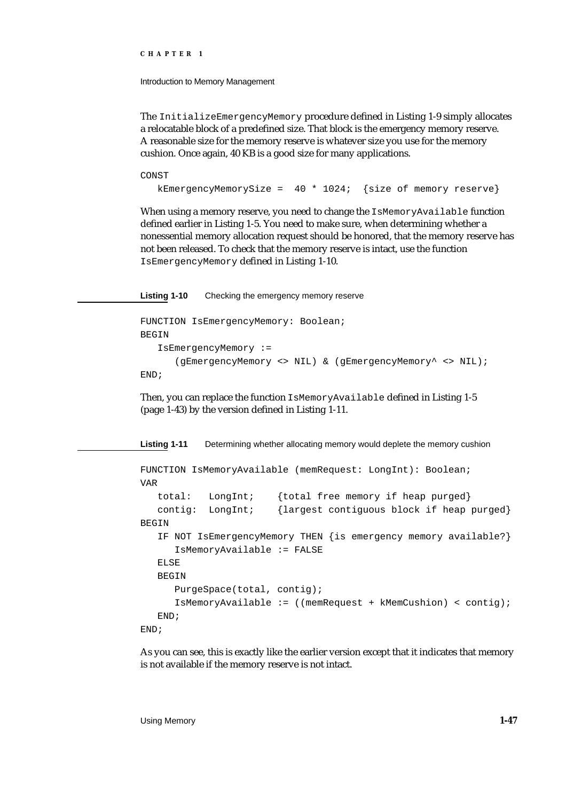Introduction to Memory Management

The InitializeEmergencyMemory procedure defined in Listing 1-9 simply allocates a relocatable block of a predefined size. That block is the emergency memory reserve. A reasonable size for the memory reserve is whatever size you use for the memory cushion. Once again, 40 KB is a good size for many applications.

CONST

```
kEmergencyMemorySize = 40 * 1024; {size of memory reserve}
```
When using a memory reserve, you need to change the IsMemoryAvailable function defined earlier in Listing 1-5. You need to make sure, when determining whether a nonessential memory allocation request should be honored, that the memory reserve has not been released. To check that the memory reserve is intact, use the function IsEmergencyMemory defined in Listing 1-10.

**Listing 1-10** Checking the emergency memory reserve

```
FUNCTION IsEmergencyMemory: Boolean;
BEGIN
   IsEmergencyMemory := 
      (gEmergencyMemory <> NIL) & (gEmergencyMemory^ <> NIL);
END;
```
Then, you can replace the function IsMemoryAvailable defined in Listing 1-5 (page 1-43) by the version defined in Listing 1-11.

**Listing 1-11** Determining whether allocating memory would deplete the memory cushion FUNCTION IsMemoryAvailable (memRequest: LongInt): Boolean; VAR total: LongInt; {total free memory if heap purged} contig: LongInt; {largest contiguous block if heap purged} BEGIN IF NOT IsEmergencyMemory THEN {is emergency memory available?} IsMemoryAvailable := FALSE ELSE BEGIN PurgeSpace(total, contig); IsMemoryAvailable := ((memRequest + kMemCushion) < contig); END; END;

As you can see, this is exactly like the earlier version except that it indicates that memory is not available if the memory reserve is not intact.

Using Memory **1-47**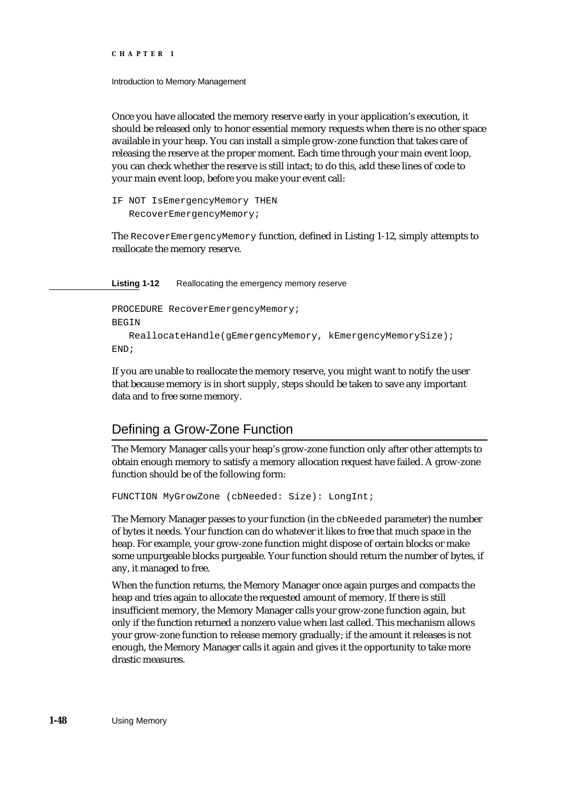Introduction to Memory Management

Once you have allocated the memory reserve early in your application's execution, it should be released only to honor essential memory requests when there is no other space available in your heap. You can install a simple grow-zone function that takes care of releasing the reserve at the proper moment. Each time through your main event loop, you can check whether the reserve is still intact; to do this, add these lines of code to your main event loop, before you make your event call:

IF NOT IsEmergencyMemory THEN RecoverEmergencyMemory;

The RecoverEmergencyMemory function, defined in Listing 1-12, simply attempts to reallocate the memory reserve.

Listing 1-12 Reallocating the emergency memory reserve

```
PROCEDURE RecoverEmergencyMemory;
BEGIN
   ReallocateHandle(gEmergencyMemory, kEmergencyMemorySize);
END;
```
If you are unable to reallocate the memory reserve, you might want to notify the user that because memory is in short supply, steps should be taken to save any important data and to free some memory.

# Defining a Grow-Zone Function

The Memory Manager calls your heap's grow-zone function only after other attempts to obtain enough memory to satisfy a memory allocation request have failed. A grow-zone function should be of the following form:

```
FUNCTION MyGrowZone (cbNeeded: Size): LongInt;
```
The Memory Manager passes to your function (in the cbNeeded parameter) the number of bytes it needs. Your function can do whatever it likes to free that much space in the heap. For example, your grow-zone function might dispose of certain blocks or make some unpurgeable blocks purgeable. Your function should return the number of bytes, if any, it managed to free.

When the function returns, the Memory Manager once again purges and compacts the heap and tries again to allocate the requested amount of memory. If there is still insufficient memory, the Memory Manager calls your grow-zone function again, but only if the function returned a nonzero value when last called. This mechanism allows your grow-zone function to release memory gradually; if the amount it releases is not enough, the Memory Manager calls it again and gives it the opportunity to take more drastic measures.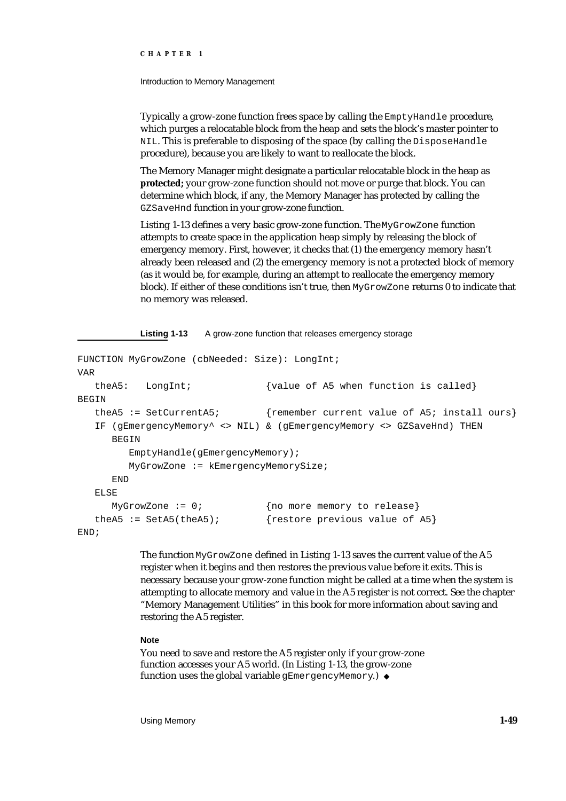Introduction to Memory Management

Typically a grow-zone function frees space by calling the EmptyHandle procedure, which purges a relocatable block from the heap and sets the block's master pointer to NIL. This is preferable to disposing of the space (by calling the DisposeHandle procedure), because you are likely to want to reallocate the block.

The Memory Manager might designate a particular relocatable block in the heap as **protected;** your grow-zone function should not move or purge that block. You can determine which block, if any, the Memory Manager has protected by calling the GZSaveHnd function in your grow-zone function.

Listing 1-13 defines a very basic grow-zone function. The MyGrowZone function attempts to create space in the application heap simply by releasing the block of emergency memory. First, however, it checks that (1) the emergency memory hasn't already been released and (2) the emergency memory is not a protected block of memory (as it would be, for example, during an attempt to reallocate the emergency memory block). If either of these conditions isn't true, then MyGrowZone returns 0 to indicate that no memory was released.

Listing 1-13 A grow-zone function that releases emergency storage

```
FUNCTION MyGrowZone (cbNeeded: Size): LongInt;
VAR
  theA5: LongInt; {value of A5 when function is called}BEGIN
  theA5 := SetCurrentA5; {remember current value of A5; install ours}
  IF (gEmergencyMemory^ <> NIL) & (gEmergencyMemory <> GZSaveHnd) THEN
     BEGIN
        EmptyHandle(gEmergencyMemory);
        MyGrowZone := kEmergencyMemorySize;
     END
  ELSE
     MyGrowZone := 0; {no more memory to release}
  theA5 := SetA5(theA5); {rescore\ previous\ value\ of\ A5}END;
```
The function MyGrowZone defined in Listing 1-13 saves the current value of the A5 register when it begins and then restores the previous value before it exits. This is necessary because your grow-zone function might be called at a time when the system is attempting to allocate memory and value in the A5 register is not correct. See the chapter "Memory Management Utilities" in this book for more information about saving and restoring the A5 register.

### **Note**

You need to save and restore the A5 register only if your grow-zone function accesses your A5 world. (In Listing 1-13, the grow-zone function uses the global variable qEmergencyMemory.) u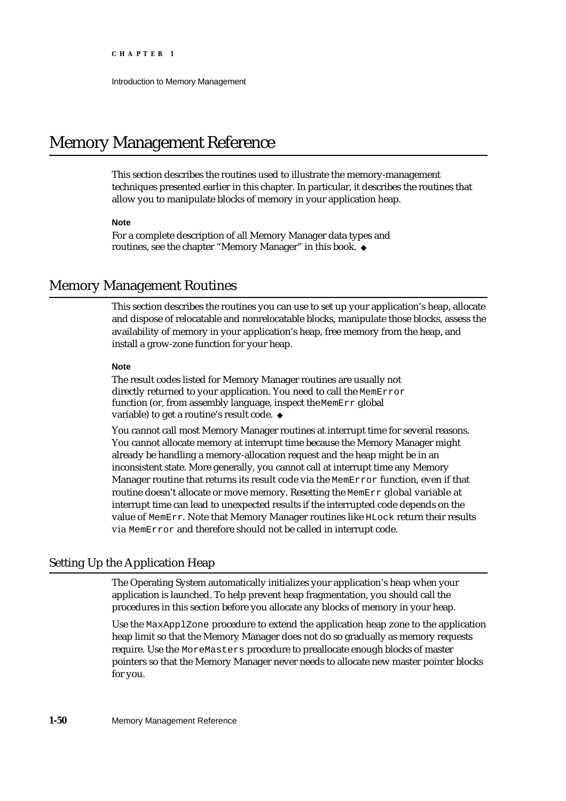# Memory Management Reference

This section describes the routines used to illustrate the memory-management techniques presented earlier in this chapter. In particular, it describes the routines that allow you to manipulate blocks of memory in your application heap.

### **Note**

For a complete description of all Memory Manager data types and routines, see the chapter "Memory Manager" in this book.

# Memory Management Routines

This section describes the routines you can use to set up your application's heap, allocate and dispose of relocatable and nonrelocatable blocks, manipulate those blocks, assess the availability of memory in your application's heap, free memory from the heap, and install a grow-zone function for your heap.

### **Note**

The result codes listed for Memory Manager routines are usually not directly returned to your application. You need to call the MemError function (or, from assembly language, inspect the MemErr global variable) to get a routine's result code.

You cannot call most Memory Manager routines at interrupt time for several reasons. You cannot allocate memory at interrupt time because the Memory Manager might already be handling a memory-allocation request and the heap might be in an inconsistent state. More generally, you cannot call at interrupt time any Memory Manager routine that returns its result code via the MemError function, even if that routine doesn't allocate or move memory. Resetting the MemErr global variable at interrupt time can lead to unexpected results if the interrupted code depends on the value of MemErr. Note that Memory Manager routines like HLock return their results via MemError and therefore should not be called in interrupt code.

# Setting Up the Application Heap

The Operating System automatically initializes your application's heap when your application is launched. To help prevent heap fragmentation, you should call the procedures in this section before you allocate any blocks of memory in your heap.

Use the MaxApplZone procedure to extend the application heap zone to the application heap limit so that the Memory Manager does not do so gradually as memory requests require. Use the MoreMasters procedure to preallocate enough blocks of master pointers so that the Memory Manager never needs to allocate new master pointer blocks for you.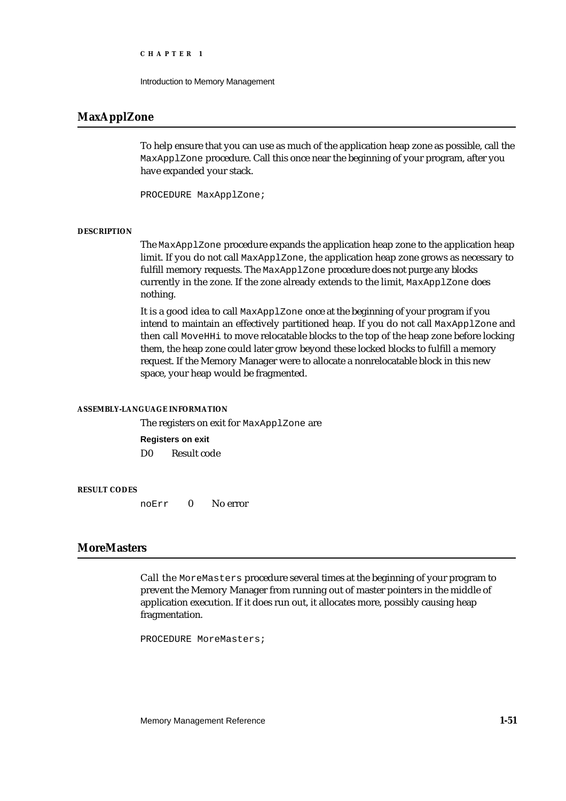```
CHAPTER 1
```
Introduction to Memory Management

# **MaxApplZone**

To help ensure that you can use as much of the application heap zone as possible, call the MaxApplZone procedure. Call this once near the beginning of your program, after you have expanded your stack.

PROCEDURE MaxApplZone;

### **DESCRIPTION**

The MaxApplZone procedure expands the application heap zone to the application heap limit. If you do not call MaxApplZone, the application heap zone grows as necessary to fulfill memory requests. The MaxApplZone procedure does not purge any blocks currently in the zone. If the zone already extends to the limit, MaxApplZone does nothing.

It is a good idea to call MaxApplZone once at the beginning of your program if you intend to maintain an effectively partitioned heap. If you do not call MaxApplZone and then call MoveHHi to move relocatable blocks to the top of the heap zone before locking them, the heap zone could later grow beyond these locked blocks to fulfill a memory request. If the Memory Manager were to allocate a nonrelocatable block in this new space, your heap would be fragmented.

### **ASSEMBLY-LANGUAGE INFORMATION**

The registers on exit for MaxApplZone are **Registers on exit** D0 Result code

# **RESULT CODES**

noErr 0 No error

# **MoreMasters**

Call the MoreMasters procedure several times at the beginning of your program to prevent the Memory Manager from running out of master pointers in the middle of application execution. If it does run out, it allocates more, possibly causing heap fragmentation.

PROCEDURE MoreMasters;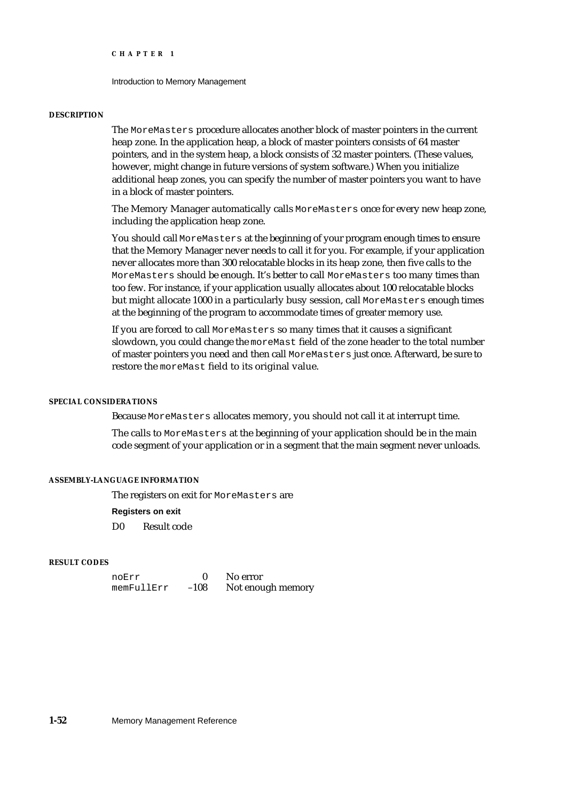### Introduction to Memory Management

### **DESCRIPTION**

The MoreMasters procedure allocates another block of master pointers in the current heap zone. In the application heap, a block of master pointers consists of 64 master pointers, and in the system heap, a block consists of 32 master pointers. (These values, however, might change in future versions of system software.) When you initialize additional heap zones, you can specify the number of master pointers you want to have in a block of master pointers.

The Memory Manager automatically calls MoreMasters once for every new heap zone, including the application heap zone.

You should call MoreMasters at the beginning of your program enough times to ensure that the Memory Manager never needs to call it for you. For example, if your application never allocates more than 300 relocatable blocks in its heap zone, then five calls to the MoreMasters should be enough. It's better to call MoreMasters too many times than too few. For instance, if your application usually allocates about 100 relocatable blocks but might allocate 1000 in a particularly busy session, call MoreMasters enough times at the beginning of the program to accommodate times of greater memory use.

If you are forced to call MoreMasters so many times that it causes a significant slowdown, you could change the moreMast field of the zone header to the total number of master pointers you need and then call MoreMasters just once. Afterward, be sure to restore the moreMast field to its original value.

### **SPECIAL CONSIDERATIONS**

Because MoreMasters allocates memory, you should not call it at interrupt time.

The calls to MoreMasters at the beginning of your application should be in the main code segment of your application or in a segment that the main segment never unloads.

### **ASSEMBLY-LANGUAGE INFORMATION**

The registers on exit for MoreMasters are

### **Registers on exit**

D0 Result code

### **RESULT CODES**

noErr 0 No error<br>memFullErr -108 Notenou Not enough memory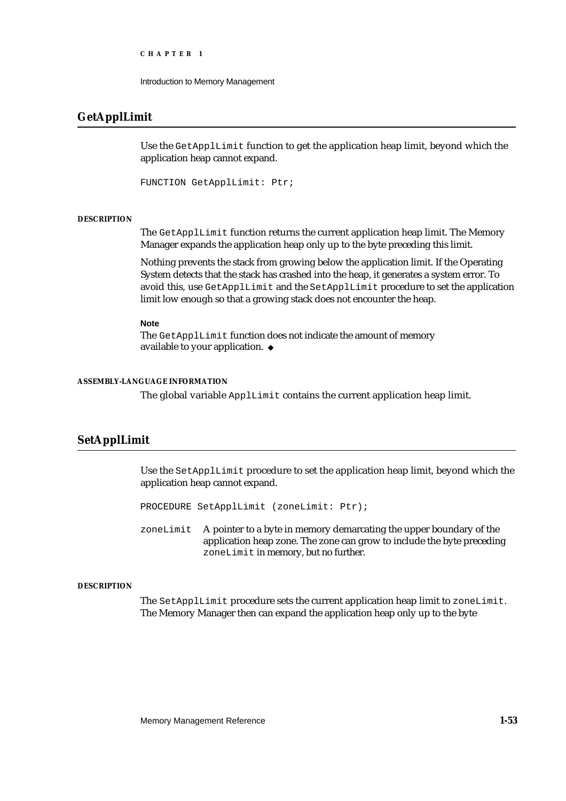```
CHAPTER 1
```
Introduction to Memory Management

# **GetApplLimit**

Use the GetApplLimit function to get the application heap limit, beyond which the application heap cannot expand.

FUNCTION GetApplLimit: Ptr;

### **DESCRIPTION**

The GetApplLimit function returns the current application heap limit. The Memory Manager expands the application heap only up to the byte preceding this limit.

Nothing prevents the stack from growing below the application limit. If the Operating System detects that the stack has crashed into the heap, it generates a system error. To avoid this, use GetApplLimit and the SetApplLimit procedure to set the application limit low enough so that a growing stack does not encounter the heap.

**Note**

The GetApplLimit function does not indicate the amount of memory available to your application.

### **ASSEMBLY-LANGUAGE INFORMATION**

The global variable ApplLimit contains the current application heap limit.

# **SetApplLimit**

Use the SetApplLimit procedure to set the application heap limit, beyond which the application heap cannot expand.

PROCEDURE SetApplLimit (zoneLimit: Ptr);

zoneLimit A pointer to a byte in memory demarcating the upper boundary of the application heap zone. The zone can grow to include the byte preceding zoneLimit in memory, but no further.

### **DESCRIPTION**

The SetApplLimit procedure sets the current application heap limit to zoneLimit. The Memory Manager then can expand the application heap only up to the byte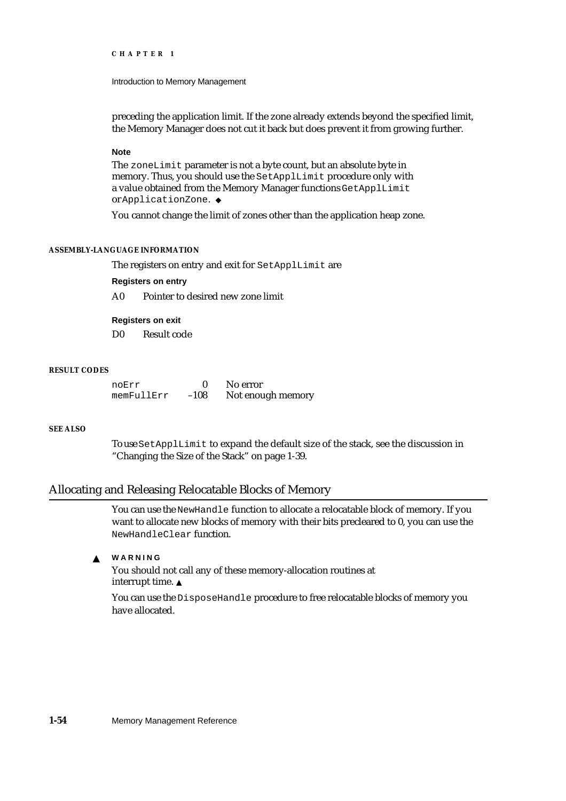### Introduction to Memory Management

preceding the application limit. If the zone already extends beyond the specified limit, the Memory Manager does not cut it back but does prevent it from growing further.

### **Note**

The zoneLimit parameter is not a byte count, but an absolute byte in memory. Thus, you should use the SetApplLimit procedure only with a value obtained from the Memory Manager functions GetApplLimit or ApplicationZone.

You cannot change the limit of zones other than the application heap zone.

# **ASSEMBLY-LANGUAGE INFORMATION**

The registers on entry and exit for SetApplLimit are

**Registers on entry**

A0 Pointer to desired new zone limit

**Registers on exit**

D0 Result code

# **RESULT CODES**

noErr 0 No error<br>memFullErr -108 Notenou Not enough memory

### **SEE ALSO**

To use SetApplLimit to expand the default size of the stack, see the discussion in "Changing the Size of the Stack" on page 1-39.

## Allocating and Releasing Relocatable Blocks of Memory

You can use the NewHandle function to allocate a relocatable block of memory. If you want to allocate new blocks of memory with their bits precleared to 0, you can use the NewHandleClear function.

#### $\mathbf{S}$ **WARNING**

You should not call any of these memory-allocation routines at interrupt time.

You can use the DisposeHandle procedure to free relocatable blocks of memory you have allocated.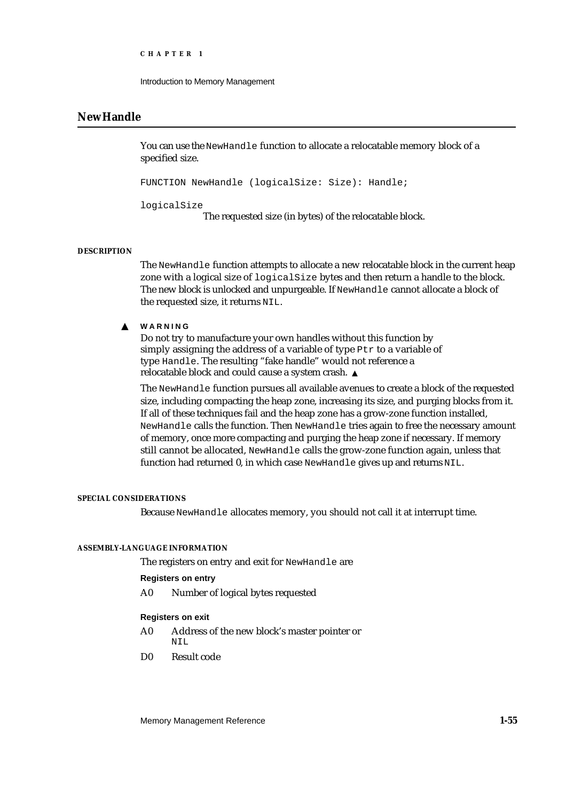```
CHAPTER 1
```
Introduction to Memory Management

# **NewHandle**

You can use the NewHandle function to allocate a relocatable memory block of a specified size.

FUNCTION NewHandle (logicalSize: Size): Handle;

logicalSize

The requested size (in bytes) of the relocatable block.

### **DESCRIPTION**

The NewHandle function attempts to allocate a new relocatable block in the current heap zone with a logical size of logicalSize bytes and then return a handle to the block. The new block is unlocked and unpurgeable. If NewHandle cannot allocate a block of the requested size, it returns NIL.

#### **WARNING**  $\mathbf{s}$

Do not try to manufacture your own handles without this function by simply assigning the address of a variable of type Ptr to a variable of type Handle. The resulting "fake handle" would not reference a relocatable block and could cause a system crash.

The NewHandle function pursues all available avenues to create a block of the requested size, including compacting the heap zone, increasing its size, and purging blocks from it. If all of these techniques fail and the heap zone has a grow-zone function installed, NewHandle calls the function. Then NewHandle tries again to free the necessary amount of memory, once more compacting and purging the heap zone if necessary. If memory still cannot be allocated, NewHandle calls the grow-zone function again, unless that function had returned 0, in which case NewHandle gives up and returns NIL.

### **SPECIAL CONSIDERATIONS**

Because NewHandle allocates memory, you should not call it at interrupt time.

### **ASSEMBLY-LANGUAGE INFORMATION**

The registers on entry and exit for NewHandle are

### **Registers on entry**

A0 Number of logical bytes requested

# **Registers on exit**

- A0 Address of the new block's master pointer or NTT.
- D0 Result code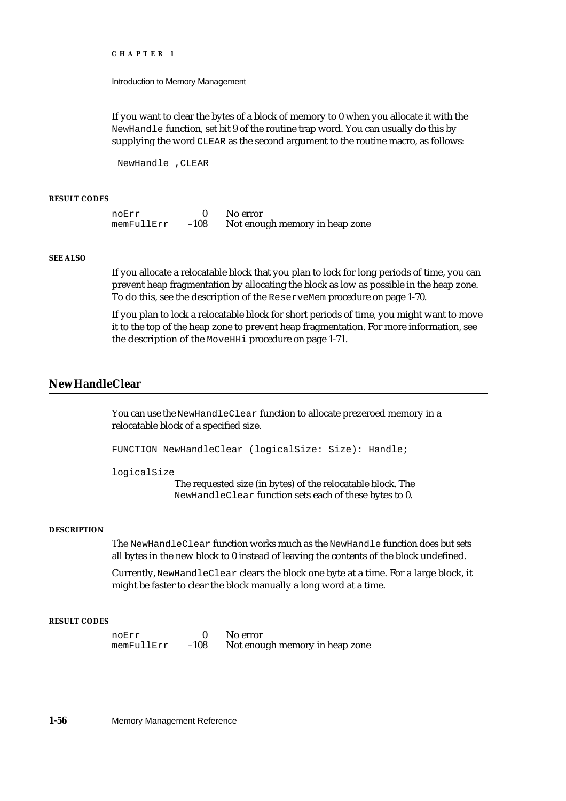Introduction to Memory Management

If you want to clear the bytes of a block of memory to 0 when you allocate it with the NewHandle function, set bit 9 of the routine trap word. You can usually do this by supplying the word CLEAR as the second argument to the routine macro, as follows:

\_NewHandle ,CLEAR

### **RESULT CODES**

noErr 0 No error<br>memFullErr -108 Notenou Not enough memory in heap zone

# **SEE ALSO**

If you allocate a relocatable block that you plan to lock for long periods of time, you can prevent heap fragmentation by allocating the block as low as possible in the heap zone. To do this, see the description of the ReserveMem procedure on page 1-70.

If you plan to lock a relocatable block for short periods of time, you might want to move it to the top of the heap zone to prevent heap fragmentation. For more information, see the description of the MoveHHi procedure on page 1-71.

# **NewHandleClear**

You can use the NewHandleClear function to allocate prezeroed memory in a relocatable block of a specified size.

FUNCTION NewHandleClear (logicalSize: Size): Handle;

logicalSize

The requested size (in bytes) of the relocatable block. The NewHandleClear function sets each of these bytes to 0.

### **DESCRIPTION**

The NewHandleClear function works much as the NewHandle function does but sets all bytes in the new block to 0 instead of leaving the contents of the block undefined.

Currently, NewHandleClear clears the block one byte at a time. For a large block, it might be faster to clear the block manually a long word at a time.

# **RESULT CODES**

noErr 0 No error memFullErr –108 Not enough memory in heap zone

**1-56** Memory Management Reference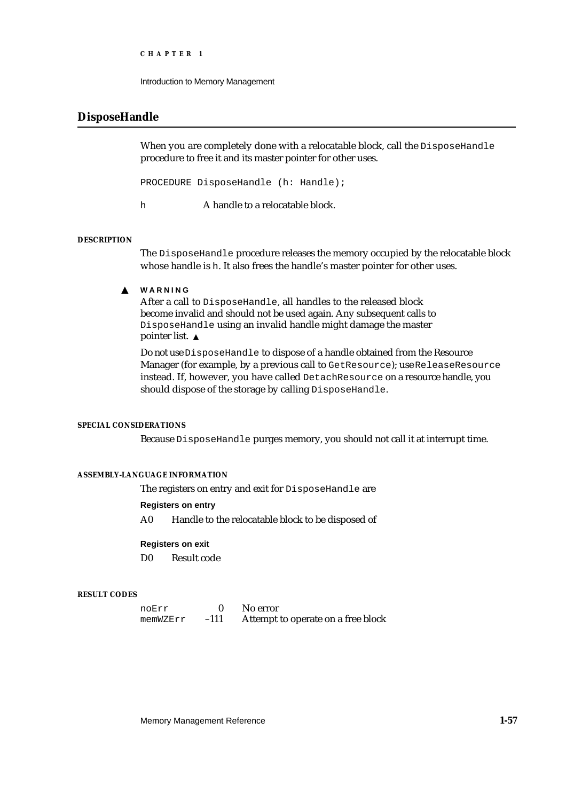```
CHAPTER 1
```
Introduction to Memory Management

# **DisposeHandle**

When you are completely done with a relocatable block, call the DisposeHandle procedure to free it and its master pointer for other uses.

PROCEDURE DisposeHandle (h: Handle);

h A handle to a relocatable block.

# **DESCRIPTION**

The DisposeHandle procedure releases the memory occupied by the relocatable block whose handle is h. It also frees the handle's master pointer for other uses.

#### **WARNING**  $\mathbf{s}$

After a call to DisposeHandle, all handles to the released block become invalid and should not be used again. Any subsequent calls to DisposeHandle using an invalid handle might damage the master pointer list.

Do not use DisposeHandle to dispose of a handle obtained from the Resource Manager (for example, by a previous call to GetResource); use ReleaseResource instead. If, however, you have called DetachResource on a resource handle, you should dispose of the storage by calling DisposeHandle.

## **SPECIAL CONSIDERATIONS**

Because DisposeHandle purges memory, you should not call it at interrupt time.

# **ASSEMBLY-LANGUAGE INFORMATION**

The registers on entry and exit for DisposeHandle are

### **Registers on entry**

A0 Handle to the relocatable block to be disposed of

### **Registers on exit**

D0 Result code

### **RESULT CODES**

| noErr    |        | No error                           |
|----------|--------|------------------------------------|
| memWZErr | $-111$ | Attempt to operate on a free block |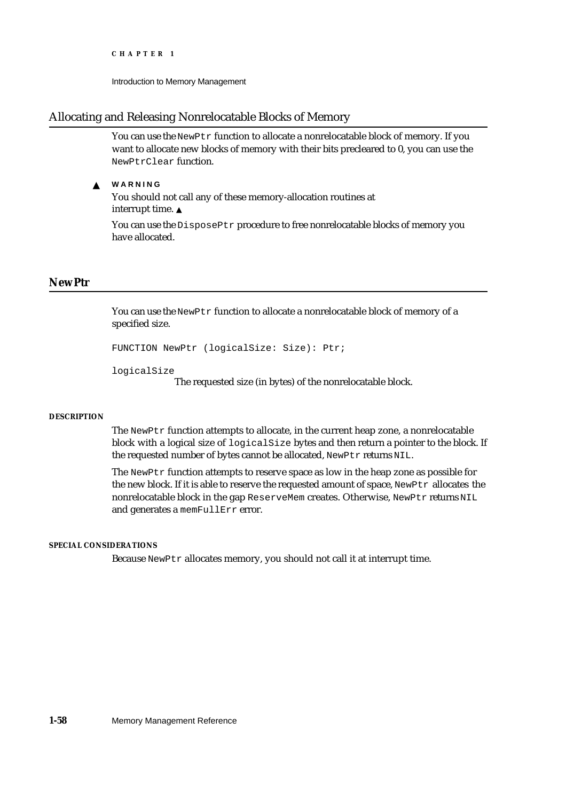```
CHAPTER 1
```
Introduction to Memory Management

# Allocating and Releasing Nonrelocatable Blocks of Memory

You can use the NewPtr function to allocate a nonrelocatable block of memory. If you want to allocate new blocks of memory with their bits precleared to 0, you can use the NewPtrClear function.

**WARNING**  $\mathbf{S}$ 

> You should not call any of these memory-allocation routines at interrupt time.

You can use the DisposePtr procedure to free nonrelocatable blocks of memory you have allocated.

# **NewPtr**

You can use the NewPtr function to allocate a nonrelocatable block of memory of a specified size.

```
FUNCTION NewPtr (logicalSize: Size): Ptr;
```

```
logicalSize
```
The requested size (in bytes) of the nonrelocatable block.

### **DESCRIPTION**

The NewPtr function attempts to allocate, in the current heap zone, a nonrelocatable block with a logical size of logicalSize bytes and then return a pointer to the block. If the requested number of bytes cannot be allocated, NewPtr returns NIL.

The NewPtr function attempts to reserve space as low in the heap zone as possible for the new block. If it is able to reserve the requested amount of space, NewPtr allocates the nonrelocatable block in the gap ReserveMem creates. Otherwise, NewPtr returns NIL and generates a memFullErr error.

### **SPECIAL CONSIDERATIONS**

Because NewPtr allocates memory, you should not call it at interrupt time.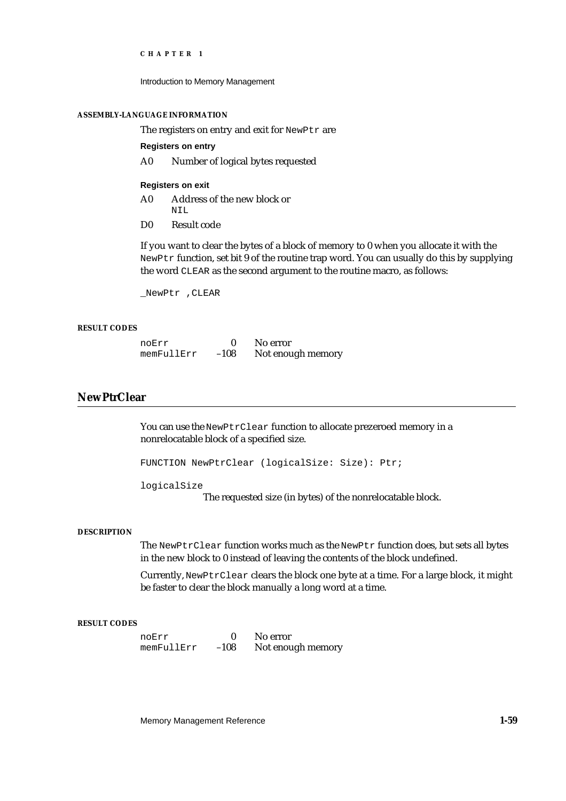Introduction to Memory Management

### **ASSEMBLY-LANGUAGE INFORMATION**

The registers on entry and exit for NewPtr are

**Registers on entry**

A0 Number of logical bytes requested

## **Registers on exit**

- A0 Address of the new block or NITI.
- D0 Result code

If you want to clear the bytes of a block of memory to 0 when you allocate it with the NewPtr function, set bit 9 of the routine trap word. You can usually do this by supplying the word CLEAR as the second argument to the routine macro, as follows:

\_NewPtr ,CLEAR

## **RESULT CODES**

| noErr      |        | No error          |
|------------|--------|-------------------|
| memFullErr | $-108$ | Not enough memory |

## **NewPtrClear**

You can use the NewPtrClear function to allocate prezeroed memory in a nonrelocatable block of a specified size.

FUNCTION NewPtrClear (logicalSize: Size): Ptr;

logicalSize

The requested size (in bytes) of the nonrelocatable block.

## **DESCRIPTION**

The NewPtrClear function works much as the NewPtr function does, but sets all bytes in the new block to 0 instead of leaving the contents of the block undefined.

Currently, NewPtrClear clears the block one byte at a time. For a large block, it might be faster to clear the block manually a long word at a time.

## **RESULT CODES**

noErr 0 No error<br>memFullErr -108 Notenou Not enough memory

Memory Management Reference **1-59**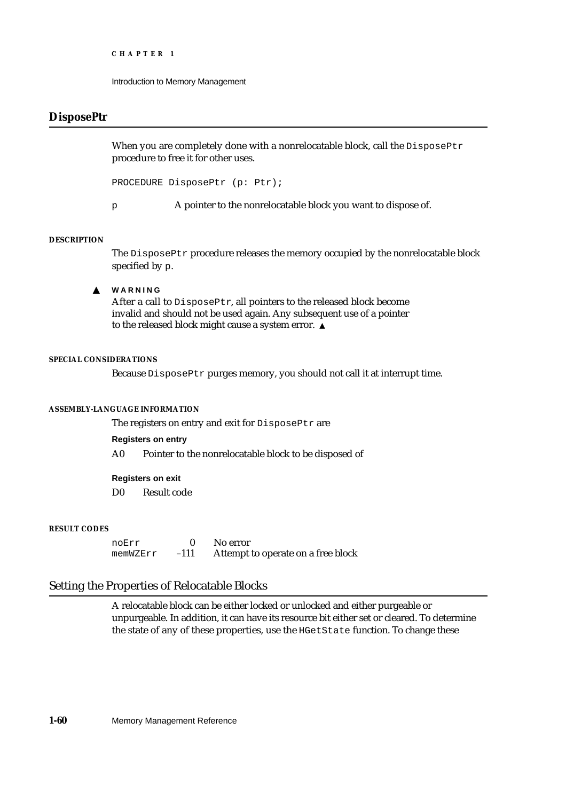```
CHAPTER 1
```
## **DisposePtr**

When you are completely done with a nonrelocatable block, call the DisposePtr procedure to free it for other uses.

PROCEDURE DisposePtr (p: Ptr);

p A pointer to the nonrelocatable block you want to dispose of.

## **DESCRIPTION**

The DisposePtr procedure releases the memory occupied by the nonrelocatable block specified by p.

**WARNING**  $\mathbf{s}$ 

> After a call to DisposePtr, all pointers to the released block become invalid and should not be used again. Any subsequent use of a pointer to the released block might cause a system error.

## **SPECIAL CONSIDERATIONS**

Because DisposePtr purges memory, you should not call it at interrupt time.

## **ASSEMBLY-LANGUAGE INFORMATION**

The registers on entry and exit for DisposePtr are

## **Registers on entry**

A0 Pointer to the nonrelocatable block to be disposed of

## **Registers on exit**

D0 Result code

## **RESULT CODES**

noErr 0 No error<br>memWZErr -111 Attempt memWZErr –111 Attempt to operate on a free block

## Setting the Properties of Relocatable Blocks

A relocatable block can be either locked or unlocked and either purgeable or unpurgeable. In addition, it can have its resource bit either set or cleared. To determine the state of any of these properties, use the HGetState function. To change these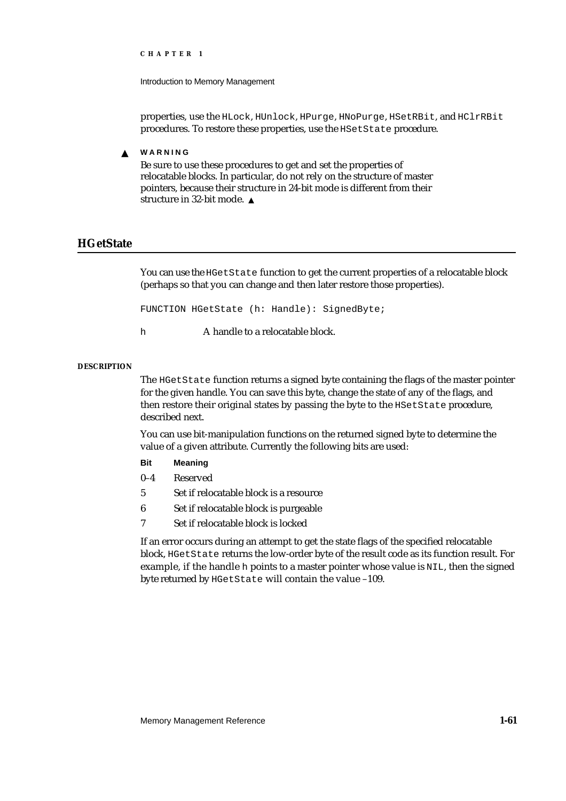Introduction to Memory Management

properties, use the HLock, HUnlock, HPurge, HNoPurge, HSetRBit, and HClrRBit procedures. To restore these properties, use the HSetState procedure.

**WARNING** s

> Be sure to use these procedures to get and set the properties of relocatable blocks. In particular, do not rely on the structure of master pointers, because their structure in 24-bit mode is different from their structure in 32-bit mode.

## **HGetState**

You can use the HGetState function to get the current properties of a relocatable block (perhaps so that you can change and then later restore those properties).

FUNCTION HGetState (h: Handle): SignedByte;

h A handle to a relocatable block.

## **DESCRIPTION**

The HGetState function returns a signed byte containing the flags of the master pointer for the given handle. You can save this byte, change the state of any of the flags, and then restore their original states by passing the byte to the HSetState procedure, described next.

You can use bit-manipulation functions on the returned signed byte to determine the value of a given attribute. Currently the following bits are used:

- **Bit Meaning**
- 0–4 Reserved
- 5 Set if relocatable block is a resource
- 6 Set if relocatable block is purgeable
- 7 Set if relocatable block is locked

If an error occurs during an attempt to get the state flags of the specified relocatable block, HGetState returns the low-order byte of the result code as its function result. For example, if the handle h points to a master pointer whose value is NIL, then the signed byte returned by HGetState will contain the value –109.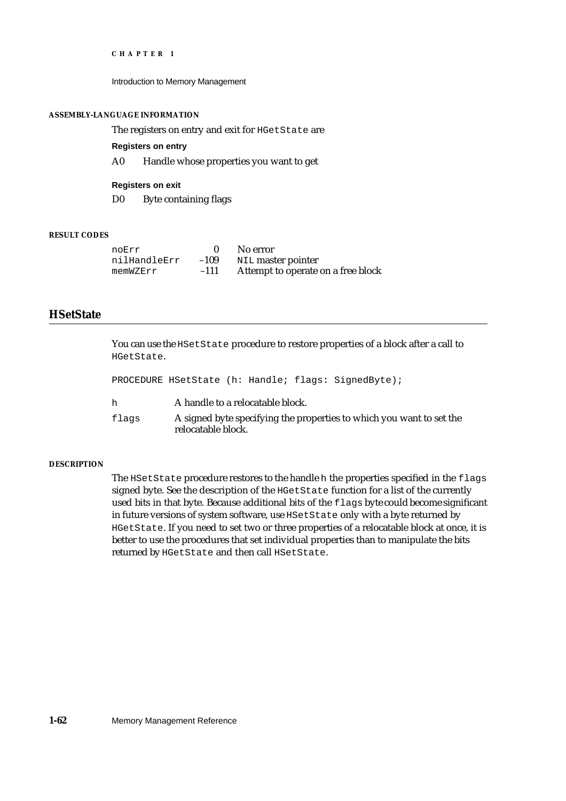Introduction to Memory Management

### **ASSEMBLY-LANGUAGE INFORMATION**

The registers on entry and exit for HGetState are

**Registers on entry**

A0 Handle whose properties you want to get

**Registers on exit** D0 Byte containing flags

## **RESULT CODES**

| noErr        |        | No error                           |
|--------------|--------|------------------------------------|
| nilHandleErr | $-109$ | NIL master pointer                 |
| memWZErr     | $-111$ | Attempt to operate on a free block |

## **HSetState**

You can use the HSetState procedure to restore properties of a block after a call to HGetState.

|       | PROCEDURE HSetState (h: Handle; flags: SignedByte);                                        |
|-------|--------------------------------------------------------------------------------------------|
| h     | A handle to a relocatable block.                                                           |
| flags | A signed byte specifying the properties to which you want to set the<br>relocatable block. |

## **DESCRIPTION**

The HSetState procedure restores to the handle h the properties specified in the flags signed byte. See the description of the HGetState function for a list of the currently used bits in that byte. Because additional bits of the flags byte could become significant in future versions of system software, use HSetState only with a byte returned by HGetState. If you need to set two or three properties of a relocatable block at once, it is better to use the procedures that set individual properties than to manipulate the bits returned by HGetState and then call HSetState.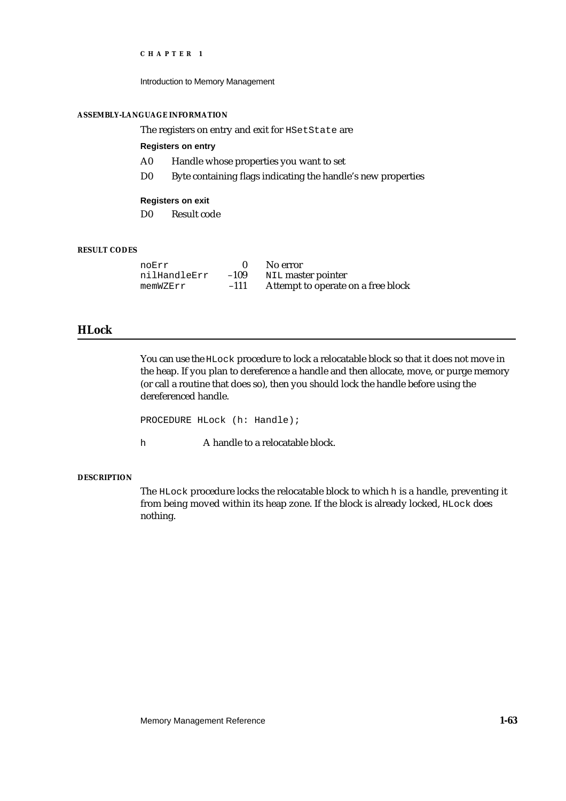Introduction to Memory Management

## **ASSEMBLY-LANGUAGE INFORMATION**

The registers on entry and exit for HSetState are

## **Registers on entry**

- A0 Handle whose properties you want to set
- D0 Byte containing flags indicating the handle's new properties

### **Registers on exit**

D0 Result code

## **RESULT CODES**

| noErr        |        | No error                           |
|--------------|--------|------------------------------------|
| nilHandleErr | $-109$ | NIL master pointer                 |
| memWZErr     | $-111$ | Attempt to operate on a free block |

## **HLock**

You can use the HLock procedure to lock a relocatable block so that it does not move in the heap. If you plan to dereference a handle and then allocate, move, or purge memory (or call a routine that does so), then you should lock the handle before using the dereferenced handle.

PROCEDURE HLock (h: Handle);

h A handle to a relocatable block.

## **DESCRIPTION**

The HLock procedure locks the relocatable block to which h is a handle, preventing it from being moved within its heap zone. If the block is already locked, HLock does nothing.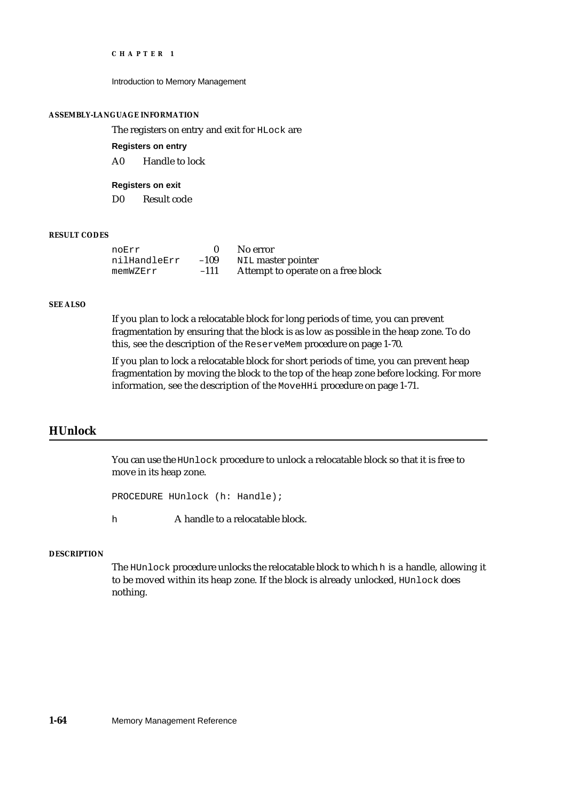Introduction to Memory Management

### **ASSEMBLY-LANGUAGE INFORMATION**

The registers on entry and exit for HLock are

**Registers on entry**

A0 Handle to lock

**Registers on exit**

D0 Result code

## **RESULT CODES**

| noErr        |        | No error                           |
|--------------|--------|------------------------------------|
| nilHandleErr | $-109$ | NIL master pointer                 |
| memWZErr     | $-111$ | Attempt to operate on a free block |

### **SEE ALSO**

If you plan to lock a relocatable block for long periods of time, you can prevent fragmentation by ensuring that the block is as low as possible in the heap zone. To do this, see the description of the ReserveMem procedure on page 1-70.

If you plan to lock a relocatable block for short periods of time, you can prevent heap fragmentation by moving the block to the top of the heap zone before locking. For more information, see the description of the MoveHHi procedure on page 1-71.

## **HUnlock**

You can use the HUnlock procedure to unlock a relocatable block so that it is free to move in its heap zone.

PROCEDURE HUnlock (h: Handle);

h **A** handle to a relocatable block.

## **DESCRIPTION**

The HUnlock procedure unlocks the relocatable block to which h is a handle, allowing it to be moved within its heap zone. If the block is already unlocked, HUnlock does nothing.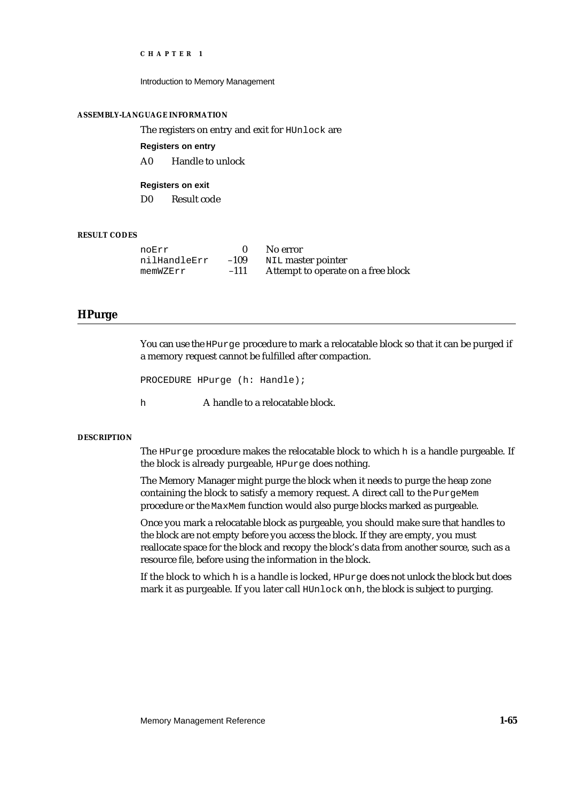Introduction to Memory Management

### **ASSEMBLY-LANGUAGE INFORMATION**

The registers on entry and exit for HUnlock are

**Registers on entry**

A0 Handle to unlock

**Registers on exit** D0 Result code

## **RESULT CODES**

| noErr        |        | No error                           |
|--------------|--------|------------------------------------|
| nilHandleErr | $-109$ | NIL master pointer                 |
| memWZErr     | $-111$ | Attempt to operate on a free block |

## **HPurge**

You can use the HPurge procedure to mark a relocatable block so that it can be purged if a memory request cannot be fulfilled after compaction.

```
PROCEDURE HPurge (h: Handle);
```
h **A** handle to a relocatable block.

## **DESCRIPTION**

The HPurge procedure makes the relocatable block to which h is a handle purgeable. If the block is already purgeable, HPurge does nothing.

The Memory Manager might purge the block when it needs to purge the heap zone containing the block to satisfy a memory request. A direct call to the PurgeMem procedure or the MaxMem function would also purge blocks marked as purgeable.

Once you mark a relocatable block as purgeable, you should make sure that handles to the block are not empty before you access the block. If they are empty, you must reallocate space for the block and recopy the block's data from another source, such as a resource file, before using the information in the block.

If the block to which h is a handle is locked, HPurge does not unlock the block but does mark it as purgeable. If you later call HUnlock on h, the block is subject to purging.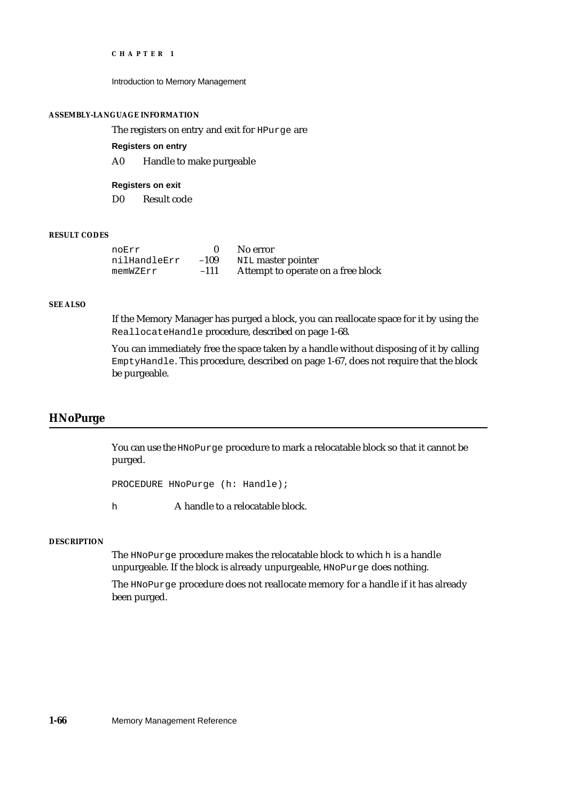Introduction to Memory Management

### **ASSEMBLY-LANGUAGE INFORMATION**

The registers on entry and exit for HPurge are

**Registers on entry**

A0 Handle to make purgeable

**Registers on exit**

D0 Result code

## **RESULT CODES**

| noErr        |        | No error                           |
|--------------|--------|------------------------------------|
| nilHandleErr | $-109$ | NIL master pointer                 |
| memWZErr     | $-111$ | Attempt to operate on a free block |

### **SEE ALSO**

If the Memory Manager has purged a block, you can reallocate space for it by using the ReallocateHandle procedure, described on page 1-68.

You can immediately free the space taken by a handle without disposing of it by calling EmptyHandle. This procedure, described on page 1-67, does not require that the block be purgeable.

## **HNoPurge**

You can use the HNoPurge procedure to mark a relocatable block so that it cannot be purged.

PROCEDURE HNoPurge (h: Handle);

h A handle to a relocatable block.

## **DESCRIPTION**

The HNoPurge procedure makes the relocatable block to which h is a handle unpurgeable. If the block is already unpurgeable, HNoPurge does nothing.

The HNoPurge procedure does not reallocate memory for a handle if it has already been purged.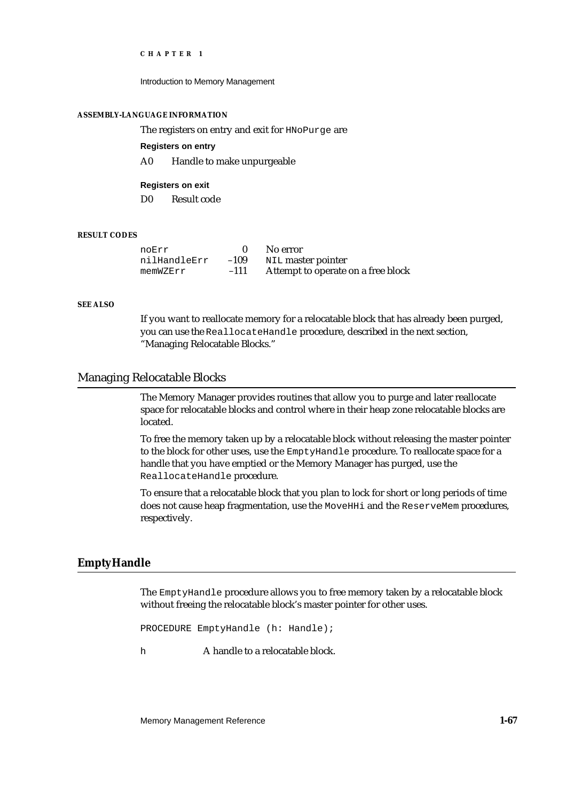Introduction to Memory Management

### **ASSEMBLY-LANGUAGE INFORMATION**

The registers on entry and exit for HNoPurge are

**Registers on entry**

A0 Handle to make unpurgeable

**Registers on exit** D0 Result code

## **RESULT CODES**

| noErr        |        | No error                           |
|--------------|--------|------------------------------------|
| nilHandleErr | $-109$ | NIL master pointer                 |
| memWZErr     | $-111$ | Attempt to operate on a free block |

## **SEE ALSO**

If you want to reallocate memory for a relocatable block that has already been purged, you can use the ReallocateHandle procedure, described in the next section, "Managing Relocatable Blocks."

## Managing Relocatable Blocks

The Memory Manager provides routines that allow you to purge and later reallocate space for relocatable blocks and control where in their heap zone relocatable blocks are located.

To free the memory taken up by a relocatable block without releasing the master pointer to the block for other uses, use the EmptyHandle procedure. To reallocate space for a handle that you have emptied or the Memory Manager has purged, use the ReallocateHandle procedure.

To ensure that a relocatable block that you plan to lock for short or long periods of time does not cause heap fragmentation, use the MoveHHi and the ReserveMem procedures, respectively.

## **EmptyHandle**

The EmptyHandle procedure allows you to free memory taken by a relocatable block without freeing the relocatable block's master pointer for other uses.

PROCEDURE EmptyHandle (h: Handle);

h **A** handle to a relocatable block.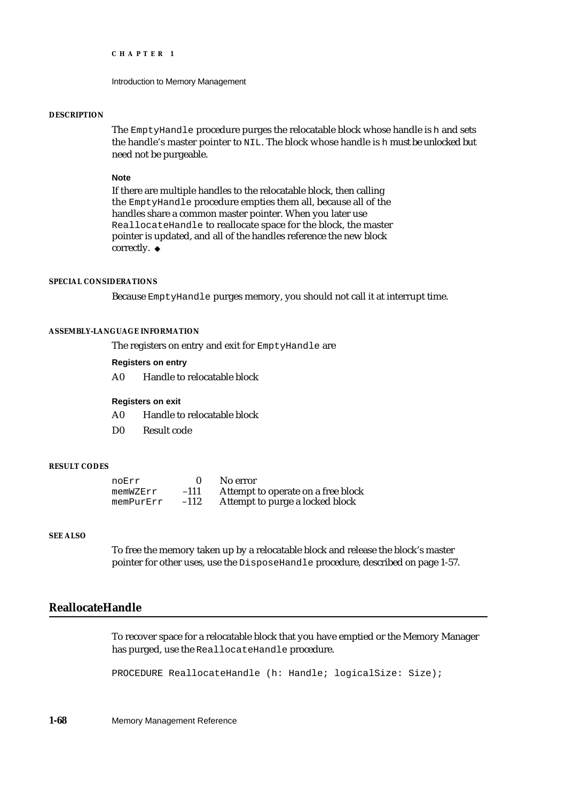```
CHAPTER 1
```
### **DESCRIPTION**

The EmptyHandle procedure purges the relocatable block whose handle is h and sets the handle's master pointer to NIL. The block whose handle is h must be unlocked but need not be purgeable.

### **Note**

If there are multiple handles to the relocatable block, then calling the EmptyHandle procedure empties them all, because all of the handles share a common master pointer. When you later use ReallocateHandle to reallocate space for the block, the master pointer is updated, and all of the handles reference the new block correctly. u

## **SPECIAL CONSIDERATIONS**

Because EmptyHandle purges memory, you should not call it at interrupt time.

## **ASSEMBLY-LANGUAGE INFORMATION**

The registers on entry and exit for EmptyHandle are

## **Registers on entry**

A0 Handle to relocatable block

## **Registers on exit**

- A0 Handle to relocatable block
- D0 Result code

## **RESULT CODES**

| noErr     |        | No error                           |
|-----------|--------|------------------------------------|
| memWZErr  | $-111$ | Attempt to operate on a free block |
| memPurErr | $-112$ | Attempt to purge a locked block    |

## **SEE ALSO**

To free the memory taken up by a relocatable block and release the block's master pointer for other uses, use the DisposeHandle procedure, described on page 1-57.

## **ReallocateHandle**

To recover space for a relocatable block that you have emptied or the Memory Manager has purged, use the ReallocateHandle procedure.

PROCEDURE ReallocateHandle (h: Handle; logicalSize: Size);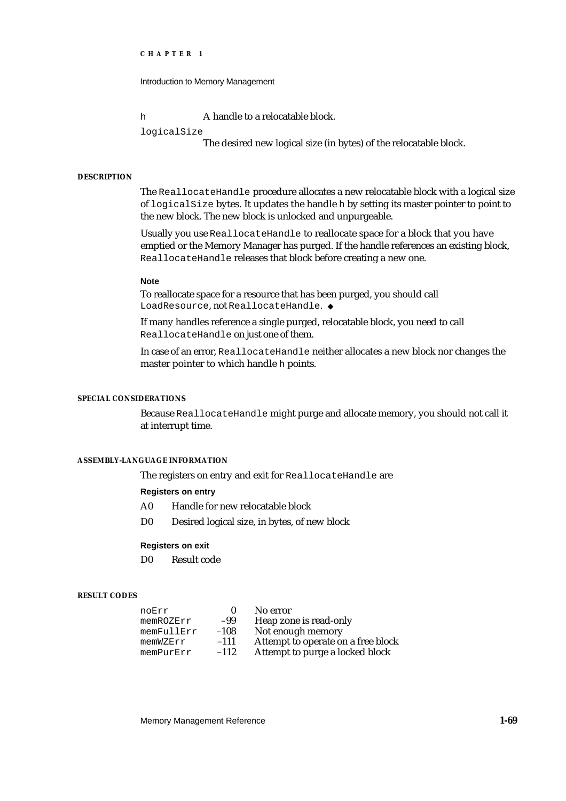Introduction to Memory Management

h **A** handle to a relocatable block.

logicalSize

The desired new logical size (in bytes) of the relocatable block.

## **DESCRIPTION**

The ReallocateHandle procedure allocates a new relocatable block with a logical size of logicalSize bytes. It updates the handle h by setting its master pointer to point to the new block. The new block is unlocked and unpurgeable.

Usually you use ReallocateHandle to reallocate space for a block that you have emptied or the Memory Manager has purged. If the handle references an existing block, ReallocateHandle releases that block before creating a new one.

### **Note**

To reallocate space for a resource that has been purged, you should call LoadResource, not ReallocateHandle.

If many handles reference a single purged, relocatable block, you need to call ReallocateHandle on just one of them.

In case of an error, ReallocateHandle neither allocates a new block nor changes the master pointer to which handle h points.

### **SPECIAL CONSIDERATIONS**

Because ReallocateHandle might purge and allocate memory, you should not call it at interrupt time.

## **ASSEMBLY-LANGUAGE INFORMATION**

The registers on entry and exit for ReallocateHandle are

### **Registers on entry**

- A0 Handle for new relocatable block
- D0 Desired logical size, in bytes, of new block

## **Registers on exit**

D0 Result code

### **RESULT CODES**

| noErr      |        | No error                           |
|------------|--------|------------------------------------|
| memROZErr  | -99    | Heap zone is read-only             |
| memFullErr | $-108$ | Not enough memory                  |
| memWZErr   | $-111$ | Attempt to operate on a free block |
| memPurErr  | $-112$ | Attempt to purge a locked block    |

Memory Management Reference **1-69**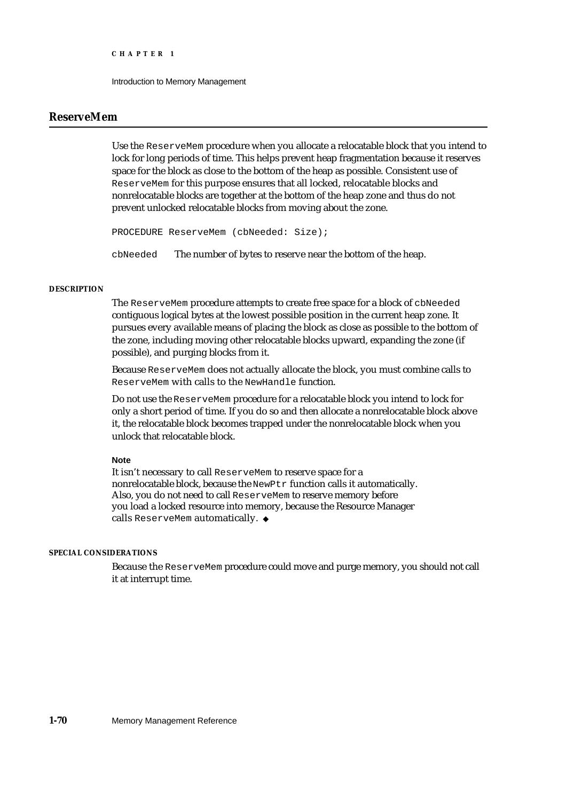## **ReserveMem**

Use the ReserveMem procedure when you allocate a relocatable block that you intend to lock for long periods of time. This helps prevent heap fragmentation because it reserves space for the block as close to the bottom of the heap as possible. Consistent use of ReserveMem for this purpose ensures that all locked, relocatable blocks and nonrelocatable blocks are together at the bottom of the heap zone and thus do not prevent unlocked relocatable blocks from moving about the zone.

PROCEDURE ReserveMem (cbNeeded: Size);

cbNeeded The number of bytes to reserve near the bottom of the heap.

## **DESCRIPTION**

The ReserveMem procedure attempts to create free space for a block of cbNeeded contiguous logical bytes at the lowest possible position in the current heap zone. It pursues every available means of placing the block as close as possible to the bottom of the zone, including moving other relocatable blocks upward, expanding the zone (if possible), and purging blocks from it.

Because ReserveMem does not actually allocate the block, you must combine calls to ReserveMem with calls to the NewHandle function.

Do not use the ReserveMem procedure for a relocatable block you intend to lock for only a short period of time. If you do so and then allocate a nonrelocatable block above it, the relocatable block becomes trapped under the nonrelocatable block when you unlock that relocatable block.

### **Note**

It isn't necessary to call ReserveMem to reserve space for a nonrelocatable block, because the NewPtr function calls it automatically. Also, you do not need to call ReserveMem to reserve memory before you load a locked resource into memory, because the Resource Manager calls ReserveMem automatically.

## **SPECIAL CONSIDERATIONS**

Because the ReserveMem procedure could move and purge memory, you should not call it at interrupt time.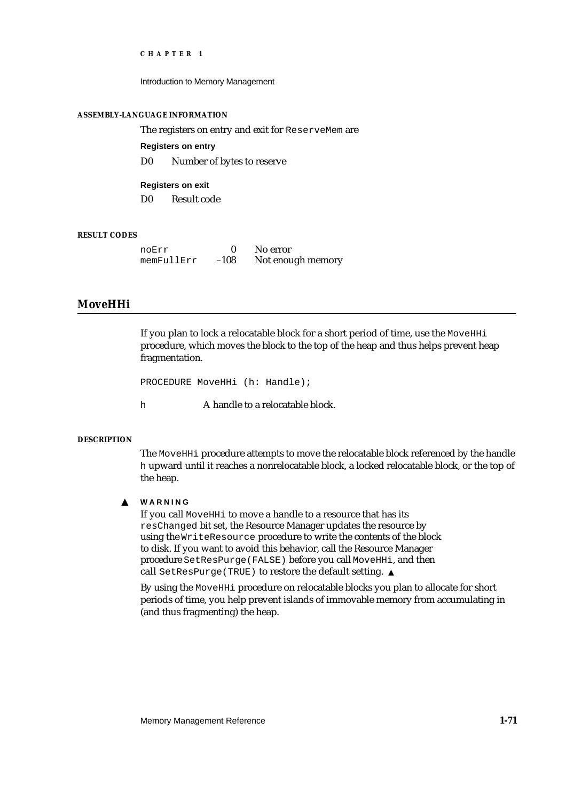Introduction to Memory Management

## **ASSEMBLY-LANGUAGE INFORMATION**

The registers on entry and exit for ReserveMem are

**Registers on entry**

D0 Number of bytes to reserve

**Registers on exit** D0 Result code

## **RESULT CODES**

| noErr      |        | No error          |
|------------|--------|-------------------|
| memFullErr | $-108$ | Not enough memory |

## **MoveHHi**

If you plan to lock a relocatable block for a short period of time, use the MOVEHHi procedure, which moves the block to the top of the heap and thus helps prevent heap fragmentation.

```
PROCEDURE MoveHHi (h: Handle);
```
h **A** handle to a relocatable block.

## **DESCRIPTION**

The MoveHHi procedure attempts to move the relocatable block referenced by the handle h upward until it reaches a nonrelocatable block, a locked relocatable block, or the top of the heap.

#### **WARNING**  $\mathbf{s}$

If you call MoveHHi to move a handle to a resource that has its resChanged bit set, the Resource Manager updates the resource by using the WriteResource procedure to write the contents of the block to disk. If you want to avoid this behavior, call the Resource Manager procedure SetResPurge(FALSE) before you call MoveHHi, and then call SetResPurge(TRUE) to restore the default setting.

By using the MoveHHi procedure on relocatable blocks you plan to allocate for short periods of time, you help prevent islands of immovable memory from accumulating in (and thus fragmenting) the heap.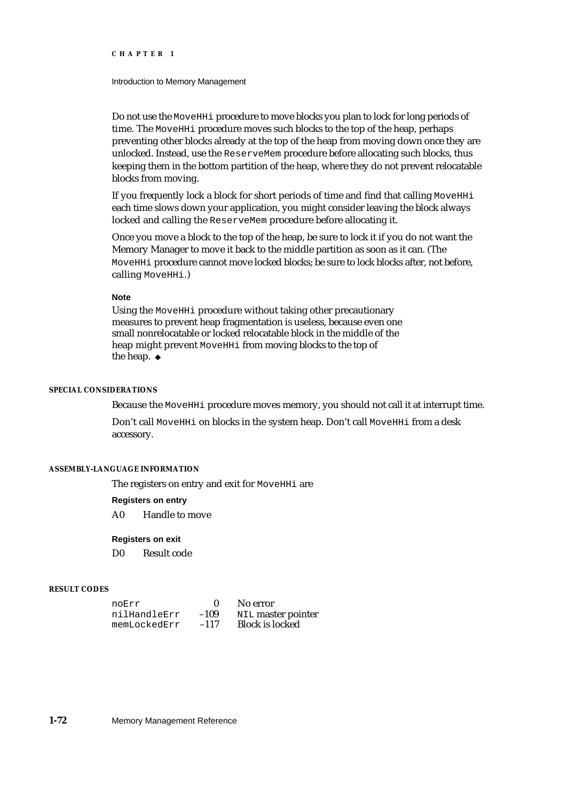### Introduction to Memory Management

Do not use the MoveHHi procedure to move blocks you plan to lock for long periods of time. The MoveHHi procedure moves such blocks to the top of the heap, perhaps preventing other blocks already at the top of the heap from moving down once they are unlocked. Instead, use the ReserveMem procedure before allocating such blocks, thus keeping them in the bottom partition of the heap, where they do not prevent relocatable blocks from moving.

If you frequently lock a block for short periods of time and find that calling MoveHHi each time slows down your application, you might consider leaving the block always locked and calling the ReserveMem procedure before allocating it.

Once you move a block to the top of the heap, be sure to lock it if you do not want the Memory Manager to move it back to the middle partition as soon as it can. (The MoveHHi procedure cannot move locked blocks; be sure to lock blocks after, not before, calling MoveHHi.)

## **Note**

Using the MoveHHi procedure without taking other precautionary measures to prevent heap fragmentation is useless, because even one small nonrelocatable or locked relocatable block in the middle of the heap might prevent MoveHHi from moving blocks to the top of the heap. u

## **SPECIAL CONSIDERATIONS**

Because the MoveHHi procedure moves memory, you should not call it at interrupt time.

Don't call MoveHHi on blocks in the system heap. Don't call MoveHHi from a desk accessory.

## **ASSEMBLY-LANGUAGE INFORMATION**

The registers on entry and exit for MoveHHi are

### **Registers on entry**

A0 Handle to move

### **Registers on exit**

D0 Result code

## **RESULT CODES**

| noErr        |        | No error               |
|--------------|--------|------------------------|
| nilHandleErr | $-109$ | NIL master pointer     |
| memLockedErr | $-117$ | <b>Block is locked</b> |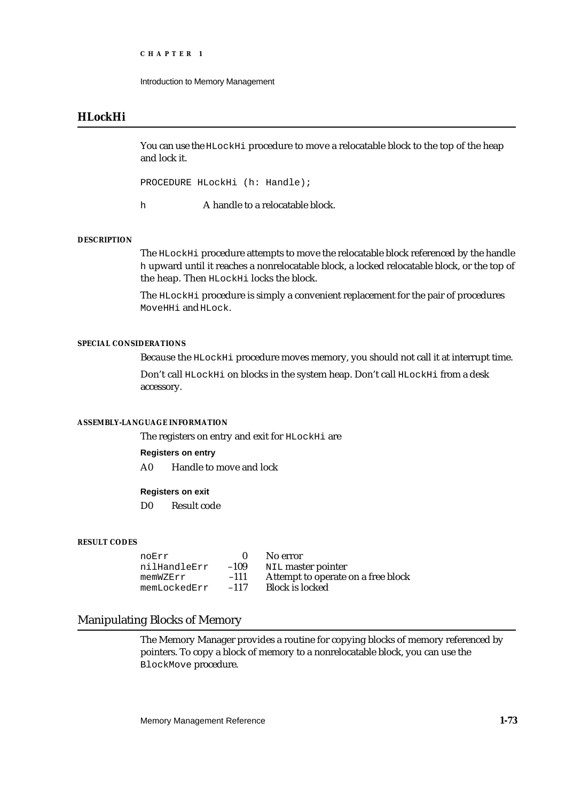```
CHAPTER 1
```
## **HLockHi**

You can use the HLockHi procedure to move a relocatable block to the top of the heap and lock it.

PROCEDURE HLockHi (h: Handle);

h A handle to a relocatable block.

## **DESCRIPTION**

The HLockHi procedure attempts to move the relocatable block referenced by the handle h upward until it reaches a nonrelocatable block, a locked relocatable block, or the top of the heap. Then HLockHi locks the block.

The HLockHi procedure is simply a convenient replacement for the pair of procedures MoveHHi and HLock.

## **SPECIAL CONSIDERATIONS**

Because the HLockHi procedure moves memory, you should not call it at interrupt time.

Don't call HLockHi on blocks in the system heap. Don't call HLockHi from a desk accessory.

## **ASSEMBLY-LANGUAGE INFORMATION**

The registers on entry and exit for HLockHi are

## **Registers on entry**

A0 Handle to move and lock

## **Registers on exit**

D0 Result code

## **RESULT CODES**

| noErr        |        | No error                           |
|--------------|--------|------------------------------------|
| nilHandleErr | $-109$ | NIL master pointer                 |
| memWZErr     | $-111$ | Attempt to operate on a free block |
| memLockedErr | $-117$ | <b>Block is locked</b>             |

## Manipulating Blocks of Memory

The Memory Manager provides a routine for copying blocks of memory referenced by pointers. To copy a block of memory to a nonrelocatable block, you can use the BlockMove procedure.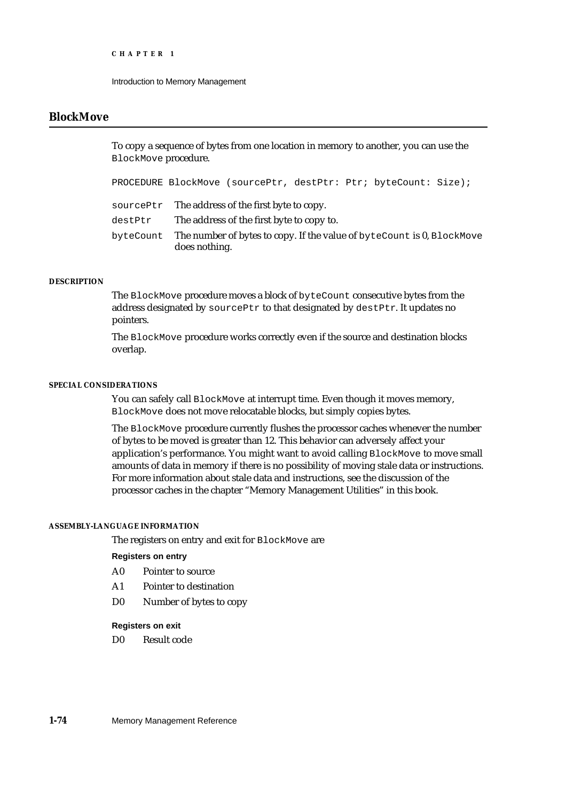## **BlockMove**

To copy a sequence of bytes from one location in memory to another, you can use the BlockMove procedure.

PROCEDURE BlockMove (sourcePtr, destPtr: Ptr; byteCount: Size);

sourcePtr The address of the first byte to copy.

destPtr The address of the first byte to copy to.

byteCount The number of bytes to copy. If the value of byteCount is 0, BlockMove does nothing.

## **DESCRIPTION**

The BlockMove procedure moves a block of byteCount consecutive bytes from the address designated by sourcePtr to that designated by destPtr. It updates no pointers.

The BlockMove procedure works correctly even if the source and destination blocks overlap.

## **SPECIAL CONSIDERATIONS**

You can safely call BlockMove at interrupt time. Even though it moves memory, BlockMove does not move relocatable blocks, but simply copies bytes.

The BlockMove procedure currently flushes the processor caches whenever the number of bytes to be moved is greater than 12. This behavior can adversely affect your application's performance. You might want to avoid calling BlockMove to move small amounts of data in memory if there is no possibility of moving stale data or instructions. For more information about stale data and instructions, see the discussion of the processor caches in the chapter "Memory Management Utilities" in this book.

## **ASSEMBLY-LANGUAGE INFORMATION**

The registers on entry and exit for BlockMove are

## **Registers on entry**

- A0 Pointer to source
- A1 Pointer to destination
- D0 Number of bytes to copy

### **Registers on exit**

D0 Result code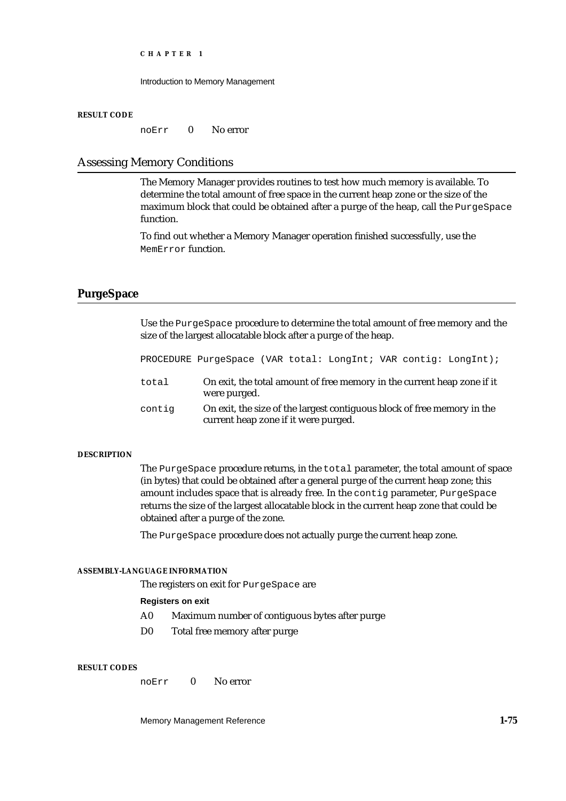Introduction to Memory Management

### **RESULT CODE**

noErr 0 No error

## Assessing Memory Conditions

The Memory Manager provides routines to test how much memory is available. To determine the total amount of free space in the current heap zone or the size of the maximum block that could be obtained after a purge of the heap, call the PurgeSpace function.

To find out whether a Memory Manager operation finished successfully, use the MemError function.

## **PurgeSpace**

Use the PurgeSpace procedure to determine the total amount of free memory and the size of the largest allocatable block after a purge of the heap.

PROCEDURE PurgeSpace (VAR total: LongInt; VAR contig: LongInt);

- total On exit, the total amount of free memory in the current heap zone if it were purged.
- contig On exit, the size of the largest contiguous block of free memory in the current heap zone if it were purged.

## **DESCRIPTION**

The PurgeSpace procedure returns, in the total parameter, the total amount of space (in bytes) that could be obtained after a general purge of the current heap zone; this amount includes space that is already free. In the contig parameter, PurgeSpace returns the size of the largest allocatable block in the current heap zone that could be obtained after a purge of the zone.

The PurgeSpace procedure does not actually purge the current heap zone.

## **ASSEMBLY-LANGUAGE INFORMATION**

The registers on exit for PurgeSpace are

## **Registers on exit**

- A0 Maximum number of contiguous bytes after purge
- D0 Total free memory after purge

### **RESULT CODES**

noErr 0 No error

Memory Management Reference **1-75**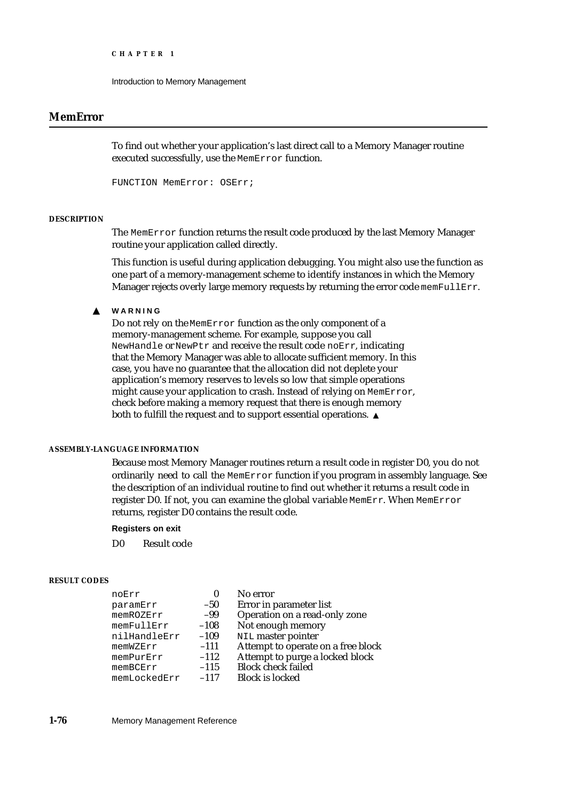Introduction to Memory Management

## **MemError**

To find out whether your application's last direct call to a Memory Manager routine executed successfully, use the MemError function.

FUNCTION MemError: OSErr;

### **DESCRIPTION**

The MemError function returns the result code produced by the last Memory Manager routine your application called directly.

This function is useful during application debugging. You might also use the function as one part of a memory-management scheme to identify instances in which the Memory Manager rejects overly large memory requests by returning the error code memFullErr.

#### **WARNING**  $\mathbf{S}$

Do not rely on the MemError function as the only component of a memory-management scheme. For example, suppose you call NewHandle or NewPtr and receive the result code noErr, indicating that the Memory Manager was able to allocate sufficient memory. In this case, you have no guarantee that the allocation did not deplete your application's memory reserves to levels so low that simple operations might cause your application to crash. Instead of relying on MemError, check before making a memory request that there is enough memory both to fulfill the request and to support essential operations.

## **ASSEMBLY-LANGUAGE INFORMATION**

Because most Memory Manager routines return a result code in register D0, you do not ordinarily need to call the MemError function if you program in assembly language. See the description of an individual routine to find out whether it returns a result code in register D0. If not, you can examine the global variable MemErr. When MemError returns, register D0 contains the result code.

### **Registers on exit**

D0 Result code

## **RESULT CODES**

| Attempt to operate on a free block |
|------------------------------------|
| Attempt to purge a locked block    |
|                                    |
|                                    |
|                                    |

### **1-76** Memory Management Reference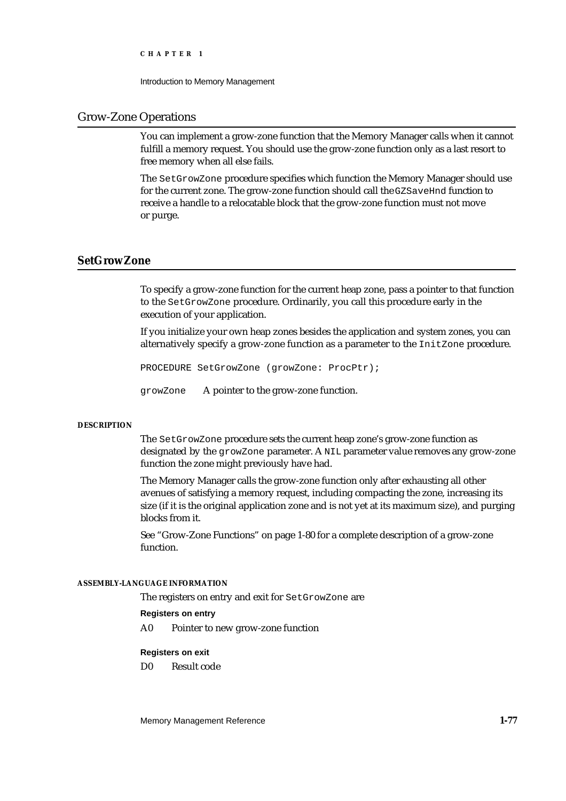Introduction to Memory Management

## Grow-Zone Operations

You can implement a grow-zone function that the Memory Manager calls when it cannot fulfill a memory request. You should use the grow-zone function only as a last resort to free memory when all else fails.

The SetGrowZone procedure specifies which function the Memory Manager should use for the current zone. The grow-zone function should call the GZSaveHnd function to receive a handle to a relocatable block that the grow-zone function must not move or purge.

## **SetGrowZone**

To specify a grow-zone function for the current heap zone, pass a pointer to that function to the SetGrowZone procedure. Ordinarily, you call this procedure early in the execution of your application.

If you initialize your own heap zones besides the application and system zones, you can alternatively specify a grow-zone function as a parameter to the InitZone procedure.

PROCEDURE SetGrowZone (growZone: ProcPtr);

growZone A pointer to the grow-zone function.

## **DESCRIPTION**

The SetGrowZone procedure sets the current heap zone's grow-zone function as designated by the growZone parameter. A NIL parameter value removes any grow-zone function the zone might previously have had.

The Memory Manager calls the grow-zone function only after exhausting all other avenues of satisfying a memory request, including compacting the zone, increasing its size (if it is the original application zone and is not yet at its maximum size), and purging blocks from it.

See "Grow-Zone Functions" on page 1-80 for a complete description of a grow-zone function.

### **ASSEMBLY-LANGUAGE INFORMATION**

The registers on entry and exit for SetGrowZone are

## **Registers on entry**

A0 Pointer to new grow-zone function

## **Registers on exit**

D0 Result code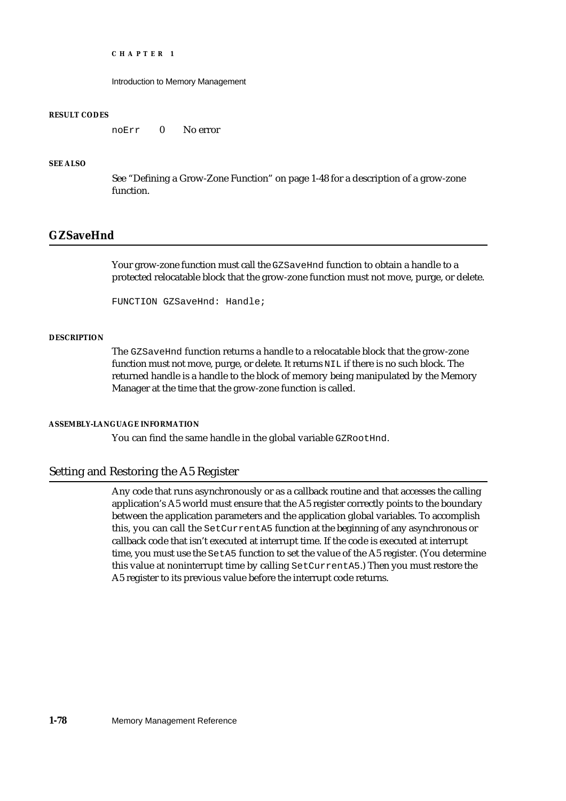Introduction to Memory Management

## **RESULT CODES**

noErr 0 No error

## **SEE ALSO**

See "Defining a Grow-Zone Function" on page 1-48 for a description of a grow-zone function.

## **GZSaveHnd**

Your grow-zone function must call the GZSaveHnd function to obtain a handle to a protected relocatable block that the grow-zone function must not move, purge, or delete.

FUNCTION GZSaveHnd: Handle;

## **DESCRIPTION**

The GZSaveHnd function returns a handle to a relocatable block that the grow-zone function must not move, purge, or delete. It returns NIL if there is no such block. The returned handle is a handle to the block of memory being manipulated by the Memory Manager at the time that the grow-zone function is called.

## **ASSEMBLY-LANGUAGE INFORMATION**

You can find the same handle in the global variable GZROOtHnd.

## Setting and Restoring the A5 Register

Any code that runs asynchronously or as a callback routine and that accesses the calling application's A5 world must ensure that the A5 register correctly points to the boundary between the application parameters and the application global variables. To accomplish this, you can call the SetCurrentA5 function at the beginning of any asynchronous or callback code that isn't executed at interrupt time. If the code is executed at interrupt time, you must use the SetA5 function to set the value of the A5 register. (You determine this value at noninterrupt time by calling SetCurrentA5.) Then you must restore the A5 register to its previous value before the interrupt code returns.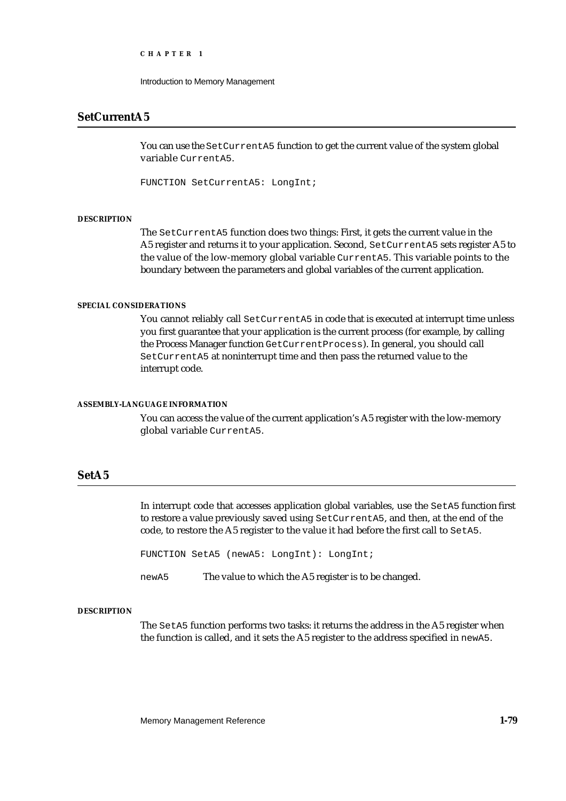Introduction to Memory Management

## **SetCurrentA5**

You can use the SetCurrentA5 function to get the current value of the system global variable CurrentA5.

FUNCTION SetCurrentA5: LongInt;

### **DESCRIPTION**

The SetCurrentA5 function does two things: First, it gets the current value in the A5 register and returns it to your application. Second, SetCurrentA5 sets register A5 to the value of the low-memory global variable CurrentA5. This variable points to the boundary between the parameters and global variables of the current application.

### **SPECIAL CONSIDERATIONS**

You cannot reliably call SetCurrentA5 in code that is executed at interrupt time unless you first guarantee that your application is the current process (for example, by calling the Process Manager function GetCurrentProcess). In general, you should call SetCurrentA5 at noninterrupt time and then pass the returned value to the interrupt code.

## **ASSEMBLY-LANGUAGE INFORMATION**

You can access the value of the current application's A5 register with the low-memory global variable CurrentA5.

## **SetA5**

In interrupt code that accesses application global variables, use the SetA5 function first to restore a value previously saved using SetCurrentA5, and then, at the end of the code, to restore the A5 register to the value it had before the first call to SetA5.

FUNCTION SetA5 (newA5: LongInt): LongInt;

newA5 The value to which the A5 register is to be changed.

## **DESCRIPTION**

The SetA5 function performs two tasks: it returns the address in the A5 register when the function is called, and it sets the A5 register to the address specified in newA5.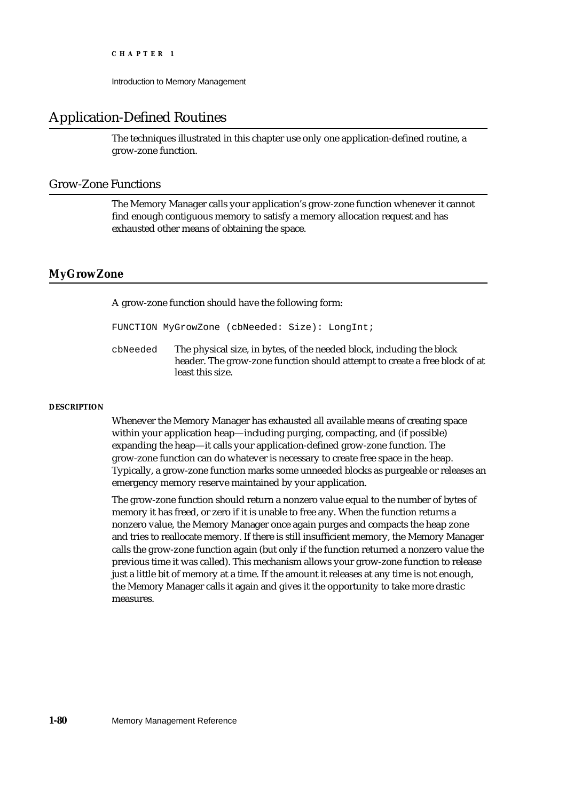Introduction to Memory Management

## Application-Defined Routines

The techniques illustrated in this chapter use only one application-defined routine, a grow-zone function.

## Grow-Zone Functions

The Memory Manager calls your application's grow-zone function whenever it cannot find enough contiguous memory to satisfy a memory allocation request and has exhausted other means of obtaining the space.

## **MyGrowZone**

A grow-zone function should have the following form:

FUNCTION MyGrowZone (cbNeeded: Size): LongInt;

cbNeeded The physical size, in bytes, of the needed block, including the block header. The grow-zone function should attempt to create a free block of at least this size.

## **DESCRIPTION**

Whenever the Memory Manager has exhausted all available means of creating space within your application heap—including purging, compacting, and (if possible) expanding the heap—it calls your application-defined grow-zone function. The grow-zone function can do whatever is necessary to create free space in the heap. Typically, a grow-zone function marks some unneeded blocks as purgeable or releases an emergency memory reserve maintained by your application.

The grow-zone function should return a nonzero value equal to the number of bytes of memory it has freed, or zero if it is unable to free any. When the function returns a nonzero value, the Memory Manager once again purges and compacts the heap zone and tries to reallocate memory. If there is still insufficient memory, the Memory Manager calls the grow-zone function again (but only if the function returned a nonzero value the previous time it was called). This mechanism allows your grow-zone function to release just a little bit of memory at a time. If the amount it releases at any time is not enough, the Memory Manager calls it again and gives it the opportunity to take more drastic measures.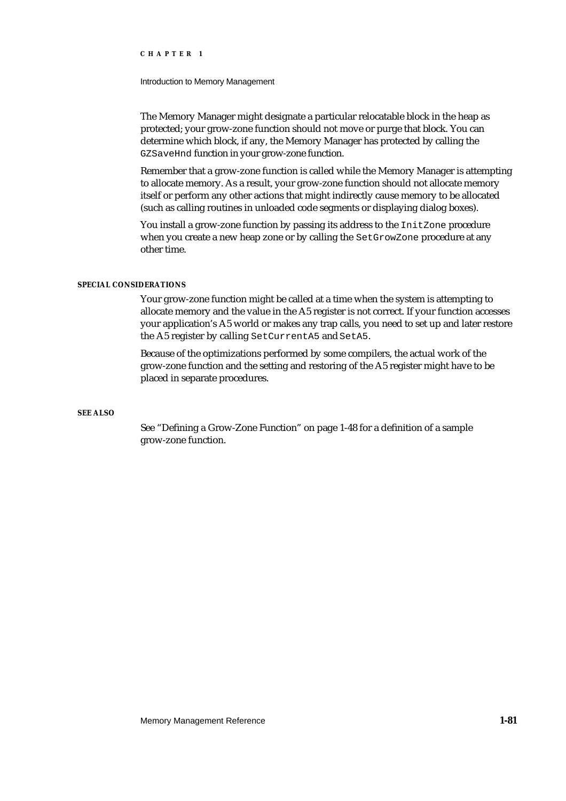Introduction to Memory Management

The Memory Manager might designate a particular relocatable block in the heap as protected; your grow-zone function should not move or purge that block. You can determine which block, if any, the Memory Manager has protected by calling the GZSaveHnd function in your grow-zone function.

Remember that a grow-zone function is called while the Memory Manager is attempting to allocate memory. As a result, your grow-zone function should not allocate memory itself or perform any other actions that might indirectly cause memory to be allocated (such as calling routines in unloaded code segments or displaying dialog boxes).

You install a grow-zone function by passing its address to the InitZone procedure when you create a new heap zone or by calling the SetGrowZone procedure at any other time.

### **SPECIAL CONSIDERATIONS**

Your grow-zone function might be called at a time when the system is attempting to allocate memory and the value in the A5 register is not correct. If your function accesses your application's A5 world or makes any trap calls, you need to set up and later restore the A5 register by calling SetCurrentA5 and SetA5.

Because of the optimizations performed by some compilers, the actual work of the grow-zone function and the setting and restoring of the A5 register might have to be placed in separate procedures.

## **SEE ALSO**

See "Defining a Grow-Zone Function" on page 1-48 for a definition of a sample grow-zone function.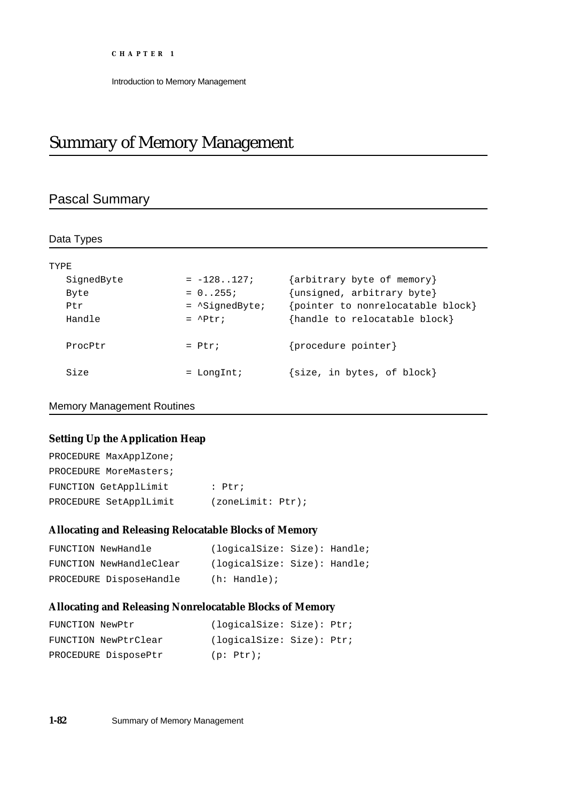# Summary of Memory Management

## Pascal Summary

| Data Types |                          |                                  |
|------------|--------------------------|----------------------------------|
|            |                          |                                  |
| TYPE       |                          |                                  |
| SignedByte | $= -128.127i$            | {arbitrary byte of memory}       |
| Byte       | $= 0.0255i$              | {unsigned, arbitrary byte}       |
| Ptr        | $=$ $\Delta$ SiqnedByte; | pointer to nonrelocatable block} |
| Handle     | $=$ $^{\circ}$ Ptr;      | {handle to relocatable block}    |
| ProcPtr    | $=$ Ptr;                 | {procedure pointer}              |
| Size       | $=$ LongInt;             | {size, in bytes, of block}       |

## Memory Management Routines

## **Setting Up the Application Heap**

| PROCEDURE MaxApplZone; |                   |
|------------------------|-------------------|
| PROCEDURE MoreMasters; |                   |
| FUNCTION GetApplLimit  | $:$ Ptr;          |
| PROCEDURE SetApplLimit | (zoneLimit: Ptr); |

## **Allocating and Releasing Relocatable Blocks of Memory**

| FUNCTION NewHandle      | (logicalSize: Size): Handle; |  |
|-------------------------|------------------------------|--|
| FUNCTION NewHandleClear | (logicalSize: Size): Handle; |  |
| PROCEDURE DisposeHandle | $(h: \text{Handle})$ ;       |  |

## **Allocating and Releasing Nonrelocatable Blocks of Memory**

| FUNCTION NewPtr      | (logicalSize: Size): Ptr; |
|----------------------|---------------------------|
| FUNCTION NewPtrClear | (logicalSize: Size): Ptr; |
| PROCEDURE DisposePtr | $(p: Ptr)$ ;              |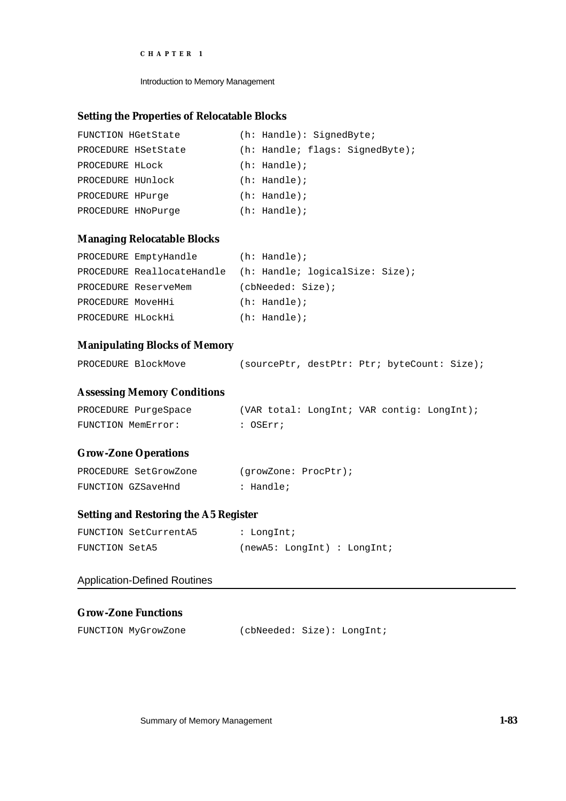Introduction to Memory Management

## **Setting the Properties of Relocatable Blocks**

| FUNCTION HGetState  |  | $(h: \text{Handle}): \text{SignedByte};$ |  |
|---------------------|--|------------------------------------------|--|
| PROCEDURE HSetState |  | (h: Handle; flags: SignedByte);          |  |
| PROCEDURE HLOCK     |  | $(h: \text{Handle})$ ;                   |  |
| PROCEDURE HUnlock   |  | $(h: \text{Handle})$ ;                   |  |
| PROCEDURE HPurge    |  | $(h: \text{Handle})$ ;                   |  |
| PROCEDURE HNoPurge  |  | $(h: \text{Handle})$ ;                   |  |

## **Managing Relocatable Blocks**

|                   | PROCEDURE EmptyHandle | $(h: \text{Handle})$ ;                                     |
|-------------------|-----------------------|------------------------------------------------------------|
|                   |                       | PROCEDURE ReallocateHandle (h: Handle; logicalSize: Size); |
|                   | PROCEDURE ReserveMem  | (cbNeeded: Size);                                          |
| PROCEDURE MoveHHi |                       | $(h: \text{Handle})$ ;                                     |
| PROCEDURE HLOCKHi |                       | $(h: \text{Handle})$ ;                                     |

## **Manipulating Blocks of Memory**

| PROCEDURE BlockMove | (sourcePtr, destPtr: Ptr; byteCount: Size); |  |  |
|---------------------|---------------------------------------------|--|--|
|                     |                                             |  |  |

## **Assessing Memory Conditions**

| PROCEDURE PurgeSpace | (VAR total: LongInt; VAR contig: LongInt); |  |
|----------------------|--------------------------------------------|--|
| FUNCTION MemError:   | : OSErr;                                   |  |

## **Grow-Zone Operations**

| PROCEDURE SetGrowZone | (growZone: ProcPtr); |  |
|-----------------------|----------------------|--|
| FUNCTION GZSaveHnd    | : Handle;            |  |

## **Setting and Restoring the A5 Register**

|                | FUNCTION SetCurrentA5 | : LongInt; |                             |  |  |
|----------------|-----------------------|------------|-----------------------------|--|--|
| FUNCTION SetA5 |                       |            | (newA5: LondInt) : LondInt; |  |  |

## Application-Defined Routines

## **Grow-Zone Functions**

| FUNCTION MyGrowZone | (cbNeeded: Size): LongInt; |  |
|---------------------|----------------------------|--|
|                     |                            |  |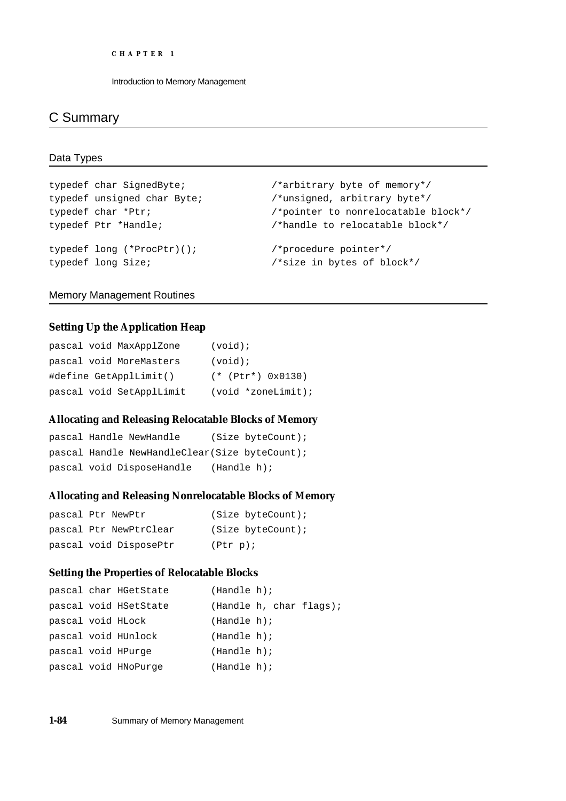## C Summary

## Data Types

```
typedef char SignedByte; /*arbitrary byte of memory*/
typedef unsigned char Byte; \overline{\phantom{a}} /*unsigned, arbitrary byte*/
typedef char *Ptr; \overline{\phantom{a}} /*pointer to nonrelocatable block*/
typedef Ptr *Handle; /*handle to relocatable block*/
typedef long (*ProcPtr)(); /*procedure pointer*/
typedef long Size; /*size in bytes of block*/
```
## Memory Management Routines

## **Setting Up the Application Heap**

| pascal void MaxApplZone  | $(void)$ ;             |
|--------------------------|------------------------|
| pascal void MoreMasters  | $(void)$ ;             |
| #define GetApplLimit()   | $(*$ (Ptr*) $0x0130$ ) |
| pascal void SetApplLimit | $(void *zoneLimit)$ ;  |

## **Allocating and Releasing Relocatable Blocks of Memory**

```
pascal Handle NewHandle (Size byteCount);
pascal Handle NewHandleClear(Size byteCount);
pascal void DisposeHandle (Handle h);
```
## **Allocating and Releasing Nonrelocatable Blocks of Memory**

```
pascal Ptr NewPtr (Size byteCount);
pascal Ptr NewPtrClear (Size byteCount);
pascal void DisposePtr (Ptr p);
```
## **Setting the Properties of Relocatable Blocks**

|                   | pascal char HGetState | (Handle h); |  |                         |
|-------------------|-----------------------|-------------|--|-------------------------|
|                   | pascal void HSetState |             |  | (Handle h, char flags); |
| pascal void HLock |                       | (Handle h); |  |                         |
|                   | pascal void HUnlock   | (Handle h); |  |                         |
|                   | pascal void HPurge    | (Handle h); |  |                         |
|                   | pascal void HNoPurge  | (Handle h); |  |                         |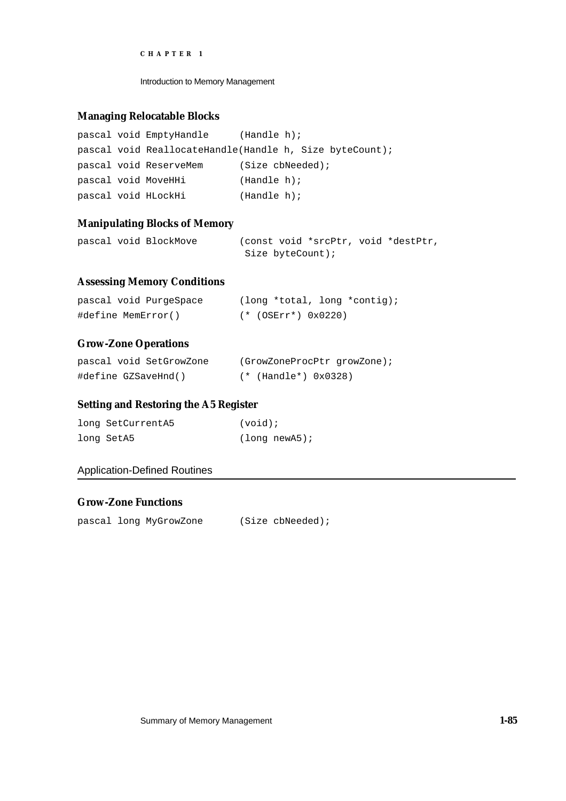Introduction to Memory Management

## **Managing Relocatable Blocks**

|  | pascal void EmptyHandle                                 | (Handle h);        |  |  |
|--|---------------------------------------------------------|--------------------|--|--|
|  | pascal void ReallocateHandle(Handle h, Size byteCount); |                    |  |  |
|  | pascal void ReserveMem                                  | $(Size$ cbNeeded); |  |  |
|  | pascal void MoveHHi                                     | (Handle h);        |  |  |
|  | pascal void HLockHi                                     | (Handle h);        |  |  |

## **Manipulating Blocks of Memory**

|  | pascal void BlockMove |                  |  | (const void *srcPtr, void *destPtr, |
|--|-----------------------|------------------|--|-------------------------------------|
|  |                       | Size byteCount); |  |                                     |

## **Assessing Memory Conditions**

| pascal void PurgeSpace | $\frac{1}{\pi}$ (long *total, long *contig); |
|------------------------|----------------------------------------------|
| #define MemError()     | $(* (OSErr*) 0x0220)$                        |

## **Grow-Zone Operations**

| pascal void SetGrowZone | (GrowZoneProcPtr growZone); |
|-------------------------|-----------------------------|
| #define GZSaveHnd()     | $(*$ (Handle*) $0x0328)$    |

## **Setting and Restoring the A5 Register**

| long SetCurrentA5 | $(void)$ ;    |
|-------------------|---------------|
| long SetA5        | (long newA5); |

## Application-Defined Routines

## **Grow-Zone Functions**

pascal long MyGrowZone (Size cbNeeded);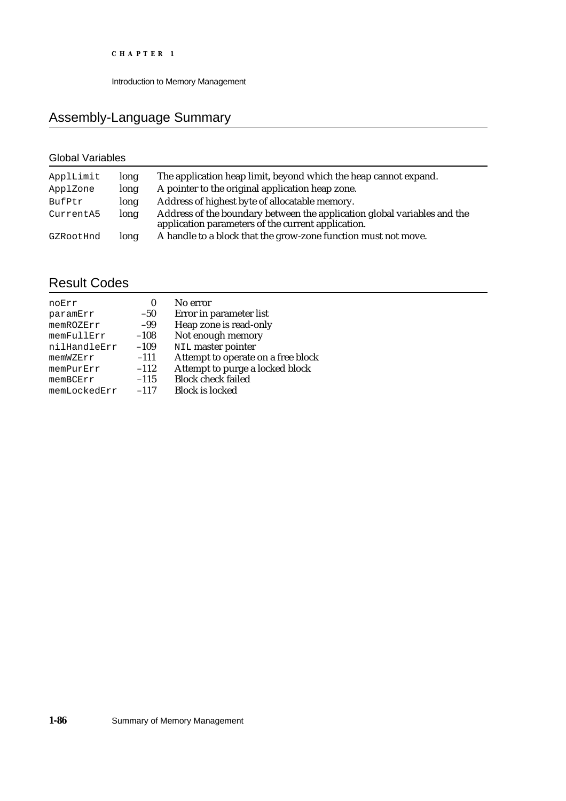# Assembly-Language Summary

## Global Variables

| ApplLimit<br>ApplZone | long<br>long | The application heap limit, beyond which the heap cannot expand.<br>A pointer to the original application heap zone.           |
|-----------------------|--------------|--------------------------------------------------------------------------------------------------------------------------------|
| BufPtr                | long         | Address of highest byte of allocatable memory.                                                                                 |
| CurrentA5             | long         | Address of the boundary between the application global variables and the<br>application parameters of the current application. |
| GZRootHnd             | long         | A handle to a block that the grow-zone function must not move.                                                                 |

## Result Codes

| noErr        | 0      | No error                           |
|--------------|--------|------------------------------------|
| paramErr     | $-50$  | Error in parameter list            |
| memROZErr    | -99    | Heap zone is read-only             |
| memFullErr   | $-108$ | Not enough memory                  |
| nilHandleErr | $-109$ | NIL master pointer                 |
| memWZErr     | $-111$ | Attempt to operate on a free block |
| memPurErr    | $-112$ | Attempt to purge a locked block    |
| memBCErr     | $-115$ | <b>Block</b> check failed          |
| memLockedErr | $-117$ | <b>Block is locked</b>             |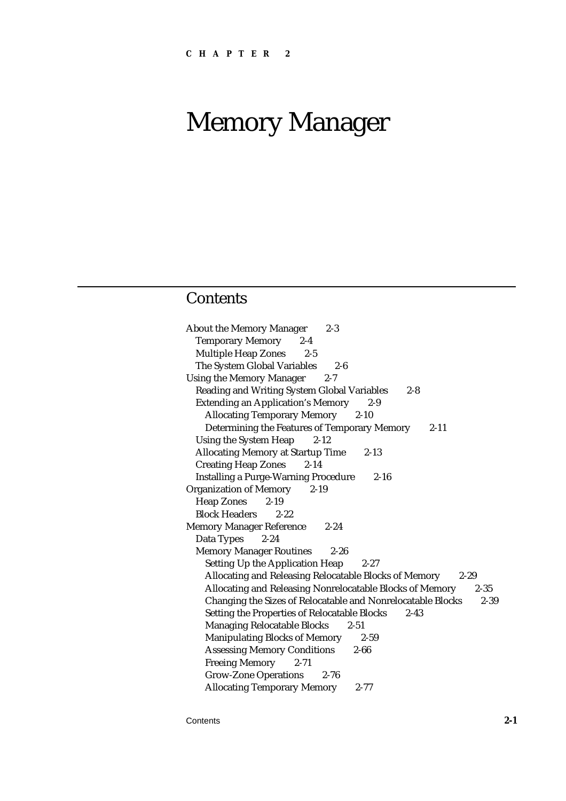# Memory Manager

## **Contents**

About the Memory Manager 2-3 Temporary Memory 2-4 Multiple Heap Zones 2-5 The System Global Variables 2-6 Using the Memory Manager 2-7 Reading and Writing System Global Variables 2-8 Extending an Application's Memory 2-9 Allocating Temporary Memory 2-10 Determining the Features of Temporary Memory 2-11 Using the System Heap 2-12 Allocating Memory at Startup Time 2-13 Creating Heap Zones 2-14 Installing a Purge-Warning Procedure 2-16 Organization of Memory 2-19 Heap Zones 2-19 Block Headers 2-22 Memory Manager Reference 2-24 Data Types 2-24 Memory Manager Routines 2-26 Setting Up the Application Heap 2-27 Allocating and Releasing Relocatable Blocks of Memory 2-29 Allocating and Releasing Nonrelocatable Blocks of Memory 2-35 Changing the Sizes of Relocatable and Nonrelocatable Blocks 2-39 Setting the Properties of Relocatable Blocks 2-43 Managing Relocatable Blocks 2-51 Manipulating Blocks of Memory 2-59 Assessing Memory Conditions 2-66 Freeing Memory 2-71 Grow-Zone Operations 2-76 Allocating Temporary Memory 2-77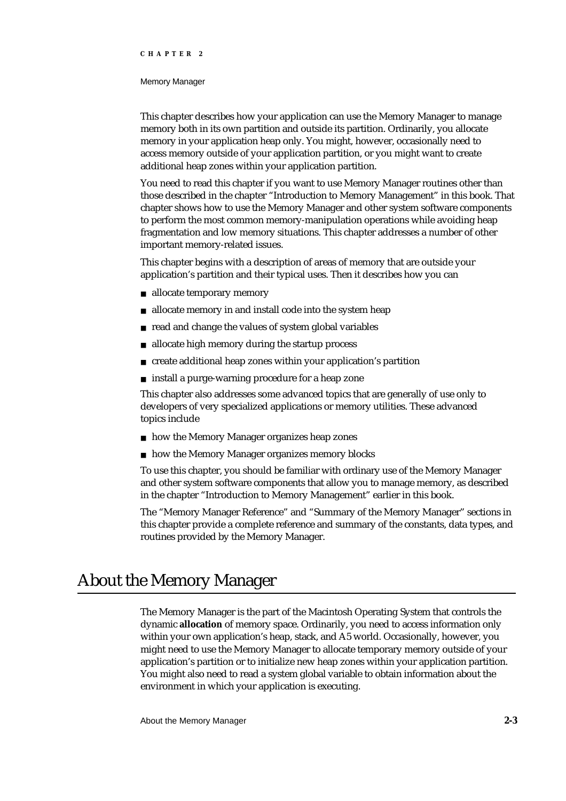### Memory Manager

This chapter describes how your application can use the Memory Manager to manage memory both in its own partition and outside its partition. Ordinarily, you allocate memory in your application heap only. You might, however, occasionally need to access memory outside of your application partition, or you might want to create additional heap zones within your application partition.

You need to read this chapter if you want to use Memory Manager routines other than those described in the chapter "Introduction to Memory Management" in this book. That chapter shows how to use the Memory Manager and other system software components to perform the most common memory-manipulation operations while avoiding heap fragmentation and low memory situations. This chapter addresses a number of other important memory-related issues.

This chapter begins with a description of areas of memory that are outside your application's partition and their typical uses. Then it describes how you can

- n allocate temporary memory
- allocate memory in and install code into the system heap  $\overline{p}$
- read and change the values of system global variables
- allocate high memory during the startup process  $\mathsf{n}$
- create additional heap zones within your application's partition  $\overline{D}$
- n install a purge-warning procedure for a heap zone

This chapter also addresses some advanced topics that are generally of use only to developers of very specialized applications or memory utilities. These advanced topics include

- n how the Memory Manager organizes heap zones
- n how the Memory Manager organizes memory blocks

To use this chapter, you should be familiar with ordinary use of the Memory Manager and other system software components that allow you to manage memory, as described in the chapter "Introduction to Memory Management" earlier in this book.

The "Memory Manager Reference" and "Summary of the Memory Manager" sections in this chapter provide a complete reference and summary of the constants, data types, and routines provided by the Memory Manager.

# About the Memory Manager

The Memory Manager is the part of the Macintosh Operating System that controls the dynamic **allocation** of memory space. Ordinarily, you need to access information only within your own application's heap, stack, and A5 world. Occasionally, however, you might need to use the Memory Manager to allocate temporary memory outside of your application's partition or to initialize new heap zones within your application partition. You might also need to read a system global variable to obtain information about the environment in which your application is executing.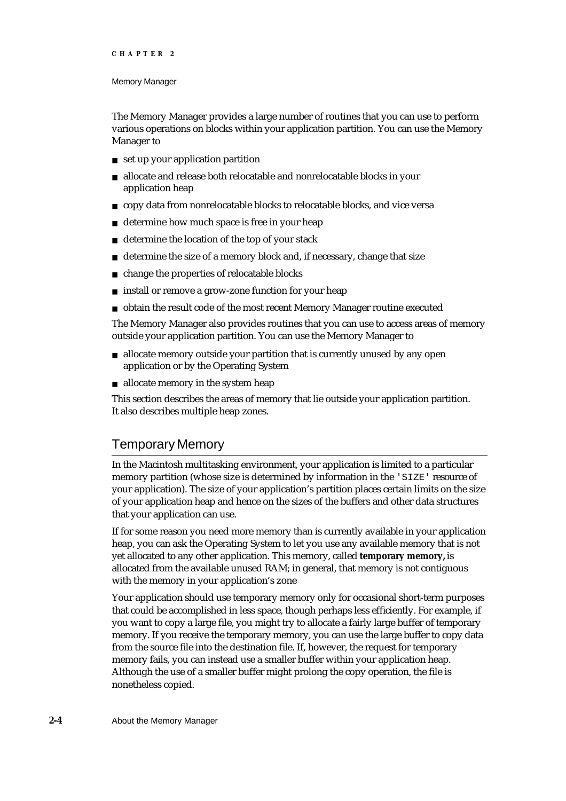### Memory Manager

The Memory Manager provides a large number of routines that you can use to perform various operations on blocks within your application partition. You can use the Memory Manager to

- set up your application partition
- allocate and release both relocatable and nonrelocatable blocks in your  $n$ application heap
- copy data from nonrelocatable blocks to relocatable blocks, and vice versa
- determine how much space is free in your heap  $\mathsf{n}$
- determine the location of the top of your stack  $\overline{p}$
- determine the size of a memory block and, if necessary, change that size  $\overline{p}$
- change the properties of relocatable blocks  $\overline{p}$
- install or remove a grow-zone function for your heap n.
- obtain the result code of the most recent Memory Manager routine executed  $\mathsf{n}$

The Memory Manager also provides routines that you can use to access areas of memory outside your application partition. You can use the Memory Manager to

- n allocate memory outside your partition that is currently unused by any open application or by the Operating System
- allocate memory in the system heap

This section describes the areas of memory that lie outside your application partition. It also describes multiple heap zones.

## Temporary Memory

In the Macintosh multitasking environment, your application is limited to a particular memory partition (whose size is determined by information in the 'SIZE' resource of your application). The size of your application's partition places certain limits on the size of your application heap and hence on the sizes of the buffers and other data structures that your application can use.

If for some reason you need more memory than is currently available in your application heap, you can ask the Operating System to let you use any available memory that is not yet allocated to any other application. This memory, called **temporary memory,** is allocated from the available unused RAM; in general, that memory is not contiguous with the memory in your application's zone

Your application should use temporary memory only for occasional short-term purposes that could be accomplished in less space, though perhaps less efficiently. For example, if you want to copy a large file, you might try to allocate a fairly large buffer of temporary memory. If you receive the temporary memory, you can use the large buffer to copy data from the source file into the destination file. If, however, the request for temporary memory fails, you can instead use a smaller buffer within your application heap. Although the use of a smaller buffer might prolong the copy operation, the file is nonetheless copied.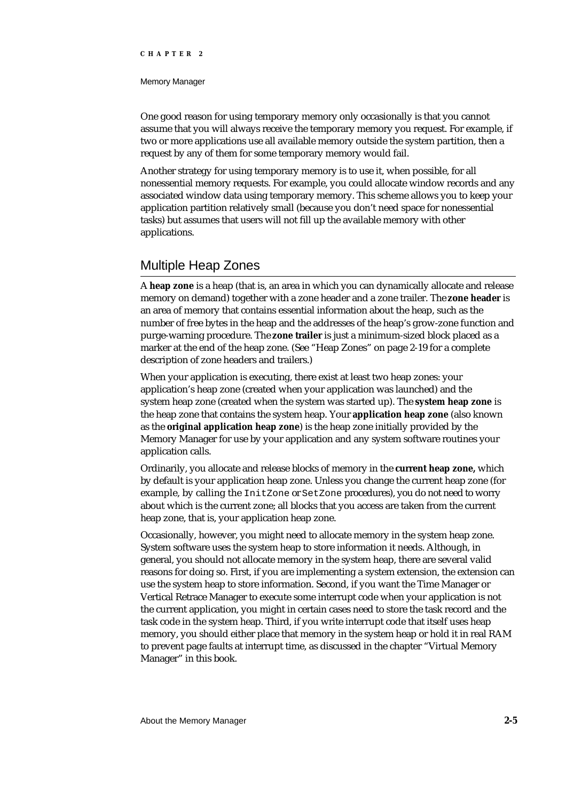### Memory Manager

One good reason for using temporary memory only occasionally is that you cannot assume that you will always receive the temporary memory you request. For example, if two or more applications use all available memory outside the system partition, then a request by any of them for some temporary memory would fail.

Another strategy for using temporary memory is to use it, when possible, for all nonessential memory requests. For example, you could allocate window records and any associated window data using temporary memory. This scheme allows you to keep your application partition relatively small (because you don't need space for nonessential tasks) but assumes that users will not fill up the available memory with other applications.

## Multiple Heap Zones

A **heap zone** is a heap (that is, an area in which you can dynamically allocate and release memory on demand) together with a zone header and a zone trailer. The **zone header** is an area of memory that contains essential information about the heap, such as the number of free bytes in the heap and the addresses of the heap's grow-zone function and purge-warning procedure. The **zone trailer** is just a minimum-sized block placed as a marker at the end of the heap zone. (See "Heap Zones" on page 2-19 for a complete description of zone headers and trailers.)

When your application is executing, there exist at least two heap zones: your application's heap zone (created when your application was launched) and the system heap zone (created when the system was started up). The **system heap zone** is the heap zone that contains the system heap. Your **application heap zone** (also known as the **original application heap zone**) is the heap zone initially provided by the Memory Manager for use by your application and any system software routines your application calls.

Ordinarily, you allocate and release blocks of memory in the **current heap zone,** which by default is your application heap zone. Unless you change the current heap zone (for example, by calling the InitZone or SetZone procedures), you do not need to worry about which is the current zone; all blocks that you access are taken from the current heap zone, that is, your application heap zone.

Occasionally, however, you might need to allocate memory in the system heap zone. System software uses the system heap to store information it needs. Although, in general, you should not allocate memory in the system heap, there are several valid reasons for doing so. First, if you are implementing a system extension, the extension can use the system heap to store information. Second, if you want the Time Manager or Vertical Retrace Manager to execute some interrupt code when your application is not the current application, you might in certain cases need to store the task record and the task code in the system heap. Third, if you write interrupt code that itself uses heap memory, you should either place that memory in the system heap or hold it in real RAM to prevent page faults at interrupt time, as discussed in the chapter "Virtual Memory Manager" in this book.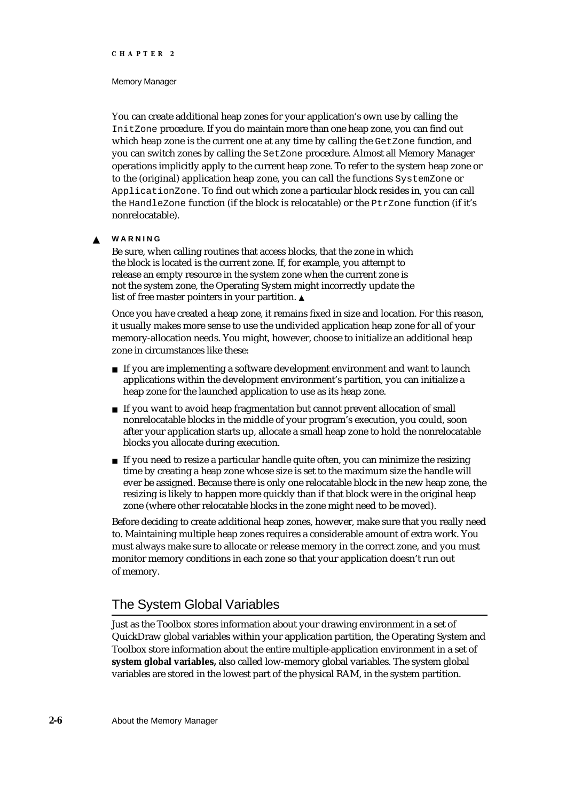### Memory Manager

You can create additional heap zones for your application's own use by calling the InitZone procedure. If you do maintain more than one heap zone, you can find out which heap zone is the current one at any time by calling the GetZone function, and you can switch zones by calling the SetZone procedure. Almost all Memory Manager operations implicitly apply to the current heap zone. To refer to the system heap zone or to the (original) application heap zone, you can call the functions SystemZone or ApplicationZone. To find out which zone a particular block resides in, you can call the HandleZone function (if the block is relocatable) or the PtrZone function (if it's nonrelocatable).

#### **WARNING**  $\mathbf{s}$

Be sure, when calling routines that access blocks, that the zone in which the block is located is the current zone. If, for example, you attempt to release an empty resource in the system zone when the current zone is not the system zone, the Operating System might incorrectly update the list of free master pointers in your partition.

Once you have created a heap zone, it remains fixed in size and location. For this reason, it usually makes more sense to use the undivided application heap zone for all of your memory-allocation needs. You might, however, choose to initialize an additional heap zone in circumstances like these:

- If you are implementing a software development environment and want to launch applications within the development environment's partition, you can initialize a heap zone for the launched application to use as its heap zone.
- n If you want to avoid heap fragmentation but cannot prevent allocation of small nonrelocatable blocks in the middle of your program's execution, you could, soon after your application starts up, allocate a small heap zone to hold the nonrelocatable blocks you allocate during execution.
- If you need to resize a particular handle quite often, you can minimize the resizing time by creating a heap zone whose size is set to the maximum size the handle will ever be assigned. Because there is only one relocatable block in the new heap zone, the resizing is likely to happen more quickly than if that block were in the original heap zone (where other relocatable blocks in the zone might need to be moved).

Before deciding to create additional heap zones, however, make sure that you really need to. Maintaining multiple heap zones requires a considerable amount of extra work. You must always make sure to allocate or release memory in the correct zone, and you must monitor memory conditions in each zone so that your application doesn't run out of memory.

## The System Global Variables

Just as the Toolbox stores information about your drawing environment in a set of QuickDraw global variables within your application partition, the Operating System and Toolbox store information about the entire multiple-application environment in a set of **system global variables,** also called low-memory global variables. The system global variables are stored in the lowest part of the physical RAM, in the system partition.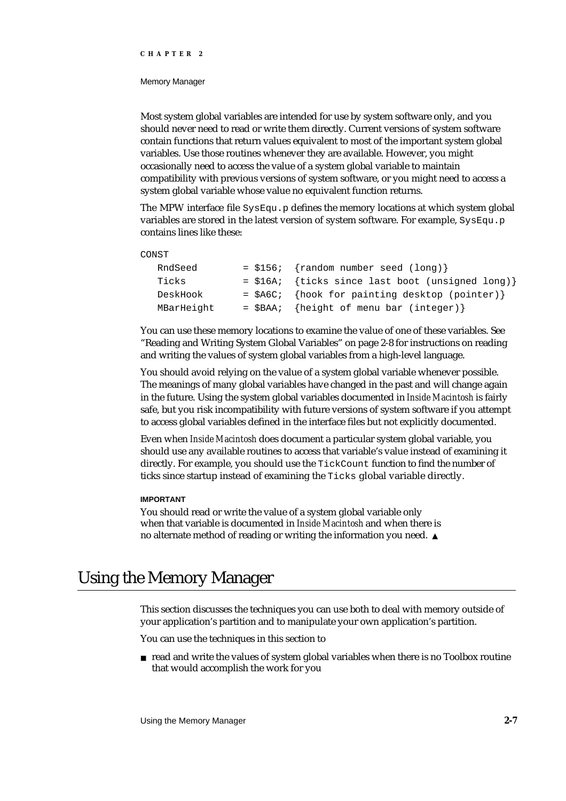### Memory Manager

Most system global variables are intended for use by system software only, and you should never need to read or write them directly. Current versions of system software contain functions that return values equivalent to most of the important system global variables. Use those routines whenever they are available. However, you might occasionally need to access the value of a system global variable to maintain compatibility with previous versions of system software, or you might need to access a system global variable whose value no equivalent function returns.

The MPW interface file  $SysEqu$ . p defines the memory locations at which system global variables are stored in the latest version of system software. For example, SysEqu.p contains lines like these:

### CONST

| RndSeed    | $= $156; \{ random number seed (long) \}$        |
|------------|--------------------------------------------------|
| Ticks      | = \$16A; {ticks since last boot (unsigned long)} |
| DeskHook   | = \$A6C; {hook for painting desktop (pointer)}   |
| MBarHeight | $=$ \$BAA; {height of menu bar (integer)}        |

You can use these memory locations to examine the value of one of these variables. See "Reading and Writing System Global Variables" on page 2-8 for instructions on reading and writing the values of system global variables from a high-level language.

You should avoid relying on the value of a system global variable whenever possible. The meanings of many global variables have changed in the past and will change again in the future. Using the system global variables documented in *Inside Macintosh* is fairly safe, but you risk incompatibility with future versions of system software if you attempt to access global variables defined in the interface files but not explicitly documented.

Even when *Inside Macintosh* does document a particular system global variable, you should use any available routines to access that variable's value instead of examining it directly. For example, you should use the TickCount function to find the number of ticks since startup instead of examining the Ticks global variable directly.

### **IMPORTANT**

You should read or write the value of a system global variable only when that variable is documented in *Inside Macintosh* and when there is no alternate method of reading or writing the information you need.

# Using the Memory Manager

This section discusses the techniques you can use both to deal with memory outside of your application's partition and to manipulate your own application's partition.

You can use the techniques in this section to

 $n$  read and write the values of system global variables when there is no Toolbox routine that would accomplish the work for you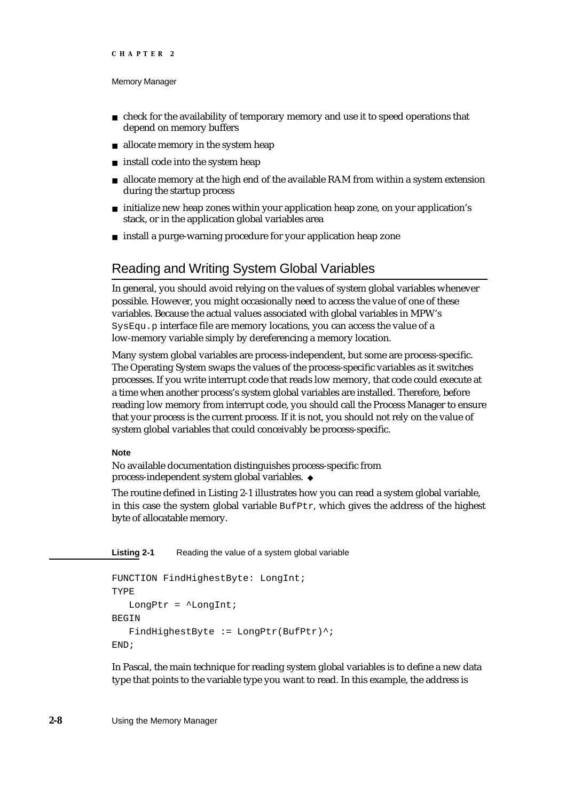### Memory Manager

- $n$  check for the availability of temporary memory and use it to speed operations that depend on memory buffers
- allocate memory in the system heap
- install code into the system heap n.
- $n$  allocate memory at the high end of the available RAM from within a system extension during the startup process
- $n$  initialize new heap zones within your application heap zone, on your application's stack, or in the application global variables area
- n install a purge-warning procedure for your application heap zone

## Reading and Writing System Global Variables

In general, you should avoid relying on the values of system global variables whenever possible. However, you might occasionally need to access the value of one of these variables. Because the actual values associated with global variables in MPW's SysEqu.p interface file are memory locations, you can access the value of a low-memory variable simply by dereferencing a memory location.

Many system global variables are process-independent, but some are process-specific. The Operating System swaps the values of the process-specific variables as it switches processes. If you write interrupt code that reads low memory, that code could execute at a time when another process's system global variables are installed. Therefore, before reading low memory from interrupt code, you should call the Process Manager to ensure that your process is the current process. If it is not, you should not rely on the value of system global variables that could conceivably be process-specific.

## **Note**

No available documentation distinguishes process-specific from process-independent system global variables.

The routine defined in Listing 2-1 illustrates how you can read a system global variable, in this case the system global variable  $\text{Buffer},$  which gives the address of the highest byte of allocatable memory.

**Listing 2-1** Reading the value of a system global variable

```
FUNCTION FindHighestByte: LongInt;
TYPE
   LongPtr = \DeltaLongInt;
BEGIN
   FindHighestByte := LongPtr(BufPtr)^;
END;
```
In Pascal, the main technique for reading system global variables is to define a new data type that points to the variable type you want to read. In this example, the address is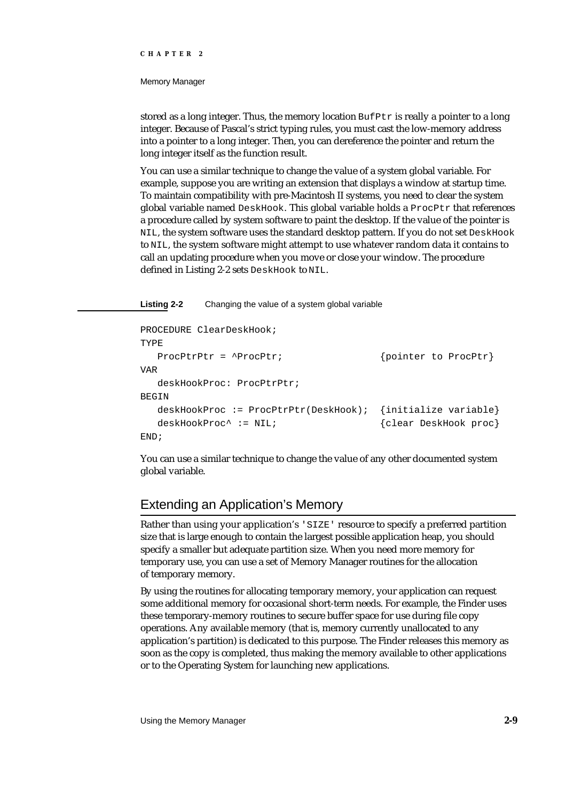#### Memory Manager

stored as a long integer. Thus, the memory location  $\text{Buffer}$  is really a pointer to a long integer. Because of Pascal's strict typing rules, you must cast the low-memory address into a pointer to a long integer. Then, you can dereference the pointer and return the long integer itself as the function result.

You can use a similar technique to change the value of a system global variable. For example, suppose you are writing an extension that displays a window at startup time. To maintain compatibility with pre-Macintosh II systems, you need to clear the system global variable named  $DeskHook$ . This global variable holds a  $ProcPtx$  that references a procedure called by system software to paint the desktop. If the value of the pointer is NIL, the system software uses the standard desktop pattern. If you do not set DeskHook to NIL, the system software might attempt to use whatever random data it contains to call an updating procedure when you move or close your window. The procedure defined in Listing 2-2 sets DeskHook to NIL.

**Listing 2-2** Changing the value of a system global variable

```
PROCEDURE ClearDeskHook;
TYPE
  ProcPtrPtr = ^ProcPtr; \{pointer to Procltr\}VAR
  deskHookProc: ProcPtrPtr;
BEGIN
  deskHookProc := ProcPtrPtr(DeskHook); {initialize variable}
  deskHookProc^ := NIL; {c} {clear DeskHook proc}
END;
```
You can use a similar technique to change the value of any other documented system global variable.

# Extending an Application's Memory

Rather than using your application's 'SIZE' resource to specify a preferred partition size that is large enough to contain the largest possible application heap, you should specify a smaller but adequate partition size. When you need more memory for temporary use, you can use a set of Memory Manager routines for the allocation of temporary memory.

By using the routines for allocating temporary memory, your application can request some additional memory for occasional short-term needs. For example, the Finder uses these temporary-memory routines to secure buffer space for use during file copy operations. Any available memory (that is, memory currently unallocated to any application's partition) is dedicated to this purpose. The Finder releases this memory as soon as the copy is completed, thus making the memory available to other applications or to the Operating System for launching new applications.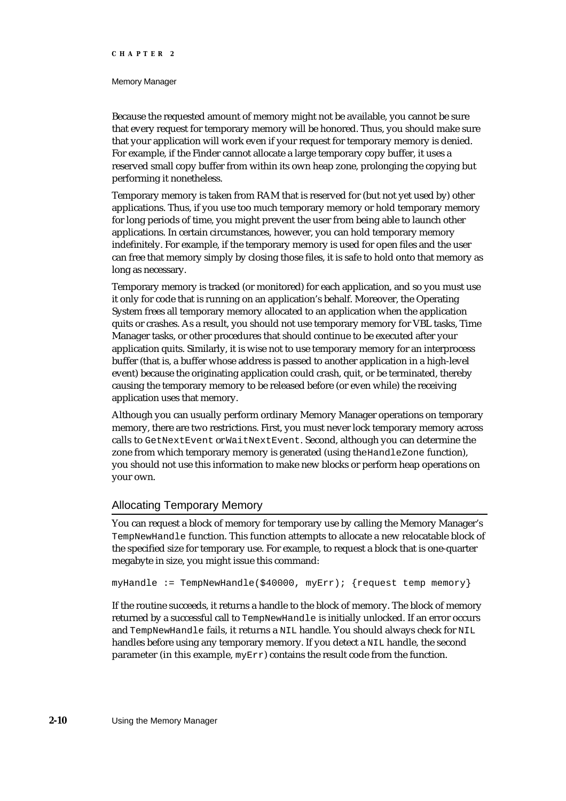#### Memory Manager

Because the requested amount of memory might not be available, you cannot be sure that every request for temporary memory will be honored. Thus, you should make sure that your application will work even if your request for temporary memory is denied. For example, if the Finder cannot allocate a large temporary copy buffer, it uses a reserved small copy buffer from within its own heap zone, prolonging the copying but performing it nonetheless.

Temporary memory is taken from RAM that is reserved for (but not yet used by) other applications. Thus, if you use too much temporary memory or hold temporary memory for long periods of time, you might prevent the user from being able to launch other applications. In certain circumstances, however, you can hold temporary memory indefinitely. For example, if the temporary memory is used for open files and the user can free that memory simply by closing those files, it is safe to hold onto that memory as long as necessary.

Temporary memory is tracked (or monitored) for each application, and so you must use it only for code that is running on an application's behalf. Moreover, the Operating System frees all temporary memory allocated to an application when the application quits or crashes. As a result, you should not use temporary memory for VBL tasks, Time Manager tasks, or other procedures that should continue to be executed after your application quits. Similarly, it is wise not to use temporary memory for an interprocess buffer (that is, a buffer whose address is passed to another application in a high-level event) because the originating application could crash, quit, or be terminated, thereby causing the temporary memory to be released before (or even while) the receiving application uses that memory.

Although you can usually perform ordinary Memory Manager operations on temporary memory, there are two restrictions. First, you must never lock temporary memory across calls to GetNextEvent or WaitNextEvent. Second, although you can determine the zone from which temporary memory is generated (using the HandleZone function), you should not use this information to make new blocks or perform heap operations on your own.

# Allocating Temporary Memory

You can request a block of memory for temporary use by calling the Memory Manager's TempNewHandle function. This function attempts to allocate a new relocatable block of the specified size for temporary use. For example, to request a block that is one-quarter megabyte in size, you might issue this command:

myHandle := TempNewHandle(\$40000, myErr); {request temp memory}

If the routine succeeds, it returns a handle to the block of memory. The block of memory returned by a successful call to TempNewHandle is initially unlocked. If an error occurs and TempNewHandle fails, it returns a NIL handle. You should always check for NIL handles before using any temporary memory. If you detect a NIL handle, the second parameter (in this example, myErr) contains the result code from the function.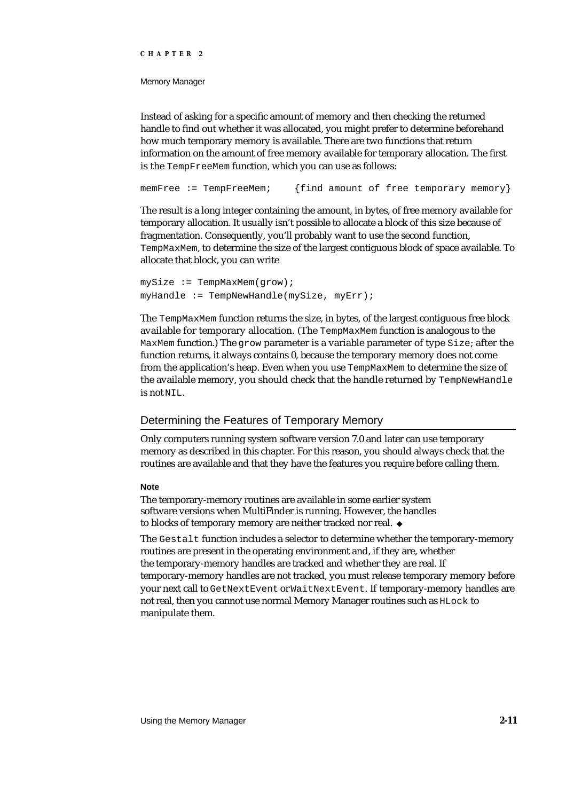Memory Manager

Instead of asking for a specific amount of memory and then checking the returned handle to find out whether it was allocated, you might prefer to determine beforehand how much temporary memory is available. There are two functions that return information on the amount of free memory available for temporary allocation. The first is the TempFreeMem function, which you can use as follows:

memFree := TempFreeMem; {find amount of free temporary memory}

The result is a long integer containing the amount, in bytes, of free memory available for temporary allocation. It usually isn't possible to allocate a block of this size because of fragmentation. Consequently, you'll probably want to use the second function, TempMaxMem, to determine the size of the largest contiguous block of space available. To allocate that block, you can write

 $mySize := TempMaxMem(grow);$ myHandle := TempNewHandle(mySize, myErr);

The TempMaxMem function returns the size, in bytes, of the largest contiguous free block available for temporary allocation. (The TempMaxMem function is analogous to the MaxMem function.) The grow parameter is a variable parameter of type Size; after the function returns, it always contains 0, because the temporary memory does not come from the application's heap. Even when you use TempMaxMem to determine the size of the available memory, you should check that the handle returned by TempNewHandle is not NIL.

# Determining the Features of Temporary Memory

Only computers running system software version 7.0 and later can use temporary memory as described in this chapter. For this reason, you should always check that the routines are available and that they have the features you require before calling them.

#### **Note**

The temporary-memory routines are available in some earlier system software versions when MultiFinder is running. However, the handles to blocks of temporary memory are neither tracked nor real.

The Gestalt function includes a selector to determine whether the temporary-memory routines are present in the operating environment and, if they are, whether the temporary-memory handles are tracked and whether they are real. If temporary-memory handles are not tracked, you must release temporary memory before your next call to GetNextEvent or WaitNextEvent. If temporary-memory handles are not real, then you cannot use normal Memory Manager routines such as HLock to manipulate them.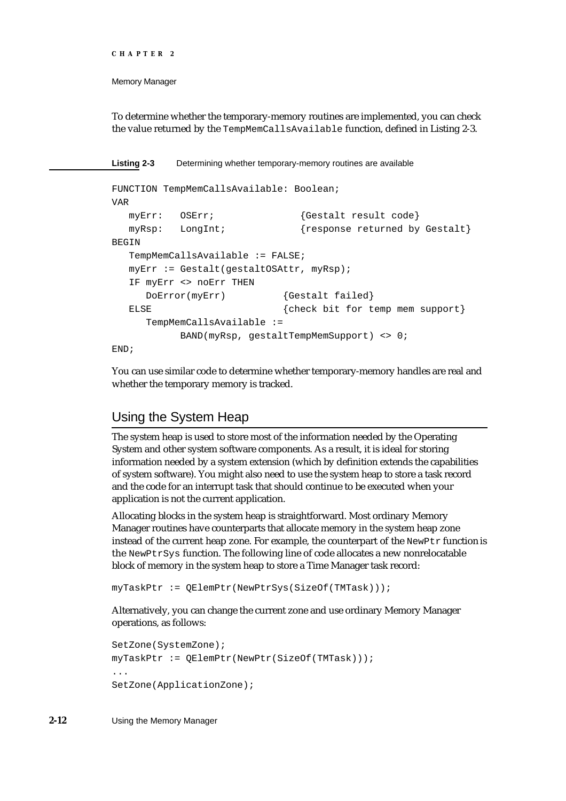```
CHAPTER 2
```
To determine whether the temporary-memory routines are implemented, you can check the value returned by the TempMemCallsAvailable function, defined in Listing 2-3.

**Listing 2-3** Determining whether temporary-memory routines are available

```
FUNCTION TempMemCallsAvailable: Boolean;
VAR
  myErr: OSErr; {Gestalt result code}
  myRsp: LongInt; {response returned by Gestalt}
BEGIN
  TempMemCallsAvailable := FALSE;
  myErr := Gestalt(gestaltOSAttr, myRsp);
  IF myErr <> noErr THEN
     DoError(myErr) {Gestalt failed}
  ELSE \{check\} finit for temp mem support
     TempMemCallsAvailable :=
          BAND(myRsp, gestaltTempMemSupport) <> 0;
END;
```
You can use similar code to determine whether temporary-memory handles are real and whether the temporary memory is tracked.

# Using the System Heap

The system heap is used to store most of the information needed by the Operating System and other system software components. As a result, it is ideal for storing information needed by a system extension (which by definition extends the capabilities of system software). You might also need to use the system heap to store a task record and the code for an interrupt task that should continue to be executed when your application is not the current application.

Allocating blocks in the system heap is straightforward. Most ordinary Memory Manager routines have counterparts that allocate memory in the system heap zone instead of the current heap zone. For example, the counterpart of the NewPtx function is the NewPtrSys function. The following line of code allocates a new nonrelocatable block of memory in the system heap to store a Time Manager task record:

myTaskPtr := QElemPtr(NewPtrSys(SizeOf(TMTask)));

Alternatively, you can change the current zone and use ordinary Memory Manager operations, as follows:

```
SetZone(SystemZone);
myTaskPtr := QElemPtr(NewPtr(SizeOf(TMTask)));
...
SetZone(ApplicationZone);
```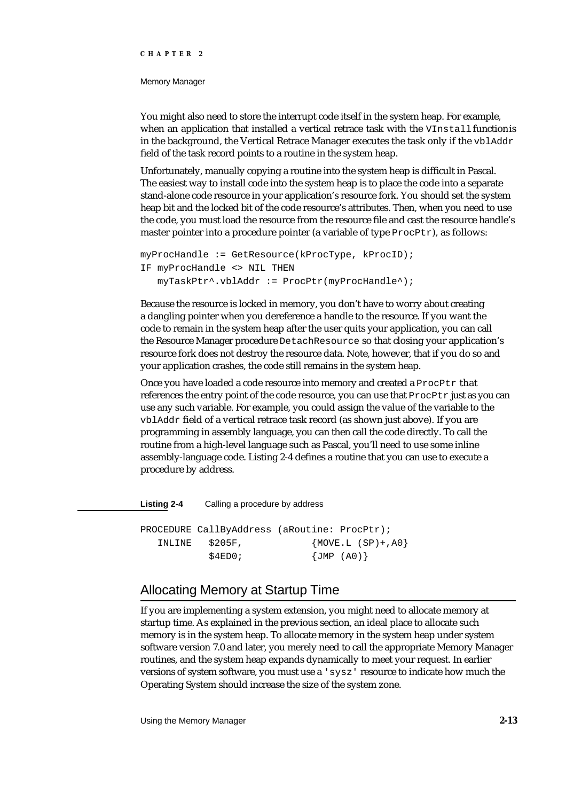#### Memory Manager

You might also need to store the interrupt code itself in the system heap. For example, when an application that installed a vertical retrace task with the VInstall function is in the background, the Vertical Retrace Manager executes the task only if the  $vblAddr$ field of the task record points to a routine in the system heap.

Unfortunately, manually copying a routine into the system heap is difficult in Pascal. The easiest way to install code into the system heap is to place the code into a separate stand-alone code resource in your application's resource fork. You should set the system heap bit and the locked bit of the code resource's attributes. Then, when you need to use the code, you must load the resource from the resource file and cast the resource handle's master pointer into a procedure pointer (a variable of type ProcPtr), as follows:

```
myProcHandle := GetResource(kProcType, kProcID);
IF myProcHandle <> NIL THEN
   myTaskPtr^.vblAddr := ProcPtr(myProcHandle^);
```
Because the resource is locked in memory, you don't have to worry about creating a dangling pointer when you dereference a handle to the resource. If you want the code to remain in the system heap after the user quits your application, you can call the Resource Manager procedure DetachResource so that closing your application's resource fork does not destroy the resource data. Note, however, that if you do so and your application crashes, the code still remains in the system heap.

Once you have loaded a code resource into memory and created a ProcPtr that references the entry point of the code resource, you can use that  $Proofer$  just as you can use any such variable. For example, you could assign the value of the variable to the vblAddr field of a vertical retrace task record (as shown just above). If you are programming in assembly language, you can then call the code directly. To call the routine from a high-level language such as Pascal, you'll need to use some inline assembly-language code. Listing 2-4 defines a routine that you can use to execute a procedure by address.

**Listing 2-4** Calling a procedure by address

PROCEDURE CallByAddress (aRoutine: ProcPtr); INLINE \$205F, {MOVE.L (SP)+,A0}  $$4ED0;$  {JMP (A0)}

# Allocating Memory at Startup Time

If you are implementing a system extension, you might need to allocate memory at startup time. As explained in the previous section, an ideal place to allocate such memory is in the system heap. To allocate memory in the system heap under system software version 7.0 and later, you merely need to call the appropriate Memory Manager routines, and the system heap expands dynamically to meet your request. In earlier versions of system software, you must use a 'sysz' resource to indicate how much the Operating System should increase the size of the system zone.

Using the Memory Manager **2-13**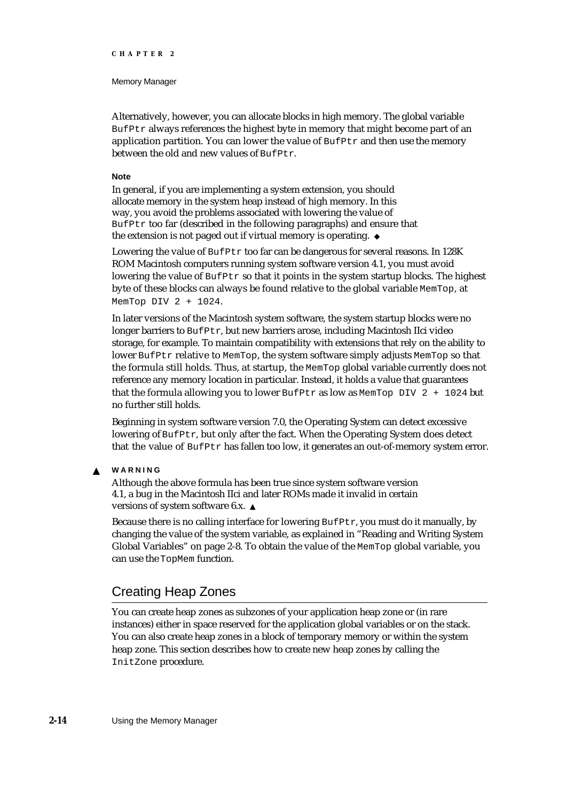#### Memory Manager

Alternatively, however, you can allocate blocks in high memory. The global variable BufPtr always references the highest byte in memory that might become part of an application partition. You can lower the value of  $\text{Buffer}$  and then use the memory between the old and new values of BufPtr.

#### **Note**

In general, if you are implementing a system extension, you should allocate memory in the system heap instead of high memory. In this way, you avoid the problems associated with lowering the value of BufPtr too far (described in the following paragraphs) and ensure that the extension is not paged out if virtual memory is operating.

Lowering the value of BufPtr too far can be dangerous for several reasons. In 128K ROM Macintosh computers running system software version 4.1, you must avoid lowering the value of  $\text{Buffer }$  so that it points in the system startup blocks. The highest byte of these blocks can always be found relative to the global variable MemTop, at MemTop DIV 2 + 1024.

In later versions of the Macintosh system software, the system startup blocks were no longer barriers to BufPtr, but new barriers arose, including Macintosh IIci video storage, for example. To maintain compatibility with extensions that rely on the ability to lower BufPtr relative to MemTop, the system software simply adjusts MemTop so that the formula still holds. Thus, at startup, the MemTop global variable currently does not reference any memory location in particular. Instead, it holds a value that guarantees that the formula allowing you to lower BufPtr as low as MemTop DIV  $2 + 1024$  but no further still holds.

Beginning in system software version 7.0, the Operating System can detect excessive lowering of BufPtr, but only after the fact. When the Operating System does detect that the value of BufPtr has fallen too low, it generates an out-of-memory system error.

#### **WARNING**  $\mathbf{c}$

Although the above formula has been true since system software version 4.1, a bug in the Macintosh IIci and later ROMs made it invalid in certain versions of system software 6.x.

Because there is no calling interface for lowering BufPtr, you must do it manually, by changing the value of the system variable, as explained in "Reading and Writing System Global Variables" on page 2-8. To obtain the value of the MemTop global variable, you can use the TopMem function.

# Creating Heap Zones

You can create heap zones as subzones of your application heap zone or (in rare instances) either in space reserved for the application global variables or on the stack. You can also create heap zones in a block of temporary memory or within the system heap zone. This section describes how to create new heap zones by calling the InitZone procedure.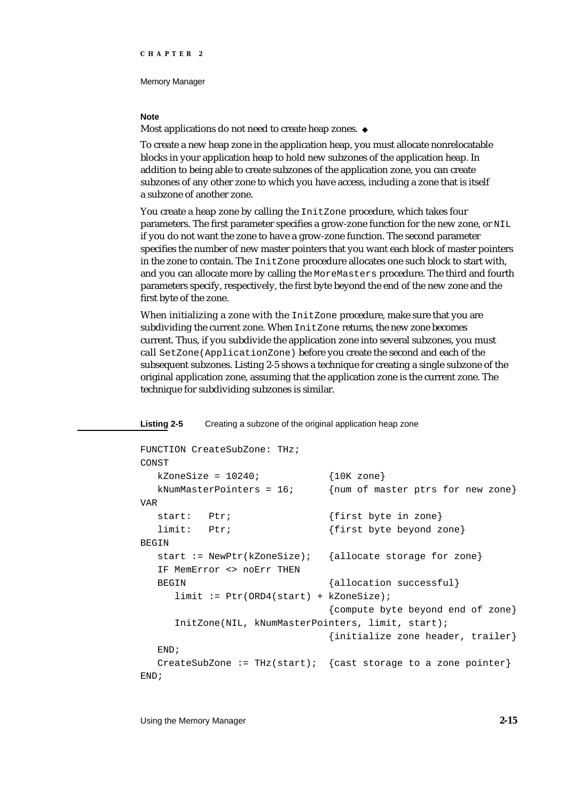#### **Note**

Most applications do not need to create heap zones. u

To create a new heap zone in the application heap, you must allocate nonrelocatable blocks in your application heap to hold new subzones of the application heap. In addition to being able to create subzones of the application zone, you can create subzones of any other zone to which you have access, including a zone that is itself a subzone of another zone.

You create a heap zone by calling the InitZone procedure, which takes four parameters. The first parameter specifies a grow-zone function for the new zone, or NIL if you do not want the zone to have a grow-zone function. The second parameter specifies the number of new master pointers that you want each block of master pointers in the zone to contain. The InitZone procedure allocates one such block to start with, and you can allocate more by calling the MoreMasters procedure. The third and fourth parameters specify, respectively, the first byte beyond the end of the new zone and the first byte of the zone.

When initializing a zone with the InitZone procedure, make sure that you are subdividing the current zone. When InitZone returns, the new zone becomes current. Thus, if you subdivide the application zone into several subzones, you must call SetZone(ApplicationZone) before you create the second and each of the subsequent subzones. Listing 2-5 shows a technique for creating a single subzone of the original application zone, assuming that the application zone is the current zone. The technique for subdividing subzones is similar.

**Listing 2-5** Creating a subzone of the original application heap zone

```
FUNCTION CreateSubZone: THz;
CONST
  kZonesize = 10240; {10K zone}
  kNumMasterPointers = 16; {num of master ptrs for new zone}
VAR
  start: Ptr; \{first byte in zone\}limit: Ptr; \{first byte beyond zone\}BEGIN
  start := NewPtr(kZoneSize); {allocate storage for zone}
  IF MemError <> noErr THEN
  BEGIN {allocation successful}limit := Ptr(ORD4(start) + kZoneSize);
                             {compute byte beyond end of zone}
     InitZone(NIL, kNumMasterPointers, limit, start);
                             {initialize zone header, trailer}
  END;
  CreateSubZone := THz(start); { cast storage to a zone pointer}
END;
```
Using the Memory Manager **2-15**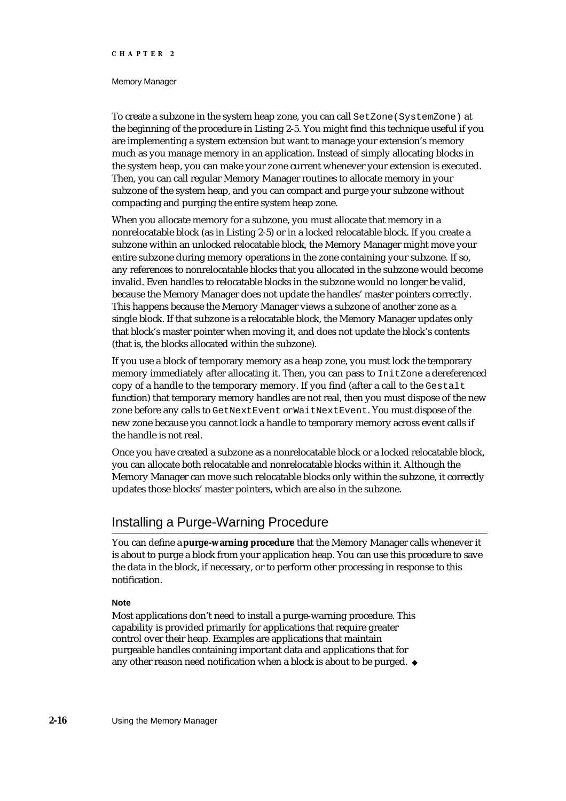#### Memory Manager

To create a subzone in the system heap zone, you can call SetZone(SystemZone) at the beginning of the procedure in Listing 2-5. You might find this technique useful if you are implementing a system extension but want to manage your extension's memory much as you manage memory in an application. Instead of simply allocating blocks in the system heap, you can make your zone current whenever your extension is executed. Then, you can call regular Memory Manager routines to allocate memory in your subzone of the system heap, and you can compact and purge your subzone without compacting and purging the entire system heap zone.

When you allocate memory for a subzone, you must allocate that memory in a nonrelocatable block (as in Listing 2-5) or in a locked relocatable block. If you create a subzone within an unlocked relocatable block, the Memory Manager might move your entire subzone during memory operations in the zone containing your subzone. If so, any references to nonrelocatable blocks that you allocated in the subzone would become invalid. Even handles to relocatable blocks in the subzone would no longer be valid, because the Memory Manager does not update the handles' master pointers correctly. This happens because the Memory Manager views a subzone of another zone as a single block. If that subzone is a relocatable block, the Memory Manager updates only that block's master pointer when moving it, and does not update the block's contents (that is, the blocks allocated within the subzone).

If you use a block of temporary memory as a heap zone, you must lock the temporary memory immediately after allocating it. Then, you can pass to InitZone a dereferenced copy of a handle to the temporary memory. If you find (after a call to the Gestalt function) that temporary memory handles are not real, then you must dispose of the new zone before any calls to GetNextEvent or WaitNextEvent. You must dispose of the new zone because you cannot lock a handle to temporary memory across event calls if the handle is not real.

Once you have created a subzone as a nonrelocatable block or a locked relocatable block, you can allocate both relocatable and nonrelocatable blocks within it. Although the Memory Manager can move such relocatable blocks only within the subzone, it correctly updates those blocks' master pointers, which are also in the subzone.

# Installing a Purge-Warning Procedure

You can define a **purge-warning procedure** that the Memory Manager calls whenever it is about to purge a block from your application heap. You can use this procedure to save the data in the block, if necessary, or to perform other processing in response to this notification.

## **Note**

Most applications don't need to install a purge-warning procedure. This capability is provided primarily for applications that require greater control over their heap. Examples are applications that maintain purgeable handles containing important data and applications that for any other reason need notification when a block is about to be purged.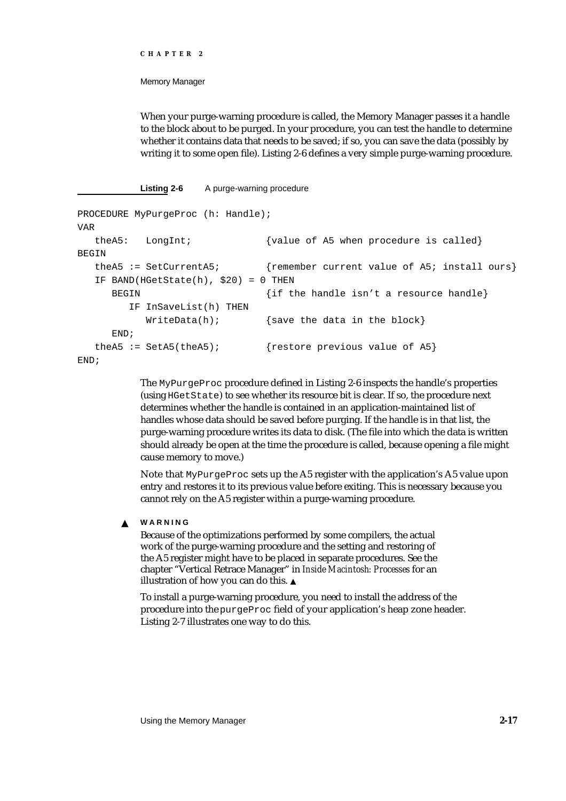#### Memory Manager

When your purge-warning procedure is called, the Memory Manager passes it a handle to the block about to be purged. In your procedure, you can test the handle to determine whether it contains data that needs to be saved; if so, you can save the data (possibly by writing it to some open file). Listing 2-6 defines a very simple purge-warning procedure.

#### Listing 2-6 A purge-warning procedure

```
PROCEDURE MyPurgeProc (h: Handle);
VAR
  theA5: LongInt; {value of AB when procedure is called}BEGIN
  theA5 := SetCurrentA5; {remember current value of A5; install ours}
  IF BAND(HGetState(h), $20) = 0 THEN
     BEGIN \{if the handle isn't a resource handle\}IF InSaveList(h) THEN
          WriteData(h); {save the data in the block}
     END;
  theA5 := SetA5(theA5); {restore previous value of A5}
END;
```
The MyPurgeProc procedure defined in Listing 2-6 inspects the handle's properties (using HGetState) to see whether its resource bit is clear. If so, the procedure next determines whether the handle is contained in an application-maintained list of handles whose data should be saved before purging. If the handle is in that list, the purge-warning procedure writes its data to disk. (The file into which the data is written should already be open at the time the procedure is called, because opening a file might cause memory to move.)

Note that MyPurgeProc sets up the A5 register with the application's A5 value upon entry and restores it to its previous value before exiting. This is necessary because you cannot rely on the A5 register within a purge-warning procedure.

#### **WARNING** <sub>S</sub>

Because of the optimizations performed by some compilers, the actual work of the purge-warning procedure and the setting and restoring of the A5 register might have to be placed in separate procedures. See the chapter "Vertical Retrace Manager" in *Inside Macintosh: Processes* for an illustration of how you can do this.

To install a purge-warning procedure, you need to install the address of the procedure into the purgeProc field of your application's heap zone header. Listing 2-7 illustrates one way to do this.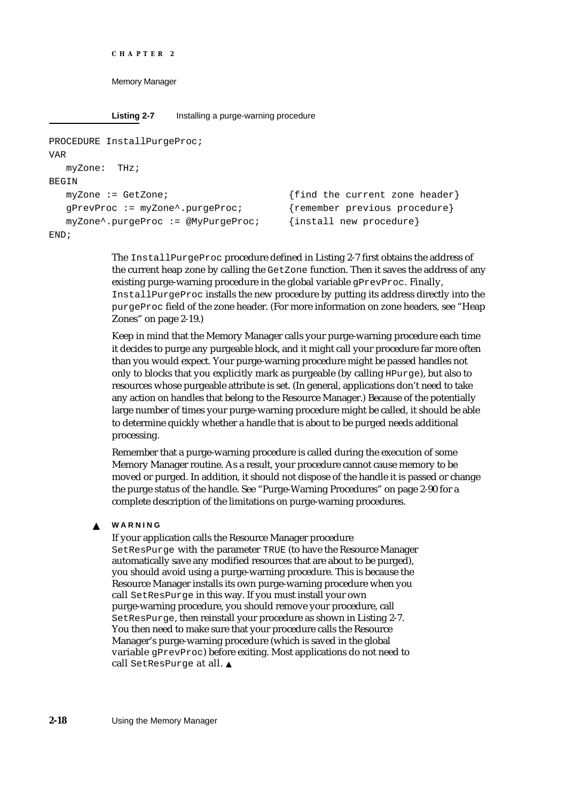```
CHAPTER 2
```
**Listing 2-7** Installing a purge-warning procedure

```
PROCEDURE InstallPurgeProc;
VAR
  myZone: THz;
BEGIN
  myZone := GetZone; {find the current zone header}
  gPrevProc := myZone^.purgeProc; {remember previous procedure}
  myZone^.purgeProc := @MyPurgeProc; {install new procedure}
END;
```
The InstallPurgeProc procedure defined in Listing 2-7 first obtains the address of the current heap zone by calling the GetZone function. Then it saves the address of any existing purge-warning procedure in the global variable gPrevProc. Finally, InstallPurgeProc installs the new procedure by putting its address directly into the purgeProc field of the zone header. (For more information on zone headers, see "Heap Zones" on page 2-19.)

Keep in mind that the Memory Manager calls your purge-warning procedure each time it decides to purge any purgeable block, and it might call your procedure far more often than you would expect. Your purge-warning procedure might be passed handles not only to blocks that you explicitly mark as purgeable (by calling  $HPurge)$ , but also to resources whose purgeable attribute is set. (In general, applications don't need to take any action on handles that belong to the Resource Manager.) Because of the potentially large number of times your purge-warning procedure might be called, it should be able to determine quickly whether a handle that is about to be purged needs additional processing.

Remember that a purge-warning procedure is called during the execution of some Memory Manager routine. As a result, your procedure cannot cause memory to be moved or purged. In addition, it should not dispose of the handle it is passed or change the purge status of the handle. See "Purge-Warning Procedures" on page 2-90 for a complete description of the limitations on purge-warning procedures.

#### **WARNING**  $\mathbf{s}$

If your application calls the Resource Manager procedure SetResPurge with the parameter TRUE (to have the Resource Manager automatically save any modified resources that are about to be purged), you should avoid using a purge-warning procedure. This is because the Resource Manager installs its own purge-warning procedure when you call SetResPurge in this way. If you must install your own purge-warning procedure, you should remove your procedure, call SetResPurge, then reinstall your procedure as shown in Listing 2-7. You then need to make sure that your procedure calls the Resource Manager's purge-warning procedure (which is saved in the global variable gPrevProc) before exiting. Most applications do not need to call SetResPurge at all.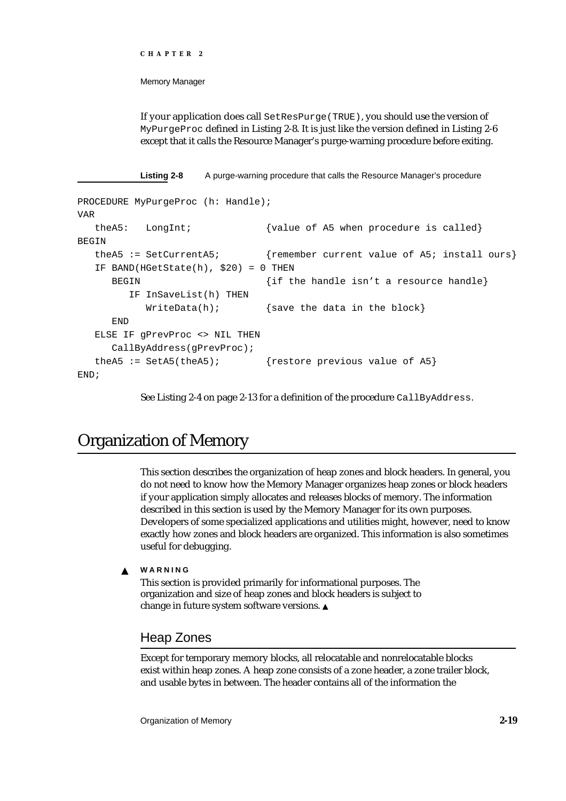```
CHAPTER 2
```
If your application does call SetResPurge(TRUE), you should use the version of MyPurgeProc defined in Listing 2-8. It is just like the version defined in Listing 2-6 except that it calls the Resource Manager's purge-warning procedure before exiting.

**Listing 2-8** A purge-warning procedure that calls the Resource Manager's procedure

```
PROCEDURE MyPurgeProc (h: Handle);
VAR
  theA5: LongInt; {value of A5 when procedure is called}BEGIN
  theA5 := SetCurrentA5; {remember current value of A5; install ours}IF BAND(HGetState(h), $20) = 0 THEN
     BEGIN \{if the handle isn't a resource handle\}IF InSaveList(h) THEN
          WriteData(h); {save the data in the block}
     END
  ELSE IF gPrevProc <> NIL THEN
     CallByAddress(gPrevProc);
  theA5 := SetA5(theA5); {r} {restore previous value of A5}
END;
```
See Listing 2-4 on page 2-13 for a definition of the procedure CallByAddress.

# Organization of Memory

This section describes the organization of heap zones and block headers. In general, you do not need to know how the Memory Manager organizes heap zones or block headers if your application simply allocates and releases blocks of memory. The information described in this section is used by the Memory Manager for its own purposes. Developers of some specialized applications and utilities might, however, need to know exactly how zones and block headers are organized. This information is also sometimes useful for debugging.

**WARNING**  $\mathbf{s}$ 

> This section is provided primarily for informational purposes. The organization and size of heap zones and block headers is subject to change in future system software versions.

# Heap Zones

Except for temporary memory blocks, all relocatable and nonrelocatable blocks exist within heap zones. A heap zone consists of a zone header, a zone trailer block, and usable bytes in between. The header contains all of the information the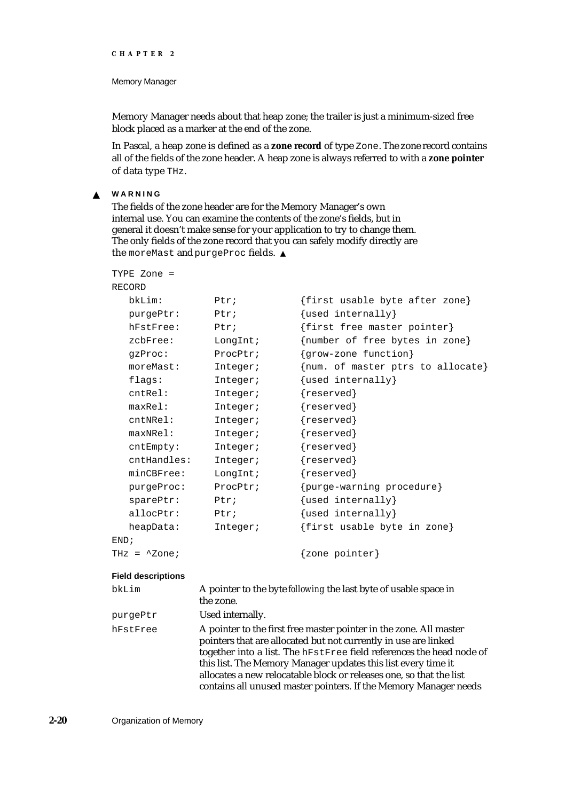#### Memory Manager

Memory Manager needs about that heap zone; the trailer is just a minimum-sized free block placed as a marker at the end of the zone.

In Pascal, a heap zone is defined as a **zone record** of type Zone. The zone record contains all of the fields of the zone header. A heap zone is always referred to with a **zone pointer** of data type THz.

#### **WARNING**  $\mathbf{s}$

The fields of the zone header are for the Memory Manager's own internal use. You can examine the contents of the zone's fields, but in general it doesn't make sense for your application to try to change them. The only fields of the zone record that you can safely modify directly are the moreMast and purgeProc fields.

| TYPE Zone =             |          |                                   |
|-------------------------|----------|-----------------------------------|
| RECORD                  |          |                                   |
| bkLim:                  | Ptri     | {first usable byte after zone}    |
| purgePtr:               | Ptri     | {used internally}                 |
| hFstFree:               | Ptri     | {first free master pointer}       |
| $z$ c $b$ Free:         | LongInt; | {number of free bytes in zone}    |
| gzProc:                 | ProcPtr; | {grow-zone function}              |
| moreMast:               | Integer; | {num. of master ptrs to allocate} |
| flags:                  | Integer; | {used internally}                 |
| cntRel:                 | Integer; | ${reserved}$                      |
| maxRe1:                 | Integer; | ${reserved}$                      |
| cntNRel:                | Integer; | {reserved}                        |
| $maxNRe1$ :             | Integer; | ${reserved}$                      |
| cntEmpty:               | Integer; | ${reserved}$                      |
| cntHandles:             | Integer; | ${reserved}$                      |
| minCBFree:              | LongInt; | ${reserved}$                      |
| purgeProc:              | ProcPtr; | {purge-warning procedure}         |
| sparePtr:               | Ptr:     | {used internally}                 |
| allocPtr:               | Ptx:     | $\{used$ internally $\}$          |
| heapData:               | Integer; | {first usable byte in zone}       |
| END;                    |          |                                   |
| THz = $^{\wedge}$ Zone; |          | zone pointer}                     |

#### **Field descriptions**

| bkLim    | A pointer to the byte following the last byte of usable space in<br>the zone.                                                                                                                                                                                                                                                                                                                                             |
|----------|---------------------------------------------------------------------------------------------------------------------------------------------------------------------------------------------------------------------------------------------------------------------------------------------------------------------------------------------------------------------------------------------------------------------------|
| purgePtr | Used internally.                                                                                                                                                                                                                                                                                                                                                                                                          |
| hFstFree | A pointer to the first free master pointer in the zone. All master<br>pointers that are allocated but not currently in use are linked<br>together into a list. The hFstFree field references the head node of<br>this list. The Memory Manager updates this list every time it<br>allocates a new relocatable block or releases one, so that the list<br>contains all unused master pointers. If the Memory Manager needs |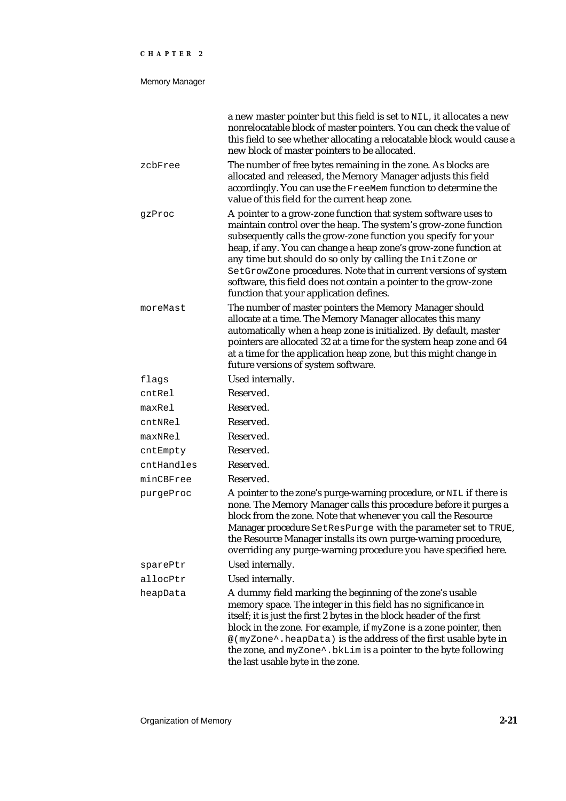## Memory Manager

|            | a new master pointer but this field is set to NIL, it allocates a new<br>nonrelocatable block of master pointers. You can check the value of<br>this field to see whether allocating a relocatable block would cause a<br>new block of master pointers to be allocated.                                                                                                                                                                                                                                                |
|------------|------------------------------------------------------------------------------------------------------------------------------------------------------------------------------------------------------------------------------------------------------------------------------------------------------------------------------------------------------------------------------------------------------------------------------------------------------------------------------------------------------------------------|
| zcbFree    | The number of free bytes remaining in the zone. As blocks are<br>allocated and released, the Memory Manager adjusts this field<br>accordingly. You can use the FreeMem function to determine the<br>value of this field for the current heap zone.                                                                                                                                                                                                                                                                     |
| gzProc     | A pointer to a grow-zone function that system software uses to<br>maintain control over the heap. The system's grow-zone function<br>subsequently calls the grow-zone function you specify for your<br>heap, if any. You can change a heap zone's grow-zone function at<br>any time but should do so only by calling the InitZone or<br>SetGrowZone procedures. Note that in current versions of system<br>software, this field does not contain a pointer to the grow-zone<br>function that your application defines. |
| moreMast   | The number of master pointers the Memory Manager should<br>allocate at a time. The Memory Manager allocates this many<br>automatically when a heap zone is initialized. By default, master<br>pointers are allocated 32 at a time for the system heap zone and 64<br>at a time for the application heap zone, but this might change in<br>future versions of system software.                                                                                                                                          |
| flags      | Used internally.                                                                                                                                                                                                                                                                                                                                                                                                                                                                                                       |
| cntRel     | Reserved.                                                                                                                                                                                                                                                                                                                                                                                                                                                                                                              |
| maxRel     | Reserved.                                                                                                                                                                                                                                                                                                                                                                                                                                                                                                              |
| cntNRel    | Reserved.                                                                                                                                                                                                                                                                                                                                                                                                                                                                                                              |
| maxNRel    | Reserved.                                                                                                                                                                                                                                                                                                                                                                                                                                                                                                              |
| cntEmpty   | Reserved.                                                                                                                                                                                                                                                                                                                                                                                                                                                                                                              |
| cntHandles | Reserved.                                                                                                                                                                                                                                                                                                                                                                                                                                                                                                              |
| minCBFree  | Reserved.                                                                                                                                                                                                                                                                                                                                                                                                                                                                                                              |
| purgeProc  | A pointer to the zone's purge-warning procedure, or NIL if there is<br>none. The Memory Manager calls this procedure before it purges a<br>block from the zone. Note that whenever you call the Resource<br>Manager procedure SetResPurge with the parameter set to TRUE,<br>the Resource Manager installs its own purge-warning procedure,<br>overriding any purge-warning procedure you have specified here.                                                                                                         |
| sparePtr   | Used internally.                                                                                                                                                                                                                                                                                                                                                                                                                                                                                                       |
| allocPtr   | Used internally.                                                                                                                                                                                                                                                                                                                                                                                                                                                                                                       |
| heapData   | A dummy field marking the beginning of the zone's usable<br>memory space. The integer in this field has no significance in<br>itself; it is just the first 2 bytes in the block header of the first<br>block in the zone. For example, if $myZ$ one is a zone pointer, then<br>@(myZone^.heapData) is the address of the first usable byte in<br>the zone, and myZone <sup>^</sup> . bkLim is a pointer to the byte following<br>the last usable byte in the zone.                                                     |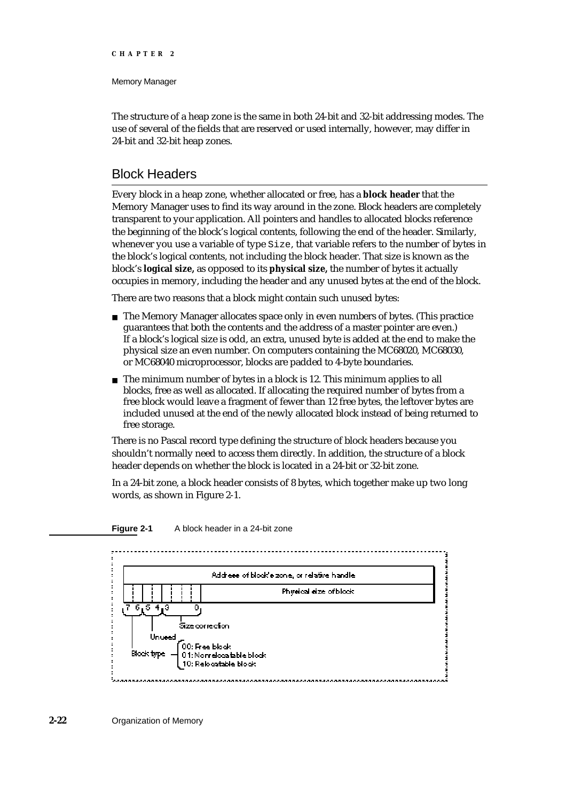#### Memory Manager

The structure of a heap zone is the same in both 24-bit and 32-bit addressing modes. The use of several of the fields that are reserved or used internally, however, may differ in 24-bit and 32-bit heap zones.

# Block Headers

Every block in a heap zone, whether allocated or free, has a **block header** that the Memory Manager uses to find its way around in the zone. Block headers are completely transparent to your application. All pointers and handles to allocated blocks reference the beginning of the block's logical contents, following the end of the header. Similarly, whenever you use a variable of type Size, that variable refers to the number of bytes in the block's logical contents, not including the block header. That size is known as the block's **logical size,** as opposed to its **physical size,** the number of bytes it actually occupies in memory, including the header and any unused bytes at the end of the block.

There are two reasons that a block might contain such unused bytes:

- $n$  The Memory Manager allocates space only in even numbers of bytes. (This practice guarantees that both the contents and the address of a master pointer are even.) If a block's logical size is odd, an extra, unused byte is added at the end to make the physical size an even number. On computers containing the MC68020, MC68030, or MC68040 microprocessor, blocks are padded to 4-byte boundaries.
- $n$  The minimum number of bytes in a block is 12. This minimum applies to all blocks, free as well as allocated. If allocating the required number of bytes from a free block would leave a fragment of fewer than 12 free bytes, the leftover bytes are included unused at the end of the newly allocated block instead of being returned to free storage.

There is no Pascal record type defining the structure of block headers because you shouldn't normally need to access them directly. In addition, the structure of a block header depends on whether the block is located in a 24-bit or 32-bit zone.

In a 24-bit zone, a block header consists of 8 bytes, which together make up two long words, as shown in Figure 2-1.



#### **Figure 2-1** A block header in a 24-bit zone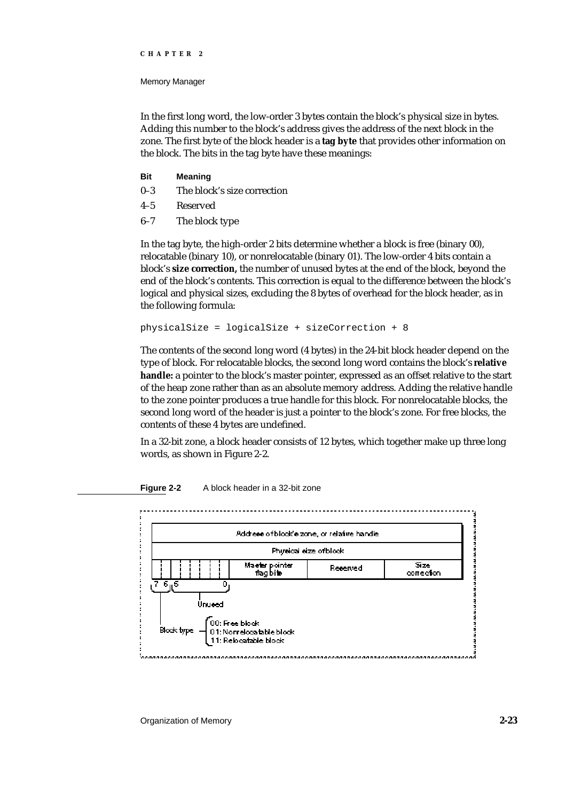Memory Manager

In the first long word, the low-order 3 bytes contain the block's physical size in bytes. Adding this number to the block's address gives the address of the next block in the zone. The first byte of the block header is a **tag byte** that provides other information on the block. The bits in the tag byte have these meanings:

- **Bit Meaning**
- 0–3 The block's size correction
- 4–5 Reserved
- 6–7 The block type

In the tag byte, the high-order 2 bits determine whether a block is free (binary 00), relocatable (binary 10), or nonrelocatable (binary 01). The low-order 4 bits contain a block's **size correction,** the number of unused bytes at the end of the block, beyond the end of the block's contents. This correction is equal to the difference between the block's logical and physical sizes, excluding the 8 bytes of overhead for the block header, as in the following formula:

physicalSize = logicalSize + sizeCorrection + 8

The contents of the second long word (4 bytes) in the 24-bit block header depend on the type of block. For relocatable blocks, the second long word contains the block's **relative handle:** a pointer to the block's master pointer, expressed as an offset relative to the start of the heap zone rather than as an absolute memory address. Adding the relative handle to the zone pointer produces a true handle for this block. For nonrelocatable blocks, the second long word of the header is just a pointer to the block's zone. For free blocks, the contents of these 4 bytes are undefined.

In a 32-bit zone, a block header consists of 12 bytes, which together make up three long words, as shown in Figure 2-2.



**Figure 2-2** A block header in a 32-bit zone

Organization of Memory **2-23**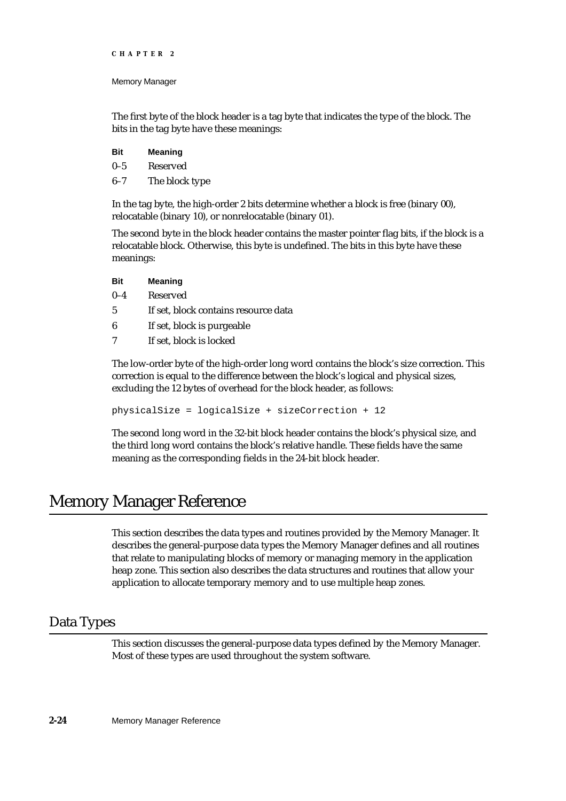Memory Manager

The first byte of the block header is a tag byte that indicates the type of the block. The bits in the tag byte have these meanings:

| Bit | <b>Meaning</b> |
|-----|----------------|
| 0–5 | Reserved       |
| 6–7 | The block type |

In the tag byte, the high-order 2 bits determine whether a block is free (binary 00), relocatable (binary 10), or nonrelocatable (binary 01).

The second byte in the block header contains the master pointer flag bits, if the block is a relocatable block. Otherwise, this byte is undefined. The bits in this byte have these meanings:

| <b>Bit</b> | <b>Meaning</b>  |
|------------|-----------------|
| $0 - 4$    | <b>Reserved</b> |

- 5 If set, block contains resource data
- 6 If set, block is purgeable
- 7 If set, block is locked

The low-order byte of the high-order long word contains the block's size correction. This correction is equal to the difference between the block's logical and physical sizes, excluding the 12 bytes of overhead for the block header, as follows:

physicalSize = logicalSize + sizeCorrection + 12

The second long word in the 32-bit block header contains the block's physical size, and the third long word contains the block's relative handle. These fields have the same meaning as the corresponding fields in the 24-bit block header.

# Memory Manager Reference

This section describes the data types and routines provided by the Memory Manager. It describes the general-purpose data types the Memory Manager defines and all routines that relate to manipulating blocks of memory or managing memory in the application heap zone. This section also describes the data structures and routines that allow your application to allocate temporary memory and to use multiple heap zones.

# Data Types

This section discusses the general-purpose data types defined by the Memory Manager. Most of these types are used throughout the system software.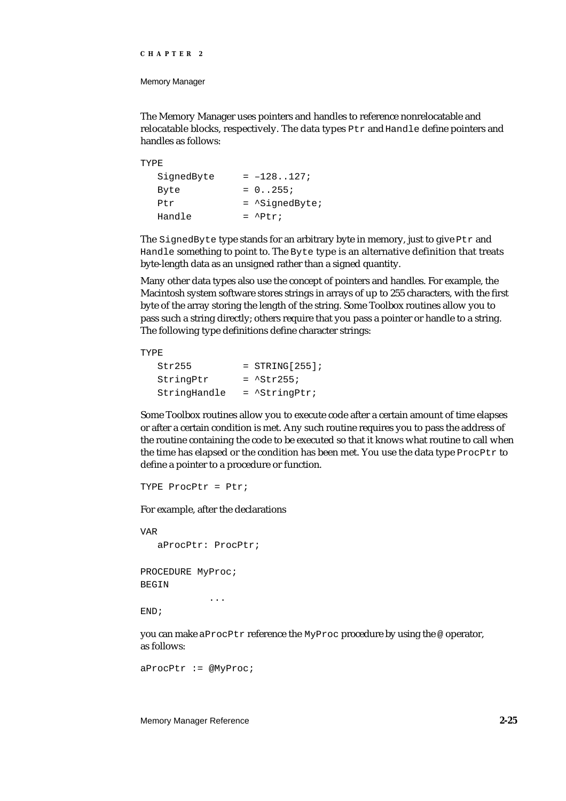Memory Manager

The Memory Manager uses pointers and handles to reference nonrelocatable and relocatable blocks, respectively. The data types Ptr and Handle define pointers and handles as follows:

```
TYPE
  SignedByte = -128...127;
  Byte = 0.0255iPtr = ^SignedByte;
  Handle = \Delta P t r;
```
The SignedByte type stands for an arbitrary byte in memory, just to give Ptr and Handle something to point to. The Byte type is an alternative definition that treats byte-length data as an unsigned rather than a signed quantity.

Many other data types also use the concept of pointers and handles. For example, the Macintosh system software stores strings in arrays of up to 255 characters, with the first byte of the array storing the length of the string. Some Toolbox routines allow you to pass such a string directly; others require that you pass a pointer or handle to a string. The following type definitions define character strings:

```
TYPE
  Str255 = STRING[255];
  StringPtr = ^*Str255;StringHandle = ^StringPtr;
```
Some Toolbox routines allow you to execute code after a certain amount of time elapses or after a certain condition is met. Any such routine requires you to pass the address of the routine containing the code to be executed so that it knows what routine to call when the time has elapsed or the condition has been met. You use the data type  $Proofer$  to define a pointer to a procedure or function.

```
TYPE ProcPtr = Ptr;
```
For example, after the declarations

```
VAR
   aProcPtr: ProcPtr;
PROCEDURE MyProc;
BEGIN
             ...
END;
```
you can make aProcPtr reference the MyProc procedure by using the @ operator, as follows:

aProcPtr := @MyProc;

Memory Manager Reference **2-25**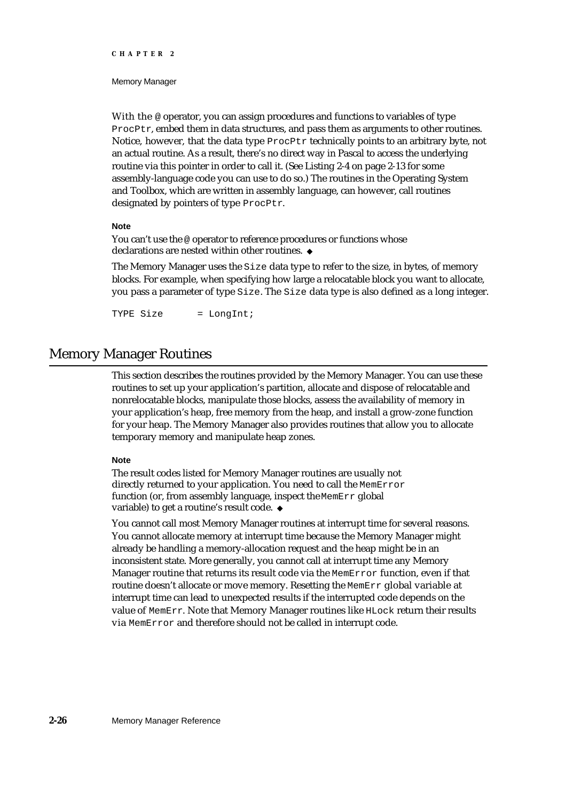#### Memory Manager

With the @ operator, you can assign procedures and functions to variables of type ProcPtr, embed them in data structures, and pass them as arguments to other routines. Notice, however, that the data type ProcPtr technically points to an arbitrary byte, not an actual routine. As a result, there's no direct way in Pascal to access the underlying routine via this pointer in order to call it. (See Listing 2-4 on page 2-13 for some assembly-language code you can use to do so.) The routines in the Operating System and Toolbox, which are written in assembly language, can however, call routines designated by pointers of type ProcPtr.

#### **Note**

You can't use the @ operator to reference procedures or functions whose declarations are nested within other routines.

The Memory Manager uses the Size data type to refer to the size, in bytes, of memory blocks. For example, when specifying how large a relocatable block you want to allocate, you pass a parameter of type Size. The Size data type is also defined as a long integer.

TYPE Size = LongInt;

# Memory Manager Routines

This section describes the routines provided by the Memory Manager. You can use these routines to set up your application's partition, allocate and dispose of relocatable and nonrelocatable blocks, manipulate those blocks, assess the availability of memory in your application's heap, free memory from the heap, and install a grow-zone function for your heap. The Memory Manager also provides routines that allow you to allocate temporary memory and manipulate heap zones.

#### **Note**

The result codes listed for Memory Manager routines are usually not directly returned to your application. You need to call the MemError function (or, from assembly language, inspect the MemErr global variable) to get a routine's result code.

You cannot call most Memory Manager routines at interrupt time for several reasons. You cannot allocate memory at interrupt time because the Memory Manager might already be handling a memory-allocation request and the heap might be in an inconsistent state. More generally, you cannot call at interrupt time any Memory Manager routine that returns its result code via the MemError function, even if that routine doesn't allocate or move memory. Resetting the MemErr global variable at interrupt time can lead to unexpected results if the interrupted code depends on the value of MemErr. Note that Memory Manager routines like HLock return their results via MemError and therefore should not be called in interrupt code.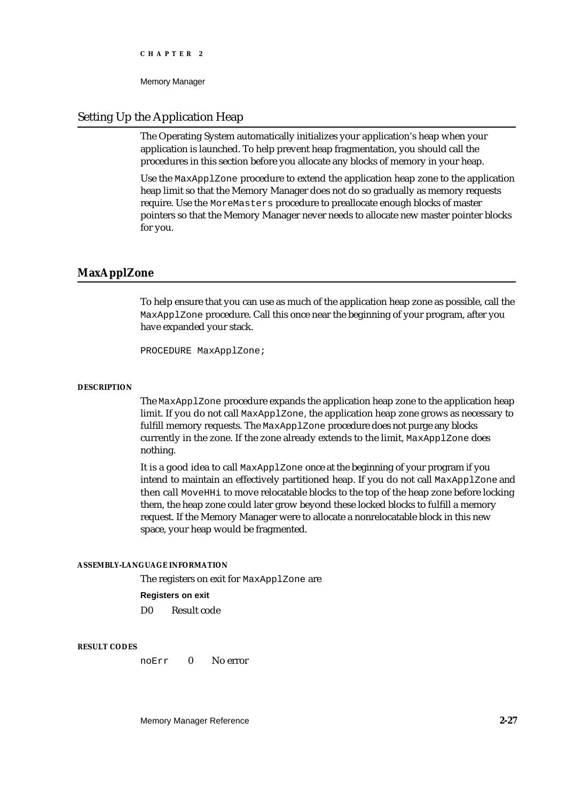Memory Manager

# Setting Up the Application Heap

The Operating System automatically initializes your application's heap when your application is launched. To help prevent heap fragmentation, you should call the procedures in this section before you allocate any blocks of memory in your heap.

Use the MaxApplZone procedure to extend the application heap zone to the application heap limit so that the Memory Manager does not do so gradually as memory requests require. Use the MoreMasters procedure to preallocate enough blocks of master pointers so that the Memory Manager never needs to allocate new master pointer blocks for you.

# **MaxApplZone**

To help ensure that you can use as much of the application heap zone as possible, call the MaxApplZone procedure. Call this once near the beginning of your program, after you have expanded your stack.

PROCEDURE MaxApplZone;

#### **DESCRIPTION**

The MaxApplZone procedure expands the application heap zone to the application heap limit. If you do not call MaxApplZone, the application heap zone grows as necessary to fulfill memory requests. The MaxApplZone procedure does not purge any blocks currently in the zone. If the zone already extends to the limit, MaxApplZone does nothing.

It is a good idea to call MaxApplZone once at the beginning of your program if you intend to maintain an effectively partitioned heap. If you do not call MaxApplZone and then call MoveHHi to move relocatable blocks to the top of the heap zone before locking them, the heap zone could later grow beyond these locked blocks to fulfill a memory request. If the Memory Manager were to allocate a nonrelocatable block in this new space, your heap would be fragmented.

## **ASSEMBLY-LANGUAGE INFORMATION**

The registers on exit for MaxApplZone are

#### **Registers on exit**

D0 Result code

#### **RESULT CODES**

noErr 0 No error

Memory Manager Reference **2-27**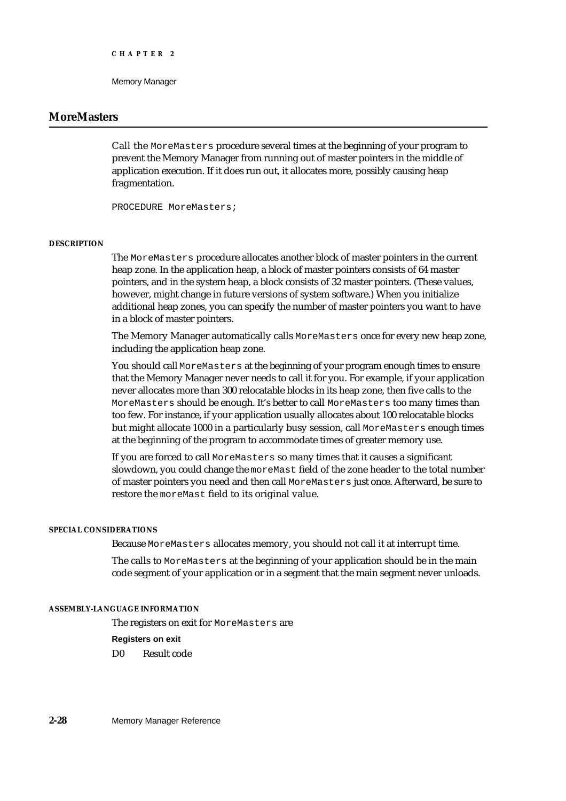# **MoreMasters**

Call the MoreMasters procedure several times at the beginning of your program to prevent the Memory Manager from running out of master pointers in the middle of application execution. If it does run out, it allocates more, possibly causing heap fragmentation.

PROCEDURE MoreMasters;

#### **DESCRIPTION**

The MoreMasters procedure allocates another block of master pointers in the current heap zone. In the application heap, a block of master pointers consists of 64 master pointers, and in the system heap, a block consists of 32 master pointers. (These values, however, might change in future versions of system software.) When you initialize additional heap zones, you can specify the number of master pointers you want to have in a block of master pointers.

The Memory Manager automatically calls MoreMasters once for every new heap zone, including the application heap zone.

You should call MoreMasters at the beginning of your program enough times to ensure that the Memory Manager never needs to call it for you. For example, if your application never allocates more than 300 relocatable blocks in its heap zone, then five calls to the MoreMasters should be enough. It's better to call MoreMasters too many times than too few. For instance, if your application usually allocates about 100 relocatable blocks but might allocate 1000 in a particularly busy session, call MoreMasters enough times at the beginning of the program to accommodate times of greater memory use.

If you are forced to call MoreMasters so many times that it causes a significant slowdown, you could change the moreMast field of the zone header to the total number of master pointers you need and then call MoreMasters just once. Afterward, be sure to restore the moreMast field to its original value.

#### **SPECIAL CONSIDERATIONS**

Because MoreMasters allocates memory, you should not call it at interrupt time.

The calls to MoreMasters at the beginning of your application should be in the main code segment of your application or in a segment that the main segment never unloads.

## **ASSEMBLY-LANGUAGE INFORMATION**

The registers on exit for MoreMasters are

#### **Registers on exit**

D0 Result code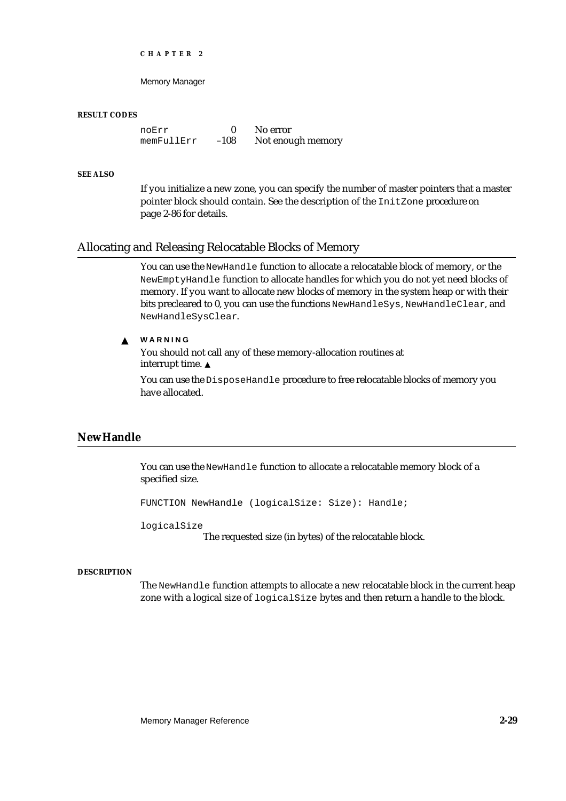Memory Manager

#### **RESULT CODES**

noErr 0 No error<br>memFullErr -108 Notenou memFullErr –108 Not enough memory

## **SEE ALSO**

If you initialize a new zone, you can specify the number of master pointers that a master pointer block should contain. See the description of the InitZone procedure on page 2-86 for details.

# Allocating and Releasing Relocatable Blocks of Memory

You can use the NewHandle function to allocate a relocatable block of memory, or the NewEmptyHandle function to allocate handles for which you do not yet need blocks of memory. If you want to allocate new blocks of memory in the system heap or with their bits precleared to 0, you can use the functions NewHandleSys, NewHandleClear, and NewHandleSysClear.

#### **WARNING**  $\mathbf{S}$

You should not call any of these memory-allocation routines at interrupt time.

You can use the DisposeHandle procedure to free relocatable blocks of memory you have allocated.

# **NewHandle**

You can use the NewHandle function to allocate a relocatable memory block of a specified size.

FUNCTION NewHandle (logicalSize: Size): Handle;

logicalSize

The requested size (in bytes) of the relocatable block.

#### **DESCRIPTION**

The NewHandle function attempts to allocate a new relocatable block in the current heap zone with a logical size of logicalSize bytes and then return a handle to the block.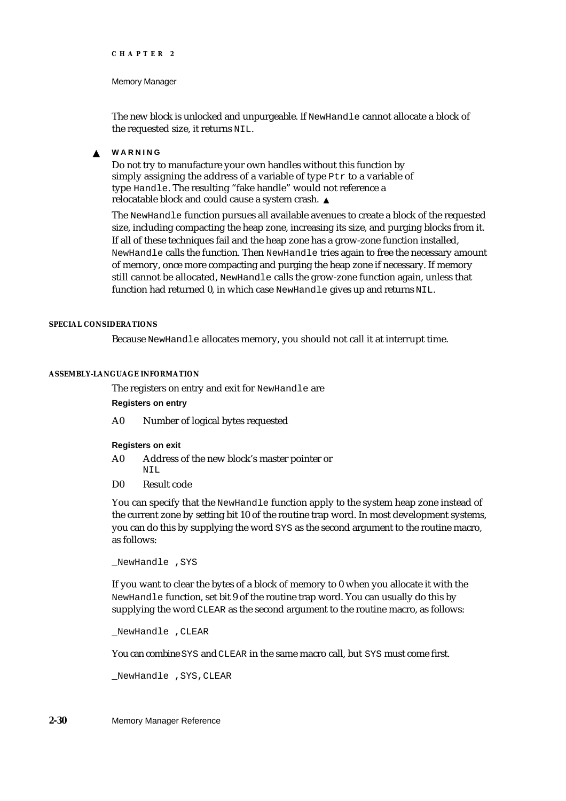#### Memory Manager

The new block is unlocked and unpurgeable. If NewHandle cannot allocate a block of the requested size, it returns NIL.

**WARNING**  $\mathbf{s}$ 

> Do not try to manufacture your own handles without this function by simply assigning the address of a variable of type Ptr to a variable of type Handle. The resulting "fake handle" would not reference a relocatable block and could cause a system crash.

The NewHandle function pursues all available avenues to create a block of the requested size, including compacting the heap zone, increasing its size, and purging blocks from it. If all of these techniques fail and the heap zone has a grow-zone function installed, NewHandle calls the function. Then NewHandle tries again to free the necessary amount of memory, once more compacting and purging the heap zone if necessary. If memory still cannot be allocated, NewHandle calls the grow-zone function again, unless that function had returned 0, in which case NewHandle gives up and returns NIL.

#### **SPECIAL CONSIDERATIONS**

Because NewHandle allocates memory, you should not call it at interrupt time.

#### **ASSEMBLY-LANGUAGE INFORMATION**

The registers on entry and exit for NewHandle are

**Registers on entry**

A0 Number of logical bytes requested

**Registers on exit**

- A0 Address of the new block's master pointer or NIL
- D0 Result code

You can specify that the NewHandle function apply to the system heap zone instead of the current zone by setting bit 10 of the routine trap word. In most development systems, you can do this by supplying the word SYS as the second argument to the routine macro, as follows:

\_NewHandle ,SYS

If you want to clear the bytes of a block of memory to 0 when you allocate it with the NewHandle function, set bit 9 of the routine trap word. You can usually do this by supplying the word CLEAR as the second argument to the routine macro, as follows:

\_NewHandle ,CLEAR

You can combine SYS and CLEAR in the same macro call, but SYS must come first.

\_NewHandle ,SYS,CLEAR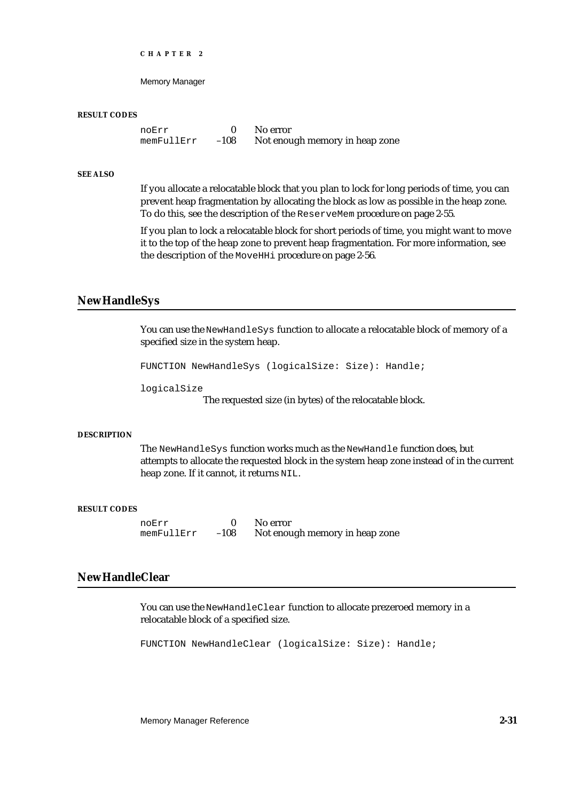Memory Manager

#### **RESULT CODES**

noErr 0 No error<br>memFullErr -108 Notenou memFullErr –108 Not enough memory in heap zone

## **SEE ALSO**

If you allocate a relocatable block that you plan to lock for long periods of time, you can prevent heap fragmentation by allocating the block as low as possible in the heap zone. To do this, see the description of the ReserveMem procedure on page 2-55.

If you plan to lock a relocatable block for short periods of time, you might want to move it to the top of the heap zone to prevent heap fragmentation. For more information, see the description of the MoveHHi procedure on page 2-56.

## **NewHandleSys**

You can use the NewHandleSys function to allocate a relocatable block of memory of a specified size in the system heap.

FUNCTION NewHandleSys (logicalSize: Size): Handle;

logicalSize

The requested size (in bytes) of the relocatable block.

#### **DESCRIPTION**

The NewHandleSys function works much as the NewHandle function does, but attempts to allocate the requested block in the system heap zone instead of in the current heap zone. If it cannot, it returns NIL.

#### **RESULT CODES**

noErr 0 No error<br>memFullErr -108 Notenou

Not enough memory in heap zone

# **NewHandleClear**

You can use the NewHandleClear function to allocate prezeroed memory in a relocatable block of a specified size.

FUNCTION NewHandleClear (logicalSize: Size): Handle;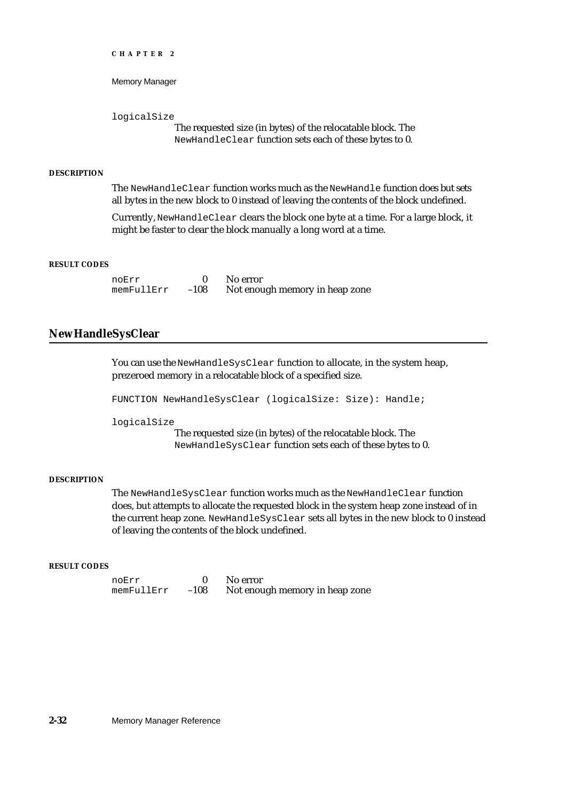```
CHAPTER 2
```
logicalSize

The requested size (in bytes) of the relocatable block. The NewHandleClear function sets each of these bytes to 0.

#### **DESCRIPTION**

The NewHandleClear function works much as the NewHandle function does but sets all bytes in the new block to 0 instead of leaving the contents of the block undefined.

Currently, NewHandleClear clears the block one byte at a time. For a large block, it might be faster to clear the block manually a long word at a time.

#### **RESULT CODES**

noErr 0 No error<br>memFullErr -108 Notenou Not enough memory in heap zone

# **NewHandleSysClear**

You can use the NewHandleSysClear function to allocate, in the system heap, prezeroed memory in a relocatable block of a specified size.

FUNCTION NewHandleSysClear (logicalSize: Size): Handle;

logicalSize

The requested size (in bytes) of the relocatable block. The NewHandleSysClear function sets each of these bytes to 0.

#### **DESCRIPTION**

The NewHandleSysClear function works much as the NewHandleClear function does, but attempts to allocate the requested block in the system heap zone instead of in the current heap zone. NewHandleSysClear sets all bytes in the new block to 0 instead of leaving the contents of the block undefined.

#### **RESULT CODES**

noErr 0 No error<br>memFullErr -108 Notenou Not enough memory in heap zone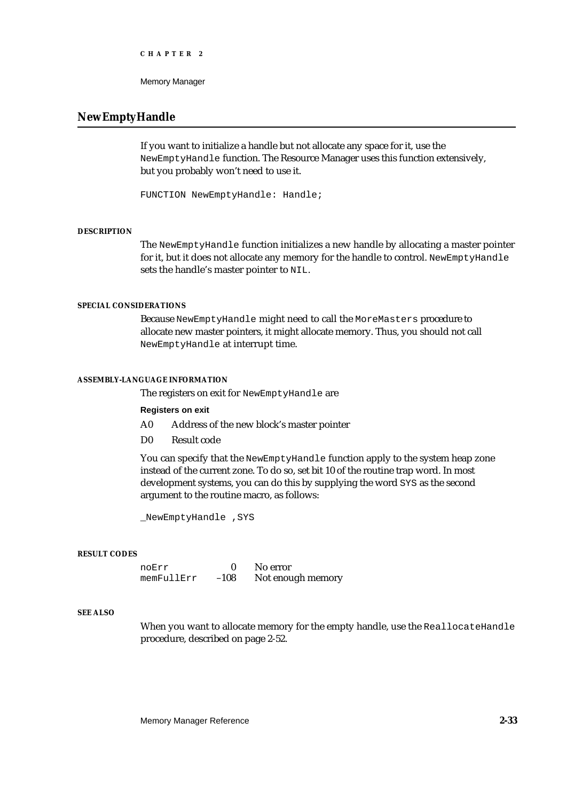```
CHAPTER 2
```
# **NewEmptyHandle**

If you want to initialize a handle but not allocate any space for it, use the NewEmptyHandle function. The Resource Manager uses this function extensively, but you probably won't need to use it.

FUNCTION NewEmptyHandle: Handle;

#### **DESCRIPTION**

The NewEmptyHandle function initializes a new handle by allocating a master pointer for it, but it does not allocate any memory for the handle to control. NewEmptyHandle sets the handle's master pointer to NIL.

## **SPECIAL CONSIDERATIONS**

Because NewEmptyHandle might need to call the MoreMasters procedure to allocate new master pointers, it might allocate memory. Thus, you should not call NewEmptyHandle at interrupt time.

#### **ASSEMBLY-LANGUAGE INFORMATION**

The registers on exit for NewEmptyHandle are

#### **Registers on exit**

- A0 Address of the new block's master pointer
- D0 Result code

You can specify that the NewEmptyHandle function apply to the system heap zone instead of the current zone. To do so, set bit 10 of the routine trap word. In most development systems, you can do this by supplying the word SYS as the second argument to the routine macro, as follows:

\_NewEmptyHandle ,SYS

#### **RESULT CODES**

noErr 0 No error<br>memFullErr -108 Notenou Not enough memory

## **SEE ALSO**

When you want to allocate memory for the empty handle, use the ReallocateHandle procedure, described on page 2-52.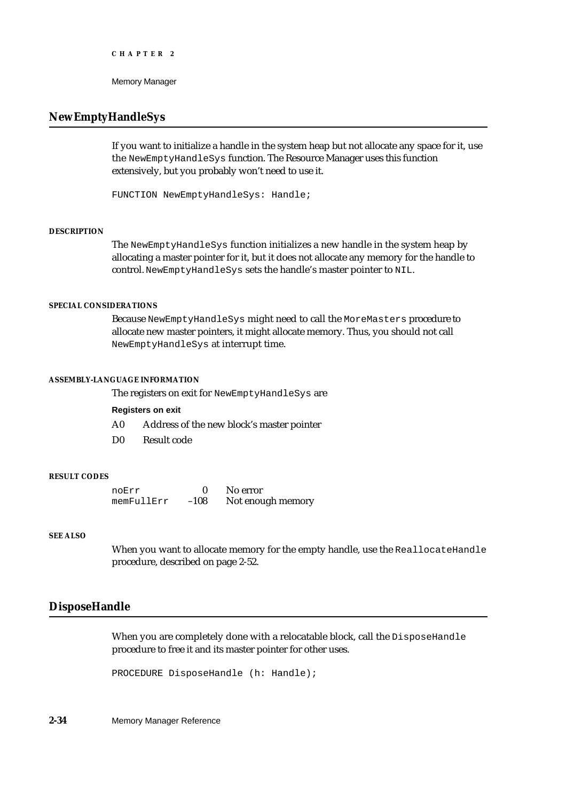# **NewEmptyHandleSys**

If you want to initialize a handle in the system heap but not allocate any space for it, use the NewEmptyHandleSys function. The Resource Manager uses this function extensively, but you probably won't need to use it.

FUNCTION NewEmptyHandleSys: Handle;

## **DESCRIPTION**

The NewEmptyHandleSys function initializes a new handle in the system heap by allocating a master pointer for it, but it does not allocate any memory for the handle to control. NewEmptyHandleSys sets the handle's master pointer to NIL.

#### **SPECIAL CONSIDERATIONS**

Because NewEmptyHandleSys might need to call the MoreMasters procedure to allocate new master pointers, it might allocate memory. Thus, you should not call NewEmptyHandleSys at interrupt time.

#### **ASSEMBLY-LANGUAGE INFORMATION**

The registers on exit for NewEmptyHandleSys are

## **Registers on exit**

- A0 Address of the new block's master pointer
- D0 Result code

#### **RESULT CODES**

| noErr      |        | No error          |
|------------|--------|-------------------|
| memFullErr | $-108$ | Not enough memory |

## **SEE ALSO**

When you want to allocate memory for the empty handle, use the ReallocateHandle procedure, described on page 2-52.

# **DisposeHandle**

When you are completely done with a relocatable block, call the DisposeHandle procedure to free it and its master pointer for other uses.

PROCEDURE DisposeHandle (h: Handle);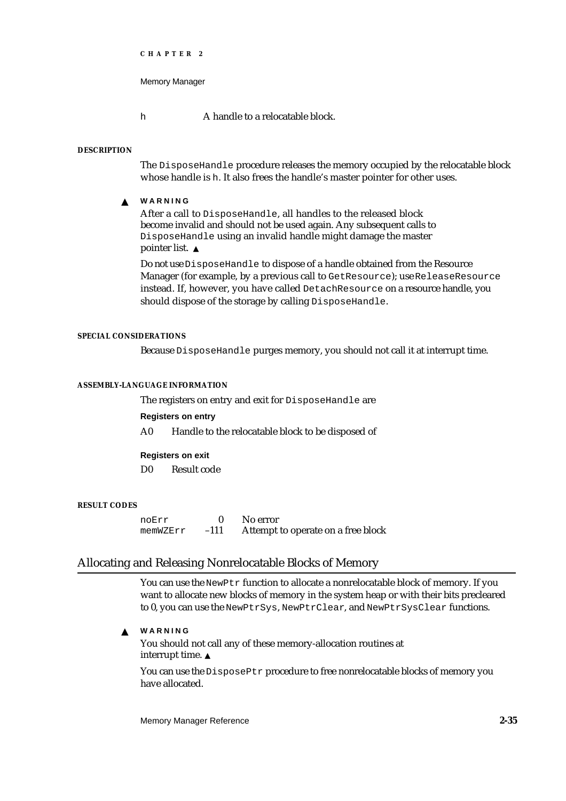```
CHAPTER 2
```
h **A** handle to a relocatable block.

#### **DESCRIPTION**

The DisposeHandle procedure releases the memory occupied by the relocatable block whose handle is h. It also frees the handle's master pointer for other uses.

**WARNING**  $\mathbf{S}$ 

> After a call to DisposeHandle, all handles to the released block become invalid and should not be used again. Any subsequent calls to DisposeHandle using an invalid handle might damage the master pointer list. s

Do not use DisposeHandle to dispose of a handle obtained from the Resource Manager (for example, by a previous call to GetResource); use ReleaseResource instead. If, however, you have called DetachResource on a resource handle, you should dispose of the storage by calling DisposeHandle.

#### **SPECIAL CONSIDERATIONS**

Because DisposeHandle purges memory, you should not call it at interrupt time.

#### **ASSEMBLY-LANGUAGE INFORMATION**

The registers on entry and exit for DisposeHandle are

#### **Registers on entry**

A0 Handle to the relocatable block to be disposed of

#### **Registers on exit**

D0 Result code

#### **RESULT CODES**

noErr 0 No error<br>memWZErr -111 Attempt Attempt to operate on a free block

# Allocating and Releasing Nonrelocatable Blocks of Memory

You can use the NewPtr function to allocate a nonrelocatable block of memory. If you want to allocate new blocks of memory in the system heap or with their bits precleared to 0, you can use the NewPtrSys, NewPtrClear, and NewPtrSysClear functions.

**WARNING** <sub>S</sub>

> You should not call any of these memory-allocation routines at interrupt time.

You can use the DisposePtr procedure to free nonrelocatable blocks of memory you have allocated.

Memory Manager Reference **2-35**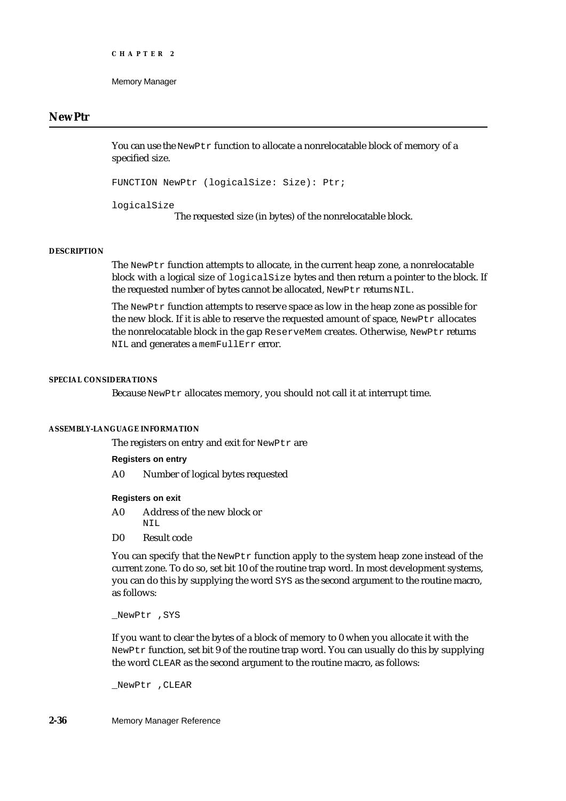## **NewPtr**

You can use the NewPtr function to allocate a nonrelocatable block of memory of a specified size.

```
FUNCTION NewPtr (logicalSize: Size): Ptr;
```
logicalSize

The requested size (in bytes) of the nonrelocatable block.

#### **DESCRIPTION**

The NewPtr function attempts to allocate, in the current heap zone, a nonrelocatable block with a logical size of logicalSize bytes and then return a pointer to the block. If the requested number of bytes cannot be allocated, NewPtr returns NIL.

The NewPtr function attempts to reserve space as low in the heap zone as possible for the new block. If it is able to reserve the requested amount of space, NewPtr allocates the nonrelocatable block in the gap ReserveMem creates. Otherwise, NewPtr returns NIL and generates a memFullErr error.

#### **SPECIAL CONSIDERATIONS**

Because NewPtr allocates memory, you should not call it at interrupt time.

#### **ASSEMBLY-LANGUAGE INFORMATION**

The registers on entry and exit for NewPtr are

#### **Registers on entry**

A0 Number of logical bytes requested

#### **Registers on exit**

- A0 Address of the new block or NIL
- D0 Result code

You can specify that the NewPtr function apply to the system heap zone instead of the current zone. To do so, set bit 10 of the routine trap word. In most development systems, you can do this by supplying the word SYS as the second argument to the routine macro, as follows:

\_NewPtr ,SYS

If you want to clear the bytes of a block of memory to 0 when you allocate it with the NewPtr function, set bit 9 of the routine trap word. You can usually do this by supplying the word CLEAR as the second argument to the routine macro, as follows:

\_NewPtr ,CLEAR

**2-36** Memory Manager Reference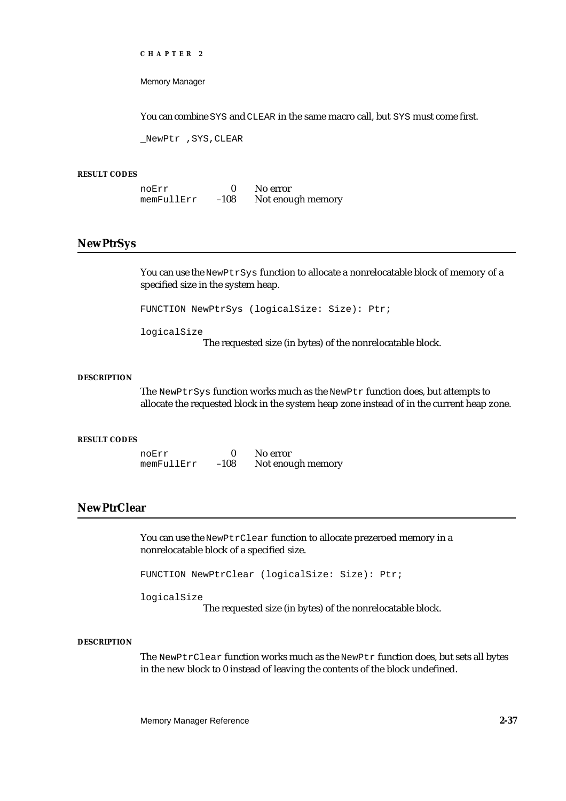Memory Manager

You can combine SYS and CLEAR in the same macro call, but SYS must come first.

\_NewPtr ,SYS,CLEAR

#### **RESULT CODES**

| noErr      |        | No error          |
|------------|--------|-------------------|
| memFullErr | $-108$ | Not enough memory |

# **NewPtrSys**

You can use the NewPtrSys function to allocate a nonrelocatable block of memory of a specified size in the system heap.

FUNCTION NewPtrSys (logicalSize: Size): Ptr;

logicalSize

The requested size (in bytes) of the nonrelocatable block.

#### **DESCRIPTION**

The NewPtrSys function works much as the NewPtr function does, but attempts to allocate the requested block in the system heap zone instead of in the current heap zone.

#### **RESULT CODES**

noErr 0 No error<br>memFullErr -108 Not enough memory  $memFullErr -108$ 

# **NewPtrClear**

You can use the NewPtrClear function to allocate prezeroed memory in a nonrelocatable block of a specified size.

FUNCTION NewPtrClear (logicalSize: Size): Ptr;

logicalSize

The requested size (in bytes) of the nonrelocatable block.

## **DESCRIPTION**

The NewPtrClear function works much as the NewPtr function does, but sets all bytes in the new block to 0 instead of leaving the contents of the block undefined.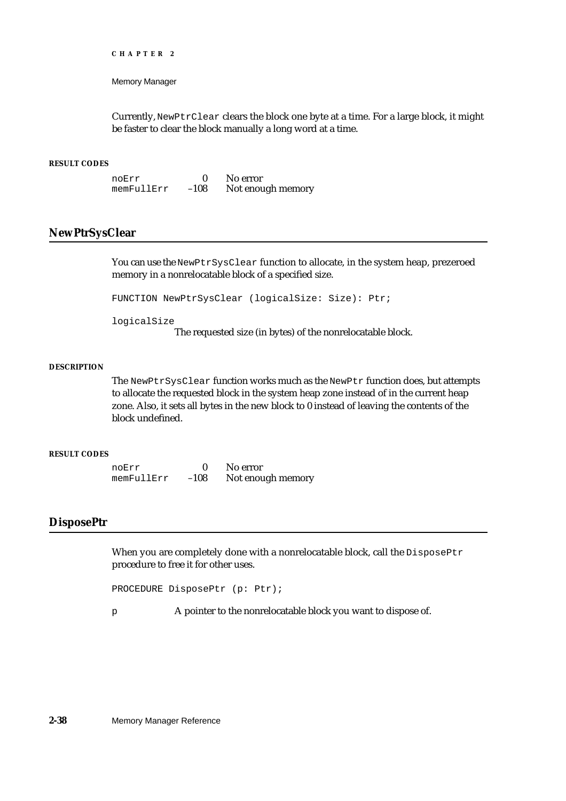Memory Manager

Currently, NewPtrClear clears the block one byte at a time. For a large block, it might be faster to clear the block manually a long word at a time.

#### **RESULT CODES**

noErr 0 No error<br>memFullErr -108 Notenou memFullErr –108 Not enough memory

## **NewPtrSysClear**

You can use the NewPtrSysClear function to allocate, in the system heap, prezeroed memory in a nonrelocatable block of a specified size.

FUNCTION NewPtrSysClear (logicalSize: Size): Ptr;

logicalSize

The requested size (in bytes) of the nonrelocatable block.

#### **DESCRIPTION**

The NewPtrSysClear function works much as the NewPtr function does, but attempts to allocate the requested block in the system heap zone instead of in the current heap zone. Also, it sets all bytes in the new block to 0 instead of leaving the contents of the block undefined.

### **RESULT CODES**

noErr 0 No error<br>memFullErr -108 Notenou Not enough memory

#### **DisposePtr**

When you are completely done with a nonrelocatable block, call the DisposePtr procedure to free it for other uses.

```
PROCEDURE DisposePtr (p: Ptr);
```
p A pointer to the nonrelocatable block you want to dispose of.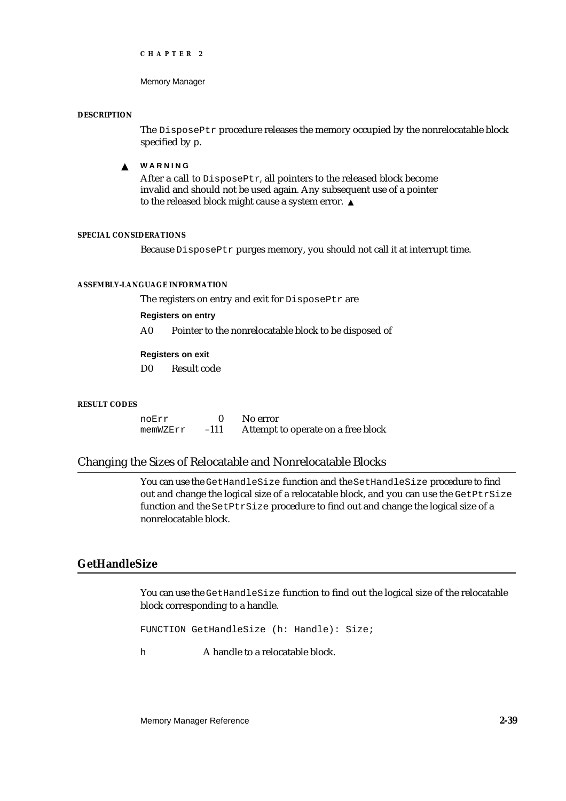Memory Manager

#### **DESCRIPTION**

The DisposePtr procedure releases the memory occupied by the nonrelocatable block specified by p.

#### **WARNING**  $\mathbf{s}$

After a call to DisposePtr, all pointers to the released block become invalid and should not be used again. Any subsequent use of a pointer to the released block might cause a system error.

#### **SPECIAL CONSIDERATIONS**

Because DisposePtr purges memory, you should not call it at interrupt time.

#### **ASSEMBLY-LANGUAGE INFORMATION**

The registers on entry and exit for DisposePtr are

**Registers on entry**

A0 Pointer to the nonrelocatable block to be disposed of

#### **Registers on exit**

D0 Result code

#### **RESULT CODES**

noErr 0 No error memWZErr –111 Attempt to operate on a free block

# Changing the Sizes of Relocatable and Nonrelocatable Blocks

You can use the GetHandleSize function and the SetHandleSize procedure to find out and change the logical size of a relocatable block, and you can use the GetPtrSize function and the SetPtrSize procedure to find out and change the logical size of a nonrelocatable block.

# **GetHandleSize**

You can use the GetHandleSize function to find out the logical size of the relocatable block corresponding to a handle.

FUNCTION GetHandleSize (h: Handle): Size;

h A handle to a relocatable block.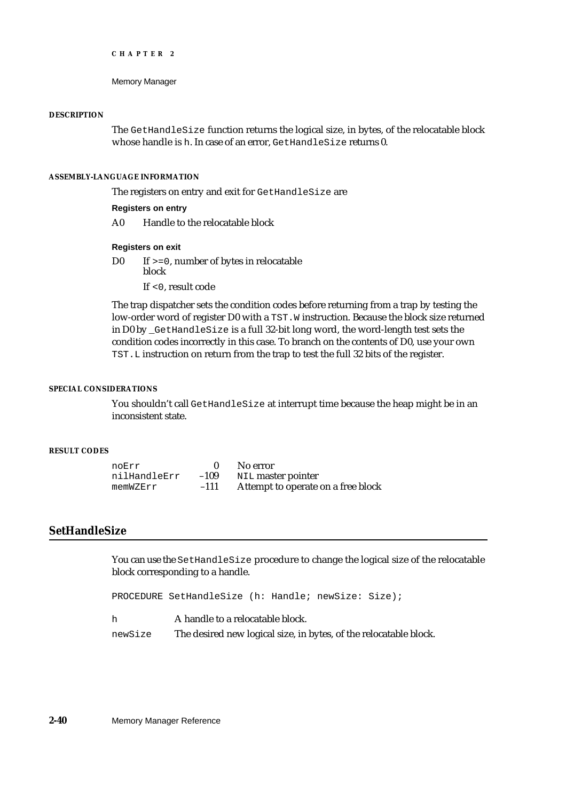```
CHAPTER 2
```
#### **DESCRIPTION**

The GetHandleSize function returns the logical size, in bytes, of the relocatable block whose handle is h. In case of an error, GetHandleSize returns 0.

#### **ASSEMBLY-LANGUAGE INFORMATION**

The registers on entry and exit for GetHandleSize are

#### **Registers on entry**

A0 Handle to the relocatable block

#### **Registers on exit**

D0 If >=0, number of bytes in relocatable block

If <0, result code

The trap dispatcher sets the condition codes before returning from a trap by testing the low-order word of register D0 with a TST. W instruction. Because the block size returned in D0 by \_GetHandleSize is a full 32-bit long word, the word-length test sets the condition codes incorrectly in this case. To branch on the contents of D0, use your own TST.L instruction on return from the trap to test the full 32 bits of the register.

#### **SPECIAL CONSIDERATIONS**

You shouldn't call GetHandleSize at interrupt time because the heap might be in an inconsistent state.

#### **RESULT CODES**

| noErr        |        | No error                           |
|--------------|--------|------------------------------------|
| nilHandleErr | $-109$ | NIL master pointer                 |
| memWZErr     | $-111$ | Attempt to operate on a free block |

# **SetHandleSize**

You can use the SetHandleSize procedure to change the logical size of the relocatable block corresponding to a handle.

PROCEDURE SetHandleSize (h: Handle; newSize: Size);

- h **A** handle to a relocatable block.
- newSize The desired new logical size, in bytes, of the relocatable block.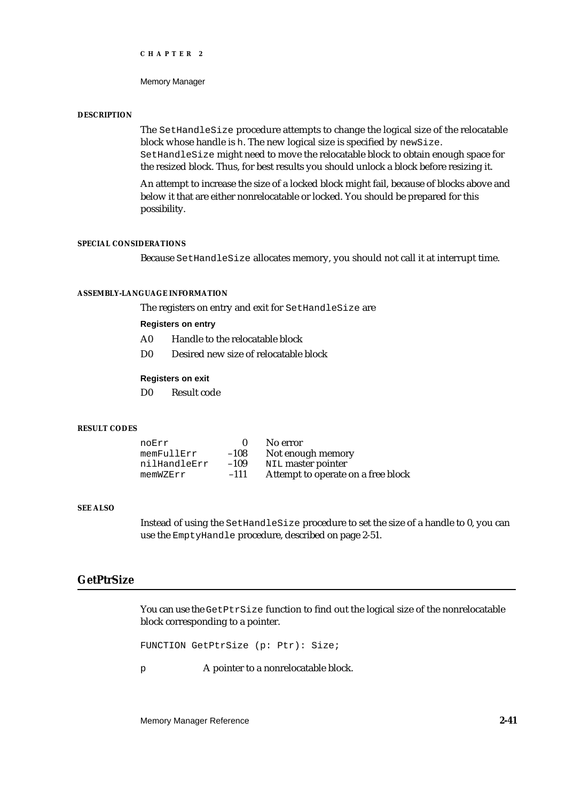Memory Manager

#### **DESCRIPTION**

The SetHandleSize procedure attempts to change the logical size of the relocatable block whose handle is h. The new logical size is specified by newSize. SetHandleSize might need to move the relocatable block to obtain enough space for the resized block. Thus, for best results you should unlock a block before resizing it.

An attempt to increase the size of a locked block might fail, because of blocks above and below it that are either nonrelocatable or locked. You should be prepared for this possibility.

#### **SPECIAL CONSIDERATIONS**

Because SetHandleSize allocates memory, you should not call it at interrupt time.

#### **ASSEMBLY-LANGUAGE INFORMATION**

The registers on entry and exit for SetHandleSize are

### **Registers on entry**

- A0 Handle to the relocatable block
- D0 Desired new size of relocatable block

#### **Registers on exit**

D0 Result code

#### **RESULT CODES**

| noErr        |        | No error                           |
|--------------|--------|------------------------------------|
| memFullErr   | $-108$ | Not enough memory                  |
| nilHandleErr | $-109$ | NIL master pointer                 |
| memWZErr     | $-111$ | Attempt to operate on a free block |

## **SEE ALSO**

Instead of using the SetHandleSize procedure to set the size of a handle to 0, you can use the EmptyHandle procedure, described on page 2-51.

# **GetPtrSize**

You can use the GetPtrSize function to find out the logical size of the nonrelocatable block corresponding to a pointer.

FUNCTION GetPtrSize (p: Ptr): Size;

p A pointer to a nonrelocatable block.

Memory Manager Reference **2-41**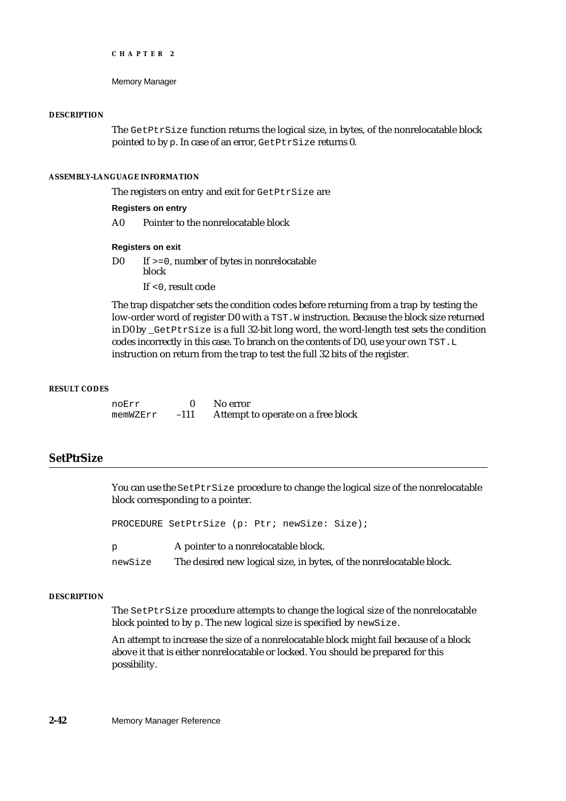```
CHAPTER 2
```
#### **DESCRIPTION**

The GetPtrSize function returns the logical size, in bytes, of the nonrelocatable block pointed to by p. In case of an error, GetPtrSize returns 0.

## **ASSEMBLY-LANGUAGE INFORMATION**

The registers on entry and exit for GetPtrSize are

#### **Registers on entry**

A0 Pointer to the nonrelocatable block

#### **Registers on exit**

D0 If >=0, number of bytes in nonrelocatable block

If <0, result code

The trap dispatcher sets the condition codes before returning from a trap by testing the low-order word of register D0 with a TST. W instruction. Because the block size returned in D0 by \_GetPtrSize is a full 32-bit long word, the word-length test sets the condition codes incorrectly in this case. To branch on the contents of D0, use your own TST.L instruction on return from the trap to test the full 32 bits of the register.

#### **RESULT CODES**

noErr 0 No error memWZErr -111 Attempt to operate on a free block

# **SetPtrSize**

You can use the SetPtrSize procedure to change the logical size of the nonrelocatable block corresponding to a pointer.

PROCEDURE SetPtrSize (p: Ptr; newSize: Size);

p A pointer to a nonrelocatable block.

newSize The desired new logical size, in bytes, of the nonrelocatable block.

#### **DESCRIPTION**

The SetPtrSize procedure attempts to change the logical size of the nonrelocatable block pointed to by p. The new logical size is specified by newSize.

An attempt to increase the size of a nonrelocatable block might fail because of a block above it that is either nonrelocatable or locked. You should be prepared for this possibility.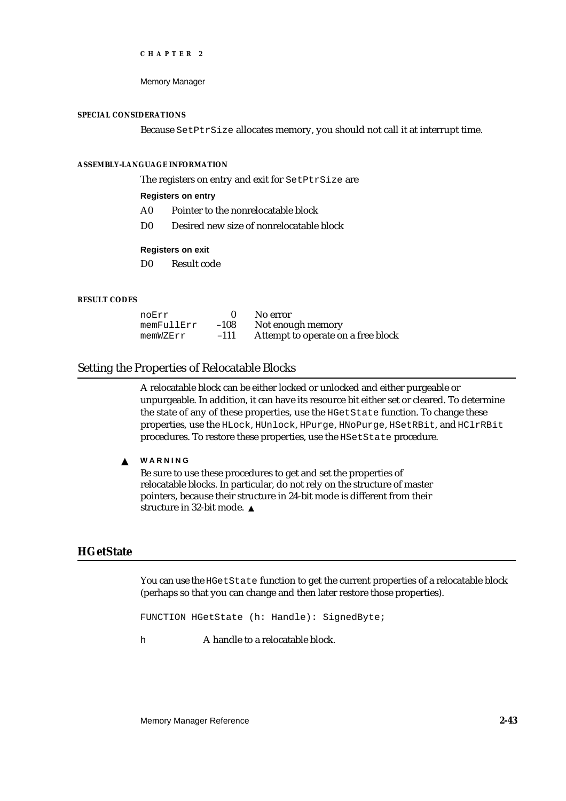Memory Manager

#### **SPECIAL CONSIDERATIONS**

Because SetPtrSize allocates memory, you should not call it at interrupt time.

#### **ASSEMBLY-LANGUAGE INFORMATION**

The registers on entry and exit for SetPtrSize are

# **Registers on entry**

- A0 Pointer to the nonrelocatable block
- D0 Desired new size of nonrelocatable block

#### **Registers on exit**

D0 Result code

#### **RESULT CODES**

| noErr      |        | No error                           |
|------------|--------|------------------------------------|
| memFullErr | $-108$ | Not enough memory                  |
| memWZErr   | $-111$ | Attempt to operate on a free block |

#### Setting the Properties of Relocatable Blocks

A relocatable block can be either locked or unlocked and either purgeable or unpurgeable. In addition, it can have its resource bit either set or cleared. To determine the state of any of these properties, use the HGetState function. To change these properties, use the HLock, HUnlock, HPurge, HNoPurge, HSetRBit, and HClrRBit procedures. To restore these properties, use the HSetState procedure.

#### **WARNING**  $\mathsf{s}$

Be sure to use these procedures to get and set the properties of relocatable blocks. In particular, do not rely on the structure of master pointers, because their structure in 24-bit mode is different from their structure in 32-bit mode.

# **HGetState**

You can use the HGetState function to get the current properties of a relocatable block (perhaps so that you can change and then later restore those properties).

FUNCTION HGetState (h: Handle): SignedByte;

h **A** handle to a relocatable block.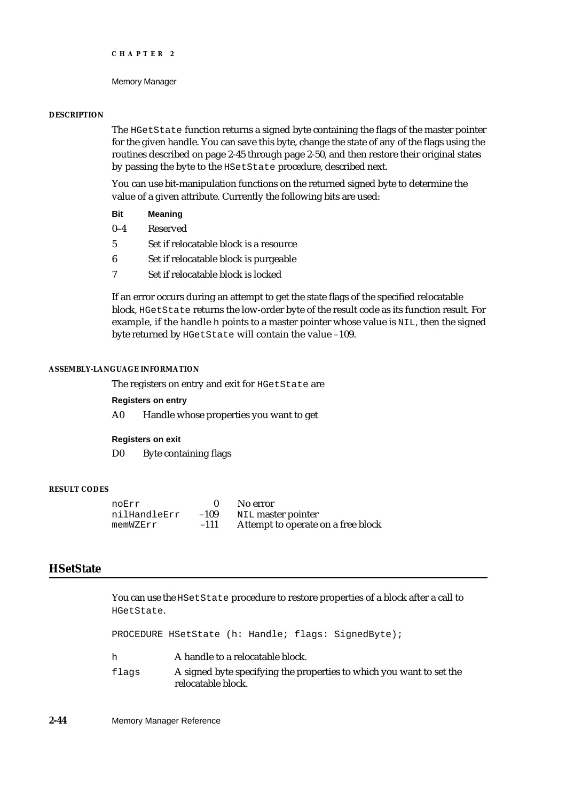#### **DESCRIPTION**

The HGetState function returns a signed byte containing the flags of the master pointer for the given handle. You can save this byte, change the state of any of the flags using the routines described on page 2-45 through page 2-50, and then restore their original states by passing the byte to the HSetState procedure, described next.

You can use bit-manipulation functions on the returned signed byte to determine the value of a given attribute. Currently the following bits are used:

- **Bit Meaning**
- 0–4 Reserved
- 5 Set if relocatable block is a resource
- 6 Set if relocatable block is purgeable
- 7 Set if relocatable block is locked

If an error occurs during an attempt to get the state flags of the specified relocatable block, HGetState returns the low-order byte of the result code as its function result. For example, if the handle h points to a master pointer whose value is NIL, then the signed byte returned by HGetState will contain the value –109.

#### **ASSEMBLY-LANGUAGE INFORMATION**

The registers on entry and exit for HGetState are

**Registers on entry**

A0 Handle whose properties you want to get

#### **Registers on exit**

D0 Byte containing flags

#### **RESULT CODES**

| noErr        |        | No error                           |
|--------------|--------|------------------------------------|
| nilHandleErr | $-109$ | NIL master pointer                 |
| memWZErr     | $-111$ | Attempt to operate on a free block |

# **HSetState**

You can use the HSetState procedure to restore properties of a block after a call to HGetState.

PROCEDURE HSetState (h: Handle; flags: SignedByte);

| h     | A handle to a relocatable block.                                                           |
|-------|--------------------------------------------------------------------------------------------|
| flags | A signed byte specifying the properties to which you want to set the<br>relocatable block. |

**2-44** Memory Manager Reference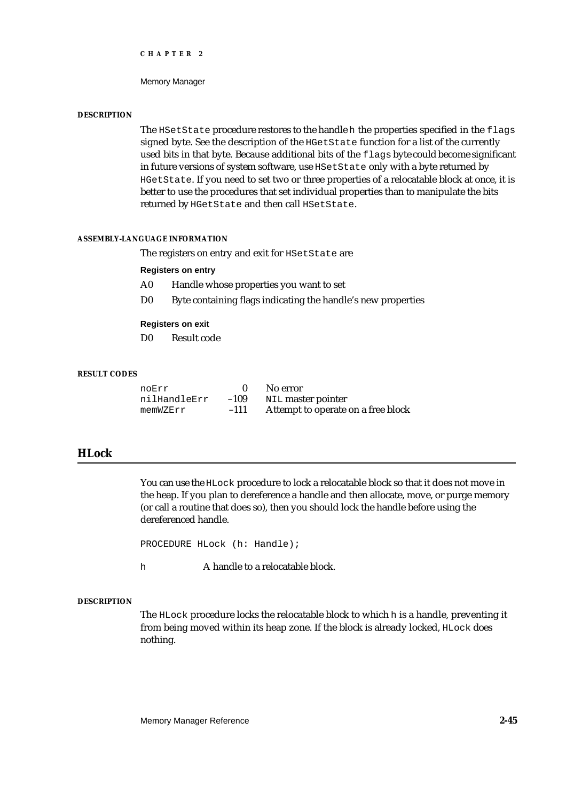Memory Manager

#### **DESCRIPTION**

The HSetState procedure restores to the handle h the properties specified in the flags signed byte. See the description of the HGetState function for a list of the currently used bits in that byte. Because additional bits of the  $flags$  byte could become significant in future versions of system software, use HSetState only with a byte returned by HGetState. If you need to set two or three properties of a relocatable block at once, it is better to use the procedures that set individual properties than to manipulate the bits returned by HGetState and then call HSetState.

# **ASSEMBLY-LANGUAGE INFORMATION**

The registers on entry and exit for HSetState are

#### **Registers on entry**

- A0 Handle whose properties you want to set
- D0 Byte containing flags indicating the handle's new properties

#### **Registers on exit**

D0 Result code

#### **RESULT CODES**

| noErr        |        | No error                           |
|--------------|--------|------------------------------------|
| nilHandleErr | $-109$ | NIL master pointer                 |
| memWZErr     | $-111$ | Attempt to operate on a free block |

# **HLock**

You can use the HLock procedure to lock a relocatable block so that it does not move in the heap. If you plan to dereference a handle and then allocate, move, or purge memory (or call a routine that does so), then you should lock the handle before using the dereferenced handle.

PROCEDURE HLock (h: Handle);

h **A** handle to a relocatable block.

#### **DESCRIPTION**

The HLock procedure locks the relocatable block to which h is a handle, preventing it from being moved within its heap zone. If the block is already locked, HLock does nothing.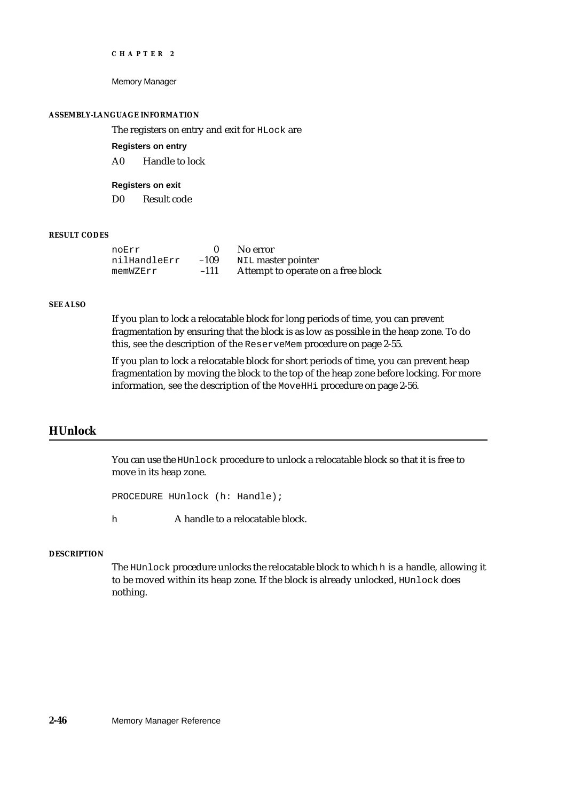Memory Manager

#### **ASSEMBLY-LANGUAGE INFORMATION**

The registers on entry and exit for HLock are

**Registers on entry**

A0 Handle to lock

**Registers on exit**

D0 Result code

# **RESULT CODES**

| noErr        |        | No error                           |
|--------------|--------|------------------------------------|
| nilHandleErr | $-109$ | NIL master pointer                 |
| memWZErr     | $-111$ | Attempt to operate on a free block |

#### **SEE ALSO**

If you plan to lock a relocatable block for long periods of time, you can prevent fragmentation by ensuring that the block is as low as possible in the heap zone. To do this, see the description of the ReserveMem procedure on page 2-55.

If you plan to lock a relocatable block for short periods of time, you can prevent heap fragmentation by moving the block to the top of the heap zone before locking. For more information, see the description of the MoveHHi procedure on page 2-56.

# **HUnlock**

You can use the HUnlock procedure to unlock a relocatable block so that it is free to move in its heap zone.

PROCEDURE HUnlock (h: Handle);

h **A** handle to a relocatable block.

## **DESCRIPTION**

The HUnlock procedure unlocks the relocatable block to which h is a handle, allowing it to be moved within its heap zone. If the block is already unlocked, HUnlock does nothing.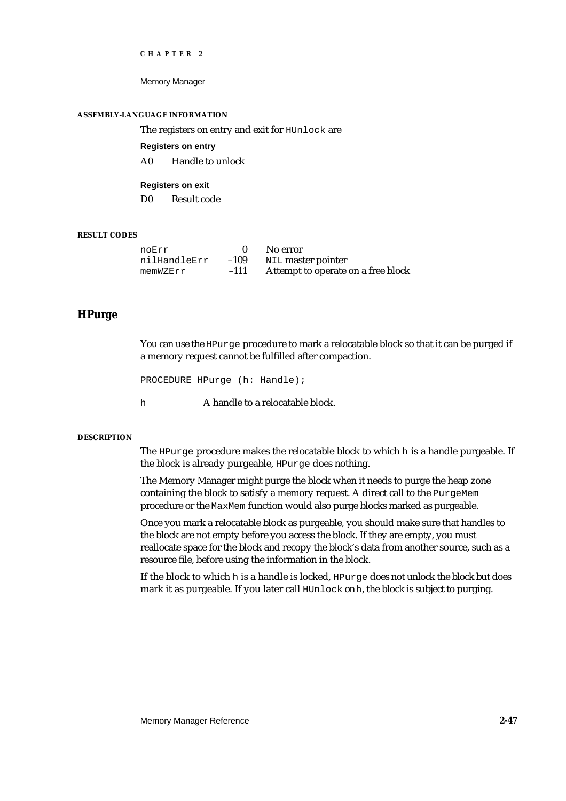Memory Manager

#### **ASSEMBLY-LANGUAGE INFORMATION**

The registers on entry and exit for HUnlock are

**Registers on entry**

A0 Handle to unlock

**Registers on exit**

D0 Result code

# **RESULT CODES**

| noErr        |        | No error                           |
|--------------|--------|------------------------------------|
| nilHandleErr | $-109$ | NIL master pointer                 |
| memWZErr     | $-111$ | Attempt to operate on a free block |

# **HPurge**

You can use the HPurge procedure to mark a relocatable block so that it can be purged if a memory request cannot be fulfilled after compaction.

```
PROCEDURE HPurge (h: Handle);
```
h **A** handle to a relocatable block.

## **DESCRIPTION**

The HPurge procedure makes the relocatable block to which h is a handle purgeable. If the block is already purgeable, HPurge does nothing.

The Memory Manager might purge the block when it needs to purge the heap zone containing the block to satisfy a memory request. A direct call to the PurgeMem procedure or the MaxMem function would also purge blocks marked as purgeable.

Once you mark a relocatable block as purgeable, you should make sure that handles to the block are not empty before you access the block. If they are empty, you must reallocate space for the block and recopy the block's data from another source, such as a resource file, before using the information in the block.

If the block to which h is a handle is locked, HPurge does not unlock the block but does mark it as purgeable. If you later call HUnlock on h, the block is subject to purging.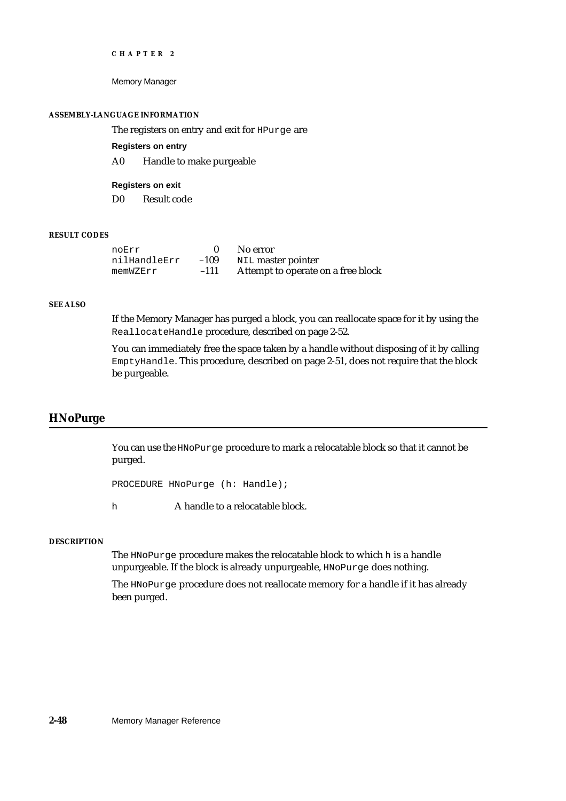Memory Manager

## **ASSEMBLY-LANGUAGE INFORMATION**

The registers on entry and exit for HPurge are

**Registers on entry**

A0 Handle to make purgeable

**Registers on exit**

D0 Result code

# **RESULT CODES**

| noErr        |        | No error                           |
|--------------|--------|------------------------------------|
| nilHandleErr | $-109$ | NIL master pointer                 |
| memWZErr     | $-111$ | Attempt to operate on a free block |

#### **SEE ALSO**

If the Memory Manager has purged a block, you can reallocate space for it by using the ReallocateHandle procedure, described on page 2-52.

You can immediately free the space taken by a handle without disposing of it by calling EmptyHandle. This procedure, described on page 2-51, does not require that the block be purgeable.

# **HNoPurge**

You can use the HNoPurge procedure to mark a relocatable block so that it cannot be purged.

PROCEDURE HNoPurge (h: Handle);

h **A** handle to a relocatable block.

## **DESCRIPTION**

The HNoPurge procedure makes the relocatable block to which h is a handle unpurgeable. If the block is already unpurgeable, HNoPurge does nothing.

The HNoPurge procedure does not reallocate memory for a handle if it has already been purged.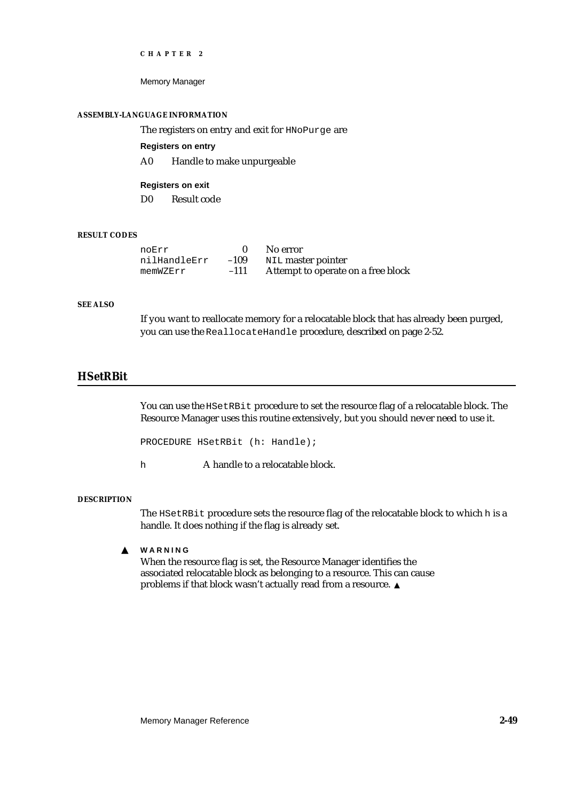Memory Manager

#### **ASSEMBLY-LANGUAGE INFORMATION**

The registers on entry and exit for HNoPurge are

**Registers on entry**

A0 Handle to make unpurgeable

**Registers on exit** D0 Result code

# **RESULT CODES**

| noErr        |        | No error                           |
|--------------|--------|------------------------------------|
| nilHandleErr | $-109$ | NIL master pointer                 |
| memWZErr     | $-111$ | Attempt to operate on a free block |

## **SEE ALSO**

If you want to reallocate memory for a relocatable block that has already been purged, you can use the ReallocateHandle procedure, described on page 2-52.

# **HSetRBit**

You can use the HSetRBit procedure to set the resource flag of a relocatable block. The Resource Manager uses this routine extensively, but you should never need to use it.

PROCEDURE HSetRBit (h: Handle);

h A handle to a relocatable block.

#### **DESCRIPTION**

The HSetRBit procedure sets the resource flag of the relocatable block to which h is a handle. It does nothing if the flag is already set.

 $\mathbf{s}$ **WARNING**

> When the resource flag is set, the Resource Manager identifies the associated relocatable block as belonging to a resource. This can cause problems if that block wasn't actually read from a resource.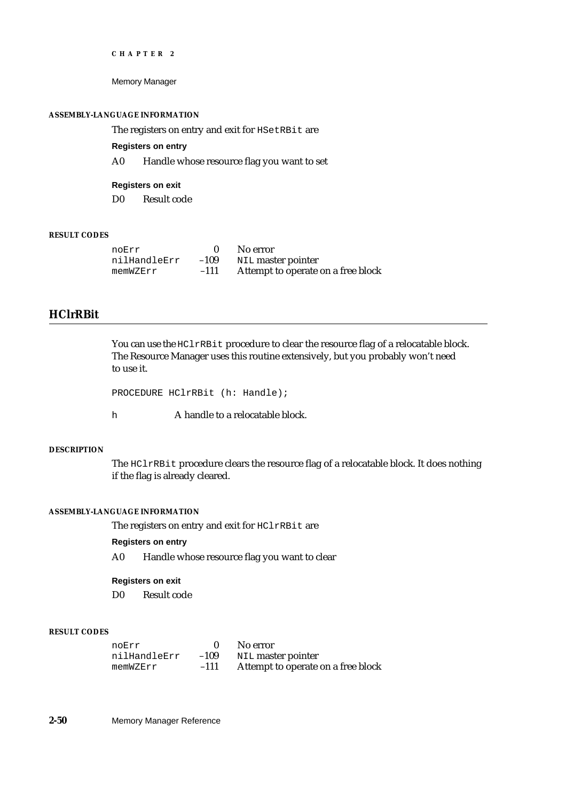Memory Manager

## **ASSEMBLY-LANGUAGE INFORMATION**

The registers on entry and exit for HSetRBit are

**Registers on entry**

A0 Handle whose resource flag you want to set

**Registers on exit**

D0 Result code

# **RESULT CODES**

| noErr        |        | No error                           |
|--------------|--------|------------------------------------|
| nilHandleErr | $-109$ | NIL master pointer                 |
| memWZErr     | $-111$ | Attempt to operate on a free block |

# **HClrRBit**

You can use the HClrRBit procedure to clear the resource flag of a relocatable block. The Resource Manager uses this routine extensively, but you probably won't need to use it.

```
PROCEDURE HClrRBit (h: Handle);
```
h A handle to a relocatable block.

# **DESCRIPTION**

The HClrRBit procedure clears the resource flag of a relocatable block. It does nothing if the flag is already cleared.

# **ASSEMBLY-LANGUAGE INFORMATION**

The registers on entry and exit for HClrRBit are

# **Registers on entry**

A0 Handle whose resource flag you want to clear

# **Registers on exit**

D0 Result code

# **RESULT CODES**

| noErr        |        | No error                           |
|--------------|--------|------------------------------------|
| nilHandleErr | $-109$ | NIL master pointer                 |
| memWZErr     | $-111$ | Attempt to operate on a free block |

**2-50** Memory Manager Reference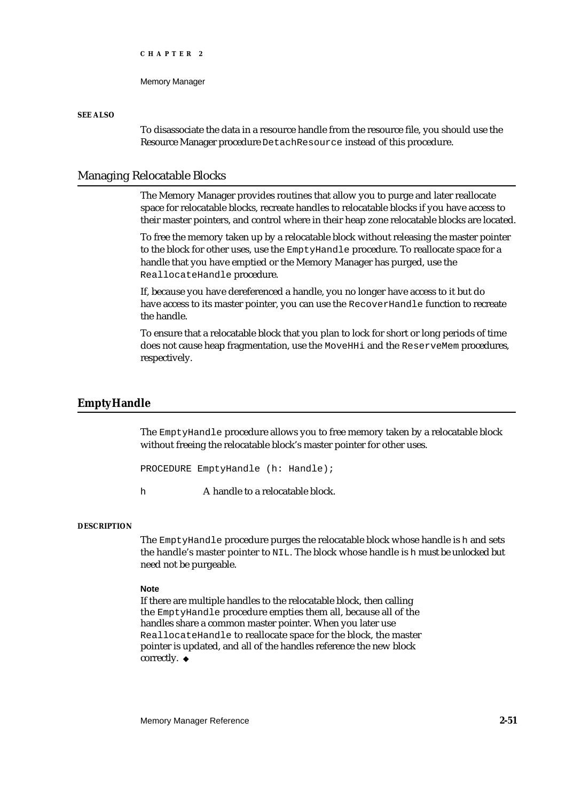Memory Manager

## **SEE ALSO**

To disassociate the data in a resource handle from the resource file, you should use the Resource Manager procedure DetachResource instead of this procedure.

# Managing Relocatable Blocks

The Memory Manager provides routines that allow you to purge and later reallocate space for relocatable blocks, recreate handles to relocatable blocks if you have access to their master pointers, and control where in their heap zone relocatable blocks are located.

To free the memory taken up by a relocatable block without releasing the master pointer to the block for other uses, use the EmptyHandle procedure. To reallocate space for a handle that you have emptied or the Memory Manager has purged, use the ReallocateHandle procedure.

If, because you have dereferenced a handle, you no longer have access to it but do have access to its master pointer, you can use the RecoverHandle function to recreate the handle.

To ensure that a relocatable block that you plan to lock for short or long periods of time does not cause heap fragmentation, use the MoveHHi and the ReserveMem procedures, respectively.

# **EmptyHandle**

The EmptyHandle procedure allows you to free memory taken by a relocatable block without freeing the relocatable block's master pointer for other uses.

PROCEDURE EmptyHandle (h: Handle);

h **A** handle to a relocatable block.

## **DESCRIPTION**

The EmptyHandle procedure purges the relocatable block whose handle is h and sets the handle's master pointer to NIL. The block whose handle is h must be unlocked but need not be purgeable.

#### **Note**

If there are multiple handles to the relocatable block, then calling the EmptyHandle procedure empties them all, because all of the handles share a common master pointer. When you later use ReallocateHandle to reallocate space for the block, the master pointer is updated, and all of the handles reference the new block correctly. u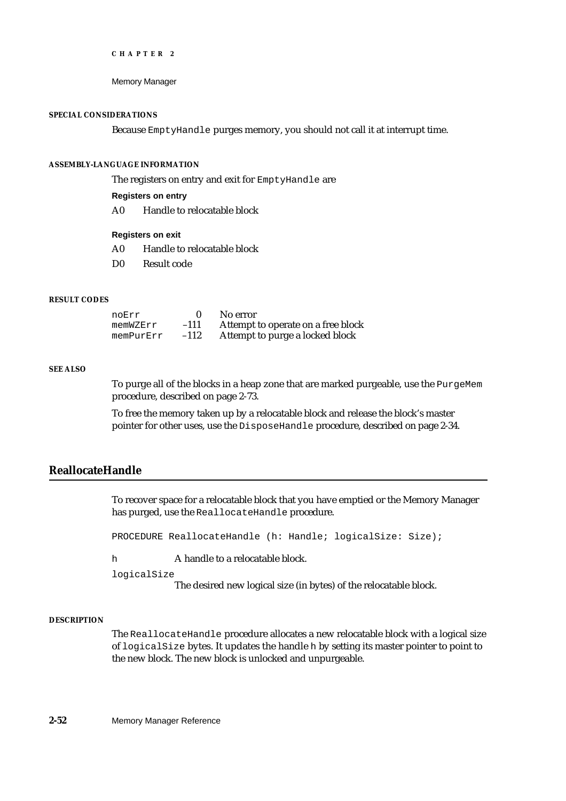```
CHAPTER 2
```
## **SPECIAL CONSIDERATIONS**

Because EmptyHandle purges memory, you should not call it at interrupt time.

# **ASSEMBLY-LANGUAGE INFORMATION**

The registers on entry and exit for EmptyHandle are

**Registers on entry**

A0 Handle to relocatable block

# **Registers on exit**

- A0 Handle to relocatable block
- D0 Result code

# **RESULT CODES**

| noErr     |        | No error                           |
|-----------|--------|------------------------------------|
| memWZErr  | $-111$ | Attempt to operate on a free block |
| memPurErr | $-112$ | Attempt to purge a locked block    |

# **SEE ALSO**

To purge all of the blocks in a heap zone that are marked purgeable, use the PurgeMem procedure, described on page 2-73.

To free the memory taken up by a relocatable block and release the block's master pointer for other uses, use the DisposeHandle procedure, described on page 2-34.

# **ReallocateHandle**

To recover space for a relocatable block that you have emptied or the Memory Manager has purged, use the ReallocateHandle procedure.

PROCEDURE ReallocateHandle (h: Handle; logicalSize: Size);

h A handle to a relocatable block.

logicalSize

The desired new logical size (in bytes) of the relocatable block.

# **DESCRIPTION**

The ReallocateHandle procedure allocates a new relocatable block with a logical size of logicalSize bytes. It updates the handle h by setting its master pointer to point to the new block. The new block is unlocked and unpurgeable.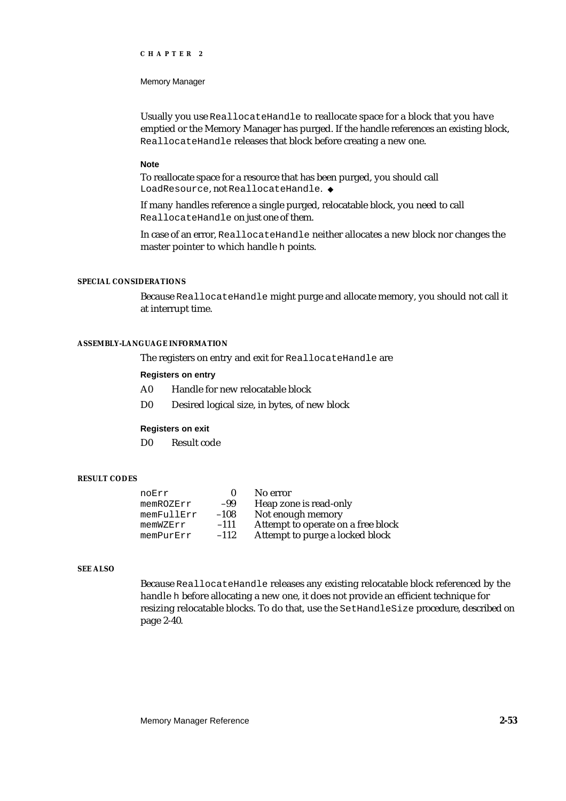Memory Manager

Usually you use ReallocateHandle to reallocate space for a block that you have emptied or the Memory Manager has purged. If the handle references an existing block, ReallocateHandle releases that block before creating a new one.

#### **Note**

To reallocate space for a resource that has been purged, you should call LoadResource, not ReallocateHandle.

If many handles reference a single purged, relocatable block, you need to call ReallocateHandle on just one of them.

In case of an error, ReallocateHandle neither allocates a new block nor changes the master pointer to which handle h points.

# **SPECIAL CONSIDERATIONS**

Because ReallocateHandle might purge and allocate memory, you should not call it at interrupt time.

# **ASSEMBLY-LANGUAGE INFORMATION**

The registers on entry and exit for ReallocateHandle are

# **Registers on entry**

- A0 Handle for new relocatable block
- D0 Desired logical size, in bytes, of new block

## **Registers on exit**

D0 Result code

# **RESULT CODES**

| noErr      |        | No error                           |
|------------|--------|------------------------------------|
| memROZErr  | -99    | Heap zone is read-only             |
| memFullErr | $-108$ | Not enough memory                  |
| memWZErr   | $-111$ | Attempt to operate on a free block |
| memPurErr  | $-112$ | Attempt to purge a locked block    |

# **SEE ALSO**

Because ReallocateHandle releases any existing relocatable block referenced by the handle h before allocating a new one, it does not provide an efficient technique for resizing relocatable blocks. To do that, use the SetHandleSize procedure, described on page 2-40.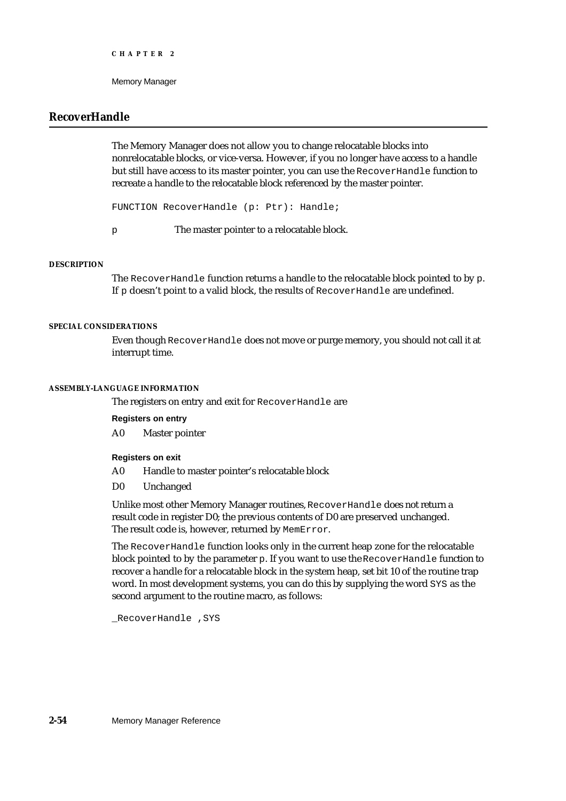# **RecoverHandle**

The Memory Manager does not allow you to change relocatable blocks into nonrelocatable blocks, or vice-versa. However, if you no longer have access to a handle but still have access to its master pointer, you can use the RecoverHandle function to recreate a handle to the relocatable block referenced by the master pointer.

FUNCTION RecoverHandle (p: Ptr): Handle;

p The master pointer to a relocatable block.

# **DESCRIPTION**

The RecoverHandle function returns a handle to the relocatable block pointed to by p. If p doesn't point to a valid block, the results of RecoverHandle are undefined.

#### **SPECIAL CONSIDERATIONS**

Even though RecoverHandle does not move or purge memory, you should not call it at interrupt time.

#### **ASSEMBLY-LANGUAGE INFORMATION**

The registers on entry and exit for RecoverHandle are

**Registers on entry**

A0 Master pointer

# **Registers on exit**

- A0 Handle to master pointer's relocatable block
- D0 Unchanged

Unlike most other Memory Manager routines, RecoverHandle does not return a result code in register D0; the previous contents of D0 are preserved unchanged. The result code is, however, returned by MemError.

The RecoverHandle function looks only in the current heap zone for the relocatable block pointed to by the parameter p. If you want to use the RecoverHandle function to recover a handle for a relocatable block in the system heap, set bit 10 of the routine trap word. In most development systems, you can do this by supplying the word SYS as the second argument to the routine macro, as follows:

\_RecoverHandle ,SYS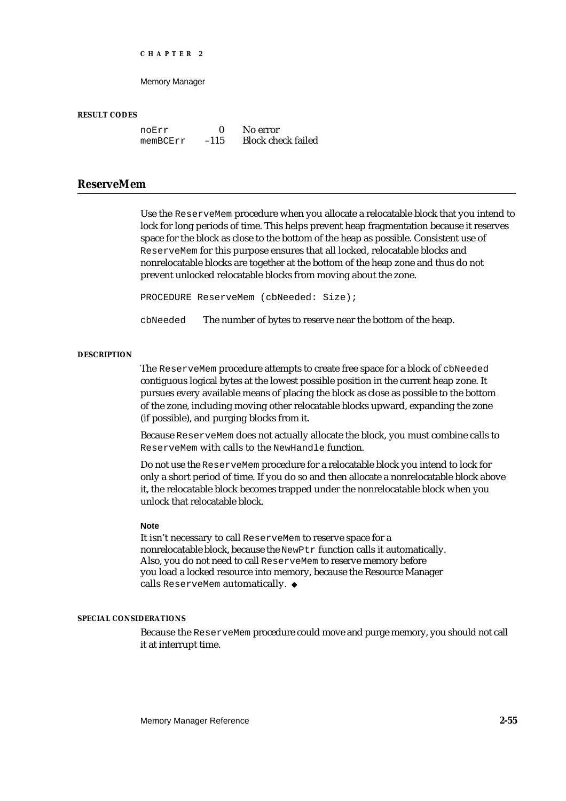Memory Manager

#### **RESULT CODES**

noErr 0 No error<br>memBCErr -115 Block che Block check failed

# **ReserveMem**

Use the ReserveMem procedure when you allocate a relocatable block that you intend to lock for long periods of time. This helps prevent heap fragmentation because it reserves space for the block as close to the bottom of the heap as possible. Consistent use of ReserveMem for this purpose ensures that all locked, relocatable blocks and nonrelocatable blocks are together at the bottom of the heap zone and thus do not prevent unlocked relocatable blocks from moving about the zone.

PROCEDURE ReserveMem (cbNeeded: Size);

cbNeeded The number of bytes to reserve near the bottom of the heap.

#### **DESCRIPTION**

The ReserveMem procedure attempts to create free space for a block of cbNeeded contiguous logical bytes at the lowest possible position in the current heap zone. It pursues every available means of placing the block as close as possible to the bottom of the zone, including moving other relocatable blocks upward, expanding the zone (if possible), and purging blocks from it.

Because ReserveMem does not actually allocate the block, you must combine calls to ReserveMem with calls to the NewHandle function.

Do not use the ReserveMem procedure for a relocatable block you intend to lock for only a short period of time. If you do so and then allocate a nonrelocatable block above it, the relocatable block becomes trapped under the nonrelocatable block when you unlock that relocatable block.

#### **Note**

It isn't necessary to call ReserveMem to reserve space for a nonrelocatable block, because the NewPtr function calls it automatically. Also, you do not need to call ReserveMem to reserve memory before you load a locked resource into memory, because the Resource Manager calls ReserveMem automatically.

# **SPECIAL CONSIDERATIONS**

Because the ReserveMem procedure could move and purge memory, you should not call it at interrupt time.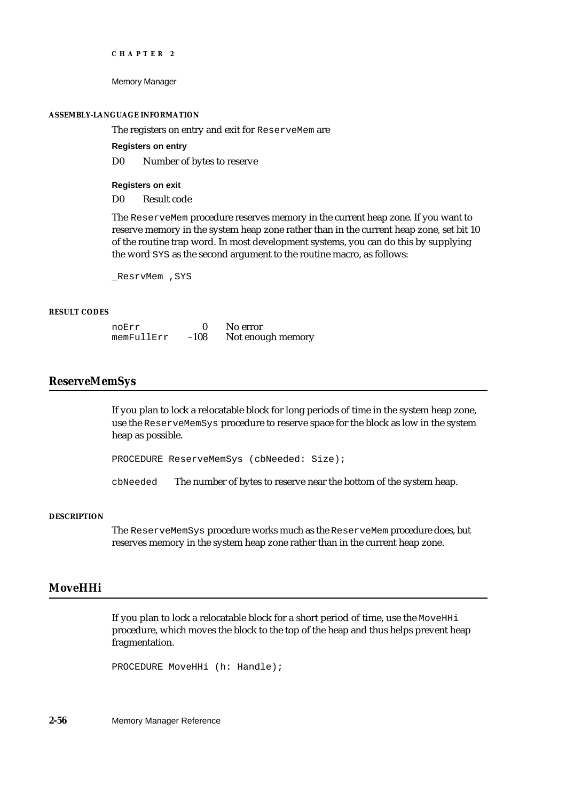Memory Manager

#### **ASSEMBLY-LANGUAGE INFORMATION**

The registers on entry and exit for ReserveMem are

**Registers on entry**

D0 Number of bytes to reserve

**Registers on exit**

D0 Result code

The ReserveMem procedure reserves memory in the current heap zone. If you want to reserve memory in the system heap zone rather than in the current heap zone, set bit 10 of the routine trap word. In most development systems, you can do this by supplying the word SYS as the second argument to the routine macro, as follows:

\_ResrvMem ,SYS

# **RESULT CODES**

| noErr      |        | No error          |
|------------|--------|-------------------|
| memFullErr | $-108$ | Not enough memory |

# **ReserveMemSys**

If you plan to lock a relocatable block for long periods of time in the system heap zone, use the ReserveMemSys procedure to reserve space for the block as low in the system heap as possible.

PROCEDURE ReserveMemSys (cbNeeded: Size);

cbNeeded The number of bytes to reserve near the bottom of the system heap.

# **DESCRIPTION**

The ReserveMemSys procedure works much as the ReserveMem procedure does, but reserves memory in the system heap zone rather than in the current heap zone.

# **MoveHHi**

If you plan to lock a relocatable block for a short period of time, use the MOVEHHi procedure, which moves the block to the top of the heap and thus helps prevent heap fragmentation.

PROCEDURE MoveHHi (h: Handle);

**2-56** Memory Manager Reference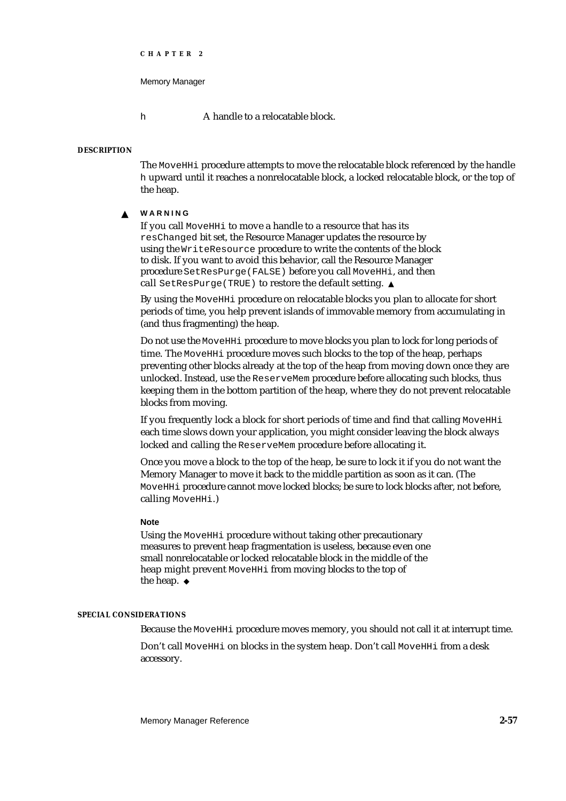```
CHAPTER 2
```
h **A** handle to a relocatable block.

# **DESCRIPTION**

The MoveHHi procedure attempts to move the relocatable block referenced by the handle h upward until it reaches a nonrelocatable block, a locked relocatable block, or the top of the heap.

#### **WARNING**  $\mathbf{s}$

If you call MoveHHi to move a handle to a resource that has its resChanged bit set, the Resource Manager updates the resource by using the WriteResource procedure to write the contents of the block to disk. If you want to avoid this behavior, call the Resource Manager procedure SetResPurge(FALSE) before you call MoveHHi, and then call SetResPurge(TRUE) to restore the default setting.

By using the MoveHHi procedure on relocatable blocks you plan to allocate for short periods of time, you help prevent islands of immovable memory from accumulating in (and thus fragmenting) the heap.

Do not use the MoveHHi procedure to move blocks you plan to lock for long periods of time. The MoveHHi procedure moves such blocks to the top of the heap, perhaps preventing other blocks already at the top of the heap from moving down once they are unlocked. Instead, use the ReserveMem procedure before allocating such blocks, thus keeping them in the bottom partition of the heap, where they do not prevent relocatable blocks from moving.

If you frequently lock a block for short periods of time and find that calling MoveHHi each time slows down your application, you might consider leaving the block always locked and calling the ReserveMem procedure before allocating it.

Once you move a block to the top of the heap, be sure to lock it if you do not want the Memory Manager to move it back to the middle partition as soon as it can. (The MoveHHi procedure cannot move locked blocks; be sure to lock blocks after, not before, calling MoveHHi.)

## **Note**

Using the MoveHHi procedure without taking other precautionary measures to prevent heap fragmentation is useless, because even one small nonrelocatable or locked relocatable block in the middle of the heap might prevent MoveHHi from moving blocks to the top of the heap. u

## **SPECIAL CONSIDERATIONS**

Because the MoveHHi procedure moves memory, you should not call it at interrupt time.

Don't call MoveHHi on blocks in the system heap. Don't call MoveHHi from a desk accessory.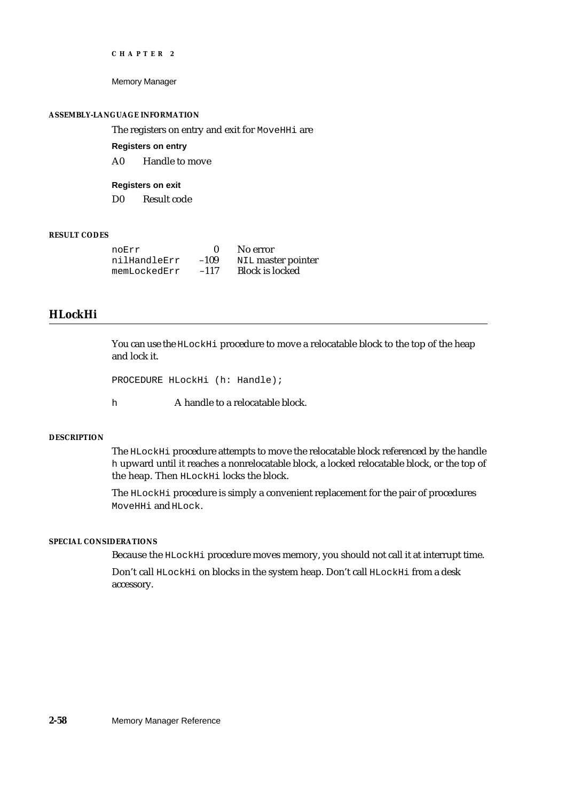Memory Manager

## **ASSEMBLY-LANGUAGE INFORMATION**

The registers on entry and exit for MoveHHi are

**Registers on entry**

A0 Handle to move

**Registers on exit**

D0 Result code

# **RESULT CODES**

| noErr        |        | No error               |
|--------------|--------|------------------------|
| nilHandleErr | $-109$ | NIL master pointer     |
| memLockedErr | $-117$ | <b>Block is locked</b> |

# **HLockHi**

You can use the HLockHi procedure to move a relocatable block to the top of the heap and lock it.

```
PROCEDURE HLockHi (h: Handle);
```
h **A** handle to a relocatable block.

## **DESCRIPTION**

The HLockHi procedure attempts to move the relocatable block referenced by the handle h upward until it reaches a nonrelocatable block, a locked relocatable block, or the top of the heap. Then HLockHi locks the block.

The HLockHi procedure is simply a convenient replacement for the pair of procedures MoveHHi and HLock.

# **SPECIAL CONSIDERATIONS**

Because the HLockHi procedure moves memory, you should not call it at interrupt time.

Don't call HLockHi on blocks in the system heap. Don't call HLockHi from a desk accessory.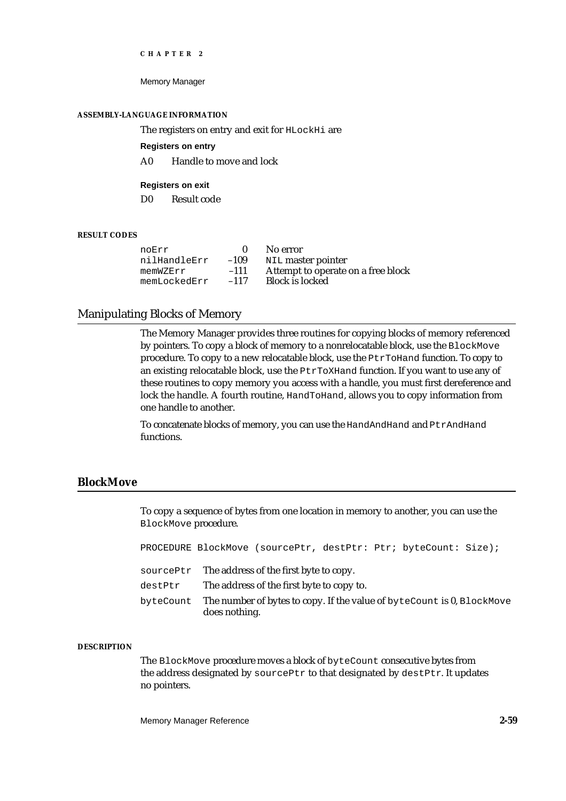Memory Manager

#### **ASSEMBLY-LANGUAGE INFORMATION**

The registers on entry and exit for HLockHi are

## **Registers on entry**

A0 Handle to move and lock

# **Registers on exit**

D0 Result code

# **RESULT CODES**

|        | No error                           |
|--------|------------------------------------|
| $-109$ | NIL master pointer                 |
| $-111$ | Attempt to operate on a free block |
| $-117$ | <b>Block is locked</b>             |
|        |                                    |

# Manipulating Blocks of Memory

The Memory Manager provides three routines for copying blocks of memory referenced by pointers. To copy a block of memory to a nonrelocatable block, use the BlockMove procedure. To copy to a new relocatable block, use the PtrToHand function. To copy to an existing relocatable block, use the PtrToXHand function. If you want to use any of these routines to copy memory you access with a handle, you must first dereference and lock the handle. A fourth routine, HandToHand, allows you to copy information from one handle to another.

To concatenate blocks of memory, you can use the HandAndHand and PtrAndHand functions.

# **BlockMove**

To copy a sequence of bytes from one location in memory to another, you can use the BlockMove procedure.

| PROCEDURE BlockMove (sourcePtr, destPtr: Ptr; byteCount: Size);                                   |  |  |
|---------------------------------------------------------------------------------------------------|--|--|
| sourcePtr The address of the first byte to copy.                                                  |  |  |
| $destPtr$ The address of the first byte to copy to.                                               |  |  |
| byteCount The number of bytes to copy. If the value of byteCount is 0, BlockMove<br>does nothing. |  |  |

#### **DESCRIPTION**

The BlockMove procedure moves a block of byteCount consecutive bytes from the address designated by sourcePtr to that designated by destPtr. It updates no pointers.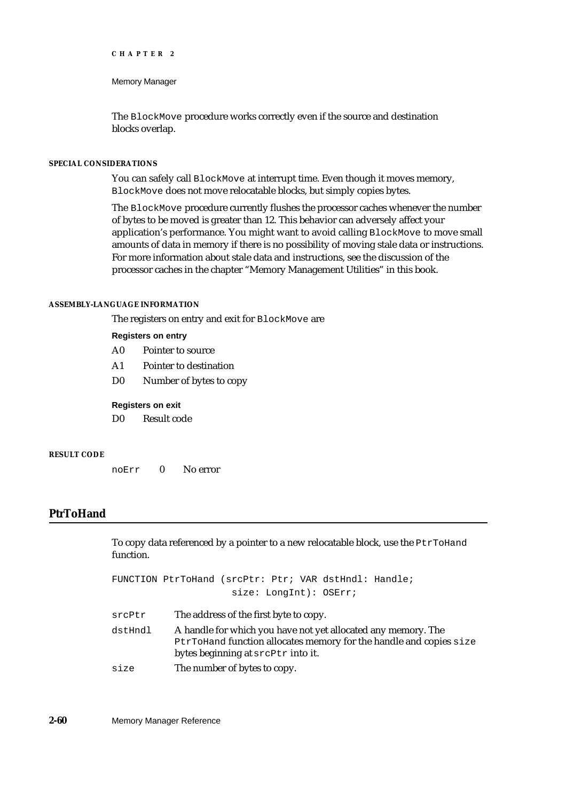Memory Manager

The BlockMove procedure works correctly even if the source and destination blocks overlap.

## **SPECIAL CONSIDERATIONS**

You can safely call BlockMove at interrupt time. Even though it moves memory, BlockMove does not move relocatable blocks, but simply copies bytes.

The BlockMove procedure currently flushes the processor caches whenever the number of bytes to be moved is greater than 12. This behavior can adversely affect your application's performance. You might want to avoid calling BlockMove to move small amounts of data in memory if there is no possibility of moving stale data or instructions. For more information about stale data and instructions, see the discussion of the processor caches in the chapter "Memory Management Utilities" in this book.

## **ASSEMBLY-LANGUAGE INFORMATION**

The registers on entry and exit for BlockMove are

## **Registers on entry**

- A0 Pointer to source
- A1 Pointer to destination
- D0 Number of bytes to copy

## **Registers on exit**

D0 Result code

# **RESULT CODE**

noErr 0 No error

# **PtrToHand**

To copy data referenced by a pointer to a new relocatable block, use the PtrToHand function.

FUNCTION PtrToHand (srcPtr: Ptr; VAR dstHndl: Handle; size: LongInt): OSErr;

- srcPtr The address of the first byte to copy.
- dst Hndl A handle for which you have not yet allocated any memory. The PtrToHand function allocates memory for the handle and copies size bytes beginning at srcPtr into it.
- size The number of bytes to copy.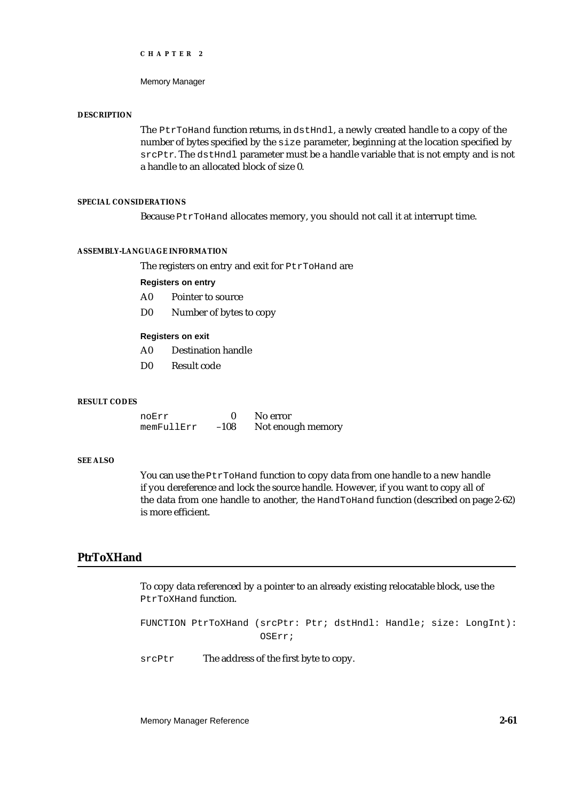Memory Manager

#### **DESCRIPTION**

The PtrToHand function returns, in dstHndl, a newly created handle to a copy of the number of bytes specified by the size parameter, beginning at the location specified by srcPtr. The dstHndl parameter must be a handle variable that is not empty and is not a handle to an allocated block of size 0.

# **SPECIAL CONSIDERATIONS**

Because PtrToHand allocates memory, you should not call it at interrupt time.

#### **ASSEMBLY-LANGUAGE INFORMATION**

The registers on entry and exit for PtrToHand are

#### **Registers on entry**

- A0 Pointer to source
- D0 Number of bytes to copy

#### **Registers on exit**

- A0 Destination handle
- D0 Result code

## **RESULT CODES**

noErr 0 No error<br>memFullErr -108 Notenou Not enough memory

#### **SEE ALSO**

You can use the PtrToHand function to copy data from one handle to a new handle if you dereference and lock the source handle. However, if you want to copy all of the data from one handle to another, the HandToHand function (described on page 2-62) is more efficient.

# **PtrToXHand**

To copy data referenced by a pointer to an already existing relocatable block, use the PtrToXHand function.

FUNCTION PtrToXHand (srcPtr: Ptr; dstHndl: Handle; size: LongInt): OSErr;

srcPtr The address of the first byte to copy.

Memory Manager Reference **2-61**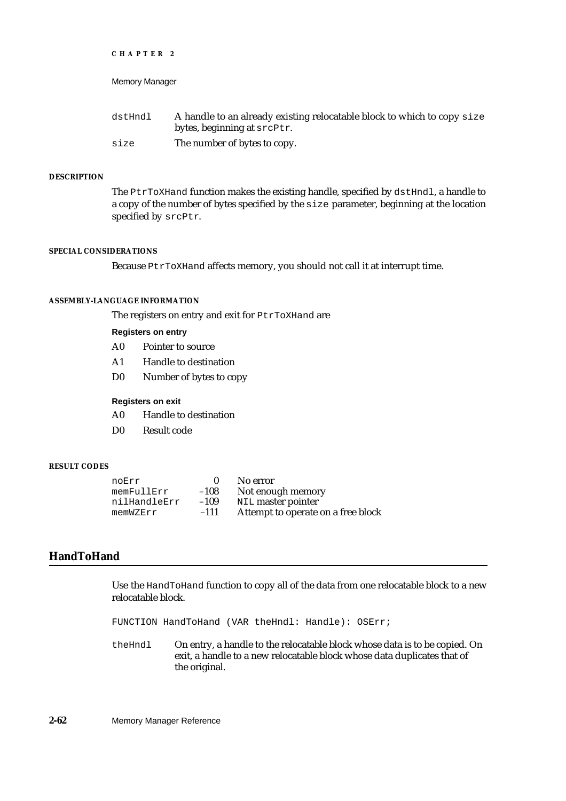Memory Manager

| dstHndl | A handle to an already existing relocatable block to which to copy size |
|---------|-------------------------------------------------------------------------|
|         | bytes, beginning at srcPtr.                                             |
| size    | The number of bytes to copy.                                            |

## **DESCRIPTION**

The PtrToXHand function makes the existing handle, specified by dstHndl, a handle to a copy of the number of bytes specified by the size parameter, beginning at the location specified by srcPtr.

#### **SPECIAL CONSIDERATIONS**

Because PtrToXHand affects memory, you should not call it at interrupt time.

# **ASSEMBLY-LANGUAGE INFORMATION**

The registers on entry and exit for PtrToXHand are

**Registers on entry**

- A0 Pointer to source
- A1 Handle to destination
- D0 Number of bytes to copy

# **Registers on exit**

- A0 Handle to destination
- D0 Result code

# **RESULT CODES**

| noErr        |        | No error                           |
|--------------|--------|------------------------------------|
| memFullErr   | $-108$ | Not enough memory                  |
| nilHandleErr | $-109$ | NIL master pointer                 |
| memWZErr     | $-111$ | Attempt to operate on a free block |

# **HandToHand**

Use the HandToHand function to copy all of the data from one relocatable block to a new relocatable block.

FUNCTION HandToHand (VAR theHndl: Handle): OSErr;

theHndl On entry, a handle to the relocatable block whose data is to be copied. On exit, a handle to a new relocatable block whose data duplicates that of the original.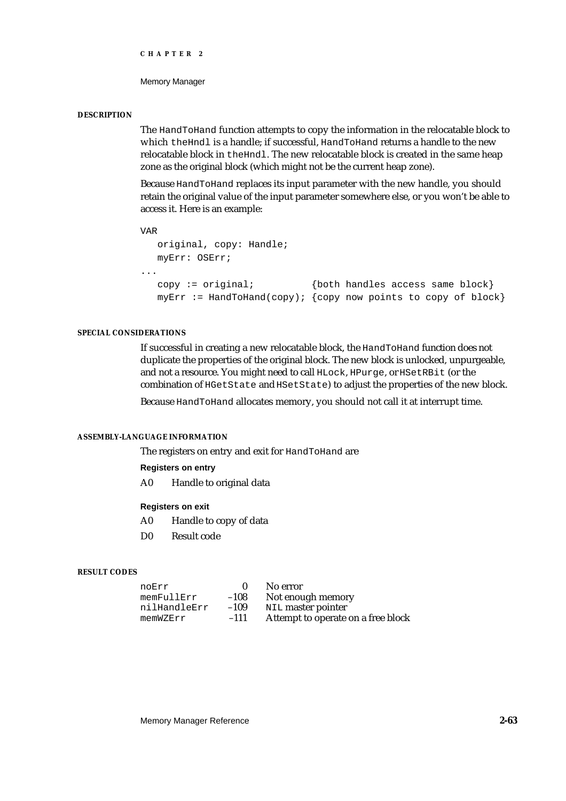Memory Manager

#### **DESCRIPTION**

The HandToHand function attempts to copy the information in the relocatable block to which theHndl is a handle; if successful, HandToHand returns a handle to the new relocatable block in the Hndl. The new relocatable block is created in the same heap zone as the original block (which might not be the current heap zone).

Because HandToHand replaces its input parameter with the new handle, you should retain the original value of the input parameter somewhere else, or you won't be able to access it. Here is an example:

```
VAR
```

```
original, copy: Handle; 
  myErr: OSErr;
...
  copy := original; {both handles access same block}
  myErr := \text{HandToHand}(copy); {copy now points to copy of block}
```
# **SPECIAL CONSIDERATIONS**

If successful in creating a new relocatable block, the HandToHand function does not duplicate the properties of the original block. The new block is unlocked, unpurgeable, and not a resource. You might need to call HLock, HPurge, or HSetRBit (or the combination of HGetState and HSetState) to adjust the properties of the new block.

Because HandToHand allocates memory, you should not call it at interrupt time.

# **ASSEMBLY-LANGUAGE INFORMATION**

The registers on entry and exit for HandToHand are

# **Registers on entry**

A0 Handle to original data

# **Registers on exit**

- A0 Handle to copy of data
- D0 Result code

# **RESULT CODES**

| noErr        |        | No error                           |
|--------------|--------|------------------------------------|
| memFullErr   | $-108$ | Not enough memory                  |
| nilHandleErr | $-109$ | NIL master pointer                 |
| memWZErr     | $-111$ | Attempt to operate on a free block |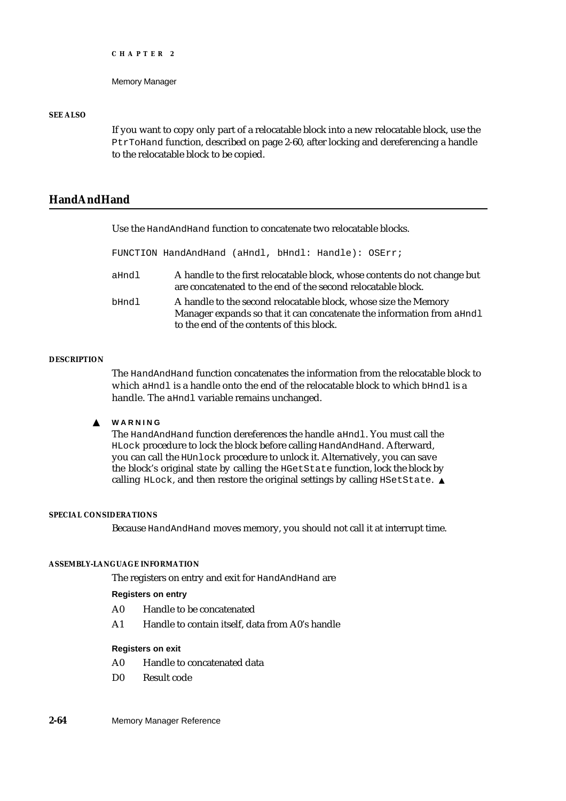```
CHAPTER 2
```
# **SEE ALSO**

If you want to copy only part of a relocatable block into a new relocatable block, use the PtrToHand function, described on page 2-60, after locking and dereferencing a handle to the relocatable block to be copied.

# **HandAndHand**

Use the HandAndHand function to concatenate two relocatable blocks.

FUNCTION HandAndHand (aHndl, bHndl: Handle): OSErr;

- aHndl A handle to the first relocatable block, whose contents do not change but are concatenated to the end of the second relocatable block.
- bHndl A handle to the second relocatable block, whose size the Memory Manager expands so that it can concatenate the information from aHndl to the end of the contents of this block.

# **DESCRIPTION**

The HandAndHand function concatenates the information from the relocatable block to which aHndl is a handle onto the end of the relocatable block to which bHndl is a handle. The aHndl variable remains unchanged.

#### **WARNING**  $\mathbf{s}$

The HandAndHand function dereferences the handle aHndl. You must call the HLock procedure to lock the block before calling HandAndHand. Afterward, you can call the HUnlock procedure to unlock it. Alternatively, you can save the block's original state by calling the HGetState function, lock the block by calling HLock, and then restore the original settings by calling HSetState. s

# **SPECIAL CONSIDERATIONS**

Because HandAndHand moves memory, you should not call it at interrupt time.

# **ASSEMBLY-LANGUAGE INFORMATION**

The registers on entry and exit for HandAndHand are

## **Registers on entry**

- A0 Handle to be concatenated
- A1 Handle to contain itself, data from A0's handle

## **Registers on exit**

- A0 Handle to concatenated data
- D0 Result code

**2-64** Memory Manager Reference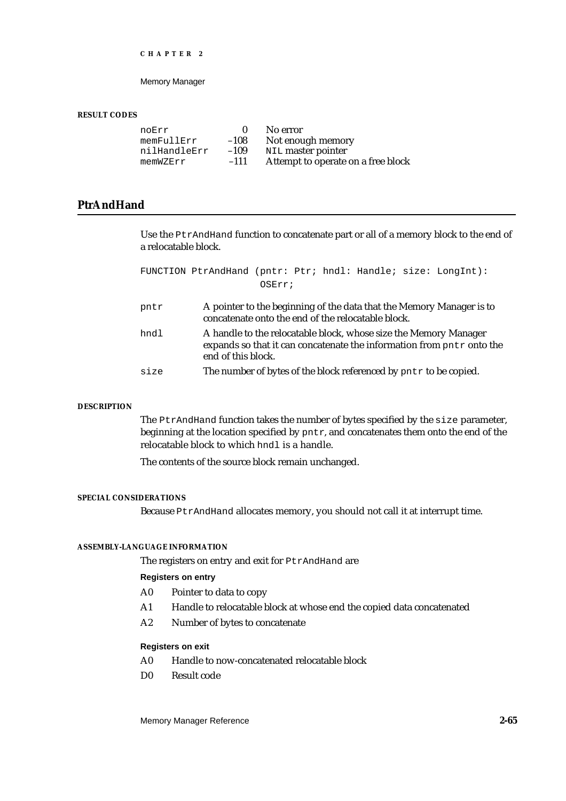Memory Manager

#### **RESULT CODES**

|        | No error                           |
|--------|------------------------------------|
| $-108$ | Not enough memory                  |
| $-109$ | NIL master pointer                 |
| $-111$ | Attempt to operate on a free block |
|        |                                    |

# **PtrAndHand**

Use the PtrAndHand function to concatenate part or all of a memory block to the end of a relocatable block.

FUNCTION PtrAndHand (pntr: Ptr; hndl: Handle; size: LongInt): OSErr; pntr A pointer to the beginning of the data that the Memory Manager is to concatenate onto the end of the relocatable block. hndl A handle to the relocatable block, whose size the Memory Manager expands so that it can concatenate the information from pntr onto the end of this block. size The number of bytes of the block referenced by pntr to be copied.

# **DESCRIPTION**

The PtrAndHand function takes the number of bytes specified by the size parameter, beginning at the location specified by pntr, and concatenates them onto the end of the relocatable block to which hndl is a handle.

The contents of the source block remain unchanged.

#### **SPECIAL CONSIDERATIONS**

Because PtrAndHand allocates memory, you should not call it at interrupt time.

#### **ASSEMBLY-LANGUAGE INFORMATION**

The registers on entry and exit for PtrAndHand are

# **Registers on entry**

- A0 Pointer to data to copy
- A1 Handle to relocatable block at whose end the copied data concatenated
- A2 Number of bytes to concatenate

#### **Registers on exit**

- A0 Handle to now-concatenated relocatable block
- D0 Result code

Memory Manager Reference **2-65**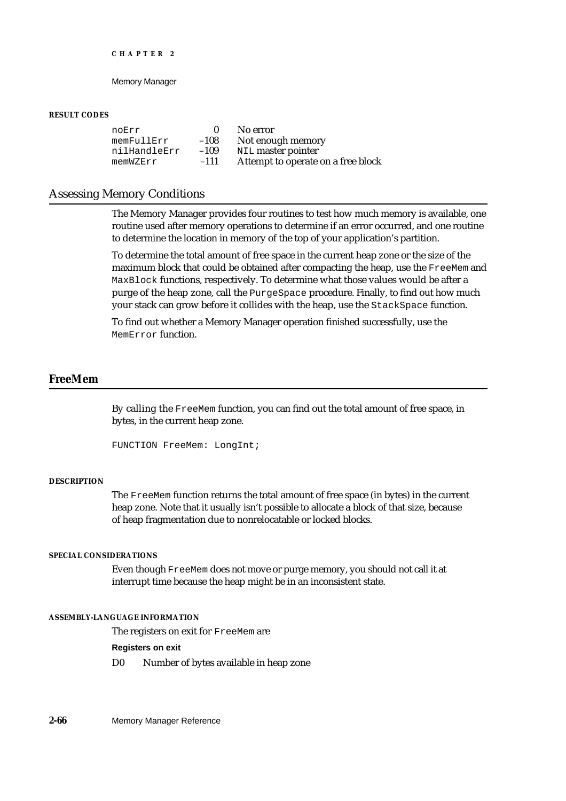#### Memory Manager

#### **RESULT CODES**

noErr 0 No error<br>memFullErr -108 Notenou memFullErr -108 Not enough memory<br>nilHandleErr -109 NIL master pointer  $-109$  NIL master pointer<br>-111 Attempt to operate memWZErr –111 Attempt to operate on a free block

# Assessing Memory Conditions

The Memory Manager provides four routines to test how much memory is available, one routine used after memory operations to determine if an error occurred, and one routine to determine the location in memory of the top of your application's partition.

To determine the total amount of free space in the current heap zone or the size of the maximum block that could be obtained after compacting the heap, use the FreeMem and MaxBlock functions, respectively. To determine what those values would be after a purge of the heap zone, call the PurgeSpace procedure. Finally, to find out how much your stack can grow before it collides with the heap, use the StackSpace function.

To find out whether a Memory Manager operation finished successfully, use the MemError function.

# **FreeMem**

By calling the FreeMem function, you can find out the total amount of free space, in bytes, in the current heap zone.

```
FUNCTION FreeMem: LongInt;
```
### **DESCRIPTION**

The FreeMem function returns the total amount of free space (in bytes) in the current heap zone. Note that it usually isn't possible to allocate a block of that size, because of heap fragmentation due to nonrelocatable or locked blocks.

## **SPECIAL CONSIDERATIONS**

Even though FreeMem does not move or purge memory, you should not call it at interrupt time because the heap might be in an inconsistent state.

## **ASSEMBLY-LANGUAGE INFORMATION**

The registers on exit for FreeMem are

**Registers on exit**

D0 Number of bytes available in heap zone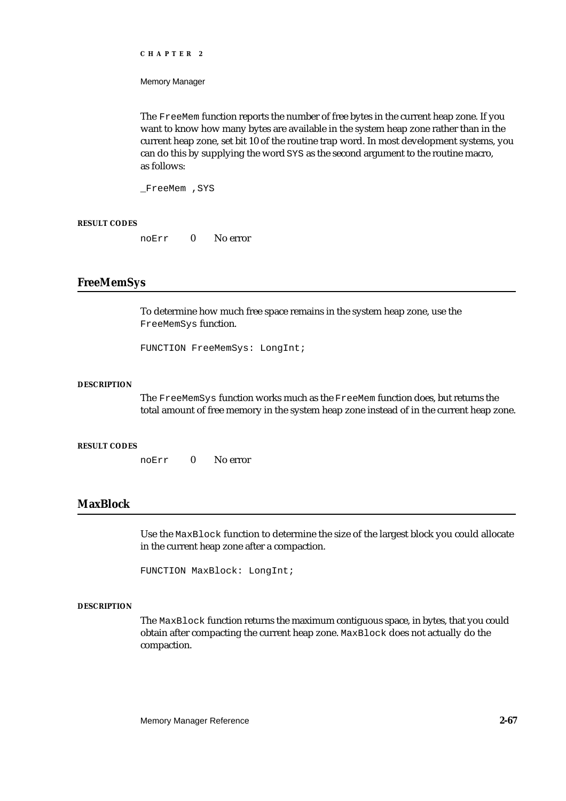Memory Manager

The FreeMem function reports the number of free bytes in the current heap zone. If you want to know how many bytes are available in the system heap zone rather than in the current heap zone, set bit 10 of the routine trap word. In most development systems, you can do this by supplying the word SYS as the second argument to the routine macro, as follows:

\_FreeMem ,SYS

# **RESULT CODES**

noErr 0 No error

# **FreeMemSys**

To determine how much free space remains in the system heap zone, use the FreeMemSys function.

FUNCTION FreeMemSys: LongInt;

#### **DESCRIPTION**

The FreeMemSys function works much as the FreeMem function does, but returns the total amount of free memory in the system heap zone instead of in the current heap zone.

## **RESULT CODES**

noErr 0 No error

# **MaxBlock**

Use the MaxBlock function to determine the size of the largest block you could allocate in the current heap zone after a compaction.

FUNCTION MaxBlock: LongInt;

#### **DESCRIPTION**

The MaxBlock function returns the maximum contiguous space, in bytes, that you could obtain after compacting the current heap zone. MaxBlock does not actually do the compaction.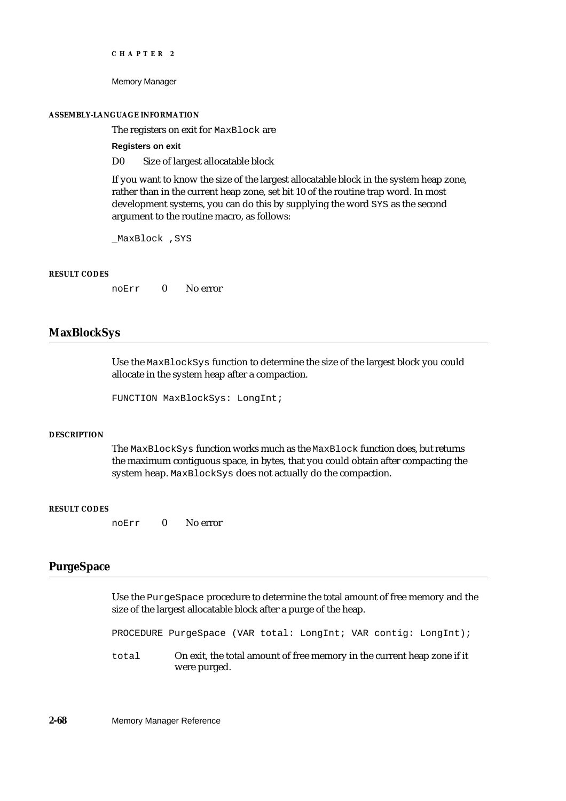Memory Manager

#### **ASSEMBLY-LANGUAGE INFORMATION**

The registers on exit for MaxBlock are

**Registers on exit**

D0 Size of largest allocatable block

If you want to know the size of the largest allocatable block in the system heap zone, rather than in the current heap zone, set bit 10 of the routine trap word. In most development systems, you can do this by supplying the word SYS as the second argument to the routine macro, as follows:

\_MaxBlock ,SYS

#### **RESULT CODES**

noErr 0 No error

# **MaxBlockSys**

Use the MaxBlockSys function to determine the size of the largest block you could allocate in the system heap after a compaction.

FUNCTION MaxBlockSys: LongInt;

# **DESCRIPTION**

The MaxBlockSys function works much as the MaxBlock function does, but returns the maximum contiguous space, in bytes, that you could obtain after compacting the system heap. MaxBlockSys does not actually do the compaction.

#### **RESULT CODES**

noErr 0 No error

# **PurgeSpace**

Use the PurgeSpace procedure to determine the total amount of free memory and the size of the largest allocatable block after a purge of the heap.

PROCEDURE PurgeSpace (VAR total: LongInt; VAR contig: LongInt);

total On exit, the total amount of free memory in the current heap zone if it were purged.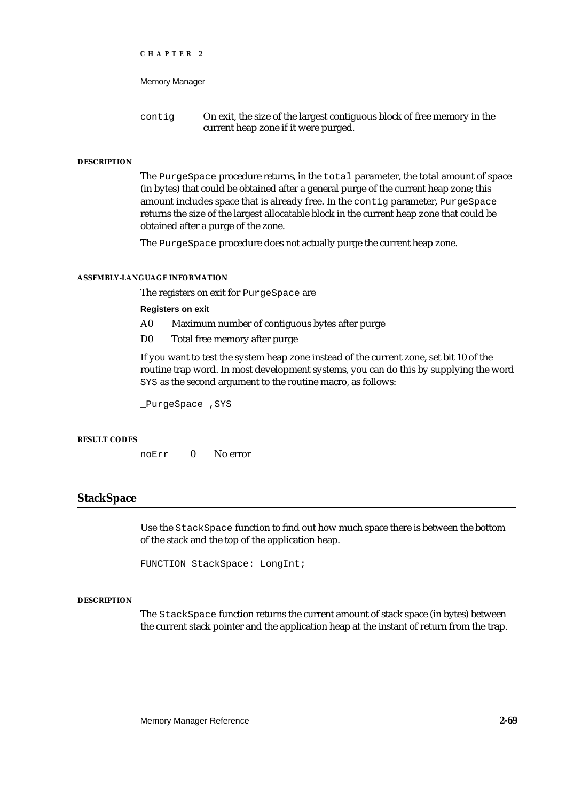```
CHAPTER 2
```
contig On exit, the size of the largest contiguous block of free memory in the current heap zone if it were purged.

# **DESCRIPTION**

The PurgeSpace procedure returns, in the total parameter, the total amount of space (in bytes) that could be obtained after a general purge of the current heap zone; this amount includes space that is already free. In the contig parameter, PurgeSpace returns the size of the largest allocatable block in the current heap zone that could be obtained after a purge of the zone.

The PurgeSpace procedure does not actually purge the current heap zone.

## **ASSEMBLY-LANGUAGE INFORMATION**

The registers on exit for PurgeSpace are

# **Registers on exit**

- A0 Maximum number of contiguous bytes after purge
- D0 Total free memory after purge

If you want to test the system heap zone instead of the current zone, set bit 10 of the routine trap word. In most development systems, you can do this by supplying the word SYS as the second argument to the routine macro, as follows:

\_PurgeSpace ,SYS

#### **RESULT CODES**

noErr 0 No error

# **StackSpace**

Use the StackSpace function to find out how much space there is between the bottom of the stack and the top of the application heap.

FUNCTION StackSpace: LongInt;

## **DESCRIPTION**

The StackSpace function returns the current amount of stack space (in bytes) between the current stack pointer and the application heap at the instant of return from the trap.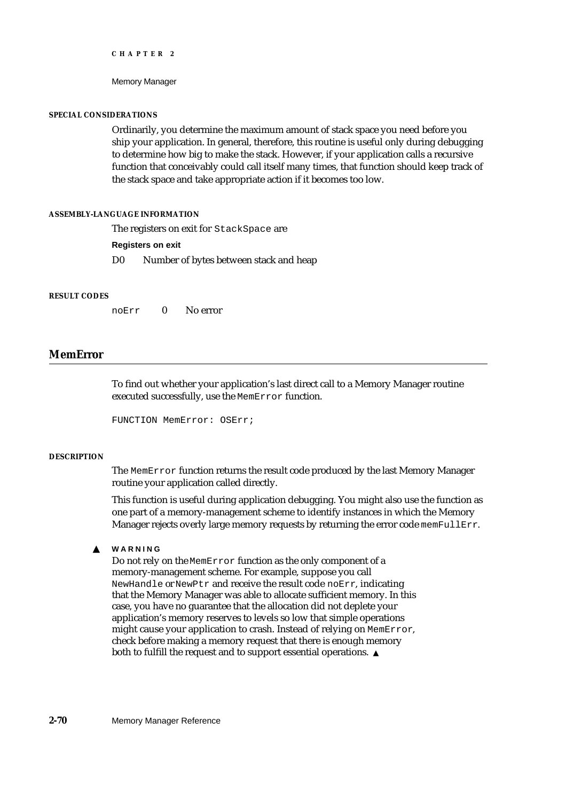Memory Manager

## **SPECIAL CONSIDERATIONS**

Ordinarily, you determine the maximum amount of stack space you need before you ship your application. In general, therefore, this routine is useful only during debugging to determine how big to make the stack. However, if your application calls a recursive function that conceivably could call itself many times, that function should keep track of the stack space and take appropriate action if it becomes too low.

## **ASSEMBLY-LANGUAGE INFORMATION**

The registers on exit for StackSpace are

## **Registers on exit**

D0 Number of bytes between stack and heap

#### **RESULT CODES**

noErr 0 No error

# **MemError**

To find out whether your application's last direct call to a Memory Manager routine executed successfully, use the MemError function.

FUNCTION MemError: OSErr;

#### **DESCRIPTION**

The MemError function returns the result code produced by the last Memory Manager routine your application called directly.

This function is useful during application debugging. You might also use the function as one part of a memory-management scheme to identify instances in which the Memory Manager rejects overly large memory requests by returning the error code memFullErr.

#### **WARNING**  $S$

Do not rely on the MemError function as the only component of a memory-management scheme. For example, suppose you call NewHandle or NewPtr and receive the result code noErr, indicating that the Memory Manager was able to allocate sufficient memory. In this case, you have no guarantee that the allocation did not deplete your application's memory reserves to levels so low that simple operations might cause your application to crash. Instead of relying on MemError, check before making a memory request that there is enough memory both to fulfill the request and to support essential operations.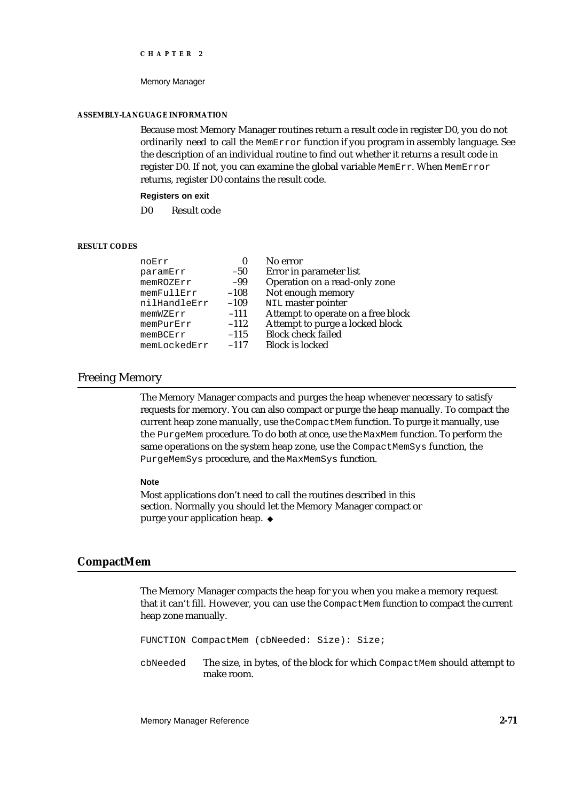#### Memory Manager

#### **ASSEMBLY-LANGUAGE INFORMATION**

Because most Memory Manager routines return a result code in register D0, you do not ordinarily need to call the MemError function if you program in assembly language. See the description of an individual routine to find out whether it returns a result code in register D0. If not, you can examine the global variable MemErr. When MemError returns, register D0 contains the result code.

# **Registers on exit**

D0 Result code

# **RESULT CODES**

| noErr        | 0      | No error                           |
|--------------|--------|------------------------------------|
| paramErr     | $-50$  | Error in parameter list            |
| memROZErr    | -99    | Operation on a read-only zone      |
| memFullErr   | $-108$ | Not enough memory                  |
| nilHandleErr | $-109$ | NIL master pointer                 |
| memWZErr     | $-111$ | Attempt to operate on a free block |
| memPurErr    | $-112$ | Attempt to purge a locked block    |
| memBCErr     | $-115$ | <b>Block check failed</b>          |
| memLockedErr | $-117$ | <b>Block is locked</b>             |
|              |        |                                    |

# Freeing Memory

The Memory Manager compacts and purges the heap whenever necessary to satisfy requests for memory. You can also compact or purge the heap manually. To compact the current heap zone manually, use the CompactMem function. To purge it manually, use the PurgeMem procedure. To do both at once, use the MaxMem function. To perform the same operations on the system heap zone, use the CompactMemSys function, the PurgeMemSys procedure, and the MaxMemSys function.

#### **Note**

Most applications don't need to call the routines described in this section. Normally you should let the Memory Manager compact or purge your application heap. u

# **CompactMem**

The Memory Manager compacts the heap for you when you make a memory request that it can't fill. However, you can use the CompactMem function to compact the current heap zone manually.

FUNCTION CompactMem (cbNeeded: Size): Size;

cbNeeded The size, in bytes, of the block for which CompactMem should attempt to make room.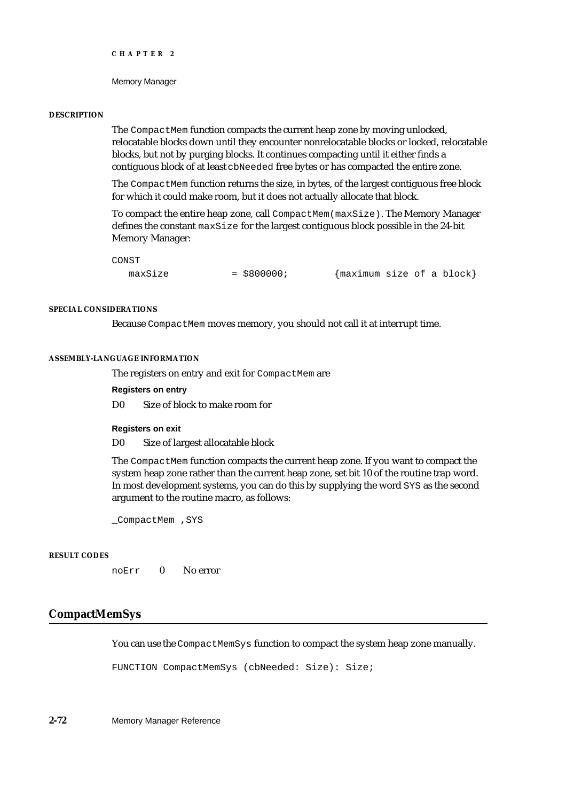Memory Manager

#### **DESCRIPTION**

The CompactMem function compacts the current heap zone by moving unlocked, relocatable blocks down until they encounter nonrelocatable blocks or locked, relocatable blocks, but not by purging blocks. It continues compacting until it either finds a contiguous block of at least cbNeeded free bytes or has compacted the entire zone.

The CompactMem function returns the size, in bytes, of the largest contiguous free block for which it could make room, but it does not actually allocate that block.

To compact the entire heap zone, call CompactMem(maxSize). The Memory Manager defines the constant  $maxSize$  for the largest contiguous block possible in the 24-bit Memory Manager:

CONST

maxSize  $= $800000$ ;  ${\{\text{maximum size of a block}\}}$ 

# **SPECIAL CONSIDERATIONS**

Because CompactMem moves memory, you should not call it at interrupt time.

# **ASSEMBLY-LANGUAGE INFORMATION**

The registers on entry and exit for CompactMem are

# **Registers on entry**

D0 Size of block to make room for

#### **Registers on exit**

D0 Size of largest allocatable block

The CompactMem function compacts the current heap zone. If you want to compact the system heap zone rather than the current heap zone, set bit 10 of the routine trap word. In most development systems, you can do this by supplying the word SYS as the second argument to the routine macro, as follows:

\_CompactMem , SYS

# **RESULT CODES**

noErr 0 No error

# **CompactMemSys**

You can use the CompactMemSys function to compact the system heap zone manually.

FUNCTION CompactMemSys (cbNeeded: Size): Size;

**2-72** Memory Manager Reference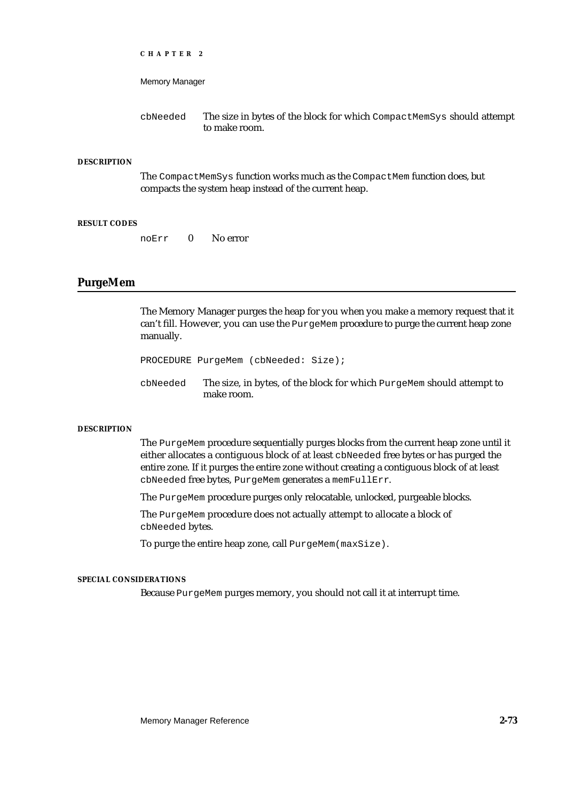```
CHAPTER 2
```
cbNeeded The size in bytes of the block for which CompactMemSys should attempt to make room.

# **DESCRIPTION**

The CompactMemSys function works much as the CompactMem function does, but compacts the system heap instead of the current heap.

## **RESULT CODES**

noErr 0 No error

# **PurgeMem**

The Memory Manager purges the heap for you when you make a memory request that it can't fill. However, you can use the PurgeMem procedure to purge the current heap zone manually.

PROCEDURE PurgeMem (cbNeeded: Size);

cbNeeded The size, in bytes, of the block for which PurgeMem should attempt to make room.

#### **DESCRIPTION**

The PurgeMem procedure sequentially purges blocks from the current heap zone until it either allocates a contiguous block of at least cbNeeded free bytes or has purged the entire zone. If it purges the entire zone without creating a contiguous block of at least cbNeeded free bytes, PurgeMem generates a memFullErr.

The PurgeMem procedure purges only relocatable, unlocked, purgeable blocks.

The PurgeMem procedure does not actually attempt to allocate a block of cbNeeded bytes.

To purge the entire heap zone, call PurgeMem(maxSize).

# **SPECIAL CONSIDERATIONS**

Because PurgeMem purges memory, you should not call it at interrupt time.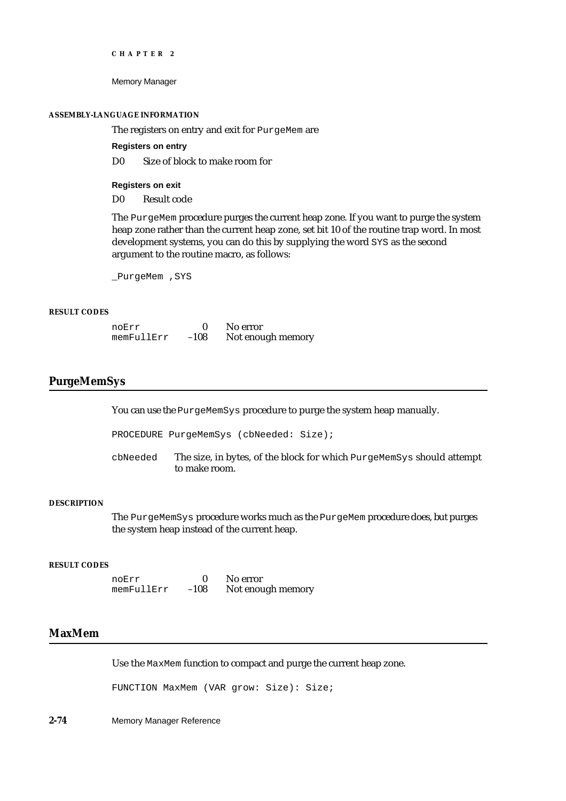Memory Manager

#### **ASSEMBLY-LANGUAGE INFORMATION**

The registers on entry and exit for PurgeMem are

**Registers on entry**

D0 Size of block to make room for

**Registers on exit**

D0 Result code

The PurgeMem procedure purges the current heap zone. If you want to purge the system heap zone rather than the current heap zone, set bit 10 of the routine trap word. In most development systems, you can do this by supplying the word SYS as the second argument to the routine macro, as follows:

\_PurgeMem ,SYS

# **RESULT CODES**

| noErr      |        | No error          |
|------------|--------|-------------------|
| memFullErr | $-108$ | Not enough memory |

# **PurgeMemSys**

You can use the PurgeMemSys procedure to purge the system heap manually.

PROCEDURE PurgeMemSys (cbNeeded: Size);

cbNeeded The size, in bytes, of the block for which PurgeMemSys should attempt to make room.

# **DESCRIPTION**

The PurgeMemSys procedure works much as the PurgeMem procedure does, but purges the system heap instead of the current heap.

#### **RESULT CODES**

noErr 0 No error<br>memFullErr -108 Not enough memory  $memFullErr -108$ 

# **MaxMem**

Use the MaxMem function to compact and purge the current heap zone.

FUNCTION MaxMem (VAR grow: Size): Size;

**2-74** Memory Manager Reference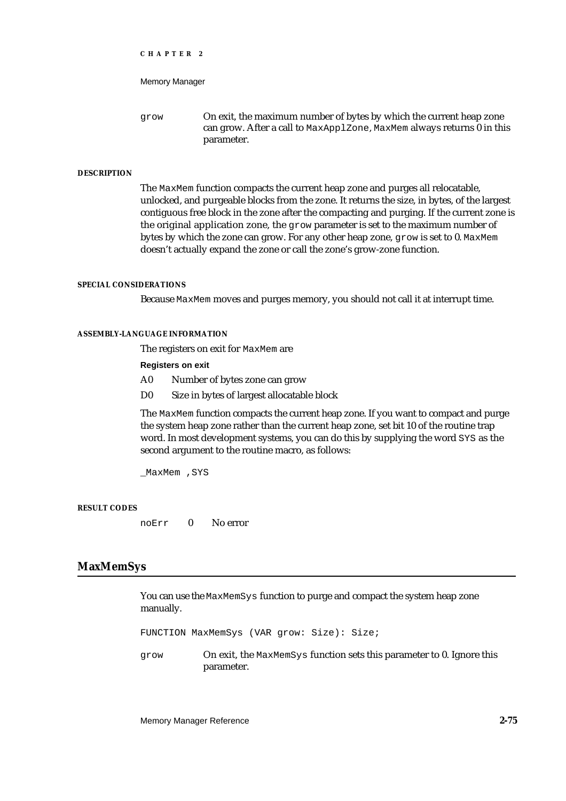```
CHAPTER 2
```
grow On exit, the maximum number of bytes by which the current heap zone can grow. After a call to MaxApplZone, MaxMem always returns 0 in this parameter.

# **DESCRIPTION**

The MaxMem function compacts the current heap zone and purges all relocatable, unlocked, and purgeable blocks from the zone. It returns the size, in bytes, of the largest contiguous free block in the zone after the compacting and purging. If the current zone is the original application zone, the grow parameter is set to the maximum number of bytes by which the zone can grow. For any other heap zone, grow is set to 0. MaxMem doesn't actually expand the zone or call the zone's grow-zone function.

## **SPECIAL CONSIDERATIONS**

Because MaxMem moves and purges memory, you should not call it at interrupt time.

# **ASSEMBLY-LANGUAGE INFORMATION**

The registers on exit for MaxMem are

## **Registers on exit**

- A0 Number of bytes zone can grow
- D0 Size in bytes of largest allocatable block

The MaxMem function compacts the current heap zone. If you want to compact and purge the system heap zone rather than the current heap zone, set bit 10 of the routine trap word. In most development systems, you can do this by supplying the word SYS as the second argument to the routine macro, as follows:

\_MaxMem ,SYS

## **RESULT CODES**

noErr 0 No error

# **MaxMemSys**

You can use the MaxMemSys function to purge and compact the system heap zone manually.

FUNCTION MaxMemSys (VAR grow: Size): Size;

grow On exit, the MaxMemSys function sets this parameter to 0. Ignore this parameter.

Memory Manager Reference **2-75**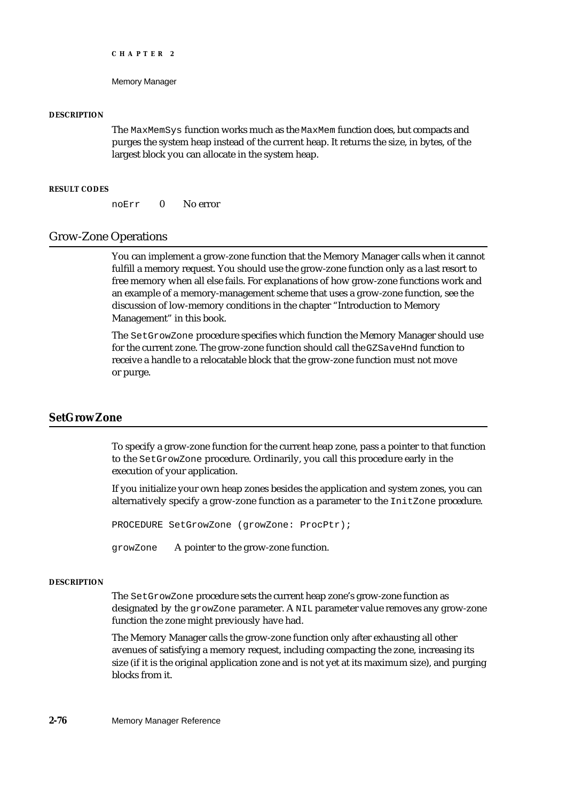Memory Manager

## **DESCRIPTION**

The MaxMemSys function works much as the MaxMem function does, but compacts and purges the system heap instead of the current heap. It returns the size, in bytes, of the largest block you can allocate in the system heap.

# **RESULT CODES**

noErr 0 No error

# Grow-Zone Operations

You can implement a grow-zone function that the Memory Manager calls when it cannot fulfill a memory request. You should use the grow-zone function only as a last resort to free memory when all else fails. For explanations of how grow-zone functions work and an example of a memory-management scheme that uses a grow-zone function, see the discussion of low-memory conditions in the chapter "Introduction to Memory Management" in this book.

The SetGrowZone procedure specifies which function the Memory Manager should use for the current zone. The grow-zone function should call the GZSaveHnd function to receive a handle to a relocatable block that the grow-zone function must not move or purge.

# **SetGrowZone**

To specify a grow-zone function for the current heap zone, pass a pointer to that function to the SetGrowZone procedure. Ordinarily, you call this procedure early in the execution of your application.

If you initialize your own heap zones besides the application and system zones, you can alternatively specify a grow-zone function as a parameter to the InitZone procedure.

PROCEDURE SetGrowZone (growZone: ProcPtr);

growZone A pointer to the grow-zone function.

#### **DESCRIPTION**

The SetGrowZone procedure sets the current heap zone's grow-zone function as designated by the growZone parameter. A NIL parameter value removes any grow-zone function the zone might previously have had.

The Memory Manager calls the grow-zone function only after exhausting all other avenues of satisfying a memory request, including compacting the zone, increasing its size (if it is the original application zone and is not yet at its maximum size), and purging blocks from it.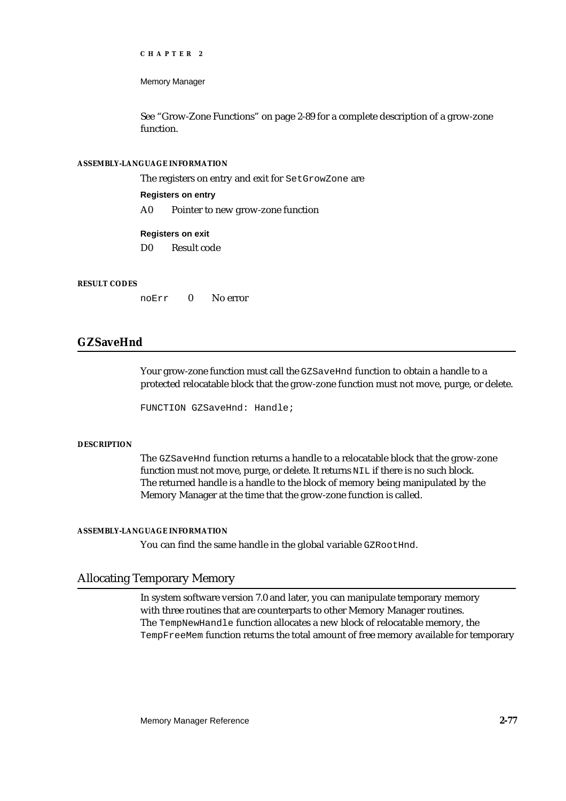Memory Manager

See "Grow-Zone Functions" on page 2-89 for a complete description of a grow-zone function.

# **ASSEMBLY-LANGUAGE INFORMATION**

The registers on entry and exit for SetGrowZone are

# **Registers on entry**

A0 Pointer to new grow-zone function

# **Registers on exit**

D0 Result code

## **RESULT CODES**

noErr 0 No error

# **GZSaveHnd**

Your grow-zone function must call the GZSaveHnd function to obtain a handle to a protected relocatable block that the grow-zone function must not move, purge, or delete.

FUNCTION GZSaveHnd: Handle;

## **DESCRIPTION**

The GZSaveHnd function returns a handle to a relocatable block that the grow-zone function must not move, purge, or delete. It returns NIL if there is no such block. The returned handle is a handle to the block of memory being manipulated by the Memory Manager at the time that the grow-zone function is called.

## **ASSEMBLY-LANGUAGE INFORMATION**

You can find the same handle in the global variable GZROOtHnd.

# Allocating Temporary Memory

In system software version 7.0 and later, you can manipulate temporary memory with three routines that are counterparts to other Memory Manager routines. The TempNewHandle function allocates a new block of relocatable memory, the TempFreeMem function returns the total amount of free memory available for temporary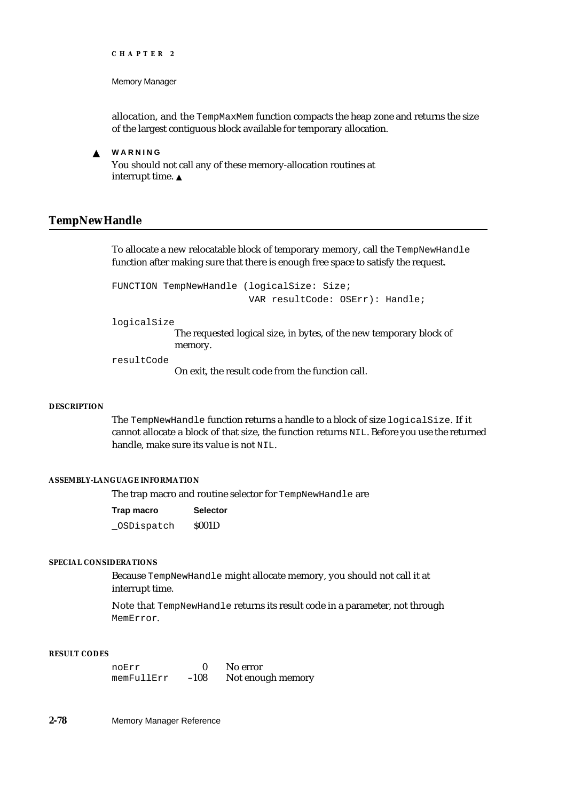Memory Manager

allocation, and the TempMaxMem function compacts the heap zone and returns the size of the largest contiguous block available for temporary allocation.

s **WARNING** You should not call any of these memory-allocation routines at interrupt time.

# **TempNewHandle**

To allocate a new relocatable block of temporary memory, call the TempNewHandle function after making sure that there is enough free space to satisfy the request.

FUNCTION TempNewHandle (logicalSize: Size; VAR resultCode: OSErr): Handle;

logicalSize

The requested logical size, in bytes, of the new temporary block of memory.

resultCode

On exit, the result code from the function call.

# **DESCRIPTION**

The TempNewHandle function returns a handle to a block of size logicalSize. If it cannot allocate a block of that size, the function returns NIL. Before you use the returned handle, make sure its value is not NIL.

#### **ASSEMBLY-LANGUAGE INFORMATION**

The trap macro and routine selector for TempNewHandle are

| Trap macro | <b>Selector</b> |
|------------|-----------------|
| OSDispatch | <b>S001D</b>    |

# **SPECIAL CONSIDERATIONS**

Because TempNewHandle might allocate memory, you should not call it at interrupt time.

Note that TempNewHandle returns its result code in a parameter, not through MemError.

# **RESULT CODES**

noErr 0 No error<br>memFullErr -108 Not enough memory  $memFullErr -108$ 

**2-78** Memory Manager Reference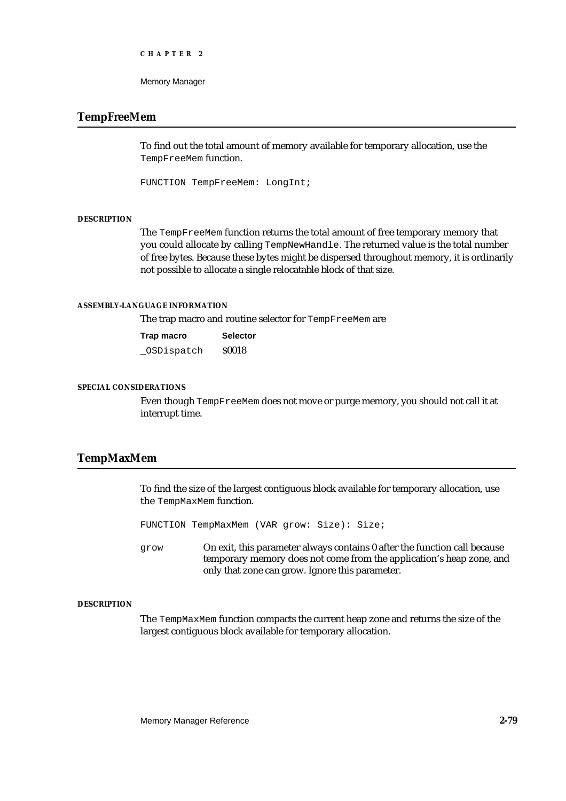```
CHAPTER 2
```
# **TempFreeMem**

To find out the total amount of memory available for temporary allocation, use the TempFreeMem function.

FUNCTION TempFreeMem: LongInt;

## **DESCRIPTION**

The TempFreeMem function returns the total amount of free temporary memory that you could allocate by calling TempNewHandle. The returned value is the total number of free bytes. Because these bytes might be dispersed throughout memory, it is ordinarily not possible to allocate a single relocatable block of that size.

## **ASSEMBLY-LANGUAGE INFORMATION**

The trap macro and routine selector for TempFreeMem are

| Trap macro | <b>Selector</b> |
|------------|-----------------|
| OSDispatch | <b>S0018</b>    |

## **SPECIAL CONSIDERATIONS**

Even though TempFreeMem does not move or purge memory, you should not call it at interrupt time.

# **TempMaxMem**

To find the size of the largest contiguous block available for temporary allocation, use the TempMaxMem function.

FUNCTION TempMaxMem (VAR grow: Size): Size;

grow On exit, this parameter always contains 0 after the function call because temporary memory does not come from the application's heap zone, and only that zone can grow. Ignore this parameter.

# **DESCRIPTION**

The TempMaxMem function compacts the current heap zone and returns the size of the largest contiguous block available for temporary allocation.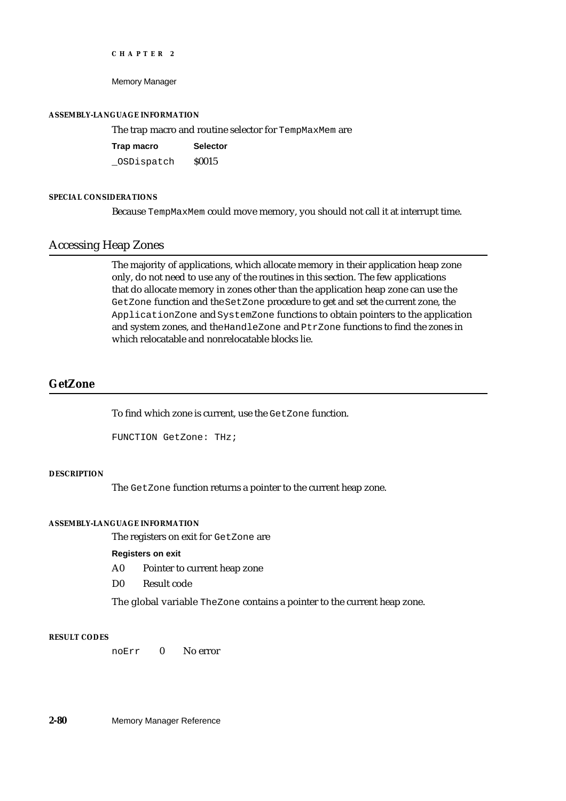Memory Manager

#### **ASSEMBLY-LANGUAGE INFORMATION**

The trap macro and routine selector for TempMaxMem are

| Trap macro | <b>Selector</b> |
|------------|-----------------|
| OSDispatch | <b>S0015</b>    |

# **SPECIAL CONSIDERATIONS**

Because TempMaxMem could move memory, you should not call it at interrupt time.

# Accessing Heap Zones

The majority of applications, which allocate memory in their application heap zone only, do not need to use any of the routines in this section. The few applications that do allocate memory in zones other than the application heap zone can use the GetZone function and the SetZone procedure to get and set the current zone, the ApplicationZone and SystemZone functions to obtain pointers to the application and system zones, and the HandleZone and PtrZone functions to find the zones in which relocatable and nonrelocatable blocks lie.

# **GetZone**

To find which zone is current, use the GetZone function.

```
FUNCTION GetZone: THz;
```
# **DESCRIPTION**

The GetZone function returns a pointer to the current heap zone.

## **ASSEMBLY-LANGUAGE INFORMATION**

The registers on exit for GetZone are

## **Registers on exit**

- A0 Pointer to current heap zone
- D0 Result code

The global variable TheZone contains a pointer to the current heap zone.

#### **RESULT CODES**

noErr 0 No error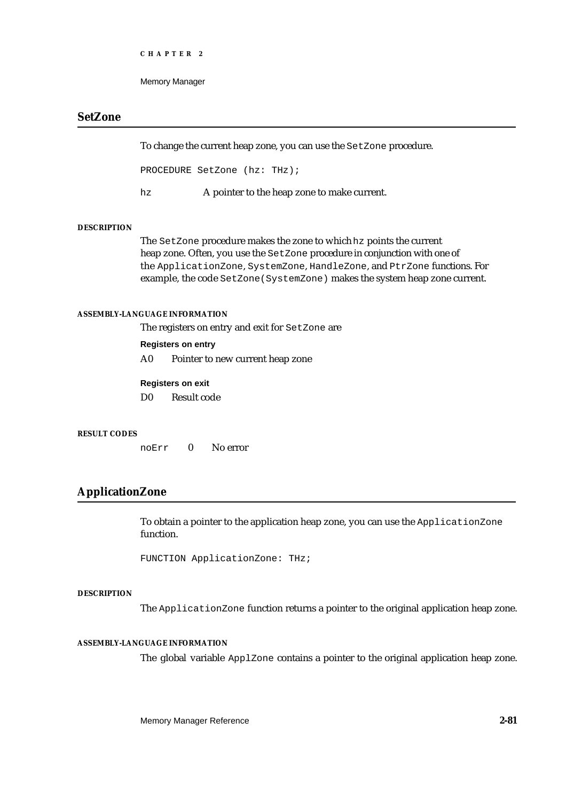```
CHAPTER 2
```
# **SetZone**

To change the current heap zone, you can use the SetZone procedure.

PROCEDURE SetZone (hz: THz);

hz A pointer to the heap zone to make current.

#### **DESCRIPTION**

The SetZone procedure makes the zone to which hz points the current heap zone. Often, you use the SetZone procedure in conjunction with one of the ApplicationZone, SystemZone, HandleZone, and PtrZone functions. For example, the code SetZone(SystemZone) makes the system heap zone current.

## **ASSEMBLY-LANGUAGE INFORMATION**

The registers on entry and exit for SetZone are

# **Registers on entry**

A0 Pointer to new current heap zone

## **Registers on exit**

D0 Result code

#### **RESULT CODES**

noErr 0 No error

# **ApplicationZone**

To obtain a pointer to the application heap zone, you can use the ApplicationZone function.

FUNCTION ApplicationZone: THz;

#### **DESCRIPTION**

The ApplicationZone function returns a pointer to the original application heap zone.

# **ASSEMBLY-LANGUAGE INFORMATION**

The global variable ApplZone contains a pointer to the original application heap zone.

Memory Manager Reference **2-81**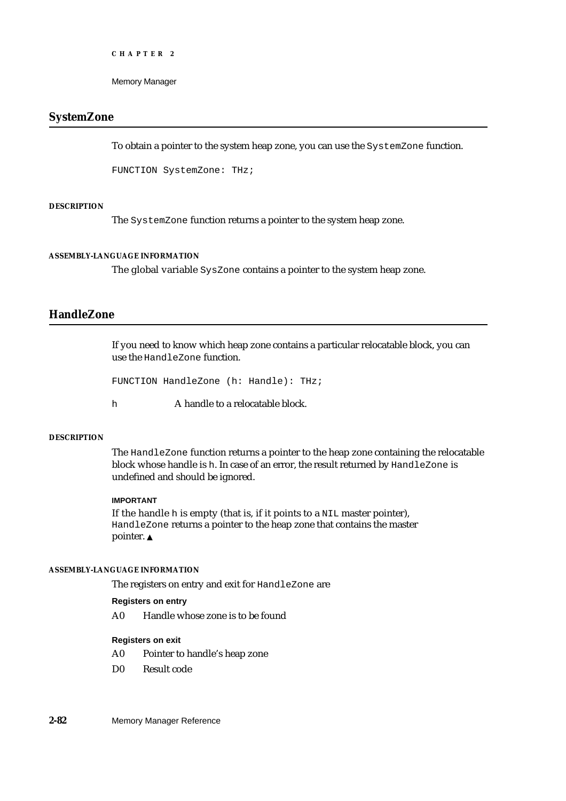Memory Manager

# **SystemZone**

To obtain a pointer to the system heap zone, you can use the SystemZone function.

FUNCTION SystemZone: THz;

## **DESCRIPTION**

The SystemZone function returns a pointer to the system heap zone.

## **ASSEMBLY-LANGUAGE INFORMATION**

The global variable SysZone contains a pointer to the system heap zone.

# **HandleZone**

If you need to know which heap zone contains a particular relocatable block, you can use the HandleZone function.

```
FUNCTION HandleZone (h: Handle): THz;
```
h **A** handle to a relocatable block.

#### **DESCRIPTION**

The HandleZone function returns a pointer to the heap zone containing the relocatable block whose handle is h. In case of an error, the result returned by HandleZone is undefined and should be ignored.

# **IMPORTANT**

If the handle h is empty (that is, if it points to a NIL master pointer), HandleZone returns a pointer to the heap zone that contains the master pointer. s

# **ASSEMBLY-LANGUAGE INFORMATION**

The registers on entry and exit for HandleZone are

# **Registers on entry**

A0 Handle whose zone is to be found

# **Registers on exit**

- A0 Pointer to handle's heap zone
- D0 Result code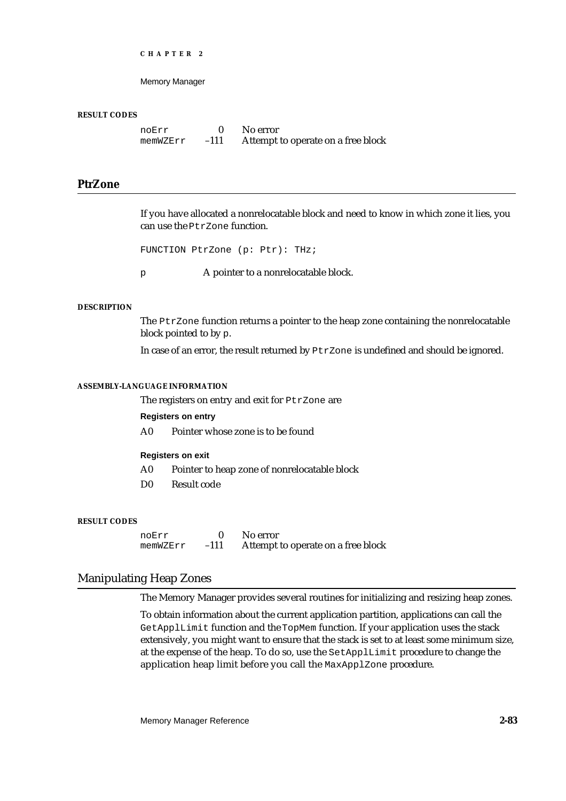Memory Manager

#### **RESULT CODES**

noErr 0 No error<br>
memWZErr -111 Attempt memWZErr –111 Attempt to operate on a free block

# **PtrZone**

If you have allocated a nonrelocatable block and need to know in which zone it lies, you can use the PtrZone function.

FUNCTION PtrZone (p: Ptr): THz;

p A pointer to a nonrelocatable block.

#### **DESCRIPTION**

The PtrZone function returns a pointer to the heap zone containing the nonrelocatable block pointed to by p.

In case of an error, the result returned by PtrZone is undefined and should be ignored.

## **ASSEMBLY-LANGUAGE INFORMATION**

The registers on entry and exit for PtrZone are

#### **Registers on entry**

A0 Pointer whose zone is to be found

#### **Registers on exit**

- A0 Pointer to heap zone of nonrelocatable block
- D0 Result code

#### **RESULT CODES**

noErr 0 No error<br>memWZErr -111 Attemnt memWZErr –111 Attempt to operate on a free block

# Manipulating Heap Zones

The Memory Manager provides several routines for initializing and resizing heap zones.

To obtain information about the current application partition, applications can call the GetApplLimit function and the TopMem function. If your application uses the stack extensively, you might want to ensure that the stack is set to at least some minimum size, at the expense of the heap. To do so, use the SetApplLimit procedure to change the application heap limit before you call the MaxApplZone procedure.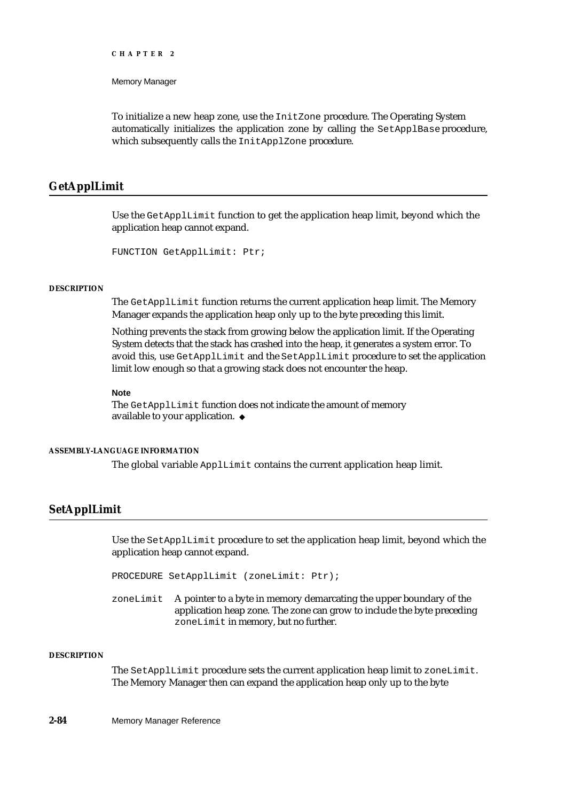Memory Manager

To initialize a new heap zone, use the InitZone procedure. The Operating System automatically initializes the application zone by calling the SetApplBase procedure, which subsequently calls the InitApplZone procedure.

# **GetApplLimit**

Use the GetApplLimit function to get the application heap limit, beyond which the application heap cannot expand.

```
FUNCTION GetApplLimit: Ptr;
```
#### **DESCRIPTION**

The GetApplLimit function returns the current application heap limit. The Memory Manager expands the application heap only up to the byte preceding this limit.

Nothing prevents the stack from growing below the application limit. If the Operating System detects that the stack has crashed into the heap, it generates a system error. To avoid this, use GetApplLimit and the SetApplLimit procedure to set the application limit low enough so that a growing stack does not encounter the heap.

#### **Note**

The GetApplLimit function does not indicate the amount of memory available to your application.

#### **ASSEMBLY-LANGUAGE INFORMATION**

The global variable ApplLimit contains the current application heap limit.

# **SetApplLimit**

Use the SetApplLimit procedure to set the application heap limit, beyond which the application heap cannot expand.

PROCEDURE SetApplLimit (zoneLimit: Ptr);

zoneLimit A pointer to a byte in memory demarcating the upper boundary of the application heap zone. The zone can grow to include the byte preceding zoneLimit in memory, but no further.

# **DESCRIPTION**

The SetApplLimit procedure sets the current application heap limit to zoneLimit. The Memory Manager then can expand the application heap only up to the byte

#### **2-84** Memory Manager Reference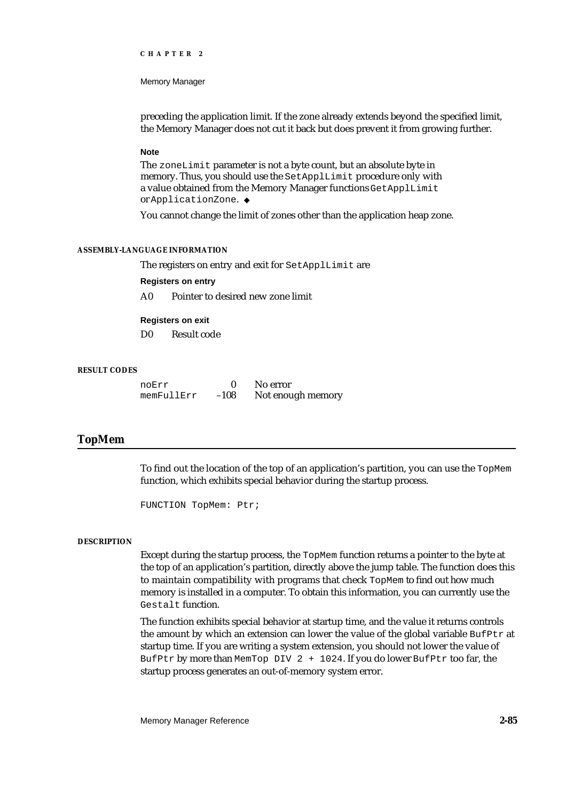#### Memory Manager

preceding the application limit. If the zone already extends beyond the specified limit, the Memory Manager does not cut it back but does prevent it from growing further.

#### **Note**

The zoneLimit parameter is not a byte count, but an absolute byte in memory. Thus, you should use the SetApplLimit procedure only with a value obtained from the Memory Manager functions GetApplLimit or ApplicationZone.

You cannot change the limit of zones other than the application heap zone.

#### **ASSEMBLY-LANGUAGE INFORMATION**

The registers on entry and exit for SetApplLimit are

#### **Registers on entry**

A0 Pointer to desired new zone limit

#### **Registers on exit**

D0 Result code

#### **RESULT CODES**

noErr 0 No error<br>memFullErr -108 Notenou memFullErr –108 Not enough memory

# **TopMem**

To find out the location of the top of an application's partition, you can use the TopMem function, which exhibits special behavior during the startup process.

FUNCTION TopMem: Ptr;

#### **DESCRIPTION**

Except during the startup process, the TopMem function returns a pointer to the byte at the top of an application's partition, directly above the jump table. The function does this to maintain compatibility with programs that check TopMem to find out how much memory is installed in a computer. To obtain this information, you can currently use the Gestalt function.

The function exhibits special behavior at startup time, and the value it returns controls the amount by which an extension can lower the value of the global variable  $\text{Buffer }$  at startup time. If you are writing a system extension, you should not lower the value of BufPtr by more than MemTop DIV 2 + 1024. If you do lower BufPtr too far, the startup process generates an out-of-memory system error.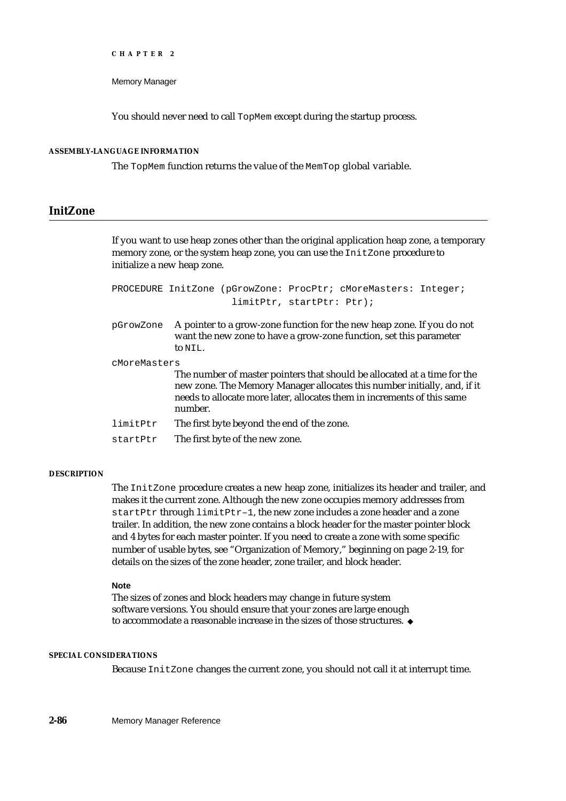Memory Manager

You should never need to call TopMem except during the startup process.

# **ASSEMBLY-LANGUAGE INFORMATION**

The TopMem function returns the value of the MemTop global variable.

# **InitZone**

If you want to use heap zones other than the original application heap zone, a temporary memory zone, or the system heap zone, you can use the InitZone procedure to initialize a new heap zone.

PROCEDURE InitZone (pGrowZone: ProcPtr; cMoreMasters: Integer; limitPtr, startPtr: Ptr);

pGrowZone A pointer to a grow-zone function for the new heap zone. If you do not want the new zone to have a grow-zone function, set this parameter to NIL.

cMoreMasters

The number of master pointers that should be allocated at a time for the new zone. The Memory Manager allocates this number initially, and, if it needs to allocate more later, allocates them in increments of this same number.

- limitPtr The first byte beyond the end of the zone.
- startPtr The first byte of the new zone.

## **DESCRIPTION**

The InitZone procedure creates a new heap zone, initializes its header and trailer, and makes it the current zone. Although the new zone occupies memory addresses from startPtr through limitPtr–1, the new zone includes a zone header and a zone trailer. In addition, the new zone contains a block header for the master pointer block and 4 bytes for each master pointer. If you need to create a zone with some specific number of usable bytes, see "Organization of Memory," beginning on page 2-19, for details on the sizes of the zone header, zone trailer, and block header.

#### **Note**

The sizes of zones and block headers may change in future system software versions. You should ensure that your zones are large enough to accommodate a reasonable increase in the sizes of those structures.

#### **SPECIAL CONSIDERATIONS**

Because InitZone changes the current zone, you should not call it at interrupt time.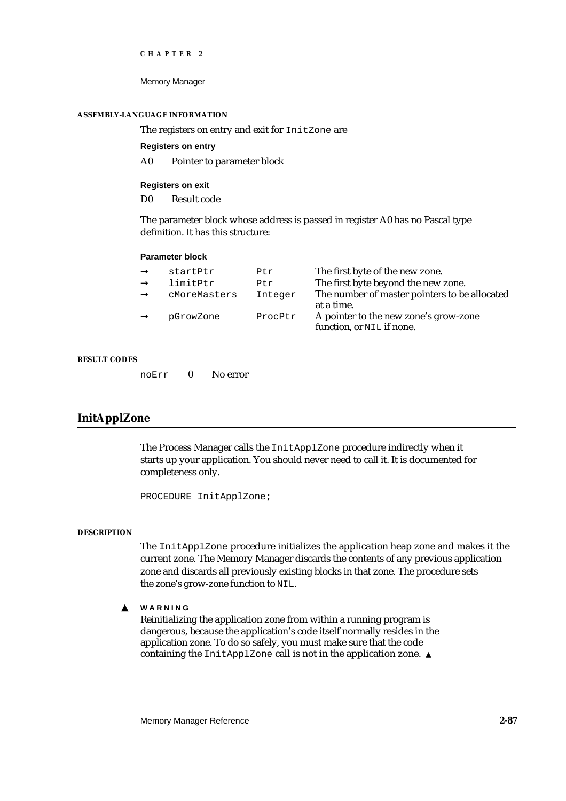Memory Manager

#### **ASSEMBLY-LANGUAGE INFORMATION**

The registers on entry and exit for InitZone are

**Registers on entry**

A0 Pointer to parameter block

**Registers on exit**

D0 Result code

The parameter block whose address is passed in register A0 has no Pascal type definition. It has this structure:

#### **Parameter block**

| startPtr     | Ptr     | The first byte of the new zone.                                    |
|--------------|---------|--------------------------------------------------------------------|
| limitPtr     | Ptr     | The first byte beyond the new zone.                                |
| cMoreMasters | Integer | The number of master pointers to be allocated<br>at a time.        |
| pGrowZone    | ProcPtr | A pointer to the new zone's grow-zone<br>function, or NIL if none. |

## **RESULT CODES**

noErr 0 No error

# **InitApplZone**

The Process Manager calls the InitApplZone procedure indirectly when it starts up your application. You should never need to call it. It is documented for completeness only.

PROCEDURE InitApplZone;

#### **DESCRIPTION**

The InitApplZone procedure initializes the application heap zone and makes it the current zone. The Memory Manager discards the contents of any previous application zone and discards all previously existing blocks in that zone. The procedure sets the zone's grow-zone function to NIL.

**WARNING**  $\mathbf{s}$ 

> Reinitializing the application zone from within a running program is dangerous, because the application's code itself normally resides in the application zone. To do so safely, you must make sure that the code containing the InitApplZone call is not in the application zone. s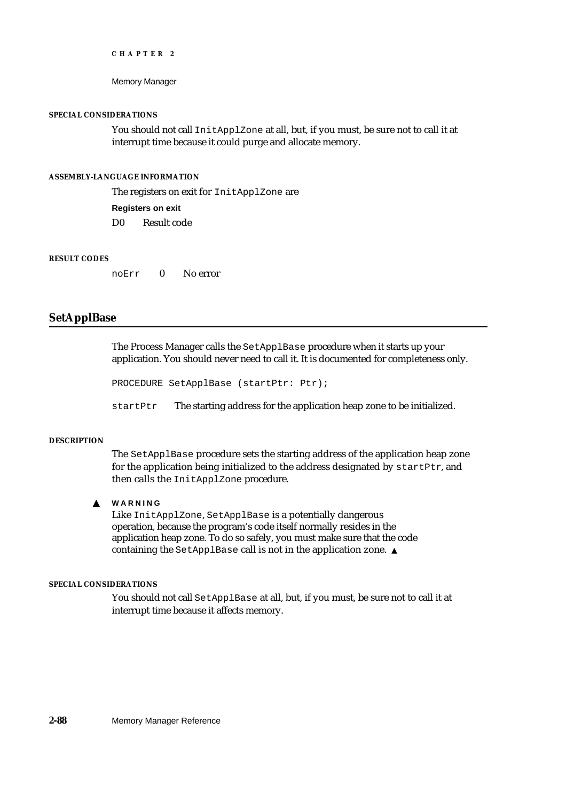Memory Manager

#### **SPECIAL CONSIDERATIONS**

You should not call InitApplZone at all, but, if you must, be sure not to call it at interrupt time because it could purge and allocate memory.

# **ASSEMBLY-LANGUAGE INFORMATION**

The registers on exit for InitApplZone are

**Registers on exit** D0 Result code

#### **RESULT CODES**

noErr 0 No error

# **SetApplBase**

The Process Manager calls the SetApplBase procedure when it starts up your application. You should never need to call it. It is documented for completeness only.

```
PROCEDURE SetApplBase (startPtr: Ptr);
```
startPtr The starting address for the application heap zone to be initialized.

#### **DESCRIPTION**

The SetApplBase procedure sets the starting address of the application heap zone for the application being initialized to the address designated by startPtr, and then calls the InitApplZone procedure.

#### $\mathbf{s}$ **WARNING**

Like InitApplZone, SetApplBase is a potentially dangerous operation, because the program's code itself normally resides in the application heap zone. To do so safely, you must make sure that the code containing the SetApplBase call is not in the application zone. s

#### **SPECIAL CONSIDERATIONS**

You should not call SetApplBase at all, but, if you must, be sure not to call it at interrupt time because it affects memory.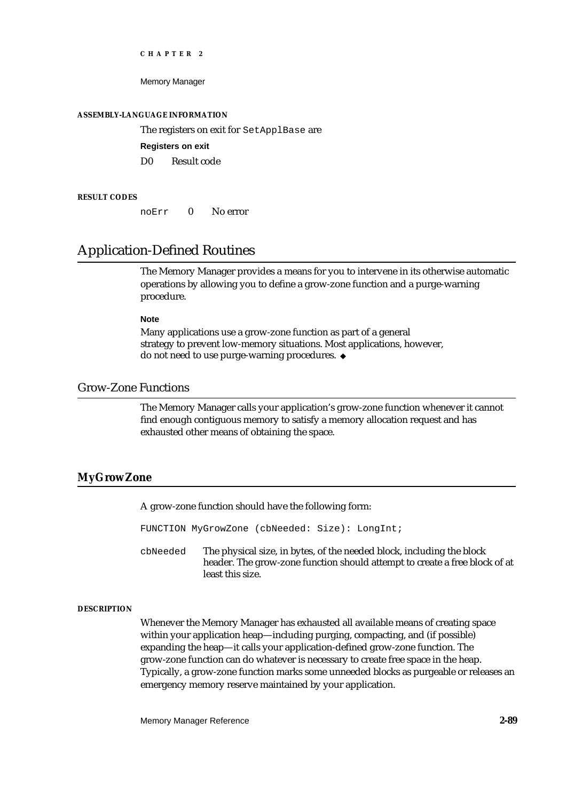Memory Manager

#### **ASSEMBLY-LANGUAGE INFORMATION**

The registers on exit for SetApplBase are

#### **Registers on exit**

D0 Result code

#### **RESULT CODES**

noErr 0 No error

# Application-Defined Routines

The Memory Manager provides a means for you to intervene in its otherwise automatic operations by allowing you to define a grow-zone function and a purge-warning procedure.

#### **Note**

Many applications use a grow-zone function as part of a general strategy to prevent low-memory situations. Most applications, however, do not need to use purge-warning procedures.

# Grow-Zone Functions

The Memory Manager calls your application's grow-zone function whenever it cannot find enough contiguous memory to satisfy a memory allocation request and has exhausted other means of obtaining the space.

# **MyGrowZone**

A grow-zone function should have the following form:

FUNCTION MyGrowZone (cbNeeded: Size): LongInt;

cbNeeded The physical size, in bytes, of the needed block, including the block header. The grow-zone function should attempt to create a free block of at least this size.

# **DESCRIPTION**

Whenever the Memory Manager has exhausted all available means of creating space within your application heap—including purging, compacting, and (if possible) expanding the heap—it calls your application-defined grow-zone function. The grow-zone function can do whatever is necessary to create free space in the heap. Typically, a grow-zone function marks some unneeded blocks as purgeable or releases an emergency memory reserve maintained by your application.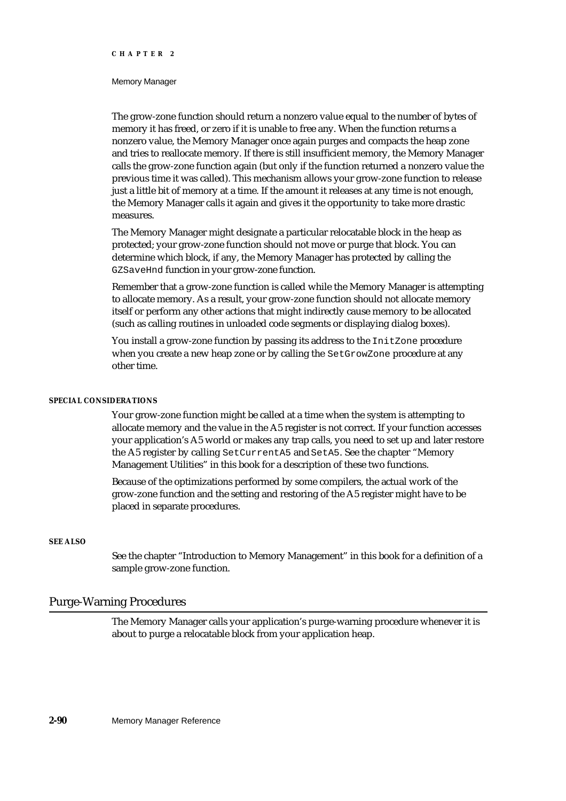#### Memory Manager

The grow-zone function should return a nonzero value equal to the number of bytes of memory it has freed, or zero if it is unable to free any. When the function returns a nonzero value, the Memory Manager once again purges and compacts the heap zone and tries to reallocate memory. If there is still insufficient memory, the Memory Manager calls the grow-zone function again (but only if the function returned a nonzero value the previous time it was called). This mechanism allows your grow-zone function to release just a little bit of memory at a time. If the amount it releases at any time is not enough, the Memory Manager calls it again and gives it the opportunity to take more drastic measures.

The Memory Manager might designate a particular relocatable block in the heap as protected; your grow-zone function should not move or purge that block. You can determine which block, if any, the Memory Manager has protected by calling the GZSaveHnd function in your grow-zone function.

Remember that a grow-zone function is called while the Memory Manager is attempting to allocate memory. As a result, your grow-zone function should not allocate memory itself or perform any other actions that might indirectly cause memory to be allocated (such as calling routines in unloaded code segments or displaying dialog boxes).

You install a grow-zone function by passing its address to the InitZone procedure when you create a new heap zone or by calling the SetGrowZone procedure at any other time.

#### **SPECIAL CONSIDERATIONS**

Your grow-zone function might be called at a time when the system is attempting to allocate memory and the value in the A5 register is not correct. If your function accesses your application's A5 world or makes any trap calls, you need to set up and later restore the A5 register by calling SetCurrentA5 and SetA5. See the chapter "Memory Management Utilities" in this book for a description of these two functions.

Because of the optimizations performed by some compilers, the actual work of the grow-zone function and the setting and restoring of the A5 register might have to be placed in separate procedures.

#### **SEE ALSO**

See the chapter "Introduction to Memory Management" in this book for a definition of a sample grow-zone function.

# Purge-Warning Procedures

The Memory Manager calls your application's purge-warning procedure whenever it is about to purge a relocatable block from your application heap.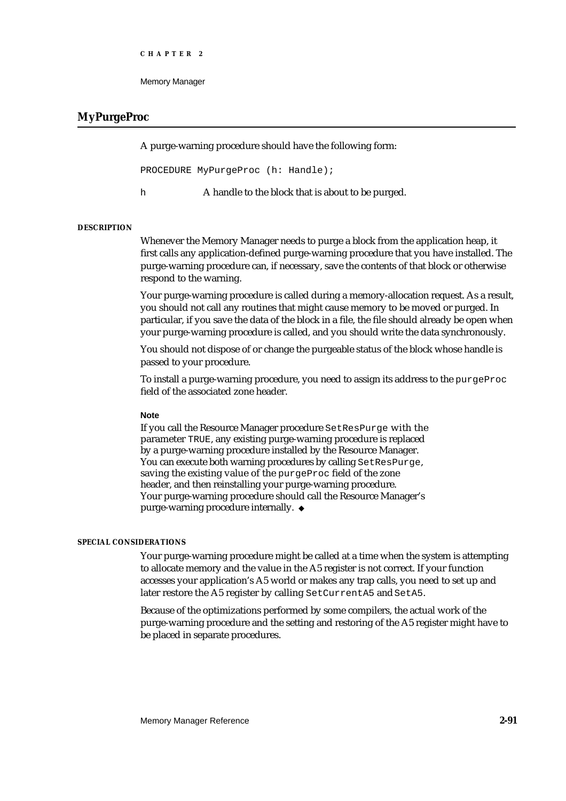```
CHAPTER 2
```
# **MyPurgeProc**

A purge-warning procedure should have the following form:

PROCEDURE MyPurgeProc (h: Handle);

h A handle to the block that is about to be purged.

#### **DESCRIPTION**

Whenever the Memory Manager needs to purge a block from the application heap, it first calls any application-defined purge-warning procedure that you have installed. The purge-warning procedure can, if necessary, save the contents of that block or otherwise respond to the warning.

Your purge-warning procedure is called during a memory-allocation request. As a result, you should not call any routines that might cause memory to be moved or purged. In particular, if you save the data of the block in a file, the file should already be open when your purge-warning procedure is called, and you should write the data synchronously.

You should not dispose of or change the purgeable status of the block whose handle is passed to your procedure.

To install a purge-warning procedure, you need to assign its address to the purgeProc field of the associated zone header.

#### **Note**

If you call the Resource Manager procedure SetResPurge with the parameter TRUE, any existing purge-warning procedure is replaced by a purge-warning procedure installed by the Resource Manager. You can execute both warning procedures by calling SetResPurge, saving the existing value of the purgeProc field of the zone header, and then reinstalling your purge-warning procedure. Your purge-warning procedure should call the Resource Manager's purge-warning procedure internally. u

#### **SPECIAL CONSIDERATIONS**

Your purge-warning procedure might be called at a time when the system is attempting to allocate memory and the value in the A5 register is not correct. If your function accesses your application's A5 world or makes any trap calls, you need to set up and later restore the A5 register by calling SetCurrentA5 and SetA5.

Because of the optimizations performed by some compilers, the actual work of the purge-warning procedure and the setting and restoring of the A5 register might have to be placed in separate procedures.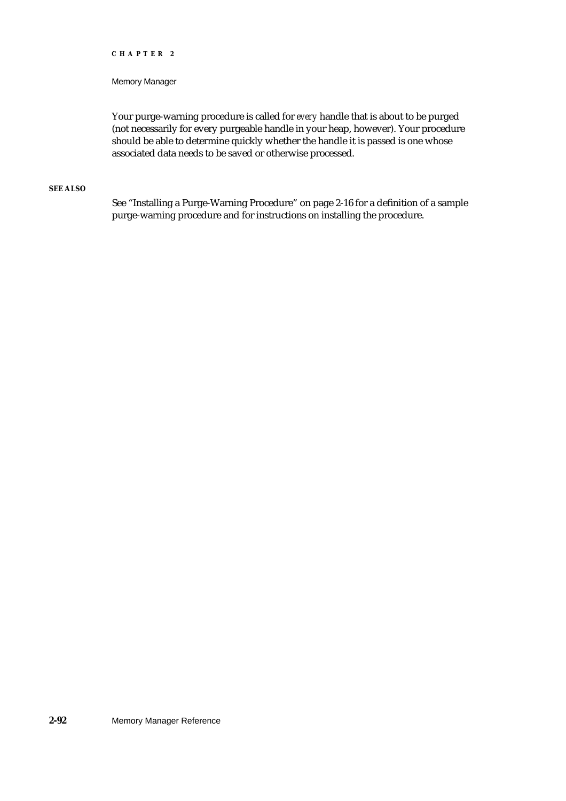#### Memory Manager

Your purge-warning procedure is called for *every* handle that is about to be purged (not necessarily for every purgeable handle in your heap, however). Your procedure should be able to determine quickly whether the handle it is passed is one whose associated data needs to be saved or otherwise processed.

# **SEE ALSO**

See "Installing a Purge-Warning Procedure" on page 2-16 for a definition of a sample purge-warning procedure and for instructions on installing the procedure.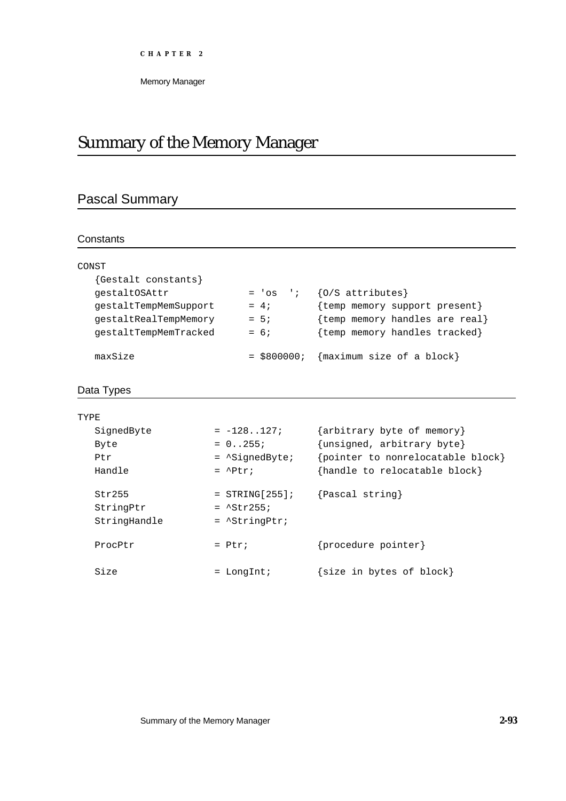# Summary of the Memory Manager

# Pascal Summary

# **Constants**

| CONST                 |                      |                                |
|-----------------------|----------------------|--------------------------------|
| {Gestalt constants}   |                      |                                |
| qestaltOSAttr         | $= 'os$<br>$\cdot$ : | ${O/S}$ attributes}            |
| qestaltTempMemSupport | $= 4i$               | {temp memory support present}  |
| qestaltRealTempMemory | $= 5i$               | {temp memory handles are real} |
| qestaltTempMemTracked | $= 6;$               | {temp memory handles tracked}  |
|                       |                      |                                |
| maxSize               | $=$ \$800000;        | {maximum size of a block}      |

# Data Types

| TYPR.        |                          |                                   |
|--------------|--------------------------|-----------------------------------|
| SignedByte   | $= -128127;$             | {arbitrary byte of memory}        |
| Byte         | $= 0.0255i$              | {unsigned, arbitrary byte}        |
| Ptr          | $=$ $\Delta$ SiqnedByte; | {pointer to nonrelocatable block} |
| Handle       | $=$ $^{\circ}$ Ptr;      | {handle to relocatable block}     |
| Str255       | $=$ STRING[255];         | {Pascal string}                   |
| StringPtr    | $=$ $^{\sim}$ Str255;    |                                   |
| StringHandle | $=$ $\Delta$ StringPtr;  |                                   |
| ProcPtr      | $=$ Ptr;                 | {procedure pointer}               |
| Size         | LongInt;                 | {size in bytes of block}          |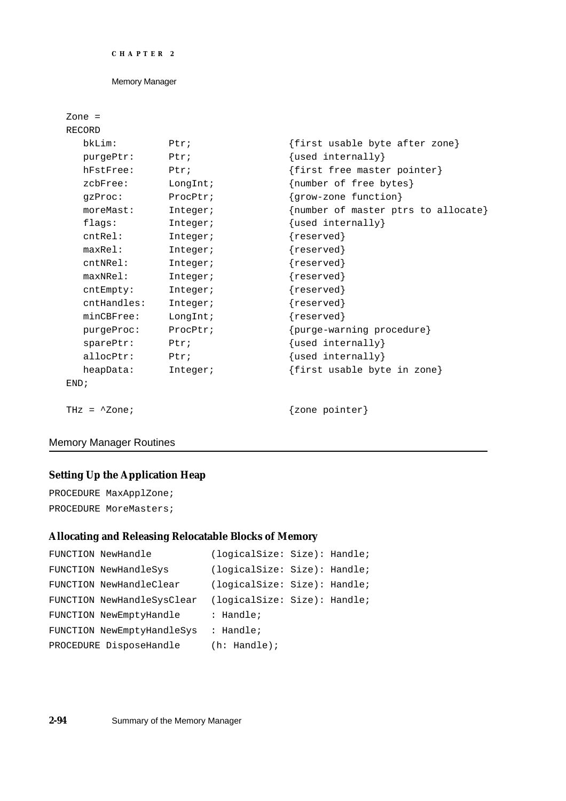```
CHAPTER 2
```

```
Zone =
RECORD
 bkLim: Ptr; {first usable byte after zone}
 purgePtr: Ptr; \{used \text{ internally}\}hFstFree: Ptr; {first free master pointer}zcbFree: LongInt; {number of free bytes}
 gzProc: ProcPtr; {grow-zone function}
 moreMast: Integer; {\{number\ of\ master\ bytes\ to\ allocate\}}flags: Integer; {used internally}
 cntRel: Integer; {reserved}
 maxRel: Integer; {reserved}
 cntNRel: Integer; {reserved}
 maxNRel: Integer; {reserved}
 cntEmpty: Integer; {reserved}
 cntHandles: Integer; {reserved}
 minCBFree: LongInt; {reserved}
 purgeProc: ProcPtr; {purge-warning procedure}
 sparePtr: Ptr; \{used \text{ internally}\}allocPtr: Ptr; {\text{used internally}}heapData: Integer; {first} usable byte in zone}
END;
THz = ^2Zone; \{zone\}
```
# Memory Manager Routines

# **Setting Up the Application Heap**

PROCEDURE MaxApplZone; PROCEDURE MoreMasters;

# **Allocating and Releasing Relocatable Blocks of Memory**

```
FUNCTION NewHandle (logicalSize: Size): Handle;
FUNCTION NewHandleSys (logicalSize: Size): Handle;
FUNCTION NewHandleClear (logicalSize: Size): Handle;
FUNCTION NewHandleSysClear (logicalSize: Size): Handle;
FUNCTION NewEmptyHandle : Handle;
FUNCTION NewEmptyHandleSys : Handle;
PROCEDURE DisposeHandle (h: Handle);
```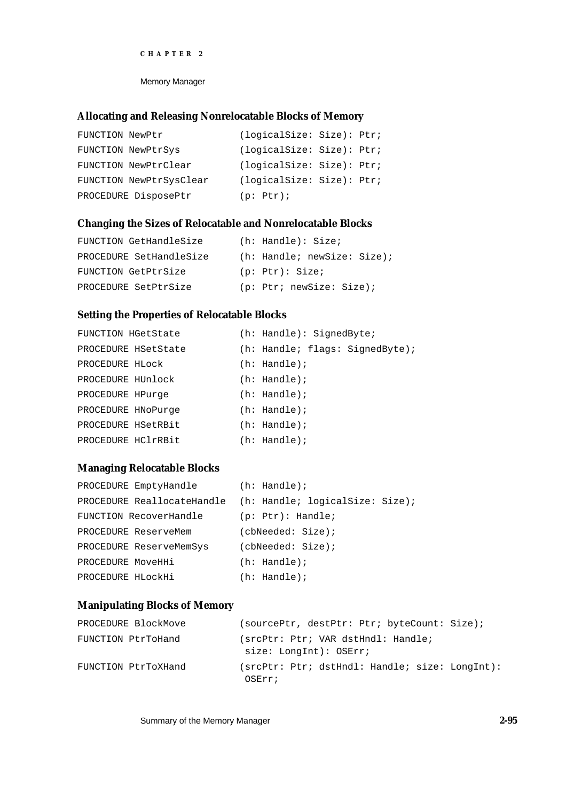Memory Manager

# **Allocating and Releasing Nonrelocatable Blocks of Memory**

| FUNCTION NewPtr |                         | (loqicalSize: Size): Ptr: |  |
|-----------------|-------------------------|---------------------------|--|
|                 | FUNCTION NewPtrSys      | (logicalSize: Size): Ptr; |  |
|                 | FUNCTION NewPtrClear    | (logicalSize: Size): Ptr; |  |
|                 | FUNCTION NewPtrSysClear | (logicalSize: Size): Ptr; |  |
|                 | PROCEDURE DisposePtr    | (p: Ptr);                 |  |

# **Changing the Sizes of Relocatable and Nonrelocatable Blocks**

| FUNCTION GetHandleSize  | $(h: \text{Handle}): \text{Size:}$                 |
|-------------------------|----------------------------------------------------|
| PROCEDURE SetHandleSize | $(h: \text{Handle}; \text{newSize}: \text{Size});$ |
| FUNCTION GetPtrSize     | (p: Ptr): Size;                                    |
| PROCEDURE SetPtrSize    | (p: Ptr: newSize: Size);                           |

# **Setting the Properties of Relocatable Blocks**

| FUNCTION HGetState  |  | $(h: \text{Handle}): \text{SignedByte};$ |                                                       |
|---------------------|--|------------------------------------------|-------------------------------------------------------|
| PROCEDURE HSetState |  |                                          | $(h: \text{Handle}; \text{flags}: \text{SignedByte};$ |
| PROCEDURE HLOCK     |  | $(h: \text{Handle})$ ;                   |                                                       |
| PROCEDURE HUnlock   |  | $(h: \text{Handle})$ ;                   |                                                       |
| PROCEDURE HPurge    |  | $(h: \text{Handle})$ ;                   |                                                       |
| PROCEDURE HNoPurge  |  | $(h: \text{Handle})$ ;                   |                                                       |
| PROCEDURE HSetRBit  |  | $(h: \text{Handle})$ ;                   |                                                       |
| PROCEDURE HC1rRBit  |  | $(h: \text{Handle})$ ;                   |                                                       |

# **Managing Relocatable Blocks**

| PROCEDURE EmptyHandle   |                            | $(h: \text{Handle})$ ; |                                 |  |
|-------------------------|----------------------------|------------------------|---------------------------------|--|
|                         | PROCEDURE ReallocateHandle |                        | (h: Handle; logicalSize: Size); |  |
| FUNCTION RecoverHandle  |                            | $(p: Ptr):$ Handle;    |                                 |  |
| PROCEDURE ReserveMem    |                            | (cbNeeded: Size);      |                                 |  |
| PROCEDURE ReserveMemSys |                            | (cbNeeded: Size);      |                                 |  |
| PROCEDURE MoveHHi       |                            | $(h: \text{Handle})$ ; |                                 |  |
| PROCEDURE HLOCKHi       |                            | $(h: \text{Handle})$ ; |                                 |  |

# **Manipulating Blocks of Memory**

| PROCEDURE BlockMove | (sourcePtr, destPtr: Ptr; byteCount: Size);                    |
|---------------------|----------------------------------------------------------------|
| FUNCTION PtrToHand  | (srcPtr: Ptr; VAR dstHndl: Handle;<br>$size:$ LongInt): OSErr; |
| FUNCTION PtrToXHand | (srcPtr: Ptr; dstHndl: Handle; size: LonqInt):<br>OSErr;       |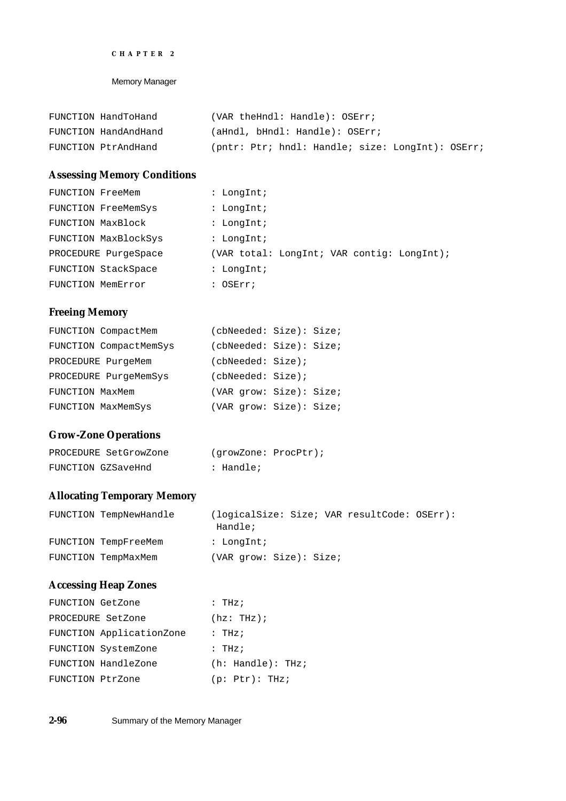Memory Manager

| FUNCTION HandToHand  | (VAR theHndl: Handle): OSErr;                    |
|----------------------|--------------------------------------------------|
| FUNCTION HandAndHand | (aHndl, bHndl: Handle): OSErr;                   |
| FUNCTION PtrAndHand  | (pntr: Ptr; hndl: Handle; size: LongInt): OSErr; |

# **Assessing Memory Conditions**

| FUNCTION FreeMem     | : LongInt;                                 |
|----------------------|--------------------------------------------|
| FUNCTION FreeMemSys  | : LongInt;                                 |
| FUNCTION MaxBlock    | : LongInt;                                 |
| FUNCTION MaxBlockSys | : LongInt;                                 |
| PROCEDURE PurgeSpace | (VAR total: LongInt; VAR contig: LongInt); |
| FUNCTION StackSpace  | : LongInt;                                 |
| FUNCTION MemError    | : OSErr;                                   |

# **Freeing Memory**

| FUNCTION CompactMem    |                   | (cbNeeded: Size): Size; |
|------------------------|-------------------|-------------------------|
| FUNCTION CompactMemSys |                   | (cbNeeded: Size): Size; |
| PROCEDURE PurgeMem     | (cbNeeded: Size); |                         |
| PROCEDURE PurgeMemSys  | (cbNeeded: Size); |                         |
| FUNCTION MaxMem        |                   | (VAR grow: Size): Size; |
| FUNCTION MaxMemSys     |                   | (VAR grow: Size): Size; |

# **Grow-Zone Operations**

| PROCEDURE SetGrowZone |           | (growZone: ProcPtr); |
|-----------------------|-----------|----------------------|
| FUNCTION GZSaveHnd    | : Handle; |                      |

# **Allocating Temporary Memory**

| FUNCTION TempNewHandle | Handle;                 |  | (logicalSize: Size; VAR resultCode: OSErr): |  |
|------------------------|-------------------------|--|---------------------------------------------|--|
| FUNCTION TempFreeMem   | : LongInt;              |  |                                             |  |
| FUNCTION TempMaxMem    | (VAR qrow: Size): Size; |  |                                             |  |

# **Accessing Heap Zones**

| FUNCTION GetZone         | : $THz$ ;                        |
|--------------------------|----------------------------------|
| PROCEDURE SetZone        | $(hz: THz)$ ;                    |
| FUNCTION ApplicationZone | : $THz$ ;                        |
| FUNCTION SystemZone      | : $THz$ ;                        |
| FUNCTION HandleZone      | $(h: \text{Handle}): \text{THz}$ |
| FUNCTION PtrZone         | (p: Ptx): THz;                   |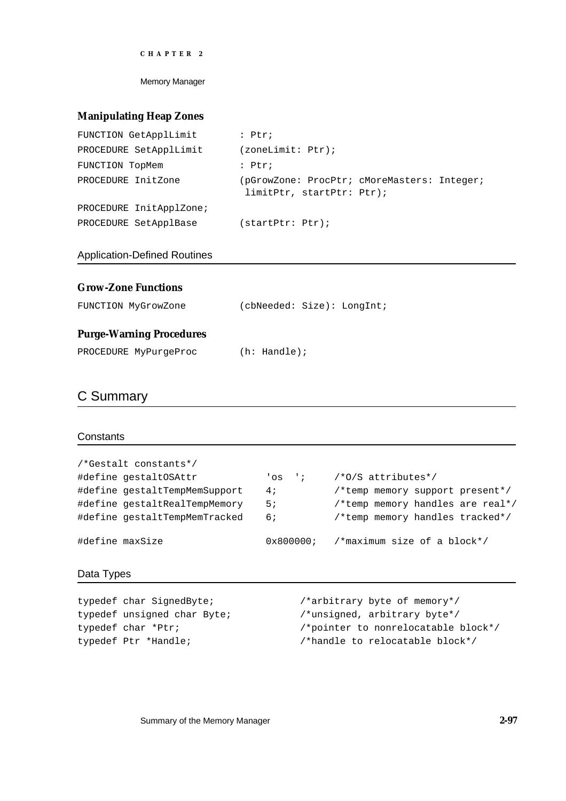Memory Manager

# **Manipulating Heap Zones**

| FUNCTION GetApplLimit   | $:$ Ptr;                                                                 |
|-------------------------|--------------------------------------------------------------------------|
| PROCEDURE SetApplLimit  | (zoneLimit: Ptr);                                                        |
| FUNCTION TopMem         | $:$ Ptr;                                                                 |
| PROCEDURE InitZone      | (pGrowZone: ProcPtr; cMoreMasters: Integer;<br>limitPtr, startPtr: Ptr); |
| PROCEDURE InitApplZone; |                                                                          |
| PROCEDURE SetApplBase   | (startPtr: Ptr);                                                         |

Application-Defined Routines

| <b>Grow-Zone Functions</b>      |                            |
|---------------------------------|----------------------------|
| FUNCTION MyGrowZone             | (cbNeeded: Size): LongInt; |
| <b>Purge-Warning Procedures</b> |                            |
| PROCEDURE MyPurgeProc           | $(h: \text{Handle})$ ;     |

# C Summary

# **Constants**

| /*Gestalt constants*/         |           |                                  |
|-------------------------------|-----------|----------------------------------|
| #define gestaltOSAttr         | $'$ os '; | /*0/S attributes*/               |
| #define gestaltTempMemSupport | 4;        | /*temp memory support present*/  |
| #define qestaltRealTempMemory | 5;        | /*temp memory handles are real*/ |
| #define gestaltTempMemTracked | 6 i       | /*temp memory handles tracked*/  |
| #define maxSize               | 0x800000i | /*maximum size of a block*/      |

# Data Types

| typedef char SignedByte;    | /*arbitrary byte of memory*/        |
|-----------------------------|-------------------------------------|
| typedef unsigned char Byte; | /*unsigned, arbitrary byte*/        |
| typedef char *Ptr;          | /*pointer to nonrelocatable block*/ |
| typedef Ptr *Handle;        | /*handle to relocatable block*/     |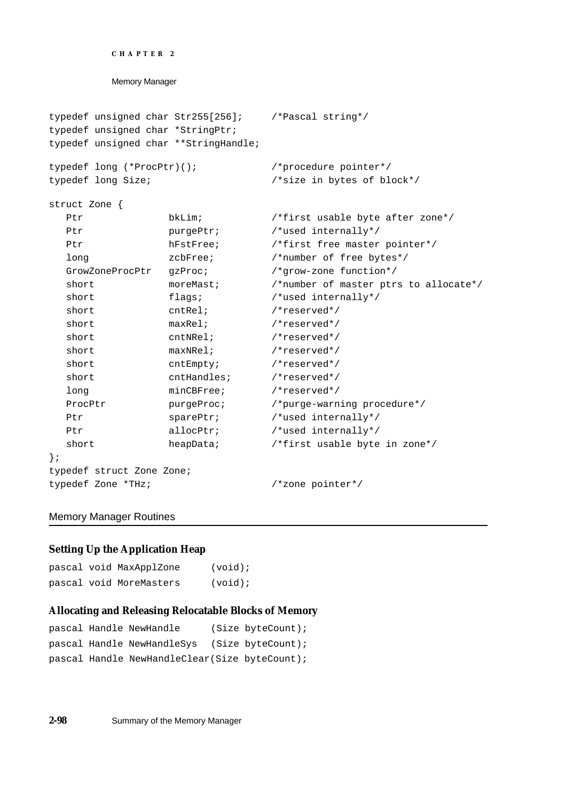```
CHAPTER 2
```

```
typedef unsigned char Str255[256]; /*Pascal string*/
typedef unsigned char *StringPtr;
typedef unsigned char **StringHandle;
typedef long (*ProcPtr)(); /*procedure pointer*/
typedef long Size; /*size in bytes of block*/
struct Zone {
  Ptr bkLim; \frac{1}{2} bkLim; \frac{1}{2} bkLim; \frac{1}{2} bkLim; \frac{1}{2} bkLim; \frac{1}{2} bkLim; \frac{1}{2} bkLim; \frac{1}{2} bkLim; \frac{1}{2} bkLim; \frac{1}{2} bkLim; \frac{1}{2} bkLim; \frac{1}{2} bkLim; \frac{1}{2} bkLim; \frac{1}{2Ptr purgePtr; /*used internally*/
  Ptr hFstFree; /*first free master pointer*/
   long zcbFree; /*number of free bytes*/
  GrowZoneProcPtr gzProc; /*grow-zone function*/
   short moreMast; \gamma*number of master ptrs to allocate*/
   short flags; \frac{1}{2} flags; \frac{1}{2} flags; \frac{1}{2} flags; \frac{1}{2} flags; \frac{1}{2} flags; \frac{1}{2} flags; \frac{1}{2} flags; \frac{1}{2} flags; \frac{1}{2} flags; \frac{1}{2} flags; \frac{1}{2} flags; \frac{1}{2} flags; \frac{1short cntRel; \sqrt{\text{reserved*}}/
   short maxRel; /*reserved*/
   short cntNRel; \sqrt{\text{``respect}''}short maxNRel; \frac{1}{2} /*reserved*/
   short cntEmpty; /*reserved*/
  short cntHandles; /*reserved*/
  long minCBFree; /*reserved*/
  ProcPtr purgeProc; /*purge-warning procedure*/
   Ptr sparePtr; /*used internally*/
  Ptr allocPtr; /*used internally*/
   short heapData; /*first usable byte in zone*/
};
typedef struct Zone Zone;
typedef Zone *THz; /*zone pointer*/
```
# Memory Manager Routines

# **Setting Up the Application Heap**

```
pascal void MaxApplZone (void);
pascal void MoreMasters (void);
```
# **Allocating and Releasing Relocatable Blocks of Memory**

```
pascal Handle NewHandle (Size byteCount);
pascal Handle NewHandleSys (Size byteCount);
pascal Handle NewHandleClear(Size byteCount);
```
**2-98** Summary of the Memory Manager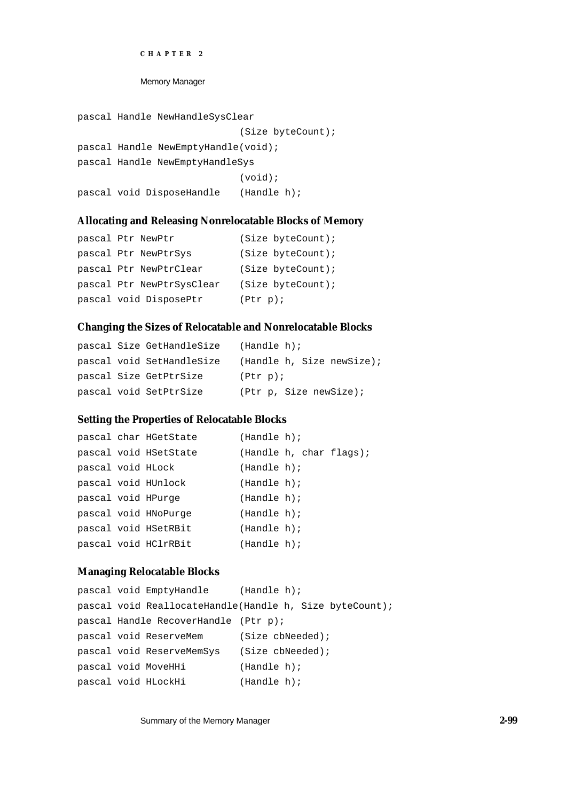Memory Manager

```
pascal Handle NewHandleSysClear
                            (Size byteCount);
pascal Handle NewEmptyHandle(void);
pascal Handle NewEmptyHandleSys
                            (void);
pascal void DisposeHandle (Handle h);
```
# **Allocating and Releasing Nonrelocatable Blocks of Memory**

```
pascal Ptr NewPtr (Size byteCount);
pascal Ptr NewPtrSys (Size byteCount);
pascal Ptr NewPtrClear (Size byteCount);
pascal Ptr NewPtrSysClear (Size byteCount);
pascal void DisposePtr (Ptr p);
```
# **Changing the Sizes of Relocatable and Nonrelocatable Blocks**

|  | pascal Size GetHandleSize | (Handle h);               |
|--|---------------------------|---------------------------|
|  | pascal void SetHandleSize | (Handle h, Size newSize); |
|  | pascal Size GetPtrSize    | (Ptr p);                  |
|  | pascal void SetPtrSize    | (Ptr p, Size newSize);    |

## **Setting the Properties of Relocatable Blocks**

|                    | pascal char HGetState | (Handle h); |  |                         |
|--------------------|-----------------------|-------------|--|-------------------------|
|                    | pascal void HSetState |             |  | (Handle h, char flags); |
| pascal void HLock  |                       | (Handle h); |  |                         |
|                    | pascal void HUnlock   | (Handle h); |  |                         |
| pascal void HPurge |                       | (Handle h); |  |                         |
|                    | pascal void HNoPurge  | (Handle h); |  |                         |
|                    | pascal void HSetRBit  | (Handle h); |  |                         |
|                    | pascal void HClrRBit  | (Handle h); |  |                         |

# **Managing Relocatable Blocks**

```
pascal void EmptyHandle (Handle h);
pascal void ReallocateHandle(Handle h, Size byteCount);
pascal Handle RecoverHandle (Ptr p);
pascal void ReserveMem (Size cbNeeded);
pascal void ReserveMemSys (Size cbNeeded);
pascal void MoveHHi (Handle h);
pascal void HLockHi (Handle h);
```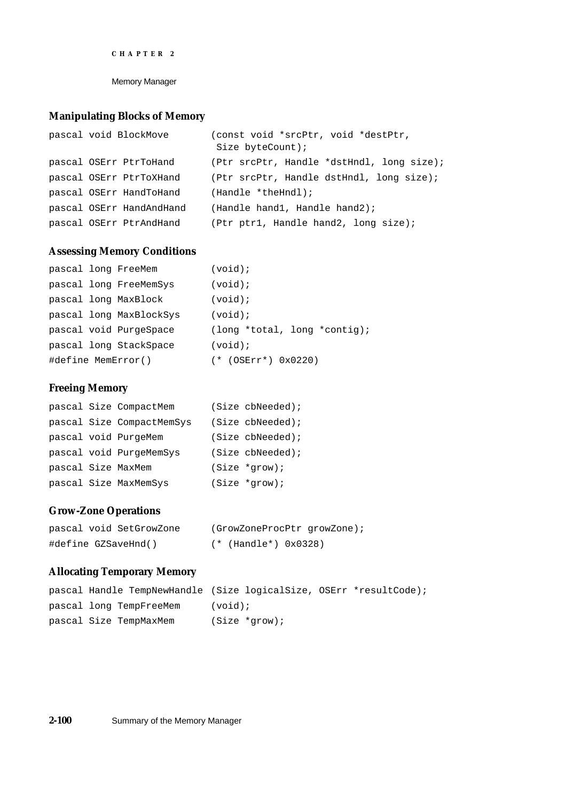Memory Manager

# **Manipulating Blocks of Memory**

| pascal void BlockMove    | (const void *srcPtr, void *destPtr,<br>Size $byteCount)$ ; |
|--------------------------|------------------------------------------------------------|
| pascal OSErr PtrToHand   | (Ptr srcPtr, Handle *dstHndl, long size);                  |
| pascal OSErr PtrToXHand  | (Ptr srcPtr, Handle dstHndl, long size);                   |
| pascal OSErr HandToHand  | (Handle *theHndl);                                         |
| pascal OSErr HandAndHand | (Handle hand1, Handle hand2);                              |
| pascal OSErr PtrAndHand  | (Ptr ptr1, Handle hand2, long size);                       |

# **Assessing Memory Conditions**

|                    | pascal long FreeMem     | $(void)$ ;                                   |
|--------------------|-------------------------|----------------------------------------------|
|                    | pascal long FreeMemSys  | $(void)$ ;                                   |
|                    | pascal long MaxBlock    | $(void)$ ;                                   |
|                    | pascal long MaxBlockSys | $(void)$ ;                                   |
|                    | pascal void PurgeSpace  | $\frac{1}{\pi}$ (long *total, long *contig); |
|                    | pascal long StackSpace  | $(void)$ ;                                   |
| #define MemError() |                         | $(* (OSErr*) 0x0220)$                        |

# **Freeing Memory**

|                    | pascal Size CompactMem    | (Size cbNeeded); |
|--------------------|---------------------------|------------------|
|                    | pascal Size CompactMemSys | (Size cbNeeded); |
|                    | pascal void PurgeMem      | (Size cbNeeded); |
|                    | pascal void PurgeMemSys   | (Size cbNeeded); |
| pascal Size MaxMem |                           | $(Size *grow);$  |
|                    | pascal Size MaxMemSys     | $(Size *grow);$  |

# **Grow-Zone Operations**

| pascal void SetGrowZone | (GrowZoneProcPtr growZone); |
|-------------------------|-----------------------------|
| #define GZSaveHnd()     | (* (Handle*) 0x0328)        |

# **Allocating Temporary Memory**

|                         | pascal Handle TempNewHandle (Size logicalSize, OSErr *resultCode); |
|-------------------------|--------------------------------------------------------------------|
| pascal long TempFreeMem | $(void)$ ;                                                         |
| pascal Size TempMaxMem  | (Size *grow);                                                      |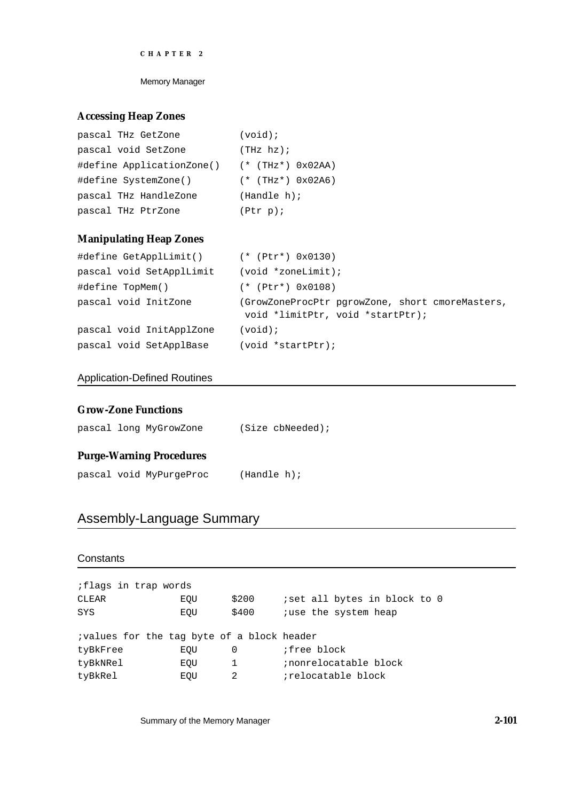Memory Manager

# **Accessing Heap Zones**

| pascal THz GetZone        | $(void)$ ;             |
|---------------------------|------------------------|
| pascal void SetZone       | (THz hz);              |
| #define ApplicationZone() | $(*$ (THz*) $0x02AA)$  |
| #define SystemZone()      | $(*$ (THz*) $0x02A6$ ) |
| pascal THz HandleZone     | (Handle h);            |
| pascal THz PtrZone        | (Ptr p);               |

# **Manipulating Heap Zones**

| #define GetApplLimit() (* (Ptr*) 0x0130) |                                                                                     |
|------------------------------------------|-------------------------------------------------------------------------------------|
| pascal void SetApplLimit                 | (void *zoneLimit);                                                                  |
| #define TopMem()                         | $(*$ (Ptr*) $0x0108$ )                                                              |
| pascal void InitZone                     | (GrowZoneProcPtr pgrowZone, short cmoreMasters,<br>void *limitPtr, void *startPtr); |
| pascal void InitApplZone                 | $(void)$ ;                                                                          |
| pascal void SetApplBase                  | $(void *startPtr);$                                                                 |

# Application-Defined Routines

# **Grow-Zone Functions**

|  | pascal long MyGrowZone | $(Size$ cbNeeded); |
|--|------------------------|--------------------|
|  |                        |                    |

# **Purge-Warning Procedures**

pascal void MyPurgeProc (Handle h);

# Assembly-Language Summary

# **Constants**

| <i>i</i> flags in trap words                       |     |       |                              |
|----------------------------------------------------|-----|-------|------------------------------|
| CLEAR                                              | EOU | \$200 | iset all bytes in block to 0 |
| SYS                                                | EOU | \$400 | <i>i</i> use the system heap |
| <i>i</i> values for the tag byte of a block header |     |       |                              |
| tyBkFree                                           | EOU | 0     | <i>i</i> free block          |
| tyBkNRel                                           | EOU | 1     | ; nonrelocatable block       |
| tyBkRel                                            | EOU | 2     | <i>i</i> relocatable block   |

Summary of the Memory Manager **2-101**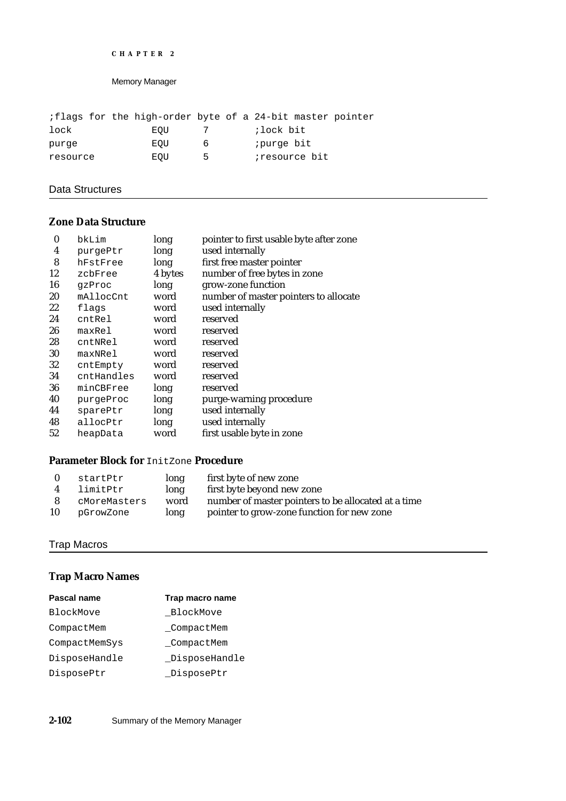```
CHAPTER 2
```

|          |  |     |    | iflags for the high-order byte of a 24-bit master pointer |  |
|----------|--|-----|----|-----------------------------------------------------------|--|
| lock     |  | EOU |    | ;lock bit                                                 |  |
| purge    |  | EOU | h  | ;purge bit                                                |  |
| resource |  | EOU | ь. | <i>iresource</i> bit                                      |  |

# Data Structures

# **Zone Data Structure**

| $\bf{0}$ | bkLim      | long    | pointer to first usable byte after zone |
|----------|------------|---------|-----------------------------------------|
| 4        | purgePtr   | long    | used internally                         |
| 8        | hFstFree   | long    | first free master pointer               |
| 12       | zcbFree    | 4 bytes | number of free bytes in zone            |
| 16       | qzProc     | long    | grow-zone function                      |
| 20       | mAllocCnt  | word    | number of master pointers to allocate   |
| 22       | flags      | word    | used internally                         |
| 24       | cntRel     | word    | reserved                                |
| 26       | maxRe1     | word    | reserved                                |
| 28       | cntNRel    | word    | reserved                                |
| 30       | maxNRe1    | word    | reserved                                |
| 32       | cntEmpty   | word    | reserved                                |
| 34       | cntHandles | word    | reserved                                |
| 36       | minCBFree  | long    | reserved                                |
| 40       | purgeProc  | long    | purge-warning procedure                 |
| 44       | sparePtr   | long    | used internally                         |
| 48       | allocPtr   | long    | used internally                         |
| 52       | heapData   | word    | first usable byte in zone               |

# **Parameter Block for** InitZone **Procedure**

| - 0 | startPtr     | long | first byte of new zone                              |
|-----|--------------|------|-----------------------------------------------------|
| 4   | limitPtr     | long | first byte beyond new zone                          |
| -8  | cMoreMasters | word | number of master pointers to be allocated at a time |
| 10  | pGrowZone    | long | pointer to grow-zone function for new zone          |

# Trap Macros

# **Trap Macro Names**

| Pascal name   | Trap macro name |
|---------------|-----------------|
| BlockMove     | BlockMove       |
| CompactMem    | CompactMem      |
| CompactMemSys | CompactMem      |
| DisposeHandle | DisposeHandle   |
| DisposePtr    | _DisposePtr     |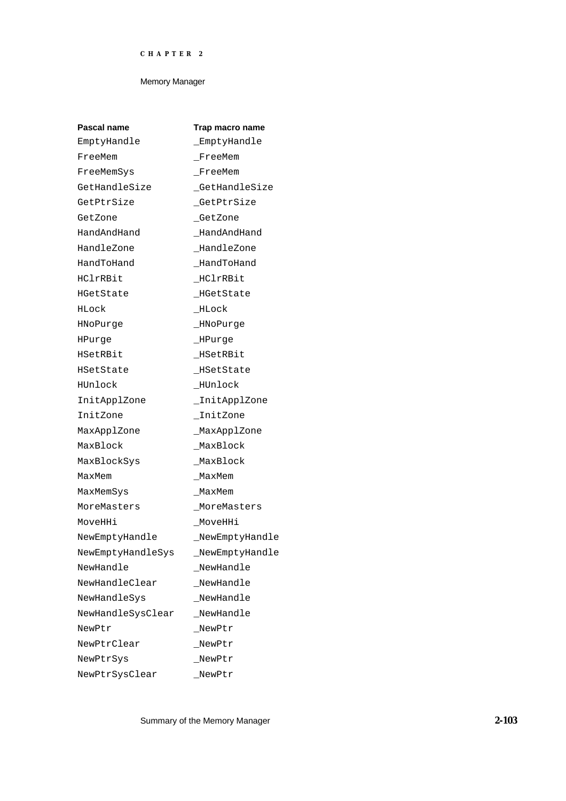| Pascal name       | Trap macro name |
|-------------------|-----------------|
| EmptyHandle       | EmptyHandle     |
| FreeMem           | FreeMem         |
| FreeMemSys        | FreeMem         |
| GetHandleSize     | GetHandleSize   |
| GetPtrSize        | _GetPtrSize     |
| GetZone           | GetZone         |
| HandAndHand       | HandAndHand     |
| HandleZone        | _HandleZone     |
| HandToHand        | HandToHand      |
| HClrRBit          | HClrRBit        |
| HGetState         | _HGetState      |
| HLock             | HLock           |
| HNoPurge          | _HNoPurge       |
| HPurge            | _HPurge         |
| HSetRBit          | _HSetRBit       |
| HSetState         | HSetState       |
| HUnlock           | _HUnlock        |
| InitApplZone      | _InitApplZone   |
| InitZone          | InitZone        |
| MaxApplZone       | _MaxApplZone    |
| MaxBlock          | MaxBlock        |
| MaxBlockSys       | MaxBlock        |
| MaxMem            | MaxMem          |
| MaxMemSys         | MaxMem          |
| MoreMasters       | MoreMasters     |
| MoveHHi           | MoveHHi         |
| NewEmptyHandle    | NewEmptyHandle  |
| NewEmptyHandleSys | NewEmptyHandle  |
| NewHandle         | NewHandle       |
| NewHandleClear    | _NewHandle      |
| NewHandleSys      | NewHandle       |
| NewHandleSysClear | NewHandle       |
| NewPtr            | NewPtr          |
| NewPtrClear       | NewPtr          |
| NewPtrSys         | NewPtr          |
| NewPtrSysClear    | NewPtr          |

Summary of the Memory Manager **2-103**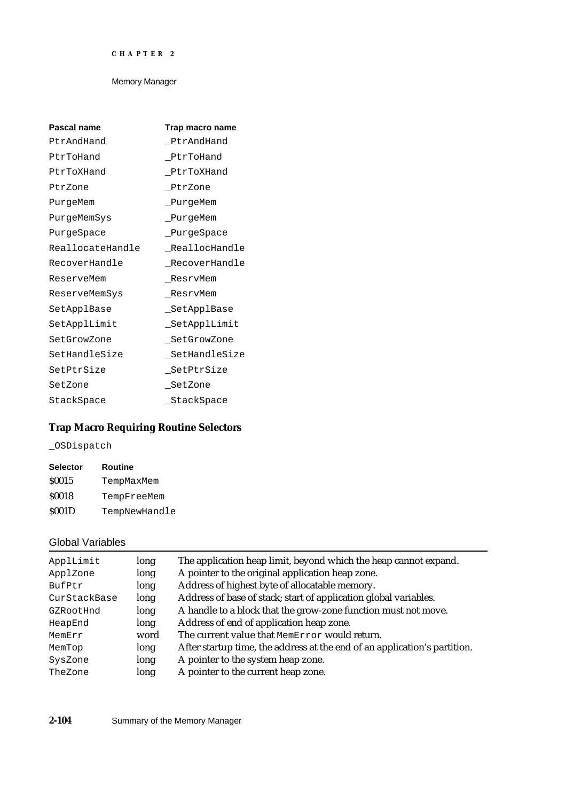| Pascal name      | Trap macro name |
|------------------|-----------------|
| PtrAndHand       | PtrAndHand      |
| PtrToHand        | PtrToHand       |
| PtrToXHand       | PtrToXHand      |
| PtrZone          | PtrZone         |
| PurgeMem         | _PurgeMem       |
| PurgeMemSys      | _PurgeMem       |
| PurqeSpace       | PurqeSpace      |
| ReallocateHandle | ReallocHandle   |
| RecoverHandle    | RecoverHandle   |
| ReserveMem       | ResrvMem        |
| ReserveMemSys    | ResrvMem        |
| SetApplBase      | SetApplBase     |
| SetApplLimit     | _SetApplLimit   |
| SetGrowZone      | SetGrowZone     |
| SetHandleSize    | SetHandleSize   |
| SetPtrSize       | _SetPtrSize     |
| SetZone          | SetZone         |
| StackSpace       | StackSpace      |

# **Trap Macro Requiring Routine Selectors**

\_OSDispatch

| <b>Selector</b> | Routine       |
|-----------------|---------------|
| <b>S0015</b>    | TempMaxMem    |
| <b>S0018</b>    | TempFreeMem   |
| <b>S001D</b>    | TempNewHandle |

# Global Variables

| ApplLimit    | long | The application heap limit, beyond which the heap cannot expand.          |  |  |
|--------------|------|---------------------------------------------------------------------------|--|--|
| ApplZone     | long | A pointer to the original application heap zone.                          |  |  |
| BufPtr       | long | Address of highest byte of allocatable memory.                            |  |  |
| CurStackBase | long | Address of base of stack; start of application global variables.          |  |  |
| GZRootHnd    | long | A handle to a block that the grow-zone function must not move.            |  |  |
| HeapEnd      | long | Address of end of application heap zone.                                  |  |  |
| MemErr       | word | The current value that MemError would return.                             |  |  |
| MemTop       | long | After startup time, the address at the end of an application's partition. |  |  |
| SysZone      | long | A pointer to the system heap zone.                                        |  |  |
| TheZone      | long | A pointer to the current heap zone.                                       |  |  |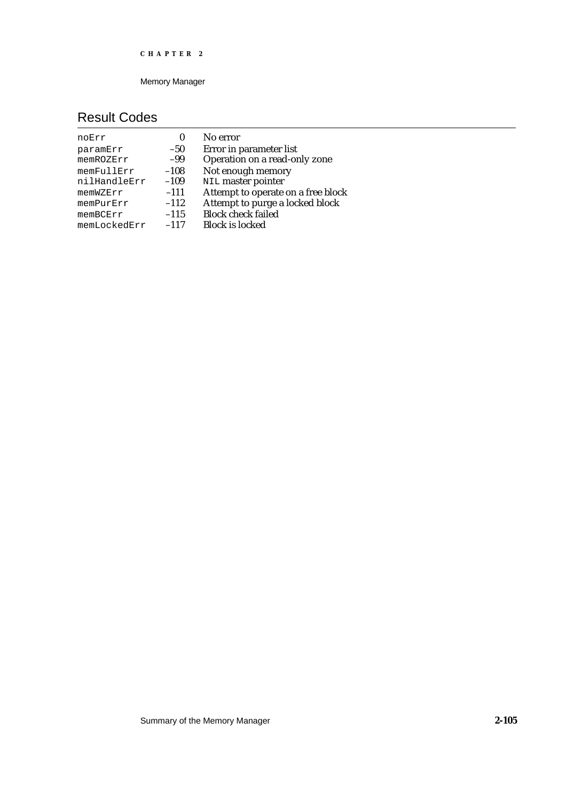Memory Manager

# Result Codes

| noErr        | 0      | No error                           |
|--------------|--------|------------------------------------|
| paramErr     | $-50$  | Error in parameter list            |
| memROZErr    | $-99$  | Operation on a read-only zone      |
| memFullErr   | $-108$ | Not enough memory                  |
| nilHandleErr | $-109$ | NIL master pointer                 |
| memWZErr     | $-111$ | Attempt to operate on a free block |
| memPurErr    | $-112$ | Attempt to purge a locked block    |
| memBCErr     | $-115$ | <b>Block check failed</b>          |
| memLockedErr | $-117$ | <b>Block is locked</b>             |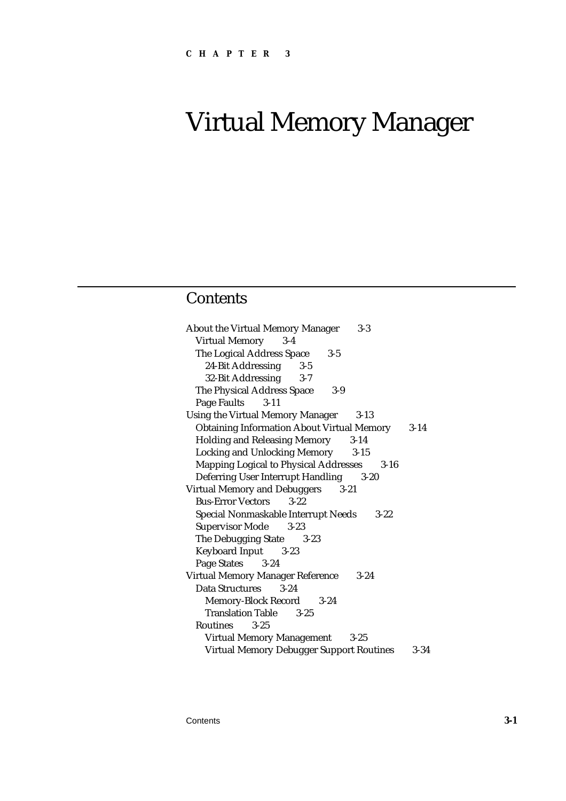# Virtual Memory Manager

# **Contents**

| <b>About the Virtual Memory Manager</b><br>$3 - 3$     |          |
|--------------------------------------------------------|----------|
| <b>Virtual Memory</b><br>$3-4$                         |          |
| The Logical Address Space<br>$3 - 5$                   |          |
| 24-Bit Addressing<br>$3-5$                             |          |
| 32-Bit Addressing<br>$3 - 7$                           |          |
| The Physical Address Space<br>$3-9$                    |          |
| Page Faults 3-11                                       |          |
| <b>Using the Virtual Memory Manager</b><br>$3 - 13$    |          |
| <b>Obtaining Information About Virtual Memory</b> 3-14 |          |
| <b>Holding and Releasing Memory</b><br>$3 - 14$        |          |
| <b>Locking and Unlocking Memory</b><br>$3 - 15$        |          |
| <b>Mapping Logical to Physical Addresses</b>           | $3 - 16$ |
| Deferring User Interrupt Handling 3-20                 |          |
| <b>Virtual Memory and Debuggers</b><br>$3-21$          |          |
| <b>Bus-Error Vectors</b><br>$3 - 22$                   |          |
| Special Nonmaskable Interrupt Needs                    | $3 - 22$ |
| <b>Supervisor Mode</b> 3-23                            |          |
| The Debugging State 3-23                               |          |
| <b>Keyboard Input</b> 3-23                             |          |
| Page States 3-24                                       |          |
| <b>Virtual Memory Manager Reference</b><br>$3 - 24$    |          |
| <b>Data Structures</b><br>$3 - 24$                     |          |
| Memory-Block Record 3-24                               |          |
| <b>Translation Table 3-25</b>                          |          |
| Routines<br>$3 - 25$                                   |          |
| <b>Virtual Memory Management</b><br>$3 - 25$           |          |
| <b>Virtual Memory Debugger Support Routines</b>        | $3 - 34$ |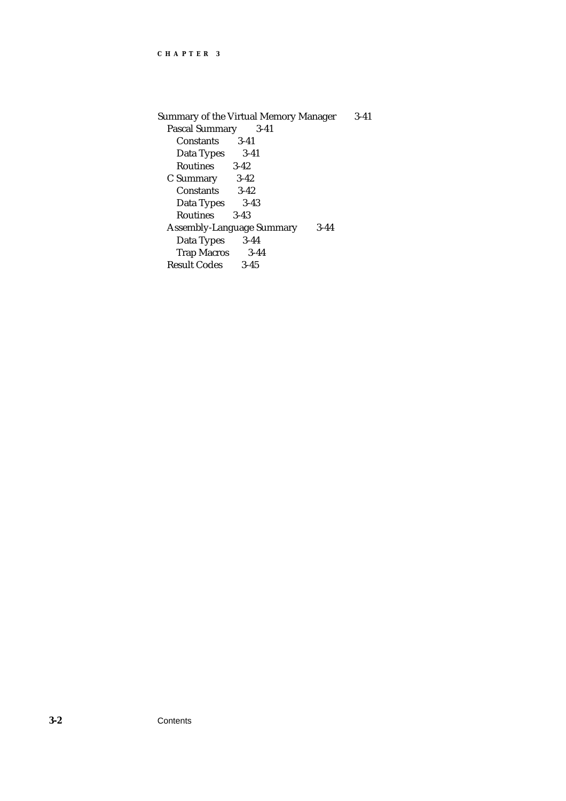```
Summary of the Virtual Memory Manager 3-41
  Pascal Summary 3-41
    Constants 3-41
    Data Types 3-41<br>Routines 3-42
    Routines
  C Summary 3-42
    Constants 3-42<br>Data Types 3-43
    Data Types
    Routines 3-43
  Assembly-Language Summary 3-44
    Data Types
    Trap Macros 3-44
  Result Codes 3-45
```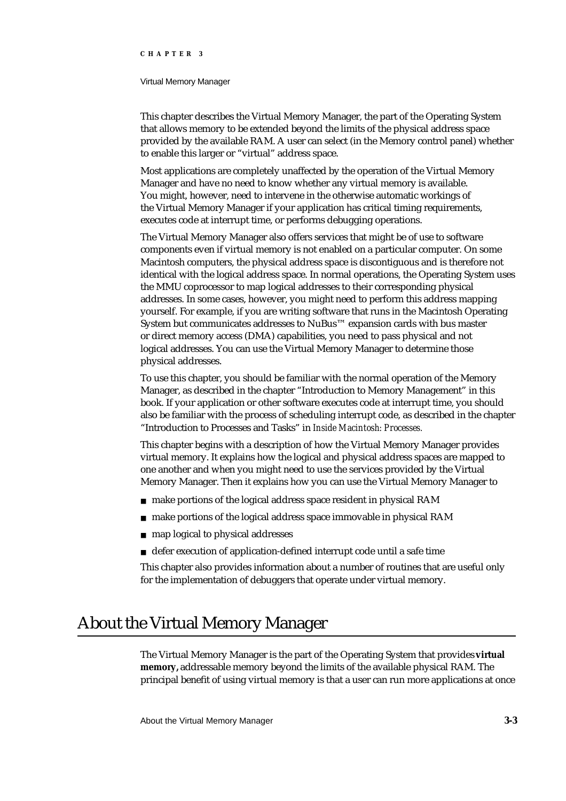#### Virtual Memory Manager

This chapter describes the Virtual Memory Manager, the part of the Operating System that allows memory to be extended beyond the limits of the physical address space provided by the available RAM. A user can select (in the Memory control panel) whether to enable this larger or "virtual" address space.

Most applications are completely unaffected by the operation of the Virtual Memory Manager and have no need to know whether any virtual memory is available. You might, however, need to intervene in the otherwise automatic workings of the Virtual Memory Manager if your application has critical timing requirements, executes code at interrupt time, or performs debugging operations.

The Virtual Memory Manager also offers services that might be of use to software components even if virtual memory is not enabled on a particular computer. On some Macintosh computers, the physical address space is discontiguous and is therefore not identical with the logical address space. In normal operations, the Operating System uses the MMU coprocessor to map logical addresses to their corresponding physical addresses. In some cases, however, you might need to perform this address mapping yourself. For example, if you are writing software that runs in the Macintosh Operating System but communicates addresses to NuBus™ expansion cards with bus master or direct memory access (DMA) capabilities, you need to pass physical and not logical addresses. You can use the Virtual Memory Manager to determine those physical addresses.

To use this chapter, you should be familiar with the normal operation of the Memory Manager, as described in the chapter "Introduction to Memory Management" in this book. If your application or other software executes code at interrupt time, you should also be familiar with the process of scheduling interrupt code, as described in the chapter "Introduction to Processes and Tasks" in *Inside Macintosh: Processes.*

This chapter begins with a description of how the Virtual Memory Manager provides virtual memory. It explains how the logical and physical address spaces are mapped to one another and when you might need to use the services provided by the Virtual Memory Manager. Then it explains how you can use the Virtual Memory Manager to

- make portions of the logical address space resident in physical RAM  $\sf n$
- make portions of the logical address space immovable in physical RAM n.
- map logical to physical addresses  $\mathsf{n}$
- n defer execution of application-defined interrupt code until a safe time

This chapter also provides information about a number of routines that are useful only for the implementation of debuggers that operate under virtual memory.

# About the Virtual Memory Manager

The Virtual Memory Manager is the part of the Operating System that provides **virtual memory,** addressable memory beyond the limits of the available physical RAM. The principal benefit of using virtual memory is that a user can run more applications at once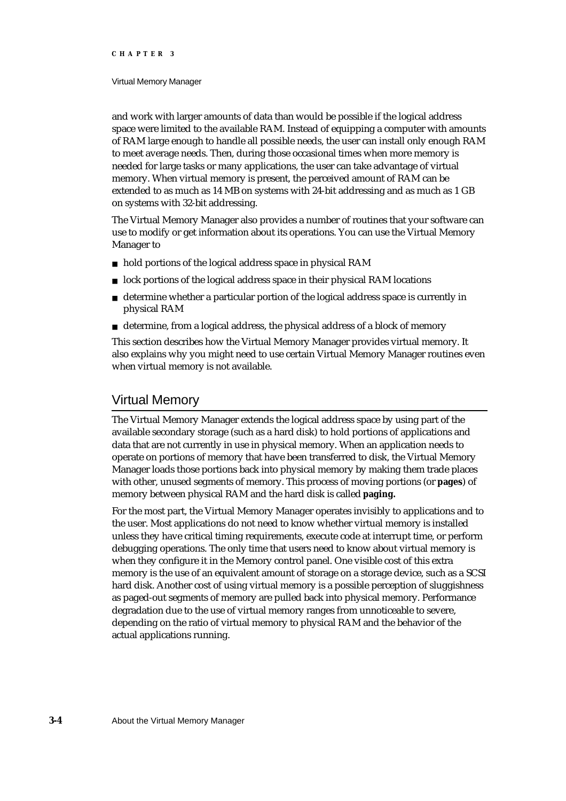#### Virtual Memory Manager

and work with larger amounts of data than would be possible if the logical address space were limited to the available RAM. Instead of equipping a computer with amounts of RAM large enough to handle all possible needs, the user can install only enough RAM to meet average needs. Then, during those occasional times when more memory is needed for large tasks or many applications, the user can take advantage of virtual memory. When virtual memory is present, the perceived amount of RAM can be extended to as much as 14 MB on systems with 24-bit addressing and as much as 1 GB on systems with 32-bit addressing.

The Virtual Memory Manager also provides a number of routines that your software can use to modify or get information about its operations. You can use the Virtual Memory Manager to

- hold portions of the logical address space in physical RAM
- $n$  lock portions of the logical address space in their physical RAM locations
- determine whether a particular portion of the logical address space is currently in  $n$ physical RAM
- determine, from a logical address, the physical address of a block of memory

This section describes how the Virtual Memory Manager provides virtual memory. It also explains why you might need to use certain Virtual Memory Manager routines even when virtual memory is not available.

# Virtual Memory

The Virtual Memory Manager extends the logical address space by using part of the available secondary storage (such as a hard disk) to hold portions of applications and data that are not currently in use in physical memory. When an application needs to operate on portions of memory that have been transferred to disk, the Virtual Memory Manager loads those portions back into physical memory by making them trade places with other, unused segments of memory. This process of moving portions (or **pages**) of memory between physical RAM and the hard disk is called **paging.**

For the most part, the Virtual Memory Manager operates invisibly to applications and to the user. Most applications do not need to know whether virtual memory is installed unless they have critical timing requirements, execute code at interrupt time, or perform debugging operations. The only time that users need to know about virtual memory is when they configure it in the Memory control panel. One visible cost of this extra memory is the use of an equivalent amount of storage on a storage device, such as a SCSI hard disk. Another cost of using virtual memory is a possible perception of sluggishness as paged-out segments of memory are pulled back into physical memory. Performance degradation due to the use of virtual memory ranges from unnoticeable to severe, depending on the ratio of virtual memory to physical RAM and the behavior of the actual applications running.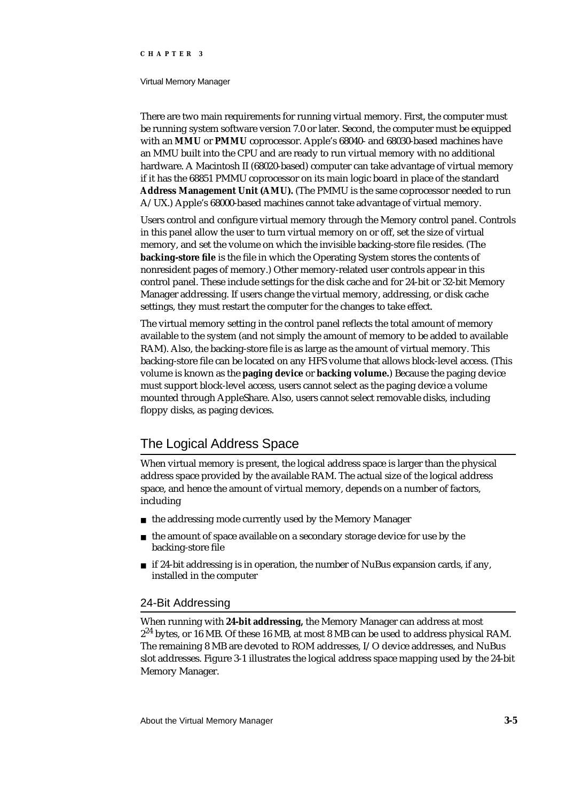#### Virtual Memory Manager

There are two main requirements for running virtual memory. First, the computer must be running system software version 7.0 or later. Second, the computer must be equipped with an **MMU** or **PMMU** coprocessor. Apple's 68040- and 68030-based machines have an MMU built into the CPU and are ready to run virtual memory with no additional hardware. A Macintosh II (68020-based) computer can take advantage of virtual memory if it has the 68851 PMMU coprocessor on its main logic board in place of the standard **Address Management Unit (AMU).** (The PMMU is the same coprocessor needed to run A/UX.) Apple's 68000-based machines cannot take advantage of virtual memory.

Users control and configure virtual memory through the Memory control panel. Controls in this panel allow the user to turn virtual memory on or off, set the size of virtual memory, and set the volume on which the invisible backing-store file resides. (The **backing-store file** is the file in which the Operating System stores the contents of nonresident pages of memory.) Other memory-related user controls appear in this control panel. These include settings for the disk cache and for 24-bit or 32-bit Memory Manager addressing. If users change the virtual memory, addressing, or disk cache settings, they must restart the computer for the changes to take effect.

The virtual memory setting in the control panel reflects the total amount of memory available to the system (and not simply the amount of memory to be added to available RAM). Also, the backing-store file is as large as the amount of virtual memory. This backing-store file can be located on any HFS volume that allows block-level access. (This volume is known as the **paging device** or **backing volume.**) Because the paging device must support block-level access, users cannot select as the paging device a volume mounted through AppleShare. Also, users cannot select removable disks, including floppy disks, as paging devices.

# The Logical Address Space

When virtual memory is present, the logical address space is larger than the physical address space provided by the available RAM. The actual size of the logical address space, and hence the amount of virtual memory, depends on a number of factors, including

- n the addressing mode currently used by the Memory Manager
- $n$  the amount of space available on a secondary storage device for use by the backing-store file
- $n$  if 24-bit addressing is in operation, the number of NuBus expansion cards, if any, installed in the computer

# 24-Bit Addressing

When running with **24-bit addressing,** the Memory Manager can address at most 2<sup>24</sup> bytes, or 16 MB. Of these 16 MB, at most 8 MB can be used to address physical RAM. The remaining 8 MB are devoted to ROM addresses, I/O device addresses, and NuBus slot addresses. Figure 3-1 illustrates the logical address space mapping used by the 24-bit Memory Manager.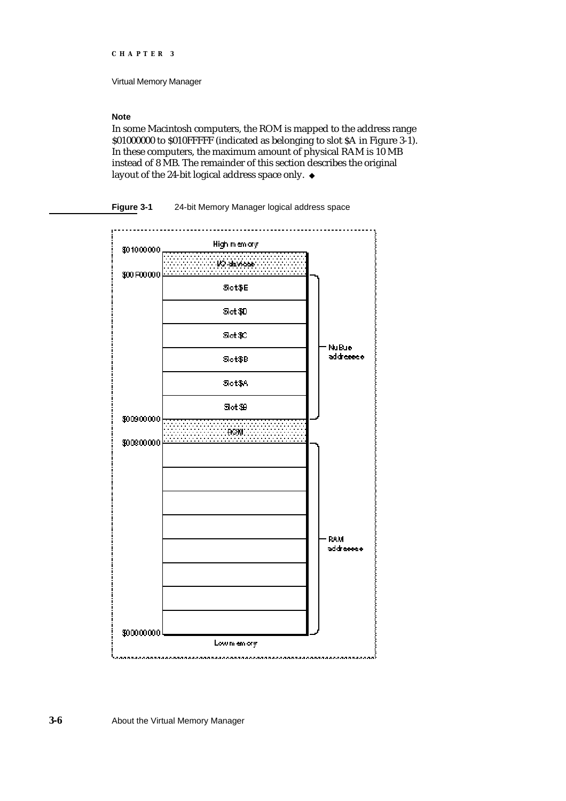Virtual Memory Manager

# **Note**

In some Macintosh computers, the ROM is mapped to the address range \$01000000 to \$010FFFFF (indicated as belonging to slot \$A in Figure 3-1). In these computers, the maximum amount of physical RAM is 10 MB instead of 8 MB. The remainder of this section describes the original layout of the 24-bit logical address space only. u



**Figure 3-1** 24-bit Memory Manager logical address space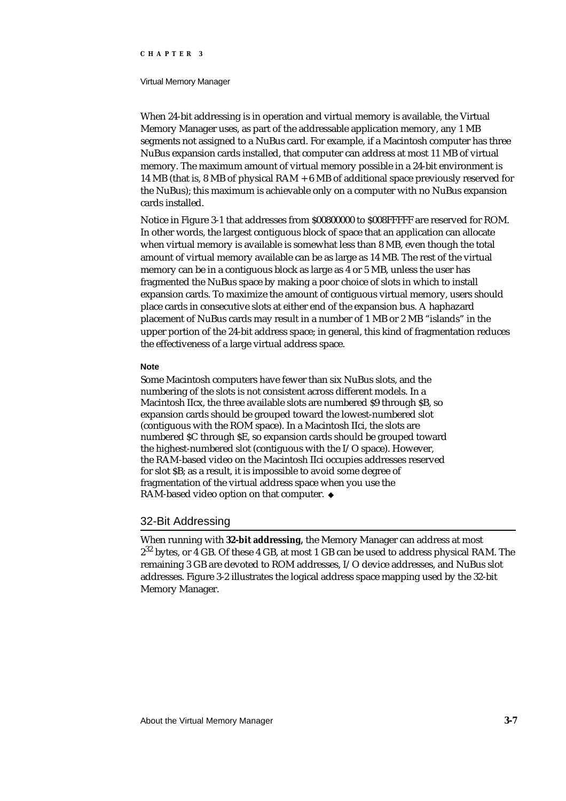#### Virtual Memory Manager

When 24-bit addressing is in operation and virtual memory is available, the Virtual Memory Manager uses, as part of the addressable application memory, any 1 MB segments not assigned to a NuBus card. For example, if a Macintosh computer has three NuBus expansion cards installed, that computer can address at most 11 MB of virtual memory. The maximum amount of virtual memory possible in a 24-bit environment is 14 MB (that is, 8 MB of physical RAM + 6 MB of additional space previously reserved for the NuBus); this maximum is achievable only on a computer with no NuBus expansion cards installed.

Notice in Figure 3-1 that addresses from \$00800000 to \$008FFFFF are reserved for ROM. In other words, the largest contiguous block of space that an application can allocate when virtual memory is available is somewhat less than 8 MB, even though the total amount of virtual memory available can be as large as 14 MB. The rest of the virtual memory can be in a contiguous block as large as 4 or 5 MB, unless the user has fragmented the NuBus space by making a poor choice of slots in which to install expansion cards. To maximize the amount of contiguous virtual memory, users should place cards in consecutive slots at either end of the expansion bus. A haphazard placement of NuBus cards may result in a number of 1 MB or 2 MB "islands" in the upper portion of the 24-bit address space; in general, this kind of fragmentation reduces the effectiveness of a large virtual address space.

#### **Note**

Some Macintosh computers have fewer than six NuBus slots, and the numbering of the slots is not consistent across different models. In a Macintosh IIcx, the three available slots are numbered \$9 through \$B, so expansion cards should be grouped toward the lowest-numbered slot (contiguous with the ROM space). In a Macintosh IIci, the slots are numbered \$C through \$E, so expansion cards should be grouped toward the highest-numbered slot (contiguous with the I/O space). However, the RAM-based video on the Macintosh IIci occupies addresses reserved for slot \$B; as a result, it is impossible to avoid some degree of fragmentation of the virtual address space when you use the RAM-based video option on that computer.

# 32-Bit Addressing

When running with **32-bit addressing,** the Memory Manager can address at most  $2^{32}$  bytes, or 4 GB. Of these 4 GB, at most 1 GB can be used to address physical RAM. The remaining 3 GB are devoted to ROM addresses, I/O device addresses, and NuBus slot addresses. Figure 3-2 illustrates the logical address space mapping used by the 32-bit Memory Manager.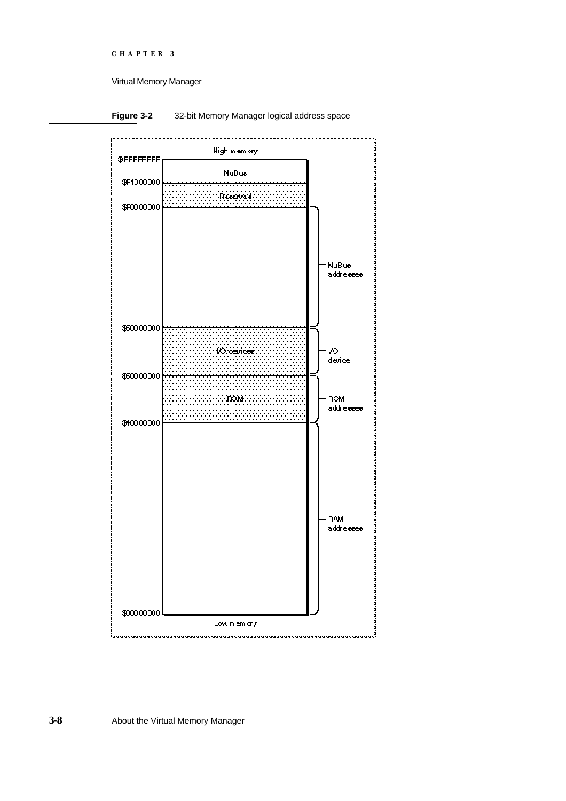```
CHAPTER 3
```
Virtual Memory Manager





**3-8** About the Virtual Memory Manager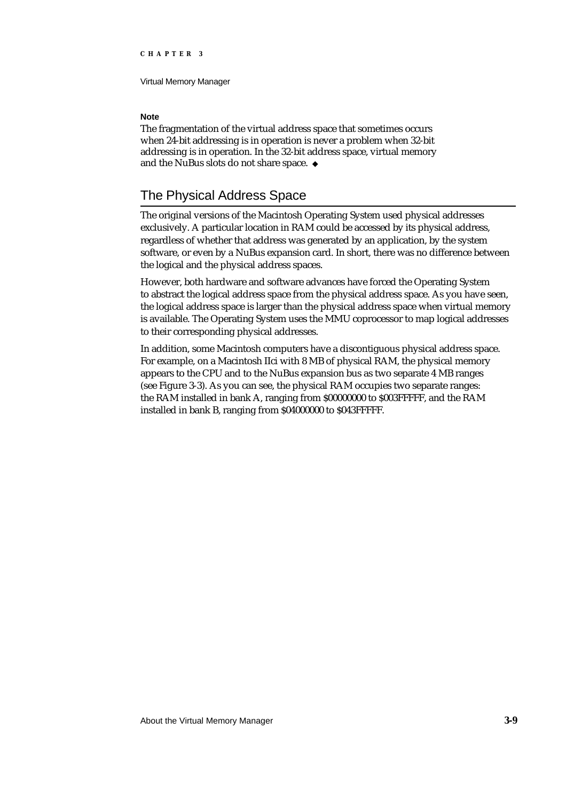Virtual Memory Manager

## **Note**

The fragmentation of the virtual address space that sometimes occurs when 24-bit addressing is in operation is never a problem when 32-bit addressing is in operation. In the 32-bit address space, virtual memory and the NuBus slots do not share space.

# The Physical Address Space

The original versions of the Macintosh Operating System used physical addresses exclusively. A particular location in RAM could be accessed by its physical address, regardless of whether that address was generated by an application, by the system software, or even by a NuBus expansion card. In short, there was no difference between the logical and the physical address spaces.

However, both hardware and software advances have forced the Operating System to abstract the logical address space from the physical address space. As you have seen, the logical address space is larger than the physical address space when virtual memory is available. The Operating System uses the MMU coprocessor to map logical addresses to their corresponding physical addresses.

In addition, some Macintosh computers have a discontiguous physical address space. For example, on a Macintosh IIci with 8 MB of physical RAM, the physical memory appears to the CPU and to the NuBus expansion bus as two separate 4 MB ranges (see Figure 3-3). As you can see, the physical RAM occupies two separate ranges: the RAM installed in bank A, ranging from \$00000000 to \$003FFFFF, and the RAM installed in bank B, ranging from \$04000000 to \$043FFFFF.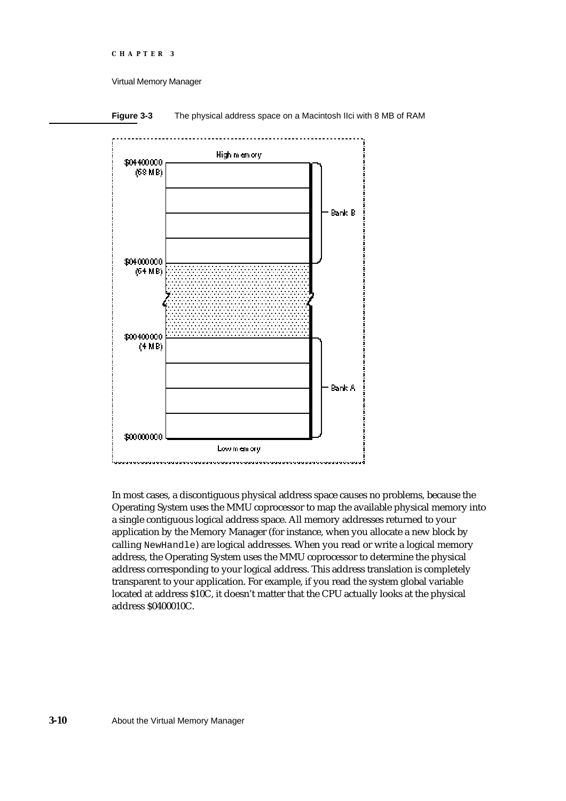Virtual Memory Manager



**Figure 3-3** The physical address space on a Macintosh IIci with 8 MB of RAM

In most cases, a discontiguous physical address space causes no problems, because the Operating System uses the MMU coprocessor to map the available physical memory into a single contiguous logical address space. All memory addresses returned to your application by the Memory Manager (for instance, when you allocate a new block by calling NewHandle) are logical addresses. When you read or write a logical memory address, the Operating System uses the MMU coprocessor to determine the physical address corresponding to your logical address. This address translation is completely transparent to your application. For example, if you read the system global variable located at address \$10C, it doesn't matter that the CPU actually looks at the physical address \$0400010C.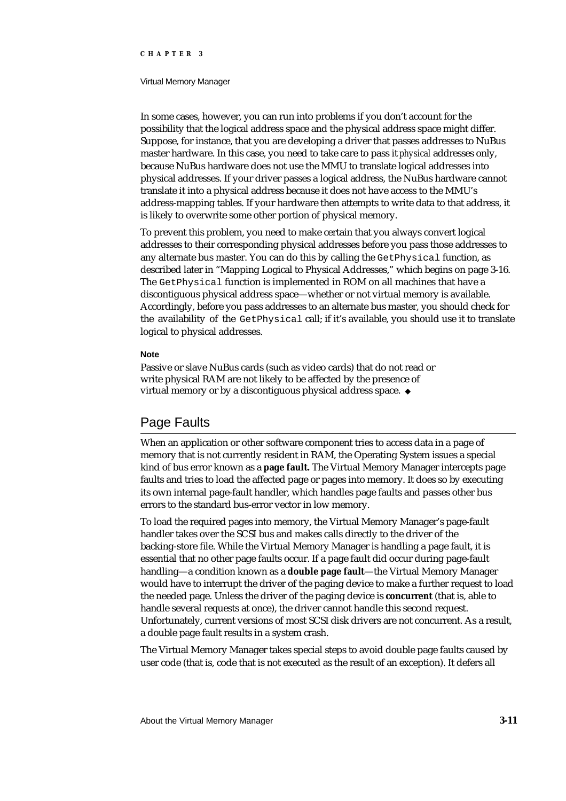#### Virtual Memory Manager

In some cases, however, you can run into problems if you don't account for the possibility that the logical address space and the physical address space might differ. Suppose, for instance, that you are developing a driver that passes addresses to NuBus master hardware. In this case, you need to take care to pass it *physical* addresses only, because NuBus hardware does not use the MMU to translate logical addresses into physical addresses. If your driver passes a logical address, the NuBus hardware cannot translate it into a physical address because it does not have access to the MMU's address-mapping tables. If your hardware then attempts to write data to that address, it is likely to overwrite some other portion of physical memory.

To prevent this problem, you need to make certain that you always convert logical addresses to their corresponding physical addresses before you pass those addresses to any alternate bus master. You can do this by calling the Get Physical function, as described later in "Mapping Logical to Physical Addresses," which begins on page 3-16. The GetPhysical function is implemented in ROM on all machines that have a discontiguous physical address space—whether or not virtual memory is available. Accordingly, before you pass addresses to an alternate bus master, you should check for the availability of the GetPhysical call; if it's available, you should use it to translate logical to physical addresses.

#### **Note**

Passive or slave NuBus cards (such as video cards) that do not read or write physical RAM are not likely to be affected by the presence of virtual memory or by a discontiguous physical address space. u

# Page Faults

When an application or other software component tries to access data in a page of memory that is not currently resident in RAM, the Operating System issues a special kind of bus error known as a **page fault.** The Virtual Memory Manager intercepts page faults and tries to load the affected page or pages into memory. It does so by executing its own internal page-fault handler, which handles page faults and passes other bus errors to the standard bus-error vector in low memory.

To load the required pages into memory, the Virtual Memory Manager's page-fault handler takes over the SCSI bus and makes calls directly to the driver of the backing-store file. While the Virtual Memory Manager is handling a page fault, it is essential that no other page faults occur. If a page fault did occur during page-fault handling—a condition known as a **double page fault**—the Virtual Memory Manager would have to interrupt the driver of the paging device to make a further request to load the needed page. Unless the driver of the paging device is **concurrent** (that is, able to handle several requests at once), the driver cannot handle this second request. Unfortunately, current versions of most SCSI disk drivers are not concurrent. As a result, a double page fault results in a system crash.

The Virtual Memory Manager takes special steps to avoid double page faults caused by user code (that is, code that is not executed as the result of an exception). It defers all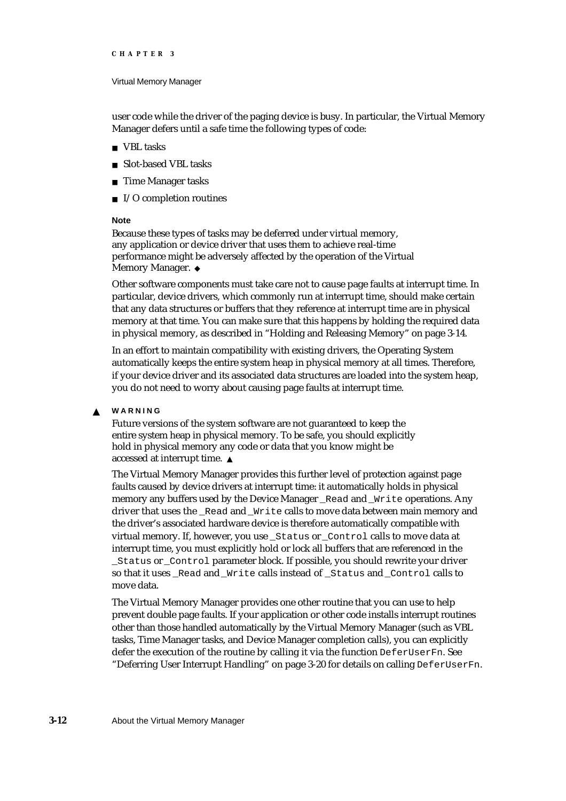#### Virtual Memory Manager

user code while the driver of the paging device is busy. In particular, the Virtual Memory Manager defers until a safe time the following types of code:

- VBL tasks
- n Slot-based VBL tasks
- n Time Manager tasks
- n I/O completion routines

#### **Note**

Because these types of tasks may be deferred under virtual memory, any application or device driver that uses them to achieve real-time performance might be adversely affected by the operation of the Virtual Memory Manager. u

Other software components must take care not to cause page faults at interrupt time. In particular, device drivers, which commonly run at interrupt time, should make certain that any data structures or buffers that they reference at interrupt time are in physical memory at that time. You can make sure that this happens by holding the required data in physical memory, as described in "Holding and Releasing Memory" on page 3-14.

In an effort to maintain compatibility with existing drivers, the Operating System automatically keeps the entire system heap in physical memory at all times. Therefore, if your device driver and its associated data structures are loaded into the system heap, you do not need to worry about causing page faults at interrupt time.

#### **WARNING**  $\mathbf{s}$

Future versions of the system software are not guaranteed to keep the entire system heap in physical memory. To be safe, you should explicitly hold in physical memory any code or data that you know might be accessed at interrupt time.

The Virtual Memory Manager provides this further level of protection against page faults caused by device drivers at interrupt time: it automatically holds in physical memory any buffers used by the Device Manager \_Read and \_Write operations. Any driver that uses the \_Read and \_Write calls to move data between main memory and the driver's associated hardware device is therefore automatically compatible with virtual memory. If, however, you use \_Status or \_Control calls to move data at interrupt time, you must explicitly hold or lock all buffers that are referenced in the \_Status or \_Control parameter block. If possible, you should rewrite your driver so that it uses \_Read and \_Write calls instead of \_Status and \_Control calls to move data.

The Virtual Memory Manager provides one other routine that you can use to help prevent double page faults. If your application or other code installs interrupt routines other than those handled automatically by the Virtual Memory Manager (such as VBL tasks, Time Manager tasks, and Device Manager completion calls), you can explicitly defer the execution of the routine by calling it via the function DeferUserFn. See "Deferring User Interrupt Handling" on page 3-20 for details on calling DeferUserFn.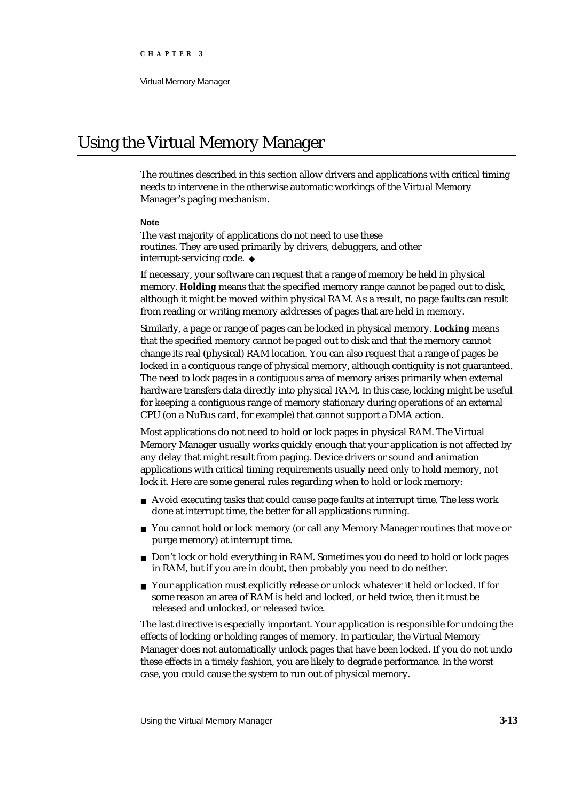# Using the Virtual Memory Manager

The routines described in this section allow drivers and applications with critical timing needs to intervene in the otherwise automatic workings of the Virtual Memory Manager's paging mechanism.

#### **Note**

The vast majority of applications do not need to use these routines. They are used primarily by drivers, debuggers, and other interrupt-servicing code.

If necessary, your software can request that a range of memory be held in physical memory. **Holding** means that the specified memory range cannot be paged out to disk, although it might be moved within physical RAM. As a result, no page faults can result from reading or writing memory addresses of pages that are held in memory.

Similarly, a page or range of pages can be locked in physical memory. **Locking** means that the specified memory cannot be paged out to disk and that the memory cannot change its real (physical) RAM location. You can also request that a range of pages be locked in a contiguous range of physical memory, although contiguity is not guaranteed. The need to lock pages in a contiguous area of memory arises primarily when external hardware transfers data directly into physical RAM. In this case, locking might be useful for keeping a contiguous range of memory stationary during operations of an external CPU (on a NuBus card, for example) that cannot support a DMA action.

Most applications do not need to hold or lock pages in physical RAM. The Virtual Memory Manager usually works quickly enough that your application is not affected by any delay that might result from paging. Device drivers or sound and animation applications with critical timing requirements usually need only to hold memory, not lock it. Here are some general rules regarding when to hold or lock memory:

- Avoid executing tasks that could cause page faults at interrupt time. The less work done at interrupt time, the better for all applications running.
- n You cannot hold or lock memory (or call any Memory Manager routines that move or purge memory) at interrupt time.
- Don't lock or hold everything in RAM. Sometimes you do need to hold or lock pages in RAM, but if you are in doubt, then probably you need to do neither.
- Your application must explicitly release or unlock whatever it held or locked. If for some reason an area of RAM is held and locked, or held twice, then it must be released and unlocked, or released twice.

The last directive is especially important. Your application is responsible for undoing the effects of locking or holding ranges of memory. In particular, the Virtual Memory Manager does not automatically unlock pages that have been locked. If you do not undo these effects in a timely fashion, you are likely to degrade performance. In the worst case, you could cause the system to run out of physical memory.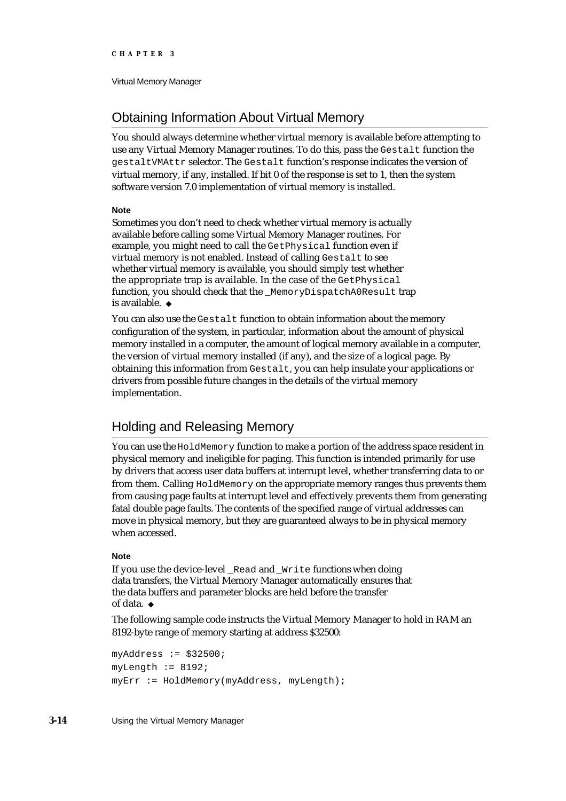# Obtaining Information About Virtual Memory

You should always determine whether virtual memory is available before attempting to use any Virtual Memory Manager routines. To do this, pass the Gestalt function the gestaltVMAttr selector. The Gestalt function's response indicates the version of virtual memory, if any, installed. If bit 0 of the response is set to 1, then the system software version 7.0 implementation of virtual memory is installed.

### **Note**

Sometimes you don't need to check whether virtual memory is actually available before calling some Virtual Memory Manager routines. For example, you might need to call the GetPhysical function even if virtual memory is not enabled. Instead of calling Gestalt to see whether virtual memory is available, you should simply test whether the appropriate trap is available. In the case of the GetPhysical function, you should check that the \_MemoryDispatchA0Result trap is available.

You can also use the Gestalt function to obtain information about the memory configuration of the system, in particular, information about the amount of physical memory installed in a computer, the amount of logical memory available in a computer, the version of virtual memory installed (if any), and the size of a logical page. By obtaining this information from Gestalt, you can help insulate your applications or drivers from possible future changes in the details of the virtual memory implementation.

# Holding and Releasing Memory

You can use the HoldMemory function to make a portion of the address space resident in physical memory and ineligible for paging. This function is intended primarily for use by drivers that access user data buffers at interrupt level, whether transferring data to or from them. Calling HoldMemory on the appropriate memory ranges thus prevents them from causing page faults at interrupt level and effectively prevents them from generating fatal double page faults. The contents of the specified range of virtual addresses can move in physical memory, but they are guaranteed always to be in physical memory when accessed.

### **Note**

If you use the device-level Read and Write functions when doing data transfers, the Virtual Memory Manager automatically ensures that the data buffers and parameter blocks are held before the transfer of data. u

The following sample code instructs the Virtual Memory Manager to hold in RAM an 8192-byte range of memory starting at address \$32500:

```
myAddress := $32500;myLength := 8192;myErr := HoldMemory(myAddress, myLength);
```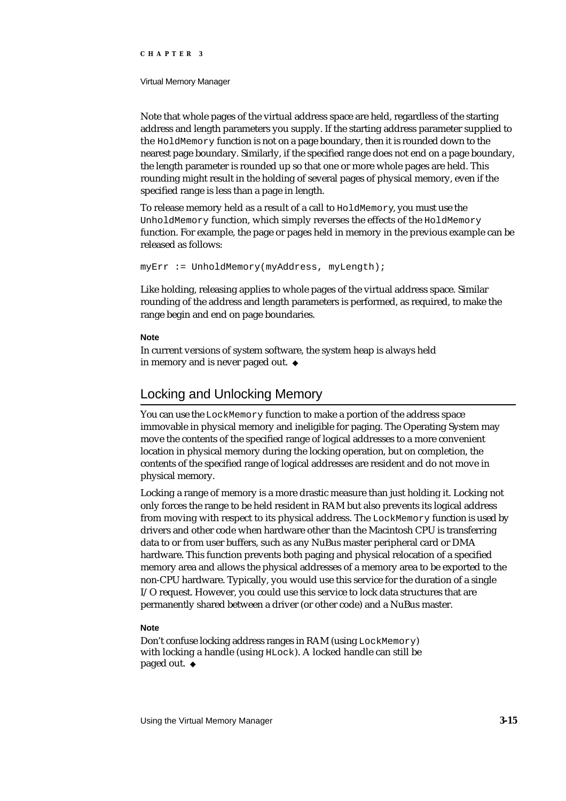#### Virtual Memory Manager

Note that whole pages of the virtual address space are held, regardless of the starting address and length parameters you supply. If the starting address parameter supplied to the HoldMemory function is not on a page boundary, then it is rounded down to the nearest page boundary. Similarly, if the specified range does not end on a page boundary, the length parameter is rounded up so that one or more whole pages are held. This rounding might result in the holding of several pages of physical memory, even if the specified range is less than a page in length.

To release memory held as a result of a call to HoldMemory, you must use the UnholdMemory function, which simply reverses the effects of the HoldMemory function. For example, the page or pages held in memory in the previous example can be released as follows:

myErr := UnholdMemory(myAddress, myLength);

Like holding, releasing applies to whole pages of the virtual address space. Similar rounding of the address and length parameters is performed, as required, to make the range begin and end on page boundaries.

### **Note**

In current versions of system software, the system heap is always held in memory and is never paged out.

# Locking and Unlocking Memory

You can use the LockMemory function to make a portion of the address space immovable in physical memory and ineligible for paging. The Operating System may move the contents of the specified range of logical addresses to a more convenient location in physical memory during the locking operation, but on completion, the contents of the specified range of logical addresses are resident and do not move in physical memory.

Locking a range of memory is a more drastic measure than just holding it. Locking not only forces the range to be held resident in RAM but also prevents its logical address from moving with respect to its physical address. The LockMemory function is used by drivers and other code when hardware other than the Macintosh CPU is transferring data to or from user buffers, such as any NuBus master peripheral card or DMA hardware. This function prevents both paging and physical relocation of a specified memory area and allows the physical addresses of a memory area to be exported to the non-CPU hardware. Typically, you would use this service for the duration of a single I/O request. However, you could use this service to lock data structures that are permanently shared between a driver (or other code) and a NuBus master.

### **Note**

Don't confuse locking address ranges in RAM (using LockMemory) with locking a handle (using HLock). A locked handle can still be paged out.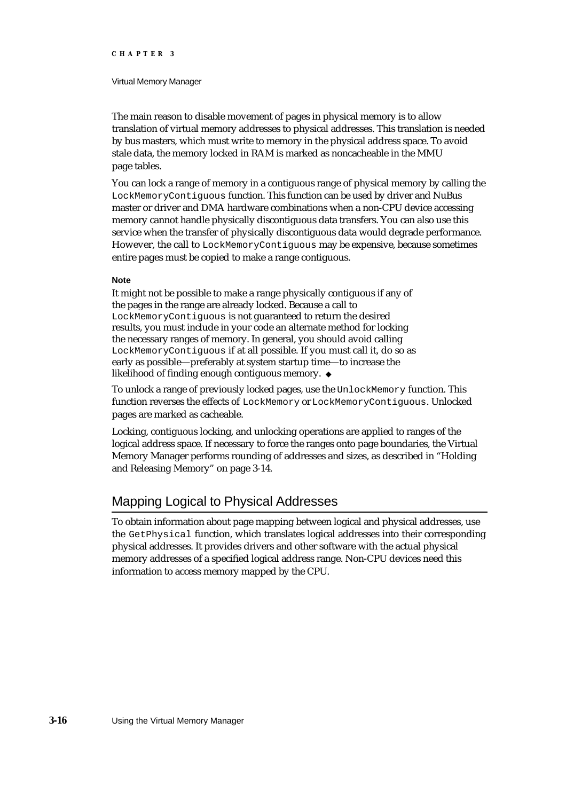#### Virtual Memory Manager

The main reason to disable movement of pages in physical memory is to allow translation of virtual memory addresses to physical addresses. This translation is needed by bus masters, which must write to memory in the physical address space. To avoid stale data, the memory locked in RAM is marked as noncacheable in the MMU page tables.

You can lock a range of memory in a contiguous range of physical memory by calling the LockMemoryContiguous function. This function can be used by driver and NuBus master or driver and DMA hardware combinations when a non-CPU device accessing memory cannot handle physically discontiguous data transfers. You can also use this service when the transfer of physically discontiguous data would degrade performance. However, the call to LockMemoryContiguous may be expensive, because sometimes entire pages must be copied to make a range contiguous.

#### **Note**

It might not be possible to make a range physically contiguous if any of the pages in the range are already locked. Because a call to LockMemoryContiguous is not guaranteed to return the desired results, you must include in your code an alternate method for locking the necessary ranges of memory. In general, you should avoid calling LockMemoryContiguous if at all possible. If you must call it, do so as early as possible—preferably at system startup time—to increase the likelihood of finding enough contiguous memory.

To unlock a range of previously locked pages, use the UnlockMemory function. This function reverses the effects of LockMemory or LockMemoryContiguous. Unlocked pages are marked as cacheable.

Locking, contiguous locking, and unlocking operations are applied to ranges of the logical address space. If necessary to force the ranges onto page boundaries, the Virtual Memory Manager performs rounding of addresses and sizes, as described in "Holding and Releasing Memory" on page 3-14.

# Mapping Logical to Physical Addresses

To obtain information about page mapping between logical and physical addresses, use the GetPhysical function, which translates logical addresses into their corresponding physical addresses. It provides drivers and other software with the actual physical memory addresses of a specified logical address range. Non-CPU devices need this information to access memory mapped by the CPU.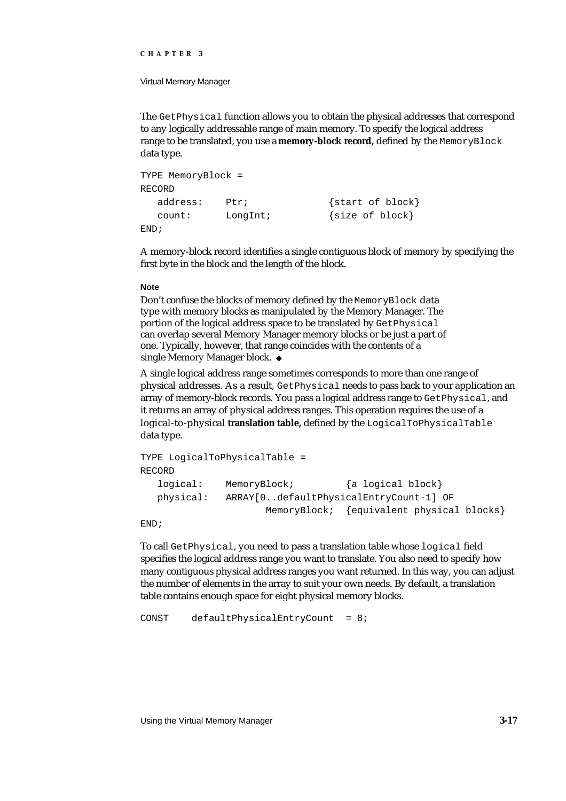#### Virtual Memory Manager

The GetPhysical function allows you to obtain the physical addresses that correspond to any logically addressable range of main memory. To specify the logical address range to be translated, you use a **memory-block record,** defined by the MemoryBlock data type.

```
TYPE MemoryBlock =
RECORD
  address: Ptr; {start of block}
  count: LongInt; {size of block}
END;
```
A memory-block record identifies a single contiguous block of memory by specifying the first byte in the block and the length of the block.

#### **Note**

Don't confuse the blocks of memory defined by the MemoryBlock data type with memory blocks as manipulated by the Memory Manager. The portion of the logical address space to be translated by GetPhysical can overlap several Memory Manager memory blocks or be just a part of one. Typically, however, that range coincides with the contents of a single Memory Manager block.

A single logical address range sometimes corresponds to more than one range of physical addresses. As a result, GetPhysical needs to pass back to your application an array of memory-block records. You pass a logical address range to Get Physical, and it returns an array of physical address ranges. This operation requires the use of a logical-to-physical **translation table,** defined by the LogicalToPhysicalTable data type.

```
TYPE LogicalToPhysicalTable =
RECORD
  logical: MemoryBlock; {a logical block}
  physical: ARRAY[0..defaultPhysicalEntryCount-1] OF
                     MemoryBlock; {equivalent physical blocks}
```
END;

To call GetPhysical, you need to pass a translation table whose logical field specifies the logical address range you want to translate. You also need to specify how many contiguous physical address ranges you want returned. In this way, you can adjust the number of elements in the array to suit your own needs. By default, a translation table contains enough space for eight physical memory blocks.

CONST defaultPhysicalEntryCount = 8;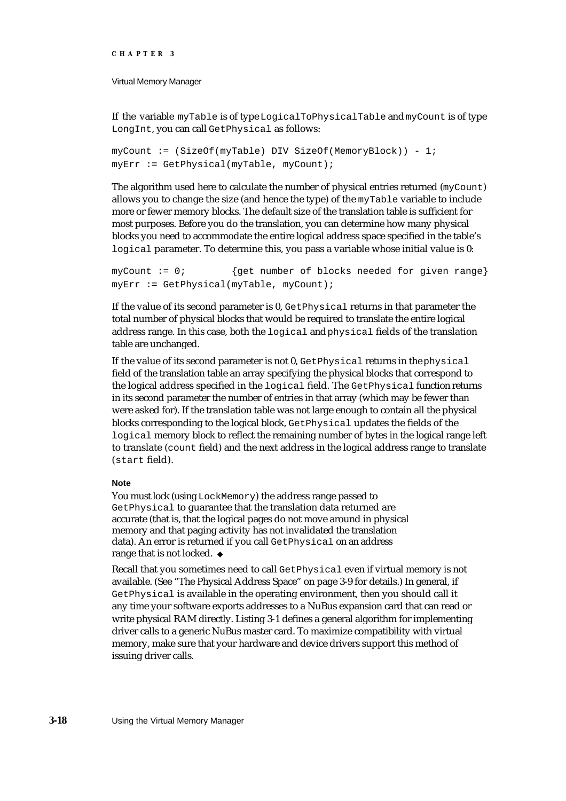Virtual Memory Manager

If the variable myTable is of type LogicalToPhysicalTable and myCount is of type LongInt, you can call GetPhysical as follows:

```
myCount := (SizeOf(myTable) DIV SizeOf(MemoryBlock)) - 1;
myErr := GetPhysical(myTable, myCount);
```
The algorithm used here to calculate the number of physical entries returned (myCount) allows you to change the size (and hence the type) of the myTable variable to include more or fewer memory blocks. The default size of the translation table is sufficient for most purposes. Before you do the translation, you can determine how many physical blocks you need to accommodate the entire logical address space specified in the table's logical parameter. To determine this, you pass a variable whose initial value is 0:

```
myCount := 0; {get number of blocks needed for given range}
myErr := GetPhysical(myTable, myCount);
```
If the value of its second parameter is 0, GetPhysical returns in that parameter the total number of physical blocks that would be required to translate the entire logical address range. In this case, both the logical and physical fields of the translation table are unchanged.

If the value of its second parameter is not 0, GetPhysical returns in the physical field of the translation table an array specifying the physical blocks that correspond to the logical address specified in the logical field. The GetPhysical function returns in its second parameter the number of entries in that array (which may be fewer than were asked for). If the translation table was not large enough to contain all the physical blocks corresponding to the logical block, GetPhysical updates the fields of the logical memory block to reflect the remaining number of bytes in the logical range left to translate (count field) and the next address in the logical address range to translate (start field).

#### **Note**

You must lock (using LockMemory) the address range passed to GetPhysical to guarantee that the translation data returned are accurate (that is, that the logical pages do not move around in physical memory and that paging activity has not invalidated the translation data). An error is returned if you call GetPhysical on an address range that is not locked. u

Recall that you sometimes need to call GetPhysical even if virtual memory is not available. (See "The Physical Address Space" on page 3-9 for details.) In general, if GetPhysical is available in the operating environment, then you should call it any time your software exports addresses to a NuBus expansion card that can read or write physical RAM directly. Listing 3-1 defines a general algorithm for implementing driver calls to a generic NuBus master card. To maximize compatibility with virtual memory, make sure that your hardware and device drivers support this method of issuing driver calls.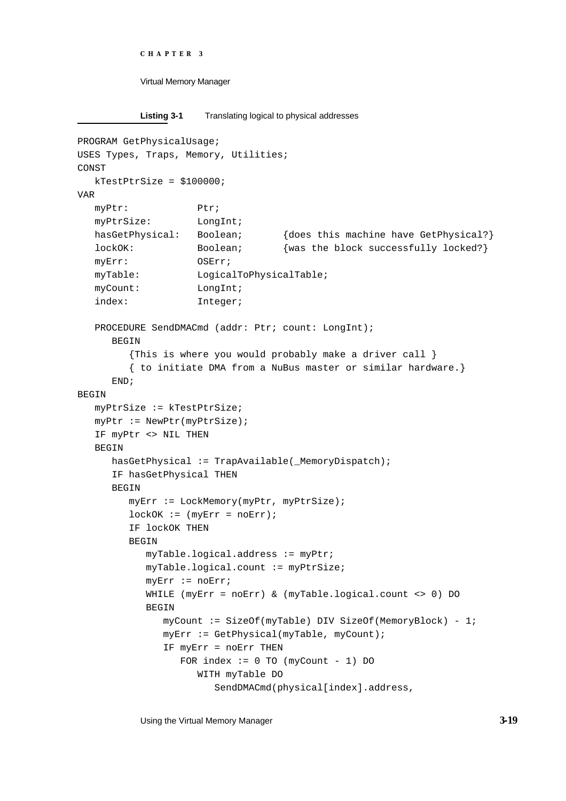```
CHAPTER 3
```

```
Listing 3-1 Translating logical to physical addresses
```

```
PROGRAM GetPhysicalUsage;
USES Types, Traps, Memory, Utilities;
CONST
  kTestPtrSize = $100000;
VAR
  myPtr: Ptr;
  myPtrSize: LongInt;
  hasGetPhysical: Boolean; {does this machine have GetPhysical?}
  lockOK: Boolean; {was the block successfully locked?}
  myErr: OSErr;
  myTable: LogicalToPhysicalTable;
  myCount: LongInt;
  index: Integer;
  PROCEDURE SendDMACmd (addr: Ptr; count: LongInt);
     BEGIN
        {This is where you would probably make a driver call }
        { to initiate DMA from a NuBus master or similar hardware.}
     END;
BEGIN
  myPtrSize := kTestPtrSize;
  myPtr := NewPtr(myPtrSize);
  IF myPtr <> NIL THEN
  BEGIN
     hasGetPhysical := TrapAvailable(_MemoryDispatch);
     IF hasGetPhysical THEN
     BEGIN
        myErr := LockMemory(myPtr, myPtrSize);
        lockOK := (myErr = noErr);IF lockOK THEN
        BEGIN
           myTable.logical.address := myPtr;
           myTable.logical.count := myPtrSize;
           myErr := noErr;WHILE (myErr = noErr) & (myTable.logical.count <> 0) DO
           BEGIN
              myCount := SizeOf(myTable) DIV SizeOf(MemoryBlock) - 1;
              myErr := GetPhysical(myTable, myCount);
              IF myErr = noErr THEN
                FOR index := 0 TO (myCount - 1) DO
                   WITH myTable DO
                      SendDMACmd(physical[index].address,
```
Using the Virtual Memory Manager **3-19**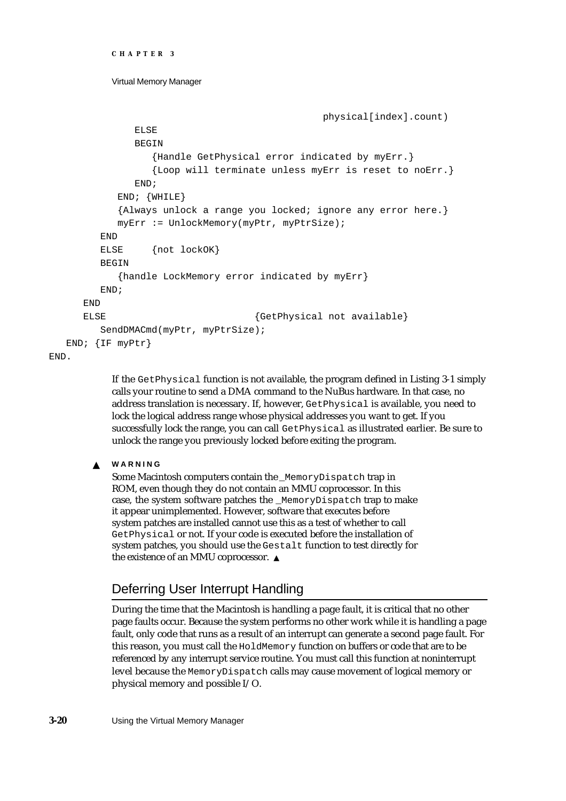```
CHAPTER 3
```

```
physical[index].count)
           ELSE
           BEGIN
              {Handle GetPhysical error indicated by myErr.}
              {Loop will terminate unless myErr is reset to noErr.}
           END;
        END; {WHILE}
        {Always unlock a range you locked; ignore any error here.}
        myErr := UnlockMemory(myPtr, myPtrSize);
     END
     ELSE {not lockOK}
     BEGIN
        {handle LockMemory error indicated by myErr}
     END;
  END
  ELSE {GetPhysical not available}SendDMACmd(myPtr, myPtrSize);
END; {IF myPtr}
```
END.

If the GetPhysical function is not available, the program defined in Listing 3-1 simply calls your routine to send a DMA command to the NuBus hardware. In that case, no address translation is necessary. If, however, GetPhysical is available, you need to lock the logical address range whose physical addresses you want to get. If you successfully lock the range, you can call GetPhysical as illustrated earlier. Be sure to unlock the range you previously locked before exiting the program.

**WARNING**  $\mathbf{s}$ 

> Some Macintosh computers contain the MemoryDispatch trap in ROM, even though they do not contain an MMU coprocessor. In this case, the system software patches the \_MemoryDispatch trap to make it appear unimplemented. However, software that executes before system patches are installed cannot use this as a test of whether to call GetPhysical or not. If your code is executed before the installation of system patches, you should use the Gestalt function to test directly for the existence of an MMU coprocessor.

# Deferring User Interrupt Handling

During the time that the Macintosh is handling a page fault, it is critical that no other page faults occur. Because the system performs no other work while it is handling a page fault, only code that runs as a result of an interrupt can generate a second page fault. For this reason, you must call the HoldMemory function on buffers or code that are to be referenced by any interrupt service routine. You must call this function at noninterrupt level because the MemoryDispatch calls may cause movement of logical memory or physical memory and possible I/O.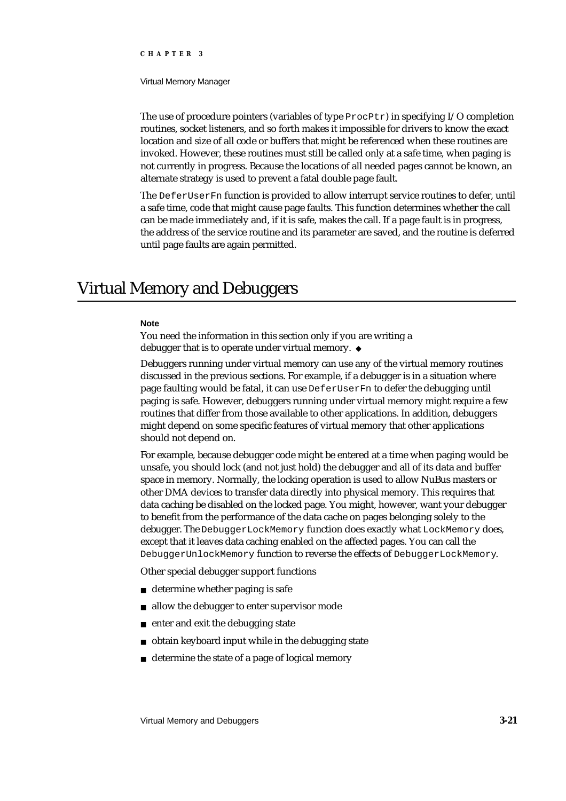#### Virtual Memory Manager

The use of procedure pointers (variables of type  $\text{Proofer}$ ) in specifying I/O completion routines, socket listeners, and so forth makes it impossible for drivers to know the exact location and size of all code or buffers that might be referenced when these routines are invoked. However, these routines must still be called only at a safe time, when paging is not currently in progress. Because the locations of all needed pages cannot be known, an alternate strategy is used to prevent a fatal double page fault.

The DeferUserFn function is provided to allow interrupt service routines to defer, until a safe time, code that might cause page faults. This function determines whether the call can be made immediately and, if it is safe, makes the call. If a page fault is in progress, the address of the service routine and its parameter are saved, and the routine is deferred until page faults are again permitted.

# Virtual Memory and Debuggers

#### **Note**

You need the information in this section only if you are writing a debugger that is to operate under virtual memory. u

Debuggers running under virtual memory can use any of the virtual memory routines discussed in the previous sections. For example, if a debugger is in a situation where page faulting would be fatal, it can use DeferUserFn to defer the debugging until paging is safe. However, debuggers running under virtual memory might require a few routines that differ from those available to other applications. In addition, debuggers might depend on some specific features of virtual memory that other applications should not depend on.

For example, because debugger code might be entered at a time when paging would be unsafe, you should lock (and not just hold) the debugger and all of its data and buffer space in memory. Normally, the locking operation is used to allow NuBus masters or other DMA devices to transfer data directly into physical memory. This requires that data caching be disabled on the locked page. You might, however, want your debugger to benefit from the performance of the data cache on pages belonging solely to the debugger. The DebuggerLockMemory function does exactly what LockMemory does, except that it leaves data caching enabled on the affected pages. You can call the DebuggerUnlockMemory function to reverse the effects of DebuggerLockMemory.

Other special debugger support functions

- determine whether paging is safe
- n allow the debugger to enter supervisor mode
- enter and exit the debugging state  $\overline{p}$
- obtain keyboard input while in the debugging state  $\overline{p}$
- determine the state of a page of logical memory $\overline{p}$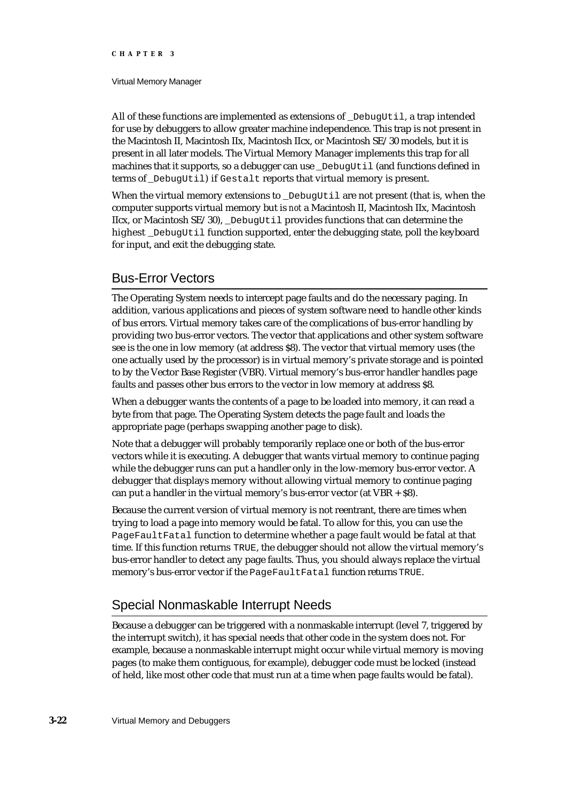#### Virtual Memory Manager

All of these functions are implemented as extensions of \_DebugUtil, a trap intended for use by debuggers to allow greater machine independence. This trap is not present in the Macintosh II, Macintosh IIx, Macintosh IIcx, or Macintosh SE/30 models, but it is present in all later models. The Virtual Memory Manager implements this trap for all machines that it supports, so a debugger can use DebugUtil (and functions defined in terms of DebugUtil) if Gestalt reports that virtual memory is present.

When the virtual memory extensions to \_DebugUtil are not present (that is, when the computer supports virtual memory but is *not* a Macintosh II, Macintosh IIx, Macintosh IIcx, or Macintosh  $SE/30$ , DebugUtil provides functions that can determine the highest \_DebugUtil function supported, enter the debugging state, poll the keyboard for input, and exit the debugging state.

# Bus-Error Vectors

The Operating System needs to intercept page faults and do the necessary paging. In addition, various applications and pieces of system software need to handle other kinds of bus errors. Virtual memory takes care of the complications of bus-error handling by providing two bus-error vectors. The vector that applications and other system software see is the one in low memory (at address \$8). The vector that virtual memory uses (the one actually used by the processor) is in virtual memory's private storage and is pointed to by the Vector Base Register (VBR). Virtual memory's bus-error handler handles page faults and passes other bus errors to the vector in low memory at address \$8.

When a debugger wants the contents of a page to be loaded into memory, it can read a byte from that page. The Operating System detects the page fault and loads the appropriate page (perhaps swapping another page to disk).

Note that a debugger will probably temporarily replace one or both of the bus-error vectors while it is executing. A debugger that wants virtual memory to continue paging while the debugger runs can put a handler only in the low-memory bus-error vector. A debugger that displays memory without allowing virtual memory to continue paging can put a handler in the virtual memory's bus-error vector (at  $VBR + S8$ ).

Because the current version of virtual memory is not reentrant, there are times when trying to load a page into memory would be fatal. To allow for this, you can use the PageFaultFatal function to determine whether a page fault would be fatal at that time. If this function returns TRUE, the debugger should not allow the virtual memory's bus-error handler to detect any page faults. Thus, you should always replace the virtual memory's bus-error vector if the PageFaultFatal function returns TRUE.

# Special Nonmaskable Interrupt Needs

Because a debugger can be triggered with a nonmaskable interrupt (level 7, triggered by the interrupt switch), it has special needs that other code in the system does not. For example, because a nonmaskable interrupt might occur while virtual memory is moving pages (to make them contiguous, for example), debugger code must be locked (instead of held, like most other code that must run at a time when page faults would be fatal).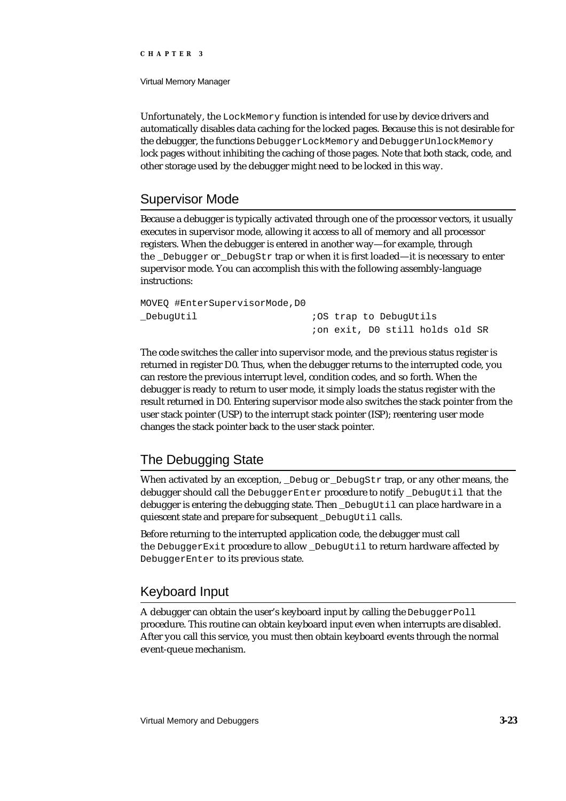Virtual Memory Manager

Unfortunately, the LockMemory function is intended for use by device drivers and automatically disables data caching for the locked pages. Because this is not desirable for the debugger, the functions DebuggerLockMemory and DebuggerUnlockMemory lock pages without inhibiting the caching of those pages. Note that both stack, code, and other storage used by the debugger might need to be locked in this way.

# Supervisor Mode

Because a debugger is typically activated through one of the processor vectors, it usually executes in supervisor mode, allowing it access to all of memory and all processor registers. When the debugger is entered in another way—for example, through the Debugger or DebugStr trap or when it is first loaded—it is necessary to enter supervisor mode. You can accomplish this with the following assembly-language instructions:

| MOVEO #EnterSupervisorMode,D0 |                                 |  |
|-------------------------------|---------------------------------|--|
| _DebugUtil                    | <i>i</i> OS trap to DebugUtils  |  |
|                               | ion exit, DO still holds old SR |  |

The code switches the caller into supervisor mode, and the previous status register is returned in register D0. Thus, when the debugger returns to the interrupted code, you can restore the previous interrupt level, condition codes, and so forth. When the debugger is ready to return to user mode, it simply loads the status register with the result returned in D0. Entering supervisor mode also switches the stack pointer from the user stack pointer (USP) to the interrupt stack pointer (ISP); reentering user mode changes the stack pointer back to the user stack pointer.

# The Debugging State

When activated by an exception, \_Debug or \_DebugStr trap, or any other means, the debugger should call the DebuggerEnter procedure to notify \_DebugUtil that the debugger is entering the debugging state. Then \_DebugUtil can place hardware in a quiescent state and prepare for subsequent DebugUtil calls.

Before returning to the interrupted application code, the debugger must call the DebuggerExit procedure to allow DebugUtil to return hardware affected by DebuggerEnter to its previous state.

# Keyboard Input

A debugger can obtain the user's keyboard input by calling the DebuggerPoll procedure. This routine can obtain keyboard input even when interrupts are disabled. After you call this service, you must then obtain keyboard events through the normal event-queue mechanism.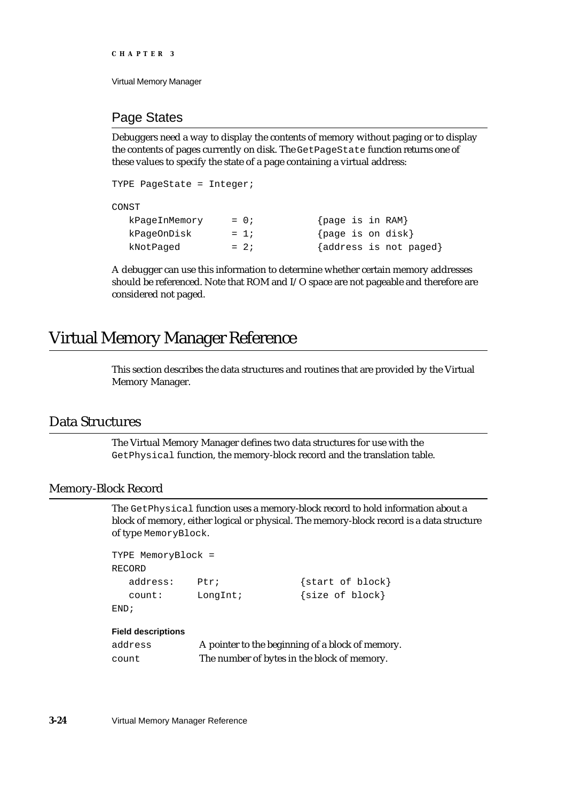```
CHAPTER 3
```
# Page States

Debuggers need a way to display the contents of memory without paging or to display the contents of pages currently on disk. The GetPageState function returns one of these values to specify the state of a page containing a virtual address:

```
TYPE PageState = Integer;
CONST
  kPaqeInMemory = 0; {page is in RAM}
  kPageOnDisk = 1; {page is on disk}
  kNotPaged = 2; {address is not paged}
```
A debugger can use this information to determine whether certain memory addresses should be referenced. Note that ROM and I/O space are not pageable and therefore are considered not paged.

# Virtual Memory Manager Reference

This section describes the data structures and routines that are provided by the Virtual Memory Manager.

# Data Structures

The Virtual Memory Manager defines two data structures for use with the GetPhysical function, the memory-block record and the translation table.

# Memory-Block Record

The GetPhysical function uses a memory-block record to hold information about a block of memory, either logical or physical. The memory-block record is a data structure of type MemoryBlock.

```
TYPE MemoryBlock =
RECORD
  address: Ptr; {start of block}
  count: LongInt; {size of block}
END;
```
### **Field descriptions**

| address | A pointer to the beginning of a block of memory. |
|---------|--------------------------------------------------|
| count   | The number of bytes in the block of memory.      |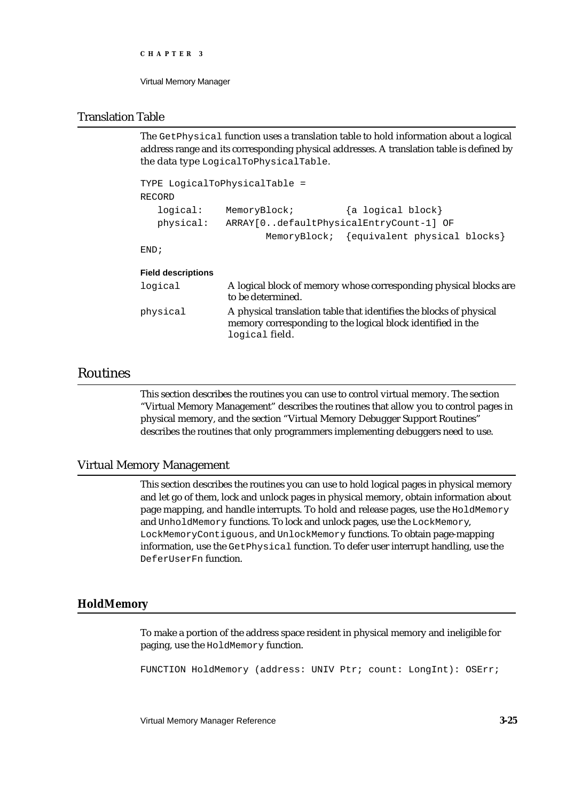```
CHAPTER 3
```
# Translation Table

The GetPhysical function uses a translation table to hold information about a logical address range and its corresponding physical addresses. A translation table is defined by the data type LogicalToPhysicalTable.

```
TYPE LogicalToPhysicalTable =
RECORD
  logical: MemoryBlock; {a logical block}
  physical: ARRAY[0..defaultPhysicalEntryCount-1] OF
                     MemoryBlock; {equivalent physical blocks}
```
END;

# **Field descriptions**

| logical  | A logical block of memory whose corresponding physical blocks are<br>to be determined.                                                               |
|----------|------------------------------------------------------------------------------------------------------------------------------------------------------|
| physical | A physical translation table that identifies the blocks of physical<br>memory corresponding to the logical block identified in the<br>logical field. |

# Routines

This section describes the routines you can use to control virtual memory. The section "Virtual Memory Management" describes the routines that allow you to control pages in physical memory, and the section "Virtual Memory Debugger Support Routines" describes the routines that only programmers implementing debuggers need to use.

# Virtual Memory Management

This section describes the routines you can use to hold logical pages in physical memory and let go of them, lock and unlock pages in physical memory, obtain information about page mapping, and handle interrupts. To hold and release pages, use the HoldMemory and UnholdMemory functions. To lock and unlock pages, use the LockMemory, LockMemoryContiguous, and UnlockMemory functions. To obtain page-mapping information, use the GetPhysical function. To defer user interrupt handling, use the DeferUserFn function.

# **HoldMemory**

To make a portion of the address space resident in physical memory and ineligible for paging, use the HoldMemory function.

FUNCTION HoldMemory (address: UNIV Ptr; count: LongInt): OSErr;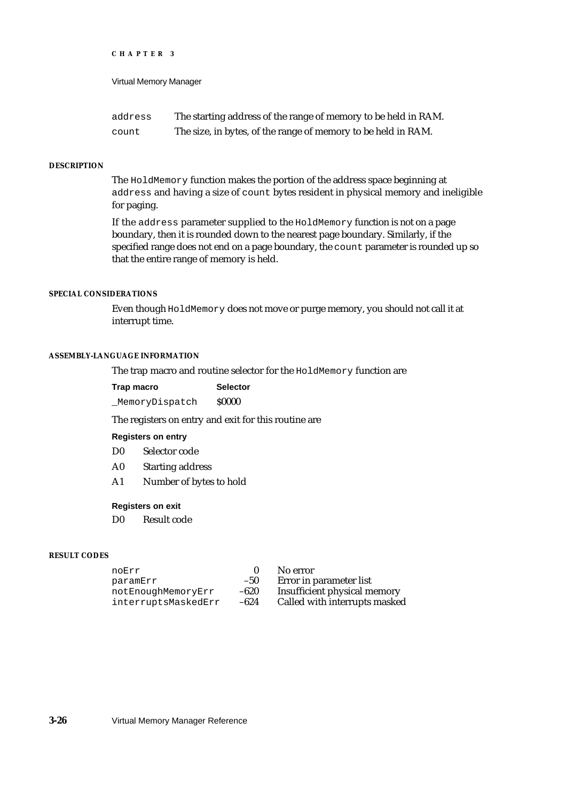Virtual Memory Manager

| address | The starting address of the range of memory to be held in RAM. |
|---------|----------------------------------------------------------------|
| count   | The size, in bytes, of the range of memory to be held in RAM.  |

#### **DESCRIPTION**

The HoldMemory function makes the portion of the address space beginning at address and having a size of count bytes resident in physical memory and ineligible for paging.

If the address parameter supplied to the HoldMemory function is not on a page boundary, then it is rounded down to the nearest page boundary. Similarly, if the specified range does not end on a page boundary, the count parameter is rounded up so that the entire range of memory is held.

#### **SPECIAL CONSIDERATIONS**

Even though HoldMemory does not move or purge memory, you should not call it at interrupt time.

#### **ASSEMBLY-LANGUAGE INFORMATION**

The trap macro and routine selector for the HoldMemory function are

| Trap macro     | <b>Selector</b> |
|----------------|-----------------|
| MemoryDispatch | <b>S0000</b>    |

The registers on entry and exit for this routine are

#### **Registers on entry**

- D0 Selector code
- A0 Starting address
- A1 Number of bytes to hold

# **Registers on exit**

D0 Result code

#### **RESULT CODES**

| noErr               | $\mathbf{u}$ | No error     |
|---------------------|--------------|--------------|
| paramErr            | $-50$        | Error in par |
| notEnoughMemoryErr  | $-620$       | Insufficient |
| interruptsMaskedErr | $-624$       | Called with  |

rameter list physical memory n interrupts masked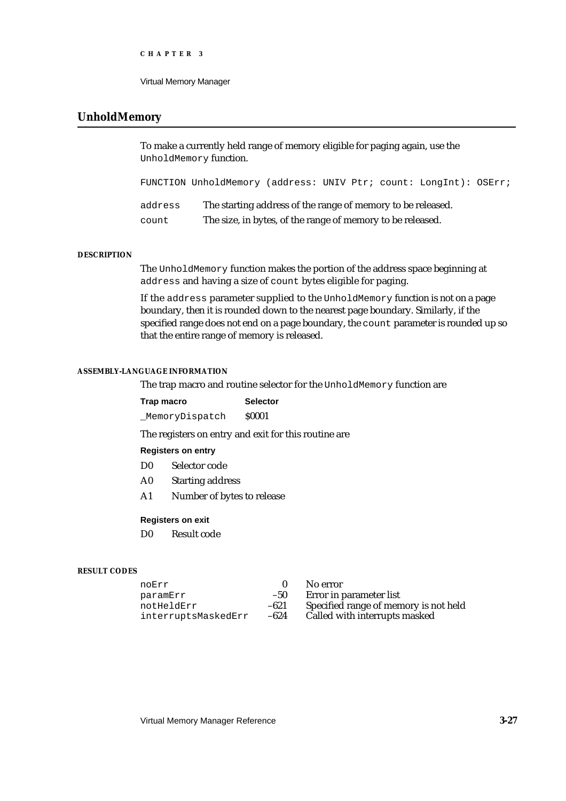Virtual Memory Manager

# **UnholdMemory**

To make a currently held range of memory eligible for paging again, use the UnholdMemory function.

FUNCTION UnholdMemory (address: UNIV Ptr; count: LongInt): OSErr;

| address | The starting address of the range of memory to be released. |
|---------|-------------------------------------------------------------|
| count   | The size, in bytes, of the range of memory to be released.  |

#### **DESCRIPTION**

The UnholdMemory function makes the portion of the address space beginning at address and having a size of count bytes eligible for paging.

If the address parameter supplied to the UnholdMemory function is not on a page boundary, then it is rounded down to the nearest page boundary. Similarly, if the specified range does not end on a page boundary, the count parameter is rounded up so that the entire range of memory is released.

#### **ASSEMBLY-LANGUAGE INFORMATION**

The trap macro and routine selector for the UnholdMemory function are

| Trap macro     | <b>Selector</b> |
|----------------|-----------------|
| MemoryDispatch | <b>S0001</b>    |

The registers on entry and exit for this routine are

#### **Registers on entry**

- D0 Selector code
- A0 Starting address
- A1 Number of bytes to release

### **Registers on exit**

D0 Result code

#### **RESULT CODES**

| noErr               |        | No error                              |
|---------------------|--------|---------------------------------------|
| paramErr            | $-50$  | Error in parameter list               |
| notHeldErr          | $-621$ | Specified range of memory is not held |
| interruptsMaskedErr | $-624$ | Called with interrupts masked         |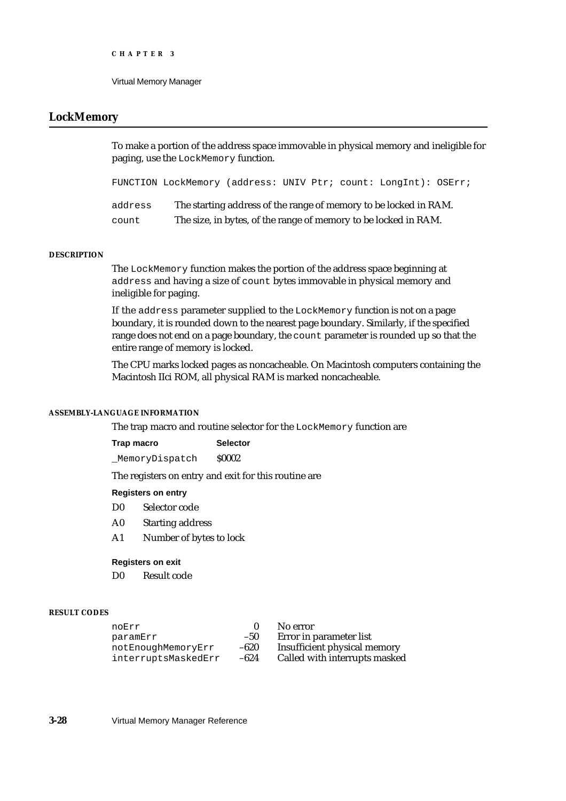# **LockMemory**

To make a portion of the address space immovable in physical memory and ineligible for paging, use the LockMemory function.

| FUNCTION LockMemory (address: UNIV Ptr; count: LongInt): OSErr; |  |  |  |
|-----------------------------------------------------------------|--|--|--|
|                                                                 |  |  |  |

| address | The starting address of the range of memory to be locked in RAM. |
|---------|------------------------------------------------------------------|
| count   | The size, in bytes, of the range of memory to be locked in RAM.  |

#### **DESCRIPTION**

The LockMemory function makes the portion of the address space beginning at address and having a size of count bytes immovable in physical memory and ineligible for paging.

If the address parameter supplied to the LockMemory function is not on a page boundary, it is rounded down to the nearest page boundary. Similarly, if the specified range does not end on a page boundary, the count parameter is rounded up so that the entire range of memory is locked.

The CPU marks locked pages as noncacheable. On Macintosh computers containing the Macintosh IIci ROM, all physical RAM is marked noncacheable.

### **ASSEMBLY-LANGUAGE INFORMATION**

The trap macro and routine selector for the LockMemory function are

| Trap macro     | <b>Selector</b> |
|----------------|-----------------|
| MemoryDispatch | <b>S0002</b>    |

The registers on entry and exit for this routine are

#### **Registers on entry**

- D0 Selector code
- A0 Starting address
- A1 Number of bytes to lock

#### **Registers on exit**

D0 Result code

#### **RESULT CODES**

| noErr               |        | No error                      |
|---------------------|--------|-------------------------------|
| paramErr            | $-50$  | Error in parameter list       |
| notEnoughMemoryErr  | $-620$ | Insufficient physical memory  |
| interruptsMaskedErr | $-624$ | Called with interrupts masked |

**3-28** Virtual Memory Manager Reference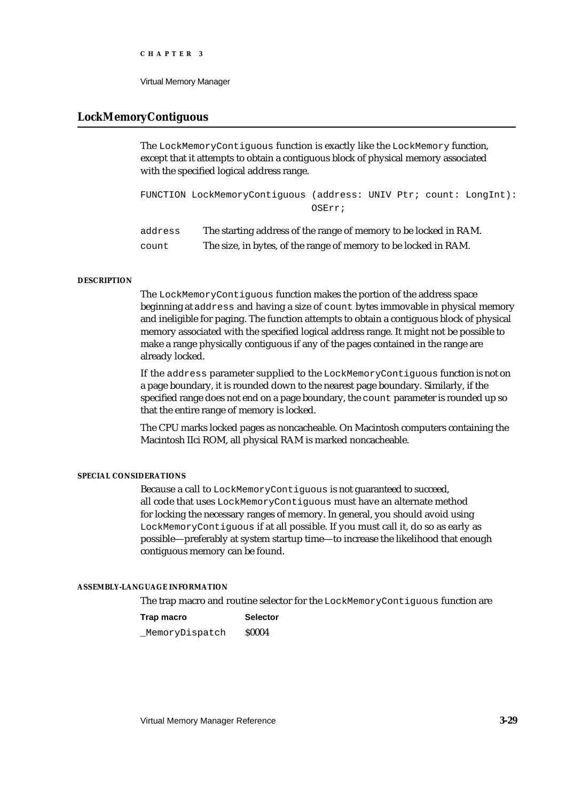Virtual Memory Manager

# **LockMemoryContiguous**

The LockMemoryContiguous function is exactly like the LockMemory function, except that it attempts to obtain a contiguous block of physical memory associated with the specified logical address range.

```
FUNCTION LockMemoryContiguous (address: UNIV Ptr; count: LongInt):
                              OSErr;
```
address The starting address of the range of memory to be locked in RAM. count The size, in bytes, of the range of memory to be locked in RAM.

#### **DESCRIPTION**

The LockMemoryContiguous function makes the portion of the address space beginning at address and having a size of count bytes immovable in physical memory and ineligible for paging. The function attempts to obtain a contiguous block of physical memory associated with the specified logical address range. It might not be possible to make a range physically contiguous if any of the pages contained in the range are already locked.

If the address parameter supplied to the LockMemoryContiguous function is not on a page boundary, it is rounded down to the nearest page boundary. Similarly, if the specified range does not end on a page boundary, the count parameter is rounded up so that the entire range of memory is locked.

The CPU marks locked pages as noncacheable. On Macintosh computers containing the Macintosh IIci ROM, all physical RAM is marked noncacheable.

### **SPECIAL CONSIDERATIONS**

Because a call to LockMemoryContiguous is not guaranteed to succeed, all code that uses LockMemoryContiguous must have an alternate method for locking the necessary ranges of memory. In general, you should avoid using LockMemoryContiguous if at all possible. If you must call it, do so as early as possible—preferably at system startup time—to increase the likelihood that enough contiguous memory can be found.

#### **ASSEMBLY-LANGUAGE INFORMATION**

The trap macro and routine selector for the LockMemoryContiguous function are

**Trap macro Selector** MemoryDispatch \$0004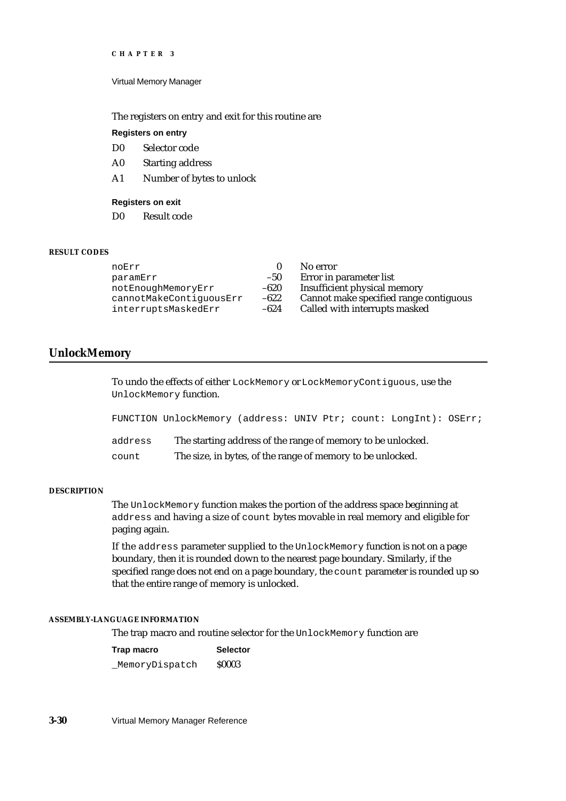Virtual Memory Manager

The registers on entry and exit for this routine are

### **Registers on entry**

D0 Selector code

- A0 Starting address
- A1 Number of bytes to unlock

### **Registers on exit**

D0 Result code

#### **RESULT CODES**

| 0      |
|--------|
| $-50$  |
| -620   |
| $-622$ |
| -624   |
|        |

No error

Error in parameter list

Insufficient physical memory

Cannot make specified range contiguous

Called with interrupts masked

## **UnlockMemory**

To undo the effects of either LockMemory or LockMemoryContiguous, use the UnlockMemory function.

|         | FUNCTION UnlockMemory (address: UNIV Ptr; count: LongInt): OSErr; |  |
|---------|-------------------------------------------------------------------|--|
| address | The starting address of the range of memory to be unlocked.       |  |
| count   | The size, in bytes, of the range of memory to be unlocked.        |  |

#### **DESCRIPTION**

The UnlockMemory function makes the portion of the address space beginning at address and having a size of count bytes movable in real memory and eligible for paging again.

If the address parameter supplied to the UnlockMemory function is not on a page boundary, then it is rounded down to the nearest page boundary. Similarly, if the specified range does not end on a page boundary, the count parameter is rounded up so that the entire range of memory is unlocked.

### **ASSEMBLY-LANGUAGE INFORMATION**

The trap macro and routine selector for the UnlockMemory function are

**Trap macro Selector** MemoryDispatch \$0003

**3-30** Virtual Memory Manager Reference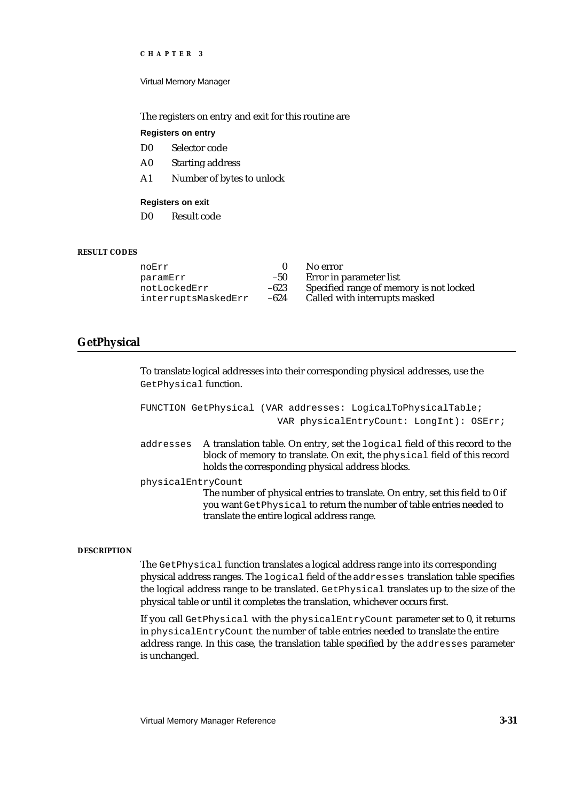Virtual Memory Manager

The registers on entry and exit for this routine are

#### **Registers on entry**

- D0 Selector code
- A0 Starting address
- A1 Number of bytes to unlock

### **Registers on exit**

D0 Result code

#### **RESULT CODES**

| Specified range of memory is not locked |
|-----------------------------------------|
|                                         |
|                                         |

# **GetPhysical**

To translate logical addresses into their corresponding physical addresses, use the GetPhysical function.

```
FUNCTION GetPhysical (VAR addresses: LogicalToPhysicalTable;
                              VAR physicalEntryCount: LongInt): OSErr;
addresses A translation table. On entry, set the logical field of this record to the 
             block of memory to translate. On exit, the physical field of this record 
             holds the corresponding physical address blocks.
physicalEntryCount
             The number of physical entries to translate. On entry, set this field to 0 if 
             you want GetPhysical to return the number of table entries needed to 
             translate the entire logical address range.
```
#### **DESCRIPTION**

The GetPhysical function translates a logical address range into its corresponding physical address ranges. The logical field of the addresses translation table specifies the logical address range to be translated. GetPhysical translates up to the size of the physical table or until it completes the translation, whichever occurs first.

If you call GetPhysical with the physicalEntryCount parameter set to 0, it returns in physicalEntryCount the number of table entries needed to translate the entire address range. In this case, the translation table specified by the addresses parameter is unchanged.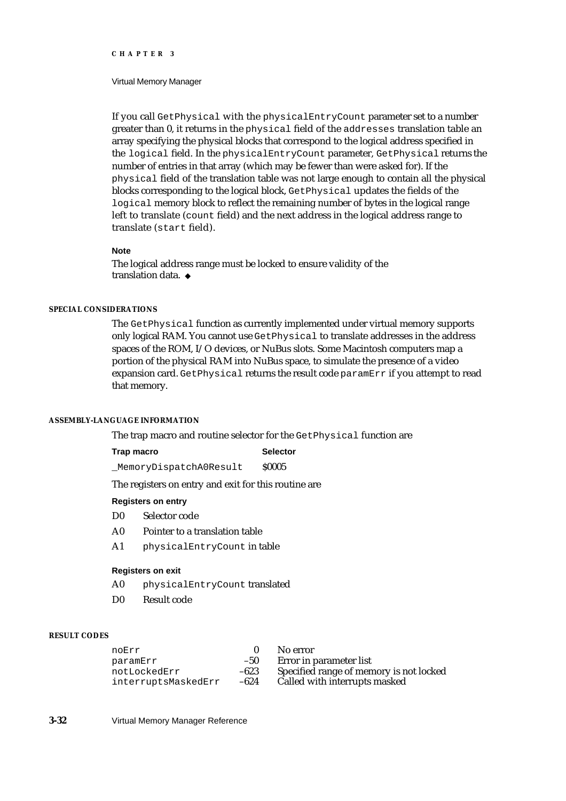#### Virtual Memory Manager

If you call GetPhysical with the physicalEntryCount parameter set to a number greater than 0, it returns in the physical field of the addresses translation table an array specifying the physical blocks that correspond to the logical address specified in the logical field. In the physicalEntryCount parameter, GetPhysical returns the number of entries in that array (which may be fewer than were asked for). If the physical field of the translation table was not large enough to contain all the physical blocks corresponding to the logical block, GetPhysical updates the fields of the logical memory block to reflect the remaining number of bytes in the logical range left to translate (count field) and the next address in the logical address range to translate (start field).

#### **Note**

The logical address range must be locked to ensure validity of the translation data. u

### **SPECIAL CONSIDERATIONS**

The GetPhysical function as currently implemented under virtual memory supports only logical RAM. You cannot use GetPhysical to translate addresses in the address spaces of the ROM, I/O devices, or NuBus slots. Some Macintosh computers map a portion of the physical RAM into NuBus space, to simulate the presence of a video expansion card. GetPhysical returns the result code paramErr if you attempt to read that memory.

#### **ASSEMBLY-LANGUAGE INFORMATION**

The trap macro and routine selector for the Get Physical function are

#### **Trap macro Selector**

MemoryDispatchA0Result \$0005

The registers on entry and exit for this routine are

#### **Registers on entry**

- D0 Selector code
- A0 Pointer to a translation table
- A1 physicalEntryCount in table

#### **Registers on exit**

- A0 physicalEntryCount translated
- D0 Result code

#### **RESULT CODES**

noErr 0 No error<br>paramErr -50 Error in p paramErr –50 Error in parameter list interruptsMaskedErr –624 Called with interrupts masked

notLockedErr –623 Specified range of memory is not locked<br>interruptsMaskedErr –624 Called with interrupts masked

**3-32** Virtual Memory Manager Reference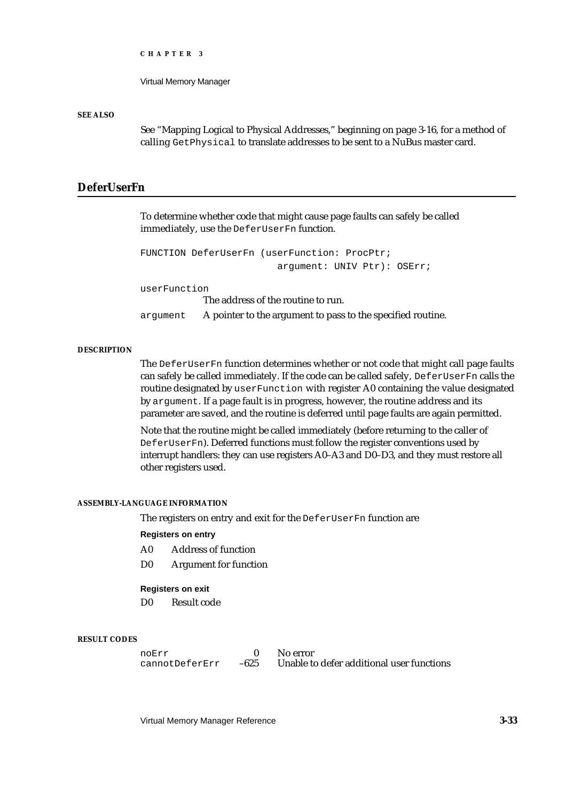Virtual Memory Manager

#### **SEE ALSO**

See "Mapping Logical to Physical Addresses," beginning on page 3-16, for a method of calling GetPhysical to translate addresses to be sent to a NuBus master card.

# **DeferUserFn**

To determine whether code that might cause page faults can safely be called immediately, use the DeferUserFn function.

```
FUNCTION DeferUserFn (userFunction: ProcPtr; 
                        argument: UNIV Ptr): OSErr;
```
userFunction

The address of the routine to run.

argument A pointer to the argument to pass to the specified routine.

### **DESCRIPTION**

The DeferUserFn function determines whether or not code that might call page faults can safely be called immediately. If the code can be called safely, DeferUserFn calls the routine designated by userFunction with register A0 containing the value designated by argument. If a page fault is in progress, however, the routine address and its parameter are saved, and the routine is deferred until page faults are again permitted.

Note that the routine might be called immediately (before returning to the caller of DeferUserFn). Deferred functions must follow the register conventions used by interrupt handlers: they can use registers A0–A3 and D0–D3, and they must restore all other registers used.

#### **ASSEMBLY-LANGUAGE INFORMATION**

The registers on entry and exit for the DeferUserFn function are

#### **Registers on entry**

- A0 Address of function
- D0 Argument for function

#### **Registers on exit**

D0 Result code

#### **RESULT CODES**

noErr 0 No error<br>cannotDeferErr -625 Unable to Unable to defer additional user functions

Virtual Memory Manager Reference **3-33**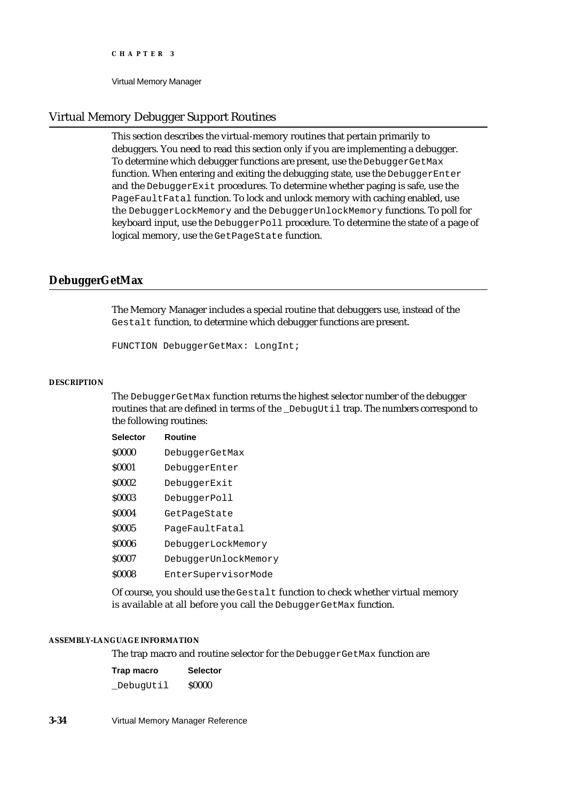Virtual Memory Manager

# Virtual Memory Debugger Support Routines

This section describes the virtual-memory routines that pertain primarily to debuggers. You need to read this section only if you are implementing a debugger. To determine which debugger functions are present, use the DebuggerGetMax function. When entering and exiting the debugging state, use the DebuggerEnter and the DebuggerExit procedures. To determine whether paging is safe, use the PageFaultFatal function. To lock and unlock memory with caching enabled, use the DebuggerLockMemory and the DebuggerUnlockMemory functions. To poll for keyboard input, use the DebuggerPoll procedure. To determine the state of a page of logical memory, use the GetPageState function.

# **DebuggerGetMax**

The Memory Manager includes a special routine that debuggers use, instead of the Gestalt function, to determine which debugger functions are present.

FUNCTION DebuggerGetMax: LongInt;

#### **DESCRIPTION**

The DebuggerGetMax function returns the highest selector number of the debugger routines that are defined in terms of the \_DebugUtil trap. The numbers correspond to the following routines:

| <b>Selector</b> | Routine              |
|-----------------|----------------------|
| \$0000          | DebuggerGetMax       |
| <b>S0001</b>    | DebuggerEnter        |
| \$0002          | DebuggerExit         |
| \$0003          | DebuggerPoll         |
| \$0004          | GetPageState         |
| \$0005          | PageFaultFatal       |
| \$0006          | DebuggerLockMemory   |
| \$0007          | DebuggerUnlockMemory |
| \$0008          | EnterSupervisorMode  |
|                 |                      |

Of course, you should use the Gestalt function to check whether virtual memory is available at all before you call the DebuggerGetMax function.

#### **ASSEMBLY-LANGUAGE INFORMATION**

The trap macro and routine selector for the DebuggerGetMax function are

| Trap macro | <b>Selector</b> |
|------------|-----------------|
| DebugUtil  | <b>S0000</b>    |

**3-34** Virtual Memory Manager Reference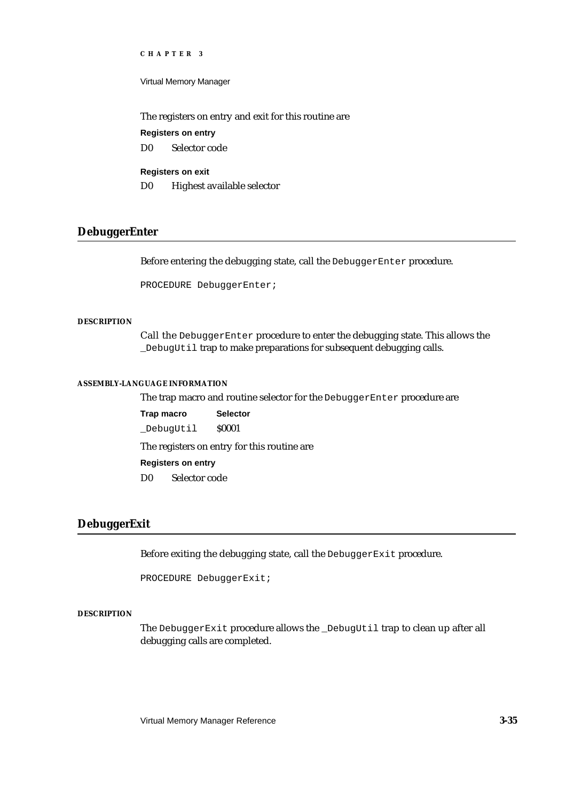Virtual Memory Manager

The registers on entry and exit for this routine are

**Registers on entry**

D0 Selector code

# **Registers on exit**

D0 Highest available selector

# **DebuggerEnter**

Before entering the debugging state, call the DebuggerEnter procedure.

PROCEDURE DebuggerEnter;

### **DESCRIPTION**

Call the DebuggerEnter procedure to enter the debugging state. This allows the \_DebugUtil trap to make preparations for subsequent debugging calls.

#### **ASSEMBLY-LANGUAGE INFORMATION**

The trap macro and routine selector for the DebuggerEnter procedure are

**Trap macro Selector** \_DebugUtil \$0001

The registers on entry for this routine are

#### **Registers on entry**

D0 Selector code

# **DebuggerExit**

Before exiting the debugging state, call the DebuggerExit procedure.

PROCEDURE DebuggerExit;

#### **DESCRIPTION**

The DebuggerExit procedure allows the \_DebugUtil trap to clean up after all debugging calls are completed.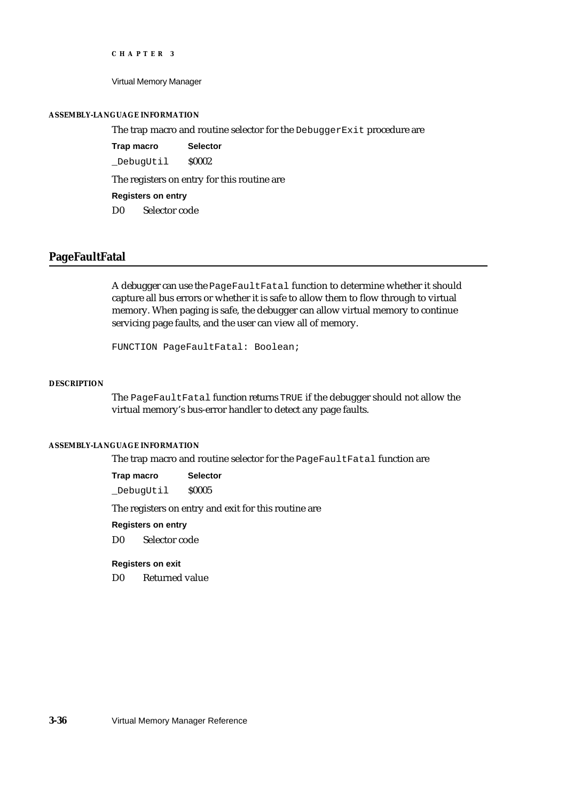Virtual Memory Manager

#### **ASSEMBLY-LANGUAGE INFORMATION**

The trap macro and routine selector for the DebuggerExit procedure are

**Trap macro Selector** \_DebugUtil \$0002

The registers on entry for this routine are

**Registers on entry**

D0 Selector code

# **PageFaultFatal**

A debugger can use the PageFaultFatal function to determine whether it should capture all bus errors or whether it is safe to allow them to flow through to virtual memory. When paging is safe, the debugger can allow virtual memory to continue servicing page faults, and the user can view all of memory.

FUNCTION PageFaultFatal: Boolean;

### **DESCRIPTION**

The PageFaultFatal function returns TRUE if the debugger should not allow the virtual memory's bus-error handler to detect any page faults.

#### **ASSEMBLY-LANGUAGE INFORMATION**

The trap macro and routine selector for the PageFaultFatal function are

**Trap macro Selector** \_DebugUtil \$0005

The registers on entry and exit for this routine are

# **Registers on entry**

D0 Selector code

### **Registers on exit**

D0 Returned value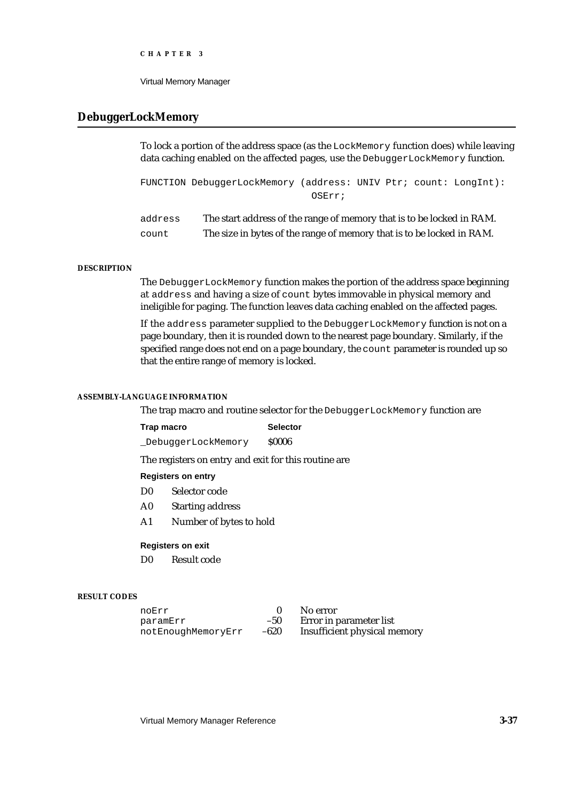Virtual Memory Manager

# **DebuggerLockMemory**

To lock a portion of the address space (as the  $L$ ockMemory function does) while leaving data caching enabled on the affected pages, use the DebuggerLockMemory function.

FUNCTION DebuggerLockMemory (address: UNIV Ptr; count: LongInt): OSErr;

| address | The start address of the range of memory that is to be locked in RAM. |
|---------|-----------------------------------------------------------------------|
| count   | The size in bytes of the range of memory that is to be locked in RAM. |

#### **DESCRIPTION**

The DebuggerLockMemory function makes the portion of the address space beginning at address and having a size of count bytes immovable in physical memory and ineligible for paging. The function leaves data caching enabled on the affected pages.

If the address parameter supplied to the DebuggerLockMemory function is not on a page boundary, then it is rounded down to the nearest page boundary. Similarly, if the specified range does not end on a page boundary, the count parameter is rounded up so that the entire range of memory is locked.

#### **ASSEMBLY-LANGUAGE INFORMATION**

The trap macro and routine selector for the DebuggerLockMemory function are

| Trap macro         | <b>Selector</b> |  |
|--------------------|-----------------|--|
| DebuggerLockMemory | <b>S0006</b>    |  |

The registers on entry and exit for this routine are

#### **Registers on entry**

- D0 Selector code
- A0 Starting address
- A1 Number of bytes to hold

### **Registers on exit**

D0 Result code

#### **RESULT CODES**

| noErr              |       | No error                     |
|--------------------|-------|------------------------------|
| paramErr           | $-50$ | Error in parameter list      |
| notEnoughMemoryErr | -620  | Insufficient physical memory |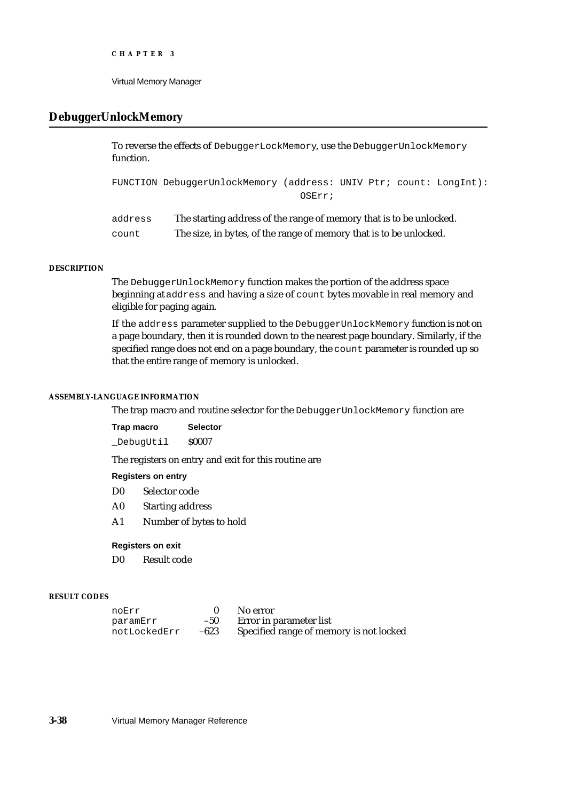# **DebuggerUnlockMemory**

To reverse the effects of DebuggerLockMemory, use the DebuggerUnlockMemory function.

FUNCTION DebuggerUnlockMemory (address: UNIV Ptr; count: LongInt): OSErr;

| address | The starting address of the range of memory that is to be unlocked. |
|---------|---------------------------------------------------------------------|
| count   | The size, in bytes, of the range of memory that is to be unlocked.  |

## **DESCRIPTION**

The DebuggerUnlockMemory function makes the portion of the address space beginning at address and having a size of count bytes movable in real memory and eligible for paging again.

If the address parameter supplied to the DebuggerUnlockMemory function is not on a page boundary, then it is rounded down to the nearest page boundary. Similarly, if the specified range does not end on a page boundary, the count parameter is rounded up so that the entire range of memory is unlocked.

#### **ASSEMBLY-LANGUAGE INFORMATION**

The trap macro and routine selector for the DebuggerUnlockMemory function are

| Trap macro | <b>Selector</b> |
|------------|-----------------|
| DebugUtil  | <b>S0007</b>    |

The registers on entry and exit for this routine are

#### **Registers on entry**

- D0 Selector code
- A0 Starting address
- A1 Number of bytes to hold

#### **Registers on exit**

D0 Result code

#### **RESULT CODES**

| noErr        |       | No error                                |
|--------------|-------|-----------------------------------------|
| paramErr     | $-50$ | Error in parameter list                 |
| notLockedErr | -623  | Specified range of memory is not locked |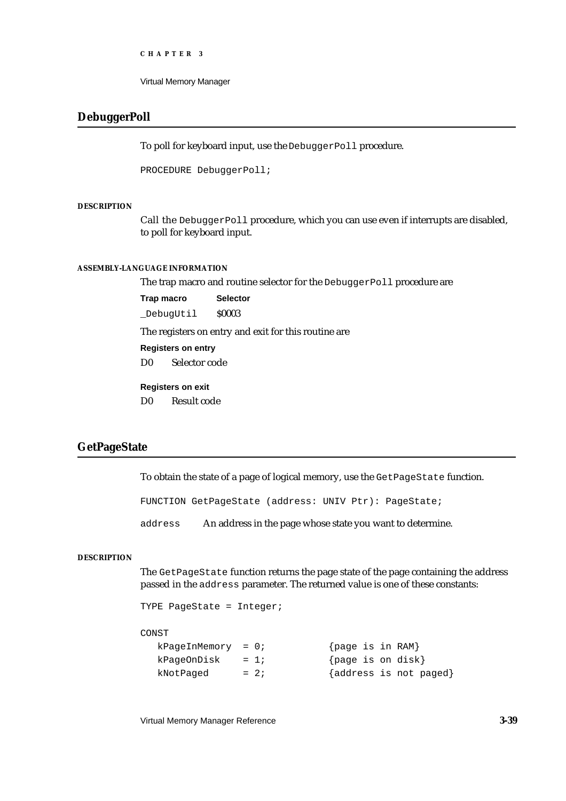```
CHAPTER 3
```
# **DebuggerPoll**

To poll for keyboard input, use the DebuggerPoll procedure.

PROCEDURE DebuggerPoll;

### **DESCRIPTION**

Call the DebuggerPoll procedure, which you can use even if interrupts are disabled, to poll for keyboard input.

# **ASSEMBLY-LANGUAGE INFORMATION**

The trap macro and routine selector for the DebuggerPoll procedure are

**Trap macro Selector** \_DebugUtil \$0003

The registers on entry and exit for this routine are

**Registers on entry**

D0 Selector code

#### **Registers on exit**

D0 Result code

# **GetPageState**

To obtain the state of a page of logical memory, use the GetPageState function.

FUNCTION GetPageState (address: UNIV Ptr): PageState;

address An address in the page whose state you want to determine.

### **DESCRIPTION**

The GetPageState function returns the page state of the page containing the address passed in the address parameter. The returned value is one of these constants:

TYPE PageState = Integer;

### **CONST**

| $kPaqeInMemory = 0;$ |        | {page is in RAM} |                        |
|----------------------|--------|------------------|------------------------|
| $kPaqeOnDisk = 1;$   |        |                  | {page is on disk}      |
| kNotPaqed            | $= 2i$ |                  | {address is not paged} |

Virtual Memory Manager Reference **3-39**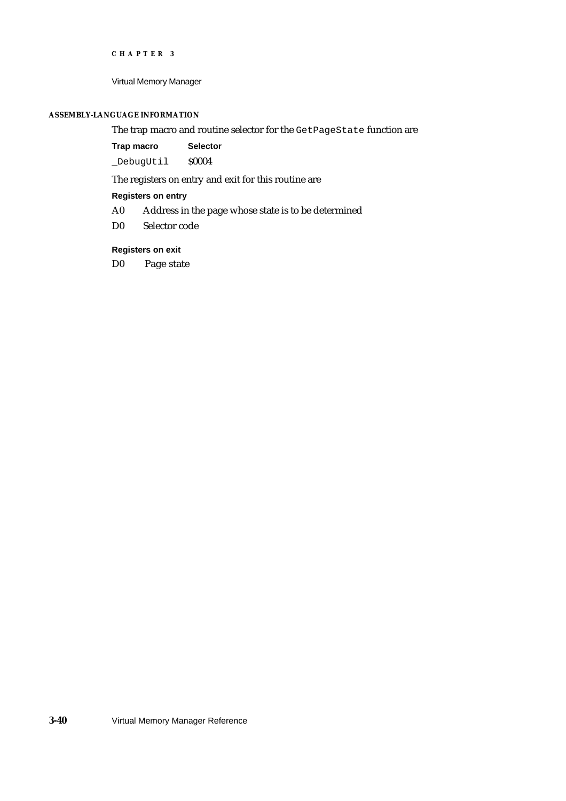```
CHAPTER 3
```
### **ASSEMBLY-LANGUAGE INFORMATION**

# The trap macro and routine selector for the GetPageState function are

**Trap macro Selector**

\_DebugUtil \$0004

The registers on entry and exit for this routine are

## **Registers on entry**

- A0 Address in the page whose state is to be determined
- D0 Selector code

### **Registers on exit**

D0 Page state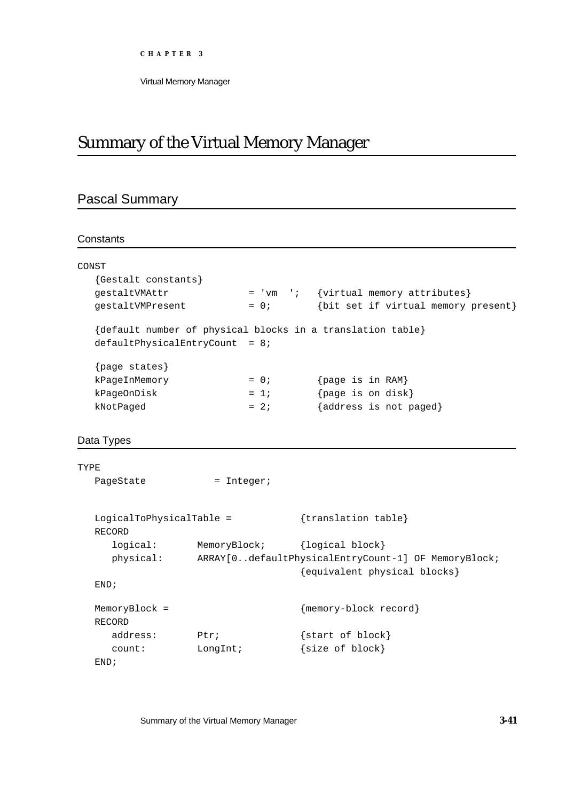Virtual Memory Manager

# Summary of the Virtual Memory Manager

# Pascal Summary

# **Constants**

END;

|      | CONST                              |              |                                                            |
|------|------------------------------------|--------------|------------------------------------------------------------|
|      | {Gestalt constants}                |              |                                                            |
|      | gestaltVMAttr                      |              | = 'vm '; {virtual memory attributes}                       |
|      | gestaltVMPresent                   | $= 0;$       | {bit set if virtual memory present}                        |
|      |                                    |              | {default number of physical blocks in a translation table} |
|      | $defaultPhysicalEntryCount = 8;$   |              |                                                            |
|      | {page states}                      |              |                                                            |
|      | kPageInMemory                      | $= 0;$       | {page is in RAM}                                           |
|      | kPageOnDisk                        | $= 1i$       | {page is on disk}                                          |
|      | kNotPaged                          | $= 2i$       | {address is not paged}                                     |
|      |                                    |              |                                                            |
|      | Data Types                         |              |                                                            |
|      |                                    |              |                                                            |
| TYPE |                                    |              |                                                            |
|      | PageState                          | $=$ Integer; |                                                            |
|      |                                    |              |                                                            |
|      | LogicalToPhysicalTable =<br>RECORD |              | {translation table}                                        |
|      | logical:                           | MemoryBlock; | {logical block}                                            |
|      | physical:                          |              | ARRAY[0defaultPhysicalEntryCount-1] OF MemoryBlock;        |
|      |                                    |              | {equivalent physical blocks}                               |
|      | END <sub>i</sub>                   |              |                                                            |
|      | MemoryBlock =                      |              | {memory-block record}                                      |
|      | RECORD                             |              |                                                            |
|      | address:                           | Ptri         | start of block}                                            |

count: LongInt;  ${size of block}$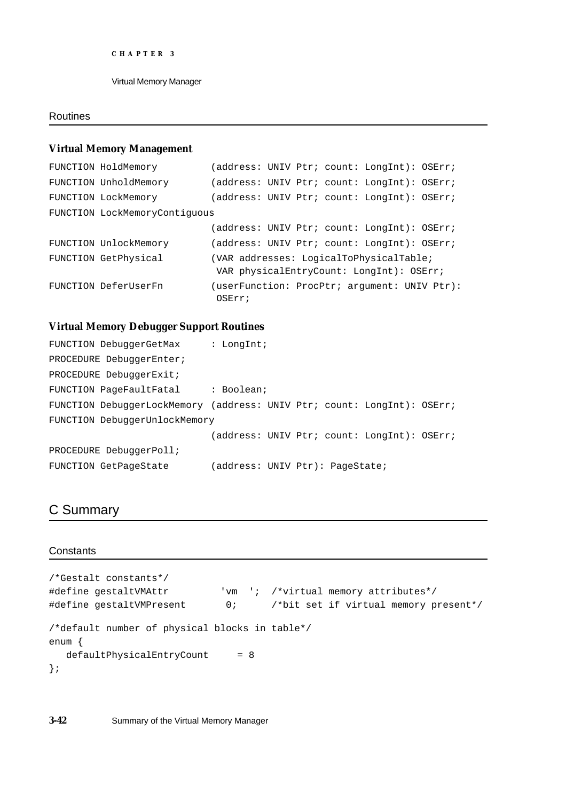## Routines

### **Virtual Memory Management**

```
FUNCTION HoldMemory (address: UNIV Ptr; count: LongInt): OSErr;
FUNCTION UnholdMemory (address: UNIV Ptr; count: LongInt): OSErr;
FUNCTION LockMemory (address: UNIV Ptr; count: LongInt): OSErr;
FUNCTION LockMemoryContiguous
                          (address: UNIV Ptr; count: LongInt): OSErr;
FUNCTION UnlockMemory (address: UNIV Ptr; count: LongInt): OSErr;
FUNCTION GetPhysical (VAR addresses: LogicalToPhysicalTable;
                           VAR physicalEntryCount: LongInt): OSErr;
FUNCTION DeferUserFn (userFunction: ProcPtr; argument: UNIV Ptr): 
                           OSErr;
```
### **Virtual Memory Debugger Support Routines**

| FUNCTION DebuggerGetMax                                                 | : $LongInt;$                    |  |                                             |  |
|-------------------------------------------------------------------------|---------------------------------|--|---------------------------------------------|--|
| PROCEDURE DebuggerEnter;                                                |                                 |  |                                             |  |
| PROCEDURE DebuggerExit;                                                 |                                 |  |                                             |  |
| FUNCTION PageFaultFatal : Boolean;                                      |                                 |  |                                             |  |
| FUNCTION DebuggerLockMemory (address: UNIV Ptr; count: LongInt): OSErr; |                                 |  |                                             |  |
| FUNCTION DebuggerUnlockMemory                                           |                                 |  |                                             |  |
|                                                                         |                                 |  | (address: UNIV Ptr; count: LongInt): OSErr; |  |
| PROCEDURE DebuggerPoll;                                                 |                                 |  |                                             |  |
| FUNCTION GetPageState                                                   | (address: UNIV Ptr): PageState; |  |                                             |  |

# C Summary

### **Constants**

```
/*Gestalt constants*/
#define gestaltVMAttr 'vm '; /*virtual memory attributes*/
#define gestaltVMPresent 0; /*bit set if virtual memory present*/
/*default number of physical blocks in table*/
enum {
  defaultPhysicalEntryCount = 8};
```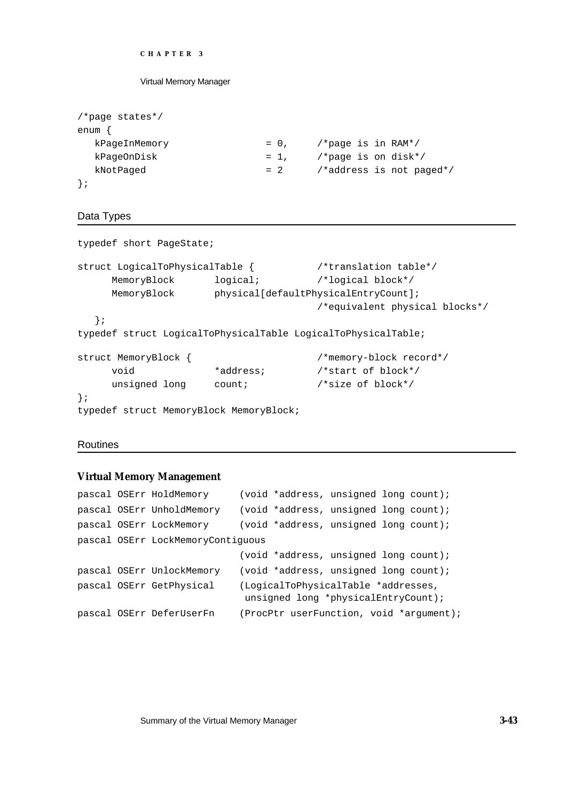#### Virtual Memory Manager

| $/*$ page states*/ |        |                          |
|--------------------|--------|--------------------------|
| enum               |        |                          |
| kPageInMemory      | $= 0,$ | /*page is in RAM*/       |
| kPaqeOnDisk        | $= 1.$ | /*page is on disk*/      |
| kNotPaged          | $= 2$  | /*address is not paged*/ |
|                    |        |                          |

## Data Types

```
typedef short PageState;
struct LogicalToPhysicalTable { /*translation table*/
    MemoryBlock logical; /*logical block*/
    MemoryBlock physical[defaultPhysicalEntryCount];
                                   /*equivalent physical blocks*/
  };
typedef struct LogicalToPhysicalTable LogicalToPhysicalTable;
struct MemoryBlock { /*memory-block record*/
    void *address; /*start of block*/
    unsigned long count; /*size of block*/
};
typedef struct MemoryBlock MemoryBlock;
```
### Routines

### **Virtual Memory Management**

```
pascal OSErr HoldMemory (void *address, unsigned long count);
pascal OSErr UnholdMemory (void *address, unsigned long count);
pascal OSErr LockMemory (void *address, unsigned long count);
pascal OSErr LockMemoryContiguous
                           (void *address, unsigned long count);
pascal OSErr UnlockMemory (void *address, unsigned long count);
pascal OSErr GetPhysical (LogicalToPhysicalTable *addresses,
                            unsigned long *physicalEntryCount);
pascal OSErr DeferUserFn (ProcPtr userFunction, void *argument);
```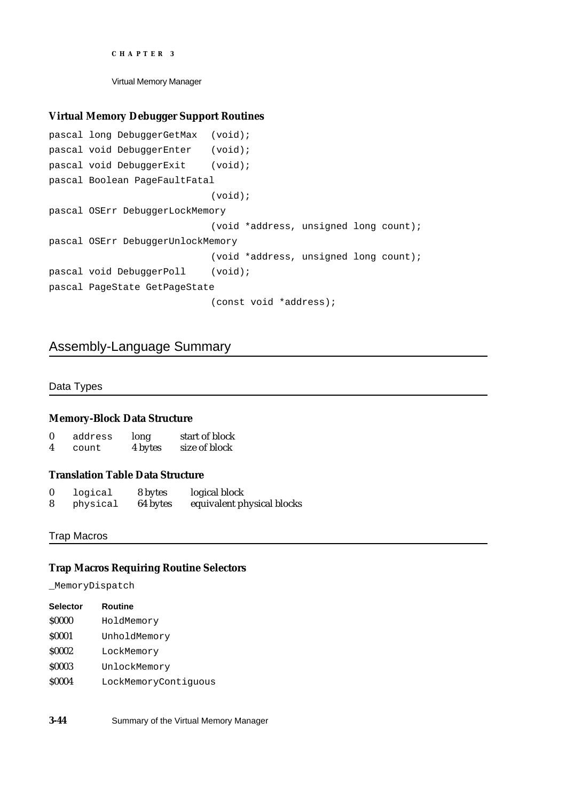Virtual Memory Manager

# **Virtual Memory Debugger Support Routines**

```
pascal long DebuggerGetMax (void);
pascal void DebuggerEnter (void);
pascal void DebuggerExit (void);
pascal Boolean PageFaultFatal
                            (void);
pascal OSErr DebuggerLockMemory
                            (void *address, unsigned long count);
pascal OSErr DebuggerUnlockMemory
                            (void *address, unsigned long count);
pascal void DebuggerPoll (void);
pascal PageState GetPageState
                            (const void *address);
```
# Assembly-Language Summary

Data Types

# **Memory-Block Data Structure**

| $\bf{0}$ | address | long    | start of block |
|----------|---------|---------|----------------|
| 4        | count   | 4 bytes | size of block  |

# **Translation Table Data Structure**

| 0 | logical  | 8 bytes  | logical block              |
|---|----------|----------|----------------------------|
| 8 | physical | 64 bytes | equivalent physical blocks |

### Trap Macros

### **Trap Macros Requiring Routine Selectors**

\_MemoryDispatch

| <b>Selector</b> | <b>Routine</b>       |
|-----------------|----------------------|
| <b>S0000</b>    | HoldMemory           |
| <b>S0001</b>    | UnholdMemory         |
| <b>S0002</b>    | LockMemory           |
| <b>S0003</b>    | UnlockMemory         |
| <b>S0004</b>    | LockMemoryContiquous |

**3-44** Summary of the Virtual Memory Manager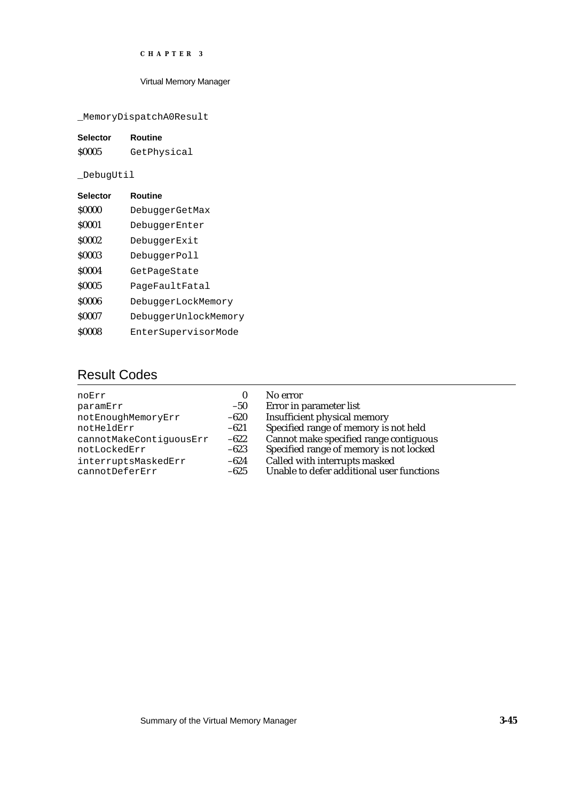## Virtual Memory Manager

\_MemoryDispatchA0Result

| <b>Selector</b> | Routine     |
|-----------------|-------------|
| <b>S0005</b>    | GetPhysical |

\_DebugUtil

| <b>Selector</b> | Routine              |
|-----------------|----------------------|
| \$0000          | DebuggerGetMax       |
| <b>S0001</b>    | DebuggerEnter        |
| \$0002          | DebuggerExit         |
| \$0003          | DebuggerPoll         |
| \$0004          | GetPageState         |
| \$0005          | PageFaultFatal       |
| \$0006          | DebuggerLockMemory   |
| \$0007          | DebuggerUnlockMemory |
| \$0008          | EnterSupervisorMode  |

# Result Codes

| noErr                   | 0      | No error                                  |
|-------------------------|--------|-------------------------------------------|
| paramErr                | $-50$  | Error in parameter list                   |
| notEnoughMemoryErr      | -620   | Insufficient physical memory              |
| notHeldErr              | $-621$ | Specified range of memory is not held     |
| cannotMakeContiguousErr | $-622$ | Cannot make specified range contiguous    |
| notLockedErr            | $-623$ | Specified range of memory is not locked   |
| interruptsMaskedErr     | $-624$ | Called with interrupts masked             |
| cannotDeferErr          | $-625$ | Unable to defer additional user functions |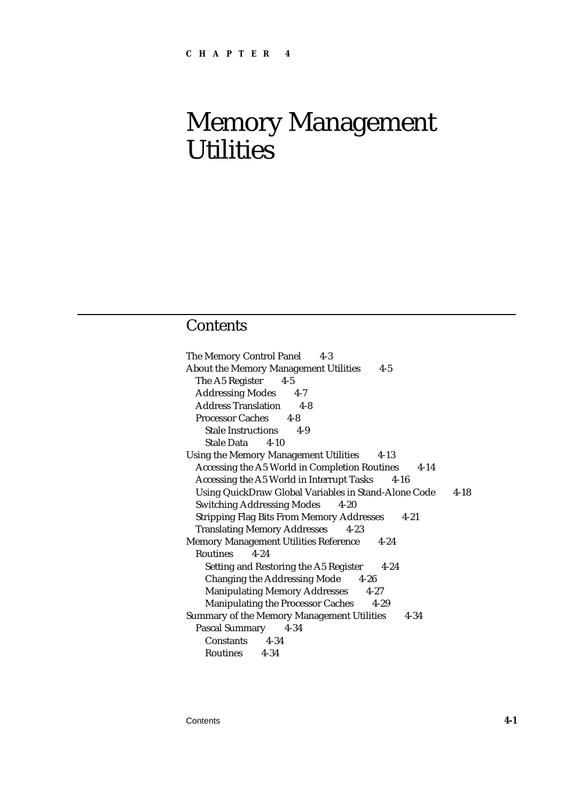## **Contents**

The Memory Control Panel 4-3 About the Memory Management Utilities 4-5 The A5 Register 4-5 Addressing Modes 4-7 Address Translation 4-8 Processor Caches 4-8 Stale Instructions 4-9 Stale Data 4-10 Using the Memory Management Utilities 4-13 Accessing the A5 World in Completion Routines 4-14 Accessing the A5 World in Interrupt Tasks 4-16 Using QuickDraw Global Variables in Stand-Alone Code 4-18 Switching Addressing Modes 4-20 Stripping Flag Bits From Memory Addresses 4-21 Translating Memory Addresses 4-23 Memory Management Utilities Reference 4-24 Routines 4-24 Setting and Restoring the A5 Register 4-24 Changing the Addressing Mode 4-26 Manipulating Memory Addresses 4-27 Manipulating the Processor Caches 4-29 Summary of the Memory Management Utilities 4-34 Pascal Summary 4-34 Constants 4-34 Routines 4-34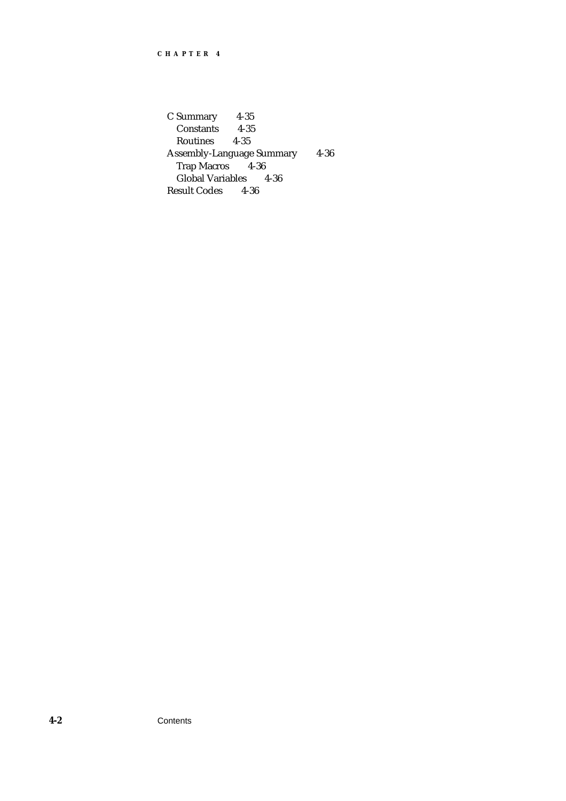C Summary 4-35 Constants 4-35 Routines Assembly-Language Summary 4-36<br>Trap Macros 4-36 Trap Macros Global Variables 4-36 Result Codes 4-36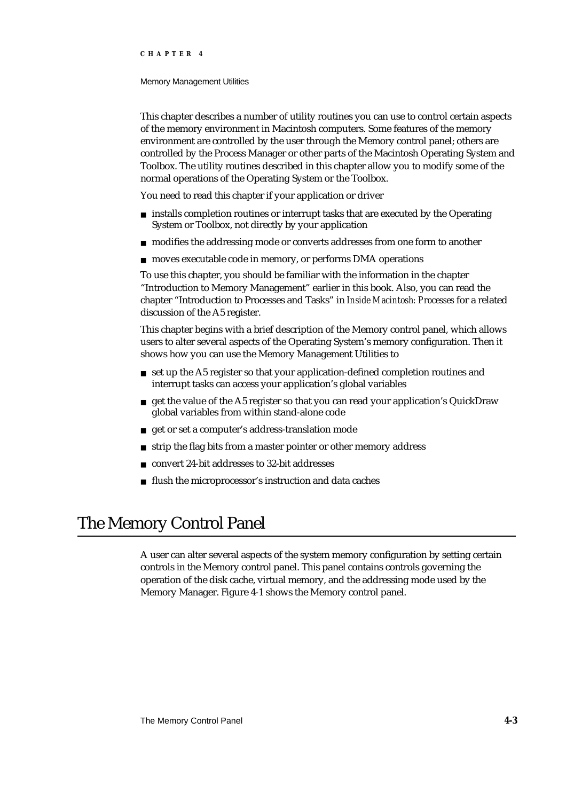#### Memory Management Utilities

This chapter describes a number of utility routines you can use to control certain aspects of the memory environment in Macintosh computers. Some features of the memory environment are controlled by the user through the Memory control panel; others are controlled by the Process Manager or other parts of the Macintosh Operating System and Toolbox. The utility routines described in this chapter allow you to modify some of the normal operations of the Operating System or the Toolbox.

You need to read this chapter if your application or driver

- n installs completion routines or interrupt tasks that are executed by the Operating System or Toolbox, not directly by your application
- n modifies the addressing mode or converts addresses from one form to another
- n moves executable code in memory, or performs DMA operations

To use this chapter, you should be familiar with the information in the chapter "Introduction to Memory Management" earlier in this book. Also, you can read the chapter "Introduction to Processes and Tasks" in *Inside Macintosh: Processes* for a related discussion of the A5 register.

This chapter begins with a brief description of the Memory control panel, which allows users to alter several aspects of the Operating System's memory configuration. Then it shows how you can use the Memory Management Utilities to

- n set up the A5 register so that your application-defined completion routines and interrupt tasks can access your application's global variables
- get the value of the A5 register so that you can read your application's QuickDraw global variables from within stand-alone code
- get or set a computer's address-translation mode
- strip the flag bits from a master pointer or other memory address n.
- convert 24-bit addresses to 32-bit addresses  $\overline{p}$
- flush the microprocessor's instruction and data caches  $\overline{p}$

## The Memory Control Panel

A user can alter several aspects of the system memory configuration by setting certain controls in the Memory control panel. This panel contains controls governing the operation of the disk cache, virtual memory, and the addressing mode used by the Memory Manager. Figure 4-1 shows the Memory control panel.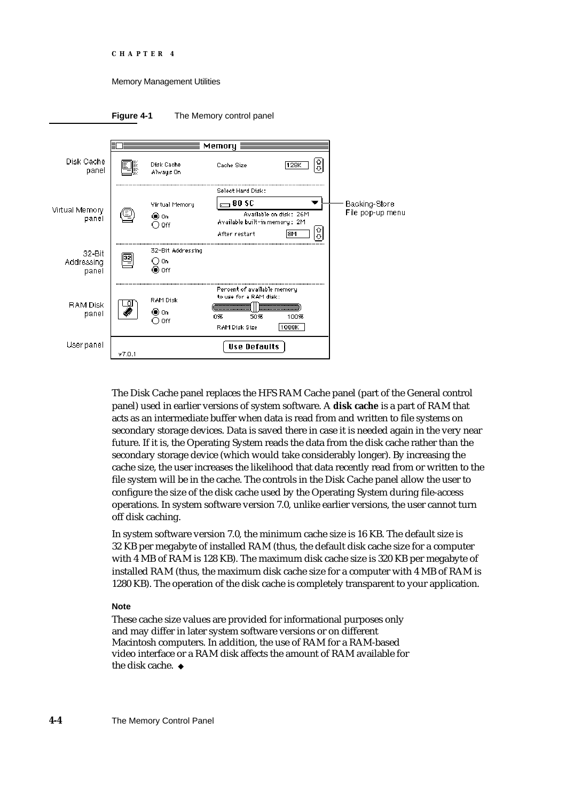```
CHAPTER 4
```


#### **Figure 4-1** The Memory control panel



The Disk Cache panel replaces the HFS RAM Cache panel (part of the General control panel) used in earlier versions of system software. A **disk cache** is a part of RAM that acts as an intermediate buffer when data is read from and written to file systems on secondary storage devices. Data is saved there in case it is needed again in the very near future. If it is, the Operating System reads the data from the disk cache rather than the secondary storage device (which would take considerably longer). By increasing the cache size, the user increases the likelihood that data recently read from or written to the file system will be in the cache. The controls in the Disk Cache panel allow the user to configure the size of the disk cache used by the Operating System during file-access operations. In system software version 7.0, unlike earlier versions, the user cannot turn off disk caching.

In system software version 7.0, the minimum cache size is 16 KB. The default size is 32 KB per megabyte of installed RAM (thus, the default disk cache size for a computer with 4 MB of RAM is 128 KB). The maximum disk cache size is 320 KB per megabyte of installed RAM (thus, the maximum disk cache size for a computer with 4 MB of RAM is 1280 KB). The operation of the disk cache is completely transparent to your application.

#### **Note**

These cache size values are provided for informational purposes only and may differ in later system software versions or on different Macintosh computers. In addition, the use of RAM for a RAM-based video interface or a RAM disk affects the amount of RAM available for the disk cache.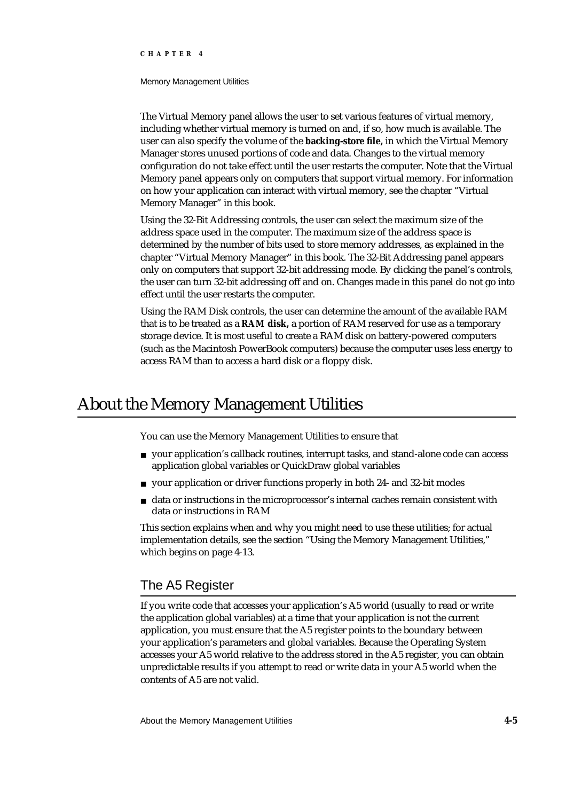#### Memory Management Utilities

The Virtual Memory panel allows the user to set various features of virtual memory, including whether virtual memory is turned on and, if so, how much is available. The user can also specify the volume of the **backing-store file,** in which the Virtual Memory Manager stores unused portions of code and data. Changes to the virtual memory configuration do not take effect until the user restarts the computer. Note that the Virtual Memory panel appears only on computers that support virtual memory. For information on how your application can interact with virtual memory, see the chapter "Virtual Memory Manager" in this book.

Using the 32-Bit Addressing controls, the user can select the maximum size of the address space used in the computer. The maximum size of the address space is determined by the number of bits used to store memory addresses, as explained in the chapter "Virtual Memory Manager" in this book. The 32-Bit Addressing panel appears only on computers that support 32-bit addressing mode. By clicking the panel's controls, the user can turn 32-bit addressing off and on. Changes made in this panel do not go into effect until the user restarts the computer.

Using the RAM Disk controls, the user can determine the amount of the available RAM that is to be treated as a **RAM disk,** a portion of RAM reserved for use as a temporary storage device. It is most useful to create a RAM disk on battery-powered computers (such as the Macintosh PowerBook computers) because the computer uses less energy to access RAM than to access a hard disk or a floppy disk.

## About the Memory Management Utilities

You can use the Memory Management Utilities to ensure that

- your application's callback routines, interrupt tasks, and stand-alone code can access application global variables or QuickDraw global variables
- n your application or driver functions properly in both 24- and 32-bit modes
- $n$  data or instructions in the microprocessor's internal caches remain consistent with data or instructions in RAM

This section explains when and why you might need to use these utilities; for actual implementation details, see the section "Using the Memory Management Utilities," which begins on page 4-13.

### The A5 Register

If you write code that accesses your application's A5 world (usually to read or write the application global variables) at a time that your application is not the current application, you must ensure that the A5 register points to the boundary between your application's parameters and global variables. Because the Operating System accesses your A5 world relative to the address stored in the A5 register, you can obtain unpredictable results if you attempt to read or write data in your A5 world when the contents of A5 are not valid.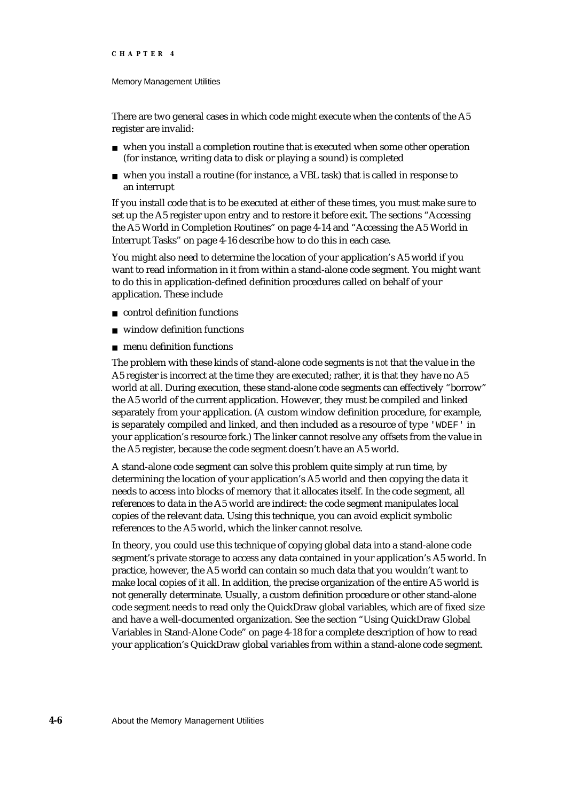#### Memory Management Utilities

There are two general cases in which code might execute when the contents of the A5 register are invalid:

- $n$  when you install a completion routine that is executed when some other operation (for instance, writing data to disk or playing a sound) is completed
- when you install a routine (for instance, a VBL task) that is called in response to an interrupt

If you install code that is to be executed at either of these times, you must make sure to set up the A5 register upon entry and to restore it before exit. The sections "Accessing the A5 World in Completion Routines" on page 4-14 and "Accessing the A5 World in Interrupt Tasks" on page 4-16 describe how to do this in each case.

You might also need to determine the location of your application's A5 world if you want to read information in it from within a stand-alone code segment. You might want to do this in application-defined definition procedures called on behalf of your application. These include

- control definition functions
- window definition functions
- menu definition functions

The problem with these kinds of stand-alone code segments is *not* that the value in the A5 register is incorrect at the time they are executed; rather, it is that they have no A5 world at all. During execution, these stand-alone code segments can effectively "borrow" the A5 world of the current application. However, they must be compiled and linked separately from your application. (A custom window definition procedure, for example, is separately compiled and linked, and then included as a resource of type 'WDEF' in your application's resource fork.) The linker cannot resolve any offsets from the value in the A5 register, because the code segment doesn't have an A5 world.

A stand-alone code segment can solve this problem quite simply at run time, by determining the location of your application's A5 world and then copying the data it needs to access into blocks of memory that it allocates itself. In the code segment, all references to data in the A5 world are indirect: the code segment manipulates local copies of the relevant data. Using this technique, you can avoid explicit symbolic references to the A5 world, which the linker cannot resolve.

In theory, you could use this technique of copying global data into a stand-alone code segment's private storage to access any data contained in your application's A5 world. In practice, however, the A5 world can contain so much data that you wouldn't want to make local copies of it all. In addition, the precise organization of the entire A5 world is not generally determinate. Usually, a custom definition procedure or other stand-alone code segment needs to read only the QuickDraw global variables, which are of fixed size and have a well-documented organization. See the section "Using QuickDraw Global Variables in Stand-Alone Code" on page 4-18 for a complete description of how to read your application's QuickDraw global variables from within a stand-alone code segment.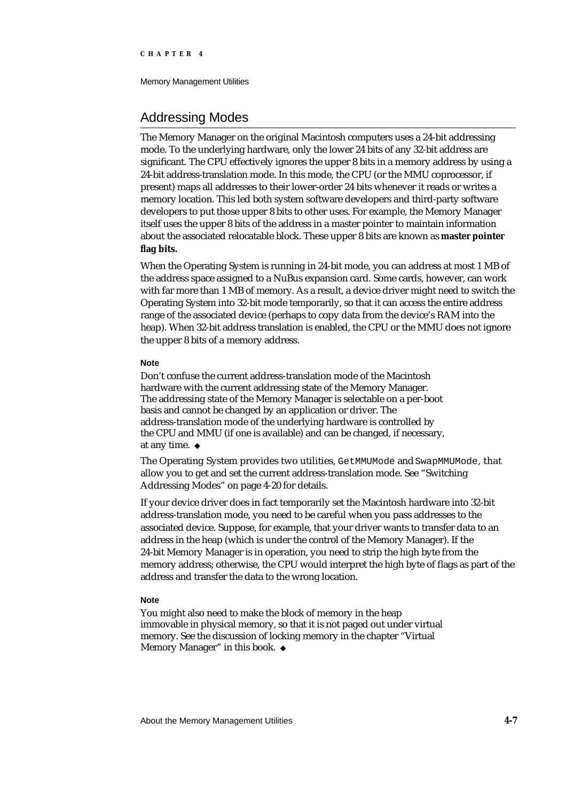Memory Management Utilities

### Addressing Modes

The Memory Manager on the original Macintosh computers uses a 24-bit addressing mode. To the underlying hardware, only the lower 24 bits of any 32-bit address are significant. The CPU effectively ignores the upper 8 bits in a memory address by using a 24-bit address-translation mode. In this mode, the CPU (or the MMU coprocessor, if present) maps all addresses to their lower-order 24 bits whenever it reads or writes a memory location. This led both system software developers and third-party software developers to put those upper 8 bits to other uses. For example, the Memory Manager itself uses the upper 8 bits of the address in a master pointer to maintain information about the associated relocatable block. These upper 8 bits are known as **master pointer flag bits.**

When the Operating System is running in 24-bit mode, you can address at most 1 MB of the address space assigned to a NuBus expansion card. Some cards, however, can work with far more than 1 MB of memory. As a result, a device driver might need to switch the Operating System into 32-bit mode temporarily, so that it can access the entire address range of the associated device (perhaps to copy data from the device's RAM into the heap). When 32-bit address translation is enabled, the CPU or the MMU does not ignore the upper 8 bits of a memory address.

#### **Note**

Don't confuse the current address-translation mode of the Macintosh hardware with the current addressing state of the Memory Manager. The addressing state of the Memory Manager is selectable on a per-boot basis and cannot be changed by an application or driver. The address-translation mode of the underlying hardware is controlled by the CPU and MMU (if one is available) and can be changed, if necessary, at any time.

The Operating System provides two utilities, GetMMUMode and SwapMMUMode, that allow you to get and set the current address-translation mode. See "Switching Addressing Modes" on page 4-20 for details.

If your device driver does in fact temporarily set the Macintosh hardware into 32-bit address-translation mode, you need to be careful when you pass addresses to the associated device. Suppose, for example, that your driver wants to transfer data to an address in the heap (which is under the control of the Memory Manager). If the 24-bit Memory Manager is in operation, you need to strip the high byte from the memory address; otherwise, the CPU would interpret the high byte of flags as part of the address and transfer the data to the wrong location.

#### **Note**

You might also need to make the block of memory in the heap immovable in physical memory, so that it is not paged out under virtual memory. See the discussion of locking memory in the chapter "Virtual Memory Manager" in this book. u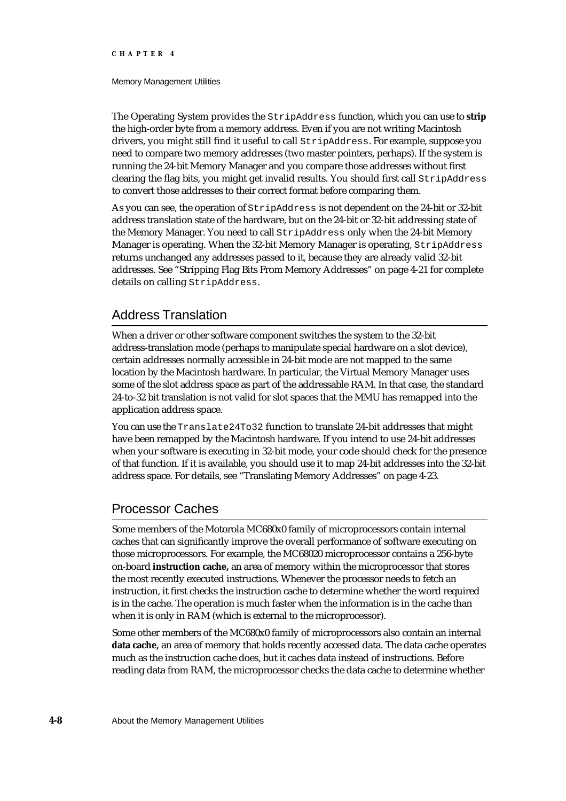#### Memory Management Utilities

The Operating System provides the StripAddress function, which you can use to **strip** the high-order byte from a memory address. Even if you are not writing Macintosh drivers, you might still find it useful to call StripAddress. For example, suppose you need to compare two memory addresses (two master pointers, perhaps). If the system is running the 24-bit Memory Manager and you compare those addresses without first clearing the flag bits, you might get invalid results. You should first call StripAddress to convert those addresses to their correct format before comparing them.

As you can see, the operation of StripAddress is not dependent on the 24-bit or 32-bit address translation state of the hardware, but on the 24-bit or 32-bit addressing state of the Memory Manager. You need to call StripAddress only when the 24-bit Memory Manager is operating. When the 32-bit Memory Manager is operating, StripAddress returns unchanged any addresses passed to it, because they are already valid 32-bit addresses. See "Stripping Flag Bits From Memory Addresses" on page 4-21 for complete details on calling StripAddress.

### Address Translation

When a driver or other software component switches the system to the 32-bit address-translation mode (perhaps to manipulate special hardware on a slot device), certain addresses normally accessible in 24-bit mode are not mapped to the same location by the Macintosh hardware. In particular, the Virtual Memory Manager uses some of the slot address space as part of the addressable RAM. In that case, the standard 24-to-32 bit translation is not valid for slot spaces that the MMU has remapped into the application address space.

You can use the Translate24To32 function to translate 24-bit addresses that might have been remapped by the Macintosh hardware. If you intend to use 24-bit addresses when your software is executing in 32-bit mode, your code should check for the presence of that function. If it is available, you should use it to map 24-bit addresses into the 32-bit address space. For details, see "Translating Memory Addresses" on page 4-23.

### Processor Caches

Some members of the Motorola MC680x0 family of microprocessors contain internal caches that can significantly improve the overall performance of software executing on those microprocessors. For example, the MC68020 microprocessor contains a 256-byte on-board **instruction cache,** an area of memory within the microprocessor that stores the most recently executed instructions. Whenever the processor needs to fetch an instruction, it first checks the instruction cache to determine whether the word required is in the cache. The operation is much faster when the information is in the cache than when it is only in RAM (which is external to the microprocessor).

Some other members of the MC680x0 family of microprocessors also contain an internal **data cache,** an area of memory that holds recently accessed data. The data cache operates much as the instruction cache does, but it caches data instead of instructions. Before reading data from RAM, the microprocessor checks the data cache to determine whether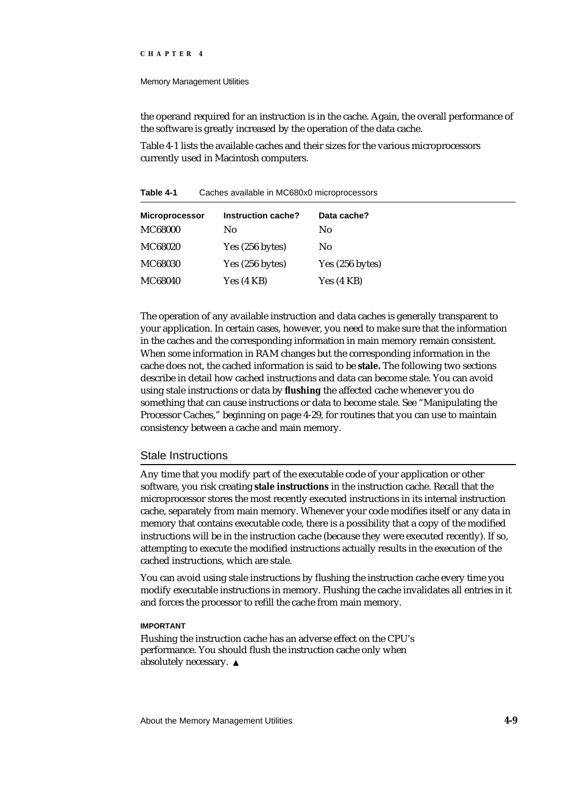#### Memory Management Utilities

the operand required for an instruction is in the cache. Again, the overall performance of the software is greatly increased by the operation of the data cache.

Table 4-1 lists the available caches and their sizes for the various microprocessors currently used in Macintosh computers.

**Table 4-1** Caches available in MC680x0 microprocessors

| <b>Microprocessor</b> | Instruction cache? | Data cache?     |
|-----------------------|--------------------|-----------------|
| <b>MC68000</b>        | No                 | No              |
| MC68020               | Yes (256 bytes)    | No              |
| MC68030               | Yes (256 bytes)    | Yes (256 bytes) |
| <b>MC68040</b>        | Yes(4 KB)          | Yes (4 KB)      |

The operation of any available instruction and data caches is generally transparent to your application. In certain cases, however, you need to make sure that the information in the caches and the corresponding information in main memory remain consistent. When some information in RAM changes but the corresponding information in the cache does not, the cached information is said to be **stale.** The following two sections describe in detail how cached instructions and data can become stale. You can avoid using stale instructions or data by **flushing** the affected cache whenever you do something that can cause instructions or data to become stale. See "Manipulating the Processor Caches," beginning on page 4-29, for routines that you can use to maintain consistency between a cache and main memory.

#### Stale Instructions

Any time that you modify part of the executable code of your application or other software, you risk creating **stale instructions** in the instruction cache. Recall that the microprocessor stores the most recently executed instructions in its internal instruction cache, separately from main memory. Whenever your code modifies itself or any data in memory that contains executable code, there is a possibility that a copy of the modified instructions will be in the instruction cache (because they were executed recently). If so, attempting to execute the modified instructions actually results in the execution of the cached instructions, which are stale.

You can avoid using stale instructions by flushing the instruction cache every time you modify executable instructions in memory. Flushing the cache invalidates all entries in it and forces the processor to refill the cache from main memory.

#### **IMPORTANT**

Flushing the instruction cache has an adverse effect on the CPU's performance. You should flush the instruction cache only when absolutely necessary.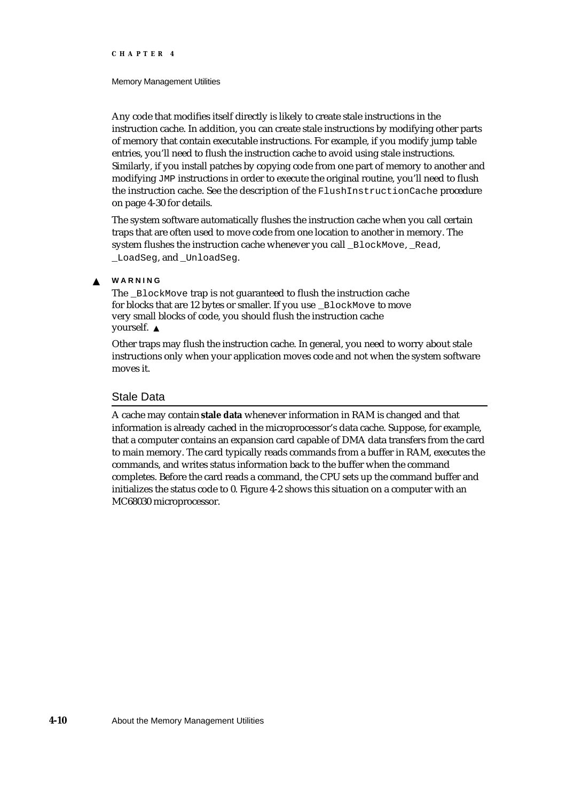#### Memory Management Utilities

Any code that modifies itself directly is likely to create stale instructions in the instruction cache. In addition, you can create stale instructions by modifying other parts of memory that contain executable instructions. For example, if you modify jump table entries, you'll need to flush the instruction cache to avoid using stale instructions. Similarly, if you install patches by copying code from one part of memory to another and modifying JMP instructions in order to execute the original routine, you'll need to flush the instruction cache. See the description of the FlushInstructionCache procedure on page 4-30 for details.

The system software automatically flushes the instruction cache when you call certain traps that are often used to move code from one location to another in memory. The system flushes the instruction cache whenever you call \_BlockMove, \_Read, LoadSeg. and UnloadSeg.

#### **WARNING**  $\mathbf{c}$

The BlockMove trap is not guaranteed to flush the instruction cache for blocks that are 12 bytes or smaller. If you use \_BlockMove to move very small blocks of code, you should flush the instruction cache yourself.

Other traps may flush the instruction cache. In general, you need to worry about stale instructions only when your application moves code and not when the system software moves it.

#### Stale Data

A cache may contain **stale data** whenever information in RAM is changed and that information is already cached in the microprocessor's data cache. Suppose, for example, that a computer contains an expansion card capable of DMA data transfers from the card to main memory. The card typically reads commands from a buffer in RAM, executes the commands, and writes status information back to the buffer when the command completes. Before the card reads a command, the CPU sets up the command buffer and initializes the status code to 0. Figure 4-2 shows this situation on a computer with an MC68030 microprocessor.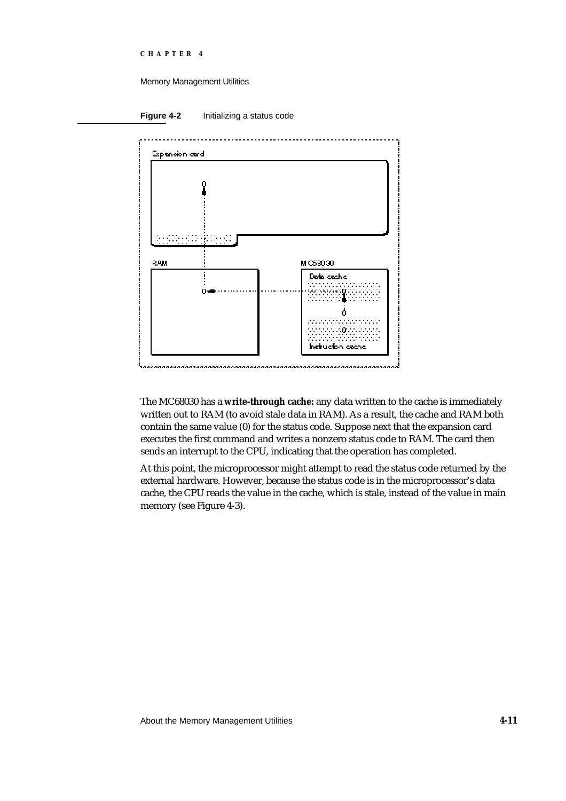#### Memory Management Utilities

**Figure 4-2** Initializing a status code



The MC68030 has a **write-through cache:** any data written to the cache is immediately written out to RAM (to avoid stale data in RAM). As a result, the cache and RAM both contain the same value (0) for the status code. Suppose next that the expansion card executes the first command and writes a nonzero status code to RAM. The card then sends an interrupt to the CPU, indicating that the operation has completed.

At this point, the microprocessor might attempt to read the status code returned by the external hardware. However, because the status code is in the microprocessor's data cache, the CPU reads the value in the cache, which is stale, instead of the value in main memory (see Figure 4-3).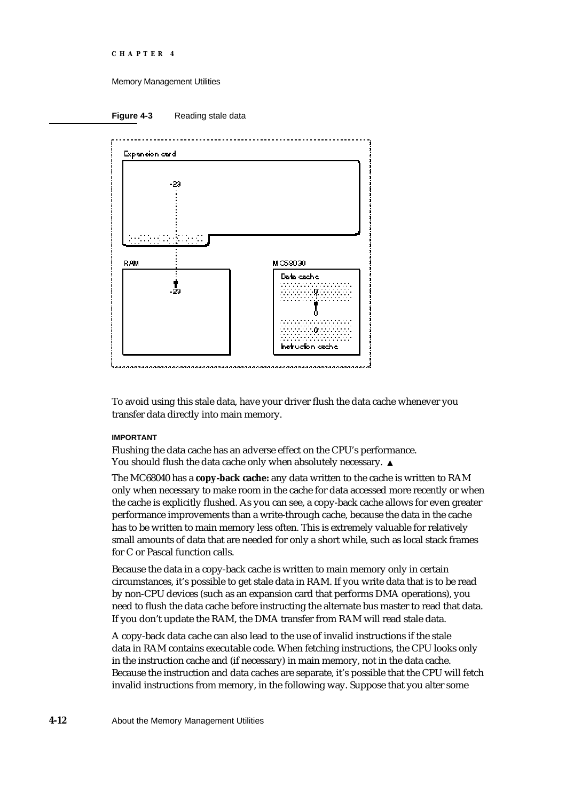```
CHAPTER 4
```




To avoid using this stale data, have your driver flush the data cache whenever you transfer data directly into main memory.

#### **IMPORTANT**

Flushing the data cache has an adverse effect on the CPU's performance. You should flush the data cache only when absolutely necessary. s

The MC68040 has a **copy-back cache:** any data written to the cache is written to RAM only when necessary to make room in the cache for data accessed more recently or when the cache is explicitly flushed. As you can see, a copy-back cache allows for even greater performance improvements than a write-through cache, because the data in the cache has to be written to main memory less often. This is extremely valuable for relatively small amounts of data that are needed for only a short while, such as local stack frames for C or Pascal function calls.

Because the data in a copy-back cache is written to main memory only in certain circumstances, it's possible to get stale data in RAM. If you write data that is to be read by non-CPU devices (such as an expansion card that performs DMA operations), you need to flush the data cache before instructing the alternate bus master to read that data. If you don't update the RAM, the DMA transfer from RAM will read stale data.

A copy-back data cache can also lead to the use of invalid instructions if the stale data in RAM contains executable code. When fetching instructions, the CPU looks only in the instruction cache and (if necessary) in main memory, not in the data cache. Because the instruction and data caches are separate, it's possible that the CPU will fetch invalid instructions from memory, in the following way. Suppose that you alter some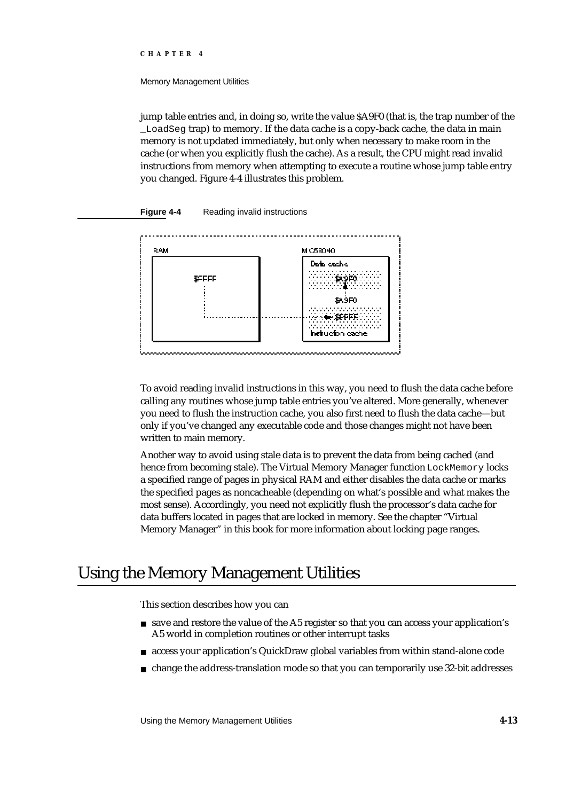Memory Management Utilities

jump table entries and, in doing so, write the value \$A9F0 (that is, the trap number of the \_LoadSeg trap) to memory. If the data cache is a copy-back cache, the data in main memory is not updated immediately, but only when necessary to make room in the cache (or when you explicitly flush the cache). As a result, the CPU might read invalid instructions from memory when attempting to execute a routine whose jump table entry you changed. Figure 4-4 illustrates this problem.

#### **Figure 4-4** Reading invalid instructions



To avoid reading invalid instructions in this way, you need to flush the data cache before calling any routines whose jump table entries you've altered. More generally, whenever you need to flush the instruction cache, you also first need to flush the data cache—but only if you've changed any executable code and those changes might not have been written to main memory.

Another way to avoid using stale data is to prevent the data from being cached (and hence from becoming stale). The Virtual Memory Manager function LockMemory locks a specified range of pages in physical RAM and either disables the data cache or marks the specified pages as noncacheable (depending on what's possible and what makes the most sense). Accordingly, you need not explicitly flush the processor's data cache for data buffers located in pages that are locked in memory. See the chapter "Virtual Memory Manager" in this book for more information about locking page ranges.

## Using the Memory Management Utilities

This section describes how you can

- save and restore the value of the A5 register so that you can access your application's A5 world in completion routines or other interrupt tasks
- access your application's QuickDraw global variables from within stand-alone code
- change the address-translation mode so that you can temporarily use 32-bit addresses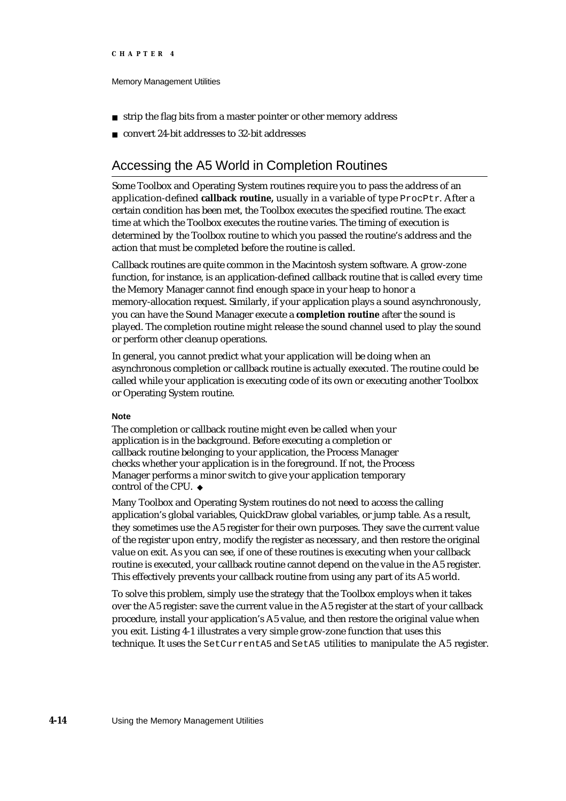#### Memory Management Utilities

- strip the flag bits from a master pointer or other memory address  $n$
- convert 24-bit addresses to 32-bit addresses

### Accessing the A5 World in Completion Routines

Some Toolbox and Operating System routines require you to pass the address of an application-defined **callback routine,** usually in a variable of type ProcPtr. After a certain condition has been met, the Toolbox executes the specified routine. The exact time at which the Toolbox executes the routine varies. The timing of execution is determined by the Toolbox routine to which you passed the routine's address and the action that must be completed before the routine is called.

Callback routines are quite common in the Macintosh system software. A grow-zone function, for instance, is an application-defined callback routine that is called every time the Memory Manager cannot find enough space in your heap to honor a memory-allocation request. Similarly, if your application plays a sound asynchronously, you can have the Sound Manager execute a **completion routine** after the sound is played. The completion routine might release the sound channel used to play the sound or perform other cleanup operations.

In general, you cannot predict what your application will be doing when an asynchronous completion or callback routine is actually executed. The routine could be called while your application is executing code of its own or executing another Toolbox or Operating System routine.

#### **Note**

The completion or callback routine might even be called when your application is in the background. Before executing a completion or callback routine belonging to your application, the Process Manager checks whether your application is in the foreground. If not, the Process Manager performs a minor switch to give your application temporary control of the CPU.

Many Toolbox and Operating System routines do not need to access the calling application's global variables, QuickDraw global variables, or jump table. As a result, they sometimes use the A5 register for their own purposes. They save the current value of the register upon entry, modify the register as necessary, and then restore the original value on exit. As you can see, if one of these routines is executing when your callback routine is executed, your callback routine cannot depend on the value in the A5 register. This effectively prevents your callback routine from using any part of its A5 world.

To solve this problem, simply use the strategy that the Toolbox employs when it takes over the A5 register: save the current value in the A5 register at the start of your callback procedure, install your application's A5 value, and then restore the original value when you exit. Listing 4-1 illustrates a very simple grow-zone function that uses this technique. It uses the SetCurrentA5 and SetA5 utilities to manipulate the A5 register.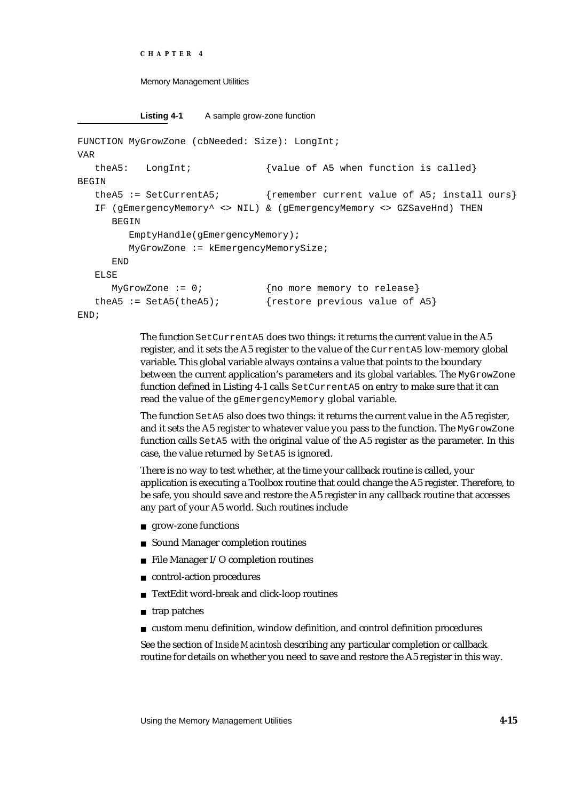**Listing 4-1** A sample grow-zone function

```
FUNCTION MyGrowZone (cbNeeded: Size): LongInt;
VAR
  theA5: LongInt; {value of A5 when function is called}BEGIN
  theA5 := SetCurrentA5; {remember current value of A5; install ours}
  IF (gEmergencyMemory^ <> NIL) & (gEmergencyMemory <> GZSaveHnd) THEN
     BEGIN
        EmptyHandle(gEmergencyMemory);
        MyGrowZone := kEmergencyMemorySize;
     END
  ELSE
     MyGrowZone := 0; \{no more memory to release}
  theA5 := SetA5(theA5); {restore previous value of A5}
END;
```
The function SetCurrentA5 does two things: it returns the current value in the A5 register, and it sets the A5 register to the value of the CurrentA5 low-memory global variable. This global variable always contains a value that points to the boundary between the current application's parameters and its global variables. The MyGrowZone function defined in Listing 4-1 calls SetCurrentA5 on entry to make sure that it can read the value of the gEmergencyMemory global variable.

The function SetA5 also does two things: it returns the current value in the A5 register, and it sets the A5 register to whatever value you pass to the function. The MyGrowZone function calls SetA5 with the original value of the A5 register as the parameter. In this case, the value returned by SetA5 is ignored.

There is no way to test whether, at the time your callback routine is called, your application is executing a Toolbox routine that could change the A5 register. Therefore, to be safe, you should save and restore the A5 register in any callback routine that accesses any part of your A5 world. Such routines include

- grow-zone functions
- Sound Manager completion routines
- $n$  File Manager I/O completion routines
- n control-action procedures
- TextEdit word-break and click-loop routines n
- n trap patches
- custom menu definition, window definition, and control definition procedures

See the section of *Inside Macintosh* describing any particular completion or callback routine for details on whether you need to save and restore the A5 register in this way.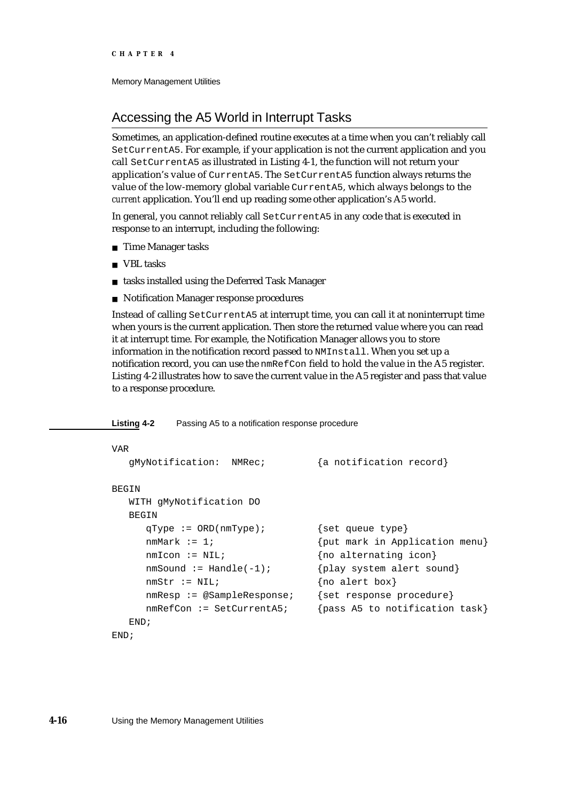### Accessing the A5 World in Interrupt Tasks

Sometimes, an application-defined routine executes at a time when you can't reliably call SetCurrentA5. For example, if your application is not the current application and you call SetCurrentA5 as illustrated in Listing 4-1, the function will not return your application's value of CurrentA5. The SetCurrentA5 function always returns the value of the low-memory global variable CurrentA5, which always belongs to the *current* application. You'll end up reading some other application's A5 world.

In general, you cannot reliably call SetCurrentA5 in any code that is executed in response to an interrupt, including the following:

- n Time Manager tasks
- VBL tasks
- tasks installed using the Deferred Task Manager
- Notification Manager response procedures

Instead of calling SetCurrentA5 at interrupt time, you can call it at noninterrupt time when yours is the current application. Then store the returned value where you can read it at interrupt time. For example, the Notification Manager allows you to store information in the notification record passed to NMInstall. When you set up a notification record, you can use the nmRefCon field to hold the value in the A5 register. Listing 4-2 illustrates how to save the current value in the A5 register and pass that value to a response procedure.

**Listing 4-2** Passing A5 to a notification response procedure

```
VAR
  gMyNotification: NMRec; {a notification record}
BEGIN
  WITH gMyNotification DO
  BEGIN
     qType := ORD(nmType); {set queue type}
     nmMark := 1; {put mark in Application menu}nmIcon := NIL; \{no \text{ alternating icon}\}nmsound := Handle(-1); {play system alert sound}
     nmStr := NIL; {no alert box}
     nmResp := @SampleResponse; {set response procedure}
     nmRefCon := SetCurrentA5; {pass A5 to notification task}
  END;
END;
```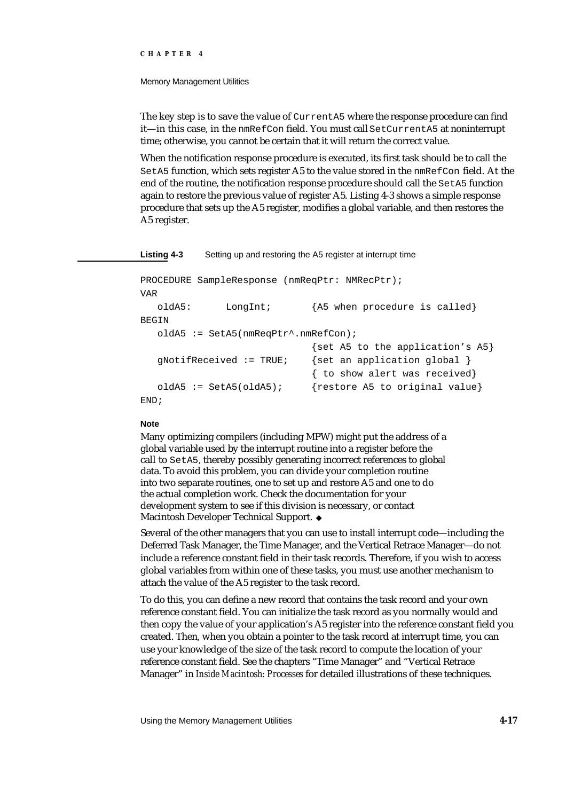#### Memory Management Utilities

The key step is to save the value of CurrentA5 where the response procedure can find it—in this case, in the nmRefCon field. You must call SetCurrentA5 at noninterrupt time; otherwise, you cannot be certain that it will return the correct value.

When the notification response procedure is executed, its first task should be to call the SetA5 function, which sets register A5 to the value stored in the nmRefCon field. At the end of the routine, the notification response procedure should call the SetA5 function again to restore the previous value of register A5. Listing 4-3 shows a simple response procedure that sets up the A5 register, modifies a global variable, and then restores the A5 register.

#### **Listing 4-3** Setting up and restoring the A5 register at interrupt time

```
PROCEDURE SampleResponse (nmReqPtr: NMRecPtr);
VAR
  oldA5: LongInt; {A5 when procedure is called}
BEGIN
  oldA5 := SetA5(nmReqPtr^.nmRefCon);
                             {set A5 to the application's A5}
  qNotifReceived := TRUE; {set an application qlobal }
                             { to show alert was received}
  oldA5 := SetA5(oldA5); {restore A5 to original value}
END;
```
#### **Note**

Many optimizing compilers (including MPW) might put the address of a global variable used by the interrupt routine into a register before the call to SetA5, thereby possibly generating incorrect references to global data. To avoid this problem, you can divide your completion routine into two separate routines, one to set up and restore A5 and one to do the actual completion work. Check the documentation for your development system to see if this division is necessary, or contact Macintosh Developer Technical Support.

Several of the other managers that you can use to install interrupt code—including the Deferred Task Manager, the Time Manager, and the Vertical Retrace Manager—do not include a reference constant field in their task records. Therefore, if you wish to access global variables from within one of these tasks, you must use another mechanism to attach the value of the A5 register to the task record.

To do this, you can define a new record that contains the task record and your own reference constant field. You can initialize the task record as you normally would and then copy the value of your application's A5 register into the reference constant field you created. Then, when you obtain a pointer to the task record at interrupt time, you can use your knowledge of the size of the task record to compute the location of your reference constant field. See the chapters "Time Manager" and "Vertical Retrace Manager" in *Inside Macintosh: Processes* for detailed illustrations of these techniques.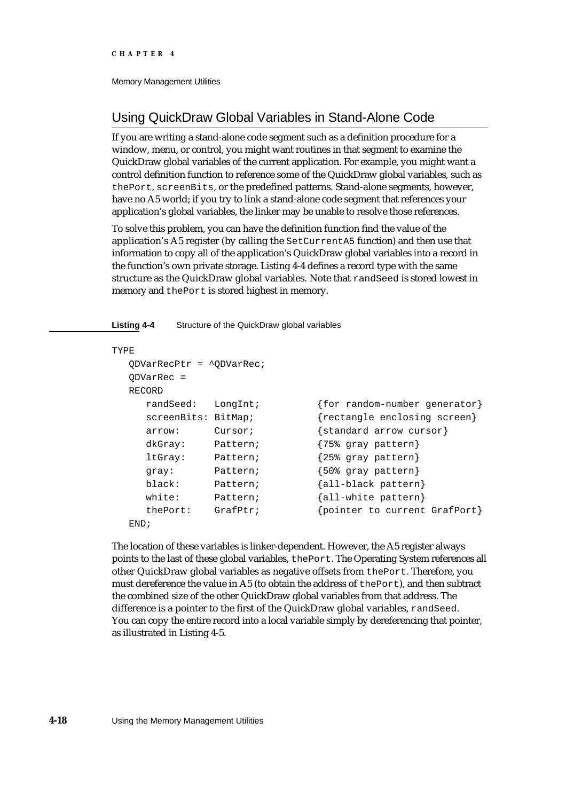## Using QuickDraw Global Variables in Stand-Alone Code

If you are writing a stand-alone code segment such as a definition procedure for a window, menu, or control, you might want routines in that segment to examine the QuickDraw global variables of the current application. For example, you might want a control definition function to reference some of the QuickDraw global variables, such as thePort, screenBits, or the predefined patterns. Stand-alone segments, however, have no A5 world; if you try to link a stand-alone code segment that references your application's global variables, the linker may be unable to resolve those references.

To solve this problem, you can have the definition function find the value of the application's A5 register (by calling the SetCurrentA5 function) and then use that information to copy all of the application's QuickDraw global variables into a record in the function's own private storage. Listing 4-4 defines a record type with the same structure as the QuickDraw global variables. Note that randSeed is stored lowest in memory and thePort is stored highest in memory.

#### **Listing 4-4** Structure of the QuickDraw global variables

```
TYPE
  QDVarRecPtr = ^QDVarRec;
  QDVarRec =
  RECORD
    randSeed: LongInt; {for random-number generator}
    screenBits: BitMap; {rectangle} enclosing screen}
    arrow: Cursor; {standard arrow cursor}
    dkGray: Pattern; {75% gray pattern}
    ltGray: Pattern; {25% gray pattern}
    gray: Pattern; {50%} gray pattern}
    black: Pattern; {all-black pattern}
    white: Pattern; {all-white}\thePort: GrafPtr; {pointer to current GrafPort}
  END;
```
The location of these variables is linker-dependent. However, the A5 register always points to the last of these global variables, thePort. The Operating System references all other QuickDraw global variables as negative offsets from thePort. Therefore, you must dereference the value in A5 (to obtain the address of thePort), and then subtract the combined size of the other QuickDraw global variables from that address. The difference is a pointer to the first of the QuickDraw global variables, randSeed. You can copy the entire record into a local variable simply by dereferencing that pointer, as illustrated in Listing 4-5.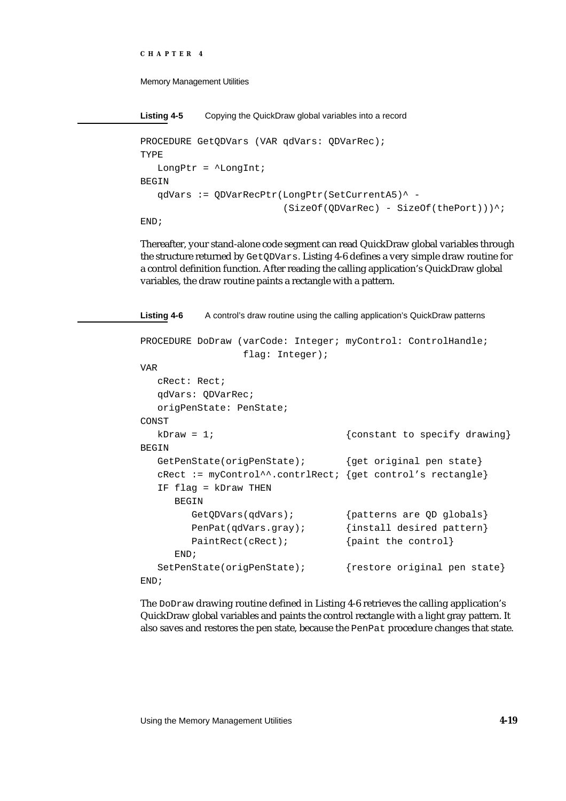```
CHAPTER 4
```

```
Listing 4-5 Copying the QuickDraw global variables into a record
PROCEDURE GetQDVars (VAR qdVars: QDVarRec);
TYPE
   LongPtr = ^LongInt;
BEGIN
   qdVars := QDVarRecPtr(LongPtr(SetCurrentA5)^ -
                           (SizeOf(QDVarRec) - SizeOf(thePort))END;
```
Thereafter, your stand-alone code segment can read QuickDraw global variables through the structure returned by GetQDVars. Listing 4-6 defines a very simple draw routine for a control definition function. After reading the calling application's QuickDraw global variables, the draw routine paints a rectangle with a pattern.

```
Listing 4-6 A control's draw routine using the calling application's QuickDraw patterns
PROCEDURE DoDraw (varCode: Integer; myControl: ControlHandle;
                 flag: Integer);
VAR
  cRect: Rect;
  qdVars: QDVarRec;
  origPenState: PenState;
CONST
  kDraw = 1; {\text{constant to specify drawing}}BEGIN
  GetPenState(origPenState); {get original pen state}
  cRect := myControl^^.contrlRect; {get control's rectangle}
  IF flag = kDraw THEN
     BEGIN
        GetQDVars(qdVars); {patterns are QD globals}
        PenPat(qdVars.gray); {install desired pattern}
        PaintRect(cRect); {paint the control}
     END;
  SetPenState(origPenState); {restore original pen state}
END;
```
The DoDraw drawing routine defined in Listing 4-6 retrieves the calling application's QuickDraw global variables and paints the control rectangle with a light gray pattern. It also saves and restores the pen state, because the PenPat procedure changes that state.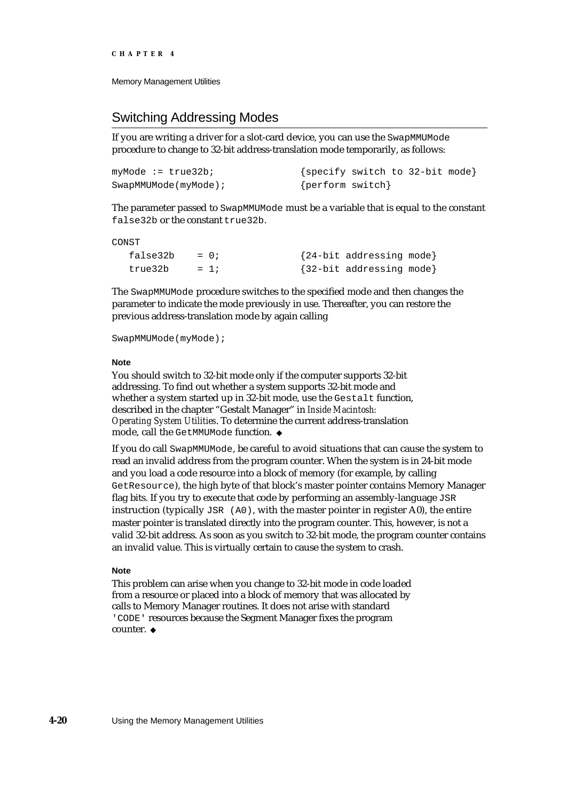### Switching Addressing Modes

If you are writing a driver for a slot-card device, you can use the SwapMMUMode procedure to change to 32-bit address-translation mode temporarily, as follows:

| $myMode := true32b;$ | {specify switch to 32-bit mode} |
|----------------------|---------------------------------|
| SwapMMUMode(myMode); | {perform switch}                |

The parameter passed to SwapMMUMode must be a variable that is equal to the constant false32b or the constant true32b.

CONST

| false32b | $= 0$ : | {24-bit addressing mode} |  |
|----------|---------|--------------------------|--|
| true32b  | $= 1i$  | {32-bit addressing mode} |  |

The SwapMMUMode procedure switches to the specified mode and then changes the parameter to indicate the mode previously in use. Thereafter, you can restore the previous address-translation mode by again calling

SwapMMUMode(myMode);

#### **Note**

You should switch to 32-bit mode only if the computer supports 32-bit addressing. To find out whether a system supports 32-bit mode and whether a system started up in 32-bit mode, use the Gestalt function, described in the chapter "Gestalt Manager" in *Inside Macintosh: Operating System Utilities*. To determine the current address-translation mode, call the GetMMUMode function.

If you do call SwapMMUMode, be careful to avoid situations that can cause the system to read an invalid address from the program counter. When the system is in 24-bit mode and you load a code resource into a block of memory (for example, by calling GetResource), the high byte of that block's master pointer contains Memory Manager flag bits. If you try to execute that code by performing an assembly-language JSR instruction (typically  $JSR (AO)$ , with the master pointer in register A0), the entire master pointer is translated directly into the program counter. This, however, is not a valid 32-bit address. As soon as you switch to 32-bit mode, the program counter contains an invalid value. This is virtually certain to cause the system to crash.

#### **Note**

This problem can arise when you change to 32-bit mode in code loaded from a resource or placed into a block of memory that was allocated by calls to Memory Manager routines. It does not arise with standard 'CODE' resources because the Segment Manager fixes the program counter. u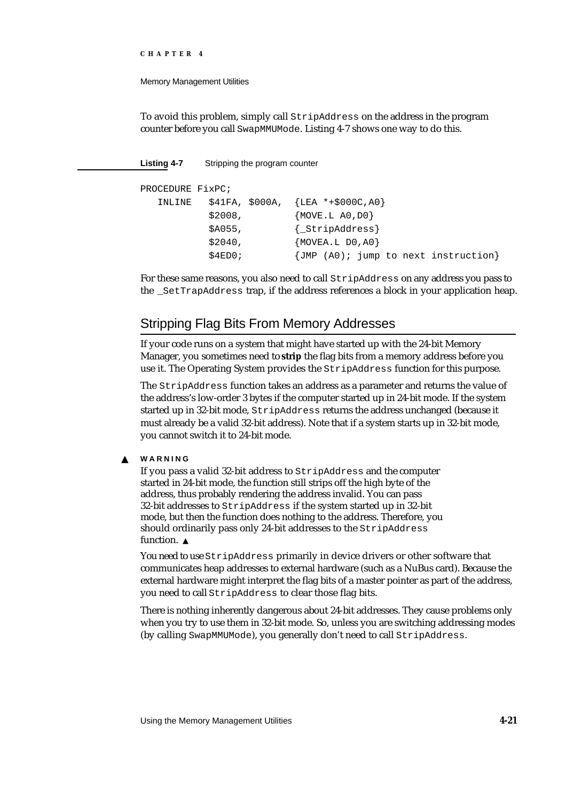#### Memory Management Utilities

To avoid this problem, simply call StripAddress on the address in the program counter before you call SwapMMUMode. Listing 4-7 shows one way to do this.

**Listing 4-7** Stripping the program counter

```
PROCEDURE FixPC;
  INLINE $41FA, $000A, {LEA *+$000C,A0}
          $2008, {MOVE.L A0,D0}
          $A055, {_StripAddress}
          $2040, {MOVEA.L D0,A0}
          $4ED0; \{JMP (A0); jump to next instruction\}
```
For these same reasons, you also need to call StripAddress on any address you pass to the \_SetTrapAddress trap, if the address references a block in your application heap.

### Stripping Flag Bits From Memory Addresses

If your code runs on a system that might have started up with the 24-bit Memory Manager, you sometimes need to **strip** the flag bits from a memory address before you use it. The Operating System provides the StripAddress function for this purpose.

The StripAddress function takes an address as a parameter and returns the value of the address's low-order 3 bytes if the computer started up in 24-bit mode. If the system started up in 32-bit mode, StripAddress returns the address unchanged (because it must already be a valid 32-bit address). Note that if a system starts up in 32-bit mode, you cannot switch it to 24-bit mode.

#### **WARNING** <sub>S</sub>

If you pass a valid 32-bit address to StripAddress and the computer started in 24-bit mode, the function still strips off the high byte of the address, thus probably rendering the address invalid. You can pass 32-bit addresses to StripAddress if the system started up in 32-bit mode, but then the function does nothing to the address. Therefore, you should ordinarily pass only 24-bit addresses to the StripAddress function.<sub>s</sub>

You need to use StripAddress primarily in device drivers or other software that communicates heap addresses to external hardware (such as a NuBus card). Because the external hardware might interpret the flag bits of a master pointer as part of the address, you need to call StripAddress to clear those flag bits.

There is nothing inherently dangerous about 24-bit addresses. They cause problems only when you try to use them in 32-bit mode. So, unless you are switching addressing modes (by calling SwapMMUMode), you generally don't need to call StripAddress.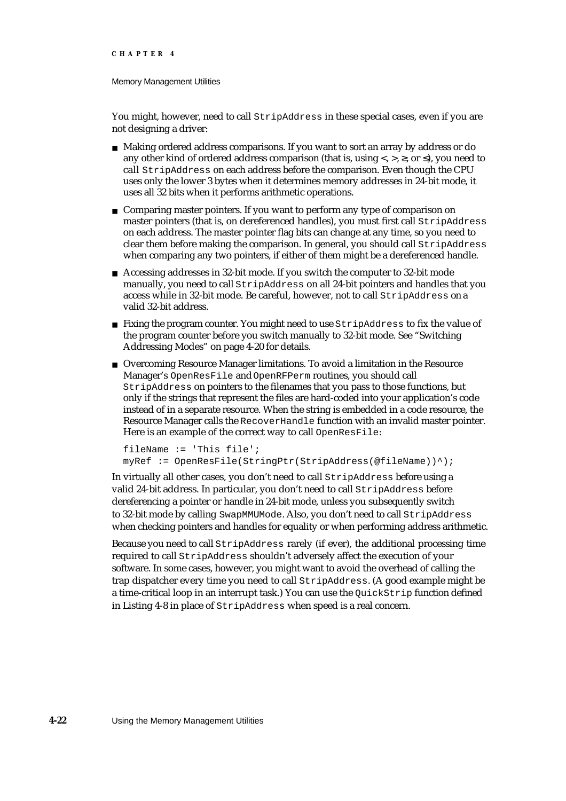#### Memory Management Utilities

You might, however, need to call  $StringAddress$  in these special cases, even if you are not designing a driver:

- Making ordered address comparisons. If you want to sort an array by address or do any other kind of ordered address comparison (that is, using  $\langle, \rangle$ ,  $\langle, \rangle$ , or ), you need to call StripAddress on each address before the comparison. Even though the CPU uses only the lower 3 bytes when it determines memory addresses in 24-bit mode, it uses all 32 bits when it performs arithmetic operations.
- n Comparing master pointers. If you want to perform any type of comparison on master pointers (that is, on dereferenced handles), you must first call StripAddress on each address. The master pointer flag bits can change at any time, so you need to clear them before making the comparison. In general, you should call StripAddress when comparing any two pointers, if either of them might be a dereferenced handle.
- Accessing addresses in 32-bit mode. If you switch the computer to 32-bit mode manually, you need to call StripAddress on all 24-bit pointers and handles that you access while in 32-bit mode. Be careful, however, not to call StripAddress on a valid 32-bit address.
- n Fixing the program counter. You might need to use StripAddress to fix the value of the program counter before you switch manually to 32-bit mode. See "Switching Addressing Modes" on page 4-20 for details.
- Overcoming Resource Manager limitations. To avoid a limitation in the Resource Manager's OpenResFile and OpenRFPerm routines, you should call StripAddress on pointers to the filenames that you pass to those functions, but only if the strings that represent the files are hard-coded into your application's code instead of in a separate resource. When the string is embedded in a code resource, the Resource Manager calls the RecoverHandle function with an invalid master pointer. Here is an example of the correct way to call OpenResFile:

```
fileName := 'This file';
myRef := OpenResFile(StringPtr(StripAddress(@fileName))^);
```
In virtually all other cases, you don't need to call StripAddress before using a valid 24-bit address. In particular, you don't need to call StripAddress before dereferencing a pointer or handle in 24-bit mode, unless you subsequently switch to 32-bit mode by calling SwapMMUMode. Also, you don't need to call StripAddress when checking pointers and handles for equality or when performing address arithmetic.

Because you need to call StripAddress rarely (if ever), the additional processing time required to call StripAddress shouldn't adversely affect the execution of your software. In some cases, however, you might want to avoid the overhead of calling the trap dispatcher every time you need to call StripAddress. (A good example might be a time-critical loop in an interrupt task.) You can use the QuickStrip function defined in Listing 4-8 in place of StripAddress when speed is a real concern.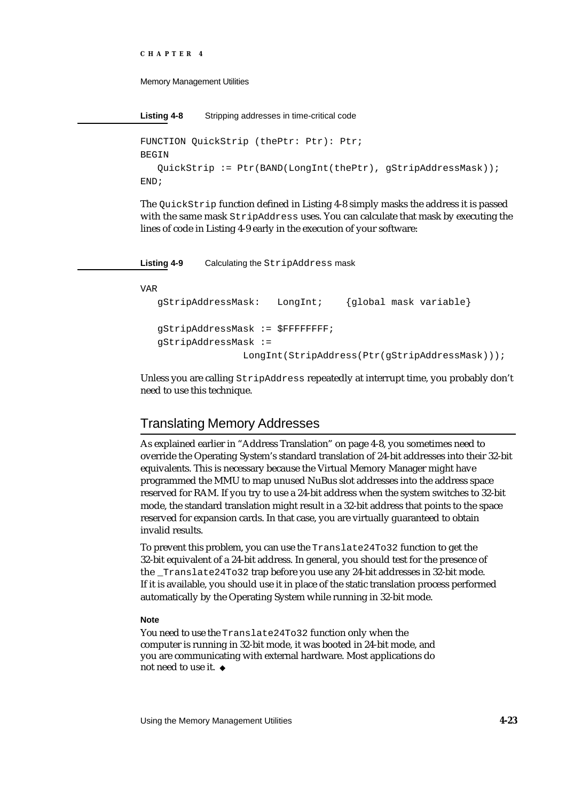```
CHAPTER 4
```

```
Listing 4-8 Stripping addresses in time-critical code
```

```
FUNCTION QuickStrip (thePtr: Ptr): Ptr;
BEGIN
   QuickStrip := Ptr(BAND(LongInt(thePtr), gStripAddressMask));
END;
```
The QuickStrip function defined in Listing 4-8 simply masks the address it is passed with the same mask StripAddress uses. You can calculate that mask by executing the lines of code in Listing 4-9 early in the execution of your software:

**Listing 4-9** Calculating the StripAddress mask

VAR

```
gStripAddressMask: LongInt; {global mask variable}
gStripAddressMask := $FFFFFFFF;
gStripAddressMask :=
              LongInt(StripAddress(Ptr(gStripAddressMask)));
```
Unless you are calling StripAddress repeatedly at interrupt time, you probably don't need to use this technique.

### Translating Memory Addresses

As explained earlier in "Address Translation" on page 4-8, you sometimes need to override the Operating System's standard translation of 24-bit addresses into their 32-bit equivalents. This is necessary because the Virtual Memory Manager might have programmed the MMU to map unused NuBus slot addresses into the address space reserved for RAM. If you try to use a 24-bit address when the system switches to 32-bit mode, the standard translation might result in a 32-bit address that points to the space reserved for expansion cards. In that case, you are virtually guaranteed to obtain invalid results.

To prevent this problem, you can use the Translate24To32 function to get the 32-bit equivalent of a 24-bit address. In general, you should test for the presence of the \_Translate24To32 trap before you use any 24-bit addresses in 32-bit mode. If it is available, you should use it in place of the static translation process performed automatically by the Operating System while running in 32-bit mode.

#### **Note**

You need to use the Translate24To32 function only when the computer is running in 32-bit mode, it was booted in 24-bit mode, and you are communicating with external hardware. Most applications do not need to use it.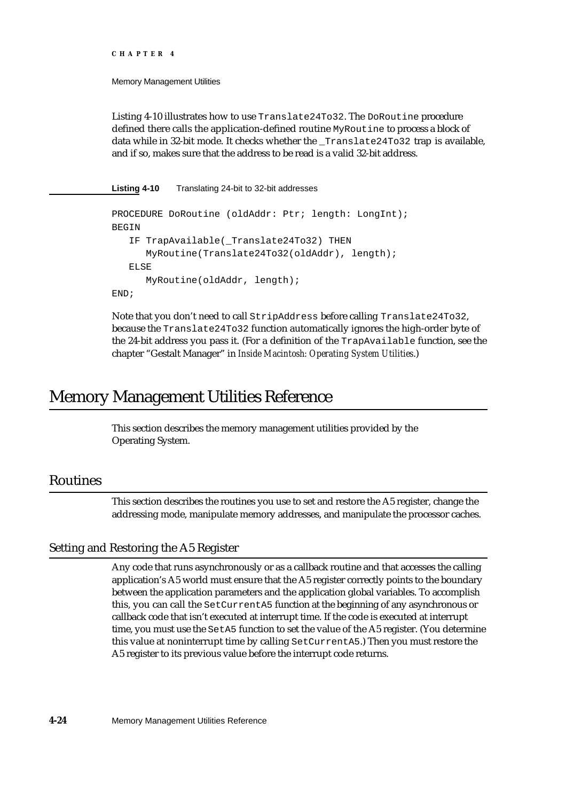Memory Management Utilities

Listing 4-10 illustrates how to use Translate24To32. The DoRoutine procedure defined there calls the application-defined routine MyRoutine to process a block of data while in 32-bit mode. It checks whether the \_Translate24To32 trap is available, and if so, makes sure that the address to be read is a valid 32-bit address.

**Listing 4-10** Translating 24-bit to 32-bit addresses

```
PROCEDURE DoRoutine (oldAddr: Ptr; length: LongInt);
BEGIN
   IF TrapAvailable(_Translate24To32) THEN
      MyRoutine(Translate24To32(oldAddr), length);
   ELSE
      MyRoutine(oldAddr, length);
END;
```
Note that you don't need to call StripAddress before calling Translate24To32, because the Translate24To32 function automatically ignores the high-order byte of the 24-bit address you pass it. (For a definition of the TrapAvailable function, see the chapter "Gestalt Manager" in *Inside Macintosh: Operating System Utilities*.)

# Memory Management Utilities Reference

This section describes the memory management utilities provided by the Operating System.

### Routines

This section describes the routines you use to set and restore the A5 register, change the addressing mode, manipulate memory addresses, and manipulate the processor caches.

### Setting and Restoring the A5 Register

Any code that runs asynchronously or as a callback routine and that accesses the calling application's A5 world must ensure that the A5 register correctly points to the boundary between the application parameters and the application global variables. To accomplish this, you can call the SetCurrentA5 function at the beginning of any asynchronous or callback code that isn't executed at interrupt time. If the code is executed at interrupt time, you must use the SetA5 function to set the value of the A5 register. (You determine this value at noninterrupt time by calling SetCurrentA5.) Then you must restore the A5 register to its previous value before the interrupt code returns.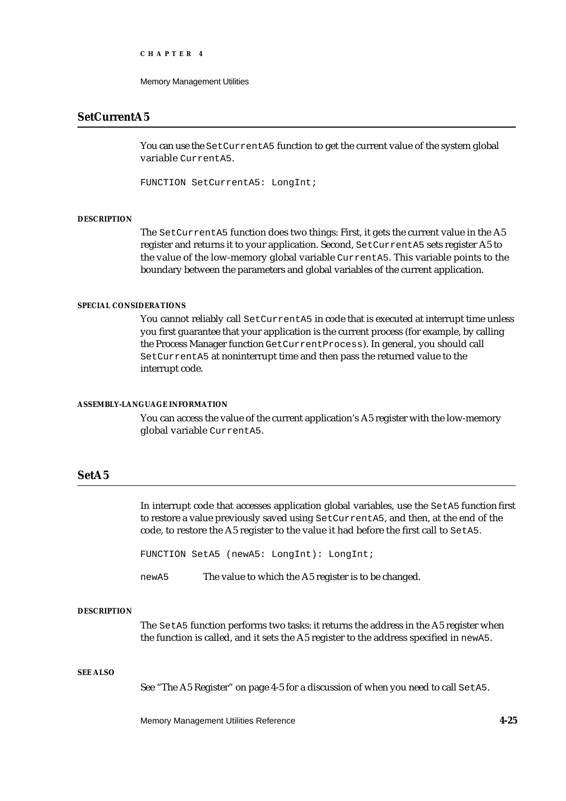Memory Management Utilities

### **SetCurrentA5**

You can use the SetCurrentA5 function to get the current value of the system global variable CurrentA5.

FUNCTION SetCurrentA5: LongInt;

#### **DESCRIPTION**

The SetCurrentA5 function does two things: First, it gets the current value in the A5 register and returns it to your application. Second, SetCurrentA5 sets register A5 to the value of the low-memory global variable CurrentA5. This variable points to the boundary between the parameters and global variables of the current application.

#### **SPECIAL CONSIDERATIONS**

You cannot reliably call SetCurrentA5 in code that is executed at interrupt time unless you first guarantee that your application is the current process (for example, by calling the Process Manager function GetCurrentProcess). In general, you should call SetCurrentA5 at noninterrupt time and then pass the returned value to the interrupt code.

#### **ASSEMBLY-LANGUAGE INFORMATION**

You can access the value of the current application's A5 register with the low-memory global variable CurrentA5.

#### **SetA5**

In interrupt code that accesses application global variables, use the SetA5 function first to restore a value previously saved using SetCurrentA5, and then, at the end of the code, to restore the A5 register to the value it had before the first call to SetA5.

FUNCTION SetA5 (newA5: LongInt): LongInt;

newA5 The value to which the A5 register is to be changed.

#### **DESCRIPTION**

The SetA5 function performs two tasks: it returns the address in the A5 register when the function is called, and it sets the A5 register to the address specified in newA5.

#### **SEE ALSO**

See "The A5 Register" on page 4-5 for a discussion of when you need to call SetA5.

Memory Management Utilities Reference **4-25**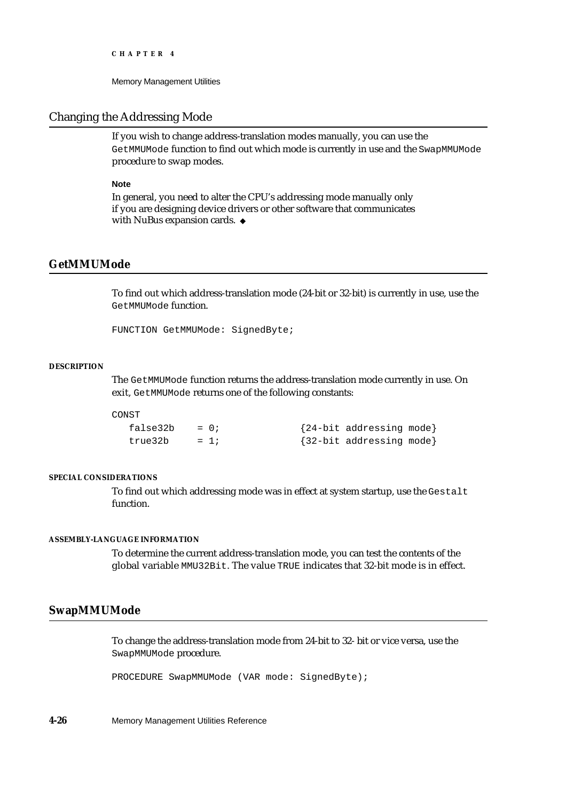```
CHAPTER 4
```
### Changing the Addressing Mode

If you wish to change address-translation modes manually, you can use the GetMMUMode function to find out which mode is currently in use and the SwapMMUMode procedure to swap modes.

#### **Note**

In general, you need to alter the CPU's addressing mode manually only if you are designing device drivers or other software that communicates with NuBus expansion cards. u

### **GetMMUMode**

To find out which address-translation mode (24-bit or 32-bit) is currently in use, use the GetMMUMode function.

FUNCTION GetMMUMode: SignedByte;

#### **DESCRIPTION**

The GetMMUMode function returns the address-translation mode currently in use. On exit, GetMMUMode returns one of the following constants:

CONST

| false32b | $= 0$ ; | {24-bit addressing mode} |
|----------|---------|--------------------------|
| true32b  | $= 1i$  | {32-bit addressing mode} |

#### **SPECIAL CONSIDERATIONS**

To find out which addressing mode was in effect at system startup, use the Gestalt function.

#### **ASSEMBLY-LANGUAGE INFORMATION**

To determine the current address-translation mode, you can test the contents of the global variable MMU32Bit. The value TRUE indicates that 32-bit mode is in effect.

### **SwapMMUMode**

To change the address-translation mode from 24-bit to 32- bit or vice versa, use the SwapMMUMode procedure.

PROCEDURE SwapMMUMode (VAR mode: SignedByte);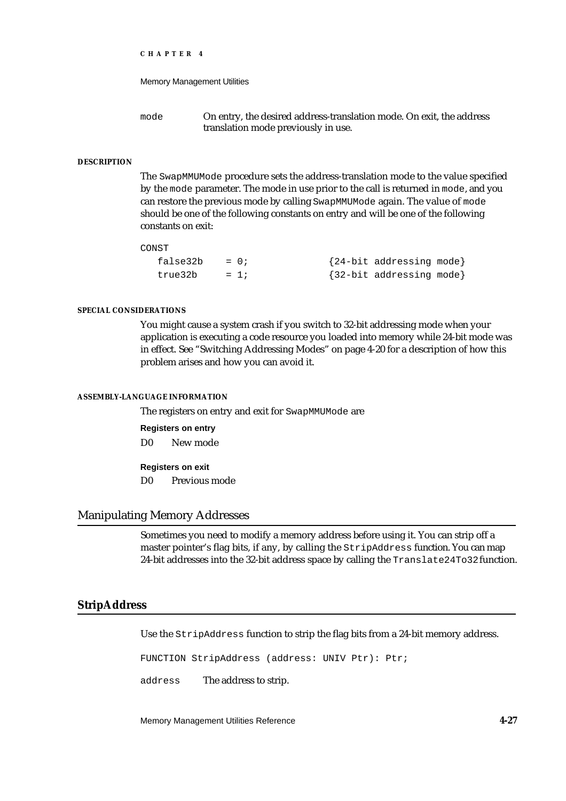```
CHAPTER 4
```
mode On entry, the desired address-translation mode. On exit, the address translation mode previously in use.

#### **DESCRIPTION**

The SwapMMUMode procedure sets the address-translation mode to the value specified by the mode parameter. The mode in use prior to the call is returned in mode, and you can restore the previous mode by calling SwapMMUMode again. The value of mode should be one of the following constants on entry and will be one of the following constants on exit:

CONST

| $false32b = 0;$ |        | {24-bit addressing mode} |  |
|-----------------|--------|--------------------------|--|
| true32b         | $= 1i$ | {32-bit addressing mode} |  |

#### **SPECIAL CONSIDERATIONS**

You might cause a system crash if you switch to 32-bit addressing mode when your application is executing a code resource you loaded into memory while 24-bit mode was in effect. See "Switching Addressing Modes" on page 4-20 for a description of how this problem arises and how you can avoid it.

#### **ASSEMBLY-LANGUAGE INFORMATION**

The registers on entry and exit for SwapMMUMode are

**Registers on entry**

D0 New mode

**Registers on exit**

D0 Previous mode

### Manipulating Memory Addresses

Sometimes you need to modify a memory address before using it. You can strip off a master pointer's flag bits, if any, by calling the StripAddress function. You can map 24-bit addresses into the 32-bit address space by calling the Translate24To32 function.

### **StripAddress**

Use the StripAddress function to strip the flag bits from a 24-bit memory address.

FUNCTION StripAddress (address: UNIV Ptr): Ptr;

address The address to strip.

Memory Management Utilities Reference **4-27**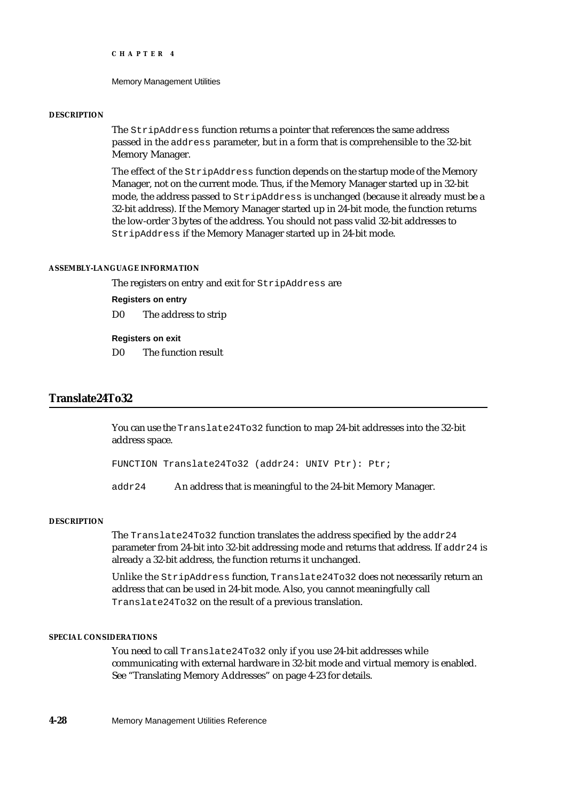Memory Management Utilities

#### **DESCRIPTION**

The StripAddress function returns a pointer that references the same address passed in the address parameter, but in a form that is comprehensible to the 32-bit Memory Manager.

The effect of the StripAddress function depends on the startup mode of the Memory Manager, not on the current mode. Thus, if the Memory Manager started up in 32-bit mode, the address passed to StripAddress is unchanged (because it already must be a 32-bit address). If the Memory Manager started up in 24-bit mode, the function returns the low-order 3 bytes of the address. You should not pass valid 32-bit addresses to StripAddress if the Memory Manager started up in 24-bit mode.

#### **ASSEMBLY-LANGUAGE INFORMATION**

The registers on entry and exit for StripAddress are

#### **Registers on entry**

D0 The address to strip

#### **Registers on exit**

D0 The function result

### **Translate24To32**

You can use the Translate24To32 function to map 24-bit addresses into the 32-bit address space.

FUNCTION Translate24To32 (addr24: UNIV Ptr): Ptr;

addr24 An address that is meaningful to the 24-bit Memory Manager.

#### **DESCRIPTION**

The Translate24To32 function translates the address specified by the addr24 parameter from 24-bit into 32-bit addressing mode and returns that address. If  $\text{addr24}$  is already a 32-bit address, the function returns it unchanged.

Unlike the StripAddress function, Translate24To32 does not necessarily return an address that can be used in 24-bit mode. Also, you cannot meaningfully call Translate24To32 on the result of a previous translation.

#### **SPECIAL CONSIDERATIONS**

You need to call Translate24To32 only if you use 24-bit addresses while communicating with external hardware in 32-bit mode and virtual memory is enabled. See "Translating Memory Addresses" on page 4-23 for details.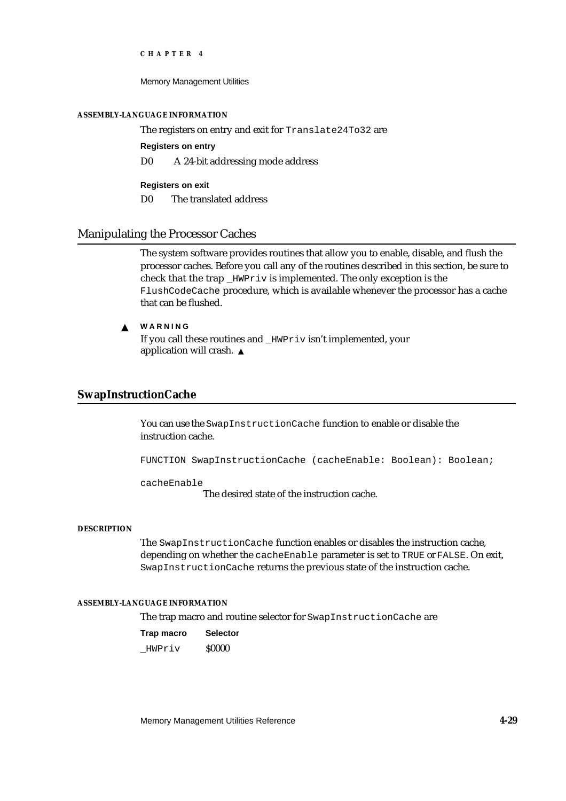Memory Management Utilities

#### **ASSEMBLY-LANGUAGE INFORMATION**

The registers on entry and exit for Translate24To32 are

**Registers on entry**

D0 A 24-bit addressing mode address

**Registers on exit** D0 The translated address

### Manipulating the Processor Caches

The system software provides routines that allow you to enable, disable, and flush the processor caches. Before you call any of the routines described in this section, be sure to check that the trap \_HWPriv is implemented. The only exception is the FlushCodeCache procedure, which is available whenever the processor has a cache that can be flushed.

#### **WARNING**  $\mathbf{s}$

If you call these routines and HWPriv isn't implemented, your application will crash.

### **SwapInstructionCache**

You can use the SwapInstructionCache function to enable or disable the instruction cache.

FUNCTION SwapInstructionCache (cacheEnable: Boolean): Boolean;

cacheEnable

The desired state of the instruction cache.

#### **DESCRIPTION**

The SwapInstructionCache function enables or disables the instruction cache, depending on whether the cacheEnable parameter is set to TRUE or FALSE. On exit, SwapInstructionCache returns the previous state of the instruction cache.

#### **ASSEMBLY-LANGUAGE INFORMATION**

The trap macro and routine selector for SwapInstructionCache are

| Trap macro | <b>Selector</b> |
|------------|-----------------|
| HWPriv     | <b>S0000</b>    |

Memory Management Utilities Reference **4-29**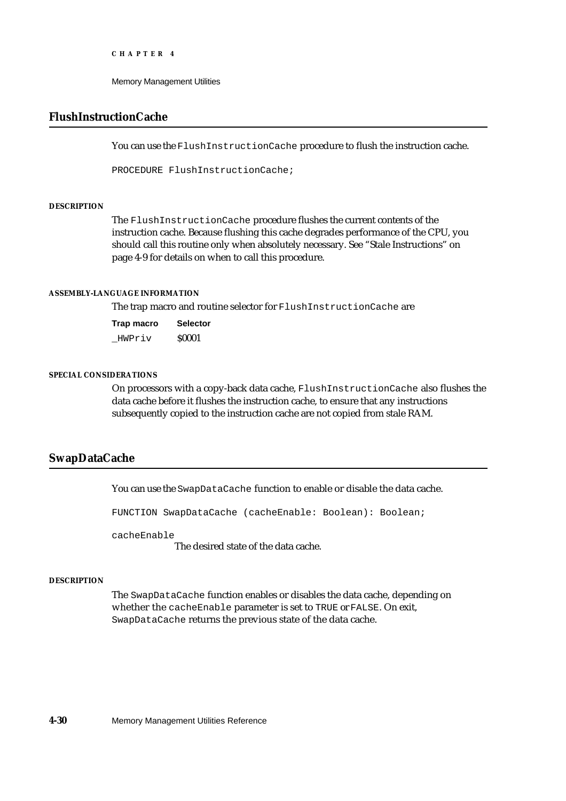Memory Management Utilities

### **FlushInstructionCache**

You can use the FlushInstructionCache procedure to flush the instruction cache.

PROCEDURE FlushInstructionCache;

#### **DESCRIPTION**

The FlushInstructionCache procedure flushes the current contents of the instruction cache. Because flushing this cache degrades performance of the CPU, you should call this routine only when absolutely necessary. See "Stale Instructions" on page 4-9 for details on when to call this procedure.

#### **ASSEMBLY-LANGUAGE INFORMATION**

The trap macro and routine selector for FlushInstructionCache are

| Trap macro | <b>Selector</b> |
|------------|-----------------|
| HWPriv     | \$0001          |

#### **SPECIAL CONSIDERATIONS**

On processors with a copy-back data cache, FlushInstructionCache also flushes the data cache before it flushes the instruction cache, to ensure that any instructions subsequently copied to the instruction cache are not copied from stale RAM.

### **SwapDataCache**

You can use the SwapDataCache function to enable or disable the data cache.

FUNCTION SwapDataCache (cacheEnable: Boolean): Boolean;

cacheEnable

The desired state of the data cache.

#### **DESCRIPTION**

The SwapDataCache function enables or disables the data cache, depending on whether the cacheEnable parameter is set to TRUE or FALSE. On exit, SwapDataCache returns the previous state of the data cache.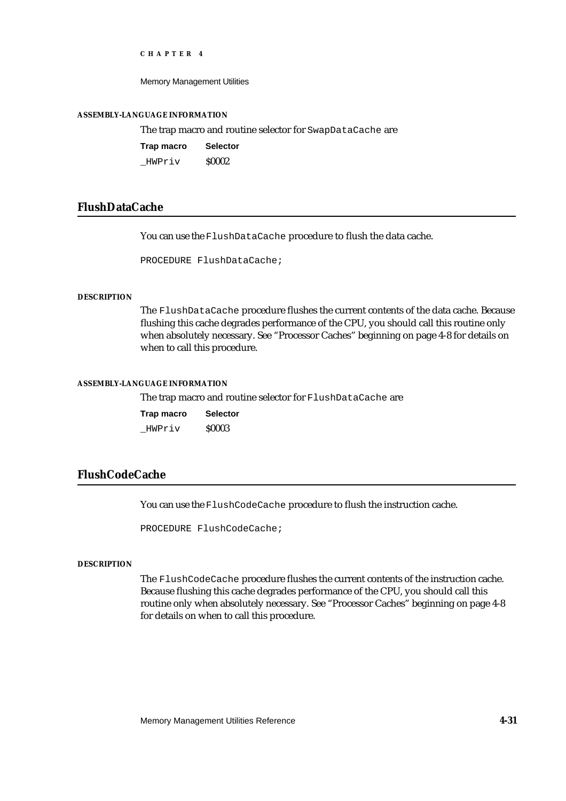Memory Management Utilities

#### **ASSEMBLY-LANGUAGE INFORMATION**

The trap macro and routine selector for SwapDataCache are

| Trap macro | <b>Selector</b> |
|------------|-----------------|
| HWPriv     | <b>S0002</b>    |

### **FlushDataCache**

You can use the FlushDataCache procedure to flush the data cache.

PROCEDURE FlushDataCache;

#### **DESCRIPTION**

The FlushDataCache procedure flushes the current contents of the data cache. Because flushing this cache degrades performance of the CPU, you should call this routine only when absolutely necessary. See "Processor Caches" beginning on page 4-8 for details on when to call this procedure.

#### **ASSEMBLY-LANGUAGE INFORMATION**

The trap macro and routine selector for FlushDataCache are

| Trap macro | <b>Selector</b> |
|------------|-----------------|
| HWPriv     | <b>S0003</b>    |

### **FlushCodeCache**

You can use the FlushCodeCache procedure to flush the instruction cache.

PROCEDURE FlushCodeCache;

#### **DESCRIPTION**

The FlushCodeCache procedure flushes the current contents of the instruction cache. Because flushing this cache degrades performance of the CPU, you should call this routine only when absolutely necessary. See "Processor Caches" beginning on page 4-8 for details on when to call this procedure.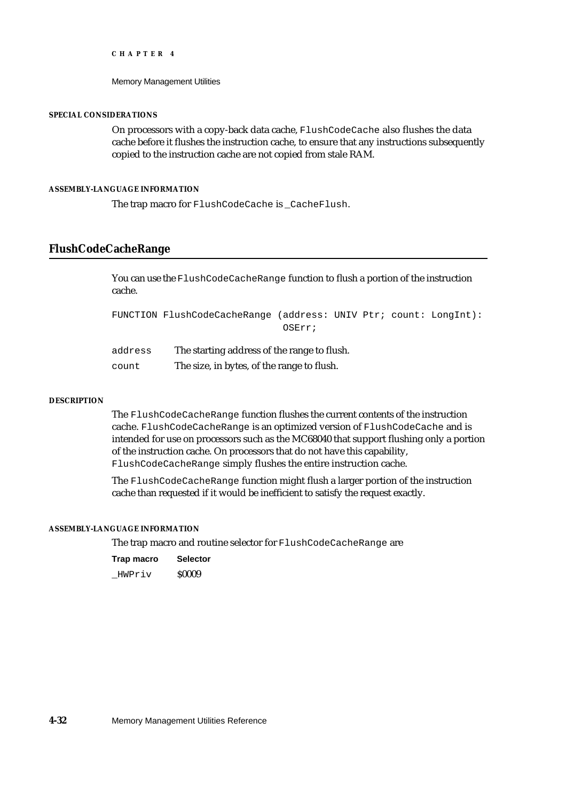Memory Management Utilities

#### **SPECIAL CONSIDERATIONS**

On processors with a copy-back data cache, FlushCodeCache also flushes the data cache before it flushes the instruction cache, to ensure that any instructions subsequently copied to the instruction cache are not copied from stale RAM.

#### **ASSEMBLY-LANGUAGE INFORMATION**

The trap macro for FlushCodeCache is CacheFlush.

### **FlushCodeCacheRange**

You can use the FlushCodeCacheRange function to flush a portion of the instruction cache.

FUNCTION FlushCodeCacheRange (address: UNIV Ptr; count: LongInt): OSErr;

address The starting address of the range to flush. count The size, in bytes, of the range to flush.

#### **DESCRIPTION**

The FlushCodeCacheRange function flushes the current contents of the instruction cache. FlushCodeCacheRange is an optimized version of FlushCodeCache and is intended for use on processors such as the MC68040 that support flushing only a portion of the instruction cache. On processors that do not have this capability, FlushCodeCacheRange simply flushes the entire instruction cache.

The FlushCodeCacheRange function might flush a larger portion of the instruction cache than requested if it would be inefficient to satisfy the request exactly.

#### **ASSEMBLY-LANGUAGE INFORMATION**

The trap macro and routine selector for FlushCodeCacheRange are

| Trap macro | <b>Selector</b> |
|------------|-----------------|
| HWPriv     | <b>S0009</b>    |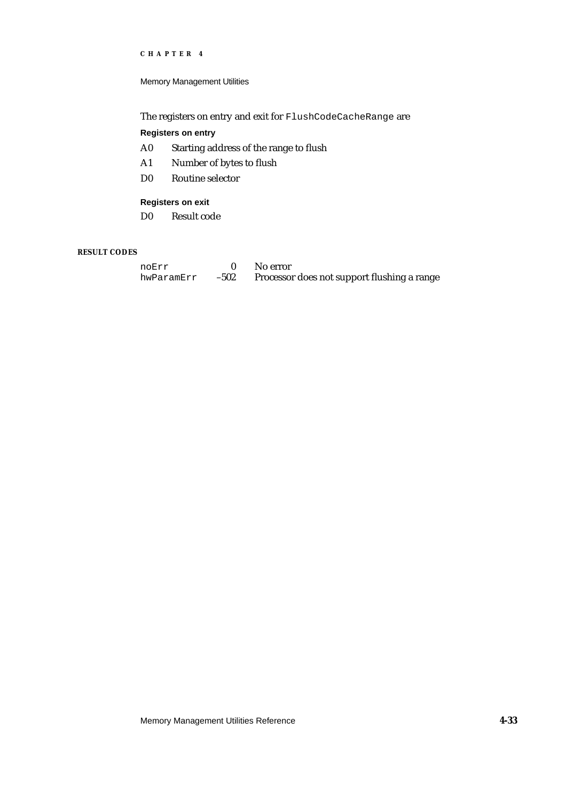Memory Management Utilities

The registers on entry and exit for FlushCodeCacheRange are

#### **Registers on entry**

- A0 Starting address of the range to flush
- A1 Number of bytes to flush
- D0 Routine selector

#### **Registers on exit**

D0 Result code

#### **RESULT CODES**

| noErr      |      | No error                                    |
|------------|------|---------------------------------------------|
| hwParamErr | -502 | Processor does not support flushing a range |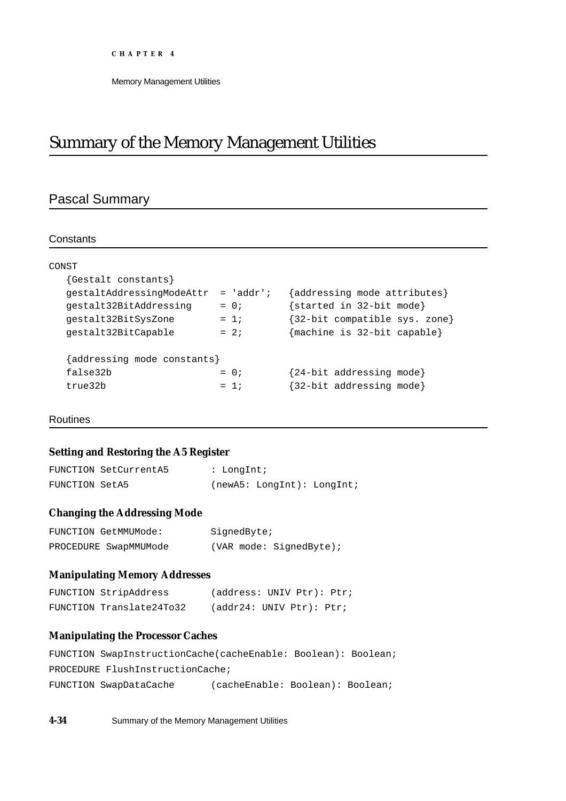# Summary of the Memory Management Utilities

## Pascal Summary

#### **Constants**

| CONST                       |             |                               |
|-----------------------------|-------------|-------------------------------|
| {Gestalt constants}         |             |                               |
| qestaltAddressinqModeAttr   | $= 'addr';$ | {addressing mode attributes}  |
| qestalt32BitAddressinq      | $= 0;$      | {started in 32-bit mode}      |
| qestalt32BitSysZone         | $= 1i$      | {32-bit compatible sys. zone} |
| qestalt32BitCapable         | $= 2i$      | {machine is 32-bit capable}   |
| {addressing mode constants} |             |                               |
| false32b                    | $= 0$ ;     | {24-bit addressing mode}      |
| true32b                     | $= 1:$      | {32-bit addressing mode}      |
|                             |             |                               |

#### Routines

### **Setting and Restoring the A5 Register**

|                | FUNCTION SetCurrentA5 | : LongInt; |                            |  |
|----------------|-----------------------|------------|----------------------------|--|
| FUNCTION SetA5 |                       |            | (newA5: LondInt): LondInt; |  |

### **Changing the Addressing Mode**

| FUNCTION GetMMUMode:  | SignedByte; |                         |
|-----------------------|-------------|-------------------------|
| PROCEDURE SwapMMUMode |             | (VAR mode: SignedByte); |

### **Manipulating Memory Addresses**

| FUNCTION StripAddress    | (address: UNIV Ptr): Ptr; |  |  |
|--------------------------|---------------------------|--|--|
| FUNCTION Translate24To32 | (addr24: UNIV Ptr): Ptr;  |  |  |

### **Manipulating the Processor Caches**

| FUNCTION SwapInstructionCache(cacheEnable: Boolean): Boolean; |                                  |  |
|---------------------------------------------------------------|----------------------------------|--|
| PROCEDURE FlushInstructionCache;                              |                                  |  |
| FUNCTION SwapDataCache                                        | (cacheEnable: Boolean): Boolean; |  |

**4-34** Summary of the Memory Management Utilities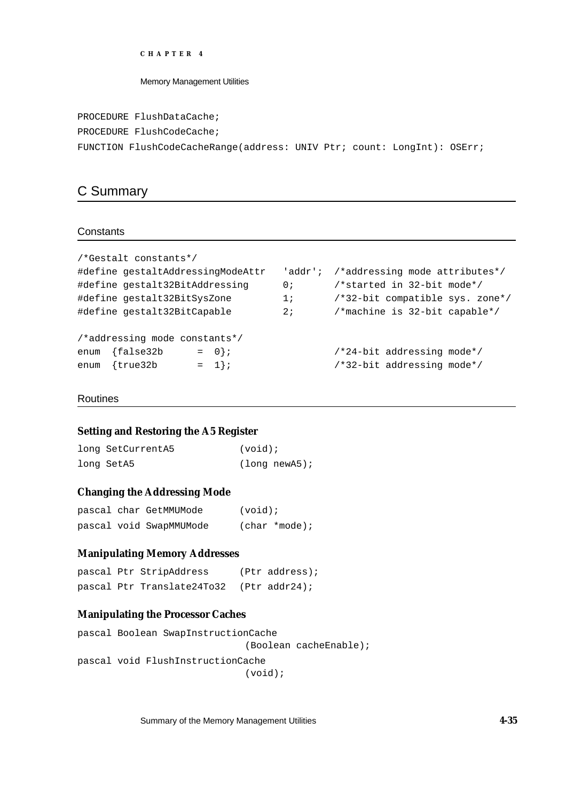Memory Management Utilities

PROCEDURE FlushDataCache;

PROCEDURE FlushCodeCache;

```
FUNCTION FlushCodeCacheRange(address: UNIV Ptr; count: LongInt): OSErr;
```
### C Summary

#### **Constants**

```
/*Gestalt constants*/
#define gestaltAddressingModeAttr 'addr'; /*addressing mode attributes*/
#define gestalt32BitAddressing 0; /*started in 32-bit mode*/
#define gestalt32BitSysZone 1; /*32-bit compatible sys. zone*/
#define gestalt32BitCapable 2; /*machine is 32-bit capable*/
/*addressing mode constants*/
enum {false32b = 0}; /24-bit addressing mode*/enum \{true32b = 1\}; /*32-bit addressing mode*/
```
#### Routines

#### **Setting and Restoring the A5 Register**

| long SetCurrentA5 | $(void)$ ;       |
|-------------------|------------------|
| long SetA5        | $(lonq newA5)$ ; |

### **Changing the Addressing Mode**

|  | pascal char GetMMUMode  | $(void)$ ;    |
|--|-------------------------|---------------|
|  | pascal void SwapMMUMode | (char *mode); |

### **Manipulating Memory Addresses**

```
pascal Ptr StripAddress (Ptr address);
pascal Ptr Translate24To32 (Ptr addr24);
```
### **Manipulating the Processor Caches**

```
pascal Boolean SwapInstructionCache
                             (Boolean cacheEnable);
pascal void FlushInstructionCache
                             (void);
```
Summary of the Memory Management Utilities **4-35**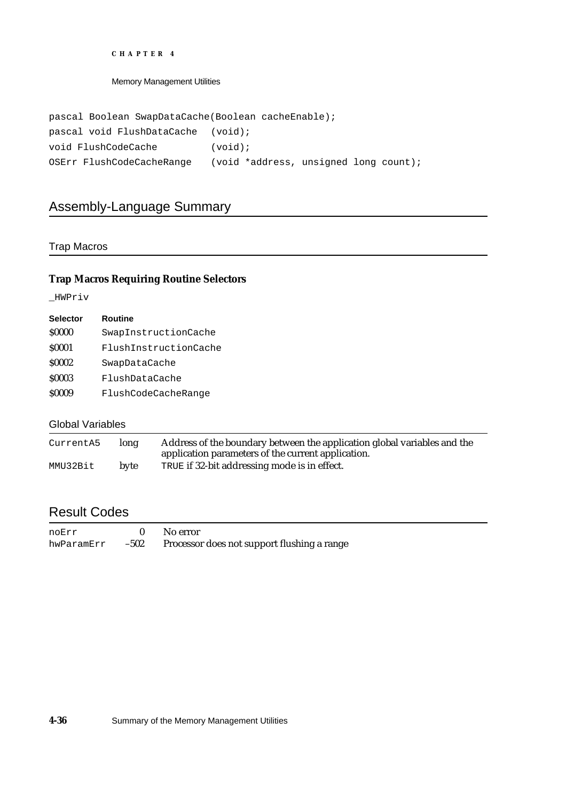Memory Management Utilities

| pascal Boolean SwapDataCache (Boolean cacheEnable); |                                       |
|-----------------------------------------------------|---------------------------------------|
| pascal void FlushDataCache (void);                  |                                       |
| void FlushCodeCache                                 | $(void)$ ;                            |
| OSErr FlushCodeCacheRange                           | (void *address, unsigned long count); |

## Assembly-Language Summary

### Trap Macros

### **Trap Macros Requiring Routine Selectors**

\_HWPriv

| <b>Selector</b> | <b>Routine</b>        |
|-----------------|-----------------------|
| <b>S0000</b>    | SwapInstructionCache  |
| <b>S0001</b>    | FlushInstructionCache |
| <b>S0002</b>    | SwapDataCache         |
| <b>S0003</b>    | FlushDataCache        |
| \$0009          | FlushCodeCacheRange   |
|                 |                       |

### Global Variables

| CurrentA5 | long | Address of the boundary between the application global variables and the<br>application parameters of the current application. |
|-----------|------|--------------------------------------------------------------------------------------------------------------------------------|
| MMU32Bit  | byte | TRUE if 32-bit addressing mode is in effect.                                                                                   |

## Result Codes

| noErr      |        | No error                                    |
|------------|--------|---------------------------------------------|
| hwParamErr | $-502$ | Processor does not support flushing a range |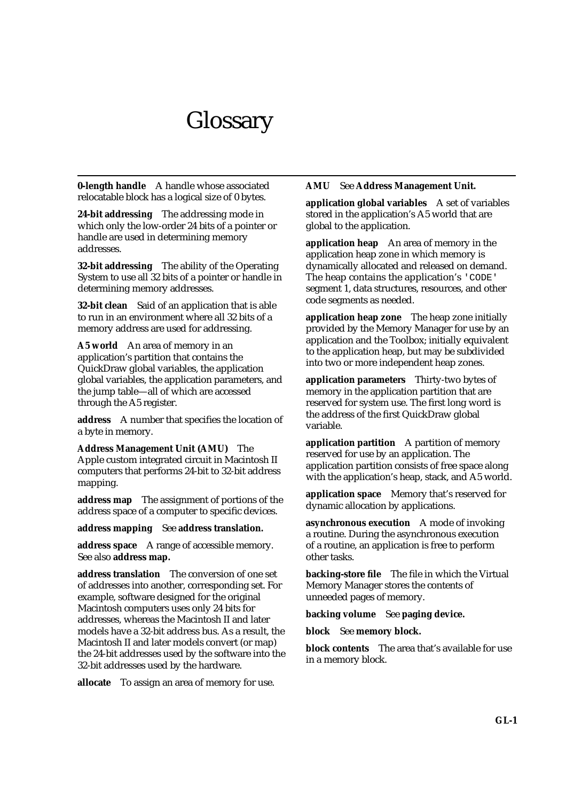# **Glossary**

**0-length handle** A handle whose associated relocatable block has a logical size of 0 bytes.

**24-bit addressing** The addressing mode in which only the low-order 24 bits of a pointer or handle are used in determining memory addresses.

**32-bit addressing** The ability of the Operating System to use all 32 bits of a pointer or handle in determining memory addresses.

**32-bit clean** Said of an application that is able to run in an environment where all 32 bits of a memory address are used for addressing.

**A5 world** An area of memory in an application's partition that contains the QuickDraw global variables, the application global variables, the application parameters, and the jump table—all of which are accessed through the A5 register.

**address** A number that specifies the location of a byte in memory.

**Address Management Unit (AMU)** The Apple custom integrated circuit in Macintosh II computers that performs 24-bit to 32-bit address mapping.

**address map** The assignment of portions of the address space of a computer to specific devices.

**address mapping** See **address translation.**

**address space** A range of accessible memory. See also **address map.**

**address translation** The conversion of one set of addresses into another, corresponding set. For example, software designed for the original Macintosh computers uses only 24 bits for addresses, whereas the Macintosh II and later models have a 32-bit address bus. As a result, the Macintosh II and later models convert (or map) the 24-bit addresses used by the software into the 32-bit addresses used by the hardware.

**allocate** To assign an area of memory for use.

#### **AMU** See **Address Management Unit.**

**application global variables** A set of variables stored in the application's A5 world that are global to the application.

**application heap** An area of memory in the application heap zone in which memory is dynamically allocated and released on demand. The heap contains the application's 'CODE' segment 1, data structures, resources, and other code segments as needed.

**application heap zone** The heap zone initially provided by the Memory Manager for use by an application and the Toolbox; initially equivalent to the application heap, but may be subdivided into two or more independent heap zones.

**application parameters** Thirty-two bytes of memory in the application partition that are reserved for system use. The first long word is the address of the first QuickDraw global variable.

**application partition** A partition of memory reserved for use by an application. The application partition consists of free space along with the application's heap, stack, and A5 world.

**application space** Memory that's reserved for dynamic allocation by applications.

**asynchronous execution** A mode of invoking a routine. During the asynchronous execution of a routine, an application is free to perform other tasks.

**backing-store file** The file in which the Virtual Memory Manager stores the contents of unneeded pages of memory.

**backing volume** See **paging device.**

**block** See **memory block.**

**block contents** The area that's available for use in a memory block.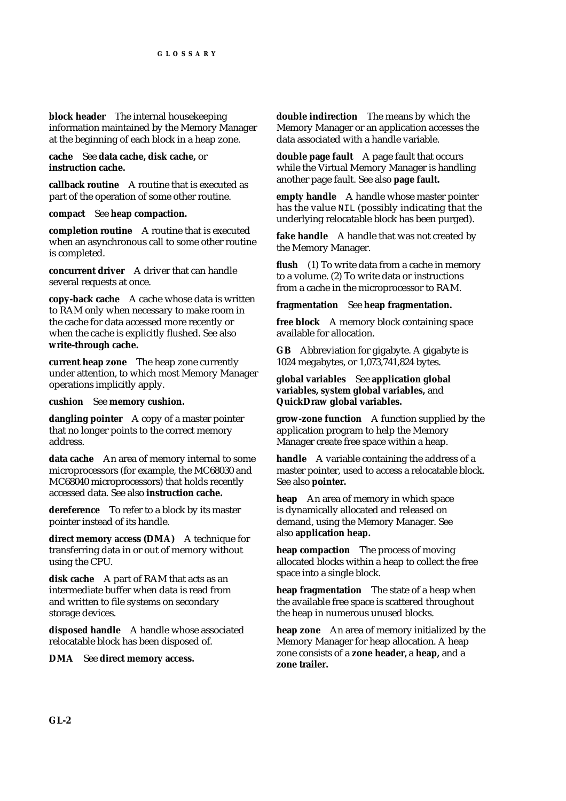**block header** The internal housekeeping information maintained by the Memory Manager at the beginning of each block in a heap zone.

**cache** See **data cache, disk cache,** or **instruction cache.**

**callback routine** A routine that is executed as part of the operation of some other routine.

#### **compact** See **heap compaction.**

**completion routine** A routine that is executed when an asynchronous call to some other routine is completed.

**concurrent driver** A driver that can handle several requests at once.

**copy-back cache** A cache whose data is written to RAM only when necessary to make room in the cache for data accessed more recently or when the cache is explicitly flushed. See also **write-through cache.**

**current heap zone** The heap zone currently under attention, to which most Memory Manager operations implicitly apply.

**cushion** See **memory cushion.**

**dangling pointer** A copy of a master pointer that no longer points to the correct memory address.

**data cache** An area of memory internal to some microprocessors (for example, the MC68030 and MC68040 microprocessors) that holds recently accessed data. See also **instruction cache.**

**dereference** To refer to a block by its master pointer instead of its handle.

**direct memory access (DMA)** A technique for transferring data in or out of memory without using the CPU.

**disk cache** A part of RAM that acts as an intermediate buffer when data is read from and written to file systems on secondary storage devices.

**disposed handle** A handle whose associated relocatable block has been disposed of.

**DMA** See **direct memory access.**

**double indirection** The means by which the Memory Manager or an application accesses the data associated with a handle variable.

**double page fault** A page fault that occurs while the Virtual Memory Manager is handling another page fault. See also **page fault.**

**empty handle** A handle whose master pointer has the value NIL (possibly indicating that the underlying relocatable block has been purged).

fake handle A handle that was not created by the Memory Manager.

flush (1) To write data from a cache in memory to a volume. (2) To write data or instructions from a cache in the microprocessor to RAM.

**fragmentation** See **heap fragmentation.**

**free block** A memory block containing space available for allocation.

**GB** Abbreviation for gigabyte. A gigabyte is 1024 megabytes, or 1,073,741,824 bytes.

**global variables** See **application global variables, system global variables,** and **QuickDraw global variables.**

**grow-zone function** A function supplied by the application program to help the Memory Manager create free space within a heap.

**handle** A variable containing the address of a master pointer, used to access a relocatable block. See also **pointer.**

**heap** An area of memory in which space is dynamically allocated and released on demand, using the Memory Manager. See also **application heap.**

**heap compaction** The process of moving allocated blocks within a heap to collect the free space into a single block.

**heap fragmentation** The state of a heap when the available free space is scattered throughout the heap in numerous unused blocks.

**heap zone** An area of memory initialized by the Memory Manager for heap allocation. A heap zone consists of a **zone header,** a **heap,** and a **zone trailer.**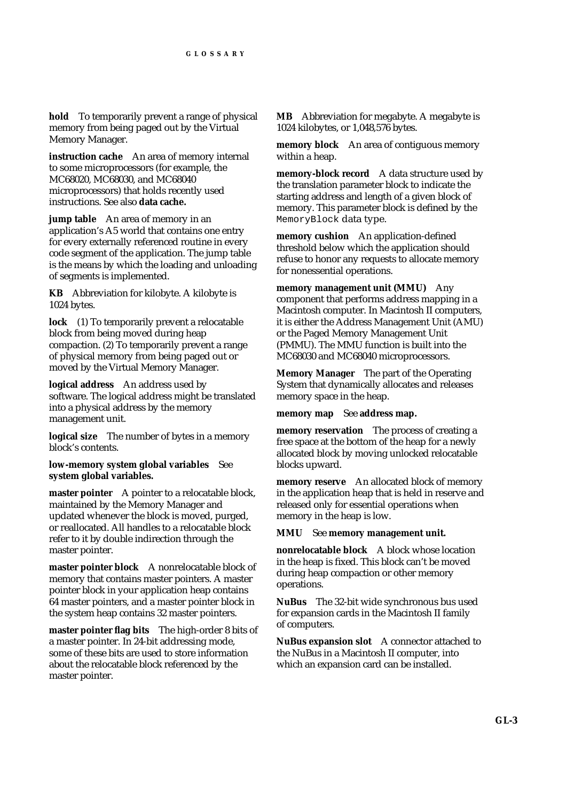**hold** To temporarily prevent a range of physical memory from being paged out by the Virtual Memory Manager.

**instruction cache** An area of memory internal to some microprocessors (for example, the MC68020, MC68030, and MC68040 microprocessors) that holds recently used instructions. See also **data cache.**

**jump table** An area of memory in an application's A5 world that contains one entry for every externally referenced routine in every code segment of the application. The jump table is the means by which the loading and unloading of segments is implemented.

**KB** Abbreviation for kilobyte. A kilobyte is 1024 bytes.

**lock** (1) To temporarily prevent a relocatable block from being moved during heap compaction. (2) To temporarily prevent a range of physical memory from being paged out or moved by the Virtual Memory Manager.

**logical address** An address used by software. The logical address might be translated into a physical address by the memory management unit.

**logical size** The number of bytes in a memory block's contents.

**low-memory system global variables** See **system global variables.**

**master pointer** A pointer to a relocatable block, maintained by the Memory Manager and updated whenever the block is moved, purged, or reallocated. All handles to a relocatable block refer to it by double indirection through the master pointer.

**master pointer block** A nonrelocatable block of memory that contains master pointers. A master pointer block in your application heap contains 64 master pointers, and a master pointer block in the system heap contains 32 master pointers.

**master pointer flag bits** The high-order 8 bits of a master pointer. In 24-bit addressing mode, some of these bits are used to store information about the relocatable block referenced by the master pointer.

**MB** Abbreviation for megabyte. A megabyte is 1024 kilobytes, or 1,048,576 bytes.

**memory block** An area of contiguous memory within a heap.

**memory-block record** A data structure used by the translation parameter block to indicate the starting address and length of a given block of memory. This parameter block is defined by the MemoryBlock data type.

**memory cushion** An application-defined threshold below which the application should refuse to honor any requests to allocate memory for nonessential operations.

**memory management unit (MMU)** Any component that performs address mapping in a Macintosh computer. In Macintosh II computers, it is either the Address Management Unit (AMU) or the Paged Memory Management Unit (PMMU). The MMU function is built into the MC68030 and MC68040 microprocessors.

**Memory Manager** The part of the Operating System that dynamically allocates and releases memory space in the heap.

**memory map** See **address map.**

**memory reservation** The process of creating a free space at the bottom of the heap for a newly allocated block by moving unlocked relocatable blocks upward.

**memory reserve** An allocated block of memory in the application heap that is held in reserve and released only for essential operations when memory in the heap is low.

**MMU** See **memory management unit.**

**nonrelocatable block** A block whose location in the heap is fixed. This block can't be moved during heap compaction or other memory operations.

**NuBus** The 32-bit wide synchronous bus used for expansion cards in the Macintosh II family of computers.

**NuBus expansion slot** A connector attached to the NuBus in a Macintosh II computer, into which an expansion card can be installed.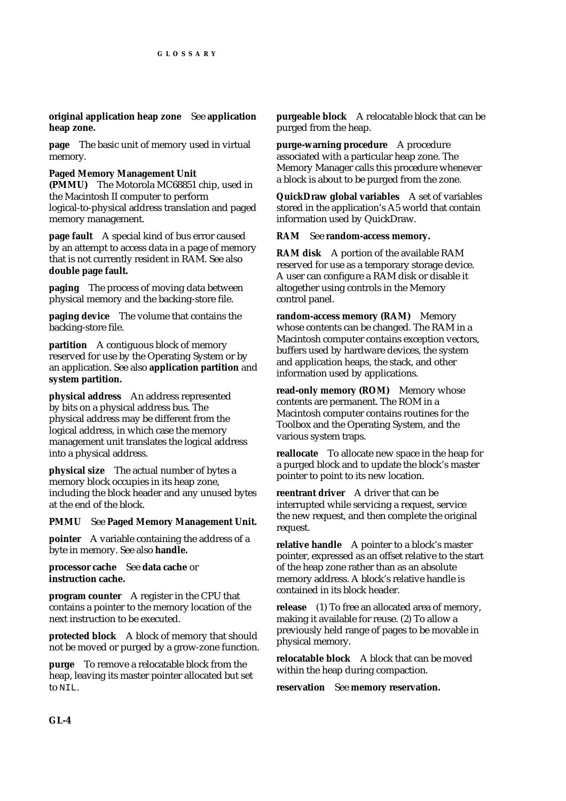**original application heap zone** See **application heap zone.**

**page** The basic unit of memory used in virtual memory.

#### **Paged Memory Management Unit (PMMU)** The Motorola MC68851 chip, used in the Macintosh II computer to perform logical-to-physical address translation and paged memory management.

**page fault** A special kind of bus error caused by an attempt to access data in a page of memory that is not currently resident in RAM. See also **double page fault.**

**paging** The process of moving data between physical memory and the backing-store file.

**paging device** The volume that contains the backing-store file.

**partition** A contiguous block of memory reserved for use by the Operating System or by an application. See also **application partition** and **system partition.**

**physical address** An address represented by bits on a physical address bus. The physical address may be different from the logical address, in which case the memory management unit translates the logical address into a physical address.

**physical size** The actual number of bytes a memory block occupies in its heap zone, including the block header and any unused bytes at the end of the block.

#### **PMMU** See **Paged Memory Management Unit.**

**pointer** A variable containing the address of a byte in memory. See also **handle.**

## **processor cache** See **data cache** or **instruction cache.**

**program counter** A register in the CPU that contains a pointer to the memory location of the next instruction to be executed.

**protected block** A block of memory that should not be moved or purged by a grow-zone function.

**purge** To remove a relocatable block from the heap, leaving its master pointer allocated but set to  $NTL$ .

**purgeable block** A relocatable block that can be purged from the heap.

**purge-warning procedure** A procedure associated with a particular heap zone. The Memory Manager calls this procedure whenever a block is about to be purged from the zone.

**QuickDraw global variables** A set of variables stored in the application's A5 world that contain information used by QuickDraw.

#### **RAM** See **random-access memory.**

**RAM disk** A portion of the available RAM reserved for use as a temporary storage device. A user can configure a RAM disk or disable it altogether using controls in the Memory control panel.

**random-access memory (RAM)** Memory whose contents can be changed. The RAM in a Macintosh computer contains exception vectors, buffers used by hardware devices, the system and application heaps, the stack, and other information used by applications.

**read-only memory (ROM)** Memory whose contents are permanent. The ROM in a Macintosh computer contains routines for the Toolbox and the Operating System, and the various system traps.

**reallocate** To allocate new space in the heap for a purged block and to update the block's master pointer to point to its new location.

**reentrant driver** A driver that can be interrupted while servicing a request, service the new request, and then complete the original request.

**relative handle** A pointer to a block's master pointer, expressed as an offset relative to the start of the heap zone rather than as an absolute memory address. A block's relative handle is contained in its block header.

**release** (1) To free an allocated area of memory, making it available for reuse. (2) To allow a previously held range of pages to be movable in physical memory.

**relocatable block** A block that can be moved within the heap during compaction.

**reservation** See **memory reservation.**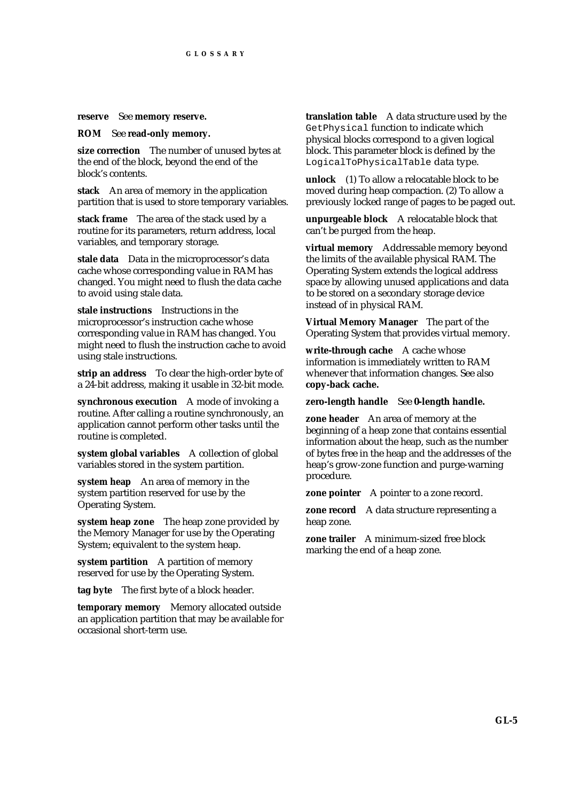#### **reserve** See **memory reserve.**

**ROM** See **read-only memory.**

**size correction** The number of unused bytes at the end of the block, beyond the end of the block's contents.

**stack** An area of memory in the application partition that is used to store temporary variables.

**stack frame** The area of the stack used by a routine for its parameters, return address, local variables, and temporary storage.

**stale data** Data in the microprocessor's data cache whose corresponding value in RAM has changed. You might need to flush the data cache to avoid using stale data.

**stale instructions** Instructions in the microprocessor's instruction cache whose corresponding value in RAM has changed. You might need to flush the instruction cache to avoid using stale instructions.

**strip an address** To clear the high-order byte of a 24-bit address, making it usable in 32-bit mode.

**synchronous execution** A mode of invoking a routine. After calling a routine synchronously, an application cannot perform other tasks until the routine is completed.

**system global variables** A collection of global variables stored in the system partition.

**system heap** An area of memory in the system partition reserved for use by the Operating System.

**system heap zone** The heap zone provided by the Memory Manager for use by the Operating System; equivalent to the system heap.

**system partition** A partition of memory reserved for use by the Operating System.

**tag byte** The first byte of a block header.

**temporary memory** Memory allocated outside an application partition that may be available for occasional short-term use.

**translation table** A data structure used by the GetPhysical function to indicate which physical blocks correspond to a given logical block. This parameter block is defined by the LogicalToPhysicalTable data type.

**unlock** (1) To allow a relocatable block to be moved during heap compaction. (2) To allow a previously locked range of pages to be paged out.

**unpurgeable block** A relocatable block that can't be purged from the heap.

**virtual memory** Addressable memory beyond the limits of the available physical RAM. The Operating System extends the logical address space by allowing unused applications and data to be stored on a secondary storage device instead of in physical RAM.

**Virtual Memory Manager** The part of the Operating System that provides virtual memory.

**write-through cache** A cache whose information is immediately written to RAM whenever that information changes. See also **copy-back cache.**

**zero-length handle** See **0-length handle.**

**zone header** An area of memory at the beginning of a heap zone that contains essential information about the heap, such as the number of bytes free in the heap and the addresses of the heap's grow-zone function and purge-warning procedure.

**zone pointer** A pointer to a zone record.

**zone record** A data structure representing a heap zone.

**zone trailer** A minimum-sized free block marking the end of a heap zone.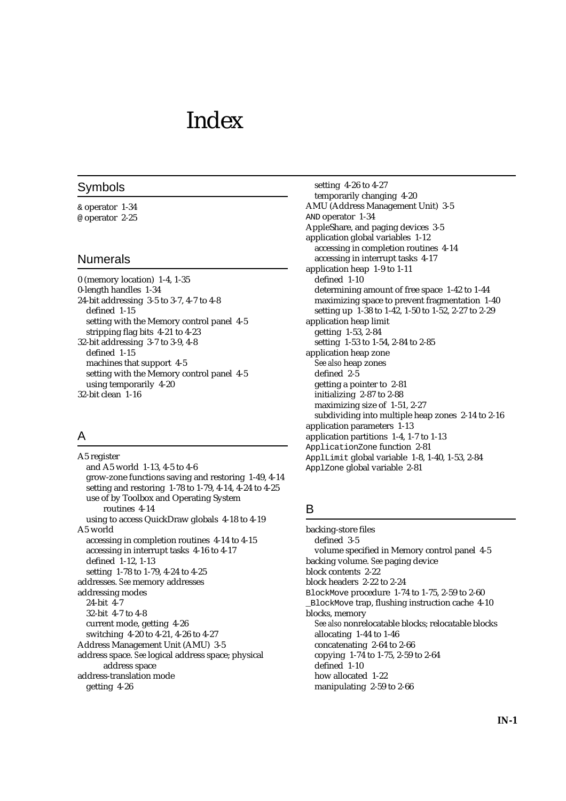# Index

#### Symbols

& operator 1-34 @ operator 2-25

#### Numerals

0 (memory location) 1-4, 1-35 0-length handles 1-34 24-bit addressing 3-5 to 3-7, 4-7 to 4-8 defined 1-15 setting with the Memory control panel 4-5 stripping flag bits 4-21 to 4-23 32-bit addressing 3-7 to 3-9, 4-8 defined 1-15 machines that support 4-5 setting with the Memory control panel 4-5 using temporarily 4-20 32-bit clean 1-16

# A

A5 register and A5 world 1-13, 4-5 to 4-6 grow-zone functions saving and restoring 1-49, 4-14 setting and restoring 1-78 to 1-79, 4-14, 4-24 to 4-25 use of by Toolbox and Operating System routines 4-14 using to access QuickDraw globals 4-18 to 4-19 A5 world accessing in completion routines 4-14 to 4-15 accessing in interrupt tasks 4-16 to 4-17 defined 1-12, 1-13 setting 1-78 to 1-79, 4-24 to 4-25 addresses. *See* memory addresses addressing modes 24-bit 4-7 32-bit 4-7 to 4-8 current mode, getting 4-26 switching 4-20 to 4-21, 4-26 to 4-27 Address Management Unit (AMU) 3-5 address space. *See* logical address space; physical address space address-translation mode getting 4-26

setting 4-26 to 4-27 temporarily changing 4-20 AMU (Address Management Unit) 3-5 AND operator 1-34 AppleShare, and paging devices 3-5 application global variables 1-12 accessing in completion routines 4-14 accessing in interrupt tasks 4-17 application heap 1-9 to 1-11 defined 1-10 determining amount of free space 1-42 to 1-44 maximizing space to prevent fragmentation 1-40 setting up 1-38 to 1-42, 1-50 to 1-52, 2-27 to 2-29 application heap limit getting 1-53, 2-84 setting 1-53 to 1-54, 2-84 to 2-85 application heap zone *See also* heap zones defined 2-5 getting a pointer to 2-81 initializing 2-87 to 2-88 maximizing size of 1-51, 2-27 subdividing into multiple heap zones 2-14 to 2-16 application parameters 1-13 application partitions 1-4, 1-7 to 1-13 ApplicationZone function 2-81 ApplLimit global variable 1-8, 1-40, 1-53, 2-84 ApplZone global variable 2-81

# B

backing-store files defined 3-5 volume specified in Memory control panel 4-5 backing volume. *See* paging device block contents 2-22 block headers 2-22 to 2-24 BlockMove procedure 1-74 to 1-75, 2-59 to 2-60 \_BlockMove trap, flushing instruction cache 4-10 blocks, memory *See also* nonrelocatable blocks; relocatable blocks allocating 1-44 to 1-46 concatenating 2-64 to 2-66 copying 1-74 to 1-75, 2-59 to 2-64 defined 1-10 how allocated 1-22 manipulating 2-59 to 2-66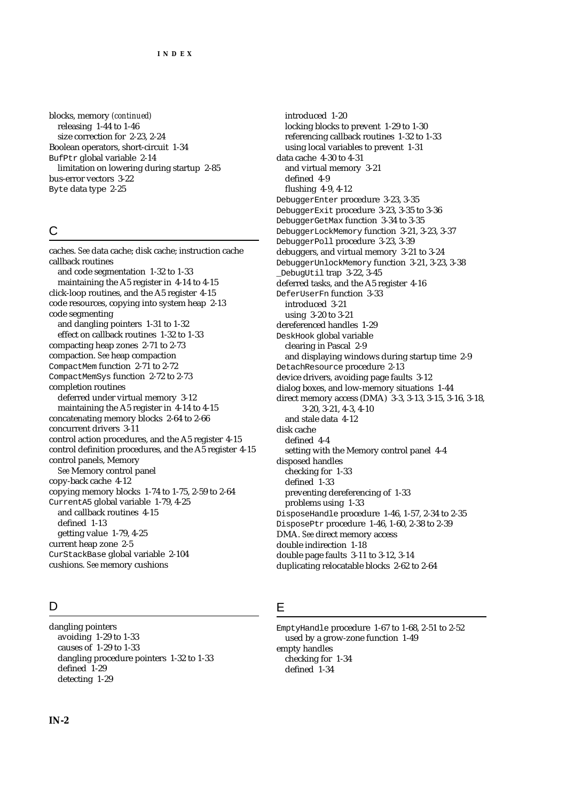blocks, memory *(continued)* releasing 1-44 to 1-46 size correction for 2-23, 2-24 Boolean operators, short-circuit 1-34 BufPtr global variable 2-14 limitation on lowering during startup 2-85 bus-error vectors 3-22 Byte data type 2-25

# C

caches. *See* data cache; disk cache; instruction cache callback routines and code segmentation 1-32 to 1-33 maintaining the A5 register in 4-14 to 4-15 click-loop routines, and the A5 register 4-15 code resources, copying into system heap 2-13 code segmenting and dangling pointers 1-31 to 1-32 effect on callback routines 1-32 to 1-33 compacting heap zones 2-71 to 2-73 compaction. *See* heap compaction CompactMem function 2-71 to 2-72 CompactMemSys function 2-72 to 2-73 completion routines deferred under virtual memory 3-12 maintaining the A5 register in 4-14 to 4-15 concatenating memory blocks 2-64 to 2-66 concurrent drivers 3-11 control action procedures, and the A5 register 4-15 control definition procedures, and the A5 register 4-15 control panels, Memory *See* Memory control panel copy-back cache 4-12 copying memory blocks 1-74 to 1-75, 2-59 to 2-64 CurrentA5 global variable 1-79, 4-25 and callback routines 4-15 defined 1-13 getting value 1-79, 4-25 current heap zone 2-5 CurStackBase global variable 2-104 cushions. *See* memory cushions

# $\mathsf{D}$

dangling pointers avoiding 1-29 to 1-33 causes of 1-29 to 1-33 dangling procedure pointers 1-32 to 1-33 defined 1-29 detecting 1-29

introduced 1-20 locking blocks to prevent 1-29 to 1-30 referencing callback routines 1-32 to 1-33 using local variables to prevent 1-31 data cache 4-30 to 4-31 and virtual memory 3-21 defined 4-9 flushing 4-9, 4-12 DebuggerEnter procedure 3-23, 3-35 DebuggerExit procedure 3-23, 3-35 to 3-36 DebuggerGetMax function 3-34 to 3-35 DebuggerLockMemory function 3-21, 3-23, 3-37 DebuggerPoll procedure 3-23, 3-39 debuggers, and virtual memory 3-21 to 3-24 DebuggerUnlockMemory function 3-21, 3-23, 3-38 \_DebugUtil trap 3-22, 3-45 deferred tasks, and the A5 register 4-16 DeferUserFn function 3-33 introduced 3-21 using 3-20 to 3-21 dereferenced handles 1-29 DeskHook global variable clearing in Pascal 2-9 and displaying windows during startup time 2-9 DetachResource procedure 2-13 device drivers, avoiding page faults 3-12 dialog boxes, and low-memory situations 1-44 direct memory access (DMA) 3-3, 3-13, 3-15, 3-16, 3-18, 3-20, 3-21, 4-3, 4-10 and stale data 4-12 disk cache defined 4-4 setting with the Memory control panel 4-4 disposed handles checking for 1-33 defined 1-33 preventing dereferencing of 1-33 problems using 1-33 DisposeHandle procedure 1-46, 1-57, 2-34 to 2-35 DisposePtr procedure 1-46, 1-60, 2-38 to 2-39 DMA. *See* direct memory access double indirection 1-18

double page faults 3-11 to 3-12, 3-14 duplicating relocatable blocks 2-62 to 2-64

# E

EmptyHandle procedure 1-67 to 1-68, 2-51 to 2-52 used by a grow-zone function 1-49 empty handles checking for 1-34 defined 1-34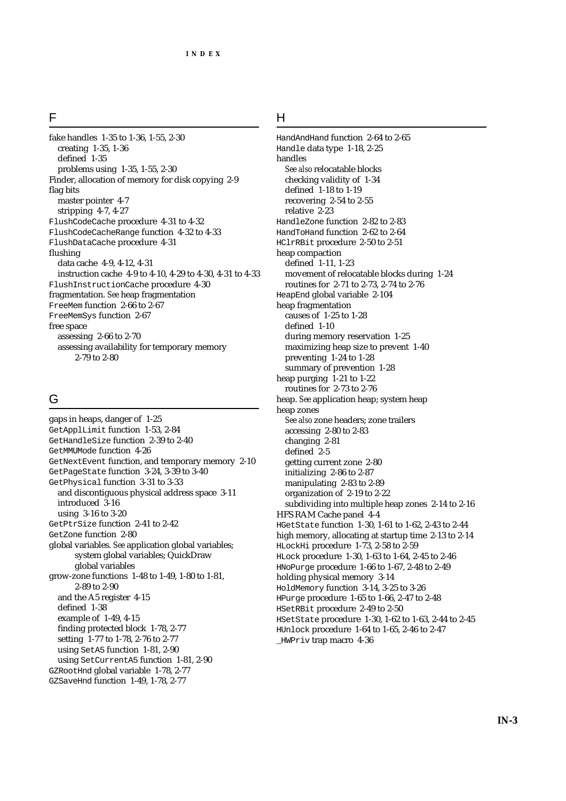#### F

fake handles 1-35 to 1-36, 1-55, 2-30 creating 1-35, 1-36 defined 1-35 problems using 1-35, 1-55, 2-30 Finder, allocation of memory for disk copying 2-9 flag bits master pointer 4-7 stripping 4-7, 4-27 FlushCodeCache procedure 4-31 to 4-32 FlushCodeCacheRange function 4-32 to 4-33 FlushDataCache procedure 4-31 flushing data cache 4-9, 4-12, 4-31 instruction cache 4-9 to 4-10, 4-29 to 4-30, 4-31 to 4-33 FlushInstructionCache procedure 4-30 fragmentation. *See* heap fragmentation FreeMem function 2-66 to 2-67 FreeMemSys function 2-67 free space assessing 2-66 to 2-70 assessing availability for temporary memory 2-79 to 2-80

## G

gaps in heaps, danger of 1-25 GetApplLimit function 1-53, 2-84 GetHandleSize function 2-39 to 2-40 GetMMUMode function 4-26 GetNextEvent function, and temporary memory 2-10 GetPageState function 3-24, 3-39 to 3-40 GetPhysical function 3-31 to 3-33 and discontiguous physical address space 3-11 introduced 3-16 using 3-16 to 3-20 GetPtrSize function 2-41 to 2-42 GetZone function 2-80 global variables. *See* application global variables; system global variables; QuickDraw global variables grow-zone functions 1-48 to 1-49, 1-80 to 1-81, 2-89 to 2-90 and the A5 register 4-15 defined 1-38 example of 1-49, 4-15 finding protected block 1-78, 2-77 setting 1-77 to 1-78, 2-76 to 2-77 using SetA5 function 1-81, 2-90 using SetCurrentA5 function 1-81, 2-90 GZRootHnd global variable 1-78, 2-77 GZSaveHnd function 1-49, 1-78, 2-77

## H

HandAndHand function 2-64 to 2-65 Handle data type 1-18, 2-25 handles *See also* relocatable blocks checking validity of 1-34 defined 1-18 to 1-19 recovering 2-54 to 2-55 relative 2-23 HandleZone function 2-82 to 2-83 HandToHand function 2-62 to 2-64 HClrRBit procedure 2-50 to 2-51 heap compaction defined 1-11, 1-23 movement of relocatable blocks during 1-24 routines for 2-71 to 2-73, 2-74 to 2-76 HeapEnd global variable 2-104 heap fragmentation causes of 1-25 to 1-28 defined 1-10 during memory reservation 1-25 maximizing heap size to prevent 1-40 preventing 1-24 to 1-28 summary of prevention 1-28 heap purging 1-21 to 1-22 routines for 2-73 to 2-76 heap. *See* application heap; system heap heap zones *See also* zone headers; zone trailers accessing 2-80 to 2-83 changing 2-81 defined 2-5 getting current zone 2-80 initializing 2-86 to 2-87 manipulating 2-83 to 2-89 organization of 2-19 to 2-22 subdividing into multiple heap zones 2-14 to 2-16 HFS RAM Cache panel 4-4 HGetState function 1-30, 1-61 to 1-62, 2-43 to 2-44 high memory, allocating at startup time 2-13 to 2-14 HLockHi procedure 1-73, 2-58 to 2-59 HLock procedure 1-30, 1-63 to 1-64, 2-45 to 2-46 HNoPurge procedure 1-66 to 1-67, 2-48 to 2-49 holding physical memory 3-14 HoldMemory function 3-14, 3-25 to 3-26 HPurge procedure 1-65 to 1-66, 2-47 to 2-48 HSetRBit procedure 2-49 to 2-50 HSetState procedure 1-30, 1-62 to 1-63, 2-44 to 2-45 HUnlock procedure 1-64 to 1-65, 2-46 to 2-47 \_HWPriv trap macro 4-36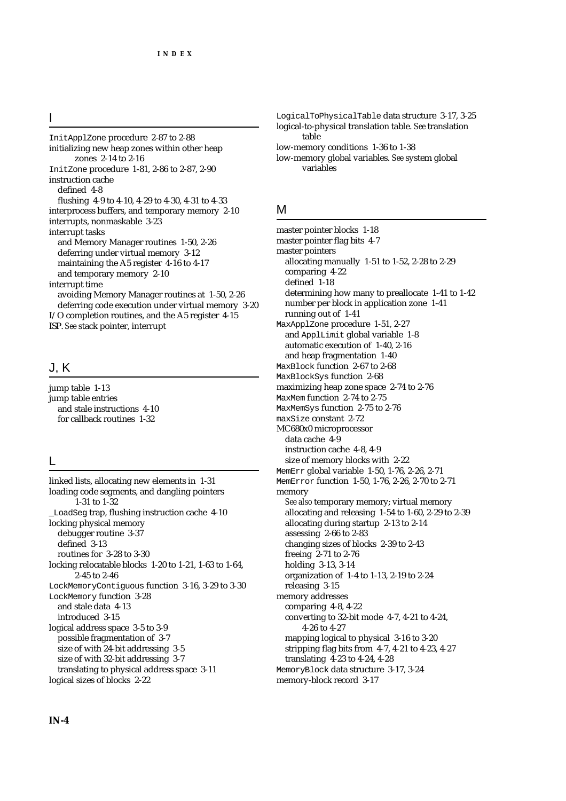#### I

InitApplZone procedure 2-87 to 2-88 initializing new heap zones within other heap zones 2-14 to 2-16 InitZone procedure 1-81, 2-86 to 2-87, 2-90 instruction cache defined 4-8 flushing 4-9 to 4-10, 4-29 to 4-30, 4-31 to 4-33 interprocess buffers, and temporary memory 2-10 interrupts, nonmaskable 3-23 interrupt tasks and Memory Manager routines 1-50, 2-26 deferring under virtual memory 3-12 maintaining the A5 register 4-16 to 4-17 and temporary memory 2-10 interrupt time avoiding Memory Manager routines at 1-50, 2-26 deferring code execution under virtual memory 3-20 I/O completion routines, and the A5 register 4-15 ISP. *See* stack pointer, interrupt

# J, K

jump table 1-13 jump table entries and stale instructions 4-10 for callback routines 1-32

#### L

linked lists, allocating new elements in 1-31 loading code segments, and dangling pointers 1-31 to 1-32 \_LoadSeg trap, flushing instruction cache 4-10 locking physical memory debugger routine 3-37 defined 3-13 routines for 3-28 to 3-30 locking relocatable blocks 1-20 to 1-21, 1-63 to 1-64, 2-45 to 2-46 LockMemoryContiguous function 3-16, 3-29 to 3-30 LockMemory function 3-28 and stale data 4-13 introduced 3-15 logical address space 3-5 to 3-9 possible fragmentation of 3-7 size of with 24-bit addressing 3-5 size of with 32-bit addressing 3-7 translating to physical address space 3-11 logical sizes of blocks 2-22

LogicalToPhysicalTable data structure 3-17, 3-25 logical-to-physical translation table. *See* translation table

low-memory conditions 1-36 to 1-38

low-memory global variables. *See* system global variables

#### M

master pointer blocks 1-18 master pointer flag bits 4-7 master pointers allocating manually 1-51 to 1-52, 2-28 to 2-29 comparing 4-22 defined 1-18 determining how many to preallocate 1-41 to 1-42 number per block in application zone 1-41 running out of 1-41 MaxApplZone procedure 1-51, 2-27 and ApplLimit global variable 1-8 automatic execution of 1-40, 2-16 and heap fragmentation 1-40 MaxBlock function 2-67 to 2-68 MaxBlockSys function 2-68 maximizing heap zone space 2-74 to 2-76 MaxMem function 2-74 to 2-75 MaxMemSys function 2-75 to 2-76 maxSize constant 2-72 MC680x0 microprocessor data cache 4-9 instruction cache 4-8, 4-9 size of memory blocks with 2-22 MemErr global variable 1-50, 1-76, 2-26, 2-71 MemError function 1-50, 1-76, 2-26, 2-70 to 2-71 memory *See also* temporary memory; virtual memory allocating and releasing 1-54 to 1-60, 2-29 to 2-39 allocating during startup 2-13 to 2-14 assessing 2-66 to 2-83 changing sizes of blocks 2-39 to 2-43 freeing 2-71 to 2-76 holding 3-13, 3-14 organization of 1-4 to 1-13, 2-19 to 2-24 releasing 3-15 memory addresses comparing 4-8, 4-22 converting to 32-bit mode 4-7, 4-21 to 4-24, 4-26 to 4-27 mapping logical to physical 3-16 to 3-20 stripping flag bits from 4-7, 4-21 to 4-23, 4-27 translating 4-23 to 4-24, 4-28 MemoryBlock data structure 3-17, 3-24 memory-block record 3-17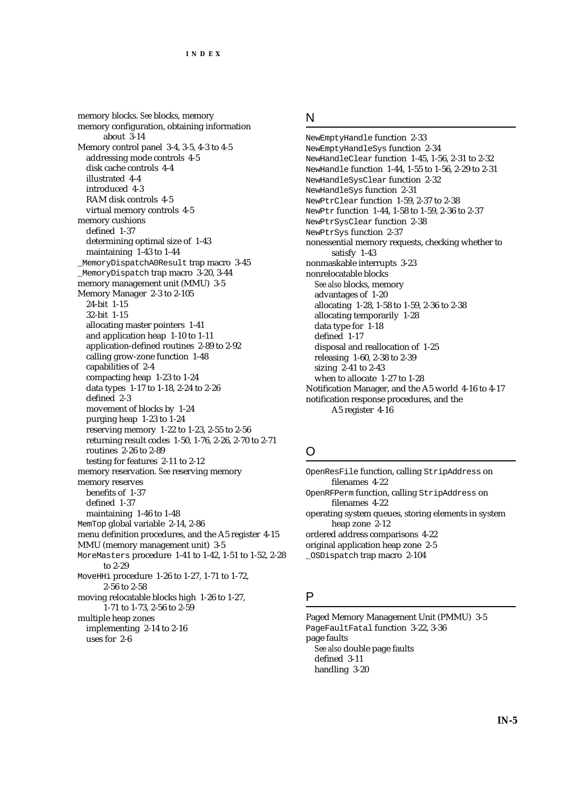memory blocks. *See* blocks, memory memory configuration, obtaining information about 3-14 Memory control panel 3-4, 3-5, 4-3 to 4-5 addressing mode controls 4-5 disk cache controls 4-4 illustrated 4-4 introduced 4-3 RAM disk controls 4-5 virtual memory controls 4-5 memory cushions defined 1-37 determining optimal size of 1-43 maintaining 1-43 to 1-44 \_MemoryDispatchA0Result trap macro 3-45 \_MemoryDispatch trap macro 3-20, 3-44 memory management unit (MMU) 3-5 Memory Manager 2-3 to 2-105 24-bit 1-15 32-bit 1-15 allocating master pointers 1-41 and application heap 1-10 to 1-11 application-defined routines 2-89 to 2-92 calling grow-zone function 1-48 capabilities of 2-4 compacting heap 1-23 to 1-24 data types 1-17 to 1-18, 2-24 to 2-26 defined 2-3 movement of blocks by 1-24 purging heap 1-23 to 1-24 reserving memory 1-22 to 1-23, 2-55 to 2-56 returning result codes 1-50, 1-76, 2-26, 2-70 to 2-71 routines 2-26 to 2-89 testing for features 2-11 to 2-12 memory reservation. *See* reserving memory memory reserves benefits of 1-37 defined 1-37 maintaining 1-46 to 1-48 MemTop global variable 2-14, 2-86 menu definition procedures, and the A5 register 4-15 MMU (memory management unit) 3-5 MoreMasters procedure 1-41 to 1-42, 1-51 to 1-52, 2-28 to 2-29 MoveHHi procedure 1-26 to 1-27, 1-71 to 1-72, 2-56 to 2-58 moving relocatable blocks high 1-26 to 1-27, 1-71 to 1-73, 2-56 to 2-59 multiple heap zones implementing 2-14 to 2-16 uses for 2-6

## N

NewEmptyHandle function 2-33 NewEmptyHandleSys function 2-34 NewHandleClear function 1-45, 1-56, 2-31 to 2-32 NewHandle function 1-44, 1-55 to 1-56, 2-29 to 2-31 NewHandleSysClear function 2-32 NewHandleSys function 2-31 NewPtrClear function 1-59, 2-37 to 2-38 NewPtr function 1-44, 1-58 to 1-59, 2-36 to 2-37 NewPtrSysClear function 2-38 NewPtrSys function 2-37 nonessential memory requests, checking whether to satisfy 1-43 nonmaskable interrupts 3-23 nonrelocatable blocks *See also* blocks, memory advantages of 1-20 allocating 1-28, 1-58 to 1-59, 2-36 to 2-38 allocating temporarily 1-28 data type for 1-18 defined 1-17 disposal and reallocation of 1-25 releasing 1-60, 2-38 to 2-39 sizing 2-41 to 2-43 when to allocate 1-27 to 1-28 Notification Manager, and the A5 world 4-16 to 4-17 notification response procedures, and the A5 register 4-16

# O

OpenResFile function, calling StripAddress on filenames 4-22 OpenRFPerm function, calling StripAddress on filenames 4-22 operating system queues, storing elements in system heap zone 2-12 ordered address comparisons 4-22 original application heap zone 2-5 \_OSDispatch trap macro 2-104

# P

Paged Memory Management Unit (PMMU) 3-5 PageFaultFatal function 3-22, 3-36 page faults *See also* double page faults defined 3-11 handling 3-20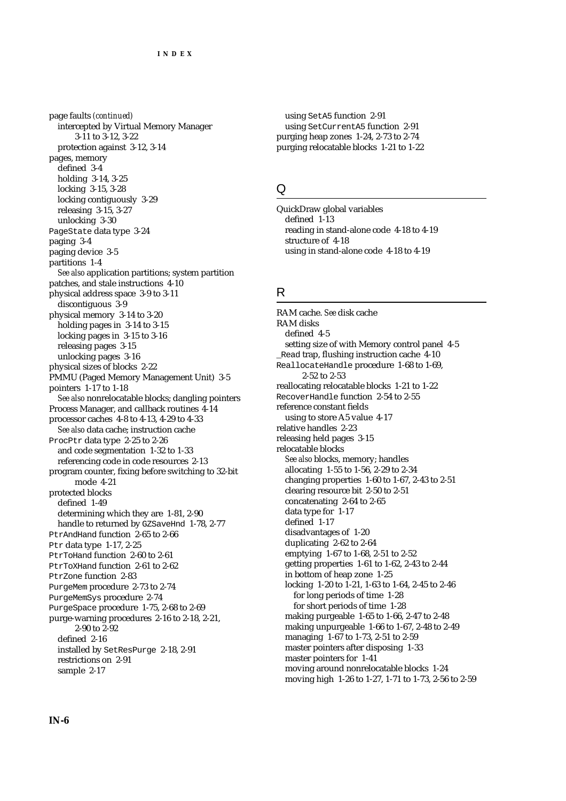page faults *(continued)* intercepted by Virtual Memory Manager 3-11 to 3-12, 3-22 protection against 3-12, 3-14 pages, memory defined 3-4 holding 3-14, 3-25 locking 3-15, 3-28 locking contiguously 3-29 releasing 3-15, 3-27 unlocking 3-30 PageState data type 3-24 paging 3-4 paging device 3-5 partitions 1-4 *See also* application partitions; system partition patches, and stale instructions 4-10 physical address space 3-9 to 3-11 discontiguous 3-9 physical memory 3-14 to 3-20 holding pages in 3-14 to 3-15 locking pages in 3-15 to 3-16 releasing pages 3-15 unlocking pages 3-16 physical sizes of blocks 2-22 PMMU (Paged Memory Management Unit) 3-5 pointers 1-17 to 1-18 *See also* nonrelocatable blocks; dangling pointers Process Manager, and callback routines 4-14 processor caches 4-8 to 4-13, 4-29 to 4-33 *See also* data cache; instruction cache ProcPtr data type 2-25 to 2-26 and code segmentation 1-32 to 1-33 referencing code in code resources 2-13 program counter, fixing before switching to 32-bit mode 4-21 protected blocks defined 1-49 determining which they are 1-81, 2-90 handle to returned by GZSaveHnd 1-78, 2-77 PtrAndHand function 2-65 to 2-66 Ptr data type 1-17, 2-25 PtrToHand function 2-60 to 2-61 PtrToXHand function 2-61 to 2-62 PtrZone function 2-83 PurgeMem procedure 2-73 to 2-74 PurgeMemSys procedure 2-74 PurgeSpace procedure 1-75, 2-68 to 2-69 purge-warning procedures 2-16 to 2-18, 2-21, 2-90 to 2-92 defined 2-16 installed by SetResPurge 2-18, 2-91 restrictions on 2-91 sample 2-17

using SetA5 function 2-91 using SetCurrentA5 function 2-91 purging heap zones 1-24, 2-73 to 2-74 purging relocatable blocks 1-21 to 1-22

#### Q

QuickDraw global variables defined 1-13 reading in stand-alone code 4-18 to 4-19 structure of 4-18 using in stand-alone code 4-18 to 4-19

#### R

RAM cache. *See* disk cache RAM disks defined 4-5 setting size of with Memory control panel 4-5 \_Read trap, flushing instruction cache 4-10 ReallocateHandle procedure 1-68 to 1-69, 2-52 to 2-53 reallocating relocatable blocks 1-21 to 1-22 RecoverHandle function 2-54 to 2-55 reference constant fields using to store A5 value 4-17 relative handles 2-23 releasing held pages 3-15 relocatable blocks *See also* blocks, memory; handles allocating 1-55 to 1-56, 2-29 to 2-34 changing properties 1-60 to 1-67, 2-43 to 2-51 clearing resource bit 2-50 to 2-51 concatenating 2-64 to 2-65 data type for 1-17 defined 1-17 disadvantages of 1-20 duplicating 2-62 to 2-64 emptying 1-67 to 1-68, 2-51 to 2-52 getting properties 1-61 to 1-62, 2-43 to 2-44 in bottom of heap zone 1-25 locking 1-20 to 1-21, 1-63 to 1-64, 2-45 to 2-46 for long periods of time 1-28 for short periods of time 1-28 making purgeable 1-65 to 1-66, 2-47 to 2-48 making unpurgeable 1-66 to 1-67, 2-48 to 2-49 managing 1-67 to 1-73, 2-51 to 2-59 master pointers after disposing 1-33 master pointers for 1-41 moving around nonrelocatable blocks 1-24 moving high 1-26 to 1-27, 1-71 to 1-73, 2-56 to 2-59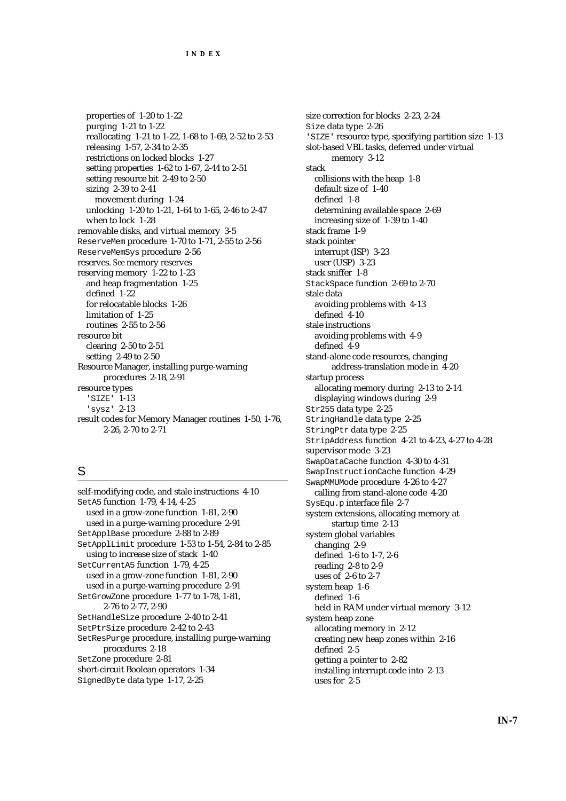properties of 1-20 to 1-22 purging 1-21 to 1-22 reallocating 1-21 to 1-22, 1-68 to 1-69, 2-52 to 2-53 releasing 1-57, 2-34 to 2-35 restrictions on locked blocks 1-27 setting properties 1-62 to 1-67, 2-44 to 2-51 setting resource bit 2-49 to 2-50 sizing 2-39 to 2-41 movement during 1-24 unlocking 1-20 to 1-21, 1-64 to 1-65, 2-46 to 2-47 when to lock 1-28 removable disks, and virtual memory 3-5 ReserveMem procedure 1-70 to 1-71, 2-55 to 2-56 ReserveMemSys procedure 2-56 reserves. *See* memory reserves reserving memory 1-22 to 1-23 and heap fragmentation 1-25 defined 1-22 for relocatable blocks 1-26 limitation of 1-25 routines 2-55 to 2-56 resource bit clearing 2-50 to 2-51 setting 2-49 to 2-50 Resource Manager, installing purge-warning procedures 2-18, 2-91 resource types 'SIZE' 1-13 'sysz' 2-13 result codes for Memory Manager routines 1-50, 1-76, 2-26, 2-70 to 2-71

# S

self-modifying code, and stale instructions 4-10 SetA5 function 1-79, 4-14, 4-25 used in a grow-zone function 1-81, 2-90 used in a purge-warning procedure 2-91 SetApplBase procedure 2-88 to 2-89 SetApplLimit procedure 1-53 to 1-54, 2-84 to 2-85 using to increase size of stack 1-40 SetCurrentA5 function 1-79, 4-25 used in a grow-zone function 1-81, 2-90 used in a purge-warning procedure 2-91 SetGrowZone procedure 1-77 to 1-78, 1-81, 2-76 to 2-77, 2-90 SetHandleSize procedure 2-40 to 2-41 SetPtrSize procedure 2-42 to 2-43 SetResPurge procedure, installing purge-warning procedures 2-18 SetZone procedure 2-81 short-circuit Boolean operators 1-34 SignedByte data type 1-17, 2-25

size correction for blocks 2-23, 2-24 Size data type 2-26 'SIZE' resource type, specifying partition size 1-13 slot-based VBL tasks, deferred under virtual memory 3-12 stack collisions with the heap 1-8 default size of 1-40 defined 1-8 determining available space 2-69 increasing size of 1-39 to 1-40 stack frame 1-9 stack pointer interrupt (ISP) 3-23 user (USP) 3-23 stack sniffer 1-8 StackSpace function 2-69 to 2-70 stale data avoiding problems with 4-13 defined 4-10 stale instructions avoiding problems with 4-9 defined 4-9 stand-alone code resources, changing address-translation mode in 4-20 startup process allocating memory during 2-13 to 2-14 displaying windows during 2-9 Str255 data type 2-25 StringHandle data type 2-25 StringPtr data type 2-25 StripAddress function 4-21 to 4-23, 4-27 to 4-28 supervisor mode 3-23 SwapDataCache function 4-30 to 4-31 SwapInstructionCache function 4-29 SwapMMUMode procedure 4-26 to 4-27 calling from stand-alone code 4-20 SysEqu.p interface file 2-7 system extensions, allocating memory at startup time 2-13 system global variables changing 2-9 defined 1-6 to 1-7, 2-6 reading 2-8 to 2-9 uses of 2-6 to 2-7 system heap 1-6 defined 1-6 held in RAM under virtual memory 3-12 system heap zone allocating memory in 2-12 creating new heap zones within 2-16 defined 2-5 getting a pointer to 2-82 installing interrupt code into 2-13 uses for 2-5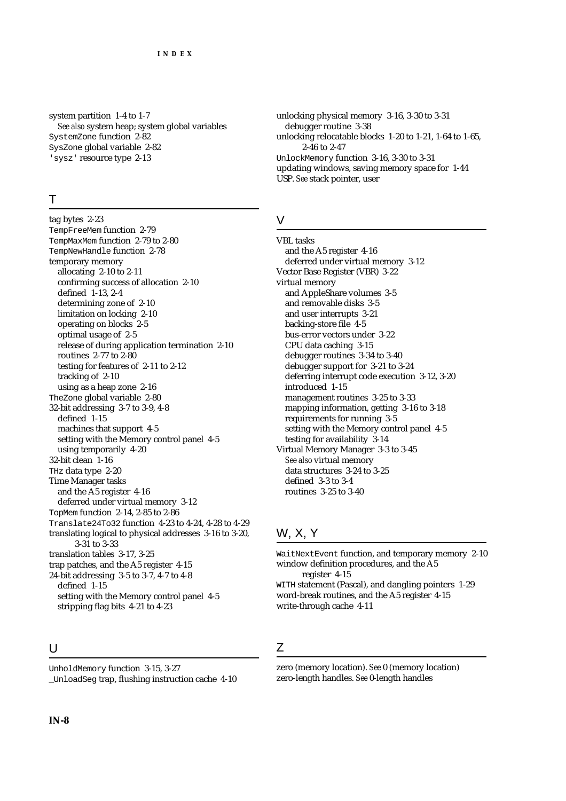system partition 1-4 to 1-7 *See also* system heap; system global variables SystemZone function 2-82 SysZone global variable 2-82 'sysz' resource type 2-13

# T

tag bytes 2-23 TempFreeMem function 2-79 TempMaxMem function 2-79 to 2-80 TempNewHandle function 2-78 temporary memory allocating 2-10 to 2-11 confirming success of allocation 2-10 defined 1-13, 2-4 determining zone of 2-10 limitation on locking 2-10 operating on blocks 2-5 optimal usage of 2-5 release of during application termination 2-10 routines 2-77 to 2-80 testing for features of 2-11 to 2-12 tracking of 2-10 using as a heap zone 2-16 TheZone global variable 2-80 32-bit addressing 3-7 to 3-9, 4-8 defined 1-15 machines that support 4-5 setting with the Memory control panel 4-5 using temporarily 4-20 32-bit clean 1-16 THz data type 2-20 Time Manager tasks and the A5 register 4-16 deferred under virtual memory 3-12 TopMem function 2-14, 2-85 to 2-86 Translate24To32 function 4-23 to 4-24, 4-28 to 4-29 translating logical to physical addresses 3-16 to 3-20, 3-31 to 3-33 translation tables 3-17, 3-25 trap patches, and the A5 register 4-15 24-bit addressing 3-5 to 3-7, 4-7 to 4-8 defined 1-15 setting with the Memory control panel 4-5 stripping flag bits 4-21 to 4-23

#### $\cup$

UnholdMemory function 3-15, 3-27 \_UnloadSeg trap, flushing instruction cache 4-10 unlocking physical memory 3-16, 3-30 to 3-31 debugger routine 3-38 unlocking relocatable blocks 1-20 to 1-21, 1-64 to 1-65, 2-46 to 2-47 UnlockMemory function 3-16, 3-30 to 3-31 updating windows, saving memory space for 1-44 USP. *See* stack pointer, user

#### V

VBL tasks and the A5 register 4-16 deferred under virtual memory 3-12 Vector Base Register (VBR) 3-22 virtual memory and AppleShare volumes 3-5 and removable disks 3-5 and user interrupts 3-21 backing-store file 4-5 bus-error vectors under 3-22 CPU data caching 3-15 debugger routines 3-34 to 3-40 debugger support for 3-21 to 3-24 deferring interrupt code execution 3-12, 3-20 introduced 1-15 management routines 3-25 to 3-33 mapping information, getting 3-16 to 3-18 requirements for running 3-5 setting with the Memory control panel 4-5 testing for availability 3-14 Virtual Memory Manager 3-3 to 3-45 *See also* virtual memory data structures 3-24 to 3-25 defined 3-3 to 3-4 routines 3-25 to 3-40

# W, X, Y

WaitNextEvent function, and temporary memory 2-10 window definition procedures, and the A5 register 4-15 WITH statement (Pascal), and dangling pointers 1-29 word-break routines, and the A5 register 4-15 write-through cache 4-11

# Z

zero (memory location). *See* 0 (memory location) zero-length handles. *See* 0-length handles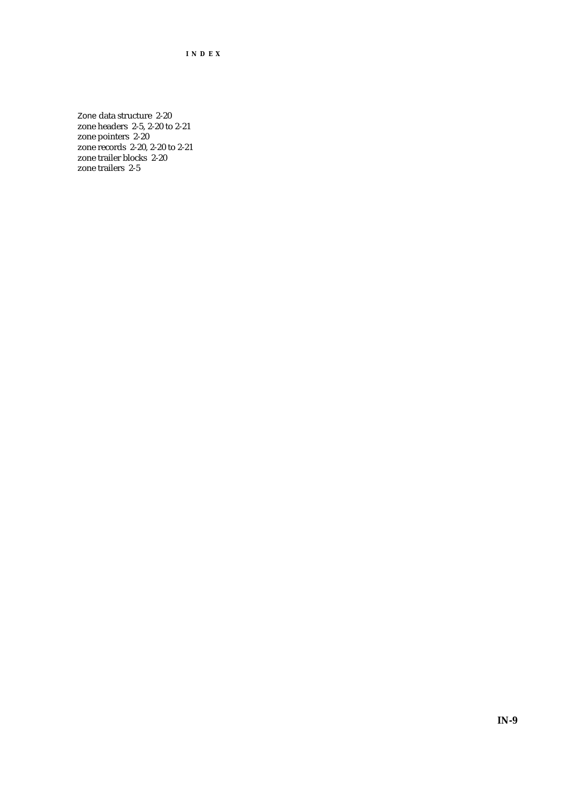**INDEX**

Zone data structure 2-20 zone headers 2-5, 2-20 to 2-21 zone pointers 2-20 zone records 2-20, 2-20 to 2-21 zone trailer blocks 2-20 zone trailers 2-5